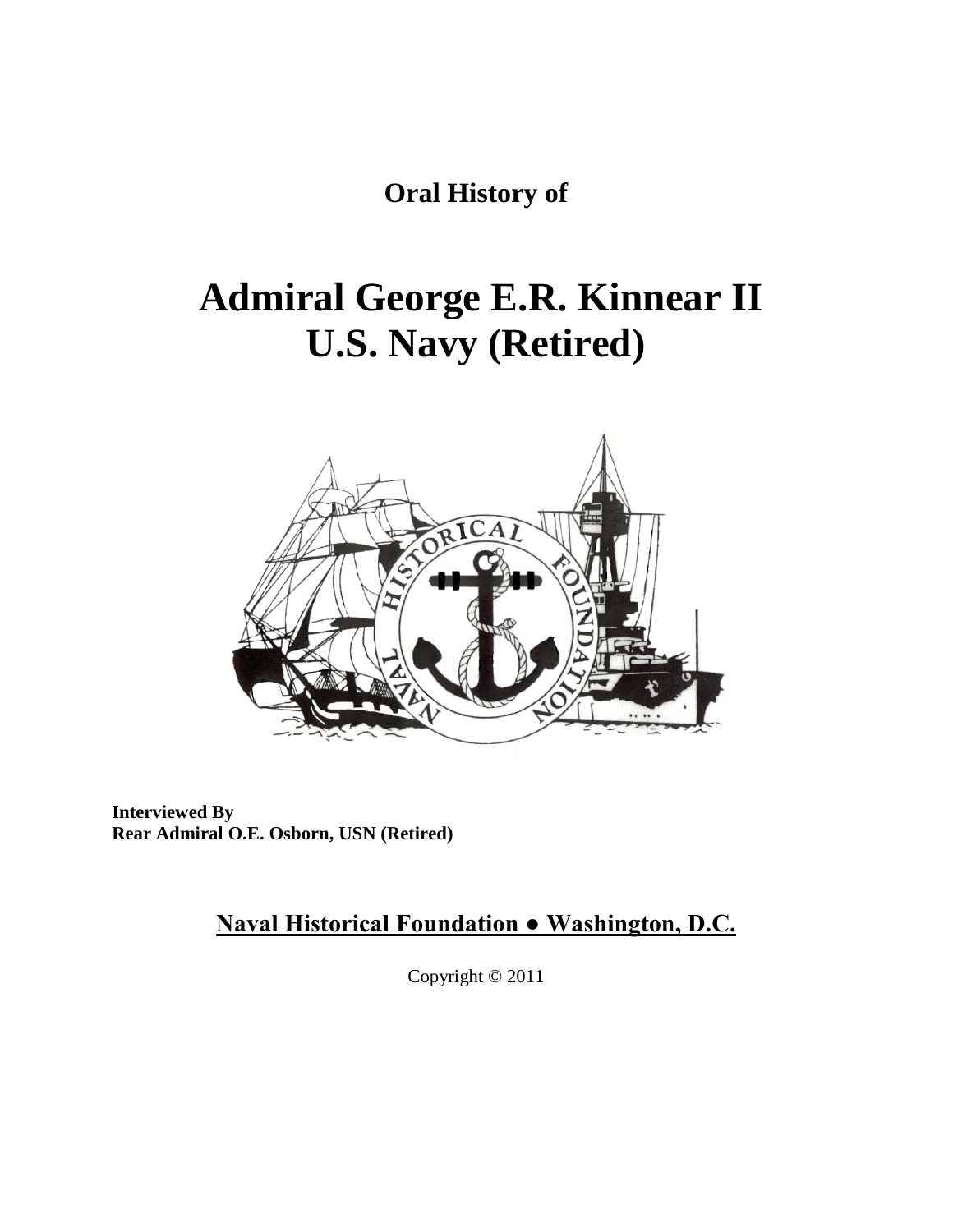**Oral History of**

# **Admiral George E.R. Kinnear II U.S. Navy (Retired)**



**Interviewed By Rear Admiral O.E. Osborn, USN (Retired)**

**Naval Historical Foundation ● Washington, D.C.**

Copyright © 2011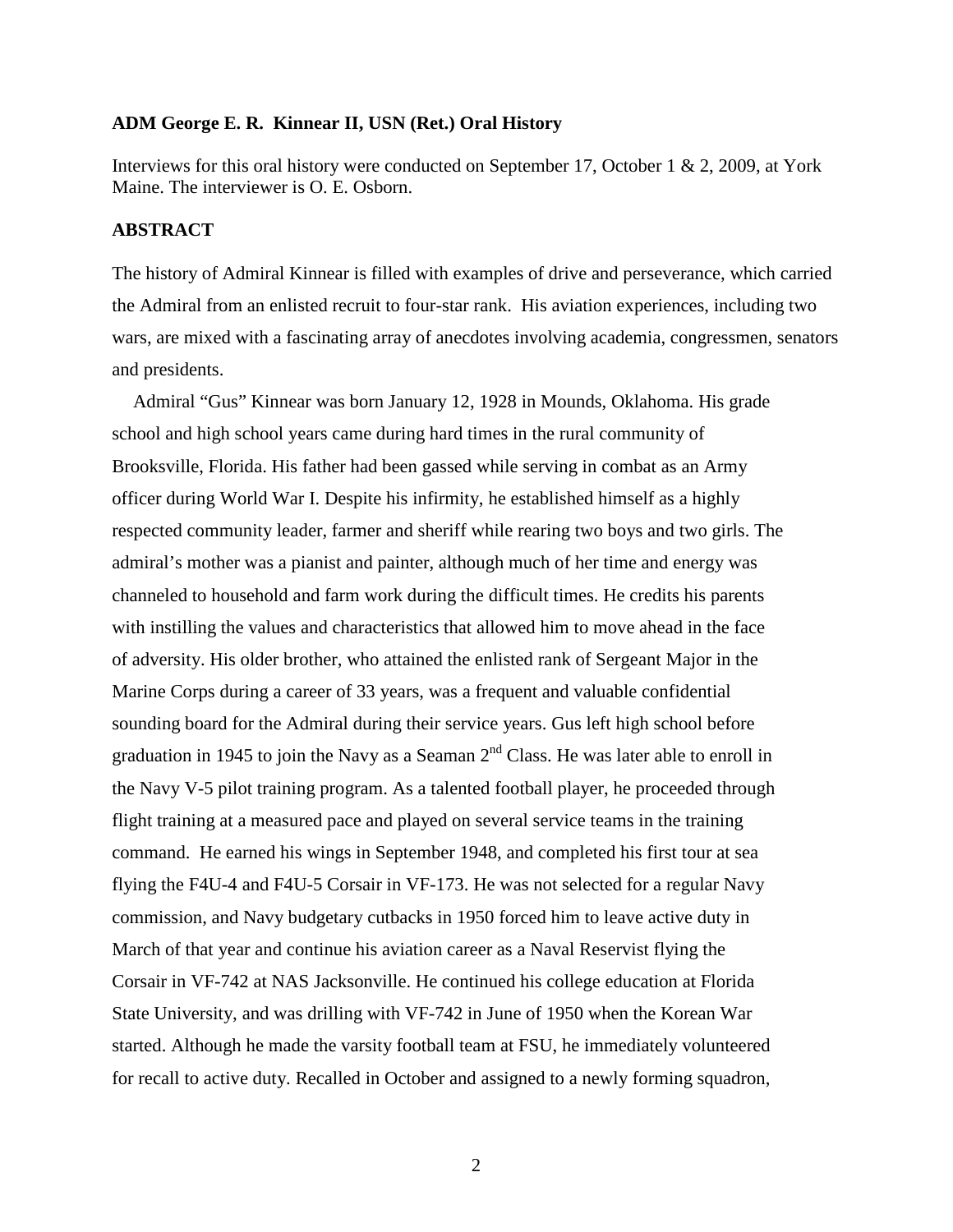### **ADM George E. R. Kinnear II, USN (Ret.) Oral History**

Interviews for this oral history were conducted on September 17, October 1 & 2, 2009, at York Maine. The interviewer is O. E. Osborn.

### **ABSTRACT**

The history of Admiral Kinnear is filled with examples of drive and perseverance, which carried the Admiral from an enlisted recruit to four-star rank. His aviation experiences, including two wars, are mixed with a fascinating array of anecdotes involving academia, congressmen, senators and presidents.

Admiral "Gus" Kinnear was born January 12, 1928 in Mounds, Oklahoma. His grade school and high school years came during hard times in the rural community of Brooksville, Florida. His father had been gassed while serving in combat as an Army officer during World War I. Despite his infirmity, he established himself as a highly respected community leader, farmer and sheriff while rearing two boys and two girls. The admiral's mother was a pianist and painter, although much of her time and energy was channeled to household and farm work during the difficult times. He credits his parents with instilling the values and characteristics that allowed him to move ahead in the face of adversity. His older brother, who attained the enlisted rank of Sergeant Major in the Marine Corps during a career of 33 years, was a frequent and valuable confidential sounding board for the Admiral during their service years. Gus left high school before graduation in 1945 to join the Navy as a Seaman  $2<sup>nd</sup>$  Class. He was later able to enroll in the Navy V-5 pilot training program. As a talented football player, he proceeded through flight training at a measured pace and played on several service teams in the training command. He earned his wings in September 1948, and completed his first tour at sea flying the F4U-4 and F4U-5 Corsair in VF-173. He was not selected for a regular Navy commission, and Navy budgetary cutbacks in 1950 forced him to leave active duty in March of that year and continue his aviation career as a Naval Reservist flying the Corsair in VF-742 at NAS Jacksonville. He continued his college education at Florida State University, and was drilling with VF-742 in June of 1950 when the Korean War started. Although he made the varsity football team at FSU, he immediately volunteered for recall to active duty. Recalled in October and assigned to a newly forming squadron,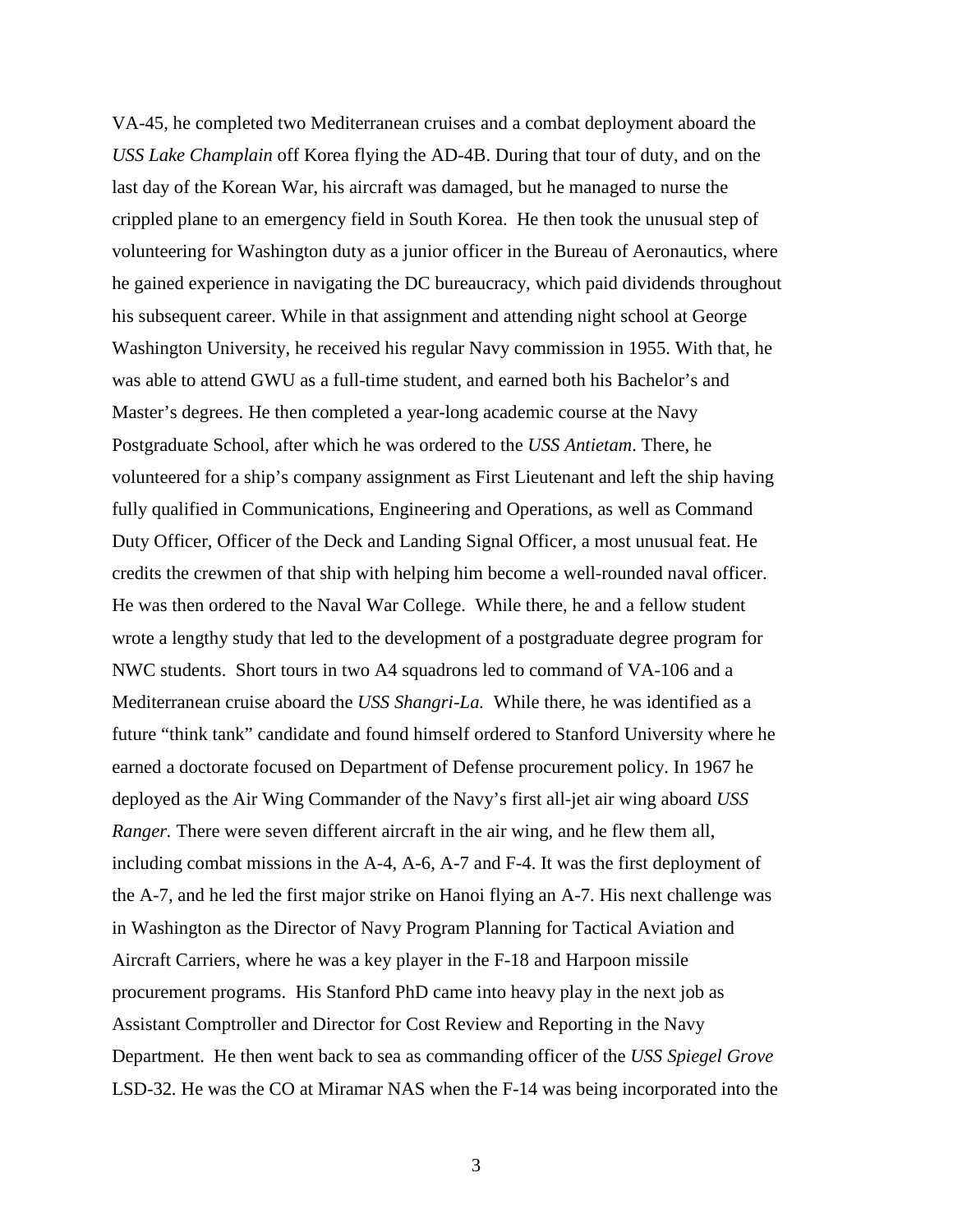VA-45, he completed two Mediterranean cruises and a combat deployment aboard the *USS Lake Champlain* off Korea flying the AD-4B. During that tour of duty, and on the last day of the Korean War, his aircraft was damaged, but he managed to nurse the crippled plane to an emergency field in South Korea. He then took the unusual step of volunteering for Washington duty as a junior officer in the Bureau of Aeronautics, where he gained experience in navigating the DC bureaucracy, which paid dividends throughout his subsequent career. While in that assignment and attending night school at George Washington University, he received his regular Navy commission in 1955. With that, he was able to attend GWU as a full-time student, and earned both his Bachelor's and Master's degrees. He then completed a year-long academic course at the Navy Postgraduate School, after which he was ordered to the *USS Antietam*. There, he volunteered for a ship's company assignment as First Lieutenant and left the ship having fully qualified in Communications, Engineering and Operations, as well as Command Duty Officer, Officer of the Deck and Landing Signal Officer, a most unusual feat. He credits the crewmen of that ship with helping him become a well-rounded naval officer. He was then ordered to the Naval War College. While there, he and a fellow student wrote a lengthy study that led to the development of a postgraduate degree program for NWC students. Short tours in two A4 squadrons led to command of VA-106 and a Mediterranean cruise aboard the *USS Shangri-La.* While there, he was identified as a future "think tank" candidate and found himself ordered to Stanford University where he earned a doctorate focused on Department of Defense procurement policy. In 1967 he deployed as the Air Wing Commander of the Navy's first all-jet air wing aboard *USS Ranger.* There were seven different aircraft in the air wing, and he flew them all, including combat missions in the A-4, A-6, A-7 and F-4. It was the first deployment of the A-7, and he led the first major strike on Hanoi flying an A-7. His next challenge was in Washington as the Director of Navy Program Planning for Tactical Aviation and Aircraft Carriers, where he was a key player in the F-18 and Harpoon missile procurement programs. His Stanford PhD came into heavy play in the next job as Assistant Comptroller and Director for Cost Review and Reporting in the Navy Department. He then went back to sea as commanding officer of the *USS Spiegel Grove* LSD-32*.* He was the CO at Miramar NAS when the F-14 was being incorporated into the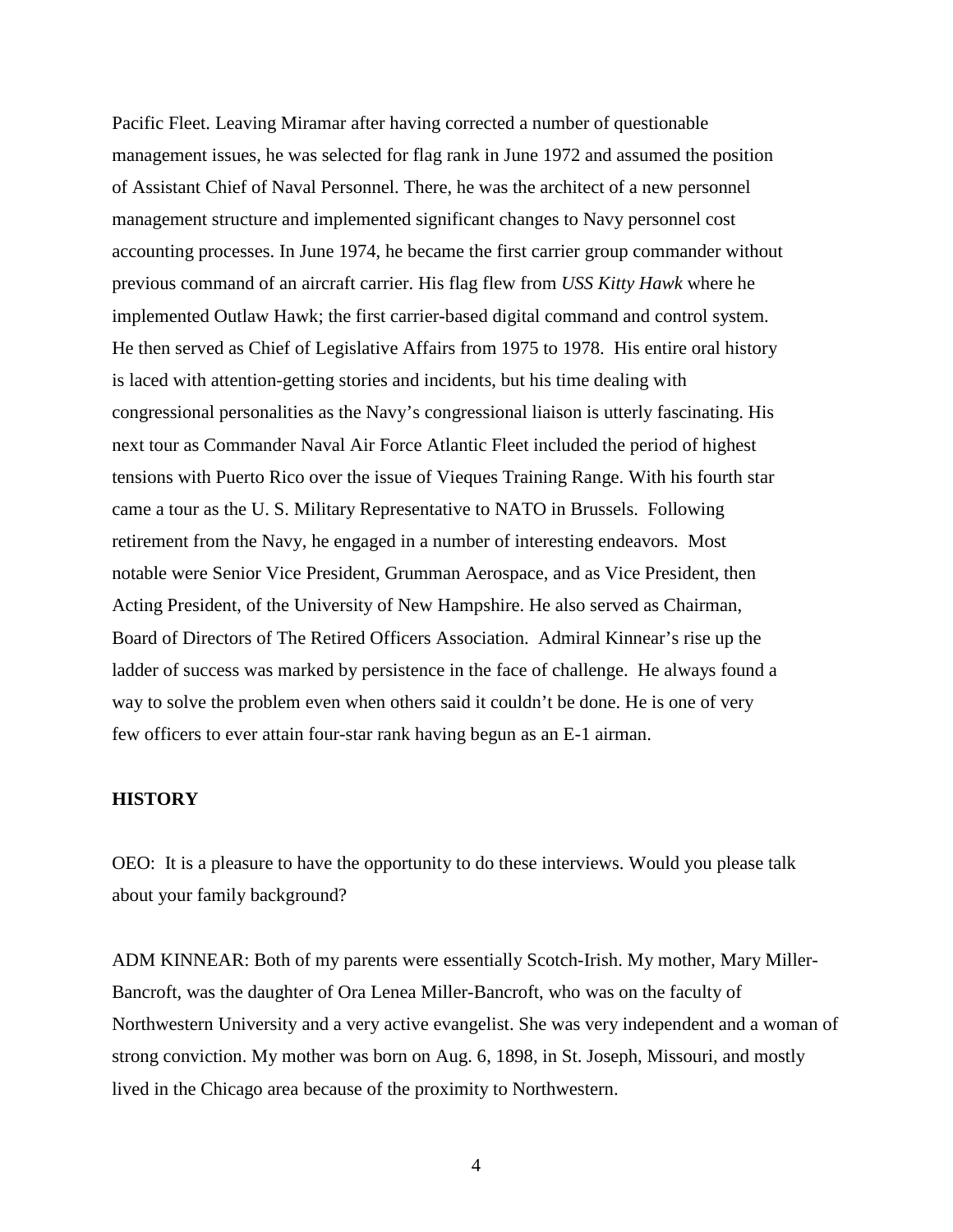Pacific Fleet. Leaving Miramar after having corrected a number of questionable management issues, he was selected for flag rank in June 1972 and assumed the position of Assistant Chief of Naval Personnel. There, he was the architect of a new personnel management structure and implemented significant changes to Navy personnel cost accounting processes. In June 1974, he became the first carrier group commander without previous command of an aircraft carrier. His flag flew from *USS Kitty Hawk* where he implemented Outlaw Hawk; the first carrier-based digital command and control system. He then served as Chief of Legislative Affairs from 1975 to 1978. His entire oral history is laced with attention-getting stories and incidents, but his time dealing with congressional personalities as the Navy's congressional liaison is utterly fascinating. His next tour as Commander Naval Air Force Atlantic Fleet included the period of highest tensions with Puerto Rico over the issue of Vieques Training Range. With his fourth star came a tour as the U. S. Military Representative to NATO in Brussels. Following retirement from the Navy, he engaged in a number of interesting endeavors. Most notable were Senior Vice President, Grumman Aerospace, and as Vice President, then Acting President, of the University of New Hampshire. He also served as Chairman, Board of Directors of The Retired Officers Association. Admiral Kinnear's rise up the ladder of success was marked by persistence in the face of challenge. He always found a way to solve the problem even when others said it couldn't be done. He is one of very few officers to ever attain four-star rank having begun as an E-1 airman.

## **HISTORY**

OEO: It is a pleasure to have the opportunity to do these interviews. Would you please talk about your family background?

ADM KINNEAR: Both of my parents were essentially Scotch-Irish. My mother, Mary Miller-Bancroft, was the daughter of Ora Lenea Miller-Bancroft, who was on the faculty of Northwestern University and a very active evangelist. She was very independent and a woman of strong conviction. My mother was born on Aug. 6, 1898, in St. Joseph, Missouri, and mostly lived in the Chicago area because of the proximity to Northwestern.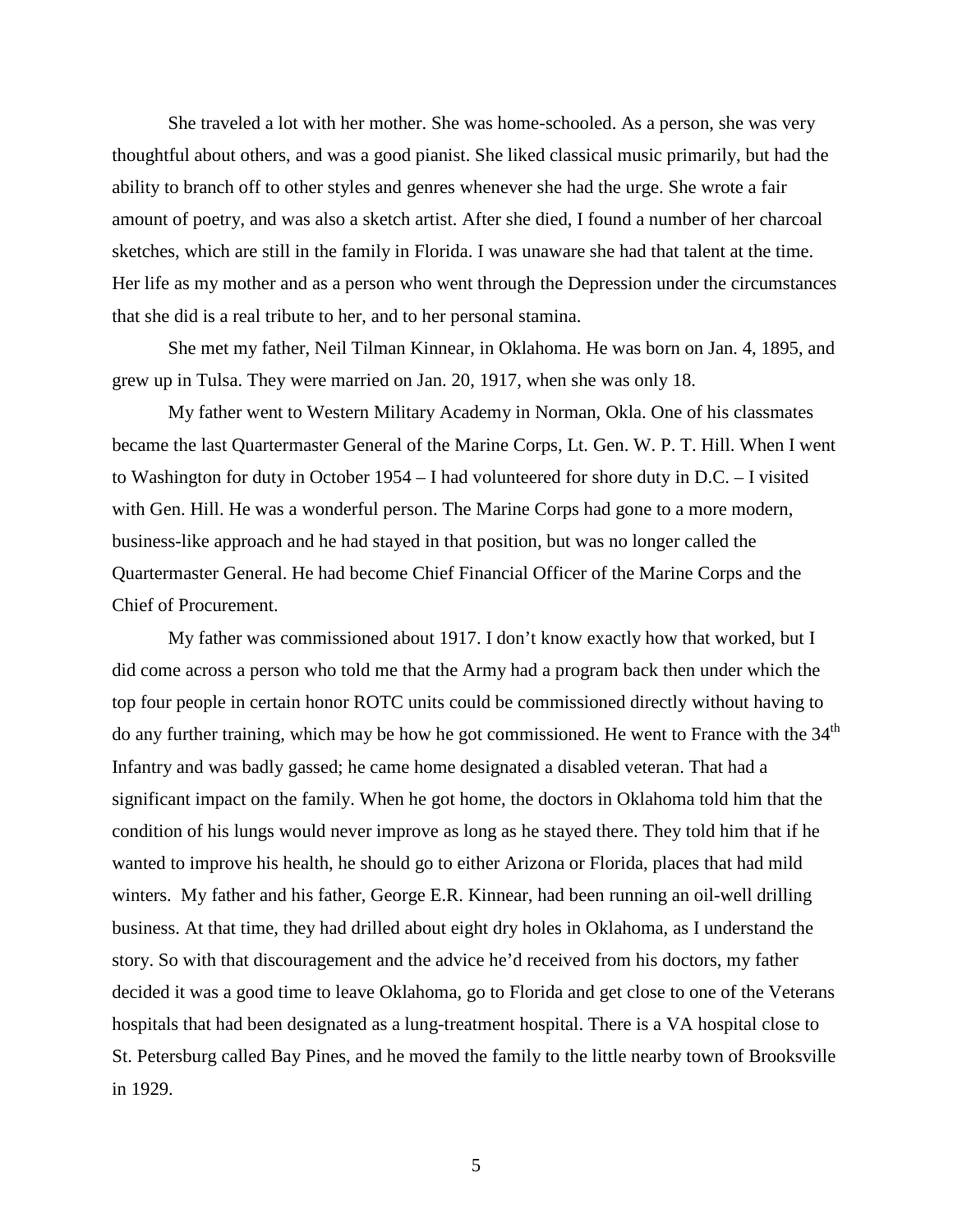She traveled a lot with her mother. She was home-schooled. As a person, she was very thoughtful about others, and was a good pianist. She liked classical music primarily, but had the ability to branch off to other styles and genres whenever she had the urge. She wrote a fair amount of poetry, and was also a sketch artist. After she died, I found a number of her charcoal sketches, which are still in the family in Florida. I was unaware she had that talent at the time. Her life as my mother and as a person who went through the Depression under the circumstances that she did is a real tribute to her, and to her personal stamina.

She met my father, Neil Tilman Kinnear, in Oklahoma. He was born on Jan. 4, 1895, and grew up in Tulsa. They were married on Jan. 20, 1917, when she was only 18.

My father went to Western Military Academy in Norman, Okla. One of his classmates became the last Quartermaster General of the Marine Corps, Lt. Gen. W. P. T. Hill. When I went to Washington for duty in October 1954 – I had volunteered for shore duty in D.C. – I visited with Gen. Hill. He was a wonderful person. The Marine Corps had gone to a more modern, business-like approach and he had stayed in that position, but was no longer called the Quartermaster General. He had become Chief Financial Officer of the Marine Corps and the Chief of Procurement.

My father was commissioned about 1917. I don't know exactly how that worked, but I did come across a person who told me that the Army had a program back then under which the top four people in certain honor ROTC units could be commissioned directly without having to do any further training, which may be how he got commissioned. He went to France with the  $34<sup>th</sup>$ Infantry and was badly gassed; he came home designated a disabled veteran. That had a significant impact on the family. When he got home, the doctors in Oklahoma told him that the condition of his lungs would never improve as long as he stayed there. They told him that if he wanted to improve his health, he should go to either Arizona or Florida, places that had mild winters. My father and his father, George E.R. Kinnear, had been running an oil-well drilling business. At that time, they had drilled about eight dry holes in Oklahoma, as I understand the story. So with that discouragement and the advice he'd received from his doctors, my father decided it was a good time to leave Oklahoma, go to Florida and get close to one of the Veterans hospitals that had been designated as a lung-treatment hospital. There is a VA hospital close to St. Petersburg called Bay Pines, and he moved the family to the little nearby town of Brooksville in 1929.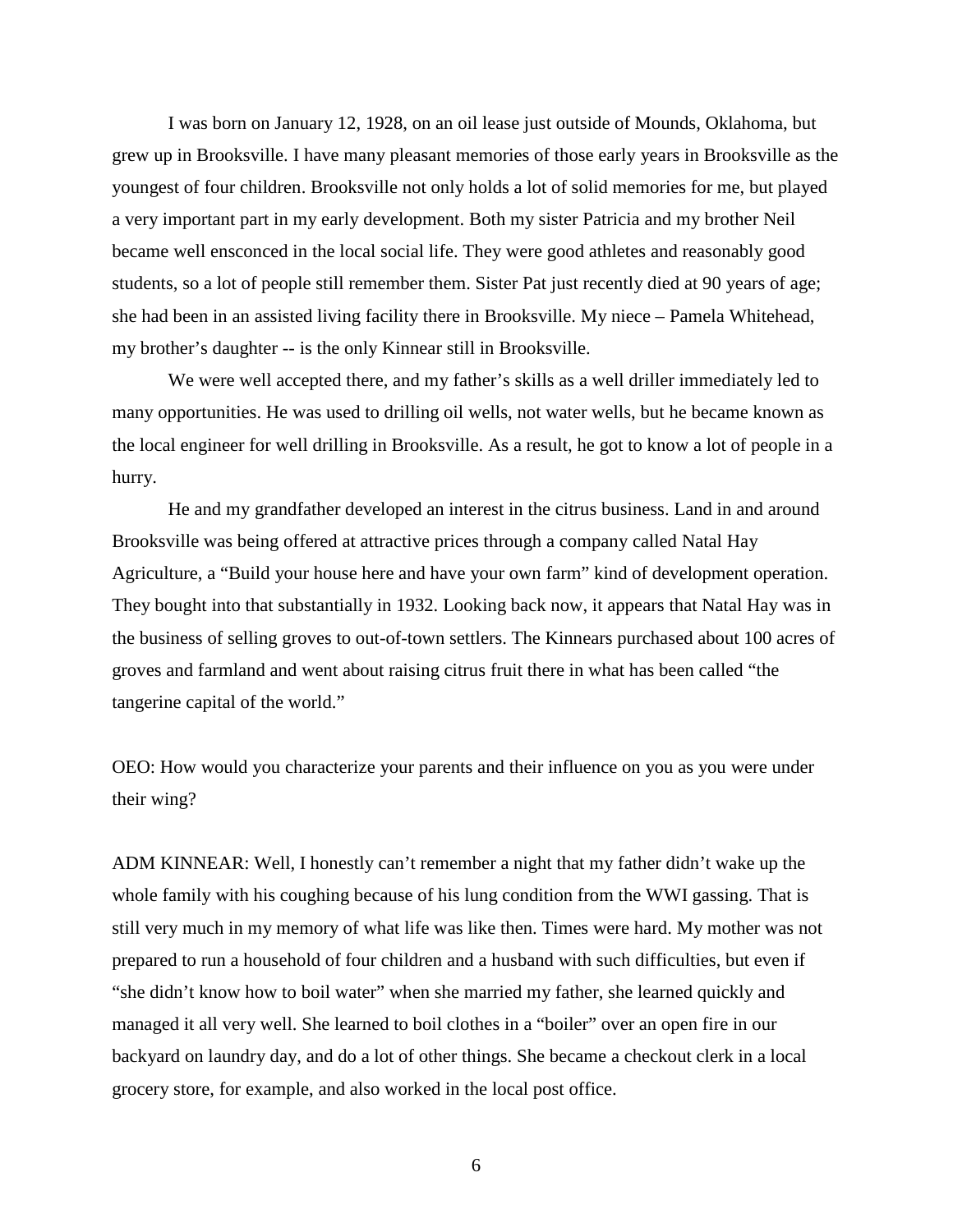I was born on January 12, 1928, on an oil lease just outside of Mounds, Oklahoma, but grew up in Brooksville. I have many pleasant memories of those early years in Brooksville as the youngest of four children. Brooksville not only holds a lot of solid memories for me, but played a very important part in my early development. Both my sister Patricia and my brother Neil became well ensconced in the local social life. They were good athletes and reasonably good students, so a lot of people still remember them. Sister Pat just recently died at 90 years of age; she had been in an assisted living facility there in Brooksville. My niece – Pamela Whitehead, my brother's daughter -- is the only Kinnear still in Brooksville.

We were well accepted there, and my father's skills as a well driller immediately led to many opportunities. He was used to drilling oil wells, not water wells, but he became known as the local engineer for well drilling in Brooksville. As a result, he got to know a lot of people in a hurry.

He and my grandfather developed an interest in the citrus business. Land in and around Brooksville was being offered at attractive prices through a company called Natal Hay Agriculture, a "Build your house here and have your own farm" kind of development operation. They bought into that substantially in 1932. Looking back now, it appears that Natal Hay was in the business of selling groves to out-of-town settlers. The Kinnears purchased about 100 acres of groves and farmland and went about raising citrus fruit there in what has been called "the tangerine capital of the world."

OEO: How would you characterize your parents and their influence on you as you were under their wing?

ADM KINNEAR: Well, I honestly can't remember a night that my father didn't wake up the whole family with his coughing because of his lung condition from the WWI gassing. That is still very much in my memory of what life was like then. Times were hard. My mother was not prepared to run a household of four children and a husband with such difficulties, but even if "she didn't know how to boil water" when she married my father, she learned quickly and managed it all very well. She learned to boil clothes in a "boiler" over an open fire in our backyard on laundry day, and do a lot of other things. She became a checkout clerk in a local grocery store, for example, and also worked in the local post office.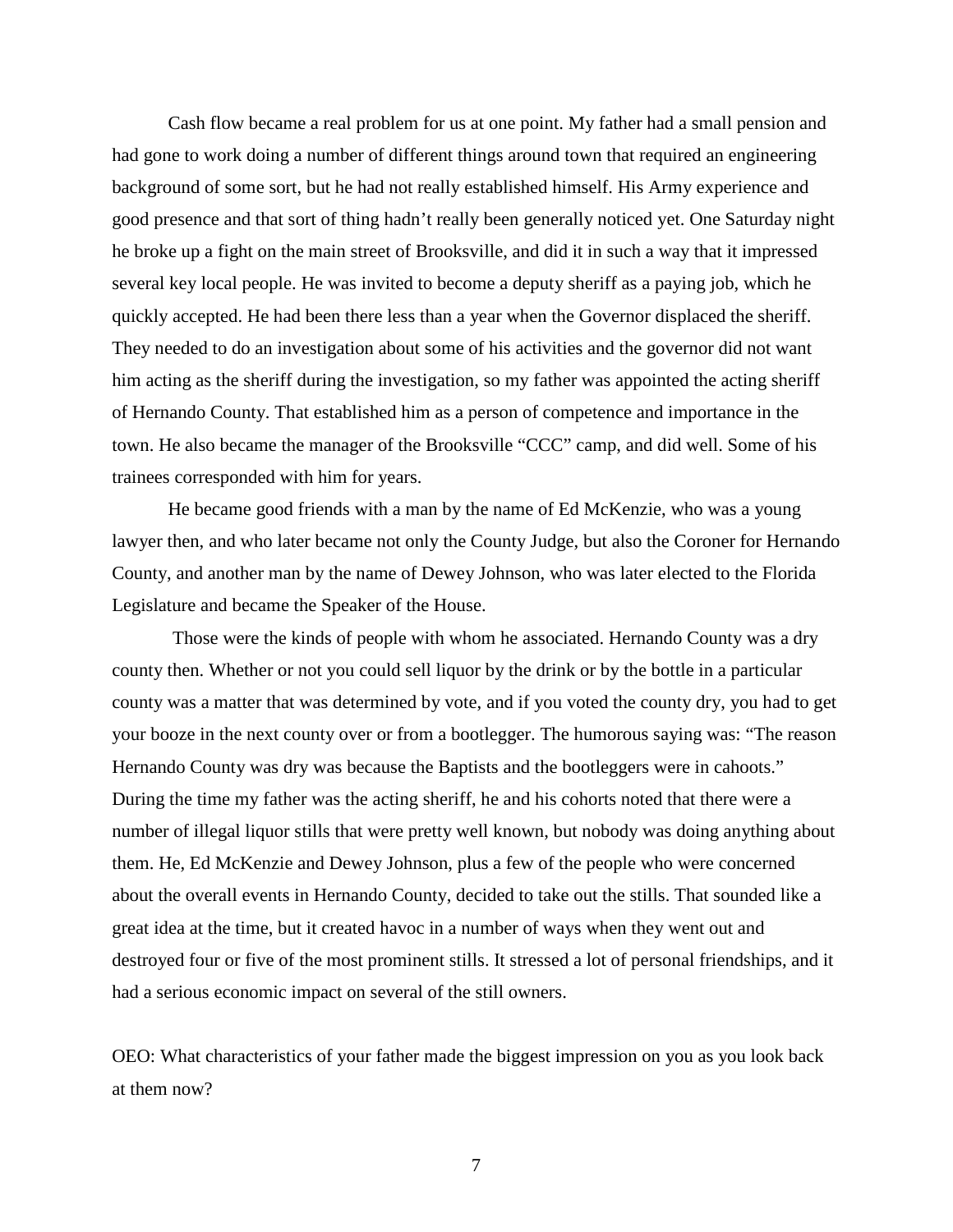Cash flow became a real problem for us at one point. My father had a small pension and had gone to work doing a number of different things around town that required an engineering background of some sort, but he had not really established himself. His Army experience and good presence and that sort of thing hadn't really been generally noticed yet. One Saturday night he broke up a fight on the main street of Brooksville, and did it in such a way that it impressed several key local people. He was invited to become a deputy sheriff as a paying job, which he quickly accepted. He had been there less than a year when the Governor displaced the sheriff. They needed to do an investigation about some of his activities and the governor did not want him acting as the sheriff during the investigation, so my father was appointed the acting sheriff of Hernando County. That established him as a person of competence and importance in the town. He also became the manager of the Brooksville "CCC" camp, and did well. Some of his trainees corresponded with him for years.

He became good friends with a man by the name of Ed McKenzie, who was a young lawyer then, and who later became not only the County Judge, but also the Coroner for Hernando County, and another man by the name of Dewey Johnson, who was later elected to the Florida Legislature and became the Speaker of the House.

Those were the kinds of people with whom he associated. Hernando County was a dry county then. Whether or not you could sell liquor by the drink or by the bottle in a particular county was a matter that was determined by vote, and if you voted the county dry, you had to get your booze in the next county over or from a bootlegger. The humorous saying was: "The reason Hernando County was dry was because the Baptists and the bootleggers were in cahoots." During the time my father was the acting sheriff, he and his cohorts noted that there were a number of illegal liquor stills that were pretty well known, but nobody was doing anything about them. He, Ed McKenzie and Dewey Johnson, plus a few of the people who were concerned about the overall events in Hernando County, decided to take out the stills. That sounded like a great idea at the time, but it created havoc in a number of ways when they went out and destroyed four or five of the most prominent stills. It stressed a lot of personal friendships, and it had a serious economic impact on several of the still owners.

OEO: What characteristics of your father made the biggest impression on you as you look back at them now?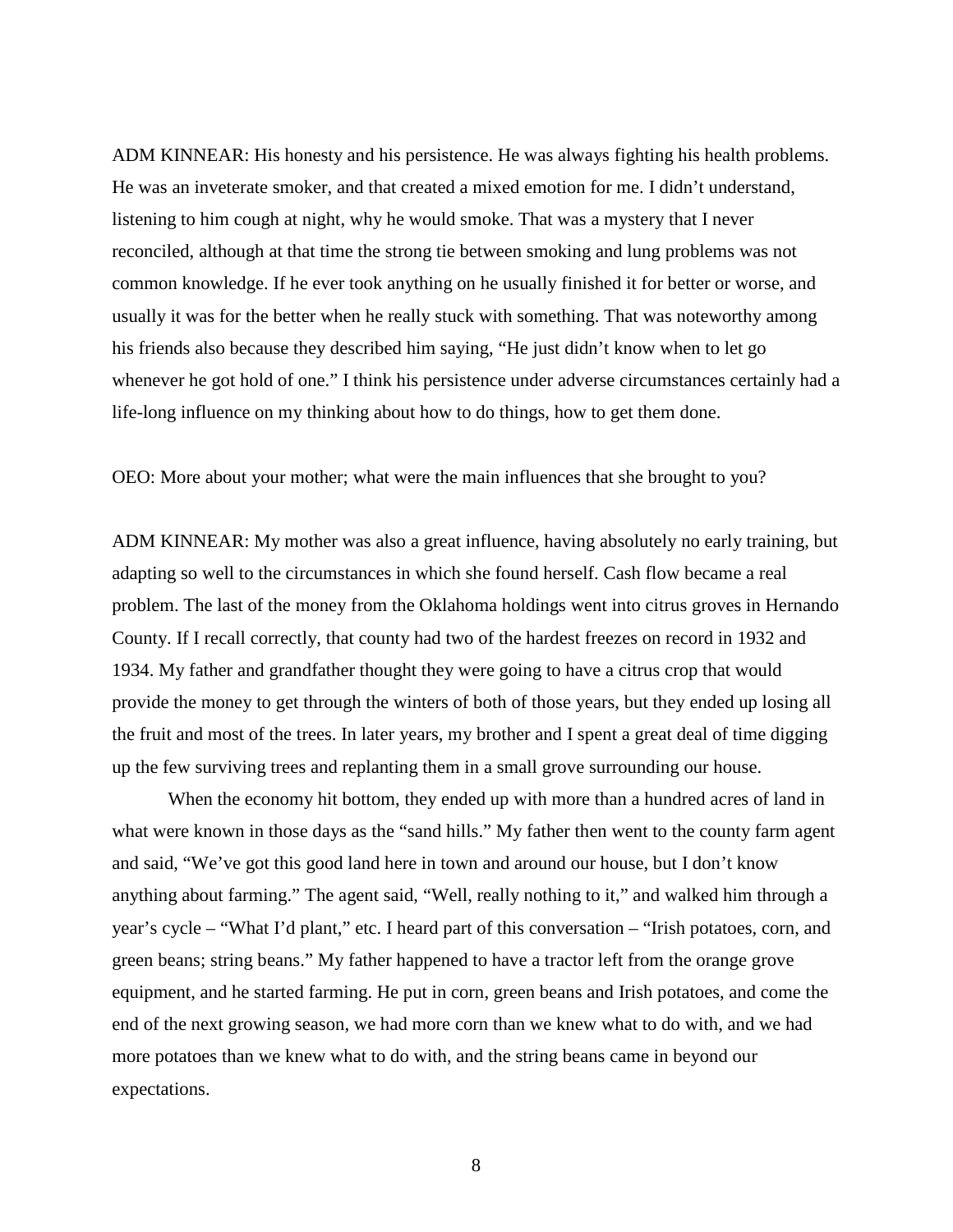ADM KINNEAR: His honesty and his persistence. He was always fighting his health problems. He was an inveterate smoker, and that created a mixed emotion for me. I didn't understand, listening to him cough at night, why he would smoke. That was a mystery that I never reconciled, although at that time the strong tie between smoking and lung problems was not common knowledge. If he ever took anything on he usually finished it for better or worse, and usually it was for the better when he really stuck with something. That was noteworthy among his friends also because they described him saying, "He just didn't know when to let go whenever he got hold of one." I think his persistence under adverse circumstances certainly had a life-long influence on my thinking about how to do things, how to get them done.

OEO: More about your mother; what were the main influences that she brought to you?

ADM KINNEAR: My mother was also a great influence, having absolutely no early training, but adapting so well to the circumstances in which she found herself. Cash flow became a real problem. The last of the money from the Oklahoma holdings went into citrus groves in Hernando County. If I recall correctly, that county had two of the hardest freezes on record in 1932 and 1934. My father and grandfather thought they were going to have a citrus crop that would provide the money to get through the winters of both of those years, but they ended up losing all the fruit and most of the trees. In later years, my brother and I spent a great deal of time digging up the few surviving trees and replanting them in a small grove surrounding our house.

When the economy hit bottom, they ended up with more than a hundred acres of land in what were known in those days as the "sand hills." My father then went to the county farm agent and said, "We've got this good land here in town and around our house, but I don't know anything about farming." The agent said, "Well, really nothing to it," and walked him through a year's cycle – "What I'd plant," etc. I heard part of this conversation – "Irish potatoes, corn, and green beans; string beans." My father happened to have a tractor left from the orange grove equipment, and he started farming. He put in corn, green beans and Irish potatoes, and come the end of the next growing season, we had more corn than we knew what to do with, and we had more potatoes than we knew what to do with, and the string beans came in beyond our expectations.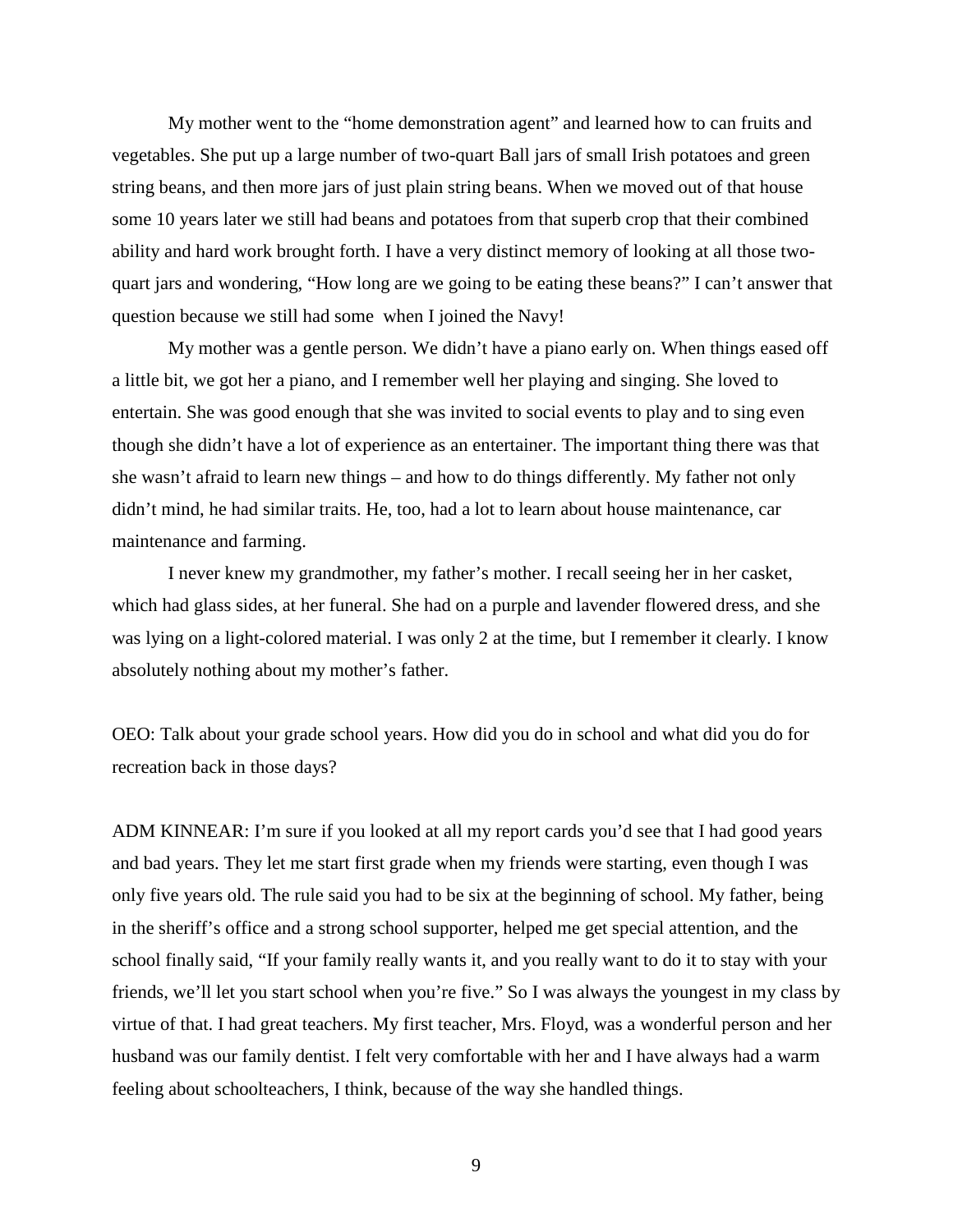My mother went to the "home demonstration agent" and learned how to can fruits and vegetables. She put up a large number of two-quart Ball jars of small Irish potatoes and green string beans, and then more jars of just plain string beans. When we moved out of that house some 10 years later we still had beans and potatoes from that superb crop that their combined ability and hard work brought forth. I have a very distinct memory of looking at all those twoquart jars and wondering, "How long are we going to be eating these beans?" I can't answer that question because we still had some when I joined the Navy!

My mother was a gentle person. We didn't have a piano early on. When things eased off a little bit, we got her a piano, and I remember well her playing and singing. She loved to entertain. She was good enough that she was invited to social events to play and to sing even though she didn't have a lot of experience as an entertainer. The important thing there was that she wasn't afraid to learn new things – and how to do things differently. My father not only didn't mind, he had similar traits. He, too, had a lot to learn about house maintenance, car maintenance and farming.

I never knew my grandmother, my father's mother. I recall seeing her in her casket, which had glass sides, at her funeral. She had on a purple and lavender flowered dress, and she was lying on a light-colored material. I was only 2 at the time, but I remember it clearly. I know absolutely nothing about my mother's father.

OEO: Talk about your grade school years. How did you do in school and what did you do for recreation back in those days?

ADM KINNEAR: I'm sure if you looked at all my report cards you'd see that I had good years and bad years. They let me start first grade when my friends were starting, even though I was only five years old. The rule said you had to be six at the beginning of school. My father, being in the sheriff's office and a strong school supporter, helped me get special attention, and the school finally said, "If your family really wants it, and you really want to do it to stay with your friends, we'll let you start school when you're five." So I was always the youngest in my class by virtue of that. I had great teachers. My first teacher, Mrs. Floyd, was a wonderful person and her husband was our family dentist. I felt very comfortable with her and I have always had a warm feeling about schoolteachers, I think, because of the way she handled things.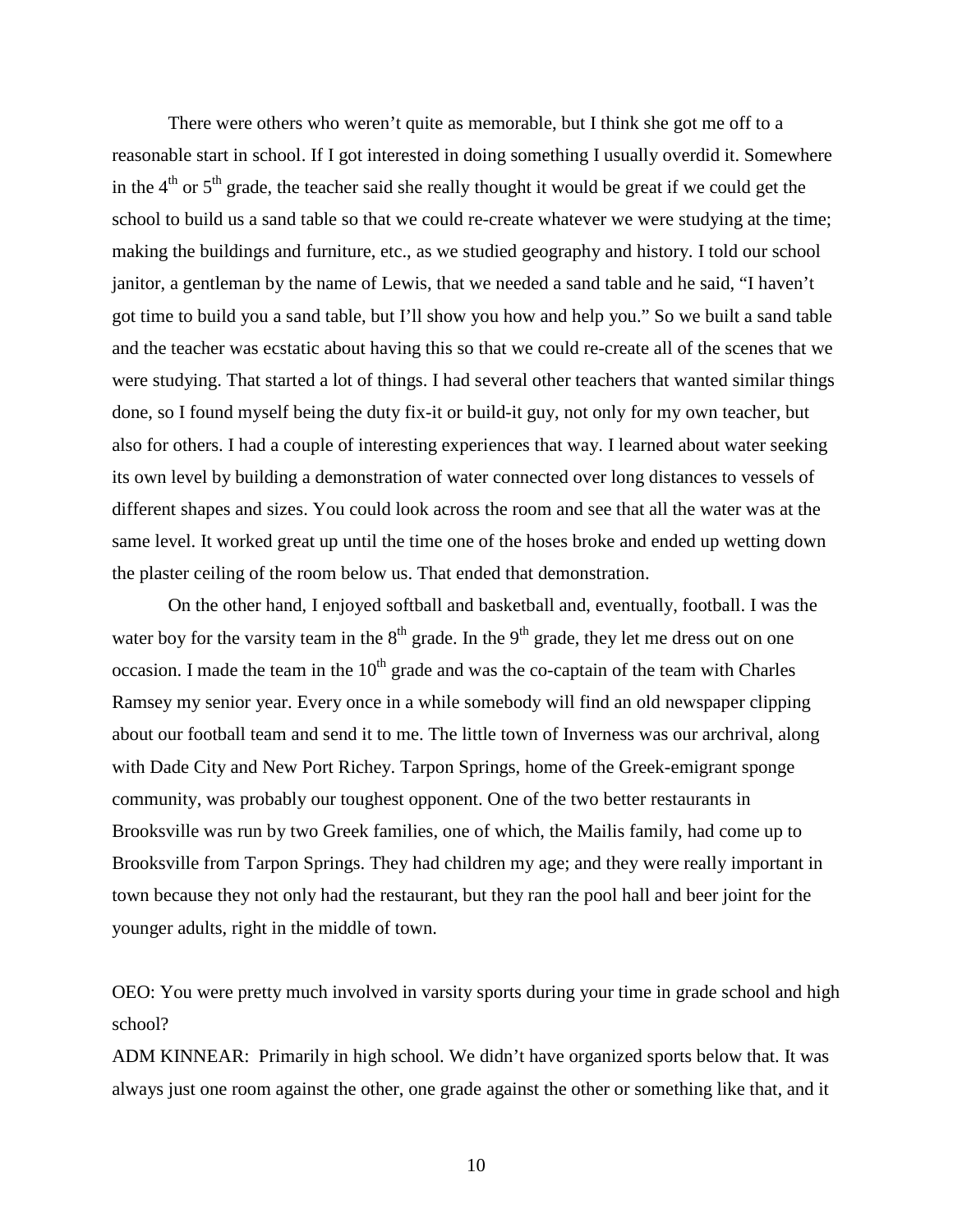There were others who weren't quite as memorable, but I think she got me off to a reasonable start in school. If I got interested in doing something I usually overdid it. Somewhere in the  $4<sup>th</sup>$  or  $5<sup>th</sup>$  grade, the teacher said she really thought it would be great if we could get the school to build us a sand table so that we could re-create whatever we were studying at the time; making the buildings and furniture, etc., as we studied geography and history. I told our school janitor, a gentleman by the name of Lewis, that we needed a sand table and he said, "I haven't got time to build you a sand table, but I'll show you how and help you." So we built a sand table and the teacher was ecstatic about having this so that we could re-create all of the scenes that we were studying. That started a lot of things. I had several other teachers that wanted similar things done, so I found myself being the duty fix-it or build-it guy, not only for my own teacher, but also for others. I had a couple of interesting experiences that way. I learned about water seeking its own level by building a demonstration of water connected over long distances to vessels of different shapes and sizes. You could look across the room and see that all the water was at the same level. It worked great up until the time one of the hoses broke and ended up wetting down the plaster ceiling of the room below us. That ended that demonstration.

On the other hand, I enjoyed softball and basketball and, eventually, football. I was the water boy for the varsity team in the  $8<sup>th</sup>$  grade. In the  $9<sup>th</sup>$  grade, they let me dress out on one occasion. I made the team in the  $10<sup>th</sup>$  grade and was the co-captain of the team with Charles Ramsey my senior year. Every once in a while somebody will find an old newspaper clipping about our football team and send it to me. The little town of Inverness was our archrival, along with Dade City and New Port Richey. Tarpon Springs, home of the Greek-emigrant sponge community, was probably our toughest opponent. One of the two better restaurants in Brooksville was run by two Greek families, one of which, the Mailis family, had come up to Brooksville from Tarpon Springs. They had children my age; and they were really important in town because they not only had the restaurant, but they ran the pool hall and beer joint for the younger adults, right in the middle of town.

OEO: You were pretty much involved in varsity sports during your time in grade school and high school?

ADM KINNEAR: Primarily in high school. We didn't have organized sports below that. It was always just one room against the other, one grade against the other or something like that, and it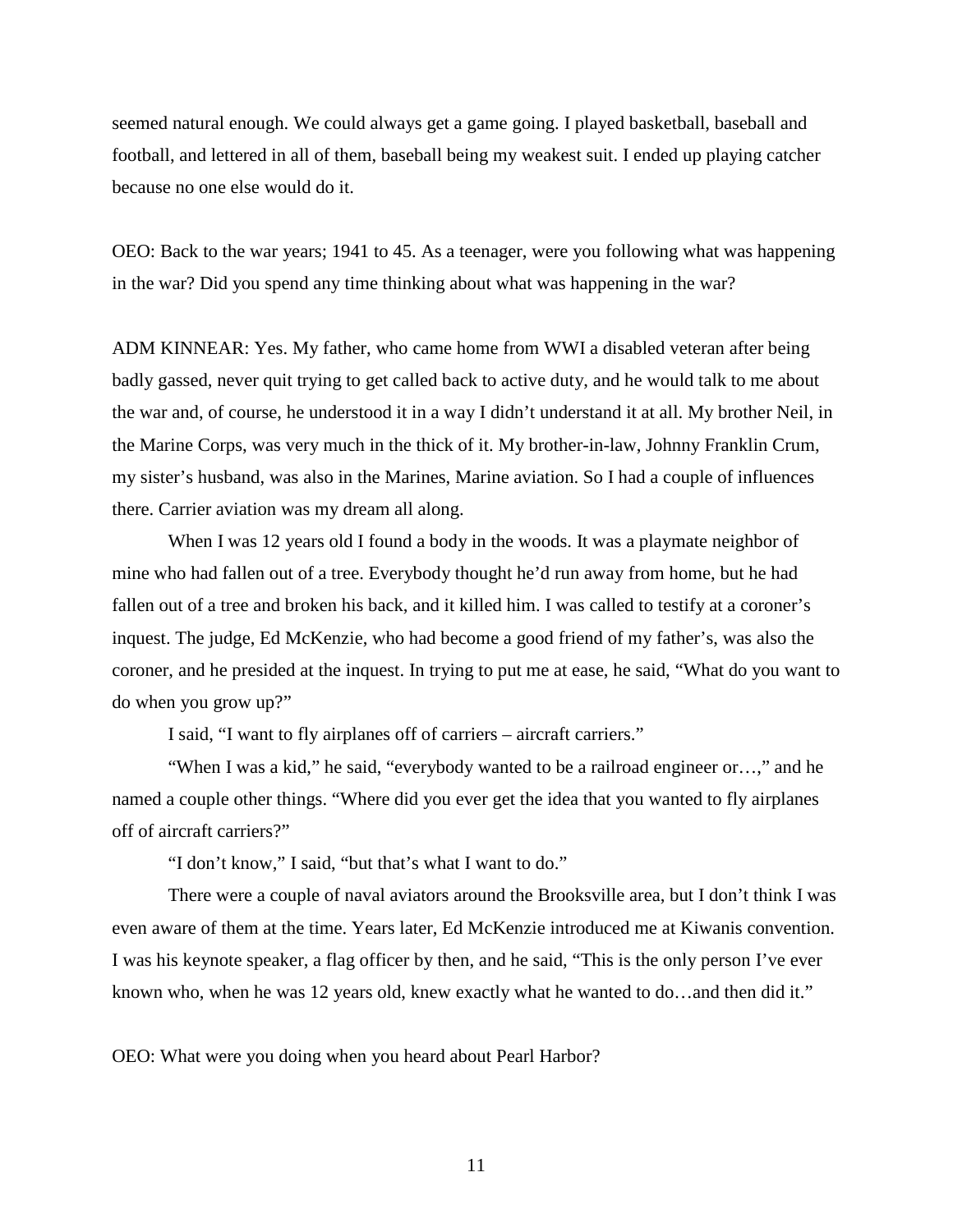seemed natural enough. We could always get a game going. I played basketball, baseball and football, and lettered in all of them, baseball being my weakest suit. I ended up playing catcher because no one else would do it.

OEO: Back to the war years; 1941 to 45. As a teenager, were you following what was happening in the war? Did you spend any time thinking about what was happening in the war?

ADM KINNEAR: Yes. My father, who came home from WWI a disabled veteran after being badly gassed, never quit trying to get called back to active duty, and he would talk to me about the war and, of course, he understood it in a way I didn't understand it at all. My brother Neil, in the Marine Corps, was very much in the thick of it. My brother-in-law, Johnny Franklin Crum, my sister's husband, was also in the Marines, Marine aviation. So I had a couple of influences there. Carrier aviation was my dream all along.

When I was 12 years old I found a body in the woods. It was a playmate neighbor of mine who had fallen out of a tree. Everybody thought he'd run away from home, but he had fallen out of a tree and broken his back, and it killed him. I was called to testify at a coroner's inquest. The judge, Ed McKenzie, who had become a good friend of my father's, was also the coroner, and he presided at the inquest. In trying to put me at ease, he said, "What do you want to do when you grow up?"

I said, "I want to fly airplanes off of carriers – aircraft carriers."

"When I was a kid," he said, "everybody wanted to be a railroad engineer or…," and he named a couple other things. "Where did you ever get the idea that you wanted to fly airplanes off of aircraft carriers?"

"I don't know," I said, "but that's what I want to do."

There were a couple of naval aviators around the Brooksville area, but I don't think I was even aware of them at the time. Years later, Ed McKenzie introduced me at Kiwanis convention. I was his keynote speaker, a flag officer by then, and he said, "This is the only person I've ever known who, when he was 12 years old, knew exactly what he wanted to do…and then did it."

OEO: What were you doing when you heard about Pearl Harbor?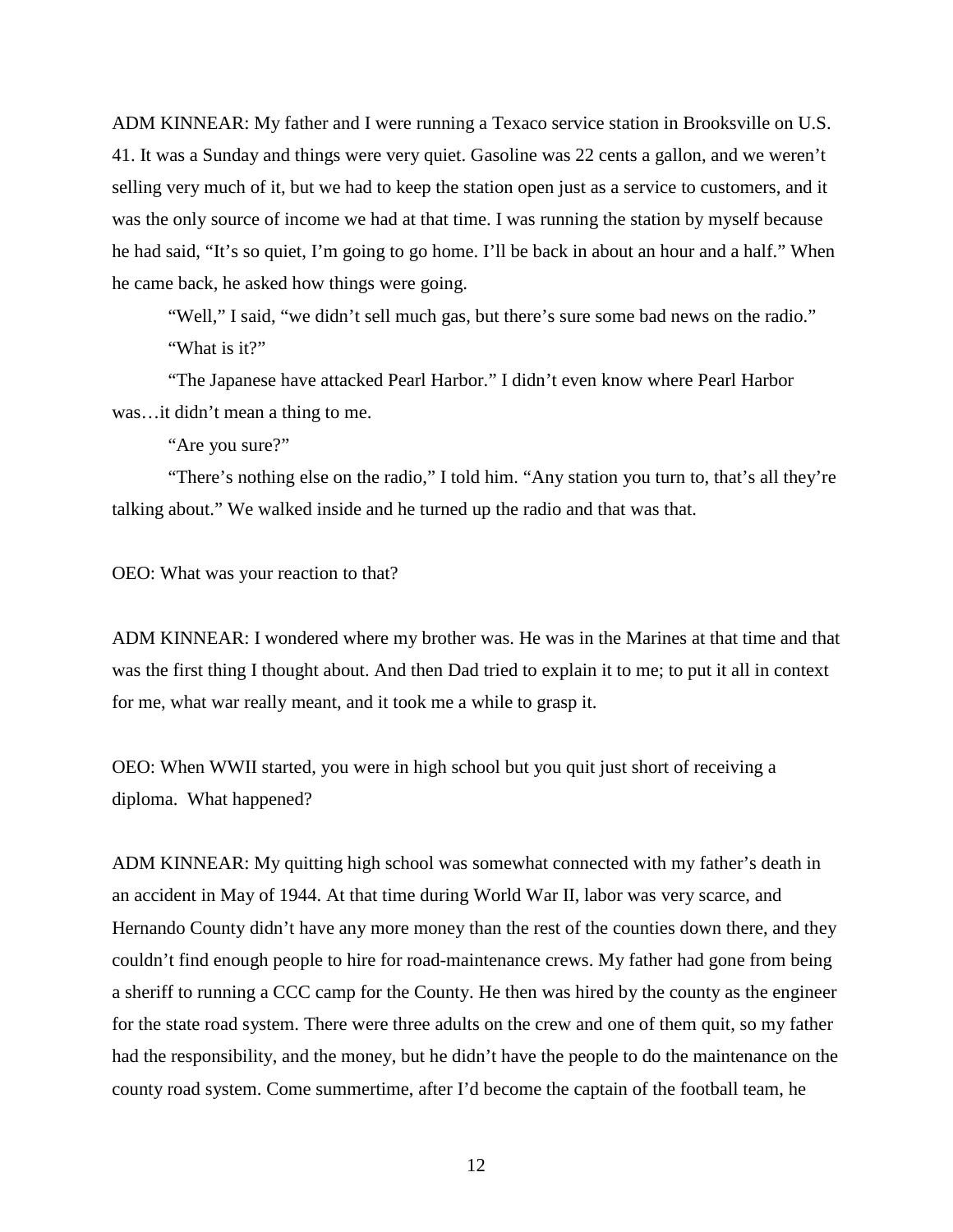ADM KINNEAR: My father and I were running a Texaco service station in Brooksville on U.S. 41. It was a Sunday and things were very quiet. Gasoline was 22 cents a gallon, and we weren't selling very much of it, but we had to keep the station open just as a service to customers, and it was the only source of income we had at that time. I was running the station by myself because he had said, "It's so quiet, I'm going to go home. I'll be back in about an hour and a half." When he came back, he asked how things were going.

"Well," I said, "we didn't sell much gas, but there's sure some bad news on the radio." "What is it?"

"The Japanese have attacked Pearl Harbor." I didn't even know where Pearl Harbor was…it didn't mean a thing to me.

"Are you sure?"

"There's nothing else on the radio," I told him. "Any station you turn to, that's all they're talking about." We walked inside and he turned up the radio and that was that.

OEO: What was your reaction to that?

ADM KINNEAR: I wondered where my brother was. He was in the Marines at that time and that was the first thing I thought about. And then Dad tried to explain it to me; to put it all in context for me, what war really meant, and it took me a while to grasp it.

OEO: When WWII started, you were in high school but you quit just short of receiving a diploma. What happened?

ADM KINNEAR: My quitting high school was somewhat connected with my father's death in an accident in May of 1944. At that time during World War II, labor was very scarce, and Hernando County didn't have any more money than the rest of the counties down there, and they couldn't find enough people to hire for road-maintenance crews. My father had gone from being a sheriff to running a CCC camp for the County. He then was hired by the county as the engineer for the state road system. There were three adults on the crew and one of them quit, so my father had the responsibility, and the money, but he didn't have the people to do the maintenance on the county road system. Come summertime, after I'd become the captain of the football team, he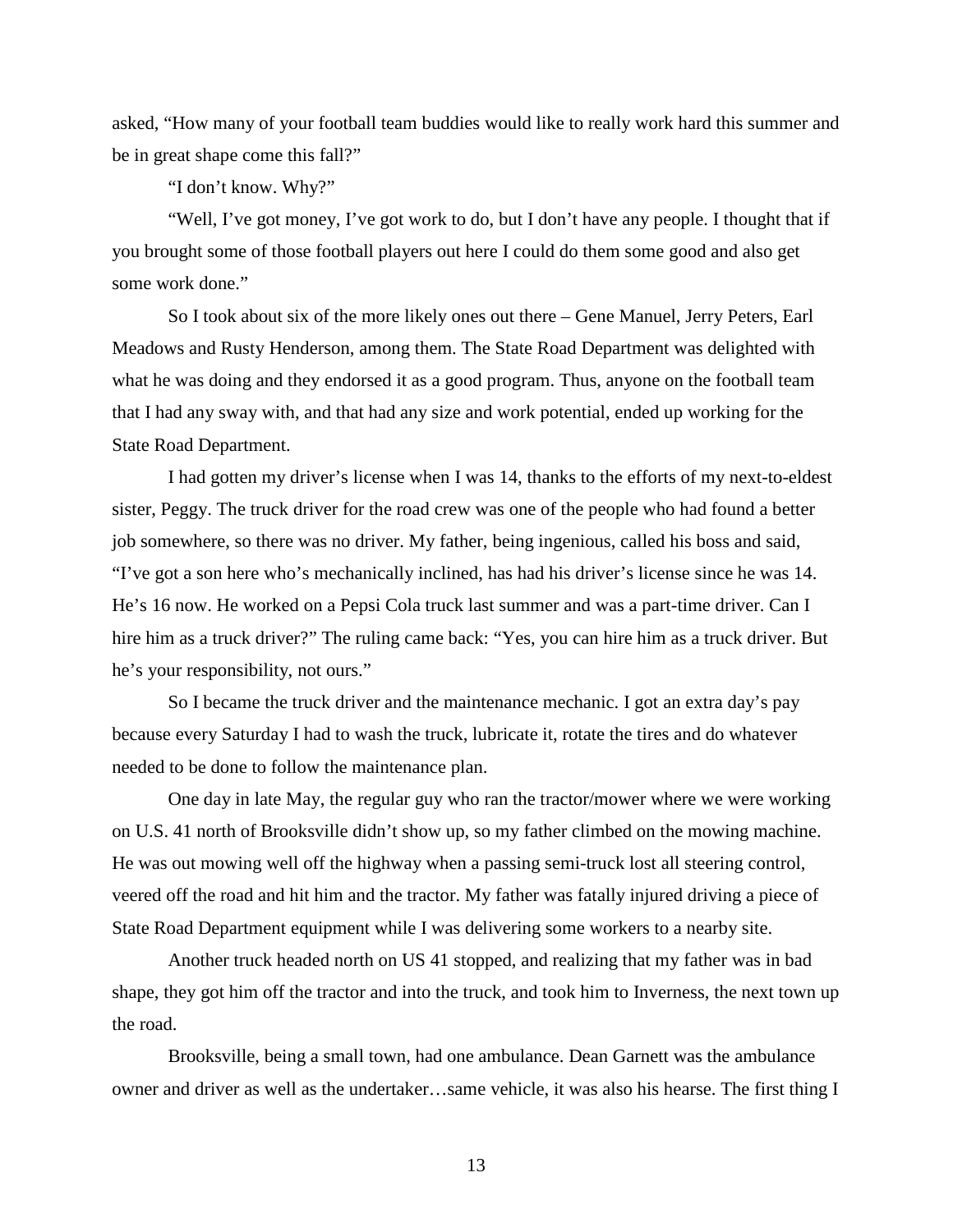asked, "How many of your football team buddies would like to really work hard this summer and be in great shape come this fall?"

"I don't know. Why?"

"Well, I've got money, I've got work to do, but I don't have any people. I thought that if you brought some of those football players out here I could do them some good and also get some work done."

So I took about six of the more likely ones out there – Gene Manuel, Jerry Peters, Earl Meadows and Rusty Henderson, among them. The State Road Department was delighted with what he was doing and they endorsed it as a good program. Thus, anyone on the football team that I had any sway with, and that had any size and work potential, ended up working for the State Road Department.

I had gotten my driver's license when I was 14, thanks to the efforts of my next-to-eldest sister, Peggy. The truck driver for the road crew was one of the people who had found a better job somewhere, so there was no driver. My father, being ingenious, called his boss and said, "I've got a son here who's mechanically inclined, has had his driver's license since he was 14. He's 16 now. He worked on a Pepsi Cola truck last summer and was a part-time driver. Can I hire him as a truck driver?" The ruling came back: "Yes, you can hire him as a truck driver. But he's your responsibility, not ours."

So I became the truck driver and the maintenance mechanic. I got an extra day's pay because every Saturday I had to wash the truck, lubricate it, rotate the tires and do whatever needed to be done to follow the maintenance plan.

One day in late May, the regular guy who ran the tractor/mower where we were working on U.S. 41 north of Brooksville didn't show up, so my father climbed on the mowing machine. He was out mowing well off the highway when a passing semi-truck lost all steering control, veered off the road and hit him and the tractor. My father was fatally injured driving a piece of State Road Department equipment while I was delivering some workers to a nearby site.

Another truck headed north on US 41 stopped, and realizing that my father was in bad shape, they got him off the tractor and into the truck, and took him to Inverness, the next town up the road.

Brooksville, being a small town, had one ambulance. Dean Garnett was the ambulance owner and driver as well as the undertaker…same vehicle, it was also his hearse. The first thing I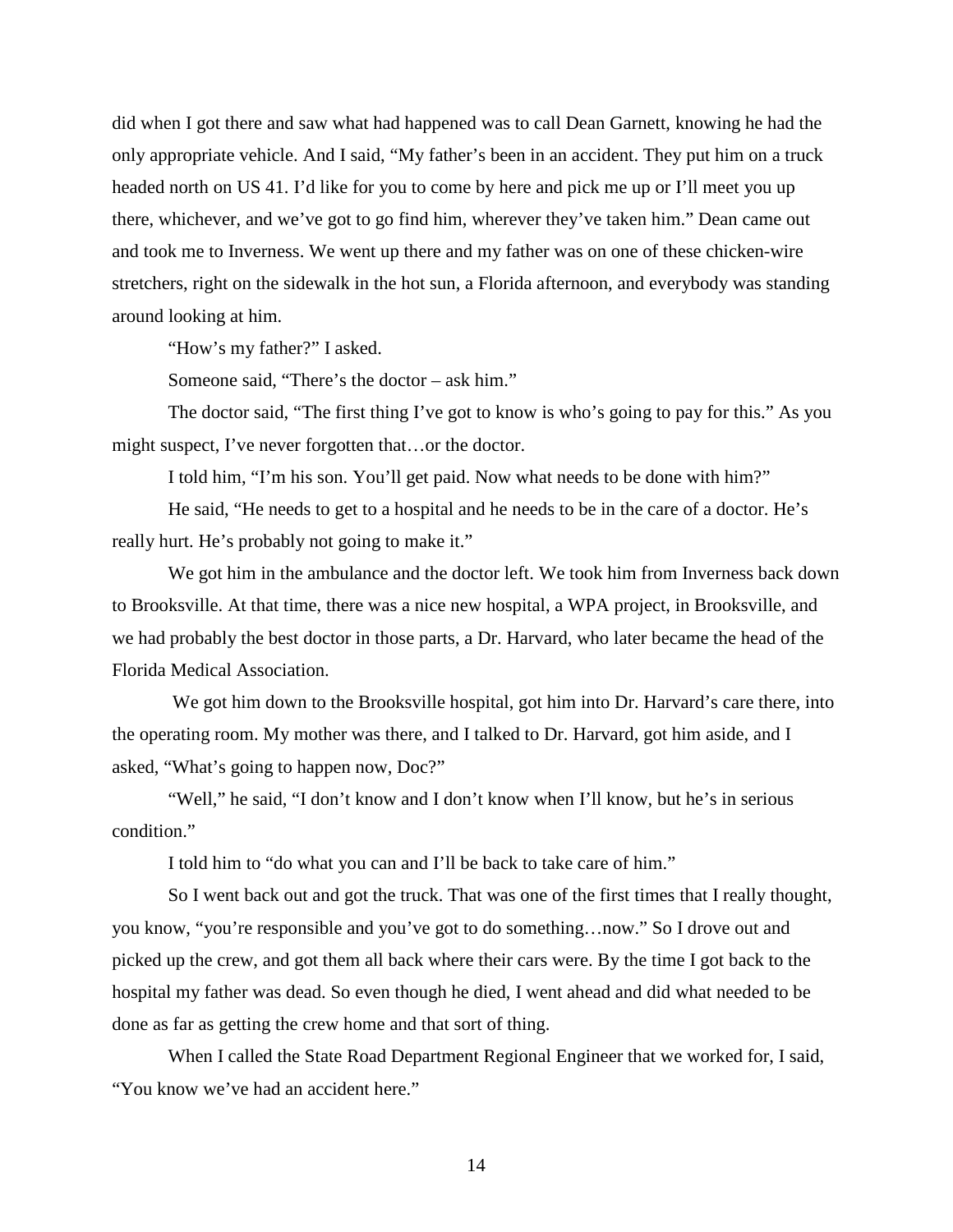did when I got there and saw what had happened was to call Dean Garnett, knowing he had the only appropriate vehicle. And I said, "My father's been in an accident. They put him on a truck headed north on US 41. I'd like for you to come by here and pick me up or I'll meet you up there, whichever, and we've got to go find him, wherever they've taken him." Dean came out and took me to Inverness. We went up there and my father was on one of these chicken-wire stretchers, right on the sidewalk in the hot sun, a Florida afternoon, and everybody was standing around looking at him.

"How's my father?" I asked.

Someone said, "There's the doctor – ask him."

The doctor said, "The first thing I've got to know is who's going to pay for this." As you might suspect, I've never forgotten that…or the doctor.

I told him, "I'm his son. You'll get paid. Now what needs to be done with him?"

He said, "He needs to get to a hospital and he needs to be in the care of a doctor. He's really hurt. He's probably not going to make it."

We got him in the ambulance and the doctor left. We took him from Inverness back down to Brooksville. At that time, there was a nice new hospital, a WPA project, in Brooksville, and we had probably the best doctor in those parts, a Dr. Harvard, who later became the head of the Florida Medical Association.

We got him down to the Brooksville hospital, got him into Dr. Harvard's care there, into the operating room. My mother was there, and I talked to Dr. Harvard, got him aside, and I asked, "What's going to happen now, Doc?"

"Well," he said, "I don't know and I don't know when I'll know, but he's in serious condition."

I told him to "do what you can and I'll be back to take care of him."

So I went back out and got the truck. That was one of the first times that I really thought, you know, "you're responsible and you've got to do something…now." So I drove out and picked up the crew, and got them all back where their cars were. By the time I got back to the hospital my father was dead. So even though he died, I went ahead and did what needed to be done as far as getting the crew home and that sort of thing.

When I called the State Road Department Regional Engineer that we worked for, I said, "You know we've had an accident here."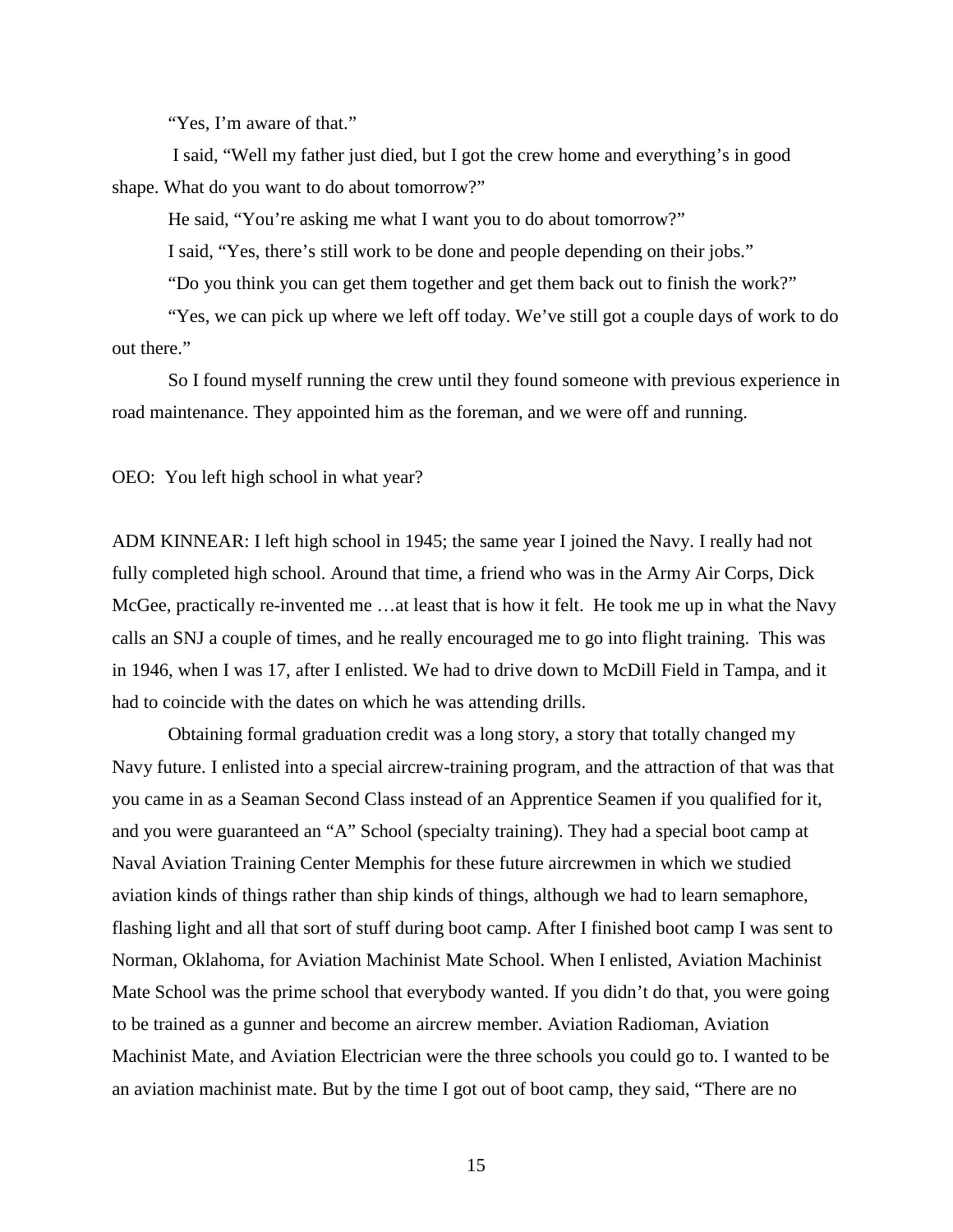"Yes, I'm aware of that."

I said, "Well my father just died, but I got the crew home and everything's in good shape. What do you want to do about tomorrow?"

He said, "You're asking me what I want you to do about tomorrow?"

I said, "Yes, there's still work to be done and people depending on their jobs."

"Do you think you can get them together and get them back out to finish the work?"

"Yes, we can pick up where we left off today. We've still got a couple days of work to do out there."

So I found myself running the crew until they found someone with previous experience in road maintenance. They appointed him as the foreman, and we were off and running.

OEO: You left high school in what year?

ADM KINNEAR: I left high school in 1945; the same year I joined the Navy. I really had not fully completed high school. Around that time, a friend who was in the Army Air Corps, Dick McGee, practically re-invented me …at least that is how it felt. He took me up in what the Navy calls an SNJ a couple of times, and he really encouraged me to go into flight training. This was in 1946, when I was 17, after I enlisted. We had to drive down to McDill Field in Tampa, and it had to coincide with the dates on which he was attending drills.

Obtaining formal graduation credit was a long story, a story that totally changed my Navy future. I enlisted into a special aircrew-training program, and the attraction of that was that you came in as a Seaman Second Class instead of an Apprentice Seamen if you qualified for it, and you were guaranteed an "A" School (specialty training). They had a special boot camp at Naval Aviation Training Center Memphis for these future aircrewmen in which we studied aviation kinds of things rather than ship kinds of things, although we had to learn semaphore, flashing light and all that sort of stuff during boot camp. After I finished boot camp I was sent to Norman, Oklahoma, for Aviation Machinist Mate School. When I enlisted, Aviation Machinist Mate School was the prime school that everybody wanted. If you didn't do that, you were going to be trained as a gunner and become an aircrew member. Aviation Radioman, Aviation Machinist Mate, and Aviation Electrician were the three schools you could go to. I wanted to be an aviation machinist mate. But by the time I got out of boot camp, they said, "There are no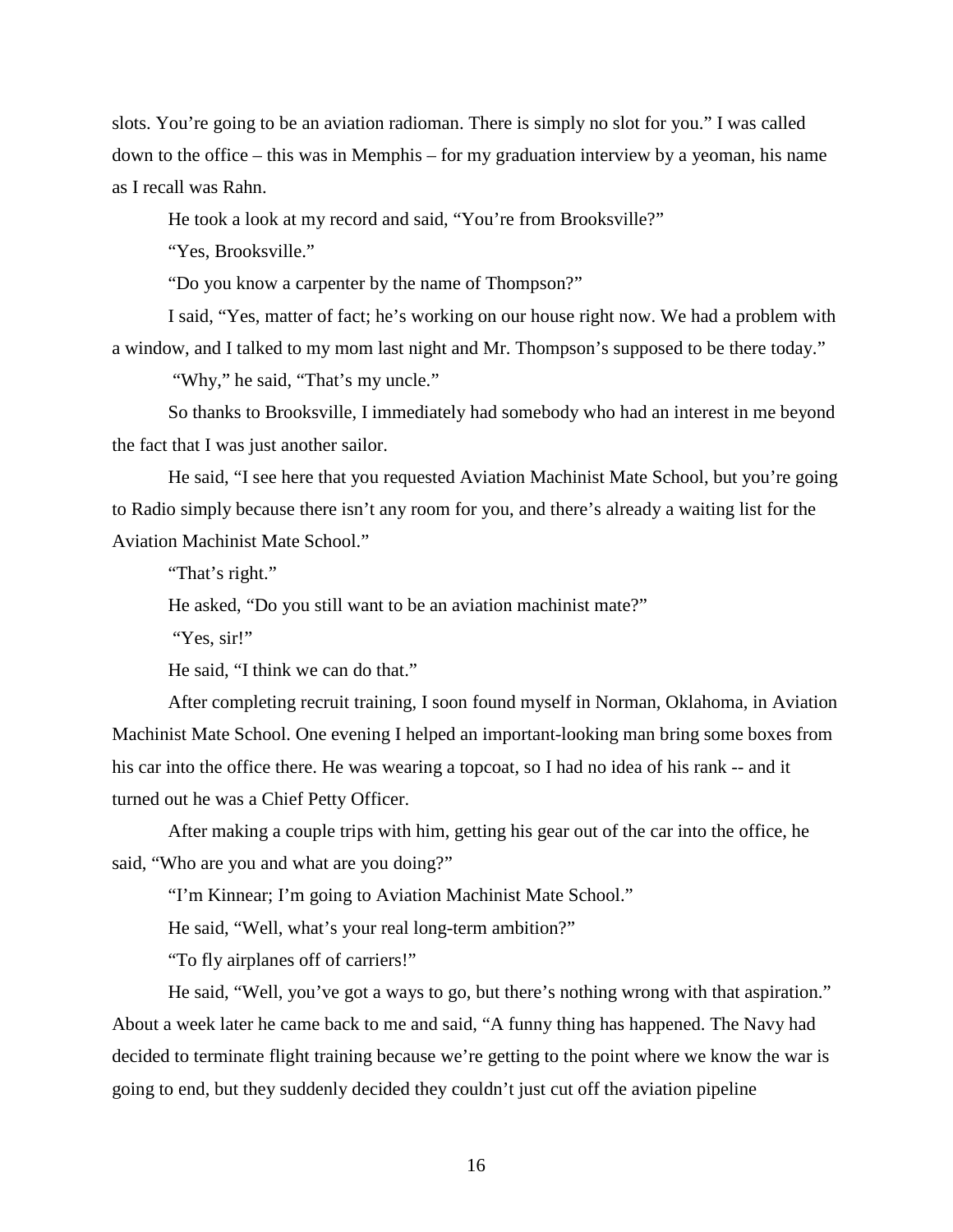slots. You're going to be an aviation radioman. There is simply no slot for you." I was called down to the office – this was in Memphis – for my graduation interview by a yeoman, his name as I recall was Rahn.

He took a look at my record and said, "You're from Brooksville?"

"Yes, Brooksville."

"Do you know a carpenter by the name of Thompson?"

I said, "Yes, matter of fact; he's working on our house right now. We had a problem with a window, and I talked to my mom last night and Mr. Thompson's supposed to be there today."

"Why," he said, "That's my uncle."

So thanks to Brooksville, I immediately had somebody who had an interest in me beyond the fact that I was just another sailor.

He said, "I see here that you requested Aviation Machinist Mate School, but you're going to Radio simply because there isn't any room for you, and there's already a waiting list for the Aviation Machinist Mate School."

"That's right."

He asked, "Do you still want to be an aviation machinist mate?"

"Yes, sir!"

He said, "I think we can do that."

After completing recruit training, I soon found myself in Norman, Oklahoma, in Aviation Machinist Mate School. One evening I helped an important-looking man bring some boxes from his car into the office there. He was wearing a topcoat, so I had no idea of his rank -- and it turned out he was a Chief Petty Officer.

After making a couple trips with him, getting his gear out of the car into the office, he said, "Who are you and what are you doing?"

"I'm Kinnear; I'm going to Aviation Machinist Mate School."

He said, "Well, what's your real long-term ambition?"

"To fly airplanes off of carriers!"

He said, "Well, you've got a ways to go, but there's nothing wrong with that aspiration." About a week later he came back to me and said, "A funny thing has happened. The Navy had decided to terminate flight training because we're getting to the point where we know the war is going to end, but they suddenly decided they couldn't just cut off the aviation pipeline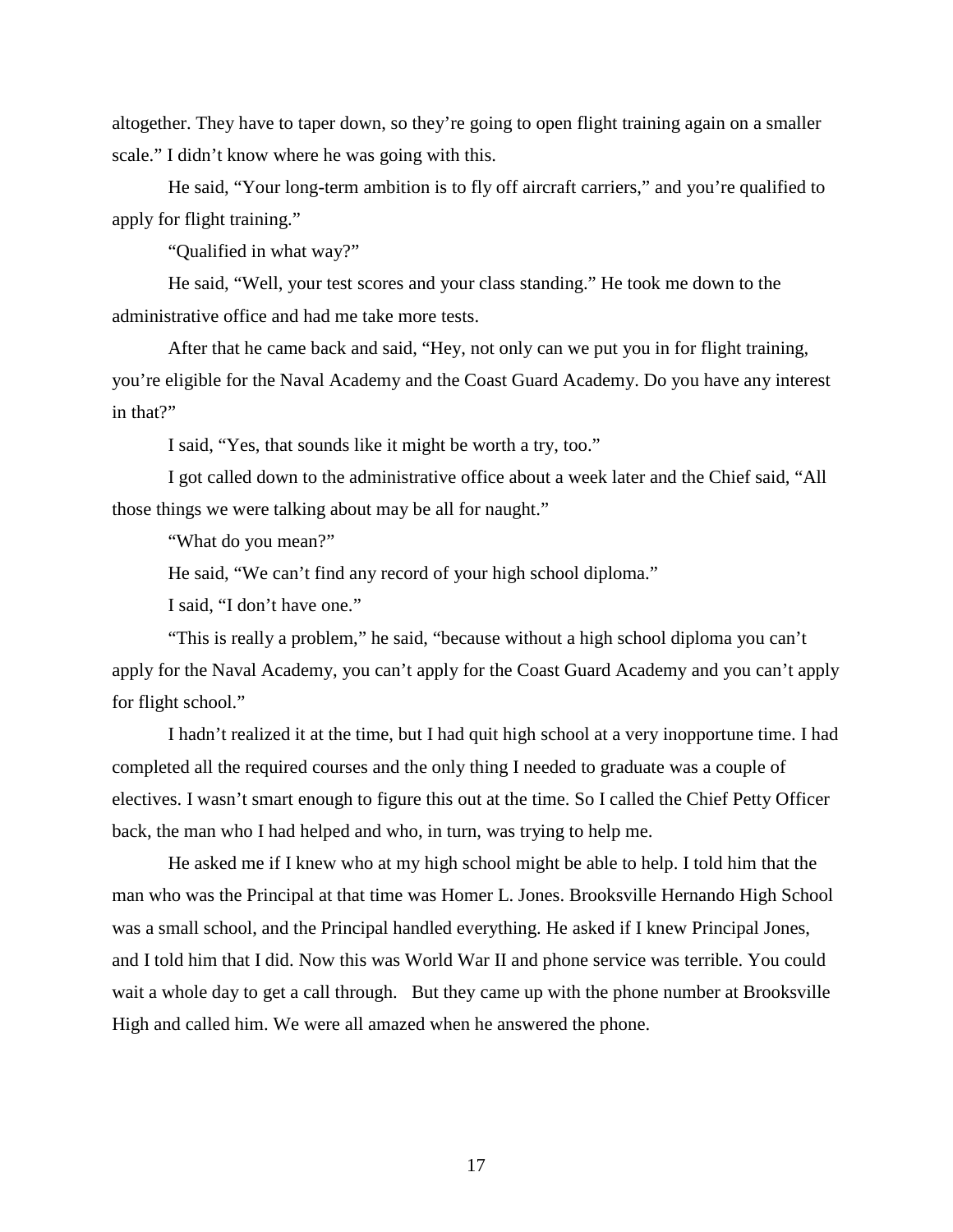altogether. They have to taper down, so they're going to open flight training again on a smaller scale." I didn't know where he was going with this.

He said, "Your long-term ambition is to fly off aircraft carriers," and you're qualified to apply for flight training."

"Qualified in what way?"

He said, "Well, your test scores and your class standing." He took me down to the administrative office and had me take more tests.

After that he came back and said, "Hey, not only can we put you in for flight training, you're eligible for the Naval Academy and the Coast Guard Academy. Do you have any interest in that?"

I said, "Yes, that sounds like it might be worth a try, too."

I got called down to the administrative office about a week later and the Chief said, "All those things we were talking about may be all for naught."

"What do you mean?"

He said, "We can't find any record of your high school diploma."

I said, "I don't have one."

"This is really a problem," he said, "because without a high school diploma you can't apply for the Naval Academy, you can't apply for the Coast Guard Academy and you can't apply for flight school."

I hadn't realized it at the time, but I had quit high school at a very inopportune time. I had completed all the required courses and the only thing I needed to graduate was a couple of electives. I wasn't smart enough to figure this out at the time. So I called the Chief Petty Officer back, the man who I had helped and who, in turn, was trying to help me.

He asked me if I knew who at my high school might be able to help. I told him that the man who was the Principal at that time was Homer L. Jones. Brooksville Hernando High School was a small school, and the Principal handled everything. He asked if I knew Principal Jones, and I told him that I did. Now this was World War II and phone service was terrible. You could wait a whole day to get a call through. But they came up with the phone number at Brooksville High and called him. We were all amazed when he answered the phone.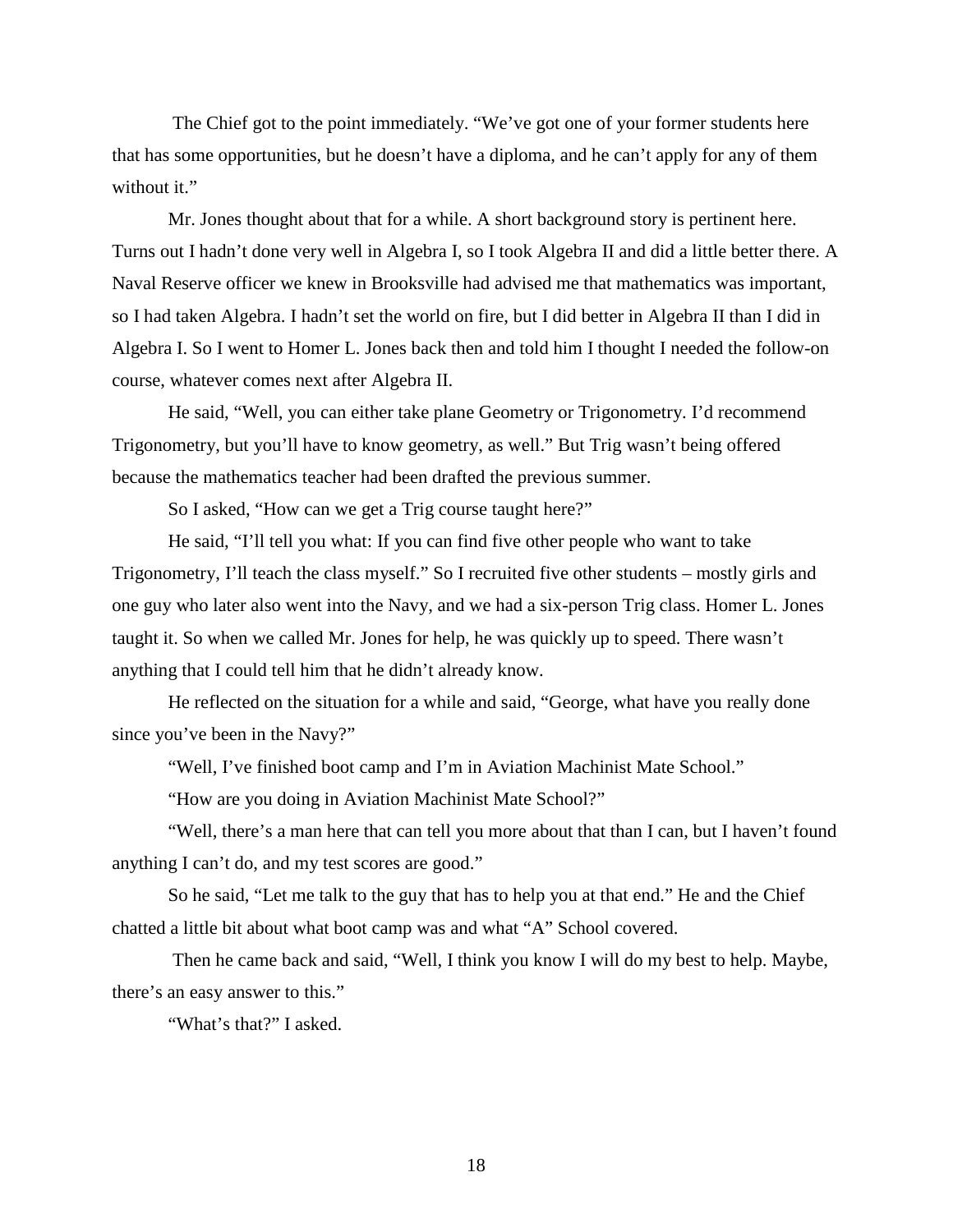The Chief got to the point immediately. "We've got one of your former students here that has some opportunities, but he doesn't have a diploma, and he can't apply for any of them without it."

Mr. Jones thought about that for a while. A short background story is pertinent here. Turns out I hadn't done very well in Algebra I, so I took Algebra II and did a little better there. A Naval Reserve officer we knew in Brooksville had advised me that mathematics was important, so I had taken Algebra. I hadn't set the world on fire, but I did better in Algebra II than I did in Algebra I. So I went to Homer L. Jones back then and told him I thought I needed the follow-on course, whatever comes next after Algebra II.

He said, "Well, you can either take plane Geometry or Trigonometry. I'd recommend Trigonometry, but you'll have to know geometry, as well." But Trig wasn't being offered because the mathematics teacher had been drafted the previous summer.

So I asked, "How can we get a Trig course taught here?"

He said, "I'll tell you what: If you can find five other people who want to take Trigonometry, I'll teach the class myself." So I recruited five other students – mostly girls and one guy who later also went into the Navy, and we had a six-person Trig class. Homer L. Jones taught it. So when we called Mr. Jones for help, he was quickly up to speed. There wasn't anything that I could tell him that he didn't already know.

He reflected on the situation for a while and said, "George, what have you really done since you've been in the Navy?"

"Well, I've finished boot camp and I'm in Aviation Machinist Mate School."

"How are you doing in Aviation Machinist Mate School?"

"Well, there's a man here that can tell you more about that than I can, but I haven't found anything I can't do, and my test scores are good."

So he said, "Let me talk to the guy that has to help you at that end." He and the Chief chatted a little bit about what boot camp was and what "A" School covered.

Then he came back and said, "Well, I think you know I will do my best to help. Maybe, there's an easy answer to this."

"What's that?" I asked.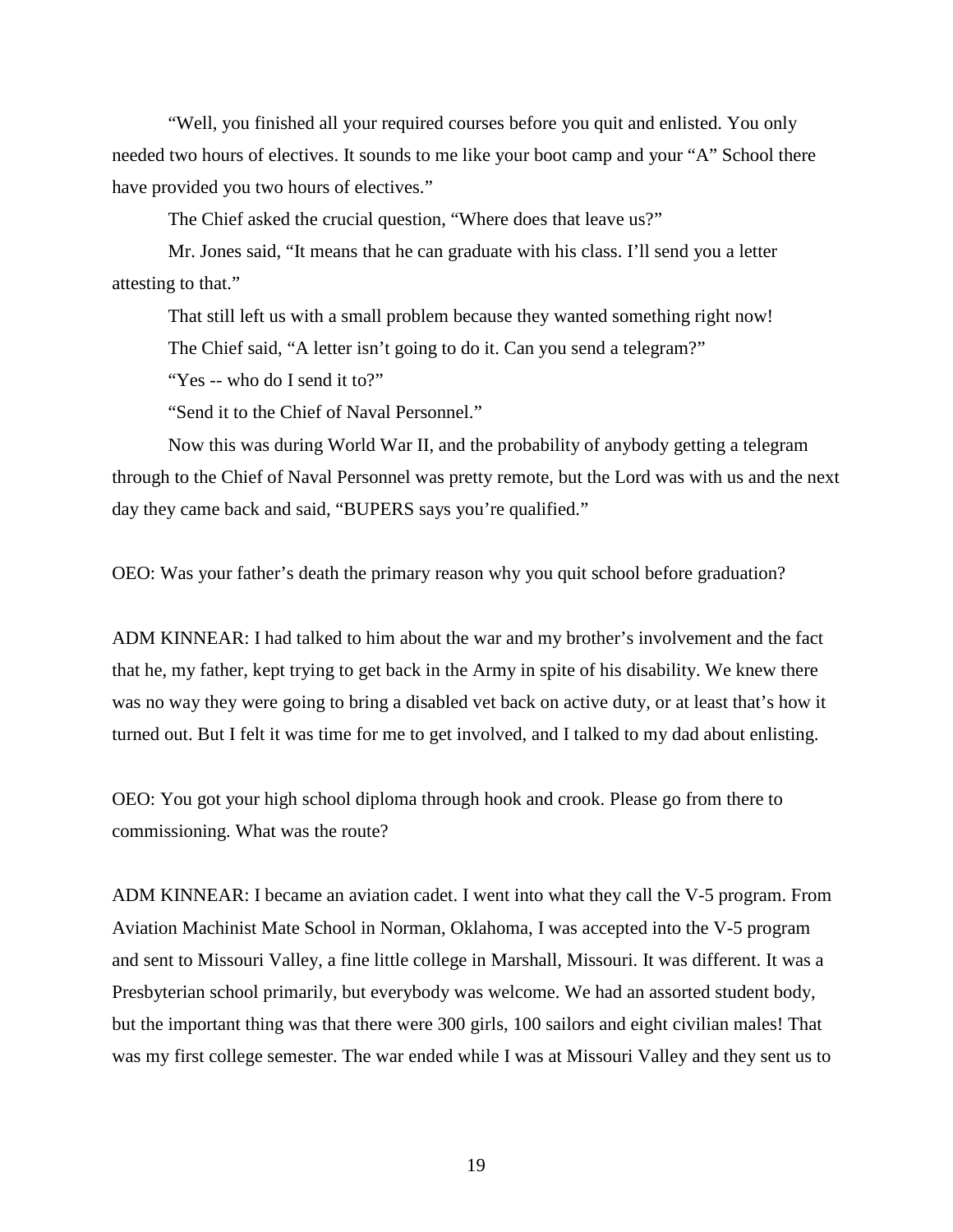"Well, you finished all your required courses before you quit and enlisted. You only needed two hours of electives. It sounds to me like your boot camp and your "A" School there have provided you two hours of electives."

The Chief asked the crucial question, "Where does that leave us?"

Mr. Jones said, "It means that he can graduate with his class. I'll send you a letter attesting to that."

That still left us with a small problem because they wanted something right now! The Chief said, "A letter isn't going to do it. Can you send a telegram?"

"Yes -- who do I send it to?"

"Send it to the Chief of Naval Personnel."

Now this was during World War II, and the probability of anybody getting a telegram through to the Chief of Naval Personnel was pretty remote, but the Lord was with us and the next day they came back and said, "BUPERS says you're qualified."

OEO: Was your father's death the primary reason why you quit school before graduation?

ADM KINNEAR: I had talked to him about the war and my brother's involvement and the fact that he, my father, kept trying to get back in the Army in spite of his disability. We knew there was no way they were going to bring a disabled vet back on active duty, or at least that's how it turned out. But I felt it was time for me to get involved, and I talked to my dad about enlisting.

OEO: You got your high school diploma through hook and crook. Please go from there to commissioning. What was the route?

ADM KINNEAR: I became an aviation cadet. I went into what they call the V-5 program. From Aviation Machinist Mate School in Norman, Oklahoma, I was accepted into the V-5 program and sent to Missouri Valley, a fine little college in Marshall, Missouri. It was different. It was a Presbyterian school primarily, but everybody was welcome. We had an assorted student body, but the important thing was that there were 300 girls, 100 sailors and eight civilian males! That was my first college semester. The war ended while I was at Missouri Valley and they sent us to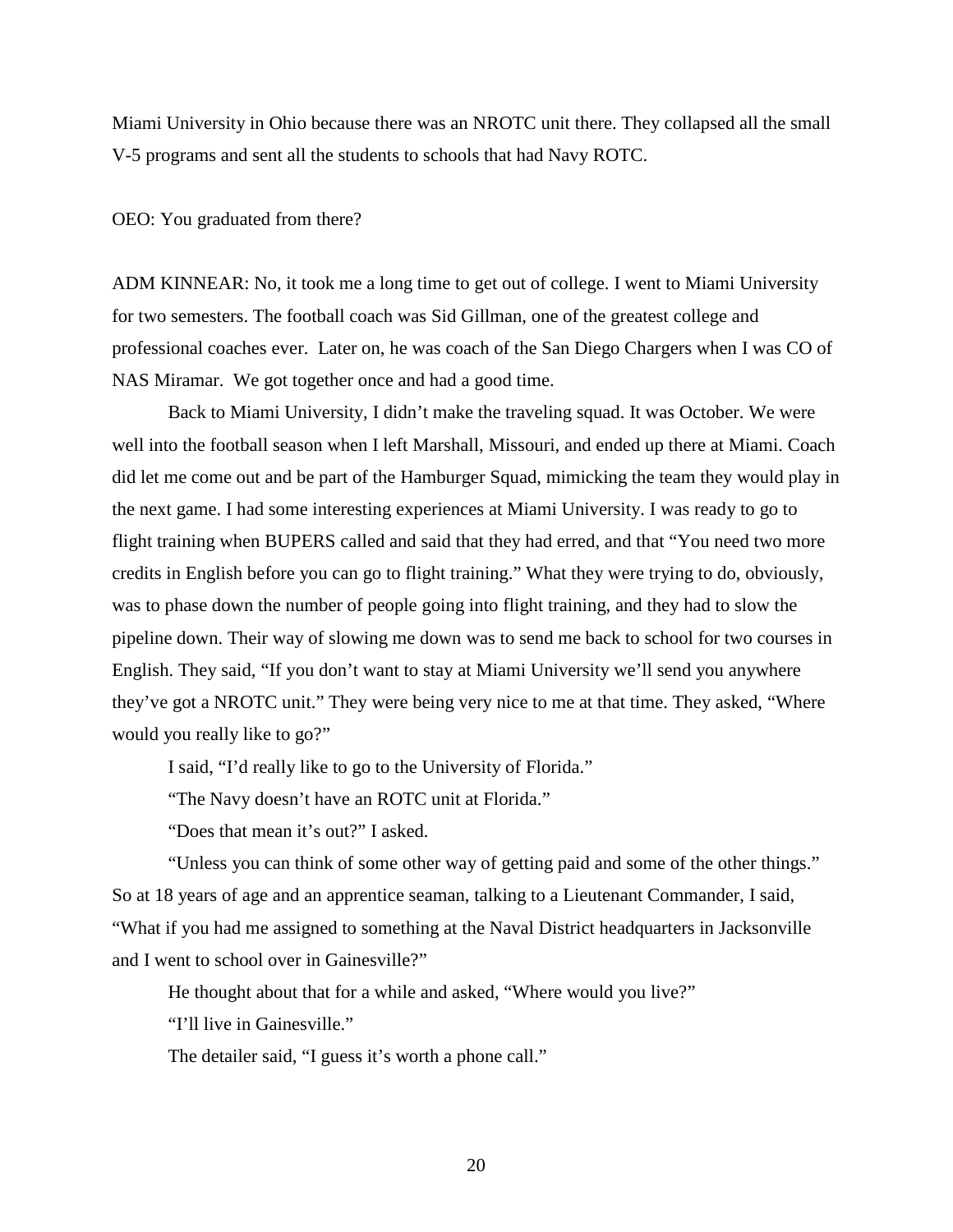Miami University in Ohio because there was an NROTC unit there. They collapsed all the small V-5 programs and sent all the students to schools that had Navy ROTC.

OEO: You graduated from there?

ADM KINNEAR: No, it took me a long time to get out of college. I went to Miami University for two semesters. The football coach was Sid Gillman, one of the greatest college and professional coaches ever. Later on, he was coach of the San Diego Chargers when I was CO of NAS Miramar. We got together once and had a good time.

Back to Miami University, I didn't make the traveling squad. It was October. We were well into the football season when I left Marshall, Missouri, and ended up there at Miami. Coach did let me come out and be part of the Hamburger Squad, mimicking the team they would play in the next game. I had some interesting experiences at Miami University. I was ready to go to flight training when BUPERS called and said that they had erred, and that "You need two more credits in English before you can go to flight training." What they were trying to do, obviously, was to phase down the number of people going into flight training, and they had to slow the pipeline down. Their way of slowing me down was to send me back to school for two courses in English. They said, "If you don't want to stay at Miami University we'll send you anywhere they've got a NROTC unit." They were being very nice to me at that time. They asked, "Where would you really like to go?"

I said, "I'd really like to go to the University of Florida."

"The Navy doesn't have an ROTC unit at Florida."

"Does that mean it's out?" I asked.

"Unless you can think of some other way of getting paid and some of the other things." So at 18 years of age and an apprentice seaman, talking to a Lieutenant Commander, I said, "What if you had me assigned to something at the Naval District headquarters in Jacksonville and I went to school over in Gainesville?"

He thought about that for a while and asked, "Where would you live?"

"I'll live in Gainesville."

The detailer said, "I guess it's worth a phone call."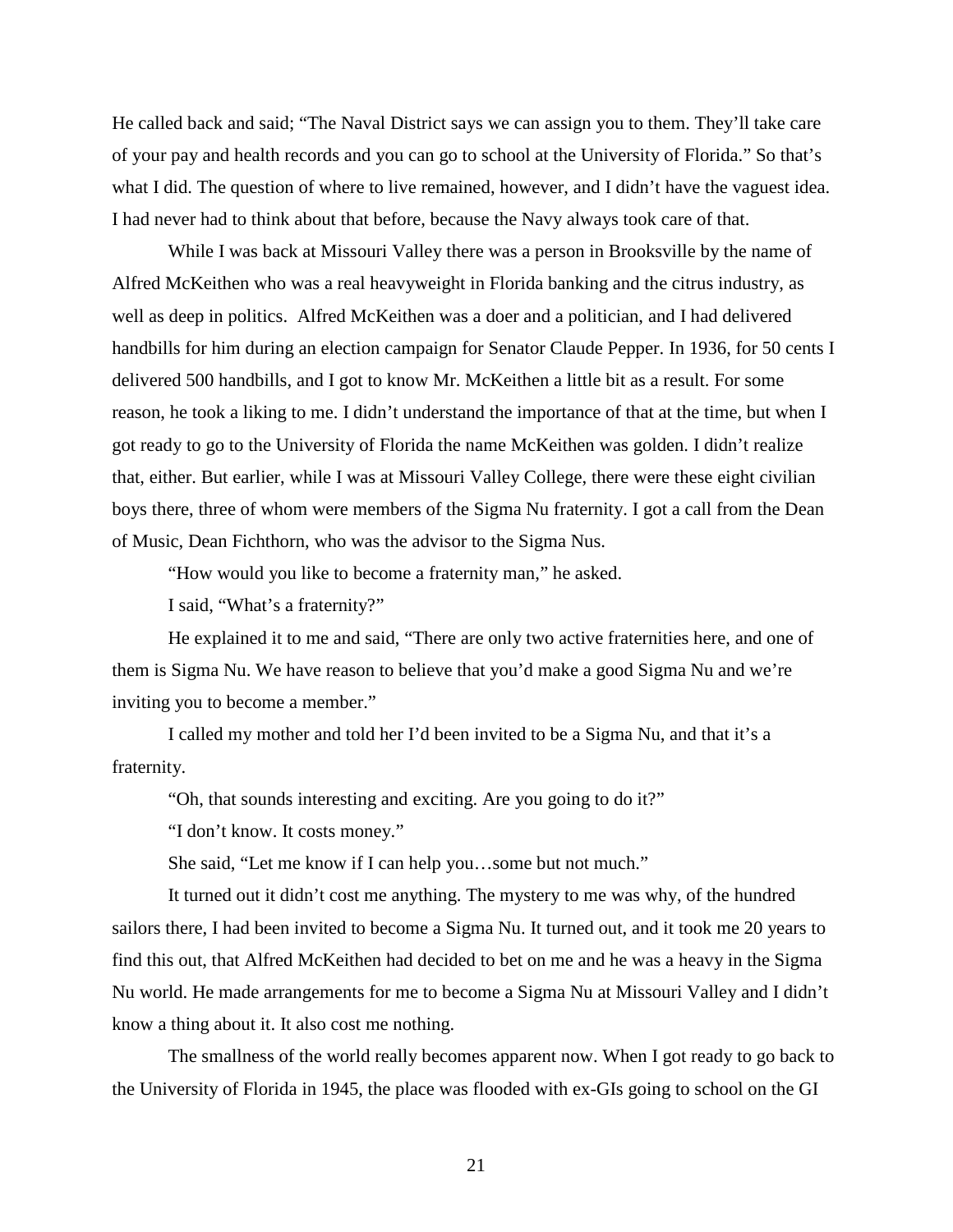He called back and said; "The Naval District says we can assign you to them. They'll take care of your pay and health records and you can go to school at the University of Florida." So that's what I did. The question of where to live remained, however, and I didn't have the vaguest idea. I had never had to think about that before, because the Navy always took care of that.

While I was back at Missouri Valley there was a person in Brooksville by the name of Alfred McKeithen who was a real heavyweight in Florida banking and the citrus industry, as well as deep in politics. Alfred McKeithen was a doer and a politician, and I had delivered handbills for him during an election campaign for Senator Claude Pepper. In 1936, for 50 cents I delivered 500 handbills, and I got to know Mr. McKeithen a little bit as a result. For some reason, he took a liking to me. I didn't understand the importance of that at the time, but when I got ready to go to the University of Florida the name McKeithen was golden. I didn't realize that, either. But earlier, while I was at Missouri Valley College, there were these eight civilian boys there, three of whom were members of the Sigma Nu fraternity. I got a call from the Dean of Music, Dean Fichthorn, who was the advisor to the Sigma Nus.

"How would you like to become a fraternity man," he asked.

I said, "What's a fraternity?"

He explained it to me and said, "There are only two active fraternities here, and one of them is Sigma Nu. We have reason to believe that you'd make a good Sigma Nu and we're inviting you to become a member."

I called my mother and told her I'd been invited to be a Sigma Nu, and that it's a fraternity.

"Oh, that sounds interesting and exciting. Are you going to do it?"

"I don't know. It costs money."

She said, "Let me know if I can help you…some but not much."

It turned out it didn't cost me anything. The mystery to me was why, of the hundred sailors there, I had been invited to become a Sigma Nu. It turned out, and it took me 20 years to find this out, that Alfred McKeithen had decided to bet on me and he was a heavy in the Sigma Nu world. He made arrangements for me to become a Sigma Nu at Missouri Valley and I didn't know a thing about it. It also cost me nothing.

The smallness of the world really becomes apparent now. When I got ready to go back to the University of Florida in 1945, the place was flooded with ex-GIs going to school on the GI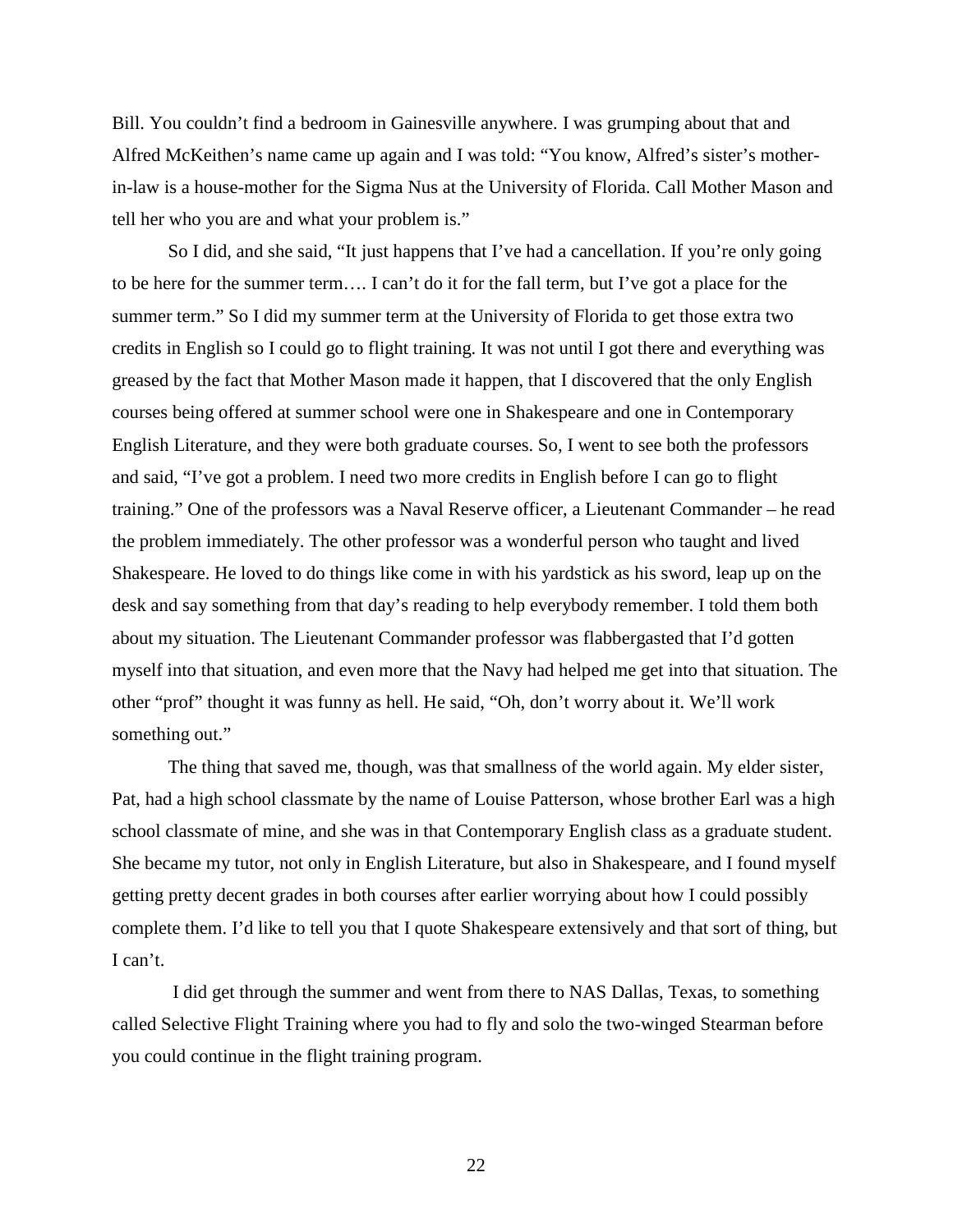Bill. You couldn't find a bedroom in Gainesville anywhere. I was grumping about that and Alfred McKeithen's name came up again and I was told: "You know, Alfred's sister's motherin-law is a house-mother for the Sigma Nus at the University of Florida. Call Mother Mason and tell her who you are and what your problem is."

So I did, and she said, "It just happens that I've had a cancellation. If you're only going to be here for the summer term…. I can't do it for the fall term, but I've got a place for the summer term." So I did my summer term at the University of Florida to get those extra two credits in English so I could go to flight training. It was not until I got there and everything was greased by the fact that Mother Mason made it happen, that I discovered that the only English courses being offered at summer school were one in Shakespeare and one in Contemporary English Literature, and they were both graduate courses. So, I went to see both the professors and said, "I've got a problem. I need two more credits in English before I can go to flight training." One of the professors was a Naval Reserve officer, a Lieutenant Commander – he read the problem immediately. The other professor was a wonderful person who taught and lived Shakespeare. He loved to do things like come in with his yardstick as his sword, leap up on the desk and say something from that day's reading to help everybody remember. I told them both about my situation. The Lieutenant Commander professor was flabbergasted that I'd gotten myself into that situation, and even more that the Navy had helped me get into that situation. The other "prof" thought it was funny as hell. He said, "Oh, don't worry about it. We'll work something out."

The thing that saved me, though, was that smallness of the world again. My elder sister, Pat, had a high school classmate by the name of Louise Patterson, whose brother Earl was a high school classmate of mine, and she was in that Contemporary English class as a graduate student. She became my tutor, not only in English Literature, but also in Shakespeare, and I found myself getting pretty decent grades in both courses after earlier worrying about how I could possibly complete them. I'd like to tell you that I quote Shakespeare extensively and that sort of thing, but I can't.

I did get through the summer and went from there to NAS Dallas, Texas, to something called Selective Flight Training where you had to fly and solo the two-winged Stearman before you could continue in the flight training program.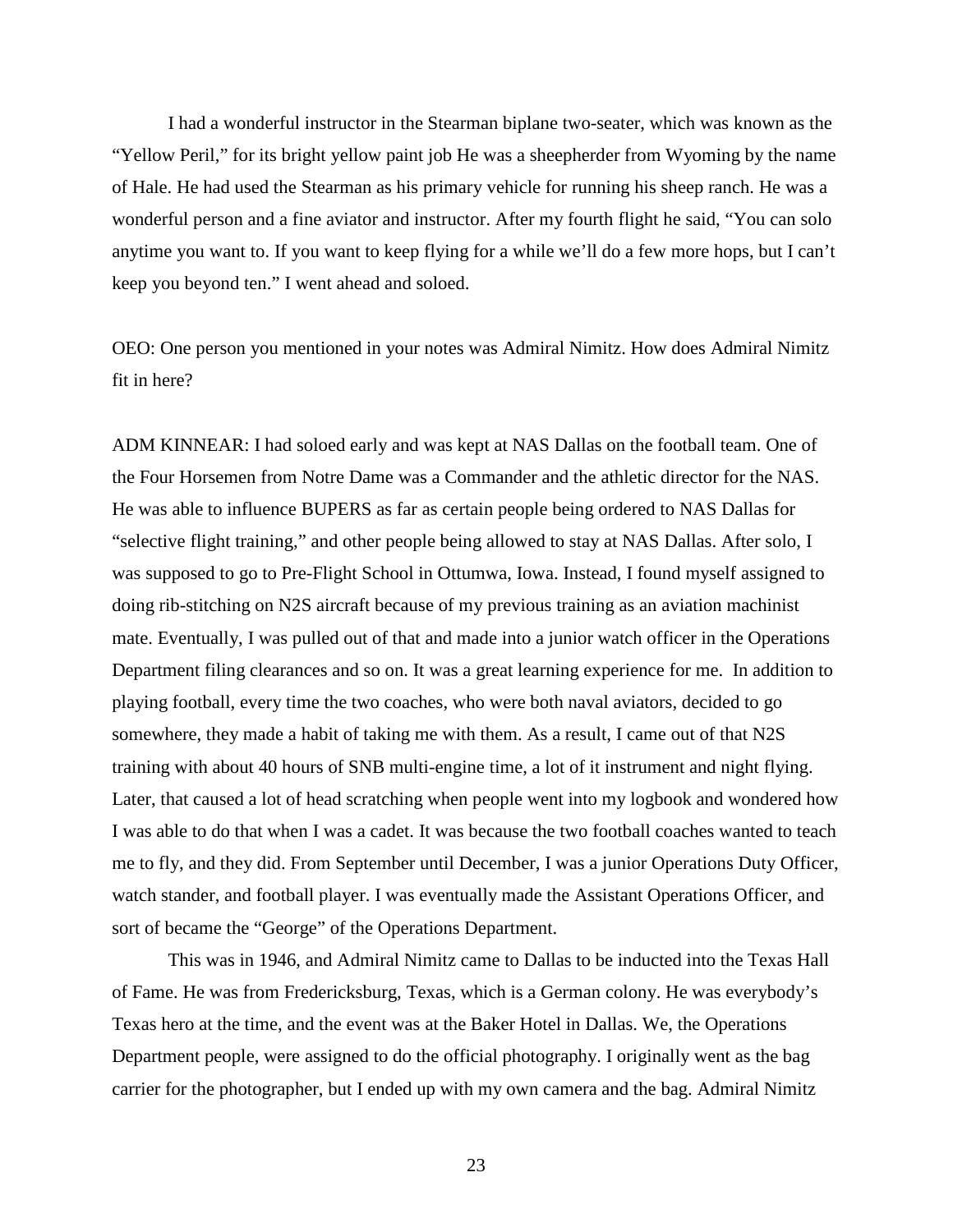I had a wonderful instructor in the Stearman biplane two-seater, which was known as the "Yellow Peril," for its bright yellow paint job He was a sheepherder from Wyoming by the name of Hale. He had used the Stearman as his primary vehicle for running his sheep ranch. He was a wonderful person and a fine aviator and instructor. After my fourth flight he said, "You can solo anytime you want to. If you want to keep flying for a while we'll do a few more hops, but I can't keep you beyond ten." I went ahead and soloed.

OEO: One person you mentioned in your notes was Admiral Nimitz. How does Admiral Nimitz fit in here?

ADM KINNEAR: I had soloed early and was kept at NAS Dallas on the football team. One of the Four Horsemen from Notre Dame was a Commander and the athletic director for the NAS. He was able to influence BUPERS as far as certain people being ordered to NAS Dallas for "selective flight training," and other people being allowed to stay at NAS Dallas. After solo, I was supposed to go to Pre-Flight School in Ottumwa, Iowa. Instead, I found myself assigned to doing rib-stitching on N2S aircraft because of my previous training as an aviation machinist mate. Eventually, I was pulled out of that and made into a junior watch officer in the Operations Department filing clearances and so on. It was a great learning experience for me. In addition to playing football, every time the two coaches, who were both naval aviators, decided to go somewhere, they made a habit of taking me with them. As a result, I came out of that N2S training with about 40 hours of SNB multi-engine time, a lot of it instrument and night flying. Later, that caused a lot of head scratching when people went into my logbook and wondered how I was able to do that when I was a cadet. It was because the two football coaches wanted to teach me to fly, and they did. From September until December, I was a junior Operations Duty Officer, watch stander, and football player. I was eventually made the Assistant Operations Officer, and sort of became the "George" of the Operations Department.

This was in 1946, and Admiral Nimitz came to Dallas to be inducted into the Texas Hall of Fame. He was from Fredericksburg, Texas, which is a German colony. He was everybody's Texas hero at the time, and the event was at the Baker Hotel in Dallas. We, the Operations Department people, were assigned to do the official photography. I originally went as the bag carrier for the photographer, but I ended up with my own camera and the bag. Admiral Nimitz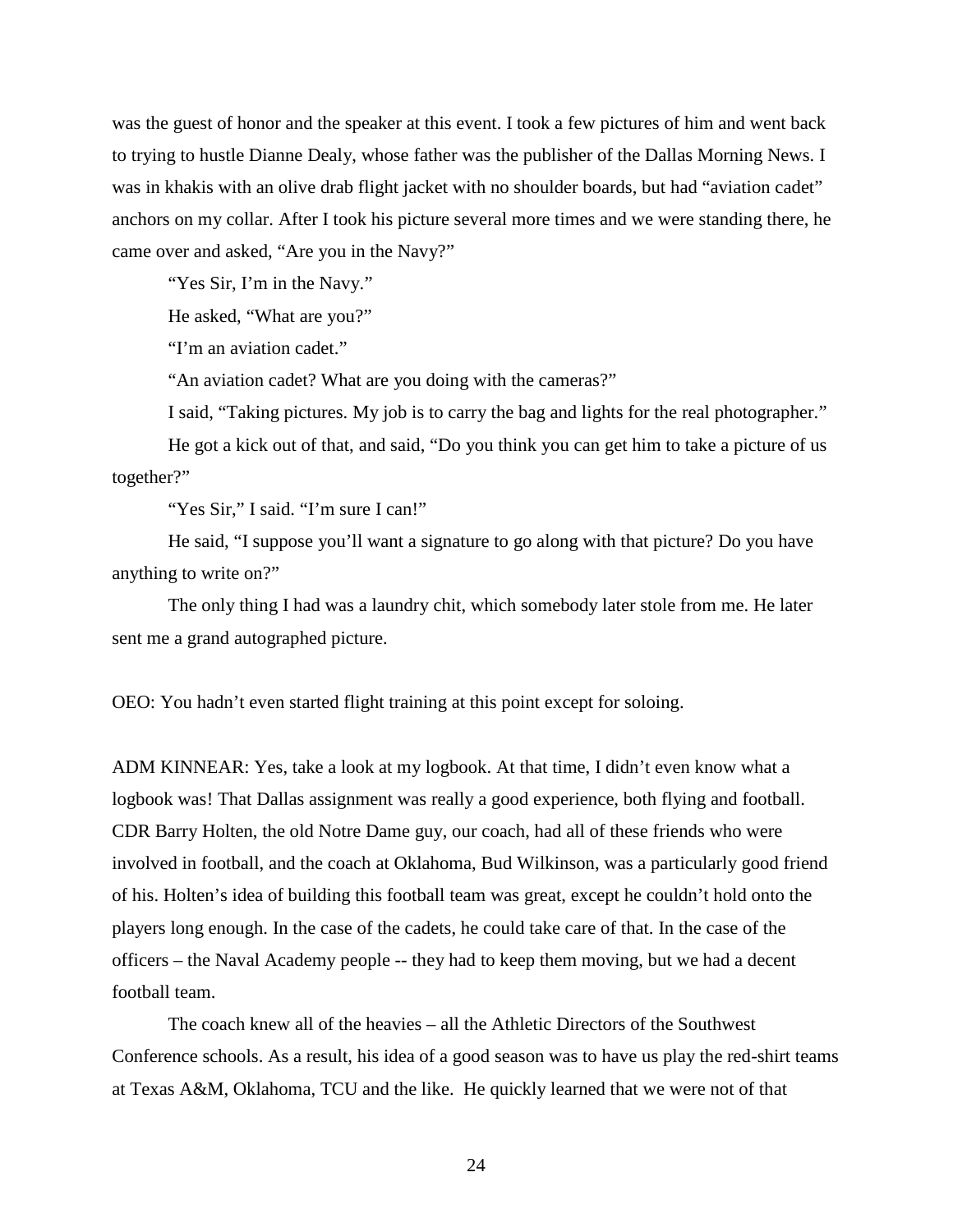was the guest of honor and the speaker at this event. I took a few pictures of him and went back to trying to hustle Dianne Dealy, whose father was the publisher of the Dallas Morning News. I was in khakis with an olive drab flight jacket with no shoulder boards, but had "aviation cadet" anchors on my collar. After I took his picture several more times and we were standing there, he came over and asked, "Are you in the Navy?"

"Yes Sir, I'm in the Navy."

He asked, "What are you?"

"I'm an aviation cadet."

"An aviation cadet? What are you doing with the cameras?"

I said, "Taking pictures. My job is to carry the bag and lights for the real photographer."

He got a kick out of that, and said, "Do you think you can get him to take a picture of us together?"

"Yes Sir," I said. "I'm sure I can!"

He said, "I suppose you'll want a signature to go along with that picture? Do you have anything to write on?"

The only thing I had was a laundry chit, which somebody later stole from me. He later sent me a grand autographed picture.

OEO: You hadn't even started flight training at this point except for soloing.

ADM KINNEAR: Yes, take a look at my logbook. At that time, I didn't even know what a logbook was! That Dallas assignment was really a good experience, both flying and football. CDR Barry Holten, the old Notre Dame guy, our coach, had all of these friends who were involved in football, and the coach at Oklahoma, Bud Wilkinson, was a particularly good friend of his. Holten's idea of building this football team was great, except he couldn't hold onto the players long enough. In the case of the cadets, he could take care of that. In the case of the officers – the Naval Academy people -- they had to keep them moving, but we had a decent football team.

The coach knew all of the heavies – all the Athletic Directors of the Southwest Conference schools. As a result, his idea of a good season was to have us play the red-shirt teams at Texas A&M, Oklahoma, TCU and the like. He quickly learned that we were not of that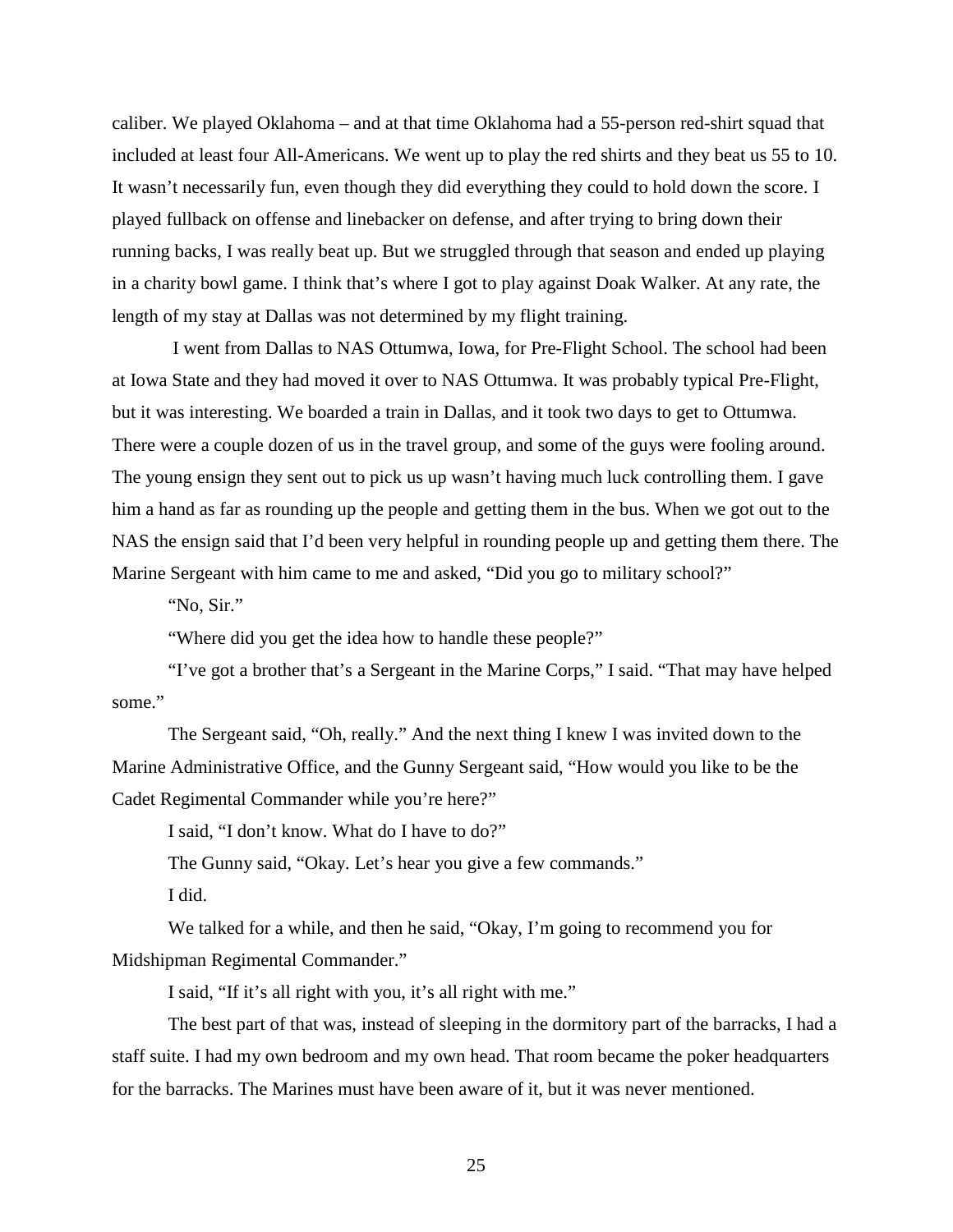caliber. We played Oklahoma – and at that time Oklahoma had a 55-person red-shirt squad that included at least four All-Americans. We went up to play the red shirts and they beat us 55 to 10. It wasn't necessarily fun, even though they did everything they could to hold down the score. I played fullback on offense and linebacker on defense, and after trying to bring down their running backs, I was really beat up. But we struggled through that season and ended up playing in a charity bowl game. I think that's where I got to play against Doak Walker. At any rate, the length of my stay at Dallas was not determined by my flight training.

I went from Dallas to NAS Ottumwa, Iowa, for Pre-Flight School. The school had been at Iowa State and they had moved it over to NAS Ottumwa. It was probably typical Pre-Flight, but it was interesting. We boarded a train in Dallas, and it took two days to get to Ottumwa. There were a couple dozen of us in the travel group, and some of the guys were fooling around. The young ensign they sent out to pick us up wasn't having much luck controlling them. I gave him a hand as far as rounding up the people and getting them in the bus. When we got out to the NAS the ensign said that I'd been very helpful in rounding people up and getting them there. The Marine Sergeant with him came to me and asked, "Did you go to military school?"

"No, Sir."

"Where did you get the idea how to handle these people?"

"I've got a brother that's a Sergeant in the Marine Corps," I said. "That may have helped some."

The Sergeant said, "Oh, really." And the next thing I knew I was invited down to the Marine Administrative Office, and the Gunny Sergeant said, "How would you like to be the Cadet Regimental Commander while you're here?"

I said, "I don't know. What do I have to do?"

The Gunny said, "Okay. Let's hear you give a few commands."

I did.

We talked for a while, and then he said, "Okay, I'm going to recommend you for Midshipman Regimental Commander."

I said, "If it's all right with you, it's all right with me."

The best part of that was, instead of sleeping in the dormitory part of the barracks, I had a staff suite. I had my own bedroom and my own head. That room became the poker headquarters for the barracks. The Marines must have been aware of it, but it was never mentioned.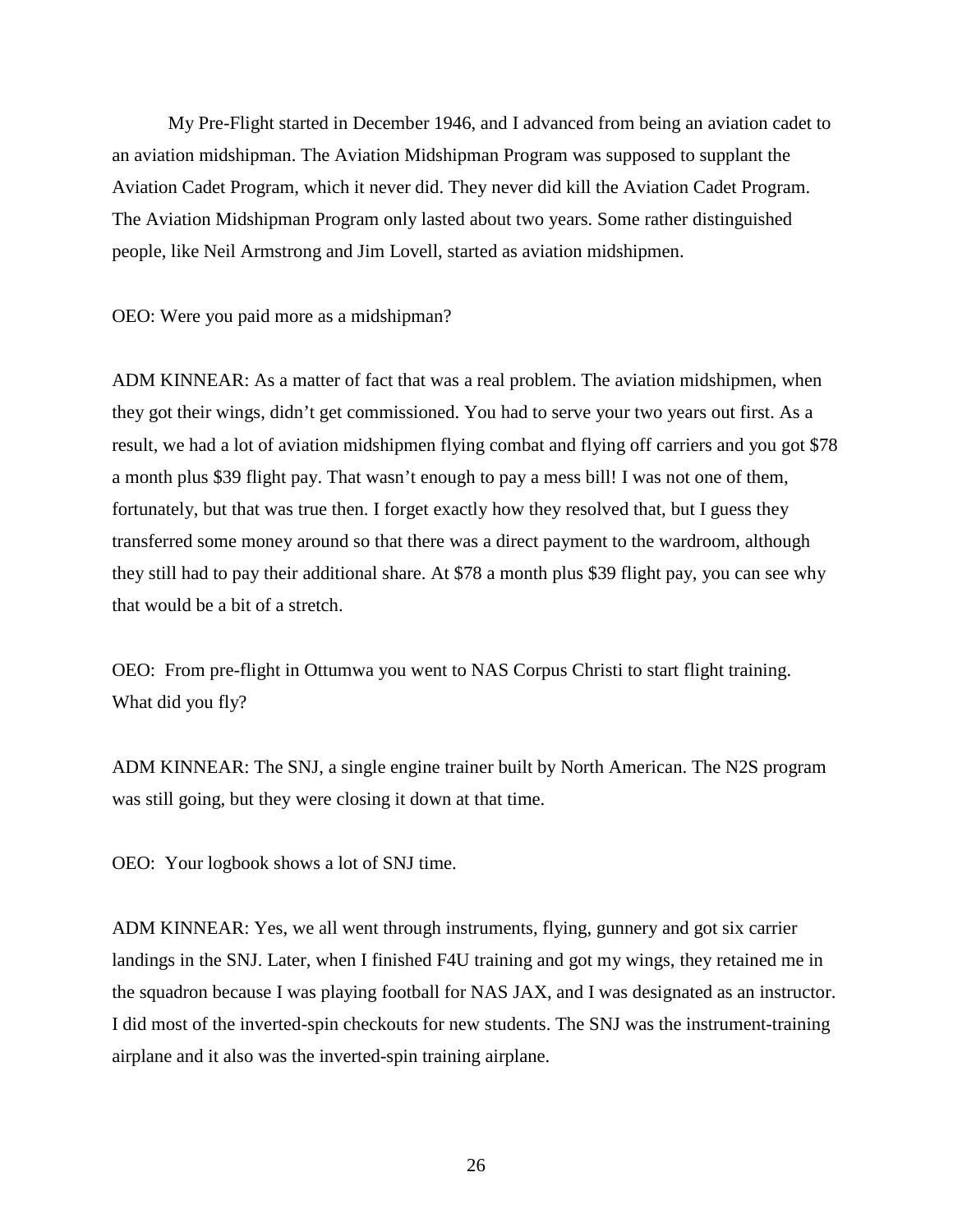My Pre-Flight started in December 1946, and I advanced from being an aviation cadet to an aviation midshipman. The Aviation Midshipman Program was supposed to supplant the Aviation Cadet Program, which it never did. They never did kill the Aviation Cadet Program. The Aviation Midshipman Program only lasted about two years. Some rather distinguished people, like Neil Armstrong and Jim Lovell, started as aviation midshipmen.

OEO: Were you paid more as a midshipman?

ADM KINNEAR: As a matter of fact that was a real problem. The aviation midshipmen, when they got their wings, didn't get commissioned. You had to serve your two years out first. As a result, we had a lot of aviation midshipmen flying combat and flying off carriers and you got \$78 a month plus \$39 flight pay. That wasn't enough to pay a mess bill! I was not one of them, fortunately, but that was true then. I forget exactly how they resolved that, but I guess they transferred some money around so that there was a direct payment to the wardroom, although they still had to pay their additional share. At \$78 a month plus \$39 flight pay, you can see why that would be a bit of a stretch.

OEO: From pre-flight in Ottumwa you went to NAS Corpus Christi to start flight training. What did you fly?

ADM KINNEAR: The SNJ, a single engine trainer built by North American. The N2S program was still going, but they were closing it down at that time.

OEO: Your logbook shows a lot of SNJ time.

ADM KINNEAR: Yes, we all went through instruments, flying, gunnery and got six carrier landings in the SNJ. Later, when I finished F4U training and got my wings, they retained me in the squadron because I was playing football for NAS JAX, and I was designated as an instructor. I did most of the inverted-spin checkouts for new students. The SNJ was the instrument-training airplane and it also was the inverted-spin training airplane.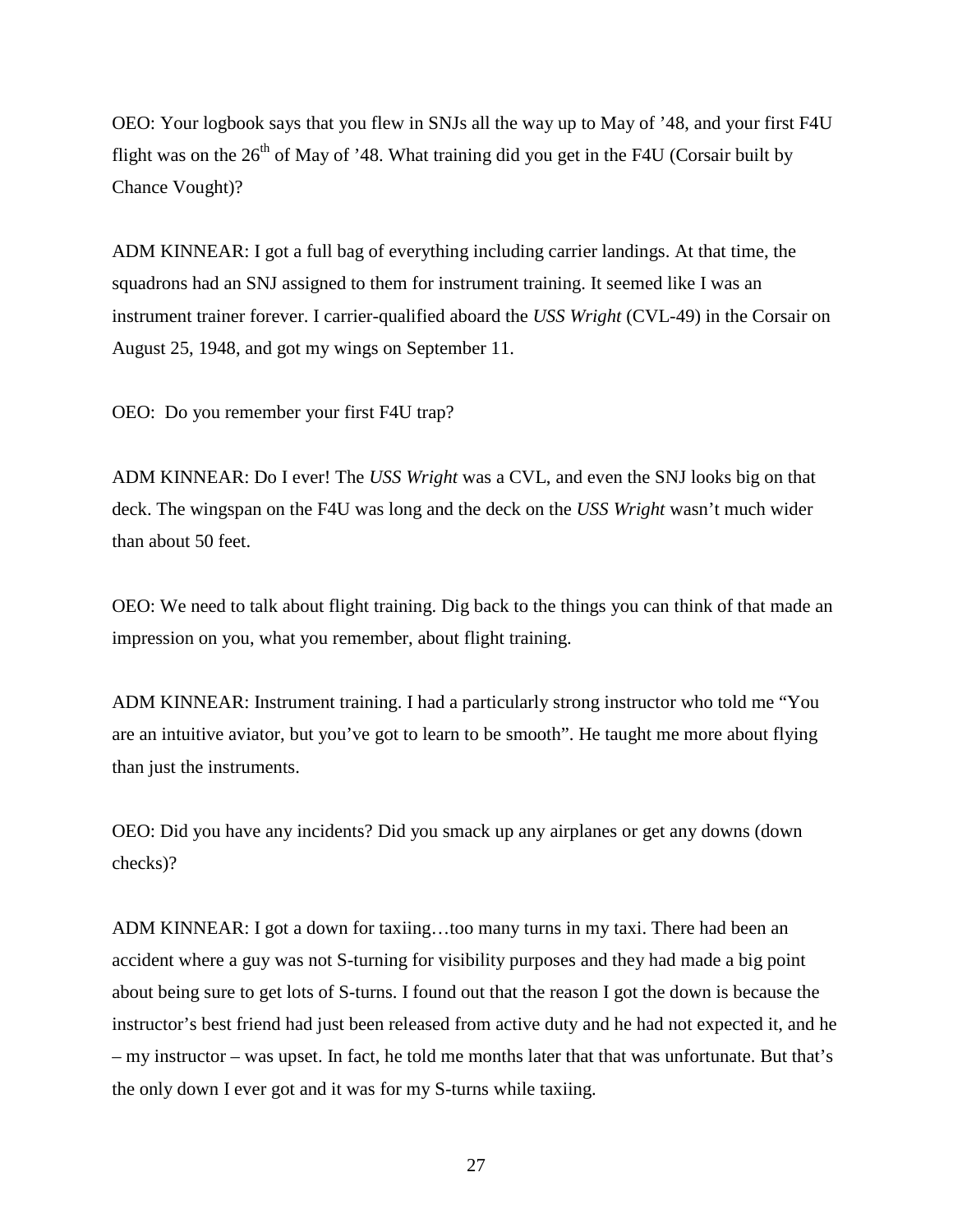OEO: Your logbook says that you flew in SNJs all the way up to May of '48, and your first F4U flight was on the  $26<sup>th</sup>$  of May of '48. What training did you get in the F4U (Corsair built by Chance Vought)?

ADM KINNEAR: I got a full bag of everything including carrier landings. At that time, the squadrons had an SNJ assigned to them for instrument training. It seemed like I was an instrument trainer forever. I carrier-qualified aboard the *USS Wright* (CVL-49) in the Corsair on August 25, 1948, and got my wings on September 11.

OEO: Do you remember your first F4U trap?

ADM KINNEAR: Do I ever! The *USS Wright* was a CVL, and even the SNJ looks big on that deck. The wingspan on the F4U was long and the deck on the *USS Wright* wasn't much wider than about 50 feet.

OEO: We need to talk about flight training. Dig back to the things you can think of that made an impression on you, what you remember, about flight training.

ADM KINNEAR: Instrument training. I had a particularly strong instructor who told me "You are an intuitive aviator, but you've got to learn to be smooth". He taught me more about flying than just the instruments.

OEO: Did you have any incidents? Did you smack up any airplanes or get any downs (down checks)?

ADM KINNEAR: I got a down for taxiing…too many turns in my taxi. There had been an accident where a guy was not S-turning for visibility purposes and they had made a big point about being sure to get lots of S-turns. I found out that the reason I got the down is because the instructor's best friend had just been released from active duty and he had not expected it, and he – my instructor – was upset. In fact, he told me months later that that was unfortunate. But that's the only down I ever got and it was for my S-turns while taxiing.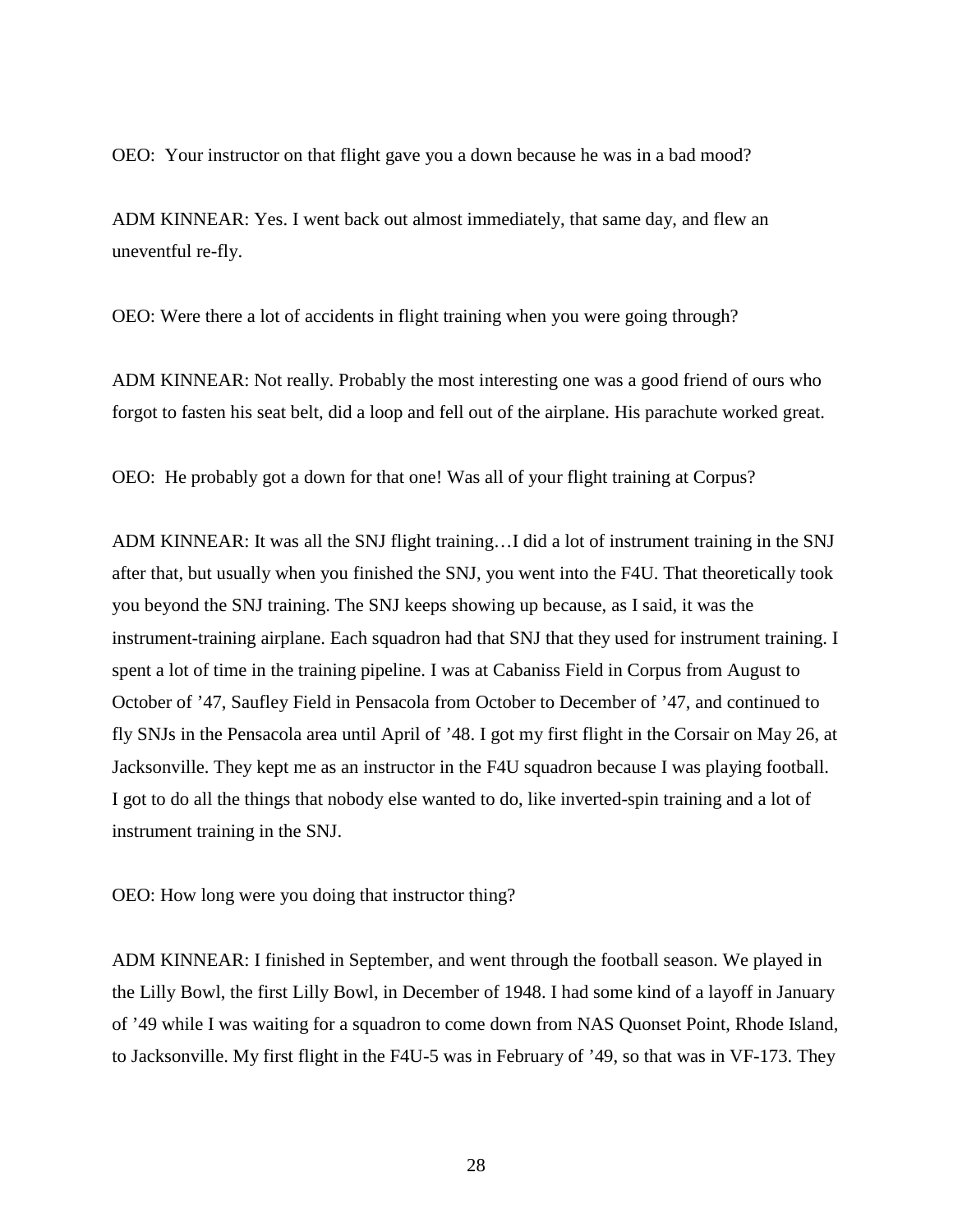OEO: Your instructor on that flight gave you a down because he was in a bad mood?

ADM KINNEAR: Yes. I went back out almost immediately, that same day, and flew an uneventful re-fly.

OEO: Were there a lot of accidents in flight training when you were going through?

ADM KINNEAR: Not really. Probably the most interesting one was a good friend of ours who forgot to fasten his seat belt, did a loop and fell out of the airplane. His parachute worked great.

OEO: He probably got a down for that one! Was all of your flight training at Corpus?

ADM KINNEAR: It was all the SNJ flight training…I did a lot of instrument training in the SNJ after that, but usually when you finished the SNJ, you went into the F4U. That theoretically took you beyond the SNJ training. The SNJ keeps showing up because, as I said, it was the instrument-training airplane. Each squadron had that SNJ that they used for instrument training. I spent a lot of time in the training pipeline. I was at Cabaniss Field in Corpus from August to October of '47, Saufley Field in Pensacola from October to December of '47, and continued to fly SNJs in the Pensacola area until April of '48. I got my first flight in the Corsair on May 26, at Jacksonville. They kept me as an instructor in the F4U squadron because I was playing football. I got to do all the things that nobody else wanted to do, like inverted-spin training and a lot of instrument training in the SNJ.

OEO: How long were you doing that instructor thing?

ADM KINNEAR: I finished in September, and went through the football season. We played in the Lilly Bowl, the first Lilly Bowl, in December of 1948. I had some kind of a layoff in January of '49 while I was waiting for a squadron to come down from NAS Quonset Point, Rhode Island, to Jacksonville. My first flight in the F4U-5 was in February of '49, so that was in VF-173. They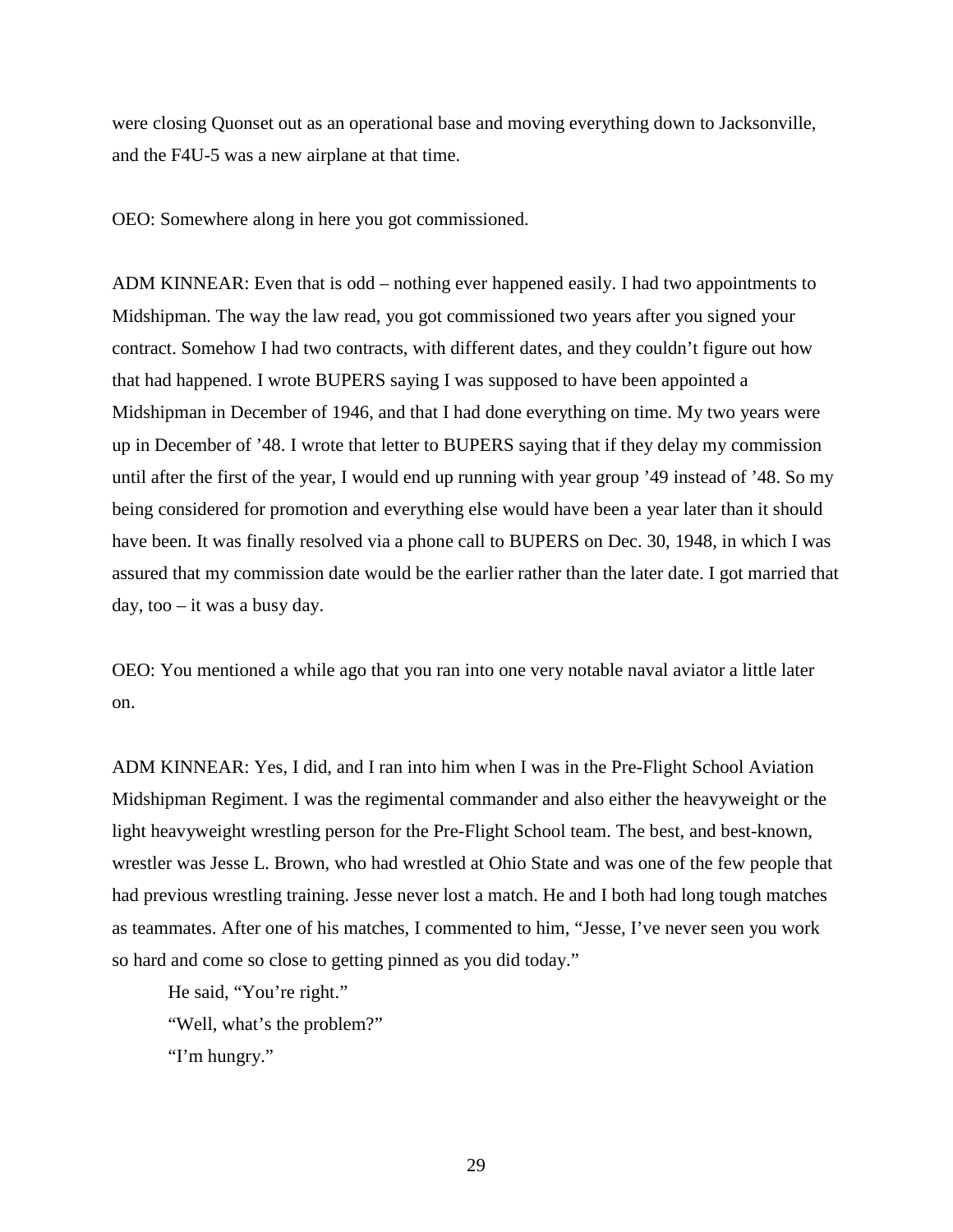were closing Quonset out as an operational base and moving everything down to Jacksonville, and the F4U-5 was a new airplane at that time.

OEO: Somewhere along in here you got commissioned.

ADM KINNEAR: Even that is odd – nothing ever happened easily. I had two appointments to Midshipman. The way the law read, you got commissioned two years after you signed your contract. Somehow I had two contracts, with different dates, and they couldn't figure out how that had happened. I wrote BUPERS saying I was supposed to have been appointed a Midshipman in December of 1946, and that I had done everything on time. My two years were up in December of '48. I wrote that letter to BUPERS saying that if they delay my commission until after the first of the year, I would end up running with year group '49 instead of '48. So my being considered for promotion and everything else would have been a year later than it should have been. It was finally resolved via a phone call to BUPERS on Dec. 30, 1948, in which I was assured that my commission date would be the earlier rather than the later date. I got married that day, too  $-$  it was a busy day.

OEO: You mentioned a while ago that you ran into one very notable naval aviator a little later on.

ADM KINNEAR: Yes, I did, and I ran into him when I was in the Pre-Flight School Aviation Midshipman Regiment. I was the regimental commander and also either the heavyweight or the light heavyweight wrestling person for the Pre-Flight School team. The best, and best-known, wrestler was Jesse L. Brown, who had wrestled at Ohio State and was one of the few people that had previous wrestling training. Jesse never lost a match. He and I both had long tough matches as teammates. After one of his matches, I commented to him, "Jesse, I've never seen you work so hard and come so close to getting pinned as you did today."

He said, "You're right."

"Well, what's the problem?"

"I'm hungry."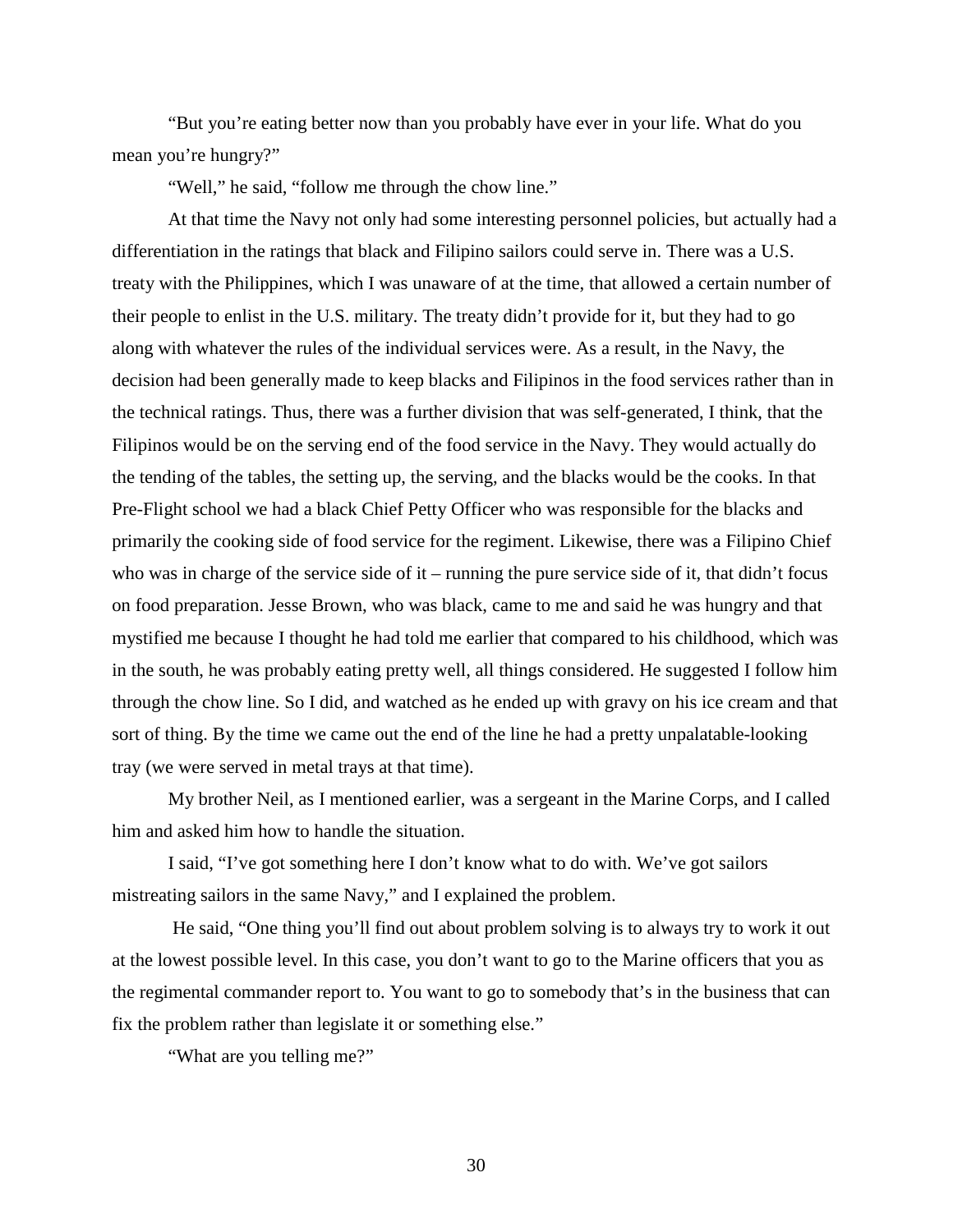"But you're eating better now than you probably have ever in your life. What do you mean you're hungry?"

"Well," he said, "follow me through the chow line."

At that time the Navy not only had some interesting personnel policies, but actually had a differentiation in the ratings that black and Filipino sailors could serve in. There was a U.S. treaty with the Philippines, which I was unaware of at the time, that allowed a certain number of their people to enlist in the U.S. military. The treaty didn't provide for it, but they had to go along with whatever the rules of the individual services were. As a result, in the Navy, the decision had been generally made to keep blacks and Filipinos in the food services rather than in the technical ratings. Thus, there was a further division that was self-generated, I think, that the Filipinos would be on the serving end of the food service in the Navy. They would actually do the tending of the tables, the setting up, the serving, and the blacks would be the cooks. In that Pre-Flight school we had a black Chief Petty Officer who was responsible for the blacks and primarily the cooking side of food service for the regiment. Likewise, there was a Filipino Chief who was in charge of the service side of it – running the pure service side of it, that didn't focus on food preparation. Jesse Brown, who was black, came to me and said he was hungry and that mystified me because I thought he had told me earlier that compared to his childhood, which was in the south, he was probably eating pretty well, all things considered. He suggested I follow him through the chow line. So I did, and watched as he ended up with gravy on his ice cream and that sort of thing. By the time we came out the end of the line he had a pretty unpalatable-looking tray (we were served in metal trays at that time).

My brother Neil, as I mentioned earlier, was a sergeant in the Marine Corps, and I called him and asked him how to handle the situation.

I said, "I've got something here I don't know what to do with. We've got sailors mistreating sailors in the same Navy," and I explained the problem.

He said, "One thing you'll find out about problem solving is to always try to work it out at the lowest possible level. In this case, you don't want to go to the Marine officers that you as the regimental commander report to. You want to go to somebody that's in the business that can fix the problem rather than legislate it or something else."

"What are you telling me?"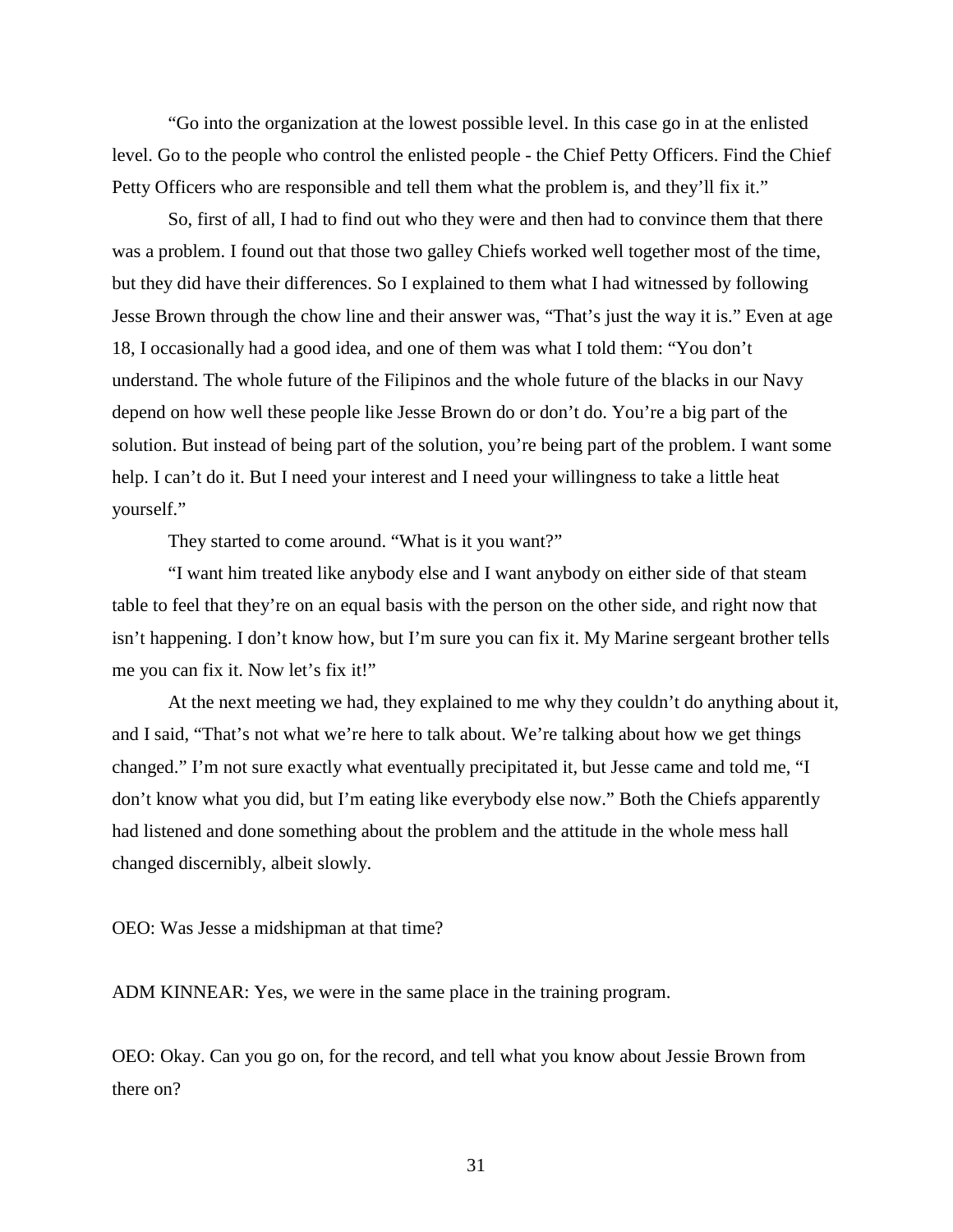"Go into the organization at the lowest possible level. In this case go in at the enlisted level. Go to the people who control the enlisted people - the Chief Petty Officers. Find the Chief Petty Officers who are responsible and tell them what the problem is, and they'll fix it."

So, first of all, I had to find out who they were and then had to convince them that there was a problem. I found out that those two galley Chiefs worked well together most of the time, but they did have their differences. So I explained to them what I had witnessed by following Jesse Brown through the chow line and their answer was, "That's just the way it is." Even at age 18, I occasionally had a good idea, and one of them was what I told them: "You don't understand. The whole future of the Filipinos and the whole future of the blacks in our Navy depend on how well these people like Jesse Brown do or don't do. You're a big part of the solution. But instead of being part of the solution, you're being part of the problem. I want some help. I can't do it. But I need your interest and I need your willingness to take a little heat yourself."

They started to come around. "What is it you want?"

"I want him treated like anybody else and I want anybody on either side of that steam table to feel that they're on an equal basis with the person on the other side, and right now that isn't happening. I don't know how, but I'm sure you can fix it. My Marine sergeant brother tells me you can fix it. Now let's fix it!"

At the next meeting we had, they explained to me why they couldn't do anything about it, and I said, "That's not what we're here to talk about. We're talking about how we get things changed." I'm not sure exactly what eventually precipitated it, but Jesse came and told me, "I don't know what you did, but I'm eating like everybody else now." Both the Chiefs apparently had listened and done something about the problem and the attitude in the whole mess hall changed discernibly, albeit slowly.

OEO: Was Jesse a midshipman at that time?

ADM KINNEAR: Yes, we were in the same place in the training program.

OEO: Okay. Can you go on, for the record, and tell what you know about Jessie Brown from there on?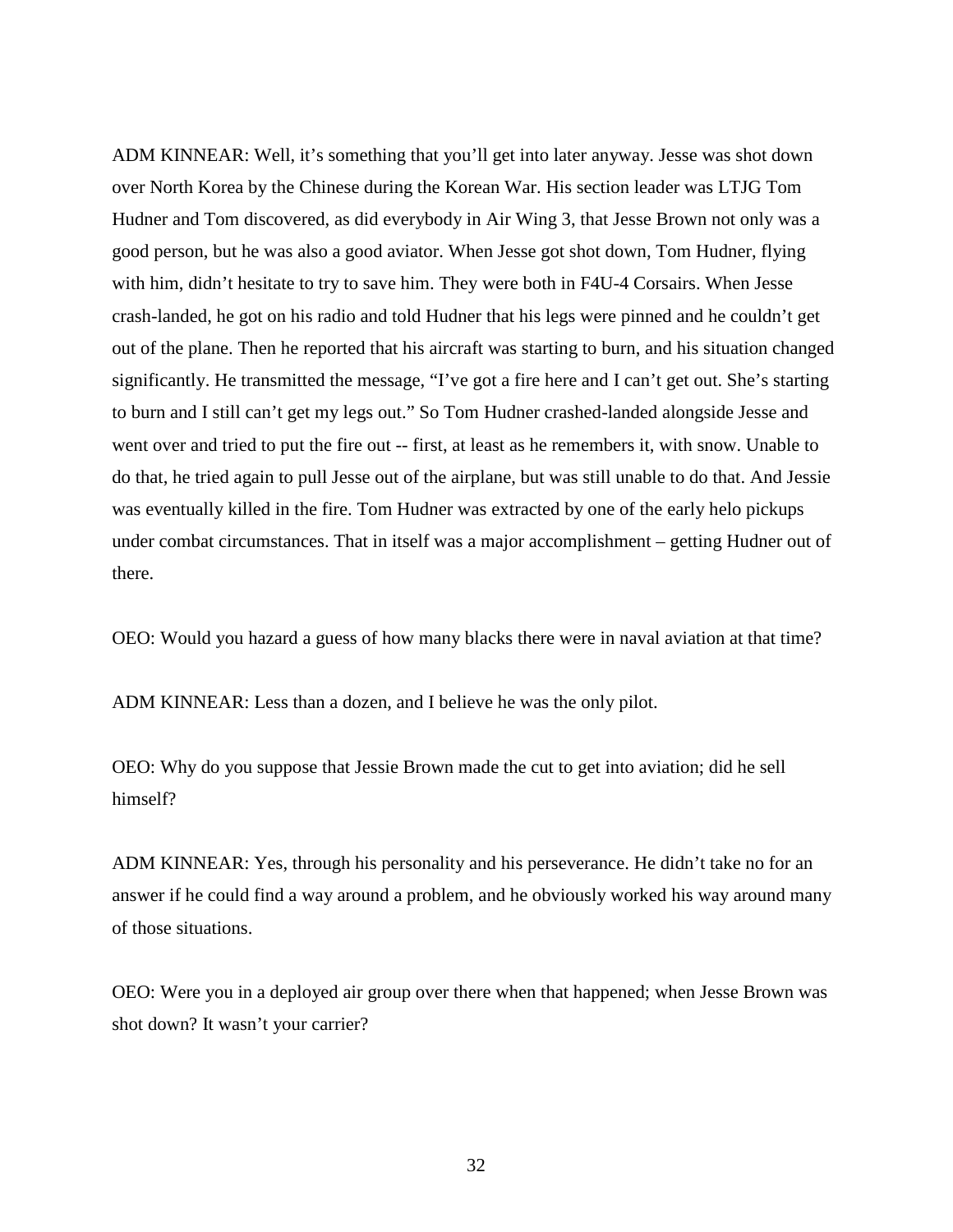ADM KINNEAR: Well, it's something that you'll get into later anyway. Jesse was shot down over North Korea by the Chinese during the Korean War. His section leader was LTJG Tom Hudner and Tom discovered, as did everybody in Air Wing 3, that Jesse Brown not only was a good person, but he was also a good aviator. When Jesse got shot down, Tom Hudner, flying with him, didn't hesitate to try to save him. They were both in F4U-4 Corsairs. When Jesse crash-landed, he got on his radio and told Hudner that his legs were pinned and he couldn't get out of the plane. Then he reported that his aircraft was starting to burn, and his situation changed significantly. He transmitted the message, "I've got a fire here and I can't get out. She's starting to burn and I still can't get my legs out." So Tom Hudner crashed-landed alongside Jesse and went over and tried to put the fire out -- first, at least as he remembers it, with snow. Unable to do that, he tried again to pull Jesse out of the airplane, but was still unable to do that. And Jessie was eventually killed in the fire. Tom Hudner was extracted by one of the early helo pickups under combat circumstances. That in itself was a major accomplishment – getting Hudner out of there.

OEO: Would you hazard a guess of how many blacks there were in naval aviation at that time?

ADM KINNEAR: Less than a dozen, and I believe he was the only pilot.

OEO: Why do you suppose that Jessie Brown made the cut to get into aviation; did he sell himself?

ADM KINNEAR: Yes, through his personality and his perseverance. He didn't take no for an answer if he could find a way around a problem, and he obviously worked his way around many of those situations.

OEO: Were you in a deployed air group over there when that happened; when Jesse Brown was shot down? It wasn't your carrier?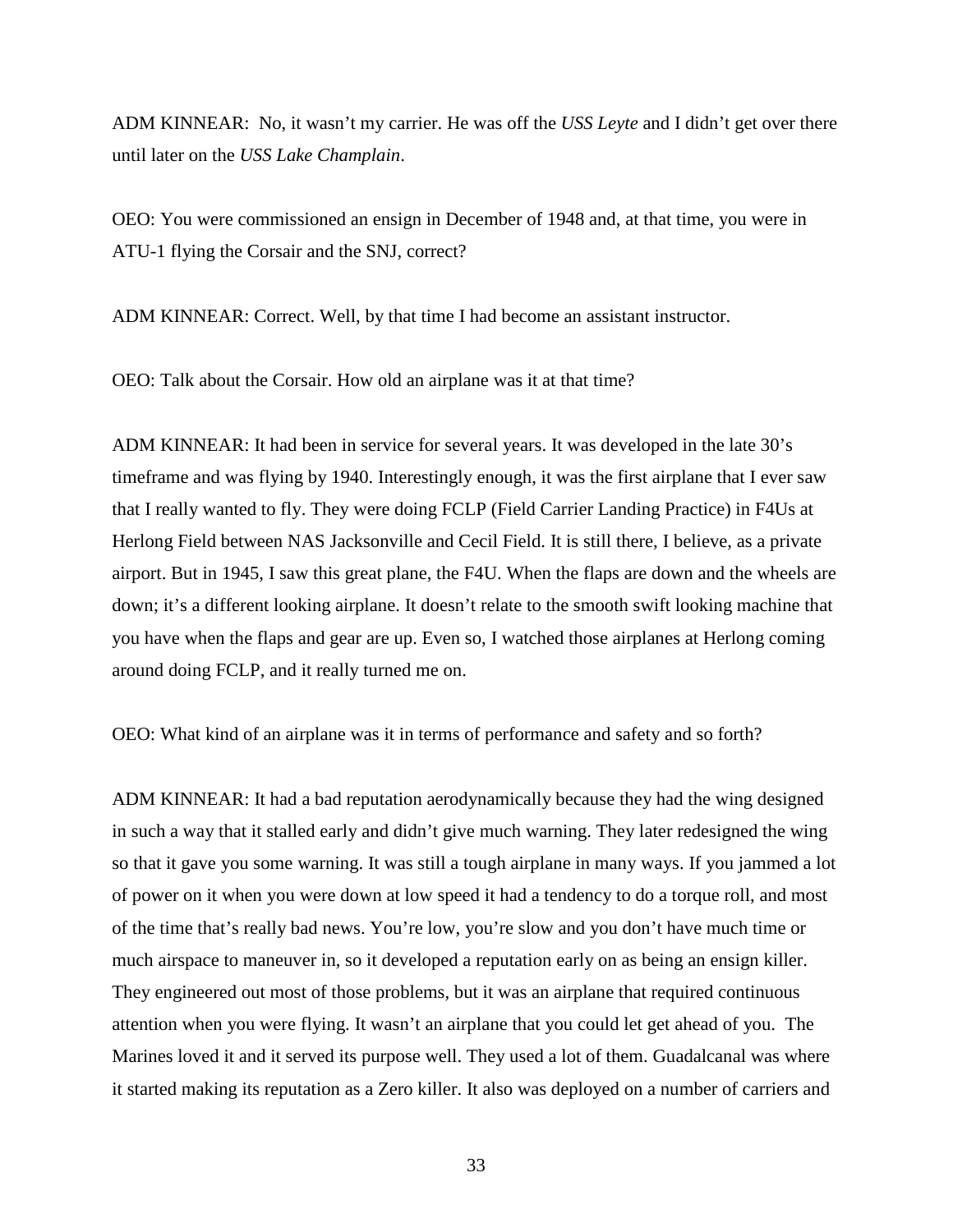ADM KINNEAR: No, it wasn't my carrier. He was off the *USS Leyte* and I didn't get over there until later on the *USS Lake Champlain*.

OEO: You were commissioned an ensign in December of 1948 and, at that time, you were in ATU-1 flying the Corsair and the SNJ, correct?

ADM KINNEAR: Correct. Well, by that time I had become an assistant instructor.

OEO: Talk about the Corsair. How old an airplane was it at that time?

ADM KINNEAR: It had been in service for several years. It was developed in the late 30's timeframe and was flying by 1940. Interestingly enough, it was the first airplane that I ever saw that I really wanted to fly. They were doing FCLP (Field Carrier Landing Practice) in F4Us at Herlong Field between NAS Jacksonville and Cecil Field. It is still there, I believe, as a private airport. But in 1945, I saw this great plane, the F4U. When the flaps are down and the wheels are down; it's a different looking airplane. It doesn't relate to the smooth swift looking machine that you have when the flaps and gear are up. Even so, I watched those airplanes at Herlong coming around doing FCLP, and it really turned me on.

OEO: What kind of an airplane was it in terms of performance and safety and so forth?

ADM KINNEAR: It had a bad reputation aerodynamically because they had the wing designed in such a way that it stalled early and didn't give much warning. They later redesigned the wing so that it gave you some warning. It was still a tough airplane in many ways. If you jammed a lot of power on it when you were down at low speed it had a tendency to do a torque roll, and most of the time that's really bad news. You're low, you're slow and you don't have much time or much airspace to maneuver in, so it developed a reputation early on as being an ensign killer. They engineered out most of those problems, but it was an airplane that required continuous attention when you were flying. It wasn't an airplane that you could let get ahead of you. The Marines loved it and it served its purpose well. They used a lot of them. Guadalcanal was where it started making its reputation as a Zero killer. It also was deployed on a number of carriers and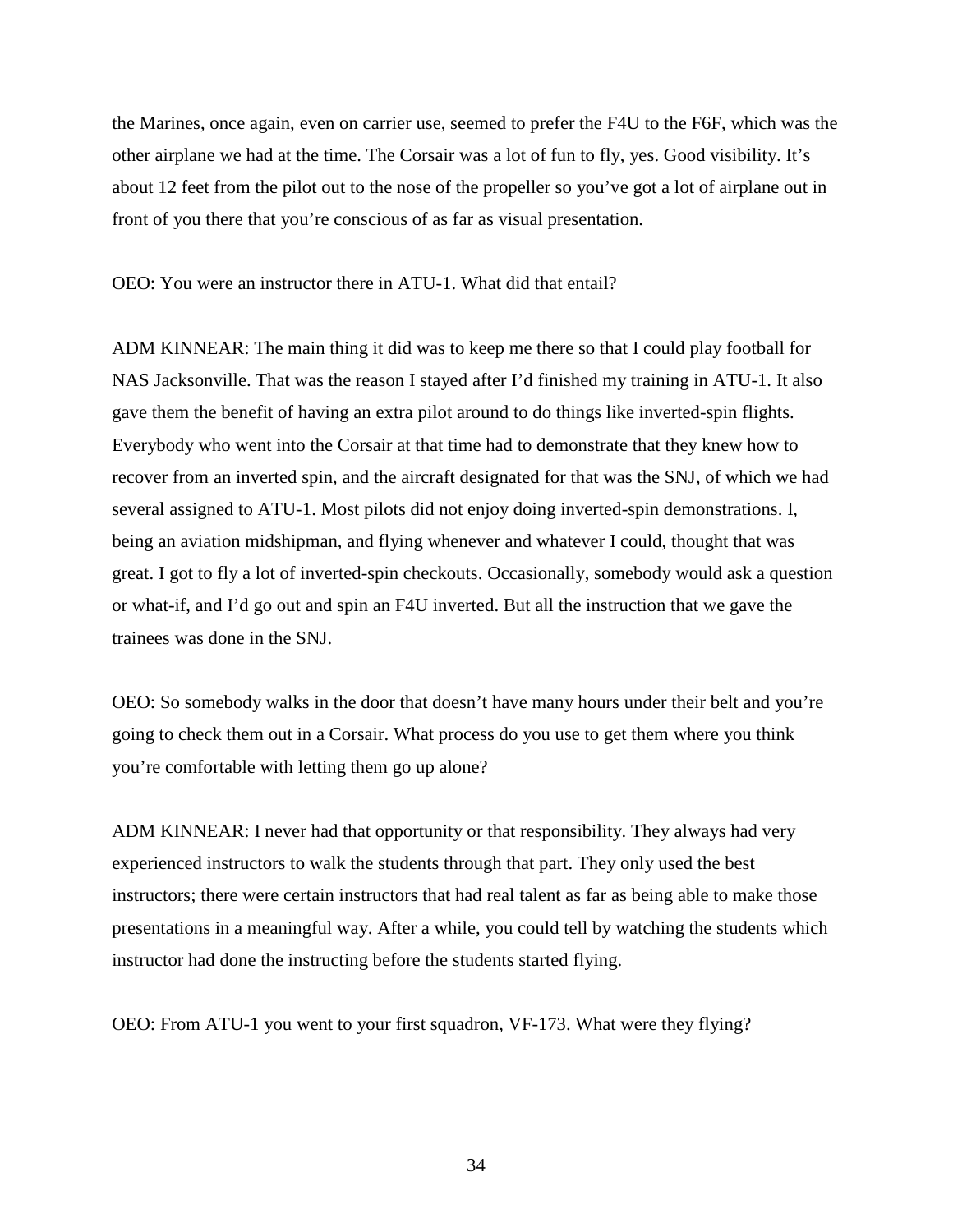the Marines, once again, even on carrier use, seemed to prefer the F4U to the F6F, which was the other airplane we had at the time. The Corsair was a lot of fun to fly, yes. Good visibility. It's about 12 feet from the pilot out to the nose of the propeller so you've got a lot of airplane out in front of you there that you're conscious of as far as visual presentation.

OEO: You were an instructor there in ATU-1. What did that entail?

ADM KINNEAR: The main thing it did was to keep me there so that I could play football for NAS Jacksonville. That was the reason I stayed after I'd finished my training in ATU-1. It also gave them the benefit of having an extra pilot around to do things like inverted-spin flights. Everybody who went into the Corsair at that time had to demonstrate that they knew how to recover from an inverted spin, and the aircraft designated for that was the SNJ, of which we had several assigned to ATU-1. Most pilots did not enjoy doing inverted-spin demonstrations. I, being an aviation midshipman, and flying whenever and whatever I could, thought that was great. I got to fly a lot of inverted-spin checkouts. Occasionally, somebody would ask a question or what-if, and I'd go out and spin an F4U inverted. But all the instruction that we gave the trainees was done in the SNJ.

OEO: So somebody walks in the door that doesn't have many hours under their belt and you're going to check them out in a Corsair. What process do you use to get them where you think you're comfortable with letting them go up alone?

ADM KINNEAR: I never had that opportunity or that responsibility. They always had very experienced instructors to walk the students through that part. They only used the best instructors; there were certain instructors that had real talent as far as being able to make those presentations in a meaningful way. After a while, you could tell by watching the students which instructor had done the instructing before the students started flying.

OEO: From ATU-1 you went to your first squadron, VF-173. What were they flying?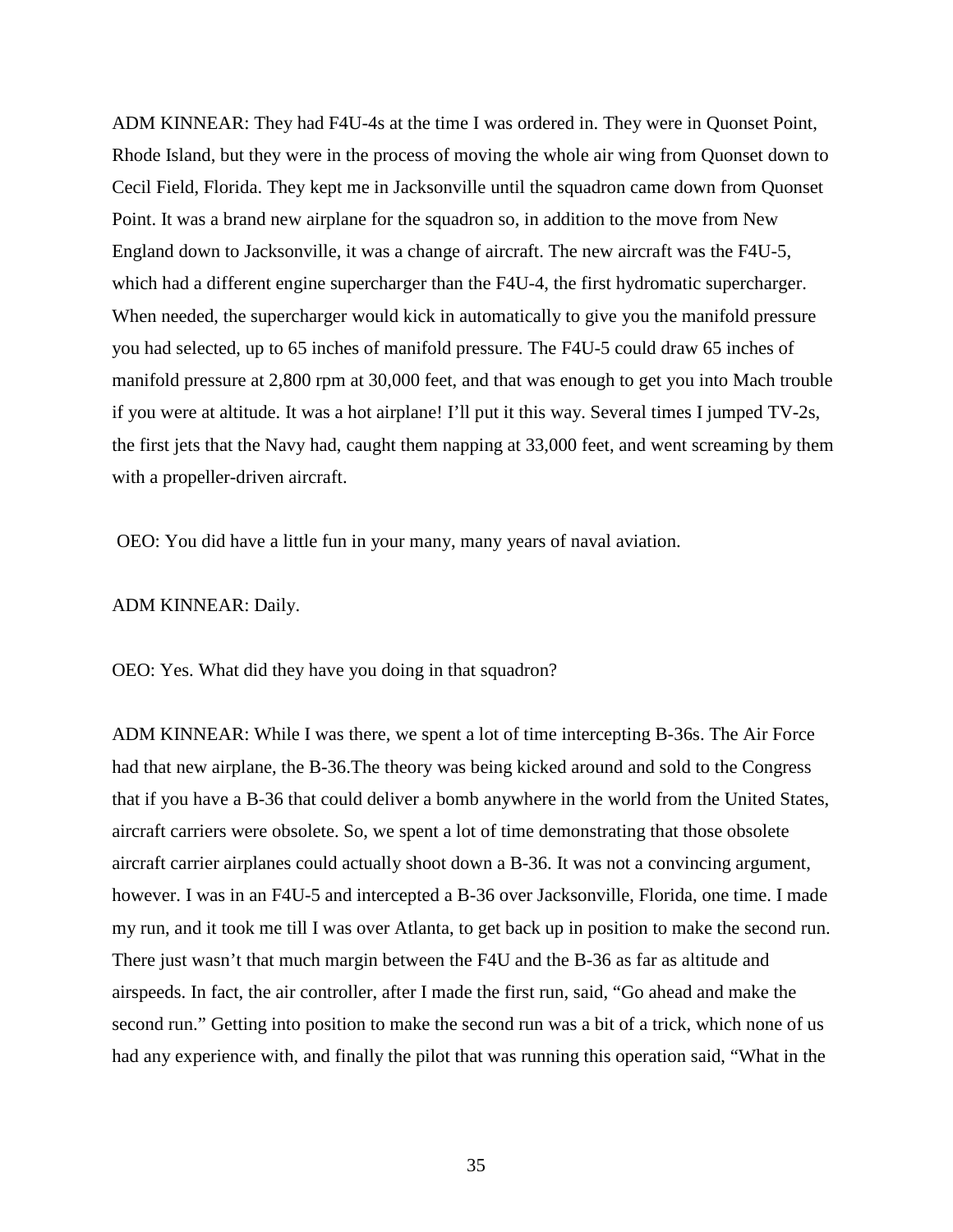ADM KINNEAR: They had F4U-4s at the time I was ordered in. They were in Quonset Point, Rhode Island, but they were in the process of moving the whole air wing from Quonset down to Cecil Field, Florida. They kept me in Jacksonville until the squadron came down from Quonset Point. It was a brand new airplane for the squadron so, in addition to the move from New England down to Jacksonville, it was a change of aircraft. The new aircraft was the F4U-5, which had a different engine supercharger than the F4U-4, the first hydromatic supercharger. When needed, the supercharger would kick in automatically to give you the manifold pressure you had selected, up to 65 inches of manifold pressure. The F4U-5 could draw 65 inches of manifold pressure at 2,800 rpm at 30,000 feet, and that was enough to get you into Mach trouble if you were at altitude. It was a hot airplane! I'll put it this way. Several times I jumped TV-2s, the first jets that the Navy had, caught them napping at 33,000 feet, and went screaming by them with a propeller-driven aircraft.

OEO: You did have a little fun in your many, many years of naval aviation.

#### ADM KINNEAR: Daily.

OEO: Yes. What did they have you doing in that squadron?

ADM KINNEAR: While I was there, we spent a lot of time intercepting B-36s. The Air Force had that new airplane, the B-36.The theory was being kicked around and sold to the Congress that if you have a B-36 that could deliver a bomb anywhere in the world from the United States, aircraft carriers were obsolete. So, we spent a lot of time demonstrating that those obsolete aircraft carrier airplanes could actually shoot down a B-36. It was not a convincing argument, however. I was in an F4U-5 and intercepted a B-36 over Jacksonville, Florida, one time. I made my run, and it took me till I was over Atlanta, to get back up in position to make the second run. There just wasn't that much margin between the F4U and the B-36 as far as altitude and airspeeds. In fact, the air controller, after I made the first run, said, "Go ahead and make the second run." Getting into position to make the second run was a bit of a trick, which none of us had any experience with, and finally the pilot that was running this operation said, "What in the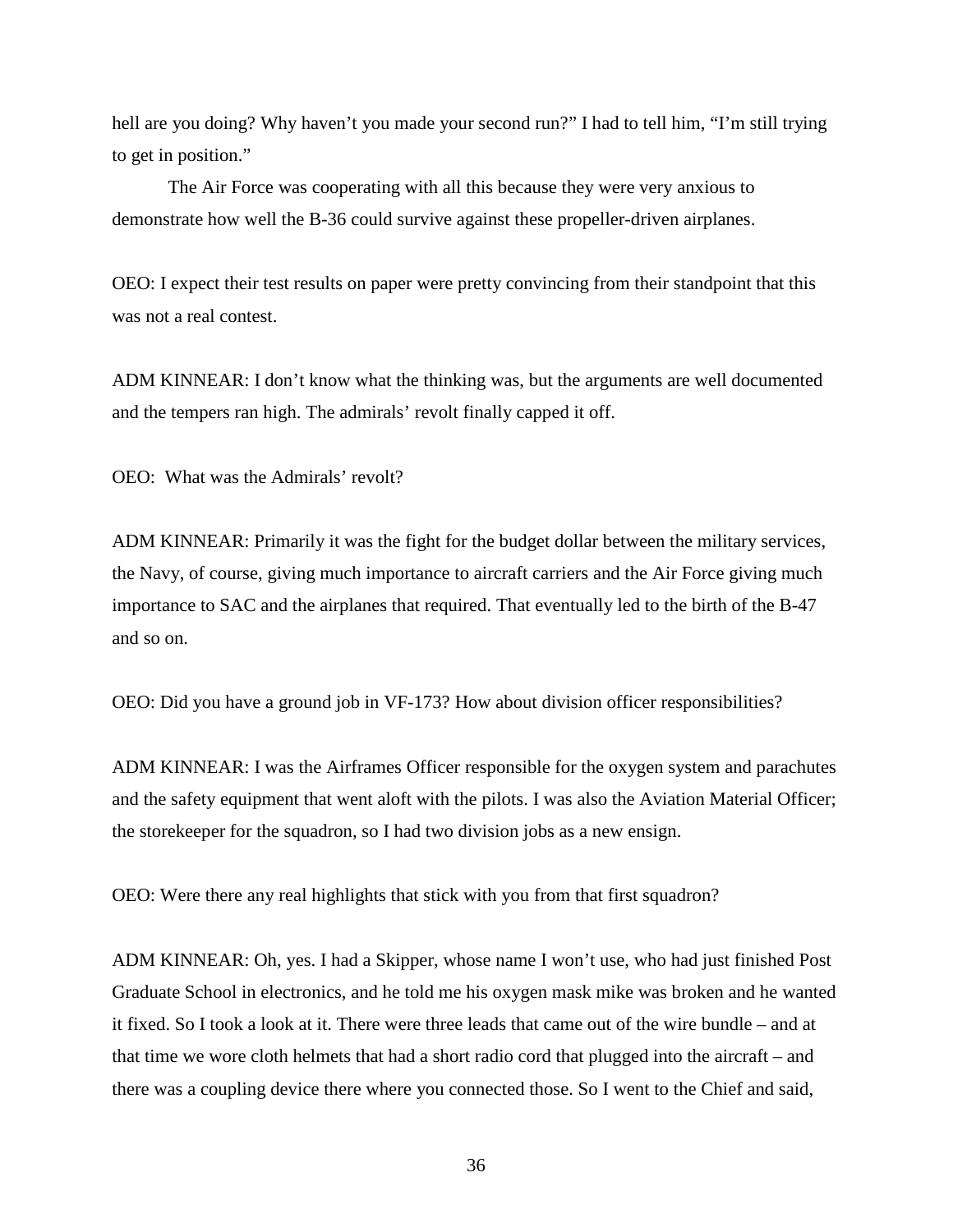hell are you doing? Why haven't you made your second run?" I had to tell him, "I'm still trying to get in position."

The Air Force was cooperating with all this because they were very anxious to demonstrate how well the B-36 could survive against these propeller-driven airplanes.

OEO: I expect their test results on paper were pretty convincing from their standpoint that this was not a real contest.

ADM KINNEAR: I don't know what the thinking was, but the arguments are well documented and the tempers ran high. The admirals' revolt finally capped it off.

OEO: What was the Admirals' revolt?

ADM KINNEAR: Primarily it was the fight for the budget dollar between the military services, the Navy, of course, giving much importance to aircraft carriers and the Air Force giving much importance to SAC and the airplanes that required. That eventually led to the birth of the B-47 and so on.

OEO: Did you have a ground job in VF-173? How about division officer responsibilities?

ADM KINNEAR: I was the Airframes Officer responsible for the oxygen system and parachutes and the safety equipment that went aloft with the pilots. I was also the Aviation Material Officer; the storekeeper for the squadron, so I had two division jobs as a new ensign.

OEO: Were there any real highlights that stick with you from that first squadron?

ADM KINNEAR: Oh, yes. I had a Skipper, whose name I won't use, who had just finished Post Graduate School in electronics, and he told me his oxygen mask mike was broken and he wanted it fixed. So I took a look at it. There were three leads that came out of the wire bundle – and at that time we wore cloth helmets that had a short radio cord that plugged into the aircraft – and there was a coupling device there where you connected those. So I went to the Chief and said,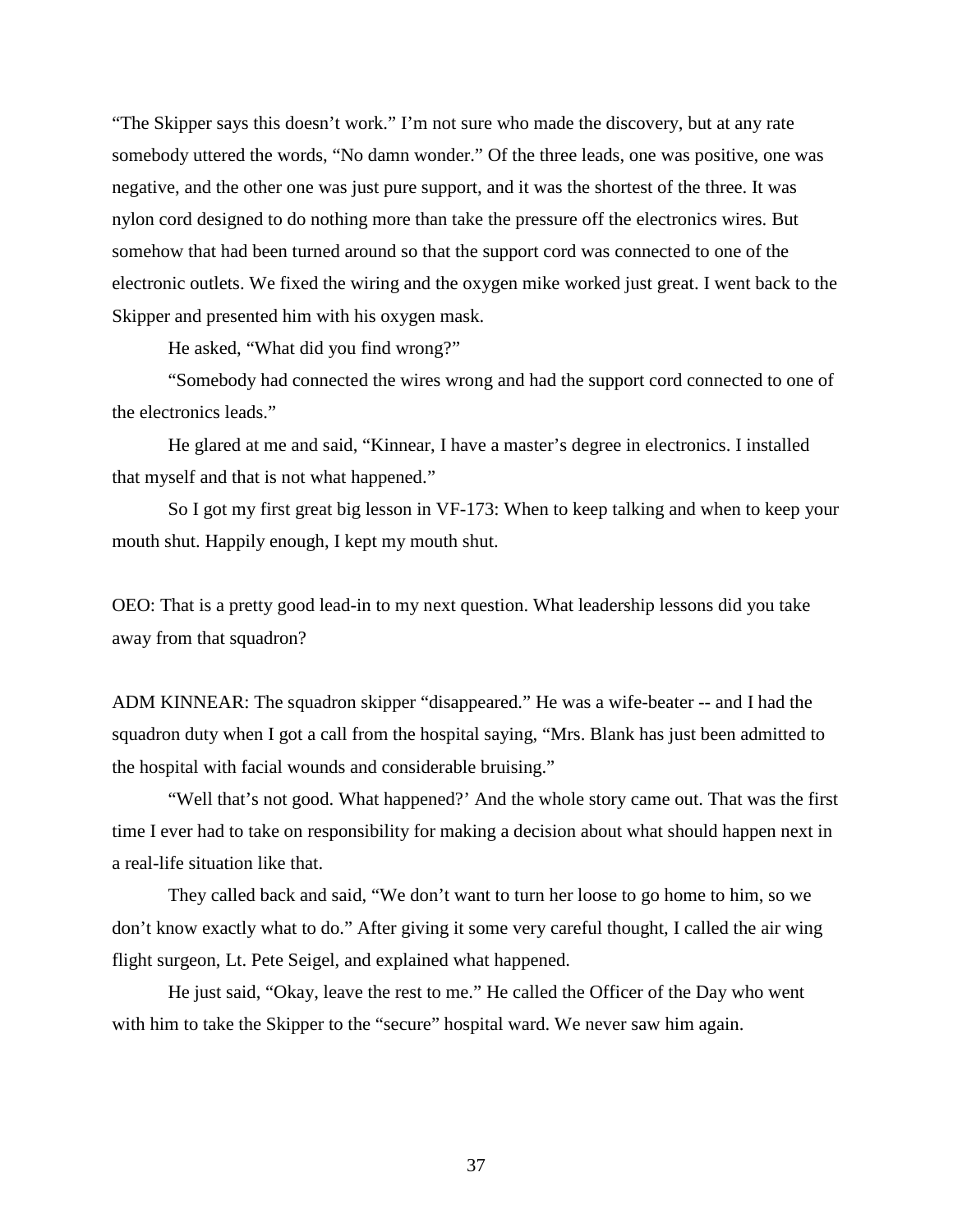"The Skipper says this doesn't work." I'm not sure who made the discovery, but at any rate somebody uttered the words, "No damn wonder." Of the three leads, one was positive, one was negative, and the other one was just pure support, and it was the shortest of the three. It was nylon cord designed to do nothing more than take the pressure off the electronics wires. But somehow that had been turned around so that the support cord was connected to one of the electronic outlets. We fixed the wiring and the oxygen mike worked just great. I went back to the Skipper and presented him with his oxygen mask.

He asked, "What did you find wrong?"

"Somebody had connected the wires wrong and had the support cord connected to one of the electronics leads."

He glared at me and said, "Kinnear, I have a master's degree in electronics. I installed that myself and that is not what happened."

So I got my first great big lesson in VF-173: When to keep talking and when to keep your mouth shut. Happily enough, I kept my mouth shut.

OEO: That is a pretty good lead-in to my next question. What leadership lessons did you take away from that squadron?

ADM KINNEAR: The squadron skipper "disappeared." He was a wife-beater -- and I had the squadron duty when I got a call from the hospital saying, "Mrs. Blank has just been admitted to the hospital with facial wounds and considerable bruising."

"Well that's not good. What happened?' And the whole story came out. That was the first time I ever had to take on responsibility for making a decision about what should happen next in a real-life situation like that.

They called back and said, "We don't want to turn her loose to go home to him, so we don't know exactly what to do." After giving it some very careful thought, I called the air wing flight surgeon, Lt. Pete Seigel, and explained what happened.

He just said, "Okay, leave the rest to me." He called the Officer of the Day who went with him to take the Skipper to the "secure" hospital ward. We never saw him again.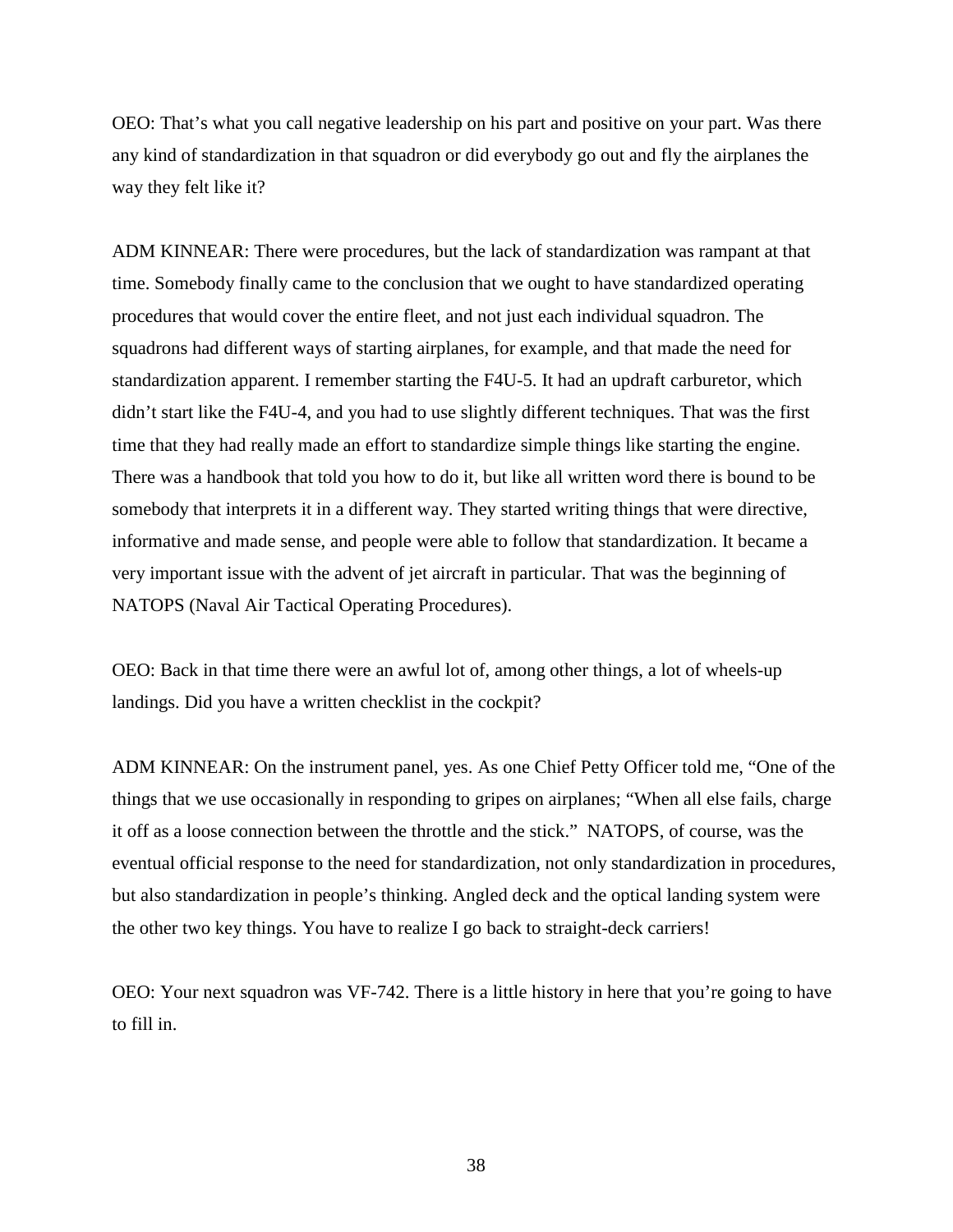OEO: That's what you call negative leadership on his part and positive on your part. Was there any kind of standardization in that squadron or did everybody go out and fly the airplanes the way they felt like it?

ADM KINNEAR: There were procedures, but the lack of standardization was rampant at that time. Somebody finally came to the conclusion that we ought to have standardized operating procedures that would cover the entire fleet, and not just each individual squadron. The squadrons had different ways of starting airplanes, for example, and that made the need for standardization apparent. I remember starting the F4U-5. It had an updraft carburetor, which didn't start like the F4U-4, and you had to use slightly different techniques. That was the first time that they had really made an effort to standardize simple things like starting the engine. There was a handbook that told you how to do it, but like all written word there is bound to be somebody that interprets it in a different way. They started writing things that were directive, informative and made sense, and people were able to follow that standardization. It became a very important issue with the advent of jet aircraft in particular. That was the beginning of NATOPS (Naval Air Tactical Operating Procedures).

OEO: Back in that time there were an awful lot of, among other things, a lot of wheels-up landings. Did you have a written checklist in the cockpit?

ADM KINNEAR: On the instrument panel, yes. As one Chief Petty Officer told me, "One of the things that we use occasionally in responding to gripes on airplanes; "When all else fails, charge it off as a loose connection between the throttle and the stick." NATOPS, of course, was the eventual official response to the need for standardization, not only standardization in procedures, but also standardization in people's thinking. Angled deck and the optical landing system were the other two key things. You have to realize I go back to straight-deck carriers!

OEO: Your next squadron was VF-742. There is a little history in here that you're going to have to fill in.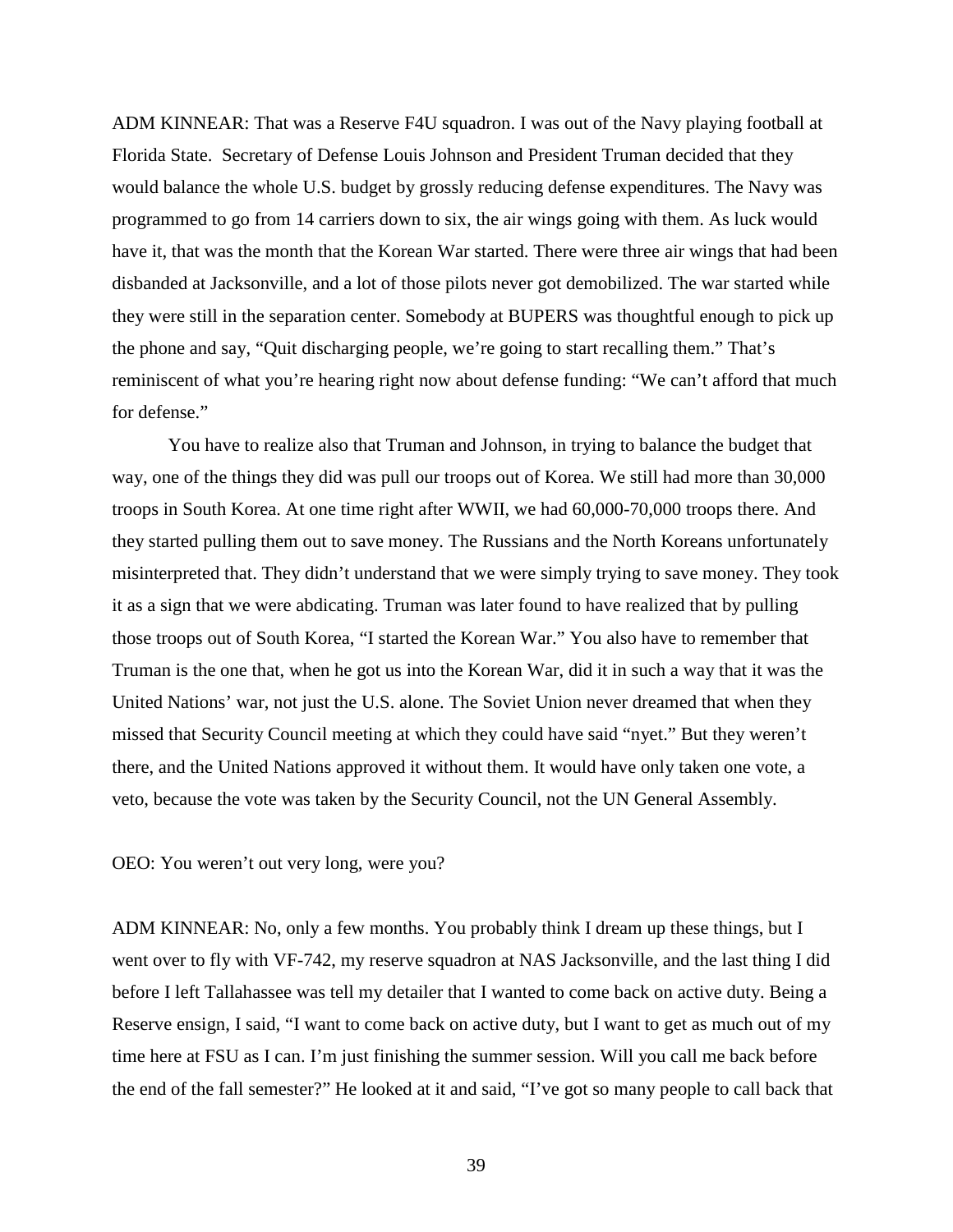ADM KINNEAR: That was a Reserve F4U squadron. I was out of the Navy playing football at Florida State. Secretary of Defense Louis Johnson and President Truman decided that they would balance the whole U.S. budget by grossly reducing defense expenditures. The Navy was programmed to go from 14 carriers down to six, the air wings going with them. As luck would have it, that was the month that the Korean War started. There were three air wings that had been disbanded at Jacksonville, and a lot of those pilots never got demobilized. The war started while they were still in the separation center. Somebody at BUPERS was thoughtful enough to pick up the phone and say, "Quit discharging people, we're going to start recalling them." That's reminiscent of what you're hearing right now about defense funding: "We can't afford that much for defense."

You have to realize also that Truman and Johnson, in trying to balance the budget that way, one of the things they did was pull our troops out of Korea. We still had more than 30,000 troops in South Korea. At one time right after WWII, we had 60,000-70,000 troops there. And they started pulling them out to save money. The Russians and the North Koreans unfortunately misinterpreted that. They didn't understand that we were simply trying to save money. They took it as a sign that we were abdicating. Truman was later found to have realized that by pulling those troops out of South Korea, "I started the Korean War." You also have to remember that Truman is the one that, when he got us into the Korean War, did it in such a way that it was the United Nations' war, not just the U.S. alone. The Soviet Union never dreamed that when they missed that Security Council meeting at which they could have said "nyet." But they weren't there, and the United Nations approved it without them. It would have only taken one vote, a veto, because the vote was taken by the Security Council, not the UN General Assembly.

OEO: You weren't out very long, were you?

ADM KINNEAR: No, only a few months. You probably think I dream up these things, but I went over to fly with VF-742, my reserve squadron at NAS Jacksonville, and the last thing I did before I left Tallahassee was tell my detailer that I wanted to come back on active duty. Being a Reserve ensign, I said, "I want to come back on active duty, but I want to get as much out of my time here at FSU as I can. I'm just finishing the summer session. Will you call me back before the end of the fall semester?" He looked at it and said, "I've got so many people to call back that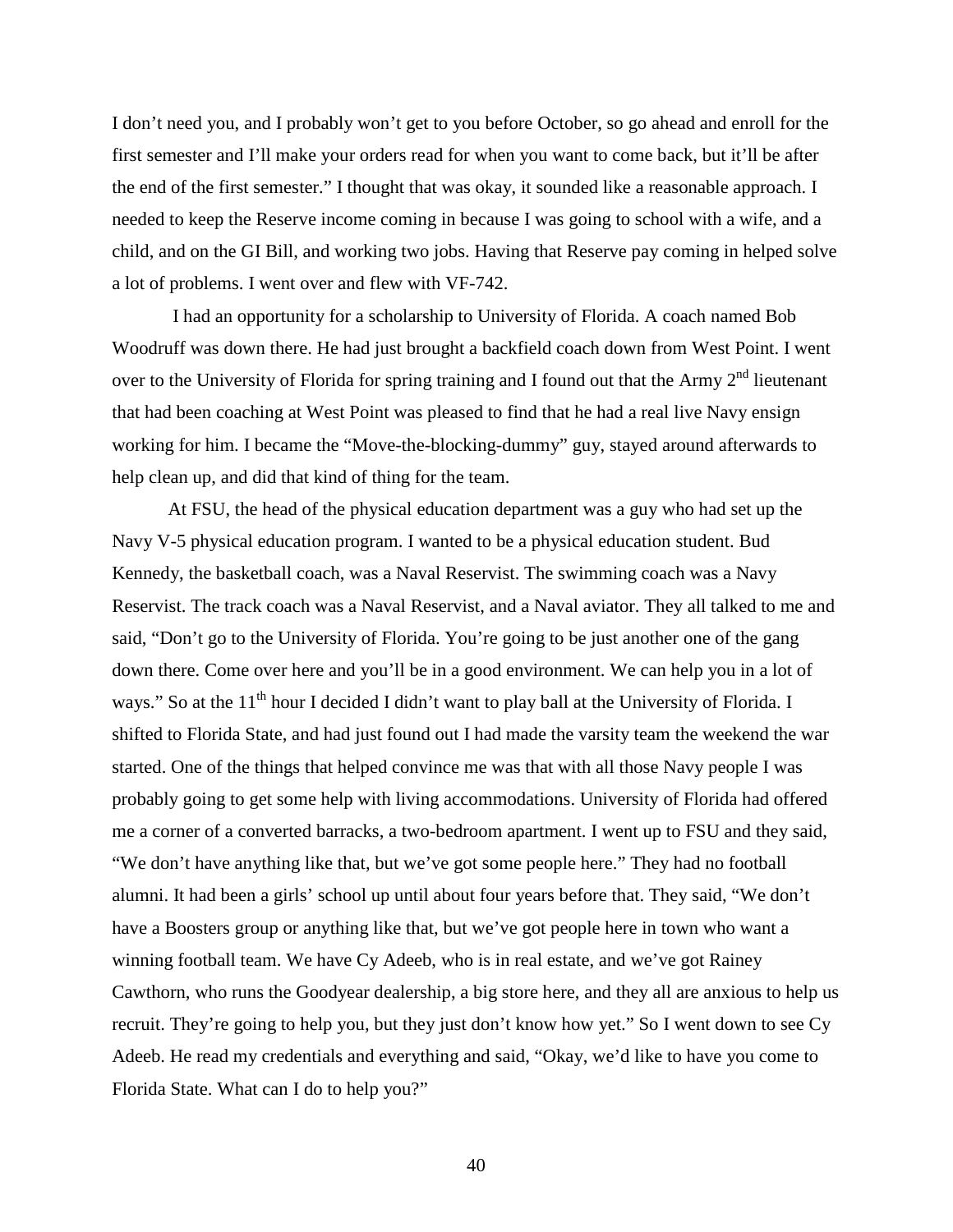I don't need you, and I probably won't get to you before October, so go ahead and enroll for the first semester and I'll make your orders read for when you want to come back, but it'll be after the end of the first semester." I thought that was okay, it sounded like a reasonable approach. I needed to keep the Reserve income coming in because I was going to school with a wife, and a child, and on the GI Bill, and working two jobs. Having that Reserve pay coming in helped solve a lot of problems. I went over and flew with VF-742.

I had an opportunity for a scholarship to University of Florida. A coach named Bob Woodruff was down there. He had just brought a backfield coach down from West Point. I went over to the University of Florida for spring training and I found out that the Army  $2<sup>nd</sup>$  lieutenant that had been coaching at West Point was pleased to find that he had a real live Navy ensign working for him. I became the "Move-the-blocking-dummy" guy, stayed around afterwards to help clean up, and did that kind of thing for the team.

At FSU, the head of the physical education department was a guy who had set up the Navy V-5 physical education program. I wanted to be a physical education student. Bud Kennedy, the basketball coach, was a Naval Reservist. The swimming coach was a Navy Reservist. The track coach was a Naval Reservist, and a Naval aviator. They all talked to me and said, "Don't go to the University of Florida. You're going to be just another one of the gang down there. Come over here and you'll be in a good environment. We can help you in a lot of ways." So at the 11<sup>th</sup> hour I decided I didn't want to play ball at the University of Florida. I shifted to Florida State, and had just found out I had made the varsity team the weekend the war started. One of the things that helped convince me was that with all those Navy people I was probably going to get some help with living accommodations. University of Florida had offered me a corner of a converted barracks, a two-bedroom apartment. I went up to FSU and they said, "We don't have anything like that, but we've got some people here." They had no football alumni. It had been a girls' school up until about four years before that. They said, "We don't have a Boosters group or anything like that, but we've got people here in town who want a winning football team. We have Cy Adeeb, who is in real estate, and we've got Rainey Cawthorn, who runs the Goodyear dealership, a big store here, and they all are anxious to help us recruit. They're going to help you, but they just don't know how yet." So I went down to see Cy Adeeb. He read my credentials and everything and said, "Okay, we'd like to have you come to Florida State. What can I do to help you?"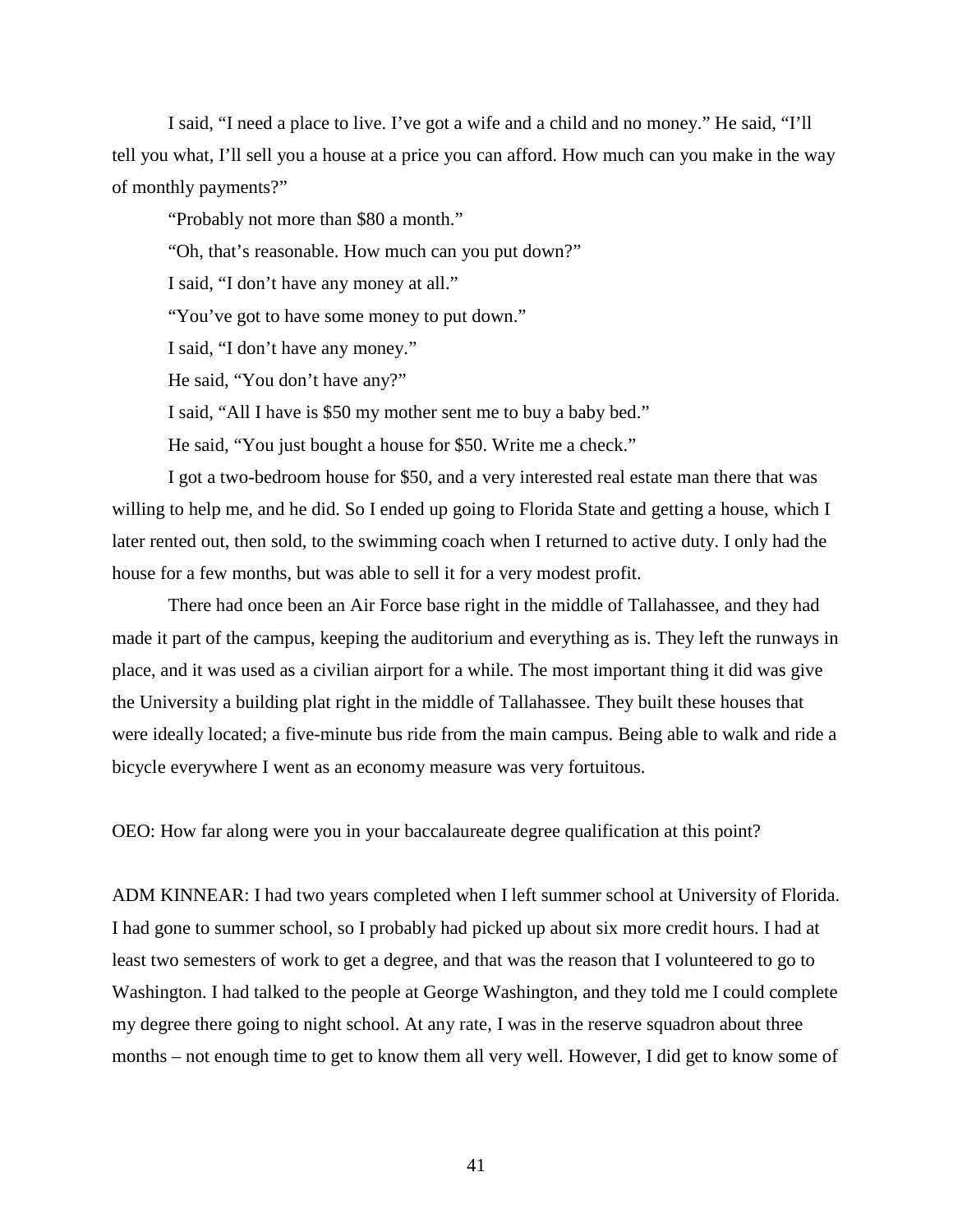I said, "I need a place to live. I've got a wife and a child and no money." He said, "I'll tell you what, I'll sell you a house at a price you can afford. How much can you make in the way of monthly payments?"

"Probably not more than \$80 a month."

"Oh, that's reasonable. How much can you put down?"

I said, "I don't have any money at all."

"You've got to have some money to put down."

I said, "I don't have any money."

He said, "You don't have any?"

I said, "All I have is \$50 my mother sent me to buy a baby bed."

He said, "You just bought a house for \$50. Write me a check."

I got a two-bedroom house for \$50, and a very interested real estate man there that was willing to help me, and he did. So I ended up going to Florida State and getting a house, which I later rented out, then sold, to the swimming coach when I returned to active duty. I only had the house for a few months, but was able to sell it for a very modest profit.

There had once been an Air Force base right in the middle of Tallahassee, and they had made it part of the campus, keeping the auditorium and everything as is. They left the runways in place, and it was used as a civilian airport for a while. The most important thing it did was give the University a building plat right in the middle of Tallahassee. They built these houses that were ideally located; a five-minute bus ride from the main campus. Being able to walk and ride a bicycle everywhere I went as an economy measure was very fortuitous.

OEO: How far along were you in your baccalaureate degree qualification at this point?

ADM KINNEAR: I had two years completed when I left summer school at University of Florida. I had gone to summer school, so I probably had picked up about six more credit hours. I had at least two semesters of work to get a degree, and that was the reason that I volunteered to go to Washington. I had talked to the people at George Washington, and they told me I could complete my degree there going to night school. At any rate, I was in the reserve squadron about three months – not enough time to get to know them all very well. However, I did get to know some of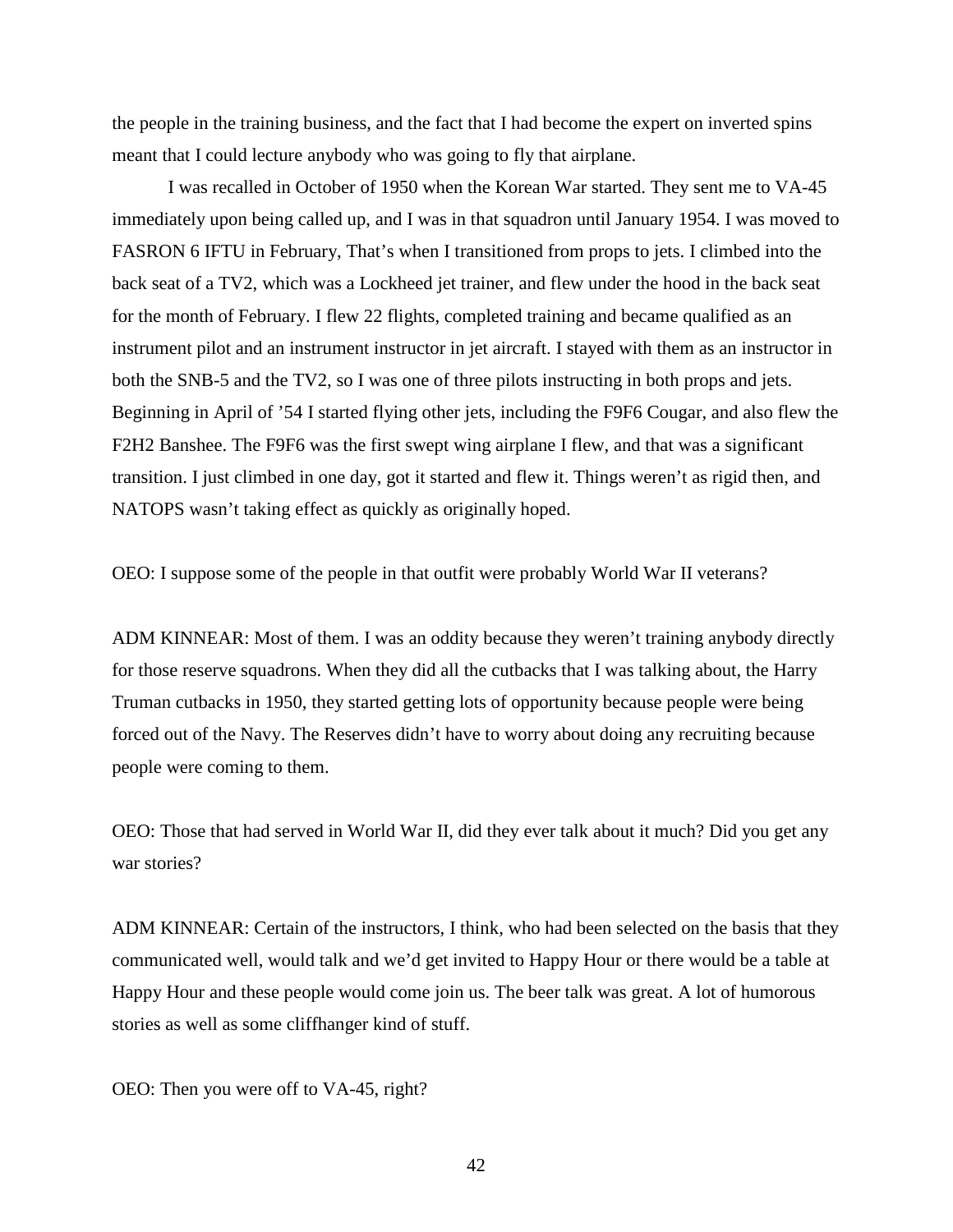the people in the training business, and the fact that I had become the expert on inverted spins meant that I could lecture anybody who was going to fly that airplane.

I was recalled in October of 1950 when the Korean War started. They sent me to VA-45 immediately upon being called up, and I was in that squadron until January 1954. I was moved to FASRON 6 IFTU in February, That's when I transitioned from props to jets. I climbed into the back seat of a TV2, which was a Lockheed jet trainer, and flew under the hood in the back seat for the month of February. I flew 22 flights, completed training and became qualified as an instrument pilot and an instrument instructor in jet aircraft. I stayed with them as an instructor in both the SNB-5 and the TV2, so I was one of three pilots instructing in both props and jets. Beginning in April of '54 I started flying other jets, including the F9F6 Cougar, and also flew the F2H2 Banshee. The F9F6 was the first swept wing airplane I flew, and that was a significant transition. I just climbed in one day, got it started and flew it. Things weren't as rigid then, and NATOPS wasn't taking effect as quickly as originally hoped.

OEO: I suppose some of the people in that outfit were probably World War II veterans?

ADM KINNEAR: Most of them. I was an oddity because they weren't training anybody directly for those reserve squadrons. When they did all the cutbacks that I was talking about, the Harry Truman cutbacks in 1950, they started getting lots of opportunity because people were being forced out of the Navy. The Reserves didn't have to worry about doing any recruiting because people were coming to them.

OEO: Those that had served in World War II, did they ever talk about it much? Did you get any war stories?

ADM KINNEAR: Certain of the instructors, I think, who had been selected on the basis that they communicated well, would talk and we'd get invited to Happy Hour or there would be a table at Happy Hour and these people would come join us. The beer talk was great. A lot of humorous stories as well as some cliffhanger kind of stuff.

OEO: Then you were off to VA-45, right?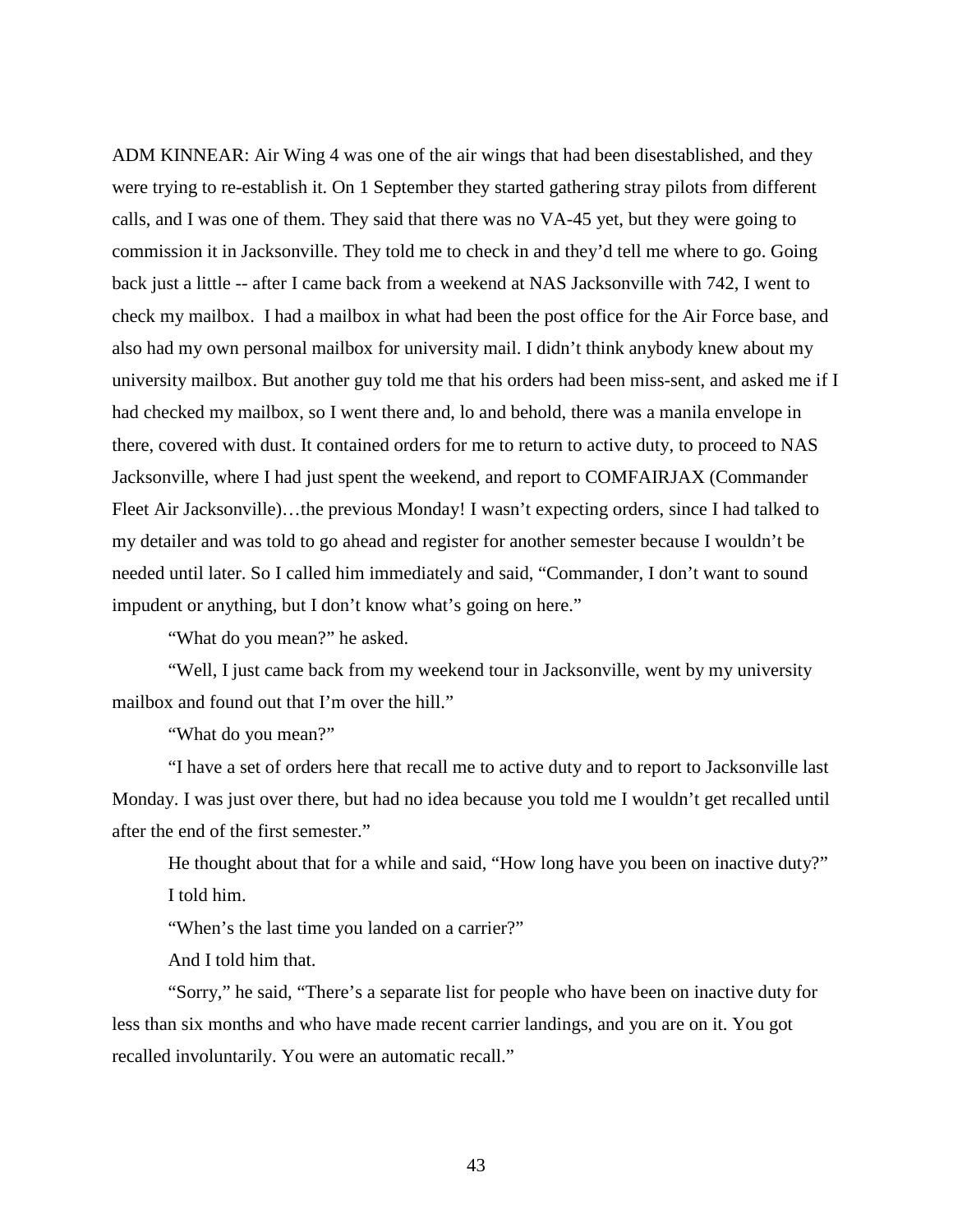ADM KINNEAR: Air Wing 4 was one of the air wings that had been disestablished, and they were trying to re-establish it. On 1 September they started gathering stray pilots from different calls, and I was one of them. They said that there was no VA-45 yet, but they were going to commission it in Jacksonville. They told me to check in and they'd tell me where to go. Going back just a little -- after I came back from a weekend at NAS Jacksonville with 742, I went to check my mailbox. I had a mailbox in what had been the post office for the Air Force base, and also had my own personal mailbox for university mail. I didn't think anybody knew about my university mailbox. But another guy told me that his orders had been miss-sent, and asked me if I had checked my mailbox, so I went there and, lo and behold, there was a manila envelope in there, covered with dust. It contained orders for me to return to active duty, to proceed to NAS Jacksonville, where I had just spent the weekend, and report to COMFAIRJAX (Commander Fleet Air Jacksonville)…the previous Monday! I wasn't expecting orders, since I had talked to my detailer and was told to go ahead and register for another semester because I wouldn't be needed until later. So I called him immediately and said, "Commander, I don't want to sound impudent or anything, but I don't know what's going on here."

"What do you mean?" he asked.

"Well, I just came back from my weekend tour in Jacksonville, went by my university mailbox and found out that I'm over the hill."

"What do you mean?"

"I have a set of orders here that recall me to active duty and to report to Jacksonville last Monday. I was just over there, but had no idea because you told me I wouldn't get recalled until after the end of the first semester."

He thought about that for a while and said, "How long have you been on inactive duty?" I told him.

"When's the last time you landed on a carrier?"

And I told him that.

"Sorry," he said, "There's a separate list for people who have been on inactive duty for less than six months and who have made recent carrier landings, and you are on it. You got recalled involuntarily. You were an automatic recall."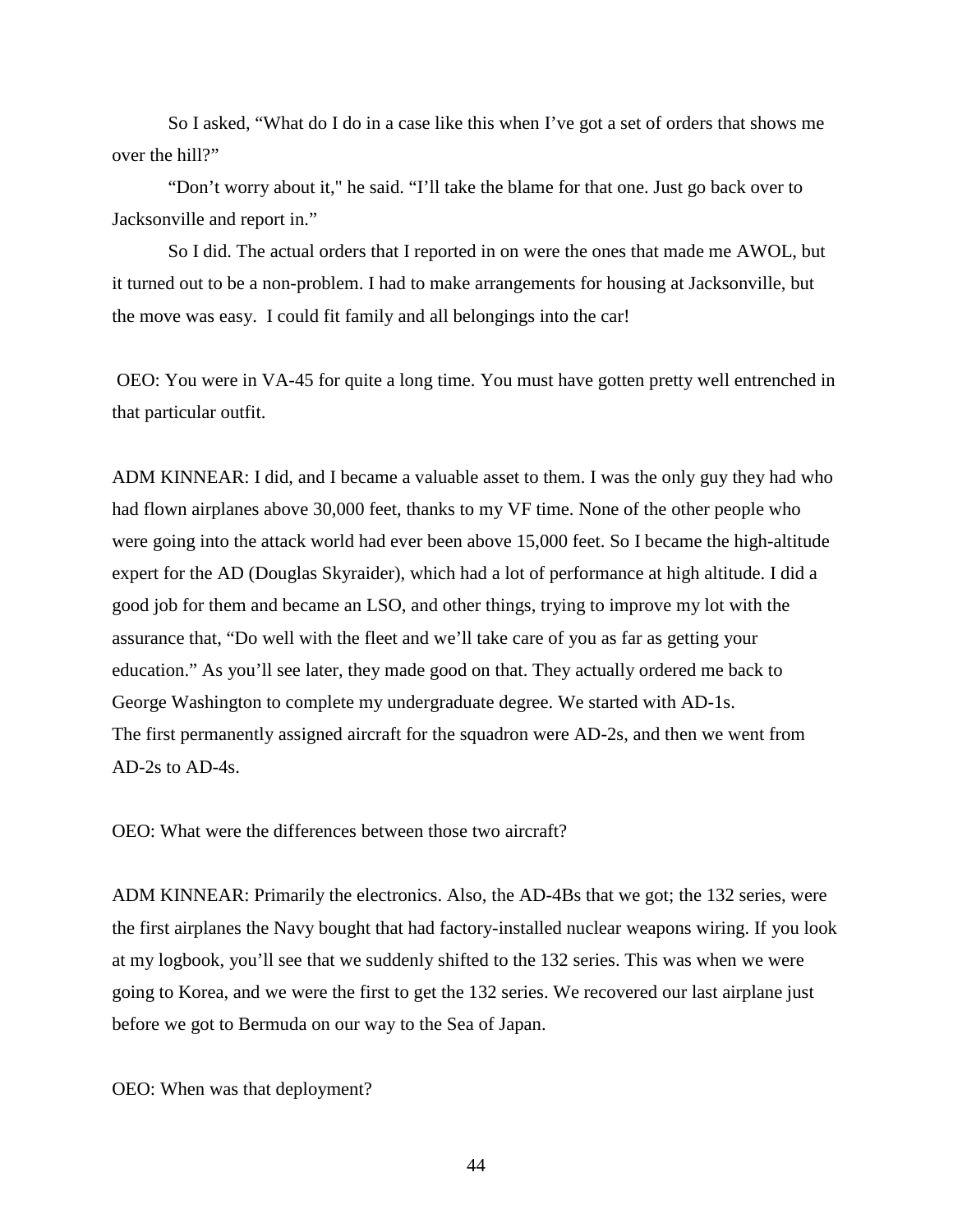So I asked, "What do I do in a case like this when I've got a set of orders that shows me over the hill?"

"Don't worry about it," he said. "I'll take the blame for that one. Just go back over to Jacksonville and report in."

So I did. The actual orders that I reported in on were the ones that made me AWOL, but it turned out to be a non-problem. I had to make arrangements for housing at Jacksonville, but the move was easy. I could fit family and all belongings into the car!

OEO: You were in VA-45 for quite a long time. You must have gotten pretty well entrenched in that particular outfit.

ADM KINNEAR: I did, and I became a valuable asset to them. I was the only guy they had who had flown airplanes above 30,000 feet, thanks to my VF time. None of the other people who were going into the attack world had ever been above 15,000 feet. So I became the high-altitude expert for the AD (Douglas Skyraider), which had a lot of performance at high altitude. I did a good job for them and became an LSO, and other things, trying to improve my lot with the assurance that, "Do well with the fleet and we'll take care of you as far as getting your education." As you'll see later, they made good on that. They actually ordered me back to George Washington to complete my undergraduate degree. We started with AD-1s. The first permanently assigned aircraft for the squadron were AD-2s, and then we went from AD-2s to AD-4s.

OEO: What were the differences between those two aircraft?

ADM KINNEAR: Primarily the electronics. Also, the AD-4Bs that we got; the 132 series, were the first airplanes the Navy bought that had factory-installed nuclear weapons wiring. If you look at my logbook, you'll see that we suddenly shifted to the 132 series. This was when we were going to Korea, and we were the first to get the 132 series. We recovered our last airplane just before we got to Bermuda on our way to the Sea of Japan.

OEO: When was that deployment?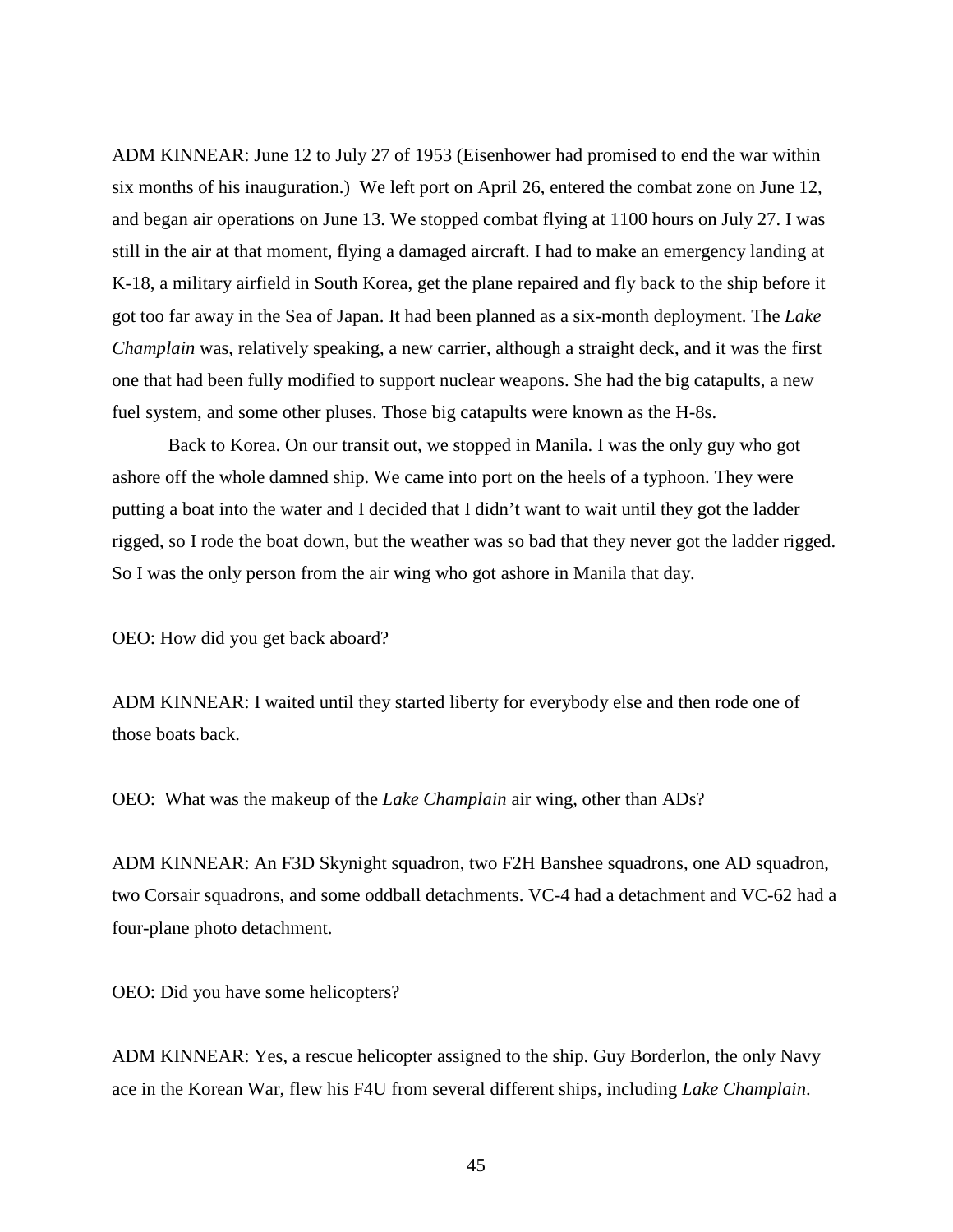ADM KINNEAR: June 12 to July 27 of 1953 (Eisenhower had promised to end the war within six months of his inauguration.) We left port on April 26, entered the combat zone on June 12, and began air operations on June 13. We stopped combat flying at 1100 hours on July 27. I was still in the air at that moment, flying a damaged aircraft. I had to make an emergency landing at K-18, a military airfield in South Korea, get the plane repaired and fly back to the ship before it got too far away in the Sea of Japan. It had been planned as a six-month deployment. The *Lake Champlain* was, relatively speaking, a new carrier, although a straight deck, and it was the first one that had been fully modified to support nuclear weapons. She had the big catapults, a new fuel system, and some other pluses. Those big catapults were known as the H-8s.

Back to Korea. On our transit out, we stopped in Manila. I was the only guy who got ashore off the whole damned ship. We came into port on the heels of a typhoon. They were putting a boat into the water and I decided that I didn't want to wait until they got the ladder rigged, so I rode the boat down, but the weather was so bad that they never got the ladder rigged. So I was the only person from the air wing who got ashore in Manila that day.

OEO: How did you get back aboard?

ADM KINNEAR: I waited until they started liberty for everybody else and then rode one of those boats back.

OEO: What was the makeup of the *Lake Champlain* air wing, other than ADs?

ADM KINNEAR: An F3D Skynight squadron, two F2H Banshee squadrons, one AD squadron, two Corsair squadrons, and some oddball detachments. VC-4 had a detachment and VC-62 had a four-plane photo detachment.

OEO: Did you have some helicopters?

ADM KINNEAR: Yes, a rescue helicopter assigned to the ship. Guy Borderlon, the only Navy ace in the Korean War, flew his F4U from several different ships, including *Lake Champlain*.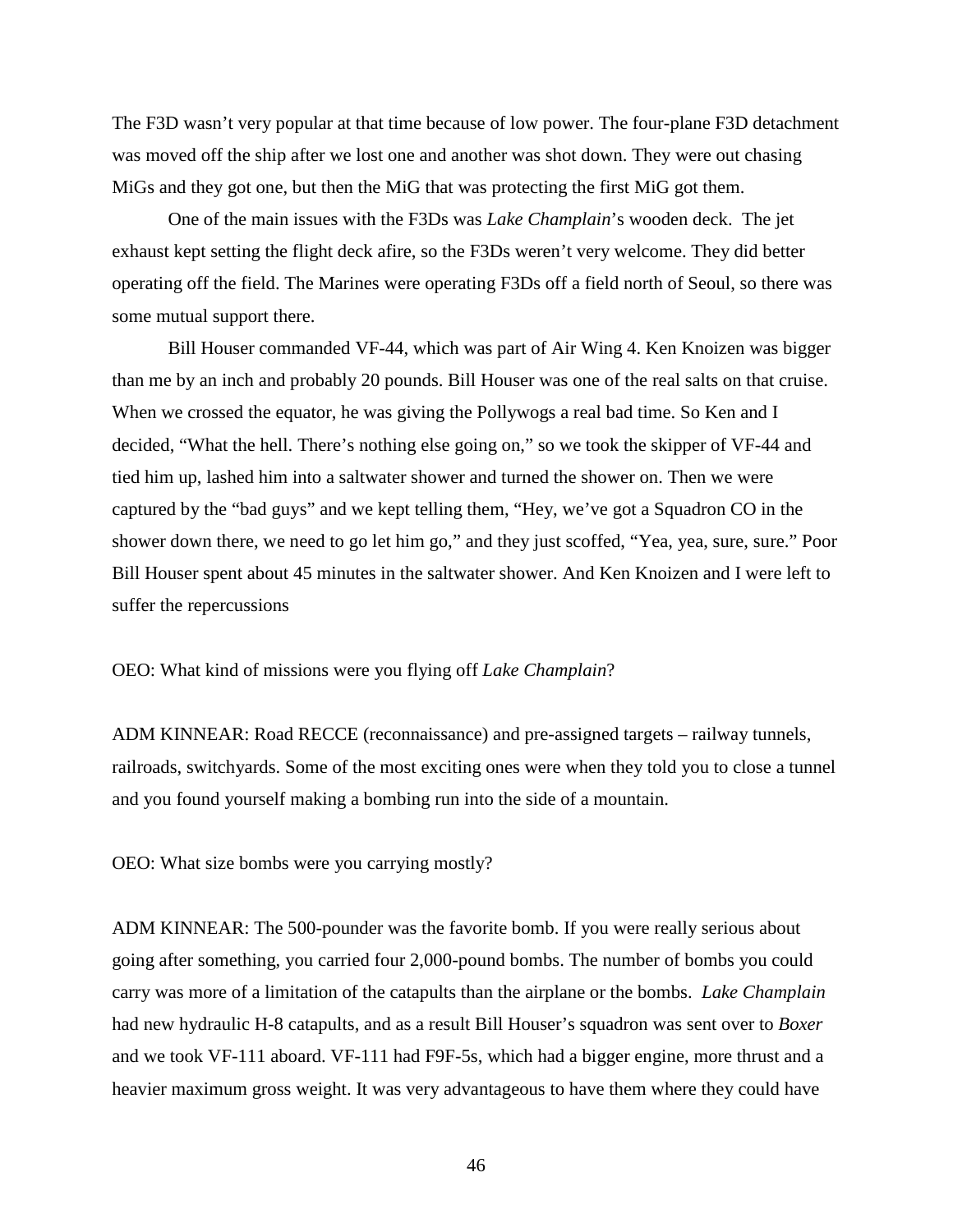The F3D wasn't very popular at that time because of low power. The four-plane F3D detachment was moved off the ship after we lost one and another was shot down. They were out chasing MiGs and they got one, but then the MiG that was protecting the first MiG got them.

One of the main issues with the F3Ds was *Lake Champlain*'s wooden deck. The jet exhaust kept setting the flight deck afire, so the F3Ds weren't very welcome. They did better operating off the field. The Marines were operating F3Ds off a field north of Seoul, so there was some mutual support there.

Bill Houser commanded VF-44, which was part of Air Wing 4. Ken Knoizen was bigger than me by an inch and probably 20 pounds. Bill Houser was one of the real salts on that cruise. When we crossed the equator, he was giving the Pollywogs a real bad time. So Ken and I decided, "What the hell. There's nothing else going on," so we took the skipper of VF-44 and tied him up, lashed him into a saltwater shower and turned the shower on. Then we were captured by the "bad guys" and we kept telling them, "Hey, we've got a Squadron CO in the shower down there, we need to go let him go," and they just scoffed, "Yea, yea, sure, sure." Poor Bill Houser spent about 45 minutes in the saltwater shower. And Ken Knoizen and I were left to suffer the repercussions

OEO: What kind of missions were you flying off *Lake Champlain*?

ADM KINNEAR: Road RECCE (reconnaissance) and pre-assigned targets – railway tunnels, railroads, switchyards. Some of the most exciting ones were when they told you to close a tunnel and you found yourself making a bombing run into the side of a mountain.

OEO: What size bombs were you carrying mostly?

ADM KINNEAR: The 500-pounder was the favorite bomb. If you were really serious about going after something, you carried four 2,000-pound bombs. The number of bombs you could carry was more of a limitation of the catapults than the airplane or the bombs. *Lake Champlain* had new hydraulic H-8 catapults, and as a result Bill Houser's squadron was sent over to *Boxer* and we took VF-111 aboard. VF-111 had F9F-5s, which had a bigger engine, more thrust and a heavier maximum gross weight. It was very advantageous to have them where they could have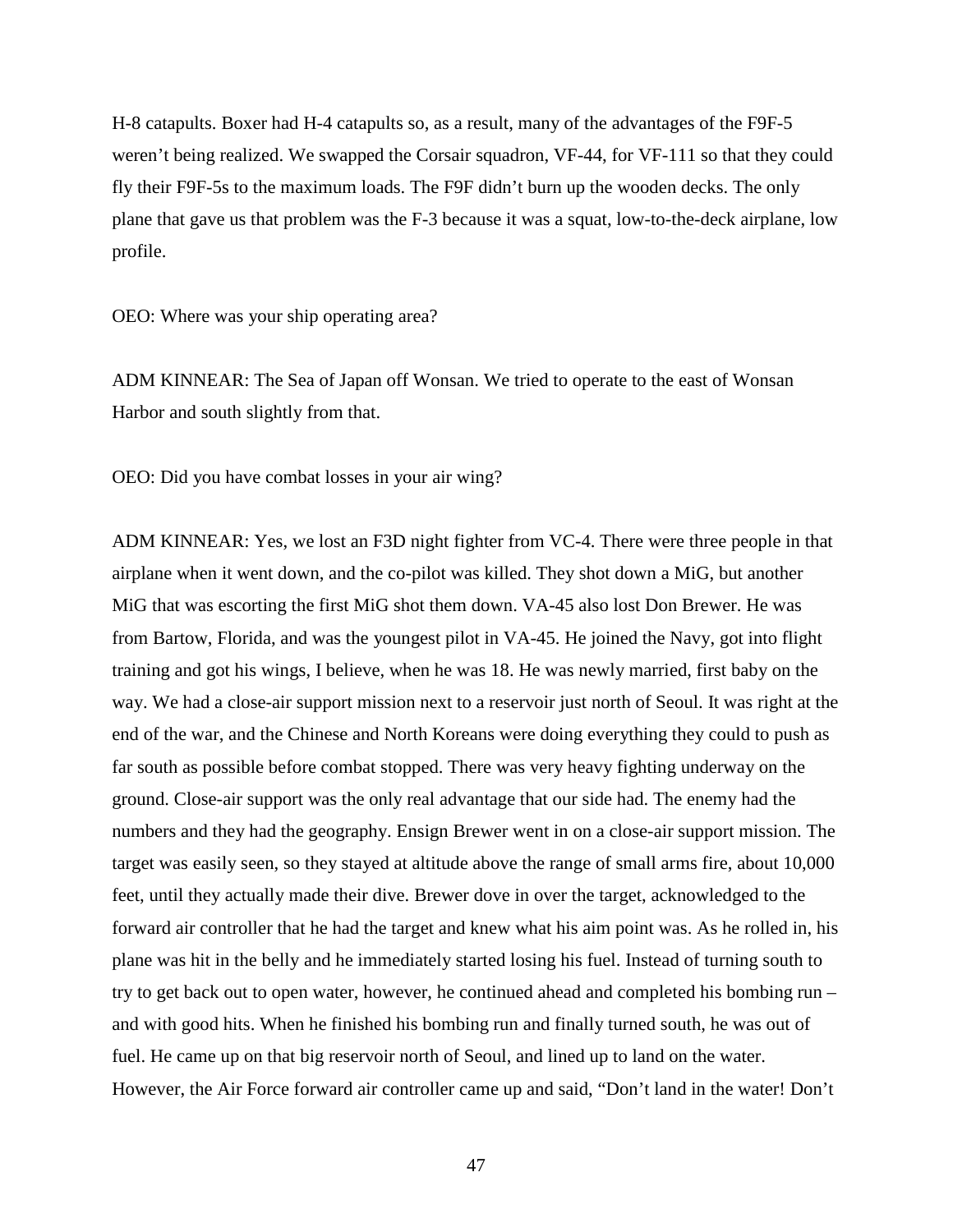H-8 catapults. Boxer had H-4 catapults so, as a result, many of the advantages of the F9F-5 weren't being realized. We swapped the Corsair squadron, VF-44, for VF-111 so that they could fly their F9F-5s to the maximum loads. The F9F didn't burn up the wooden decks. The only plane that gave us that problem was the F-3 because it was a squat, low-to-the-deck airplane, low profile.

OEO: Where was your ship operating area?

ADM KINNEAR: The Sea of Japan off Wonsan. We tried to operate to the east of Wonsan Harbor and south slightly from that.

OEO: Did you have combat losses in your air wing?

ADM KINNEAR: Yes, we lost an F3D night fighter from VC-4. There were three people in that airplane when it went down, and the co-pilot was killed. They shot down a MiG, but another MiG that was escorting the first MiG shot them down. VA-45 also lost Don Brewer. He was from Bartow, Florida, and was the youngest pilot in VA-45. He joined the Navy, got into flight training and got his wings, I believe, when he was 18. He was newly married, first baby on the way. We had a close-air support mission next to a reservoir just north of Seoul. It was right at the end of the war, and the Chinese and North Koreans were doing everything they could to push as far south as possible before combat stopped. There was very heavy fighting underway on the ground. Close-air support was the only real advantage that our side had. The enemy had the numbers and they had the geography. Ensign Brewer went in on a close-air support mission. The target was easily seen, so they stayed at altitude above the range of small arms fire, about 10,000 feet, until they actually made their dive. Brewer dove in over the target, acknowledged to the forward air controller that he had the target and knew what his aim point was. As he rolled in, his plane was hit in the belly and he immediately started losing his fuel. Instead of turning south to try to get back out to open water, however, he continued ahead and completed his bombing run – and with good hits. When he finished his bombing run and finally turned south, he was out of fuel. He came up on that big reservoir north of Seoul, and lined up to land on the water. However, the Air Force forward air controller came up and said, "Don't land in the water! Don't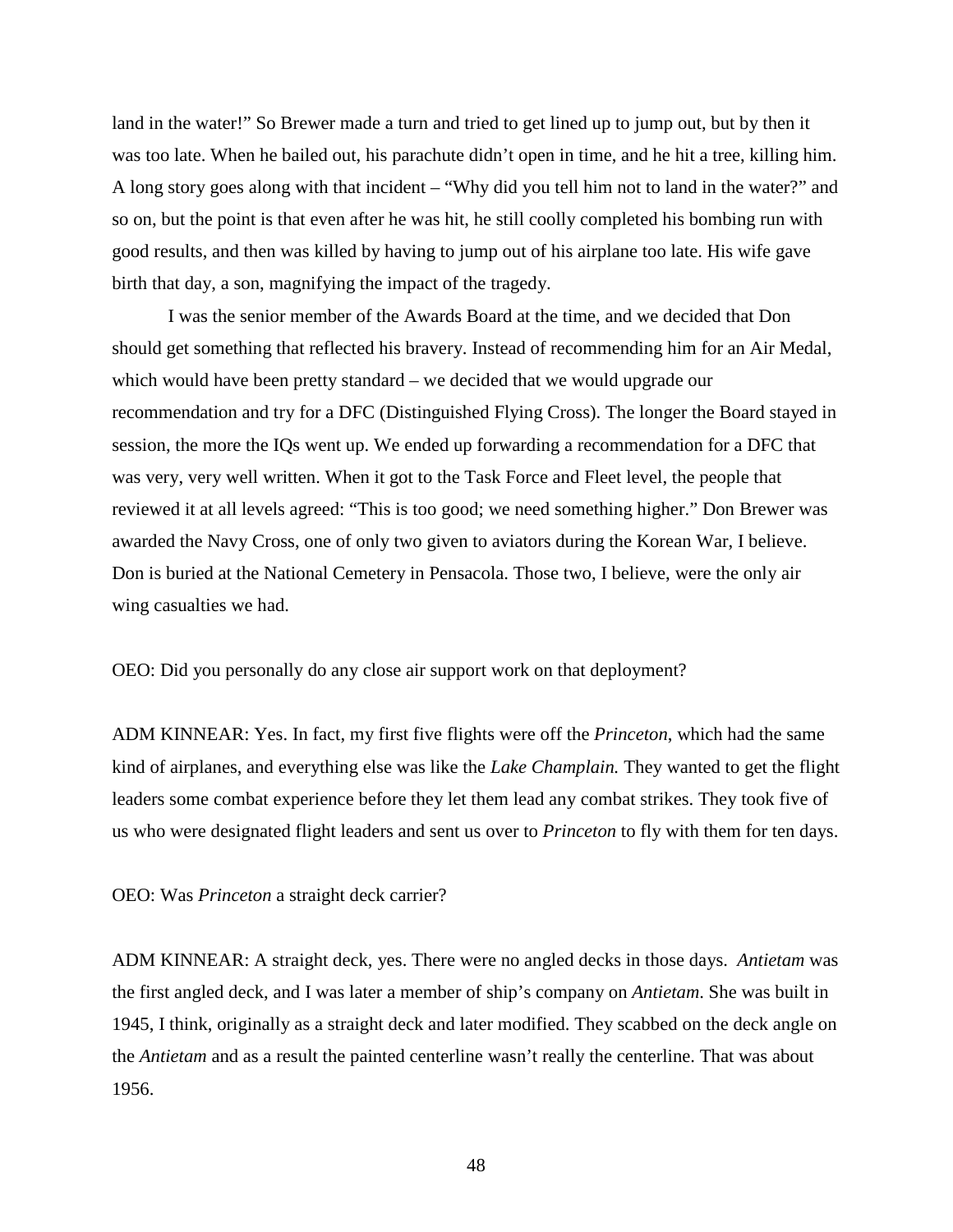land in the water!" So Brewer made a turn and tried to get lined up to jump out, but by then it was too late. When he bailed out, his parachute didn't open in time, and he hit a tree, killing him. A long story goes along with that incident – "Why did you tell him not to land in the water?" and so on, but the point is that even after he was hit, he still coolly completed his bombing run with good results, and then was killed by having to jump out of his airplane too late. His wife gave birth that day, a son, magnifying the impact of the tragedy.

I was the senior member of the Awards Board at the time, and we decided that Don should get something that reflected his bravery. Instead of recommending him for an Air Medal, which would have been pretty standard – we decided that we would upgrade our recommendation and try for a DFC (Distinguished Flying Cross). The longer the Board stayed in session, the more the IQs went up. We ended up forwarding a recommendation for a DFC that was very, very well written. When it got to the Task Force and Fleet level, the people that reviewed it at all levels agreed: "This is too good; we need something higher." Don Brewer was awarded the Navy Cross, one of only two given to aviators during the Korean War, I believe. Don is buried at the National Cemetery in Pensacola. Those two, I believe, were the only air wing casualties we had.

OEO: Did you personally do any close air support work on that deployment?

ADM KINNEAR: Yes. In fact, my first five flights were off the *Princeton*, which had the same kind of airplanes, and everything else was like the *Lake Champlain.* They wanted to get the flight leaders some combat experience before they let them lead any combat strikes. They took five of us who were designated flight leaders and sent us over to *Princeton* to fly with them for ten days.

OEO: Was *Princeton* a straight deck carrier?

ADM KINNEAR: A straight deck, yes. There were no angled decks in those days. *Antietam* was the first angled deck, and I was later a member of ship's company on *Antietam*. She was built in 1945, I think, originally as a straight deck and later modified. They scabbed on the deck angle on the *Antietam* and as a result the painted centerline wasn't really the centerline. That was about 1956.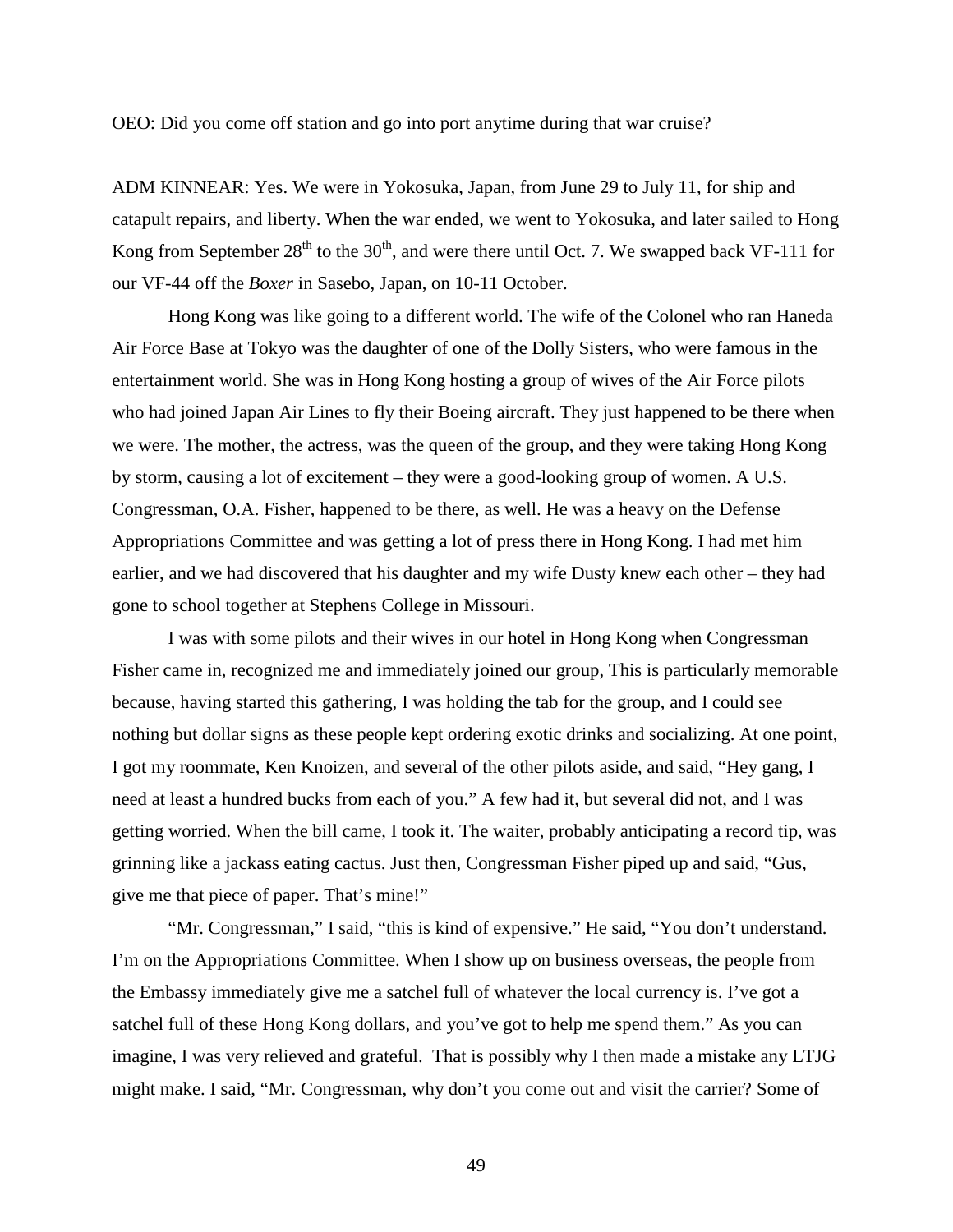OEO: Did you come off station and go into port anytime during that war cruise?

ADM KINNEAR: Yes. We were in Yokosuka, Japan, from June 29 to July 11, for ship and catapult repairs, and liberty. When the war ended, we went to Yokosuka, and later sailed to Hong Kong from September  $28<sup>th</sup>$  to the  $30<sup>th</sup>$ , and were there until Oct. 7. We swapped back VF-111 for our VF-44 off the *Boxer* in Sasebo, Japan, on 10-11 October.

Hong Kong was like going to a different world. The wife of the Colonel who ran Haneda Air Force Base at Tokyo was the daughter of one of the Dolly Sisters, who were famous in the entertainment world. She was in Hong Kong hosting a group of wives of the Air Force pilots who had joined Japan Air Lines to fly their Boeing aircraft. They just happened to be there when we were. The mother, the actress, was the queen of the group, and they were taking Hong Kong by storm, causing a lot of excitement – they were a good-looking group of women. A U.S. Congressman, O.A. Fisher, happened to be there, as well. He was a heavy on the Defense Appropriations Committee and was getting a lot of press there in Hong Kong. I had met him earlier, and we had discovered that his daughter and my wife Dusty knew each other – they had gone to school together at Stephens College in Missouri.

I was with some pilots and their wives in our hotel in Hong Kong when Congressman Fisher came in, recognized me and immediately joined our group, This is particularly memorable because, having started this gathering, I was holding the tab for the group, and I could see nothing but dollar signs as these people kept ordering exotic drinks and socializing. At one point, I got my roommate, Ken Knoizen, and several of the other pilots aside, and said, "Hey gang, I need at least a hundred bucks from each of you." A few had it, but several did not, and I was getting worried. When the bill came, I took it. The waiter, probably anticipating a record tip, was grinning like a jackass eating cactus. Just then, Congressman Fisher piped up and said, "Gus, give me that piece of paper. That's mine!"

"Mr. Congressman," I said, "this is kind of expensive." He said, "You don't understand. I'm on the Appropriations Committee. When I show up on business overseas, the people from the Embassy immediately give me a satchel full of whatever the local currency is. I've got a satchel full of these Hong Kong dollars, and you've got to help me spend them." As you can imagine, I was very relieved and grateful. That is possibly why I then made a mistake any LTJG might make. I said, "Mr. Congressman, why don't you come out and visit the carrier? Some of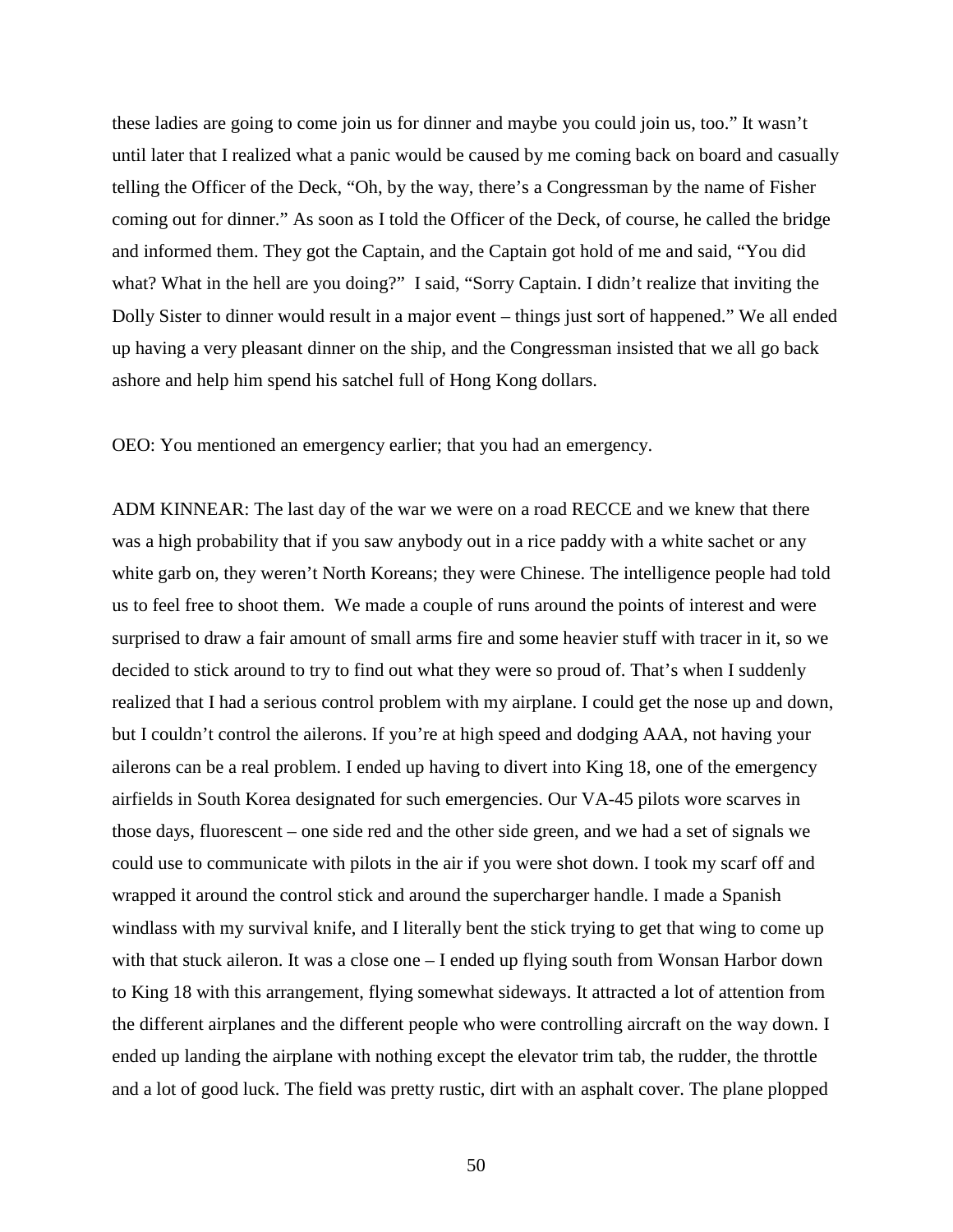these ladies are going to come join us for dinner and maybe you could join us, too." It wasn't until later that I realized what a panic would be caused by me coming back on board and casually telling the Officer of the Deck, "Oh, by the way, there's a Congressman by the name of Fisher coming out for dinner." As soon as I told the Officer of the Deck, of course, he called the bridge and informed them. They got the Captain, and the Captain got hold of me and said, "You did what? What in the hell are you doing?" I said, "Sorry Captain. I didn't realize that inviting the Dolly Sister to dinner would result in a major event – things just sort of happened." We all ended up having a very pleasant dinner on the ship, and the Congressman insisted that we all go back ashore and help him spend his satchel full of Hong Kong dollars.

OEO: You mentioned an emergency earlier; that you had an emergency.

ADM KINNEAR: The last day of the war we were on a road RECCE and we knew that there was a high probability that if you saw anybody out in a rice paddy with a white sachet or any white garb on, they weren't North Koreans; they were Chinese. The intelligence people had told us to feel free to shoot them. We made a couple of runs around the points of interest and were surprised to draw a fair amount of small arms fire and some heavier stuff with tracer in it, so we decided to stick around to try to find out what they were so proud of. That's when I suddenly realized that I had a serious control problem with my airplane. I could get the nose up and down, but I couldn't control the ailerons. If you're at high speed and dodging AAA, not having your ailerons can be a real problem. I ended up having to divert into King 18, one of the emergency airfields in South Korea designated for such emergencies. Our VA-45 pilots wore scarves in those days, fluorescent – one side red and the other side green, and we had a set of signals we could use to communicate with pilots in the air if you were shot down. I took my scarf off and wrapped it around the control stick and around the supercharger handle. I made a Spanish windlass with my survival knife, and I literally bent the stick trying to get that wing to come up with that stuck aileron. It was a close one – I ended up flying south from Wonsan Harbor down to King 18 with this arrangement, flying somewhat sideways. It attracted a lot of attention from the different airplanes and the different people who were controlling aircraft on the way down. I ended up landing the airplane with nothing except the elevator trim tab, the rudder, the throttle and a lot of good luck. The field was pretty rustic, dirt with an asphalt cover. The plane plopped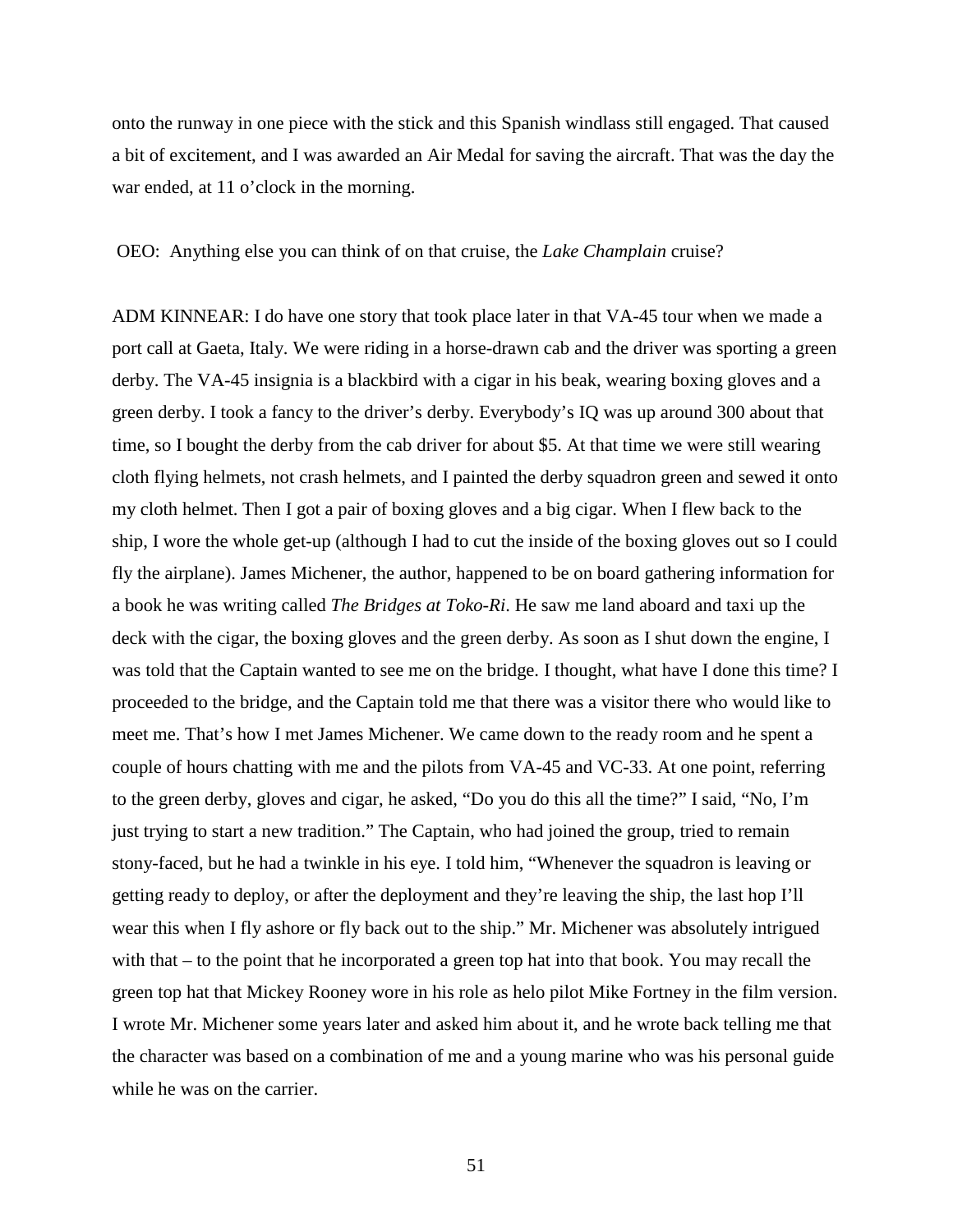onto the runway in one piece with the stick and this Spanish windlass still engaged. That caused a bit of excitement, and I was awarded an Air Medal for saving the aircraft. That was the day the war ended, at 11 o'clock in the morning.

## OEO: Anything else you can think of on that cruise, the *Lake Champlain* cruise?

ADM KINNEAR: I do have one story that took place later in that VA-45 tour when we made a port call at Gaeta, Italy. We were riding in a horse-drawn cab and the driver was sporting a green derby. The VA-45 insignia is a blackbird with a cigar in his beak, wearing boxing gloves and a green derby. I took a fancy to the driver's derby. Everybody's IQ was up around 300 about that time, so I bought the derby from the cab driver for about \$5. At that time we were still wearing cloth flying helmets, not crash helmets, and I painted the derby squadron green and sewed it onto my cloth helmet. Then I got a pair of boxing gloves and a big cigar. When I flew back to the ship, I wore the whole get-up (although I had to cut the inside of the boxing gloves out so I could fly the airplane). James Michener, the author, happened to be on board gathering information for a book he was writing called *The Bridges at Toko-Ri*. He saw me land aboard and taxi up the deck with the cigar, the boxing gloves and the green derby. As soon as I shut down the engine, I was told that the Captain wanted to see me on the bridge. I thought, what have I done this time? I proceeded to the bridge, and the Captain told me that there was a visitor there who would like to meet me. That's how I met James Michener. We came down to the ready room and he spent a couple of hours chatting with me and the pilots from VA-45 and VC-33. At one point, referring to the green derby, gloves and cigar, he asked, "Do you do this all the time?" I said, "No, I'm just trying to start a new tradition." The Captain, who had joined the group, tried to remain stony-faced, but he had a twinkle in his eye. I told him, "Whenever the squadron is leaving or getting ready to deploy, or after the deployment and they're leaving the ship, the last hop I'll wear this when I fly ashore or fly back out to the ship." Mr. Michener was absolutely intrigued with that – to the point that he incorporated a green top hat into that book. You may recall the green top hat that Mickey Rooney wore in his role as helo pilot Mike Fortney in the film version. I wrote Mr. Michener some years later and asked him about it, and he wrote back telling me that the character was based on a combination of me and a young marine who was his personal guide while he was on the carrier.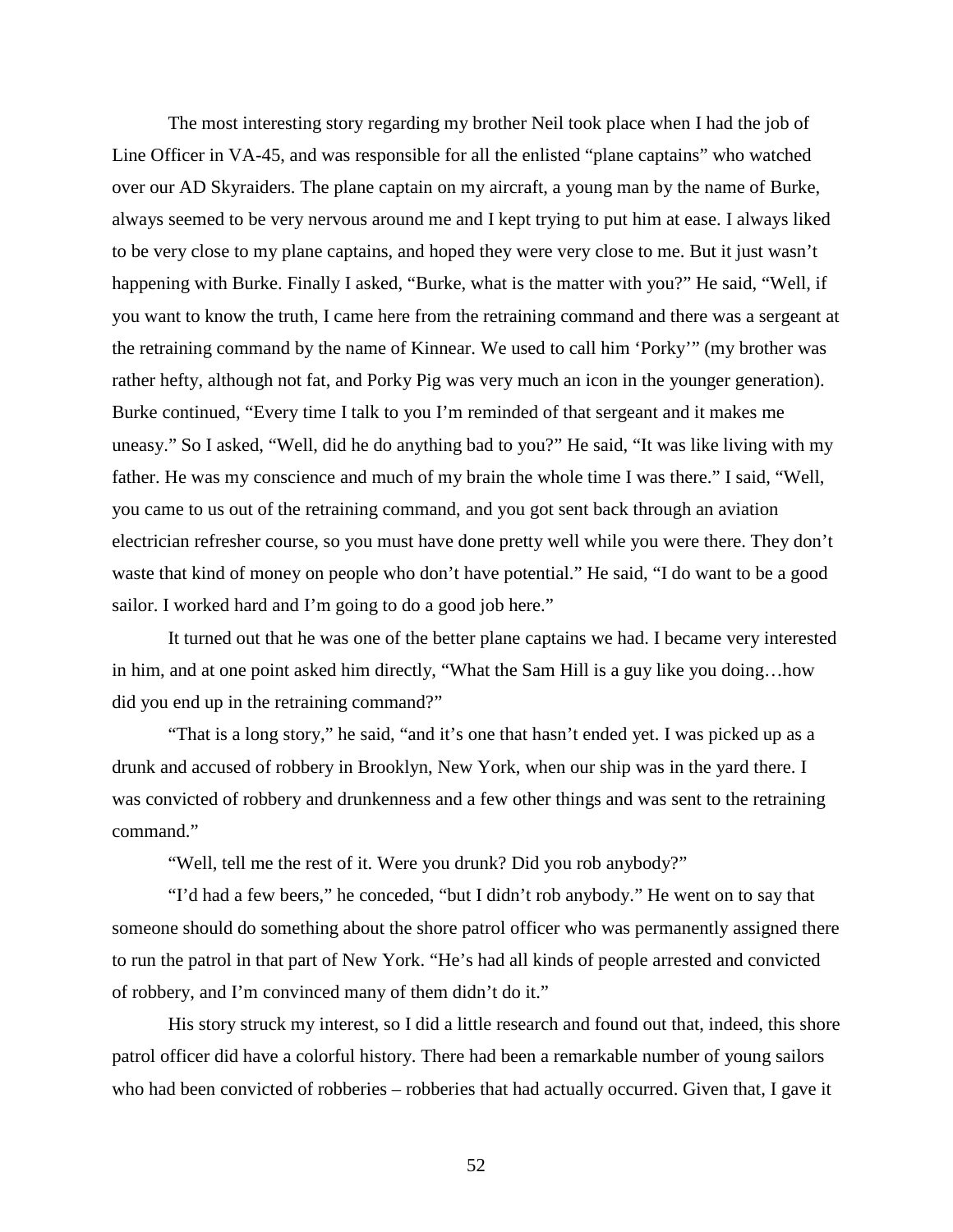The most interesting story regarding my brother Neil took place when I had the job of Line Officer in VA-45, and was responsible for all the enlisted "plane captains" who watched over our AD Skyraiders. The plane captain on my aircraft, a young man by the name of Burke, always seemed to be very nervous around me and I kept trying to put him at ease. I always liked to be very close to my plane captains, and hoped they were very close to me. But it just wasn't happening with Burke. Finally I asked, "Burke, what is the matter with you?" He said, "Well, if you want to know the truth, I came here from the retraining command and there was a sergeant at the retraining command by the name of Kinnear. We used to call him 'Porky'" (my brother was rather hefty, although not fat, and Porky Pig was very much an icon in the younger generation). Burke continued, "Every time I talk to you I'm reminded of that sergeant and it makes me uneasy." So I asked, "Well, did he do anything bad to you?" He said, "It was like living with my father. He was my conscience and much of my brain the whole time I was there." I said, "Well, you came to us out of the retraining command, and you got sent back through an aviation electrician refresher course, so you must have done pretty well while you were there. They don't waste that kind of money on people who don't have potential." He said, "I do want to be a good sailor. I worked hard and I'm going to do a good job here."

It turned out that he was one of the better plane captains we had. I became very interested in him, and at one point asked him directly, "What the Sam Hill is a guy like you doing…how did you end up in the retraining command?"

"That is a long story," he said, "and it's one that hasn't ended yet. I was picked up as a drunk and accused of robbery in Brooklyn, New York, when our ship was in the yard there. I was convicted of robbery and drunkenness and a few other things and was sent to the retraining command."

"Well, tell me the rest of it. Were you drunk? Did you rob anybody?"

"I'd had a few beers," he conceded, "but I didn't rob anybody." He went on to say that someone should do something about the shore patrol officer who was permanently assigned there to run the patrol in that part of New York. "He's had all kinds of people arrested and convicted of robbery, and I'm convinced many of them didn't do it."

His story struck my interest, so I did a little research and found out that, indeed, this shore patrol officer did have a colorful history. There had been a remarkable number of young sailors who had been convicted of robberies – robberies that had actually occurred. Given that, I gave it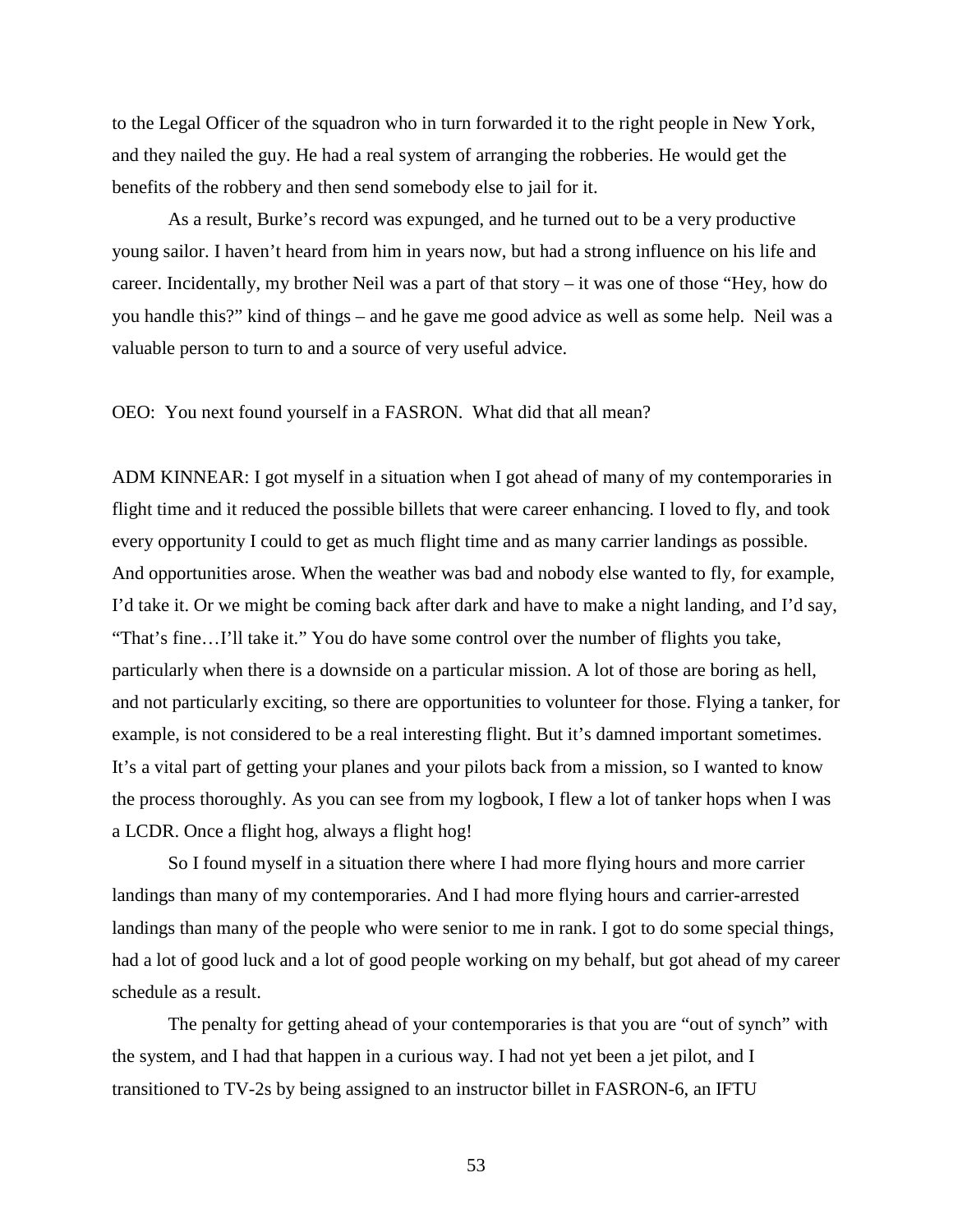to the Legal Officer of the squadron who in turn forwarded it to the right people in New York, and they nailed the guy. He had a real system of arranging the robberies. He would get the benefits of the robbery and then send somebody else to jail for it.

As a result, Burke's record was expunged, and he turned out to be a very productive young sailor. I haven't heard from him in years now, but had a strong influence on his life and career. Incidentally, my brother Neil was a part of that story – it was one of those "Hey, how do you handle this?" kind of things – and he gave me good advice as well as some help. Neil was a valuable person to turn to and a source of very useful advice.

OEO: You next found yourself in a FASRON. What did that all mean?

ADM KINNEAR: I got myself in a situation when I got ahead of many of my contemporaries in flight time and it reduced the possible billets that were career enhancing. I loved to fly, and took every opportunity I could to get as much flight time and as many carrier landings as possible. And opportunities arose. When the weather was bad and nobody else wanted to fly, for example, I'd take it. Or we might be coming back after dark and have to make a night landing, and I'd say, "That's fine…I'll take it." You do have some control over the number of flights you take, particularly when there is a downside on a particular mission. A lot of those are boring as hell, and not particularly exciting, so there are opportunities to volunteer for those. Flying a tanker, for example, is not considered to be a real interesting flight. But it's damned important sometimes. It's a vital part of getting your planes and your pilots back from a mission, so I wanted to know the process thoroughly. As you can see from my logbook, I flew a lot of tanker hops when I was a LCDR. Once a flight hog, always a flight hog!

So I found myself in a situation there where I had more flying hours and more carrier landings than many of my contemporaries. And I had more flying hours and carrier-arrested landings than many of the people who were senior to me in rank. I got to do some special things, had a lot of good luck and a lot of good people working on my behalf, but got ahead of my career schedule as a result.

The penalty for getting ahead of your contemporaries is that you are "out of synch" with the system, and I had that happen in a curious way. I had not yet been a jet pilot, and I transitioned to TV-2s by being assigned to an instructor billet in FASRON-6, an IFTU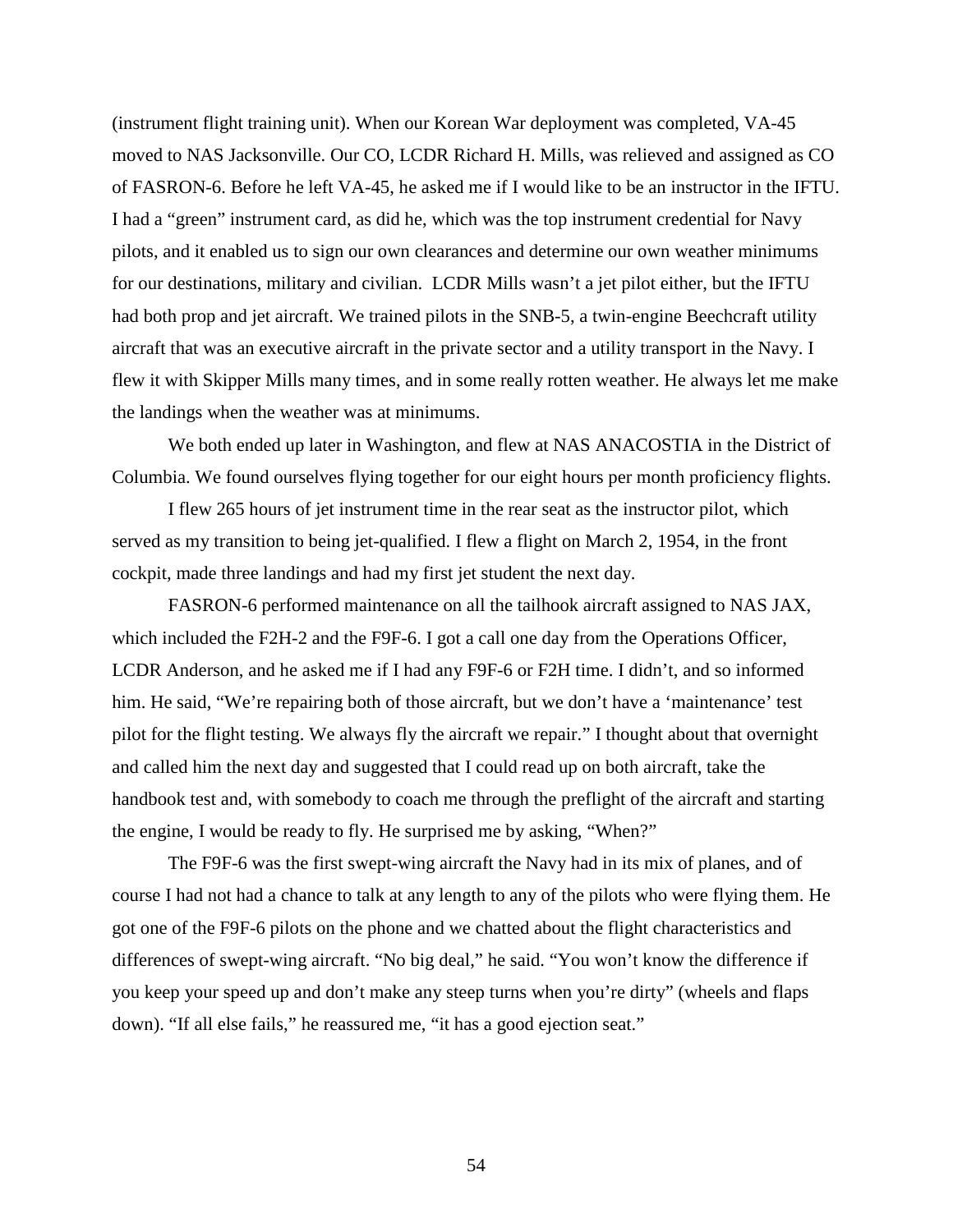(instrument flight training unit). When our Korean War deployment was completed, VA-45 moved to NAS Jacksonville. Our CO, LCDR Richard H. Mills, was relieved and assigned as CO of FASRON-6. Before he left VA-45, he asked me if I would like to be an instructor in the IFTU. I had a "green" instrument card, as did he, which was the top instrument credential for Navy pilots, and it enabled us to sign our own clearances and determine our own weather minimums for our destinations, military and civilian. LCDR Mills wasn't a jet pilot either, but the IFTU had both prop and jet aircraft. We trained pilots in the SNB-5, a twin-engine Beechcraft utility aircraft that was an executive aircraft in the private sector and a utility transport in the Navy. I flew it with Skipper Mills many times, and in some really rotten weather. He always let me make the landings when the weather was at minimums.

We both ended up later in Washington, and flew at NAS ANACOSTIA in the District of Columbia. We found ourselves flying together for our eight hours per month proficiency flights.

I flew 265 hours of jet instrument time in the rear seat as the instructor pilot, which served as my transition to being jet-qualified. I flew a flight on March 2, 1954, in the front cockpit, made three landings and had my first jet student the next day.

FASRON-6 performed maintenance on all the tailhook aircraft assigned to NAS JAX, which included the F2H-2 and the F9F-6. I got a call one day from the Operations Officer, LCDR Anderson, and he asked me if I had any F9F-6 or F2H time. I didn't, and so informed him. He said, "We're repairing both of those aircraft, but we don't have a 'maintenance' test pilot for the flight testing. We always fly the aircraft we repair." I thought about that overnight and called him the next day and suggested that I could read up on both aircraft, take the handbook test and, with somebody to coach me through the preflight of the aircraft and starting the engine, I would be ready to fly. He surprised me by asking, "When?"

The F9F-6 was the first swept-wing aircraft the Navy had in its mix of planes, and of course I had not had a chance to talk at any length to any of the pilots who were flying them. He got one of the F9F-6 pilots on the phone and we chatted about the flight characteristics and differences of swept-wing aircraft. "No big deal," he said. "You won't know the difference if you keep your speed up and don't make any steep turns when you're dirty" (wheels and flaps down). "If all else fails," he reassured me, "it has a good ejection seat."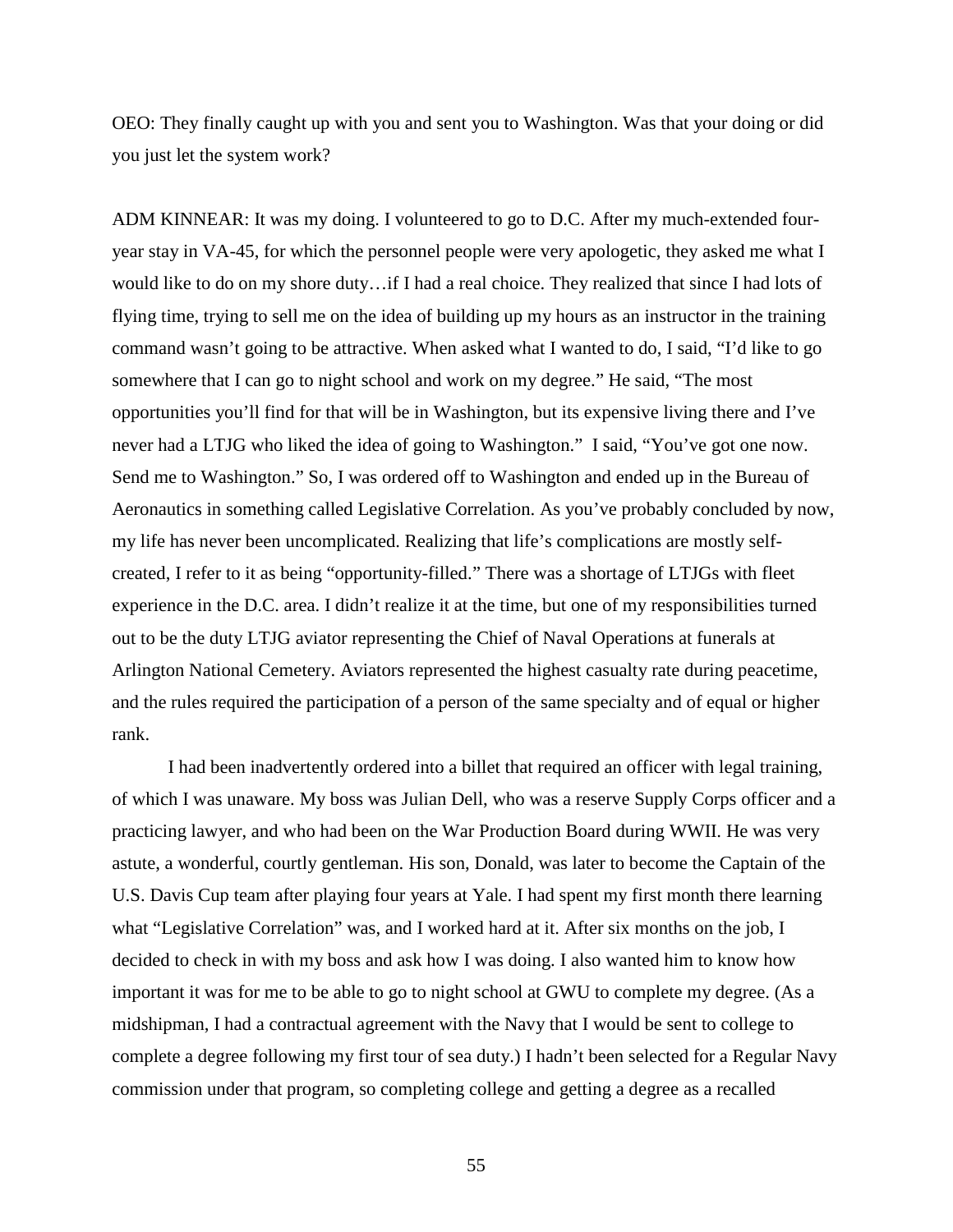OEO: They finally caught up with you and sent you to Washington. Was that your doing or did you just let the system work?

ADM KINNEAR: It was my doing. I volunteered to go to D.C. After my much-extended fouryear stay in VA-45, for which the personnel people were very apologetic, they asked me what I would like to do on my shore duty…if I had a real choice. They realized that since I had lots of flying time, trying to sell me on the idea of building up my hours as an instructor in the training command wasn't going to be attractive. When asked what I wanted to do, I said, "I'd like to go somewhere that I can go to night school and work on my degree." He said, "The most opportunities you'll find for that will be in Washington, but its expensive living there and I've never had a LTJG who liked the idea of going to Washington." I said, "You've got one now. Send me to Washington." So, I was ordered off to Washington and ended up in the Bureau of Aeronautics in something called Legislative Correlation. As you've probably concluded by now, my life has never been uncomplicated. Realizing that life's complications are mostly selfcreated, I refer to it as being "opportunity-filled." There was a shortage of LTJGs with fleet experience in the D.C. area. I didn't realize it at the time, but one of my responsibilities turned out to be the duty LTJG aviator representing the Chief of Naval Operations at funerals at Arlington National Cemetery. Aviators represented the highest casualty rate during peacetime, and the rules required the participation of a person of the same specialty and of equal or higher rank.

I had been inadvertently ordered into a billet that required an officer with legal training, of which I was unaware. My boss was Julian Dell, who was a reserve Supply Corps officer and a practicing lawyer, and who had been on the War Production Board during WWII. He was very astute, a wonderful, courtly gentleman. His son, Donald, was later to become the Captain of the U.S. Davis Cup team after playing four years at Yale. I had spent my first month there learning what "Legislative Correlation" was, and I worked hard at it. After six months on the job, I decided to check in with my boss and ask how I was doing. I also wanted him to know how important it was for me to be able to go to night school at GWU to complete my degree. (As a midshipman, I had a contractual agreement with the Navy that I would be sent to college to complete a degree following my first tour of sea duty.) I hadn't been selected for a Regular Navy commission under that program, so completing college and getting a degree as a recalled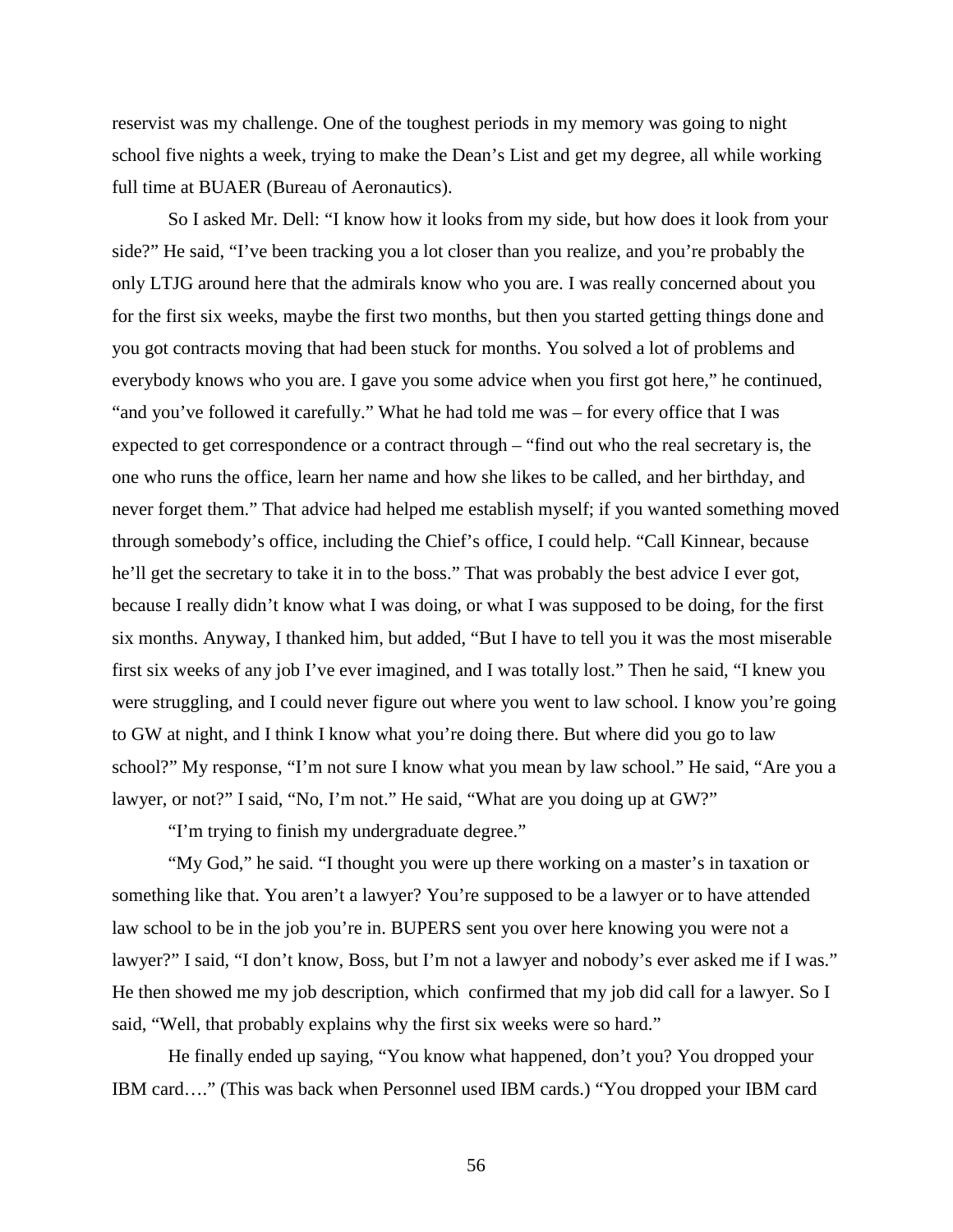reservist was my challenge. One of the toughest periods in my memory was going to night school five nights a week, trying to make the Dean's List and get my degree, all while working full time at BUAER (Bureau of Aeronautics).

So I asked Mr. Dell: "I know how it looks from my side, but how does it look from your side?" He said, "I've been tracking you a lot closer than you realize, and you're probably the only LTJG around here that the admirals know who you are. I was really concerned about you for the first six weeks, maybe the first two months, but then you started getting things done and you got contracts moving that had been stuck for months. You solved a lot of problems and everybody knows who you are. I gave you some advice when you first got here," he continued, "and you've followed it carefully." What he had told me was – for every office that I was expected to get correspondence or a contract through – "find out who the real secretary is, the one who runs the office, learn her name and how she likes to be called, and her birthday, and never forget them." That advice had helped me establish myself; if you wanted something moved through somebody's office, including the Chief's office, I could help. "Call Kinnear, because he'll get the secretary to take it in to the boss." That was probably the best advice I ever got, because I really didn't know what I was doing, or what I was supposed to be doing, for the first six months. Anyway, I thanked him, but added, "But I have to tell you it was the most miserable first six weeks of any job I've ever imagined, and I was totally lost." Then he said, "I knew you were struggling, and I could never figure out where you went to law school. I know you're going to GW at night, and I think I know what you're doing there. But where did you go to law school?" My response, "I'm not sure I know what you mean by law school." He said, "Are you a lawyer, or not?" I said, "No, I'm not." He said, "What are you doing up at GW?"

"I'm trying to finish my undergraduate degree."

"My God," he said. "I thought you were up there working on a master's in taxation or something like that. You aren't a lawyer? You're supposed to be a lawyer or to have attended law school to be in the job you're in. BUPERS sent you over here knowing you were not a lawyer?" I said, "I don't know, Boss, but I'm not a lawyer and nobody's ever asked me if I was." He then showed me my job description, which confirmed that my job did call for a lawyer. So I said, "Well, that probably explains why the first six weeks were so hard."

He finally ended up saying, "You know what happened, don't you? You dropped your IBM card…." (This was back when Personnel used IBM cards.) "You dropped your IBM card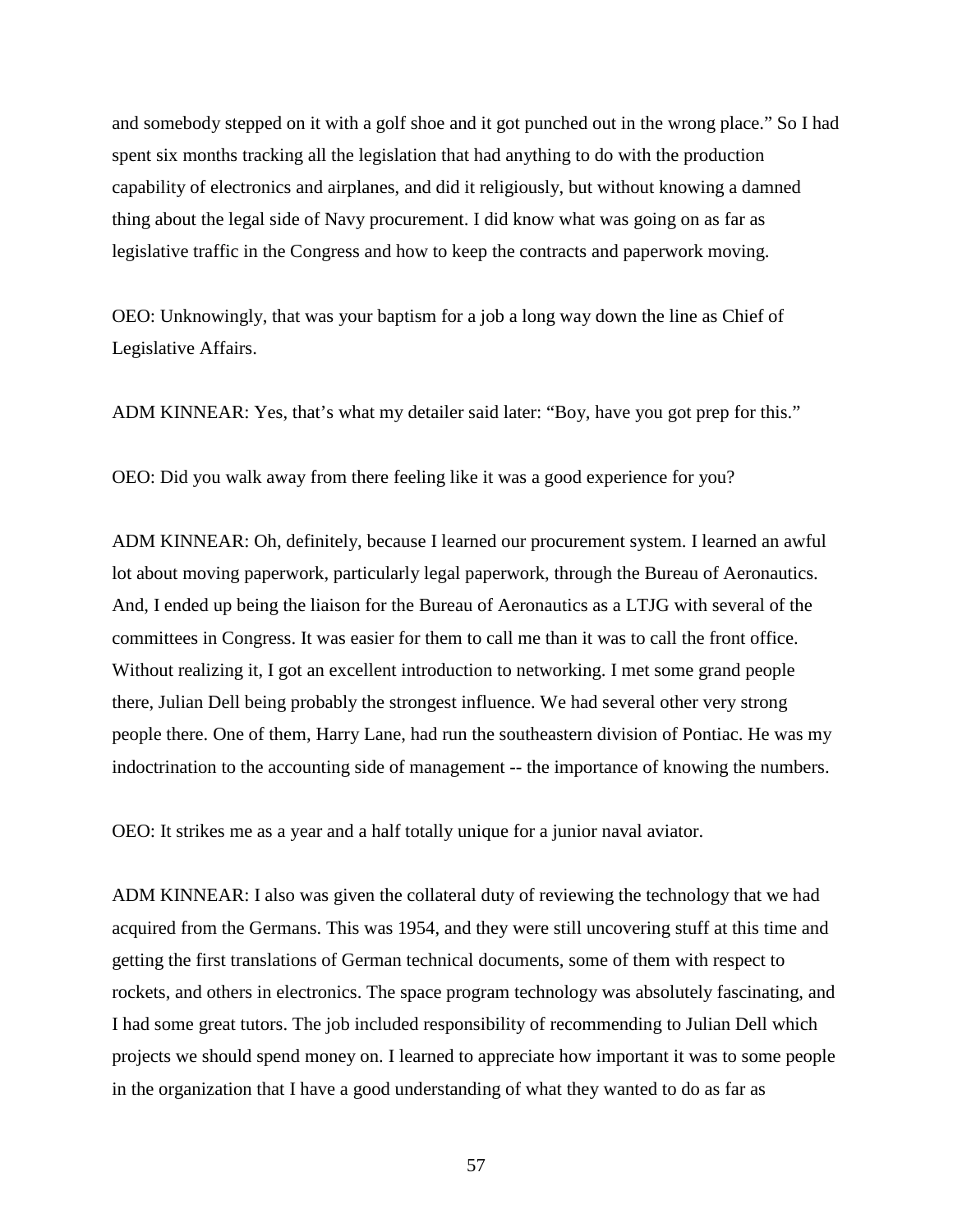and somebody stepped on it with a golf shoe and it got punched out in the wrong place." So I had spent six months tracking all the legislation that had anything to do with the production capability of electronics and airplanes, and did it religiously, but without knowing a damned thing about the legal side of Navy procurement. I did know what was going on as far as legislative traffic in the Congress and how to keep the contracts and paperwork moving.

OEO: Unknowingly, that was your baptism for a job a long way down the line as Chief of Legislative Affairs.

ADM KINNEAR: Yes, that's what my detailer said later: "Boy, have you got prep for this."

OEO: Did you walk away from there feeling like it was a good experience for you?

ADM KINNEAR: Oh, definitely, because I learned our procurement system. I learned an awful lot about moving paperwork, particularly legal paperwork, through the Bureau of Aeronautics. And, I ended up being the liaison for the Bureau of Aeronautics as a LTJG with several of the committees in Congress. It was easier for them to call me than it was to call the front office. Without realizing it, I got an excellent introduction to networking. I met some grand people there, Julian Dell being probably the strongest influence. We had several other very strong people there. One of them, Harry Lane, had run the southeastern division of Pontiac. He was my indoctrination to the accounting side of management -- the importance of knowing the numbers.

OEO: It strikes me as a year and a half totally unique for a junior naval aviator.

ADM KINNEAR: I also was given the collateral duty of reviewing the technology that we had acquired from the Germans. This was 1954, and they were still uncovering stuff at this time and getting the first translations of German technical documents, some of them with respect to rockets, and others in electronics. The space program technology was absolutely fascinating, and I had some great tutors. The job included responsibility of recommending to Julian Dell which projects we should spend money on. I learned to appreciate how important it was to some people in the organization that I have a good understanding of what they wanted to do as far as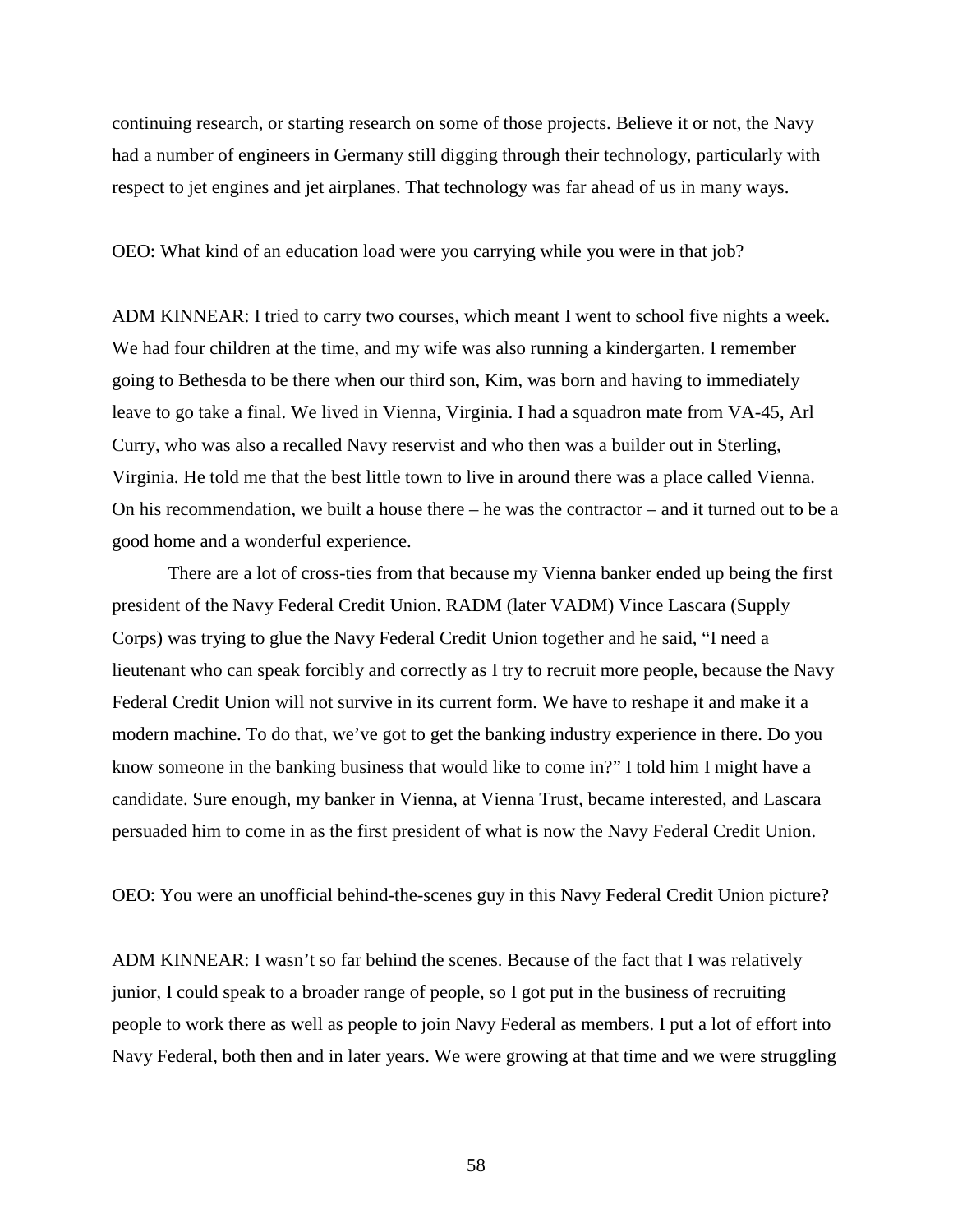continuing research, or starting research on some of those projects. Believe it or not, the Navy had a number of engineers in Germany still digging through their technology, particularly with respect to jet engines and jet airplanes. That technology was far ahead of us in many ways.

OEO: What kind of an education load were you carrying while you were in that job?

ADM KINNEAR: I tried to carry two courses, which meant I went to school five nights a week. We had four children at the time, and my wife was also running a kindergarten. I remember going to Bethesda to be there when our third son, Kim, was born and having to immediately leave to go take a final. We lived in Vienna, Virginia. I had a squadron mate from VA-45, Arl Curry, who was also a recalled Navy reservist and who then was a builder out in Sterling, Virginia. He told me that the best little town to live in around there was a place called Vienna. On his recommendation, we built a house there – he was the contractor – and it turned out to be a good home and a wonderful experience.

There are a lot of cross-ties from that because my Vienna banker ended up being the first president of the Navy Federal Credit Union. RADM (later VADM) Vince Lascara (Supply Corps) was trying to glue the Navy Federal Credit Union together and he said, "I need a lieutenant who can speak forcibly and correctly as I try to recruit more people, because the Navy Federal Credit Union will not survive in its current form. We have to reshape it and make it a modern machine. To do that, we've got to get the banking industry experience in there. Do you know someone in the banking business that would like to come in?" I told him I might have a candidate. Sure enough, my banker in Vienna, at Vienna Trust, became interested, and Lascara persuaded him to come in as the first president of what is now the Navy Federal Credit Union.

OEO: You were an unofficial behind-the-scenes guy in this Navy Federal Credit Union picture?

ADM KINNEAR: I wasn't so far behind the scenes. Because of the fact that I was relatively junior, I could speak to a broader range of people, so I got put in the business of recruiting people to work there as well as people to join Navy Federal as members. I put a lot of effort into Navy Federal, both then and in later years. We were growing at that time and we were struggling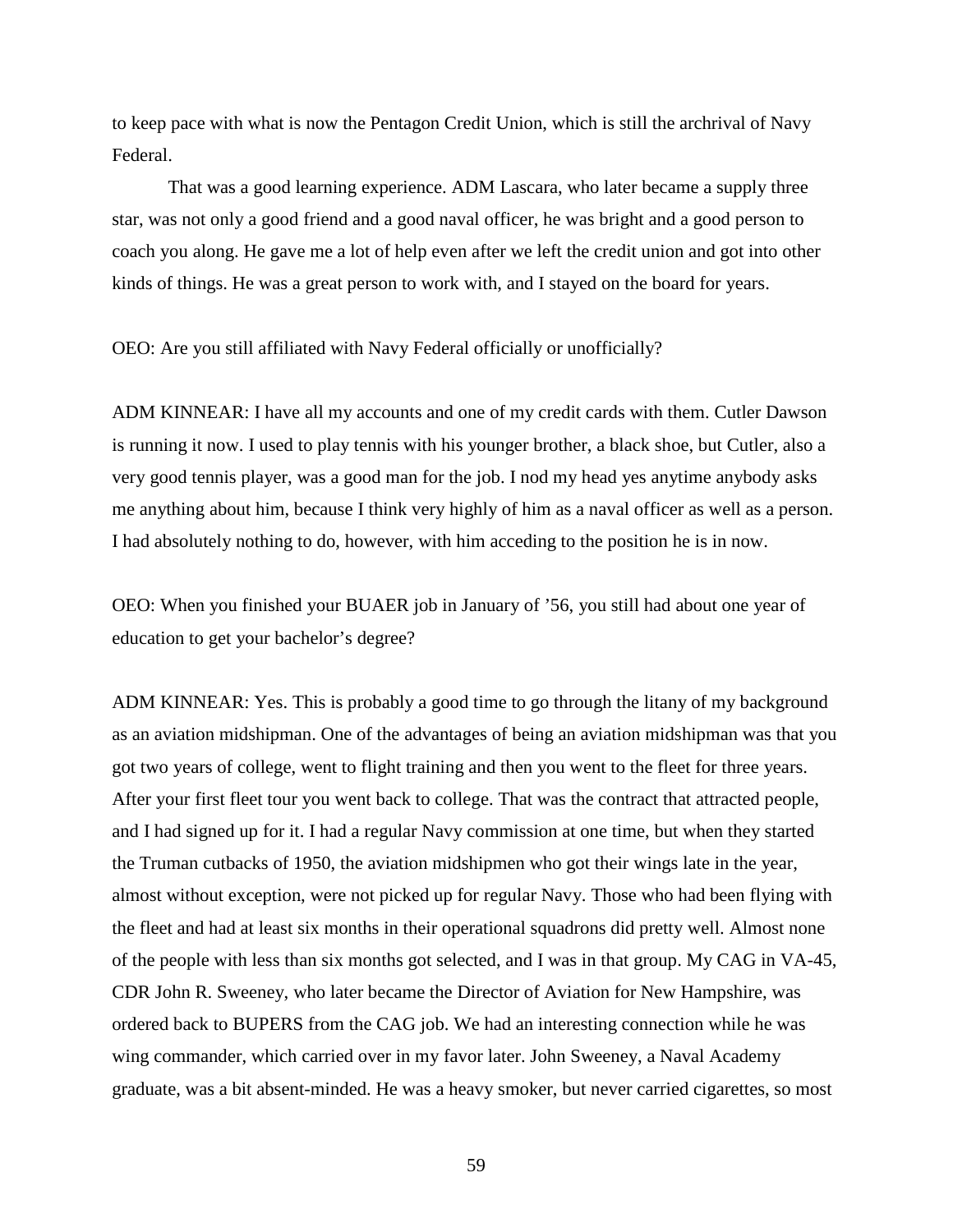to keep pace with what is now the Pentagon Credit Union, which is still the archrival of Navy Federal.

That was a good learning experience. ADM Lascara, who later became a supply three star, was not only a good friend and a good naval officer, he was bright and a good person to coach you along. He gave me a lot of help even after we left the credit union and got into other kinds of things. He was a great person to work with, and I stayed on the board for years.

## OEO: Are you still affiliated with Navy Federal officially or unofficially?

ADM KINNEAR: I have all my accounts and one of my credit cards with them. Cutler Dawson is running it now. I used to play tennis with his younger brother, a black shoe, but Cutler, also a very good tennis player, was a good man for the job. I nod my head yes anytime anybody asks me anything about him, because I think very highly of him as a naval officer as well as a person. I had absolutely nothing to do, however, with him acceding to the position he is in now.

OEO: When you finished your BUAER job in January of '56, you still had about one year of education to get your bachelor's degree?

ADM KINNEAR: Yes. This is probably a good time to go through the litany of my background as an aviation midshipman. One of the advantages of being an aviation midshipman was that you got two years of college, went to flight training and then you went to the fleet for three years. After your first fleet tour you went back to college. That was the contract that attracted people, and I had signed up for it. I had a regular Navy commission at one time, but when they started the Truman cutbacks of 1950, the aviation midshipmen who got their wings late in the year, almost without exception, were not picked up for regular Navy. Those who had been flying with the fleet and had at least six months in their operational squadrons did pretty well. Almost none of the people with less than six months got selected, and I was in that group. My CAG in VA-45, CDR John R. Sweeney, who later became the Director of Aviation for New Hampshire, was ordered back to BUPERS from the CAG job. We had an interesting connection while he was wing commander, which carried over in my favor later. John Sweeney, a Naval Academy graduate, was a bit absent-minded. He was a heavy smoker, but never carried cigarettes, so most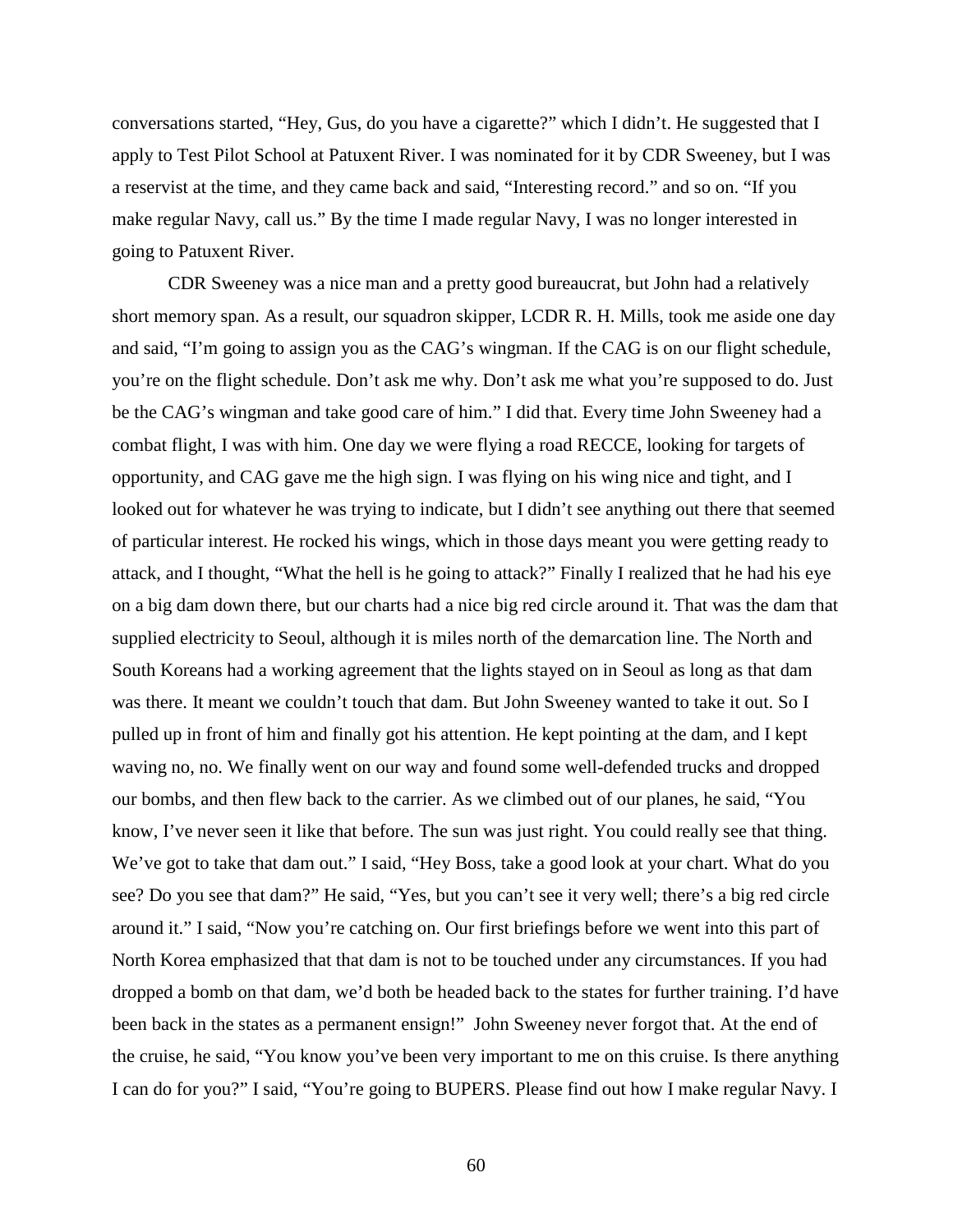conversations started, "Hey, Gus, do you have a cigarette?" which I didn't. He suggested that I apply to Test Pilot School at Patuxent River. I was nominated for it by CDR Sweeney, but I was a reservist at the time, and they came back and said, "Interesting record." and so on. "If you make regular Navy, call us." By the time I made regular Navy, I was no longer interested in going to Patuxent River.

CDR Sweeney was a nice man and a pretty good bureaucrat, but John had a relatively short memory span. As a result, our squadron skipper, LCDR R. H. Mills, took me aside one day and said, "I'm going to assign you as the CAG's wingman. If the CAG is on our flight schedule, you're on the flight schedule. Don't ask me why. Don't ask me what you're supposed to do. Just be the CAG's wingman and take good care of him." I did that. Every time John Sweeney had a combat flight, I was with him. One day we were flying a road RECCE, looking for targets of opportunity, and CAG gave me the high sign. I was flying on his wing nice and tight, and I looked out for whatever he was trying to indicate, but I didn't see anything out there that seemed of particular interest. He rocked his wings, which in those days meant you were getting ready to attack, and I thought, "What the hell is he going to attack?" Finally I realized that he had his eye on a big dam down there, but our charts had a nice big red circle around it. That was the dam that supplied electricity to Seoul, although it is miles north of the demarcation line. The North and South Koreans had a working agreement that the lights stayed on in Seoul as long as that dam was there. It meant we couldn't touch that dam. But John Sweeney wanted to take it out. So I pulled up in front of him and finally got his attention. He kept pointing at the dam, and I kept waving no, no. We finally went on our way and found some well-defended trucks and dropped our bombs, and then flew back to the carrier. As we climbed out of our planes, he said, "You know, I've never seen it like that before. The sun was just right. You could really see that thing. We've got to take that dam out." I said, "Hey Boss, take a good look at your chart. What do you see? Do you see that dam?" He said, "Yes, but you can't see it very well; there's a big red circle around it." I said, "Now you're catching on. Our first briefings before we went into this part of North Korea emphasized that that dam is not to be touched under any circumstances. If you had dropped a bomb on that dam, we'd both be headed back to the states for further training. I'd have been back in the states as a permanent ensign!" John Sweeney never forgot that. At the end of the cruise, he said, "You know you've been very important to me on this cruise. Is there anything I can do for you?" I said, "You're going to BUPERS. Please find out how I make regular Navy. I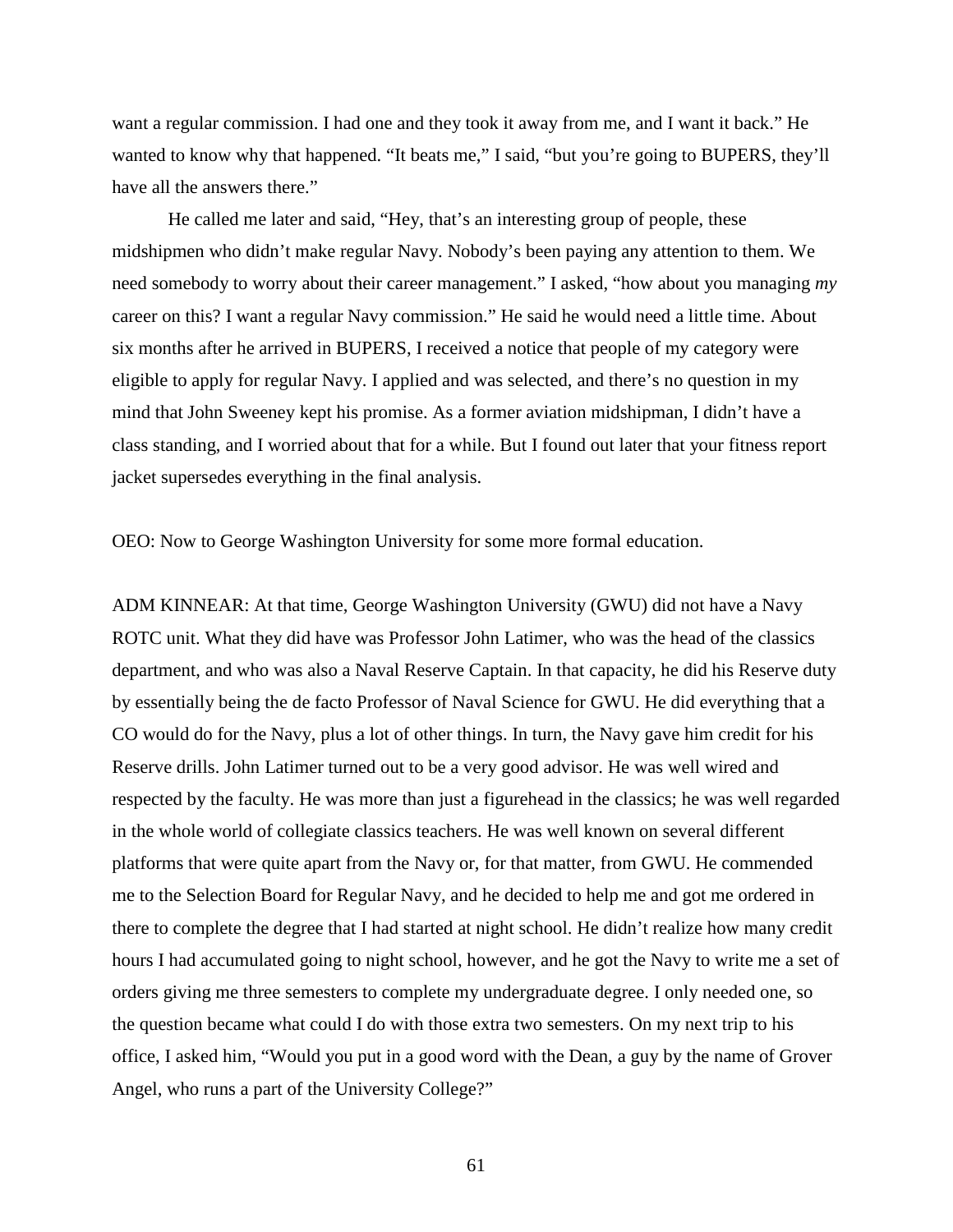want a regular commission. I had one and they took it away from me, and I want it back." He wanted to know why that happened. "It beats me," I said, "but you're going to BUPERS, they'll have all the answers there."

He called me later and said, "Hey, that's an interesting group of people, these midshipmen who didn't make regular Navy. Nobody's been paying any attention to them. We need somebody to worry about their career management." I asked, "how about you managing *my* career on this? I want a regular Navy commission." He said he would need a little time. About six months after he arrived in BUPERS, I received a notice that people of my category were eligible to apply for regular Navy. I applied and was selected, and there's no question in my mind that John Sweeney kept his promise. As a former aviation midshipman, I didn't have a class standing, and I worried about that for a while. But I found out later that your fitness report jacket supersedes everything in the final analysis.

OEO: Now to George Washington University for some more formal education.

ADM KINNEAR: At that time, George Washington University (GWU) did not have a Navy ROTC unit. What they did have was Professor John Latimer, who was the head of the classics department, and who was also a Naval Reserve Captain. In that capacity, he did his Reserve duty by essentially being the de facto Professor of Naval Science for GWU. He did everything that a CO would do for the Navy, plus a lot of other things. In turn, the Navy gave him credit for his Reserve drills. John Latimer turned out to be a very good advisor. He was well wired and respected by the faculty. He was more than just a figurehead in the classics; he was well regarded in the whole world of collegiate classics teachers. He was well known on several different platforms that were quite apart from the Navy or, for that matter, from GWU. He commended me to the Selection Board for Regular Navy, and he decided to help me and got me ordered in there to complete the degree that I had started at night school. He didn't realize how many credit hours I had accumulated going to night school, however, and he got the Navy to write me a set of orders giving me three semesters to complete my undergraduate degree. I only needed one, so the question became what could I do with those extra two semesters. On my next trip to his office, I asked him, "Would you put in a good word with the Dean, a guy by the name of Grover Angel, who runs a part of the University College?"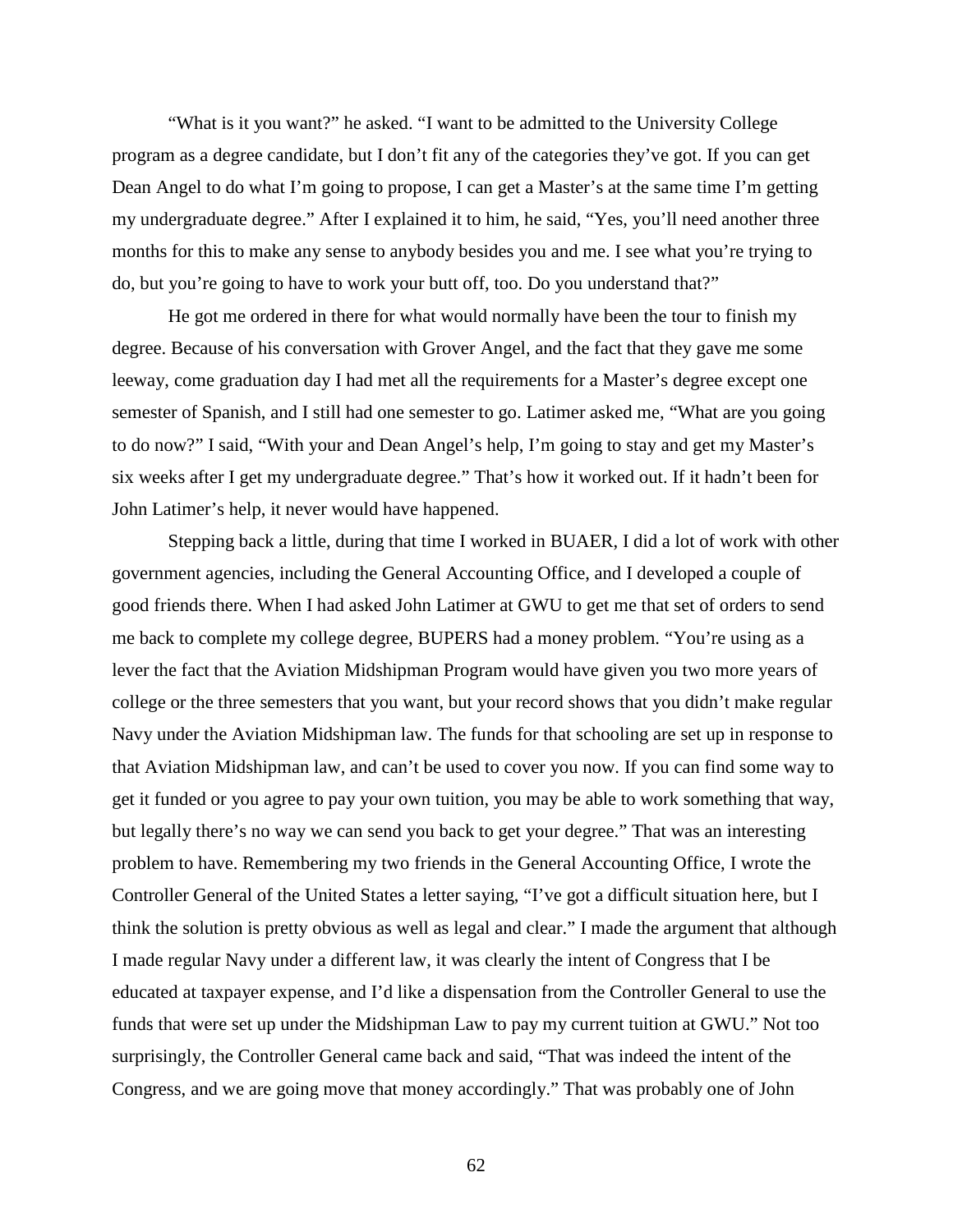"What is it you want?" he asked. "I want to be admitted to the University College program as a degree candidate, but I don't fit any of the categories they've got. If you can get Dean Angel to do what I'm going to propose, I can get a Master's at the same time I'm getting my undergraduate degree." After I explained it to him, he said, "Yes, you'll need another three months for this to make any sense to anybody besides you and me. I see what you're trying to do, but you're going to have to work your butt off, too. Do you understand that?"

He got me ordered in there for what would normally have been the tour to finish my degree. Because of his conversation with Grover Angel, and the fact that they gave me some leeway, come graduation day I had met all the requirements for a Master's degree except one semester of Spanish, and I still had one semester to go. Latimer asked me, "What are you going to do now?" I said, "With your and Dean Angel's help, I'm going to stay and get my Master's six weeks after I get my undergraduate degree." That's how it worked out. If it hadn't been for John Latimer's help, it never would have happened.

Stepping back a little, during that time I worked in BUAER, I did a lot of work with other government agencies, including the General Accounting Office, and I developed a couple of good friends there. When I had asked John Latimer at GWU to get me that set of orders to send me back to complete my college degree, BUPERS had a money problem. "You're using as a lever the fact that the Aviation Midshipman Program would have given you two more years of college or the three semesters that you want, but your record shows that you didn't make regular Navy under the Aviation Midshipman law. The funds for that schooling are set up in response to that Aviation Midshipman law, and can't be used to cover you now. If you can find some way to get it funded or you agree to pay your own tuition, you may be able to work something that way, but legally there's no way we can send you back to get your degree." That was an interesting problem to have. Remembering my two friends in the General Accounting Office, I wrote the Controller General of the United States a letter saying, "I've got a difficult situation here, but I think the solution is pretty obvious as well as legal and clear." I made the argument that although I made regular Navy under a different law, it was clearly the intent of Congress that I be educated at taxpayer expense, and I'd like a dispensation from the Controller General to use the funds that were set up under the Midshipman Law to pay my current tuition at GWU." Not too surprisingly, the Controller General came back and said, "That was indeed the intent of the Congress, and we are going move that money accordingly." That was probably one of John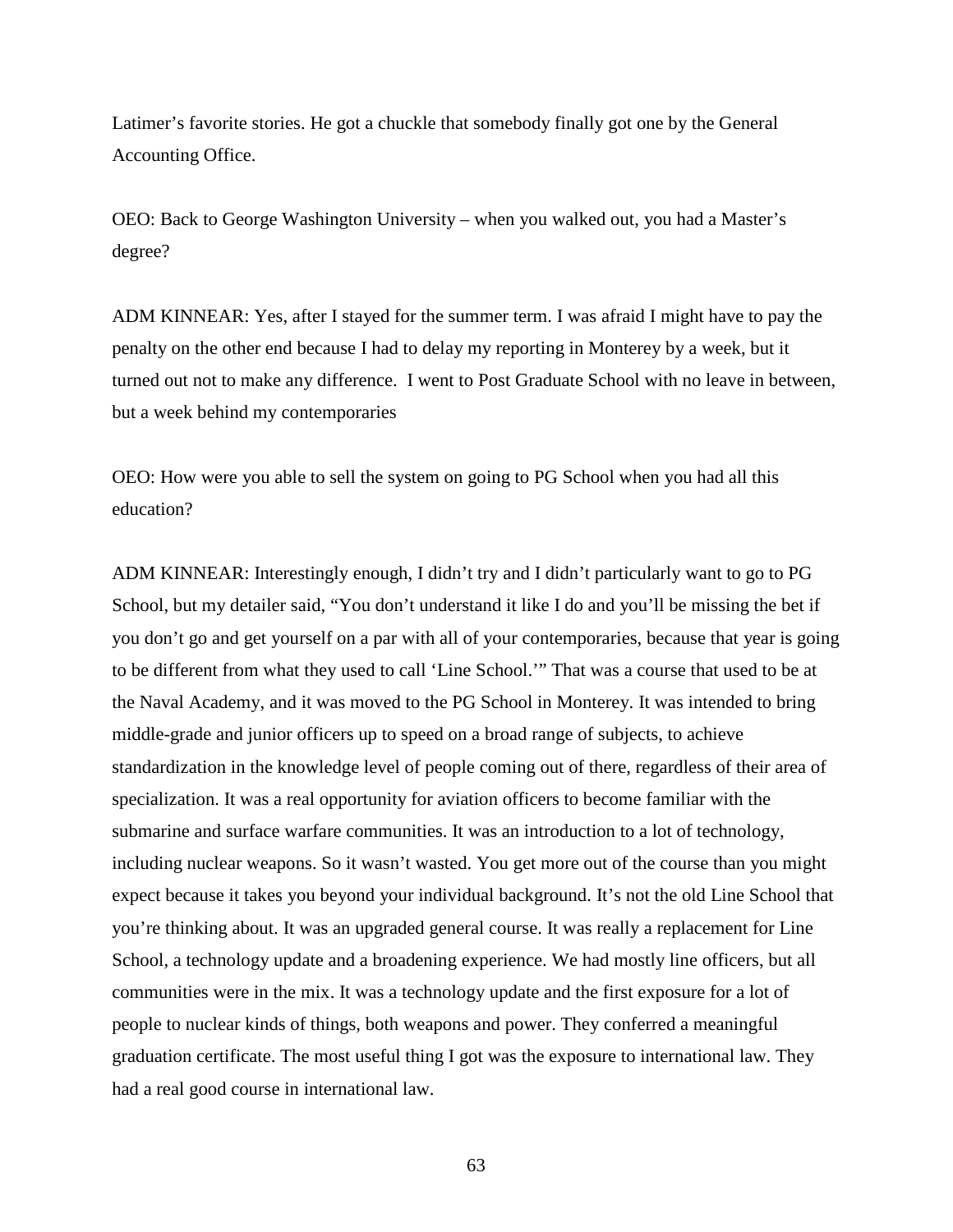Latimer's favorite stories. He got a chuckle that somebody finally got one by the General Accounting Office.

OEO: Back to George Washington University – when you walked out, you had a Master's degree?

ADM KINNEAR: Yes, after I stayed for the summer term. I was afraid I might have to pay the penalty on the other end because I had to delay my reporting in Monterey by a week, but it turned out not to make any difference. I went to Post Graduate School with no leave in between, but a week behind my contemporaries

OEO: How were you able to sell the system on going to PG School when you had all this education?

ADM KINNEAR: Interestingly enough, I didn't try and I didn't particularly want to go to PG School, but my detailer said, "You don't understand it like I do and you'll be missing the bet if you don't go and get yourself on a par with all of your contemporaries, because that year is going to be different from what they used to call 'Line School.'" That was a course that used to be at the Naval Academy, and it was moved to the PG School in Monterey. It was intended to bring middle-grade and junior officers up to speed on a broad range of subjects, to achieve standardization in the knowledge level of people coming out of there, regardless of their area of specialization. It was a real opportunity for aviation officers to become familiar with the submarine and surface warfare communities. It was an introduction to a lot of technology, including nuclear weapons. So it wasn't wasted. You get more out of the course than you might expect because it takes you beyond your individual background. It's not the old Line School that you're thinking about. It was an upgraded general course. It was really a replacement for Line School, a technology update and a broadening experience. We had mostly line officers, but all communities were in the mix. It was a technology update and the first exposure for a lot of people to nuclear kinds of things, both weapons and power. They conferred a meaningful graduation certificate. The most useful thing I got was the exposure to international law. They had a real good course in international law.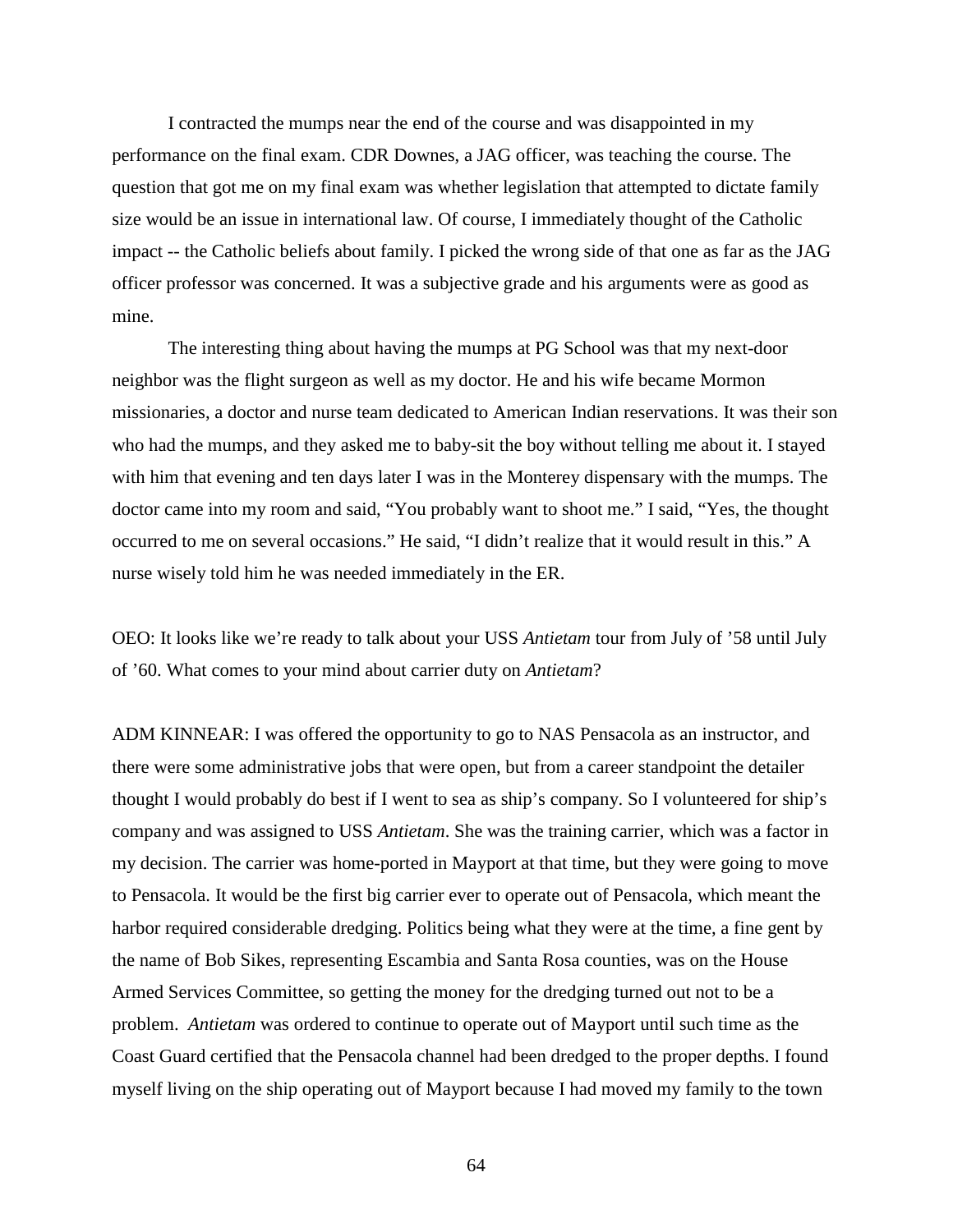I contracted the mumps near the end of the course and was disappointed in my performance on the final exam. CDR Downes, a JAG officer, was teaching the course. The question that got me on my final exam was whether legislation that attempted to dictate family size would be an issue in international law. Of course, I immediately thought of the Catholic impact -- the Catholic beliefs about family. I picked the wrong side of that one as far as the JAG officer professor was concerned. It was a subjective grade and his arguments were as good as mine.

The interesting thing about having the mumps at PG School was that my next-door neighbor was the flight surgeon as well as my doctor. He and his wife became Mormon missionaries, a doctor and nurse team dedicated to American Indian reservations. It was their son who had the mumps, and they asked me to baby-sit the boy without telling me about it. I stayed with him that evening and ten days later I was in the Monterey dispensary with the mumps. The doctor came into my room and said, "You probably want to shoot me." I said, "Yes, the thought occurred to me on several occasions." He said, "I didn't realize that it would result in this." A nurse wisely told him he was needed immediately in the ER.

OEO: It looks like we're ready to talk about your USS *Antietam* tour from July of '58 until July of '60. What comes to your mind about carrier duty on *Antietam*?

ADM KINNEAR: I was offered the opportunity to go to NAS Pensacola as an instructor, and there were some administrative jobs that were open, but from a career standpoint the detailer thought I would probably do best if I went to sea as ship's company. So I volunteered for ship's company and was assigned to USS *Antietam*. She was the training carrier, which was a factor in my decision. The carrier was home-ported in Mayport at that time, but they were going to move to Pensacola. It would be the first big carrier ever to operate out of Pensacola, which meant the harbor required considerable dredging. Politics being what they were at the time, a fine gent by the name of Bob Sikes, representing Escambia and Santa Rosa counties, was on the House Armed Services Committee, so getting the money for the dredging turned out not to be a problem. *Antietam* was ordered to continue to operate out of Mayport until such time as the Coast Guard certified that the Pensacola channel had been dredged to the proper depths. I found myself living on the ship operating out of Mayport because I had moved my family to the town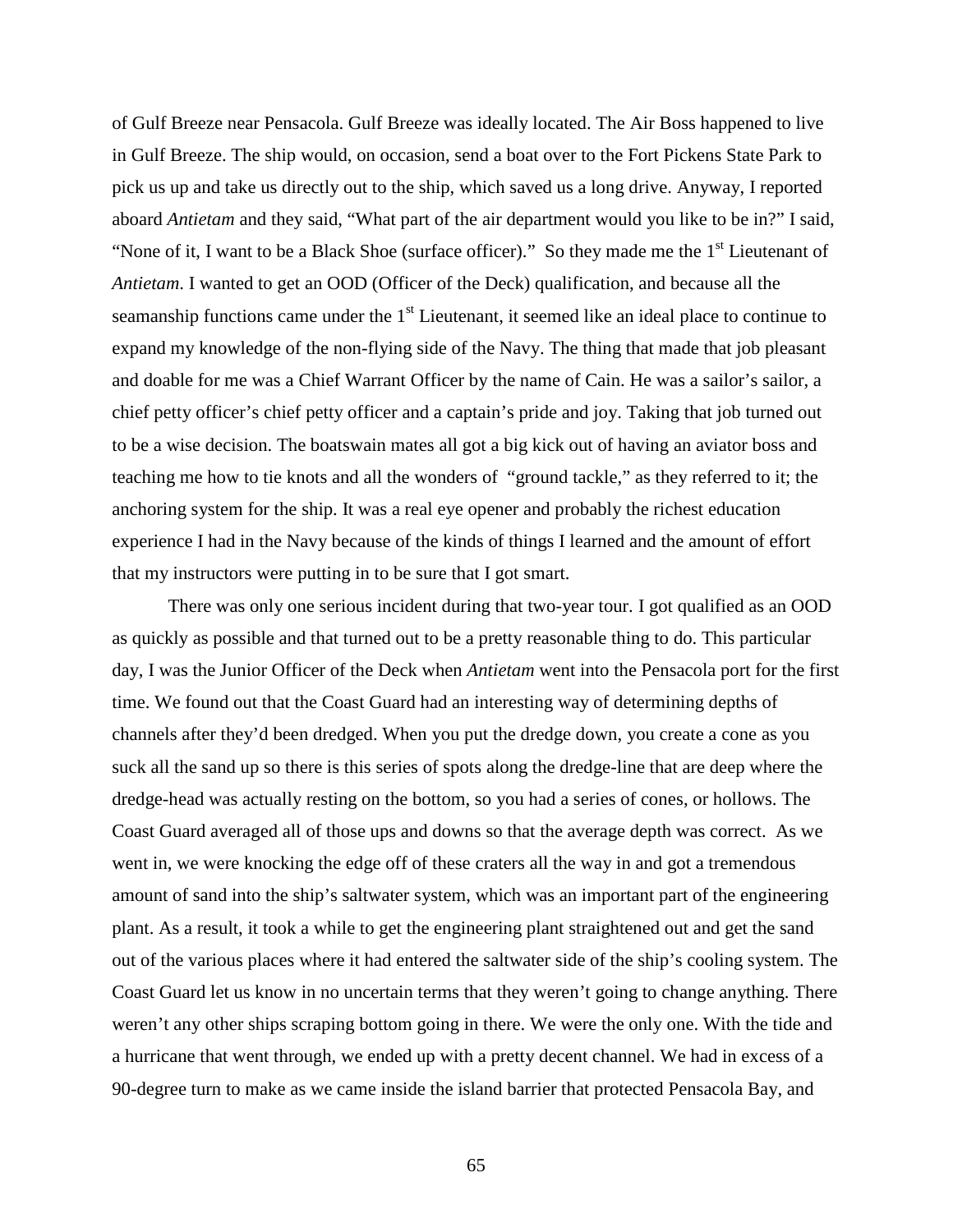of Gulf Breeze near Pensacola. Gulf Breeze was ideally located. The Air Boss happened to live in Gulf Breeze. The ship would, on occasion, send a boat over to the Fort Pickens State Park to pick us up and take us directly out to the ship, which saved us a long drive. Anyway, I reported aboard *Antietam* and they said, "What part of the air department would you like to be in?" I said, "None of it, I want to be a Black Shoe (surface officer)." So they made me the  $1<sup>st</sup>$  Lieutenant of *Antietam*. I wanted to get an OOD (Officer of the Deck) qualification, and because all the seamanship functions came under the  $1<sup>st</sup>$  Lieutenant, it seemed like an ideal place to continue to expand my knowledge of the non-flying side of the Navy. The thing that made that job pleasant and doable for me was a Chief Warrant Officer by the name of Cain. He was a sailor's sailor, a chief petty officer's chief petty officer and a captain's pride and joy. Taking that job turned out to be a wise decision. The boatswain mates all got a big kick out of having an aviator boss and teaching me how to tie knots and all the wonders of "ground tackle," as they referred to it; the anchoring system for the ship. It was a real eye opener and probably the richest education experience I had in the Navy because of the kinds of things I learned and the amount of effort that my instructors were putting in to be sure that I got smart.

There was only one serious incident during that two-year tour. I got qualified as an OOD as quickly as possible and that turned out to be a pretty reasonable thing to do. This particular day, I was the Junior Officer of the Deck when *Antietam* went into the Pensacola port for the first time. We found out that the Coast Guard had an interesting way of determining depths of channels after they'd been dredged. When you put the dredge down, you create a cone as you suck all the sand up so there is this series of spots along the dredge-line that are deep where the dredge-head was actually resting on the bottom, so you had a series of cones, or hollows. The Coast Guard averaged all of those ups and downs so that the average depth was correct. As we went in, we were knocking the edge off of these craters all the way in and got a tremendous amount of sand into the ship's saltwater system, which was an important part of the engineering plant. As a result, it took a while to get the engineering plant straightened out and get the sand out of the various places where it had entered the saltwater side of the ship's cooling system. The Coast Guard let us know in no uncertain terms that they weren't going to change anything. There weren't any other ships scraping bottom going in there. We were the only one. With the tide and a hurricane that went through, we ended up with a pretty decent channel. We had in excess of a 90-degree turn to make as we came inside the island barrier that protected Pensacola Bay, and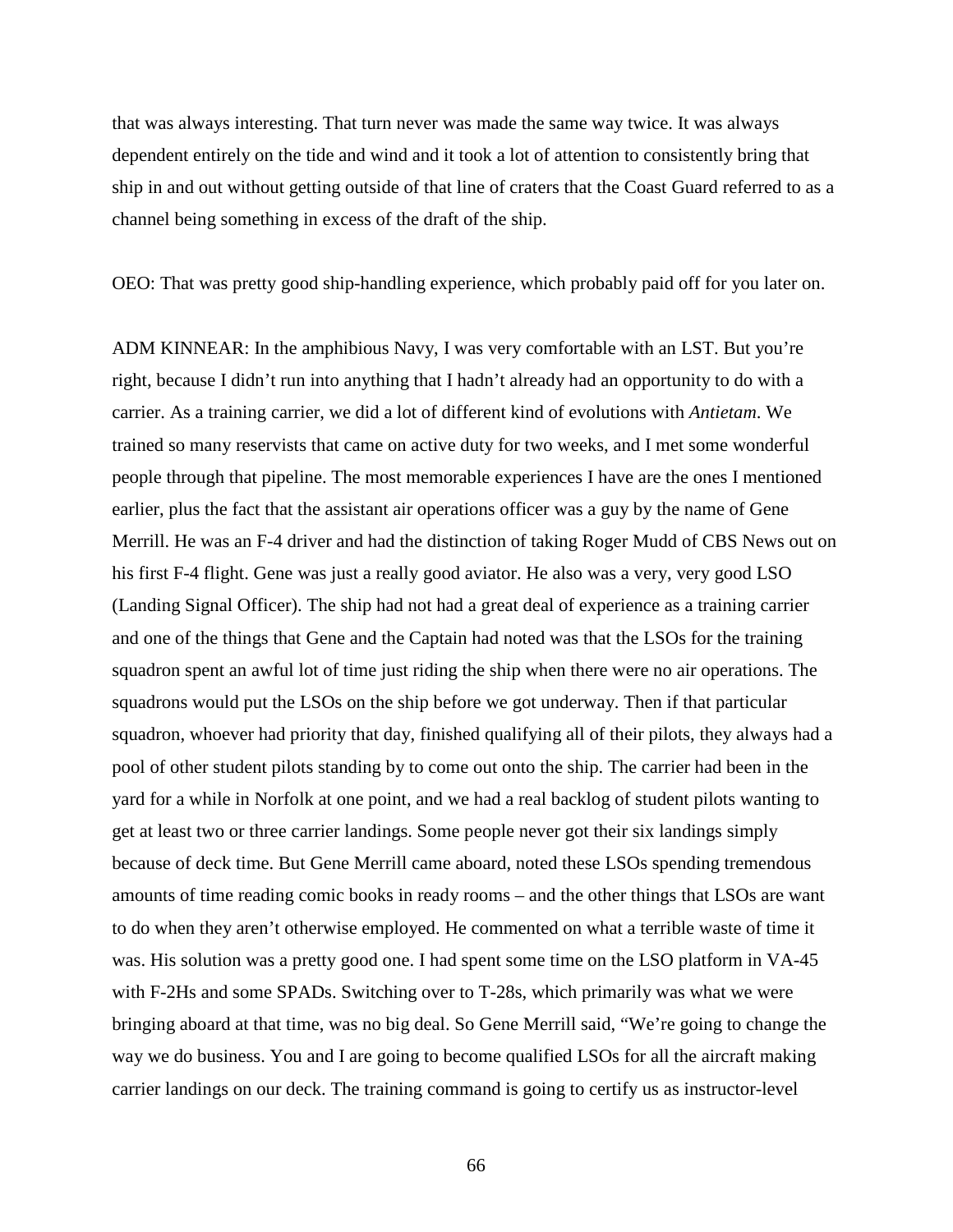that was always interesting. That turn never was made the same way twice. It was always dependent entirely on the tide and wind and it took a lot of attention to consistently bring that ship in and out without getting outside of that line of craters that the Coast Guard referred to as a channel being something in excess of the draft of the ship.

OEO: That was pretty good ship-handling experience, which probably paid off for you later on.

ADM KINNEAR: In the amphibious Navy, I was very comfortable with an LST. But you're right, because I didn't run into anything that I hadn't already had an opportunity to do with a carrier. As a training carrier, we did a lot of different kind of evolutions with *Antietam*. We trained so many reservists that came on active duty for two weeks, and I met some wonderful people through that pipeline. The most memorable experiences I have are the ones I mentioned earlier, plus the fact that the assistant air operations officer was a guy by the name of Gene Merrill. He was an F-4 driver and had the distinction of taking Roger Mudd of CBS News out on his first F-4 flight. Gene was just a really good aviator. He also was a very, very good LSO (Landing Signal Officer). The ship had not had a great deal of experience as a training carrier and one of the things that Gene and the Captain had noted was that the LSOs for the training squadron spent an awful lot of time just riding the ship when there were no air operations. The squadrons would put the LSOs on the ship before we got underway. Then if that particular squadron, whoever had priority that day, finished qualifying all of their pilots, they always had a pool of other student pilots standing by to come out onto the ship. The carrier had been in the yard for a while in Norfolk at one point, and we had a real backlog of student pilots wanting to get at least two or three carrier landings. Some people never got their six landings simply because of deck time. But Gene Merrill came aboard, noted these LSOs spending tremendous amounts of time reading comic books in ready rooms – and the other things that LSOs are want to do when they aren't otherwise employed. He commented on what a terrible waste of time it was. His solution was a pretty good one. I had spent some time on the LSO platform in VA-45 with F-2Hs and some SPADs. Switching over to T-28s, which primarily was what we were bringing aboard at that time, was no big deal. So Gene Merrill said, "We're going to change the way we do business. You and I are going to become qualified LSOs for all the aircraft making carrier landings on our deck. The training command is going to certify us as instructor-level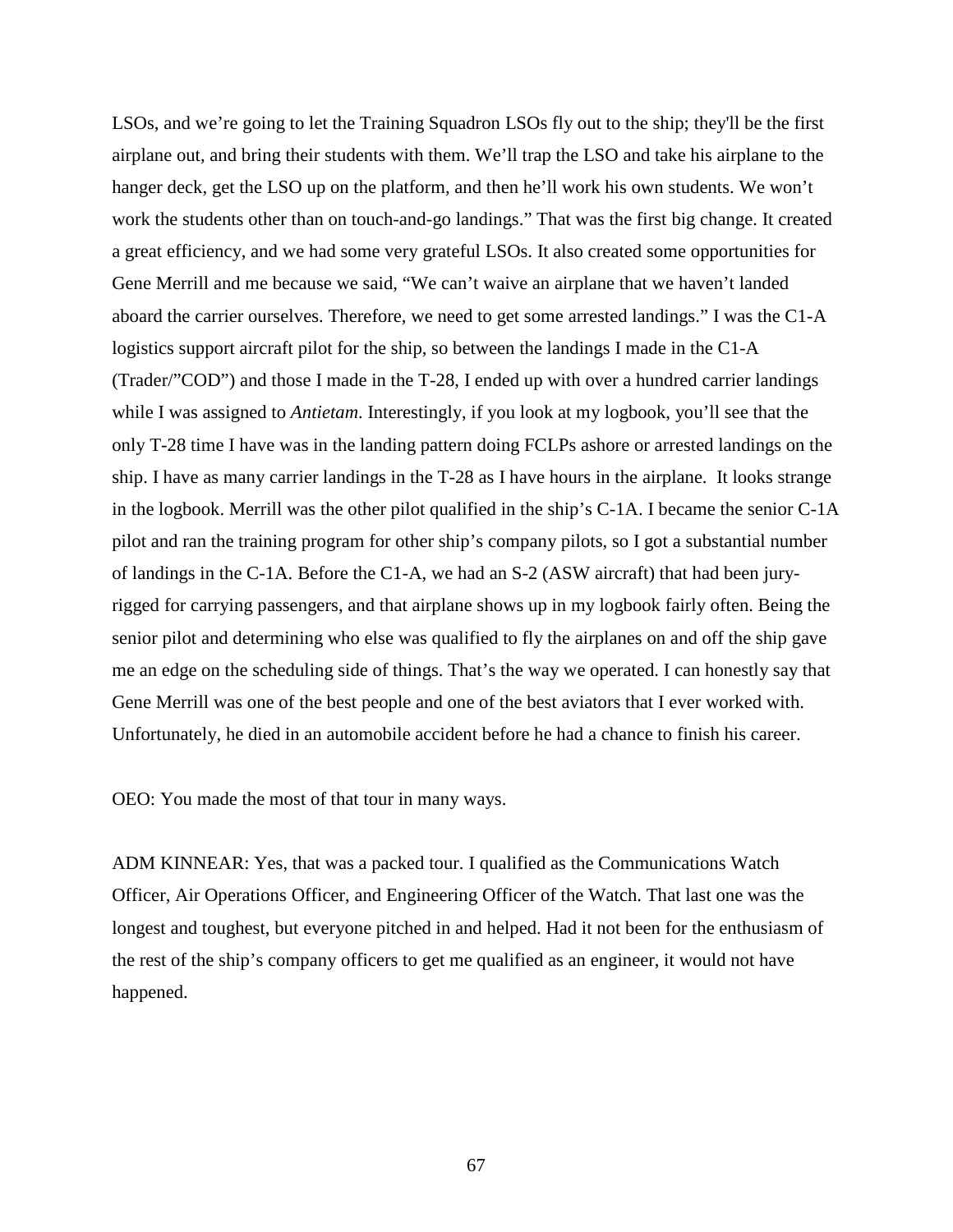LSOs, and we're going to let the Training Squadron LSOs fly out to the ship; they'll be the first airplane out, and bring their students with them. We'll trap the LSO and take his airplane to the hanger deck, get the LSO up on the platform, and then he'll work his own students. We won't work the students other than on touch-and-go landings." That was the first big change. It created a great efficiency, and we had some very grateful LSOs. It also created some opportunities for Gene Merrill and me because we said, "We can't waive an airplane that we haven't landed aboard the carrier ourselves. Therefore, we need to get some arrested landings." I was the C1-A logistics support aircraft pilot for the ship, so between the landings I made in the C1-A (Trader/"COD") and those I made in the T-28, I ended up with over a hundred carrier landings while I was assigned to *Antietam*. Interestingly, if you look at my logbook, you'll see that the only T-28 time I have was in the landing pattern doing FCLPs ashore or arrested landings on the ship. I have as many carrier landings in the T-28 as I have hours in the airplane. It looks strange in the logbook. Merrill was the other pilot qualified in the ship's C-1A. I became the senior C-1A pilot and ran the training program for other ship's company pilots, so I got a substantial number of landings in the C-1A. Before the C1-A, we had an S-2 (ASW aircraft) that had been juryrigged for carrying passengers, and that airplane shows up in my logbook fairly often. Being the senior pilot and determining who else was qualified to fly the airplanes on and off the ship gave me an edge on the scheduling side of things. That's the way we operated. I can honestly say that Gene Merrill was one of the best people and one of the best aviators that I ever worked with. Unfortunately, he died in an automobile accident before he had a chance to finish his career.

OEO: You made the most of that tour in many ways.

ADM KINNEAR: Yes, that was a packed tour. I qualified as the Communications Watch Officer, Air Operations Officer, and Engineering Officer of the Watch. That last one was the longest and toughest, but everyone pitched in and helped. Had it not been for the enthusiasm of the rest of the ship's company officers to get me qualified as an engineer, it would not have happened.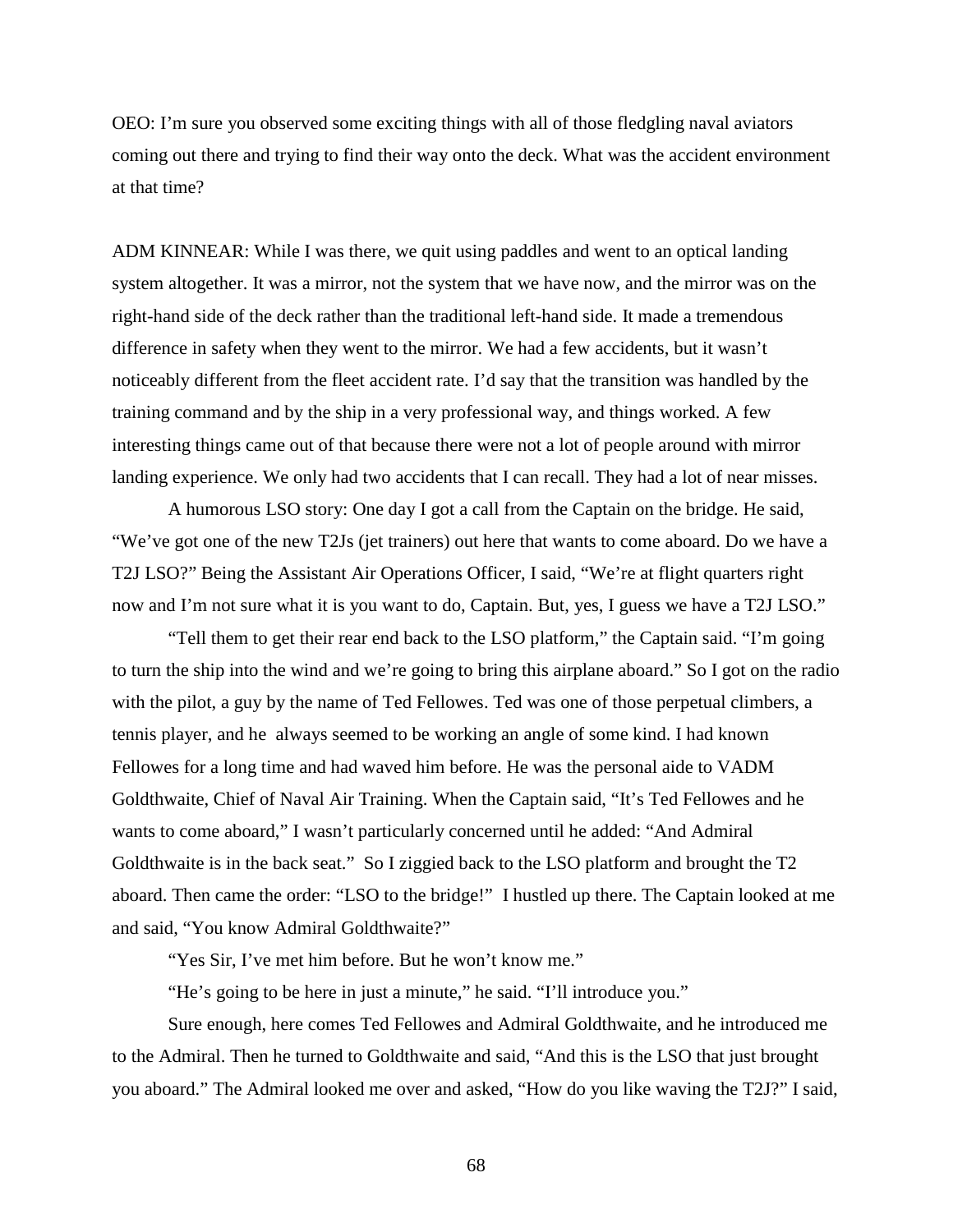OEO: I'm sure you observed some exciting things with all of those fledgling naval aviators coming out there and trying to find their way onto the deck. What was the accident environment at that time?

ADM KINNEAR: While I was there, we quit using paddles and went to an optical landing system altogether. It was a mirror, not the system that we have now, and the mirror was on the right-hand side of the deck rather than the traditional left-hand side. It made a tremendous difference in safety when they went to the mirror. We had a few accidents, but it wasn't noticeably different from the fleet accident rate. I'd say that the transition was handled by the training command and by the ship in a very professional way, and things worked. A few interesting things came out of that because there were not a lot of people around with mirror landing experience. We only had two accidents that I can recall. They had a lot of near misses.

A humorous LSO story: One day I got a call from the Captain on the bridge. He said, "We've got one of the new T2Js (jet trainers) out here that wants to come aboard. Do we have a T2J LSO?" Being the Assistant Air Operations Officer, I said, "We're at flight quarters right now and I'm not sure what it is you want to do, Captain. But, yes, I guess we have a T2J LSO."

"Tell them to get their rear end back to the LSO platform," the Captain said. "I'm going to turn the ship into the wind and we're going to bring this airplane aboard." So I got on the radio with the pilot, a guy by the name of Ted Fellowes. Ted was one of those perpetual climbers, a tennis player, and he always seemed to be working an angle of some kind. I had known Fellowes for a long time and had waved him before. He was the personal aide to VADM Goldthwaite, Chief of Naval Air Training. When the Captain said, "It's Ted Fellowes and he wants to come aboard," I wasn't particularly concerned until he added: "And Admiral Goldthwaite is in the back seat." So I ziggied back to the LSO platform and brought the T2 aboard. Then came the order: "LSO to the bridge!" I hustled up there. The Captain looked at me and said, "You know Admiral Goldthwaite?"

"Yes Sir, I've met him before. But he won't know me."

"He's going to be here in just a minute," he said. "I'll introduce you."

Sure enough, here comes Ted Fellowes and Admiral Goldthwaite, and he introduced me to the Admiral. Then he turned to Goldthwaite and said, "And this is the LSO that just brought you aboard." The Admiral looked me over and asked, "How do you like waving the T2J?" I said,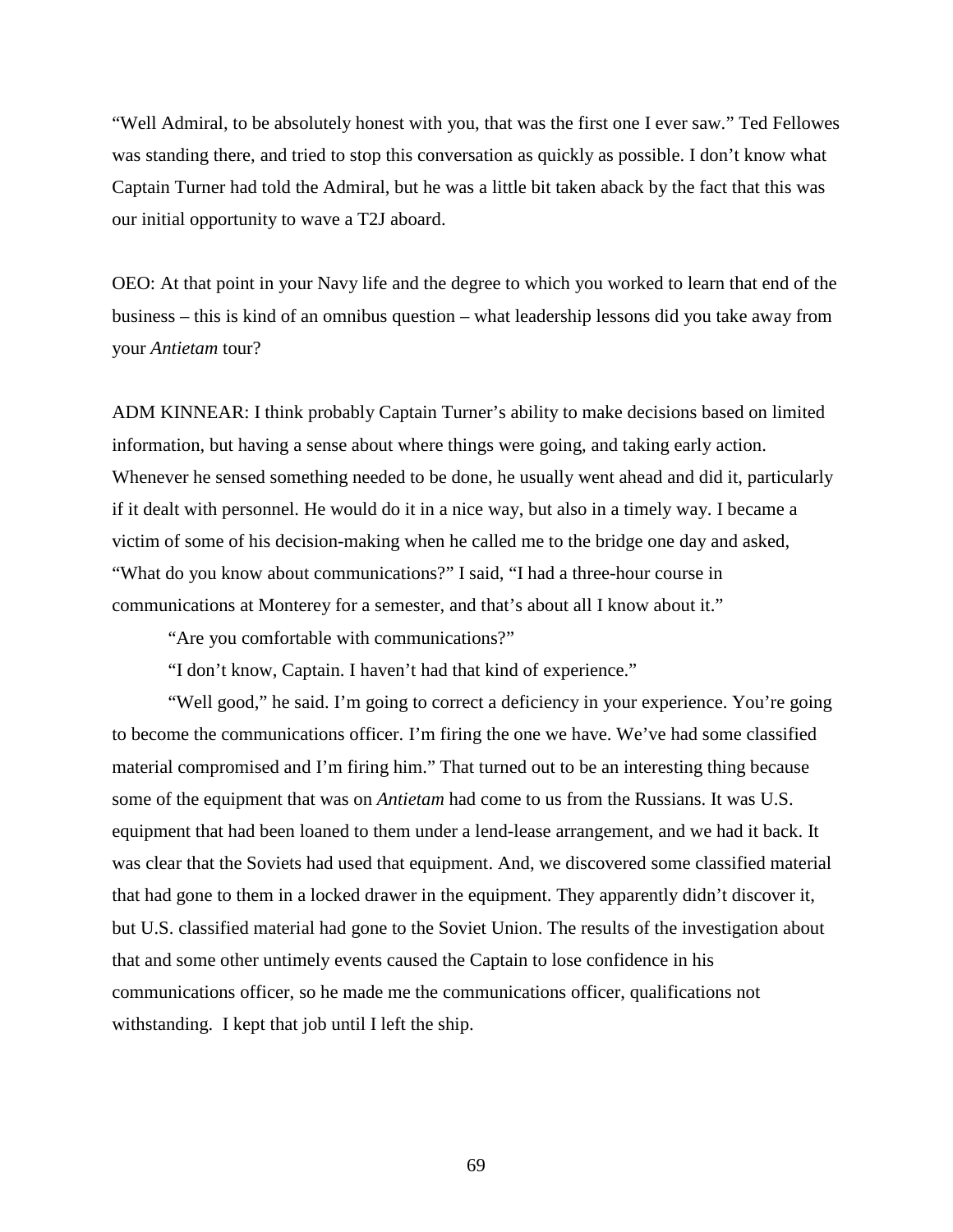"Well Admiral, to be absolutely honest with you, that was the first one I ever saw." Ted Fellowes was standing there, and tried to stop this conversation as quickly as possible. I don't know what Captain Turner had told the Admiral, but he was a little bit taken aback by the fact that this was our initial opportunity to wave a T2J aboard.

OEO: At that point in your Navy life and the degree to which you worked to learn that end of the business – this is kind of an omnibus question – what leadership lessons did you take away from your *Antietam* tour?

ADM KINNEAR: I think probably Captain Turner's ability to make decisions based on limited information, but having a sense about where things were going, and taking early action. Whenever he sensed something needed to be done, he usually went ahead and did it, particularly if it dealt with personnel. He would do it in a nice way, but also in a timely way. I became a victim of some of his decision-making when he called me to the bridge one day and asked, "What do you know about communications?" I said, "I had a three-hour course in communications at Monterey for a semester, and that's about all I know about it."

"Are you comfortable with communications?"

"I don't know, Captain. I haven't had that kind of experience."

"Well good," he said. I'm going to correct a deficiency in your experience. You're going to become the communications officer. I'm firing the one we have. We've had some classified material compromised and I'm firing him." That turned out to be an interesting thing because some of the equipment that was on *Antietam* had come to us from the Russians. It was U.S. equipment that had been loaned to them under a lend-lease arrangement, and we had it back. It was clear that the Soviets had used that equipment. And, we discovered some classified material that had gone to them in a locked drawer in the equipment. They apparently didn't discover it, but U.S. classified material had gone to the Soviet Union. The results of the investigation about that and some other untimely events caused the Captain to lose confidence in his communications officer, so he made me the communications officer, qualifications not withstanding. I kept that job until I left the ship.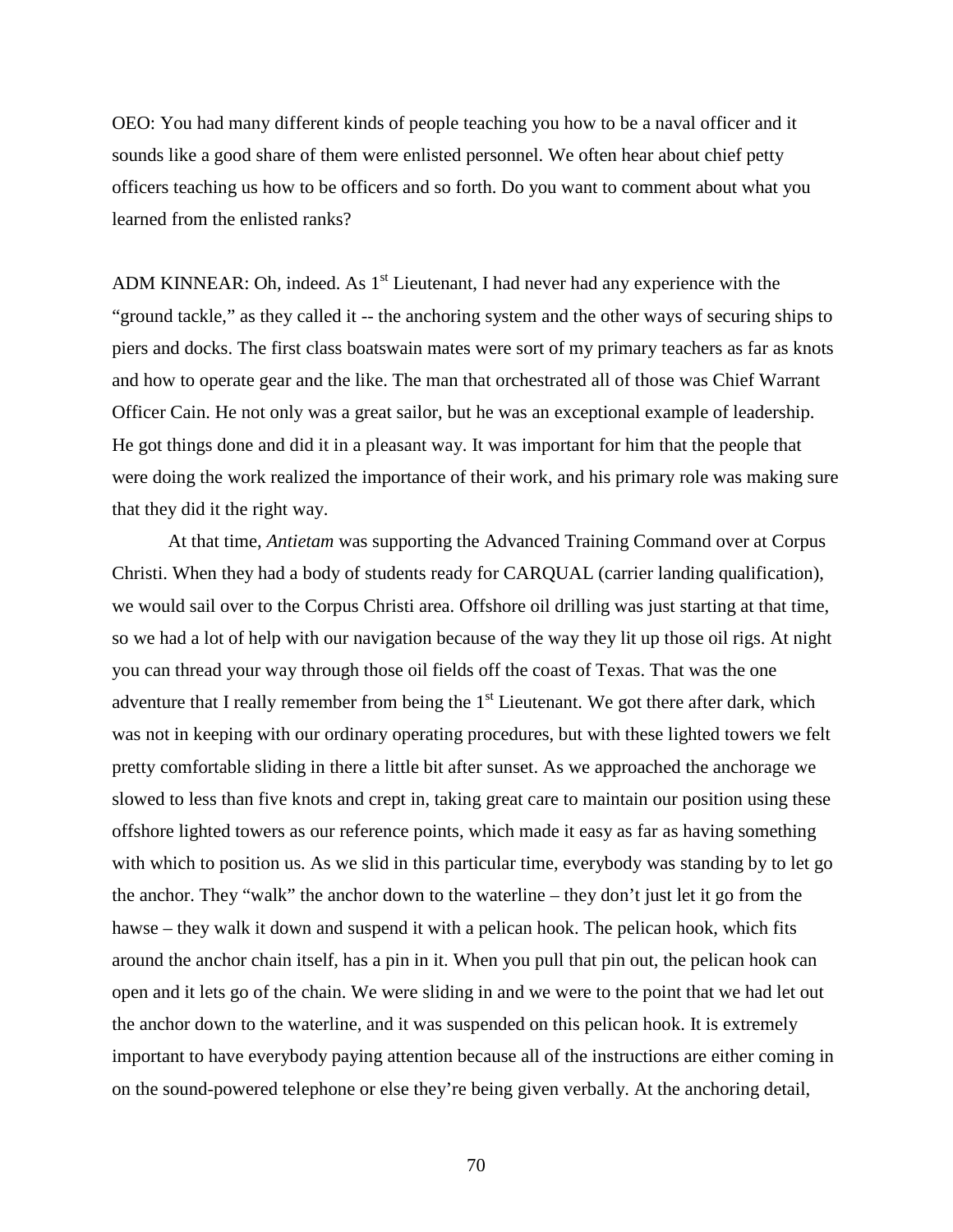OEO: You had many different kinds of people teaching you how to be a naval officer and it sounds like a good share of them were enlisted personnel. We often hear about chief petty officers teaching us how to be officers and so forth. Do you want to comment about what you learned from the enlisted ranks?

ADM KINNEAR: Oh, indeed. As  $1<sup>st</sup>$  Lieutenant, I had never had any experience with the "ground tackle," as they called it -- the anchoring system and the other ways of securing ships to piers and docks. The first class boatswain mates were sort of my primary teachers as far as knots and how to operate gear and the like. The man that orchestrated all of those was Chief Warrant Officer Cain. He not only was a great sailor, but he was an exceptional example of leadership. He got things done and did it in a pleasant way. It was important for him that the people that were doing the work realized the importance of their work, and his primary role was making sure that they did it the right way.

At that time, *Antietam* was supporting the Advanced Training Command over at Corpus Christi. When they had a body of students ready for CARQUAL (carrier landing qualification), we would sail over to the Corpus Christi area. Offshore oil drilling was just starting at that time, so we had a lot of help with our navigation because of the way they lit up those oil rigs. At night you can thread your way through those oil fields off the coast of Texas. That was the one adventure that I really remember from being the  $1<sup>st</sup>$  Lieutenant. We got there after dark, which was not in keeping with our ordinary operating procedures, but with these lighted towers we felt pretty comfortable sliding in there a little bit after sunset. As we approached the anchorage we slowed to less than five knots and crept in, taking great care to maintain our position using these offshore lighted towers as our reference points, which made it easy as far as having something with which to position us. As we slid in this particular time, everybody was standing by to let go the anchor. They "walk" the anchor down to the waterline – they don't just let it go from the hawse – they walk it down and suspend it with a pelican hook. The pelican hook, which fits around the anchor chain itself, has a pin in it. When you pull that pin out, the pelican hook can open and it lets go of the chain. We were sliding in and we were to the point that we had let out the anchor down to the waterline, and it was suspended on this pelican hook. It is extremely important to have everybody paying attention because all of the instructions are either coming in on the sound-powered telephone or else they're being given verbally. At the anchoring detail,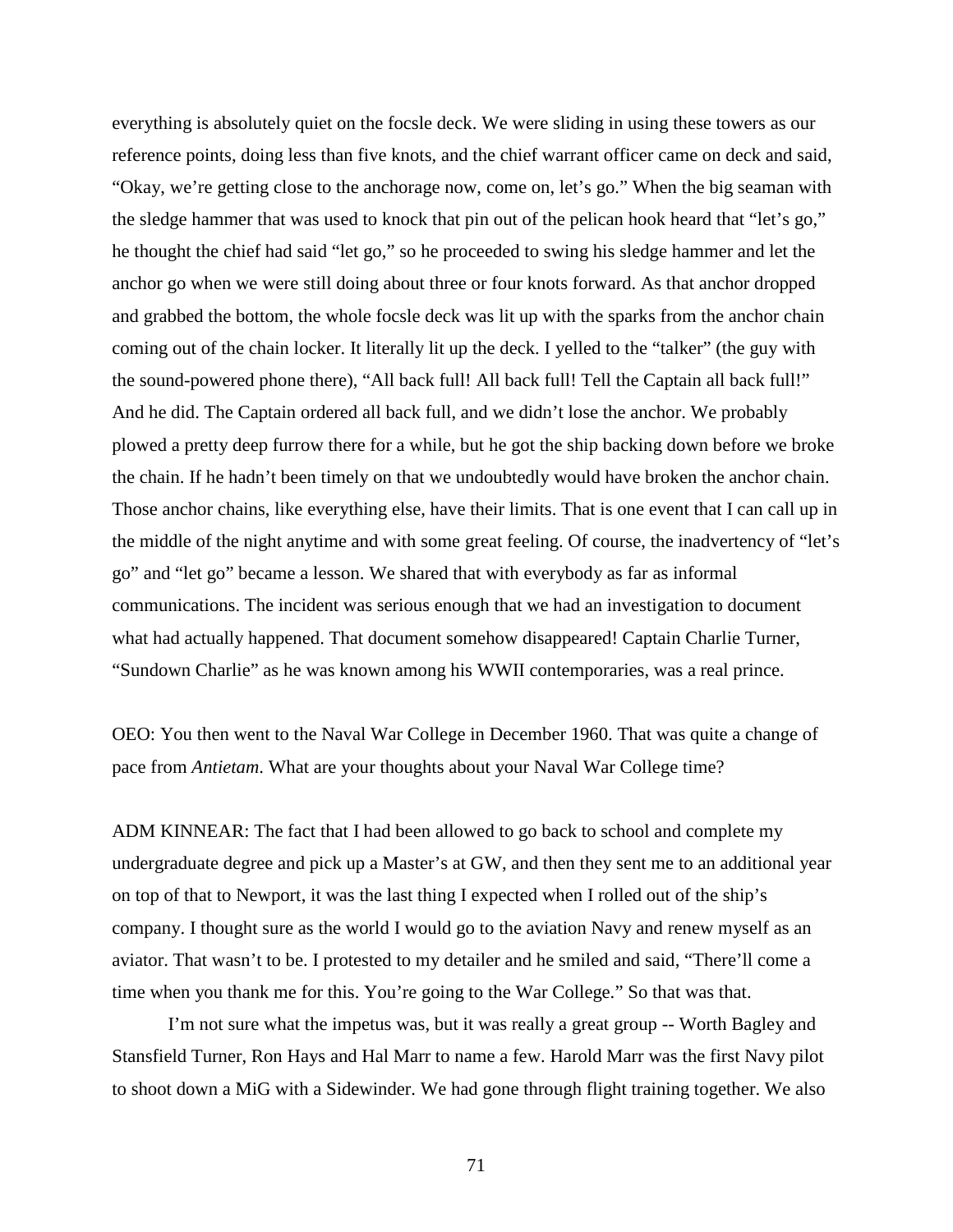everything is absolutely quiet on the focsle deck. We were sliding in using these towers as our reference points, doing less than five knots, and the chief warrant officer came on deck and said, "Okay, we're getting close to the anchorage now, come on, let's go." When the big seaman with the sledge hammer that was used to knock that pin out of the pelican hook heard that "let's go," he thought the chief had said "let go," so he proceeded to swing his sledge hammer and let the anchor go when we were still doing about three or four knots forward. As that anchor dropped and grabbed the bottom, the whole focsle deck was lit up with the sparks from the anchor chain coming out of the chain locker. It literally lit up the deck. I yelled to the "talker" (the guy with the sound-powered phone there), "All back full! All back full! Tell the Captain all back full!" And he did. The Captain ordered all back full, and we didn't lose the anchor. We probably plowed a pretty deep furrow there for a while, but he got the ship backing down before we broke the chain. If he hadn't been timely on that we undoubtedly would have broken the anchor chain. Those anchor chains, like everything else, have their limits. That is one event that I can call up in the middle of the night anytime and with some great feeling. Of course, the inadvertency of "let's go" and "let go" became a lesson. We shared that with everybody as far as informal communications. The incident was serious enough that we had an investigation to document what had actually happened. That document somehow disappeared! Captain Charlie Turner, "Sundown Charlie" as he was known among his WWII contemporaries, was a real prince.

OEO: You then went to the Naval War College in December 1960. That was quite a change of pace from *Antietam*. What are your thoughts about your Naval War College time?

ADM KINNEAR: The fact that I had been allowed to go back to school and complete my undergraduate degree and pick up a Master's at GW, and then they sent me to an additional year on top of that to Newport, it was the last thing I expected when I rolled out of the ship's company. I thought sure as the world I would go to the aviation Navy and renew myself as an aviator. That wasn't to be. I protested to my detailer and he smiled and said, "There'll come a time when you thank me for this. You're going to the War College." So that was that.

I'm not sure what the impetus was, but it was really a great group -- Worth Bagley and Stansfield Turner, Ron Hays and Hal Marr to name a few. Harold Marr was the first Navy pilot to shoot down a MiG with a Sidewinder. We had gone through flight training together. We also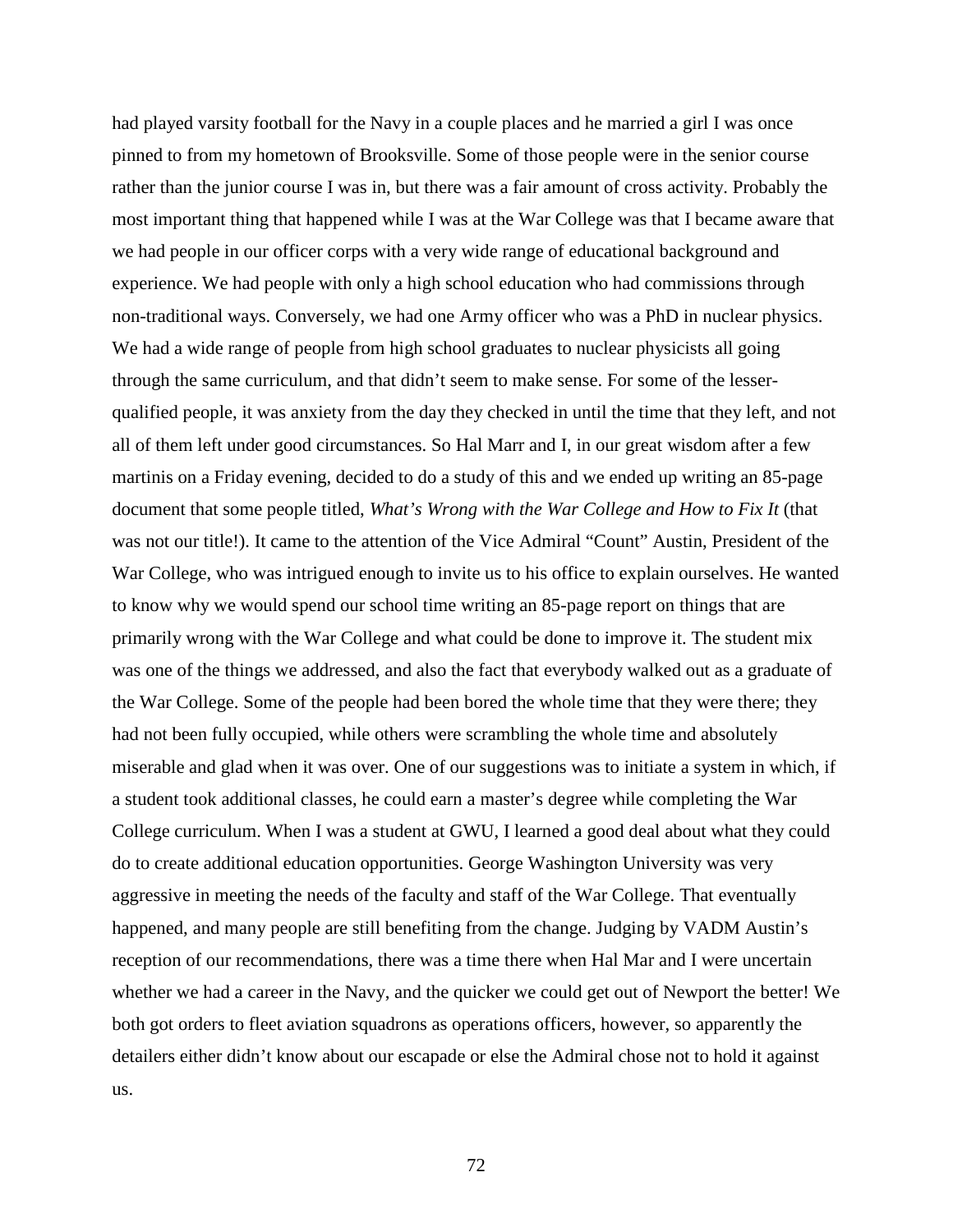had played varsity football for the Navy in a couple places and he married a girl I was once pinned to from my hometown of Brooksville. Some of those people were in the senior course rather than the junior course I was in, but there was a fair amount of cross activity. Probably the most important thing that happened while I was at the War College was that I became aware that we had people in our officer corps with a very wide range of educational background and experience. We had people with only a high school education who had commissions through non-traditional ways. Conversely, we had one Army officer who was a PhD in nuclear physics. We had a wide range of people from high school graduates to nuclear physicists all going through the same curriculum, and that didn't seem to make sense. For some of the lesserqualified people, it was anxiety from the day they checked in until the time that they left, and not all of them left under good circumstances. So Hal Marr and I, in our great wisdom after a few martinis on a Friday evening, decided to do a study of this and we ended up writing an 85-page document that some people titled, *What's Wrong with the War College and How to Fix It* (that was not our title!). It came to the attention of the Vice Admiral "Count" Austin, President of the War College, who was intrigued enough to invite us to his office to explain ourselves. He wanted to know why we would spend our school time writing an 85-page report on things that are primarily wrong with the War College and what could be done to improve it. The student mix was one of the things we addressed, and also the fact that everybody walked out as a graduate of the War College. Some of the people had been bored the whole time that they were there; they had not been fully occupied, while others were scrambling the whole time and absolutely miserable and glad when it was over. One of our suggestions was to initiate a system in which, if a student took additional classes, he could earn a master's degree while completing the War College curriculum. When I was a student at GWU, I learned a good deal about what they could do to create additional education opportunities. George Washington University was very aggressive in meeting the needs of the faculty and staff of the War College. That eventually happened, and many people are still benefiting from the change. Judging by VADM Austin's reception of our recommendations, there was a time there when Hal Mar and I were uncertain whether we had a career in the Navy, and the quicker we could get out of Newport the better! We both got orders to fleet aviation squadrons as operations officers, however, so apparently the detailers either didn't know about our escapade or else the Admiral chose not to hold it against us.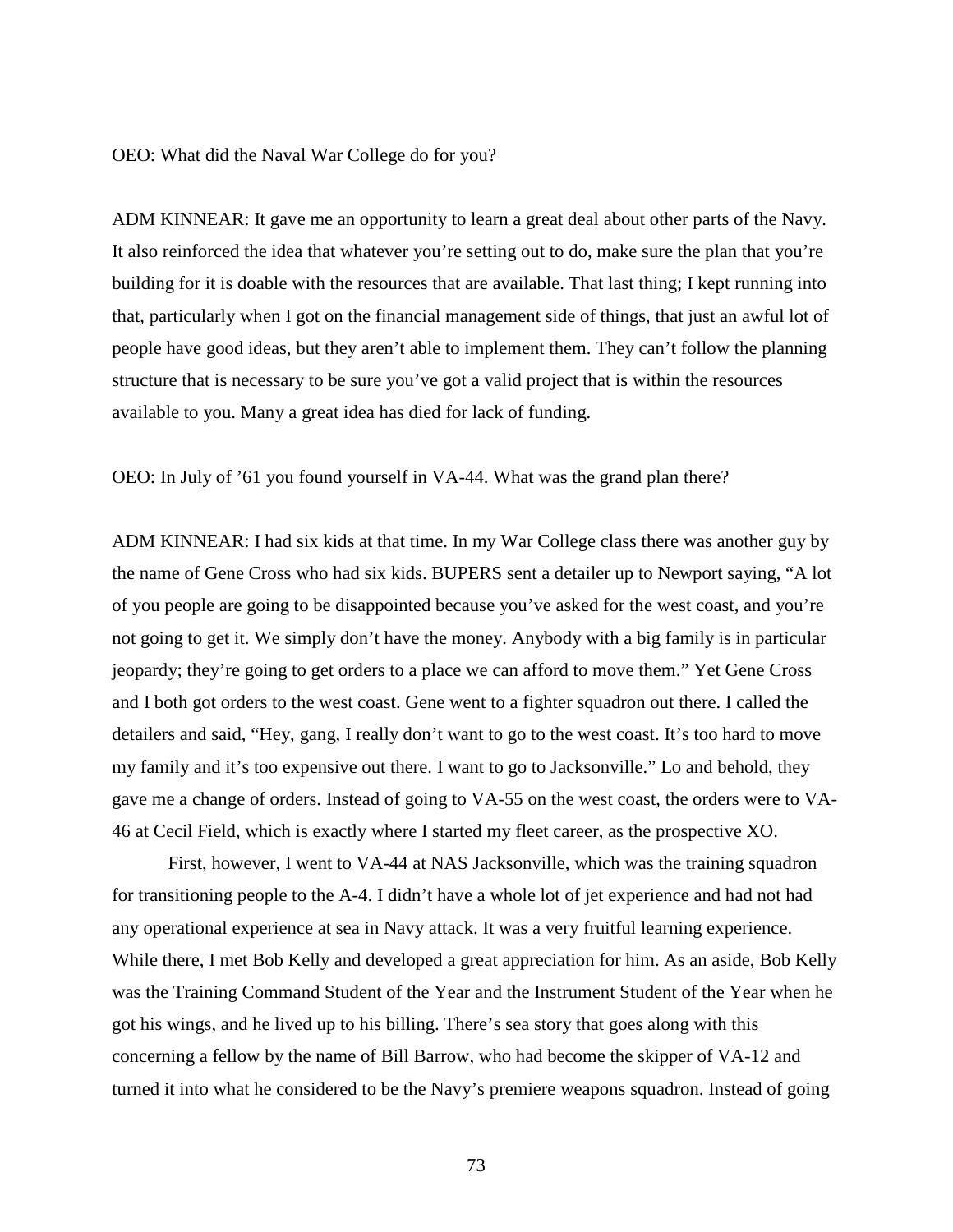OEO: What did the Naval War College do for you?

ADM KINNEAR: It gave me an opportunity to learn a great deal about other parts of the Navy. It also reinforced the idea that whatever you're setting out to do, make sure the plan that you're building for it is doable with the resources that are available. That last thing; I kept running into that, particularly when I got on the financial management side of things, that just an awful lot of people have good ideas, but they aren't able to implement them. They can't follow the planning structure that is necessary to be sure you've got a valid project that is within the resources available to you. Many a great idea has died for lack of funding.

OEO: In July of '61 you found yourself in VA-44. What was the grand plan there?

ADM KINNEAR: I had six kids at that time. In my War College class there was another guy by the name of Gene Cross who had six kids. BUPERS sent a detailer up to Newport saying, "A lot of you people are going to be disappointed because you've asked for the west coast, and you're not going to get it. We simply don't have the money. Anybody with a big family is in particular jeopardy; they're going to get orders to a place we can afford to move them." Yet Gene Cross and I both got orders to the west coast. Gene went to a fighter squadron out there. I called the detailers and said, "Hey, gang, I really don't want to go to the west coast. It's too hard to move my family and it's too expensive out there. I want to go to Jacksonville." Lo and behold, they gave me a change of orders. Instead of going to VA-55 on the west coast, the orders were to VA-46 at Cecil Field, which is exactly where I started my fleet career, as the prospective XO.

First, however, I went to VA-44 at NAS Jacksonville, which was the training squadron for transitioning people to the A-4. I didn't have a whole lot of jet experience and had not had any operational experience at sea in Navy attack. It was a very fruitful learning experience. While there, I met Bob Kelly and developed a great appreciation for him. As an aside, Bob Kelly was the Training Command Student of the Year and the Instrument Student of the Year when he got his wings, and he lived up to his billing. There's sea story that goes along with this concerning a fellow by the name of Bill Barrow, who had become the skipper of VA-12 and turned it into what he considered to be the Navy's premiere weapons squadron. Instead of going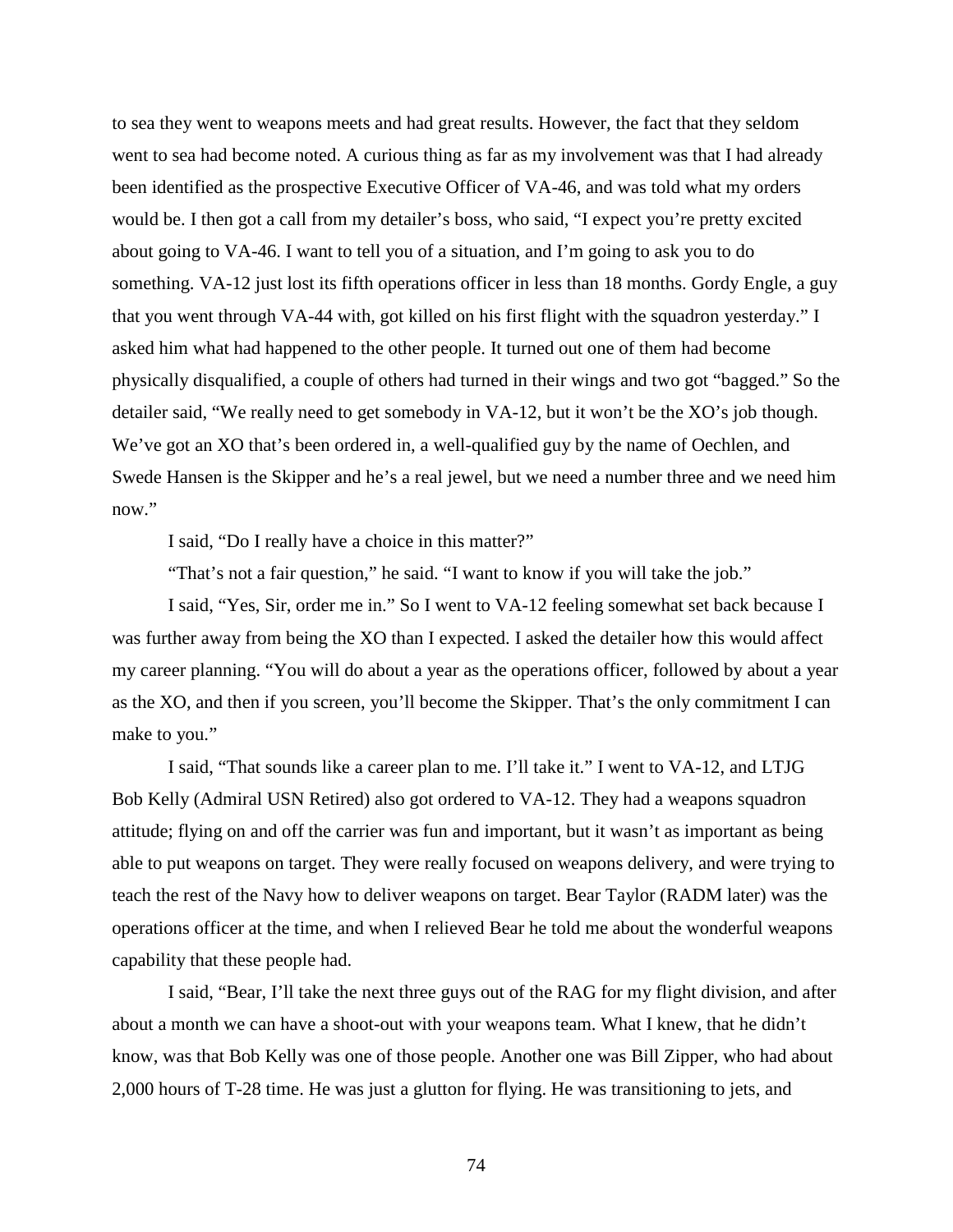to sea they went to weapons meets and had great results. However, the fact that they seldom went to sea had become noted. A curious thing as far as my involvement was that I had already been identified as the prospective Executive Officer of VA-46, and was told what my orders would be. I then got a call from my detailer's boss, who said, "I expect you're pretty excited about going to VA-46. I want to tell you of a situation, and I'm going to ask you to do something. VA-12 just lost its fifth operations officer in less than 18 months. Gordy Engle, a guy that you went through VA-44 with, got killed on his first flight with the squadron yesterday." I asked him what had happened to the other people. It turned out one of them had become physically disqualified, a couple of others had turned in their wings and two got "bagged." So the detailer said, "We really need to get somebody in VA-12, but it won't be the XO's job though. We've got an XO that's been ordered in, a well-qualified guy by the name of Oechlen, and Swede Hansen is the Skipper and he's a real jewel, but we need a number three and we need him now."

I said, "Do I really have a choice in this matter?"

"That's not a fair question," he said. "I want to know if you will take the job."

I said, "Yes, Sir, order me in." So I went to VA-12 feeling somewhat set back because I was further away from being the XO than I expected. I asked the detailer how this would affect my career planning. "You will do about a year as the operations officer, followed by about a year as the XO, and then if you screen, you'll become the Skipper. That's the only commitment I can make to you."

I said, "That sounds like a career plan to me. I'll take it." I went to VA-12, and LTJG Bob Kelly (Admiral USN Retired) also got ordered to VA-12. They had a weapons squadron attitude; flying on and off the carrier was fun and important, but it wasn't as important as being able to put weapons on target. They were really focused on weapons delivery, and were trying to teach the rest of the Navy how to deliver weapons on target. Bear Taylor (RADM later) was the operations officer at the time, and when I relieved Bear he told me about the wonderful weapons capability that these people had.

I said, "Bear, I'll take the next three guys out of the RAG for my flight division, and after about a month we can have a shoot-out with your weapons team. What I knew, that he didn't know, was that Bob Kelly was one of those people. Another one was Bill Zipper, who had about 2,000 hours of T-28 time. He was just a glutton for flying. He was transitioning to jets, and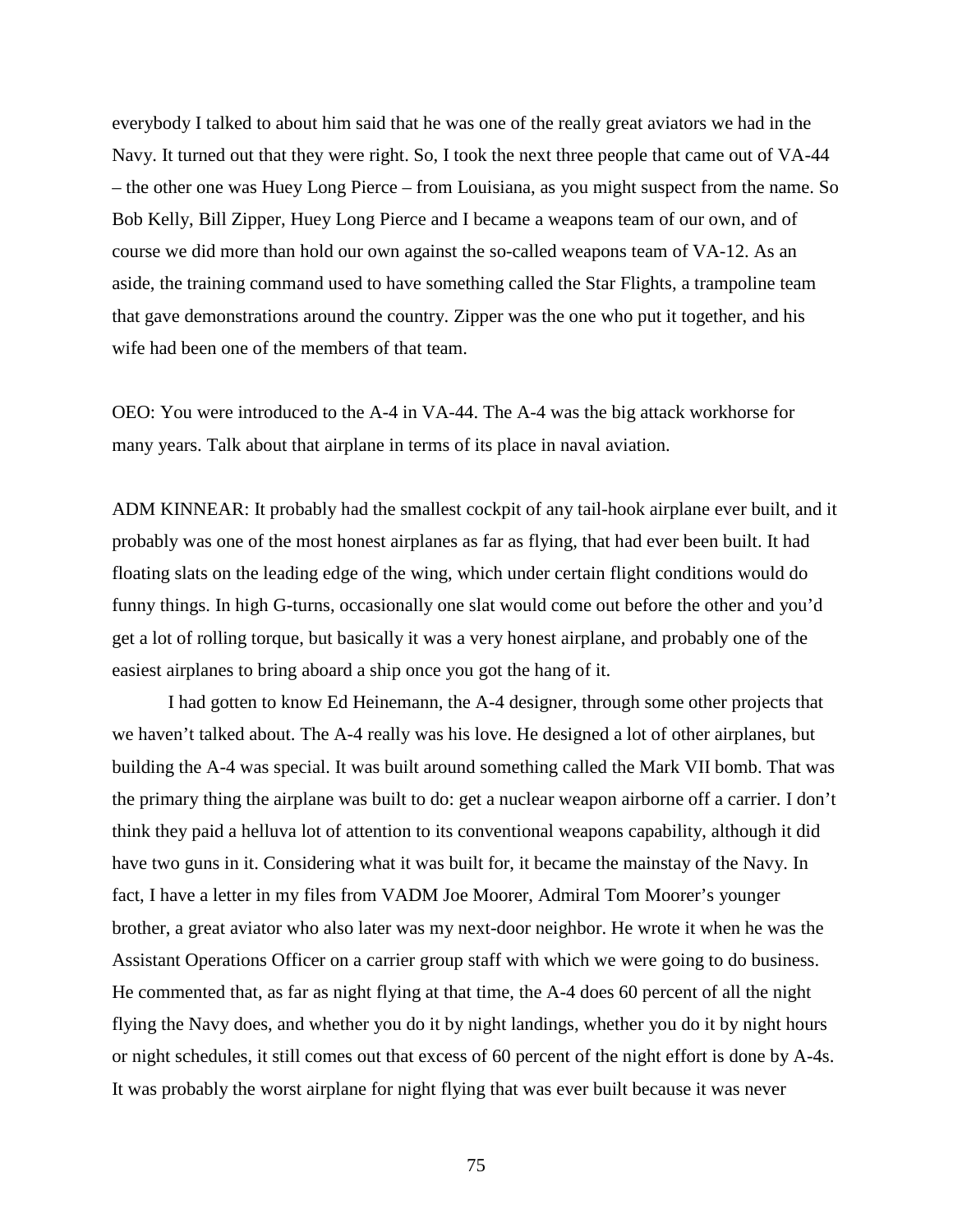everybody I talked to about him said that he was one of the really great aviators we had in the Navy. It turned out that they were right. So, I took the next three people that came out of VA-44 – the other one was Huey Long Pierce – from Louisiana, as you might suspect from the name. So Bob Kelly, Bill Zipper, Huey Long Pierce and I became a weapons team of our own, and of course we did more than hold our own against the so-called weapons team of VA-12. As an aside, the training command used to have something called the Star Flights, a trampoline team that gave demonstrations around the country. Zipper was the one who put it together, and his wife had been one of the members of that team.

OEO: You were introduced to the A-4 in VA-44. The A-4 was the big attack workhorse for many years. Talk about that airplane in terms of its place in naval aviation.

ADM KINNEAR: It probably had the smallest cockpit of any tail-hook airplane ever built, and it probably was one of the most honest airplanes as far as flying, that had ever been built. It had floating slats on the leading edge of the wing, which under certain flight conditions would do funny things. In high G-turns, occasionally one slat would come out before the other and you'd get a lot of rolling torque, but basically it was a very honest airplane, and probably one of the easiest airplanes to bring aboard a ship once you got the hang of it.

I had gotten to know Ed Heinemann, the A-4 designer, through some other projects that we haven't talked about. The A-4 really was his love. He designed a lot of other airplanes, but building the A-4 was special. It was built around something called the Mark VII bomb. That was the primary thing the airplane was built to do: get a nuclear weapon airborne off a carrier. I don't think they paid a helluva lot of attention to its conventional weapons capability, although it did have two guns in it. Considering what it was built for, it became the mainstay of the Navy. In fact, I have a letter in my files from VADM Joe Moorer, Admiral Tom Moorer's younger brother, a great aviator who also later was my next-door neighbor. He wrote it when he was the Assistant Operations Officer on a carrier group staff with which we were going to do business. He commented that, as far as night flying at that time, the A-4 does 60 percent of all the night flying the Navy does, and whether you do it by night landings, whether you do it by night hours or night schedules, it still comes out that excess of 60 percent of the night effort is done by A-4s. It was probably the worst airplane for night flying that was ever built because it was never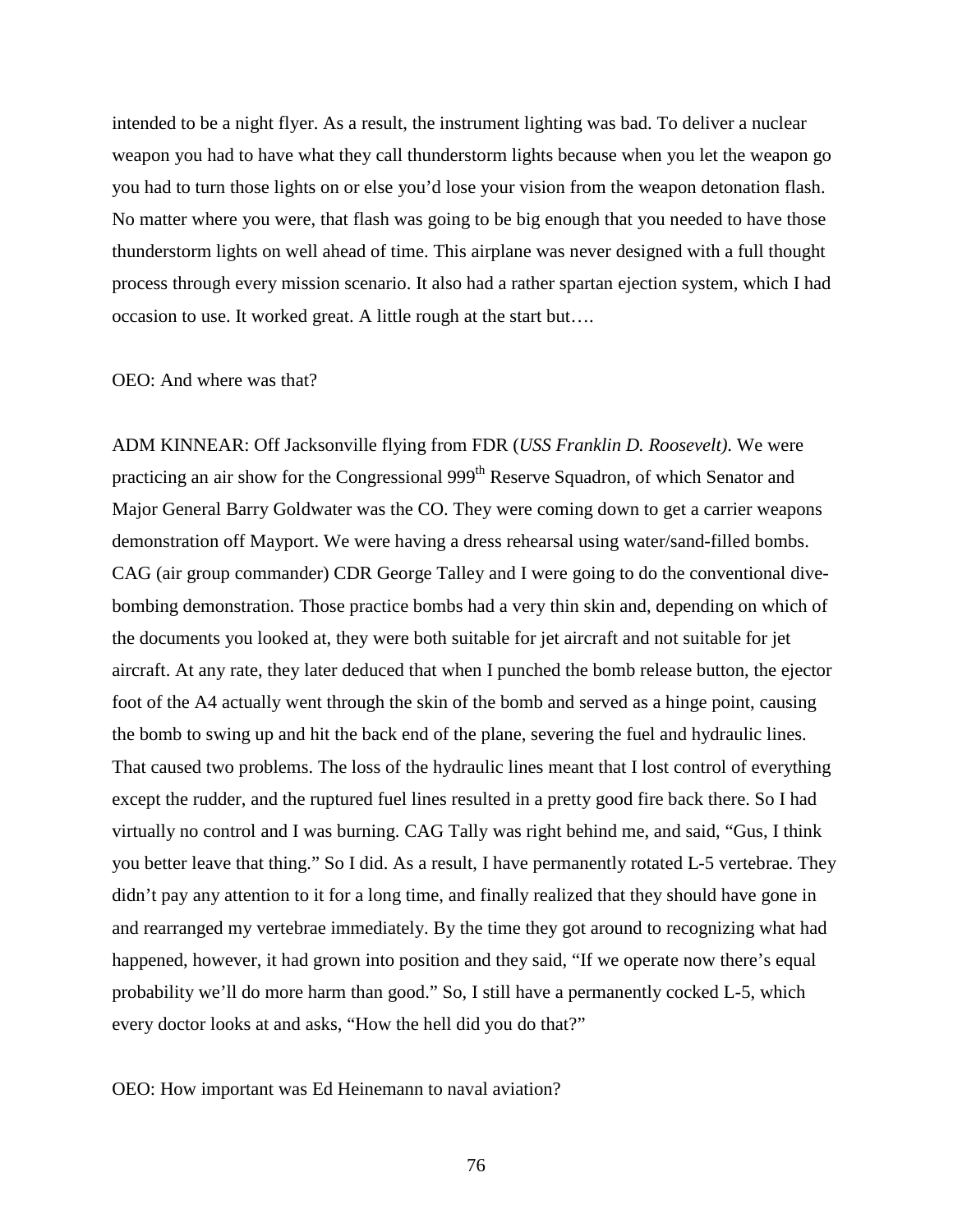intended to be a night flyer. As a result, the instrument lighting was bad. To deliver a nuclear weapon you had to have what they call thunderstorm lights because when you let the weapon go you had to turn those lights on or else you'd lose your vision from the weapon detonation flash. No matter where you were, that flash was going to be big enough that you needed to have those thunderstorm lights on well ahead of time. This airplane was never designed with a full thought process through every mission scenario. It also had a rather spartan ejection system, which I had occasion to use. It worked great. A little rough at the start but….

## OEO: And where was that?

ADM KINNEAR: Off Jacksonville flying from FDR (*USS Franklin D. Roosevelt)*. We were practicing an air show for the Congressional 999<sup>th</sup> Reserve Squadron, of which Senator and Major General Barry Goldwater was the CO. They were coming down to get a carrier weapons demonstration off Mayport. We were having a dress rehearsal using water/sand-filled bombs. CAG (air group commander) CDR George Talley and I were going to do the conventional divebombing demonstration. Those practice bombs had a very thin skin and, depending on which of the documents you looked at, they were both suitable for jet aircraft and not suitable for jet aircraft. At any rate, they later deduced that when I punched the bomb release button, the ejector foot of the A4 actually went through the skin of the bomb and served as a hinge point, causing the bomb to swing up and hit the back end of the plane, severing the fuel and hydraulic lines. That caused two problems. The loss of the hydraulic lines meant that I lost control of everything except the rudder, and the ruptured fuel lines resulted in a pretty good fire back there. So I had virtually no control and I was burning. CAG Tally was right behind me, and said, "Gus, I think you better leave that thing." So I did. As a result, I have permanently rotated L-5 vertebrae. They didn't pay any attention to it for a long time, and finally realized that they should have gone in and rearranged my vertebrae immediately. By the time they got around to recognizing what had happened, however, it had grown into position and they said, "If we operate now there's equal probability we'll do more harm than good." So, I still have a permanently cocked L-5, which every doctor looks at and asks, "How the hell did you do that?"

OEO: How important was Ed Heinemann to naval aviation?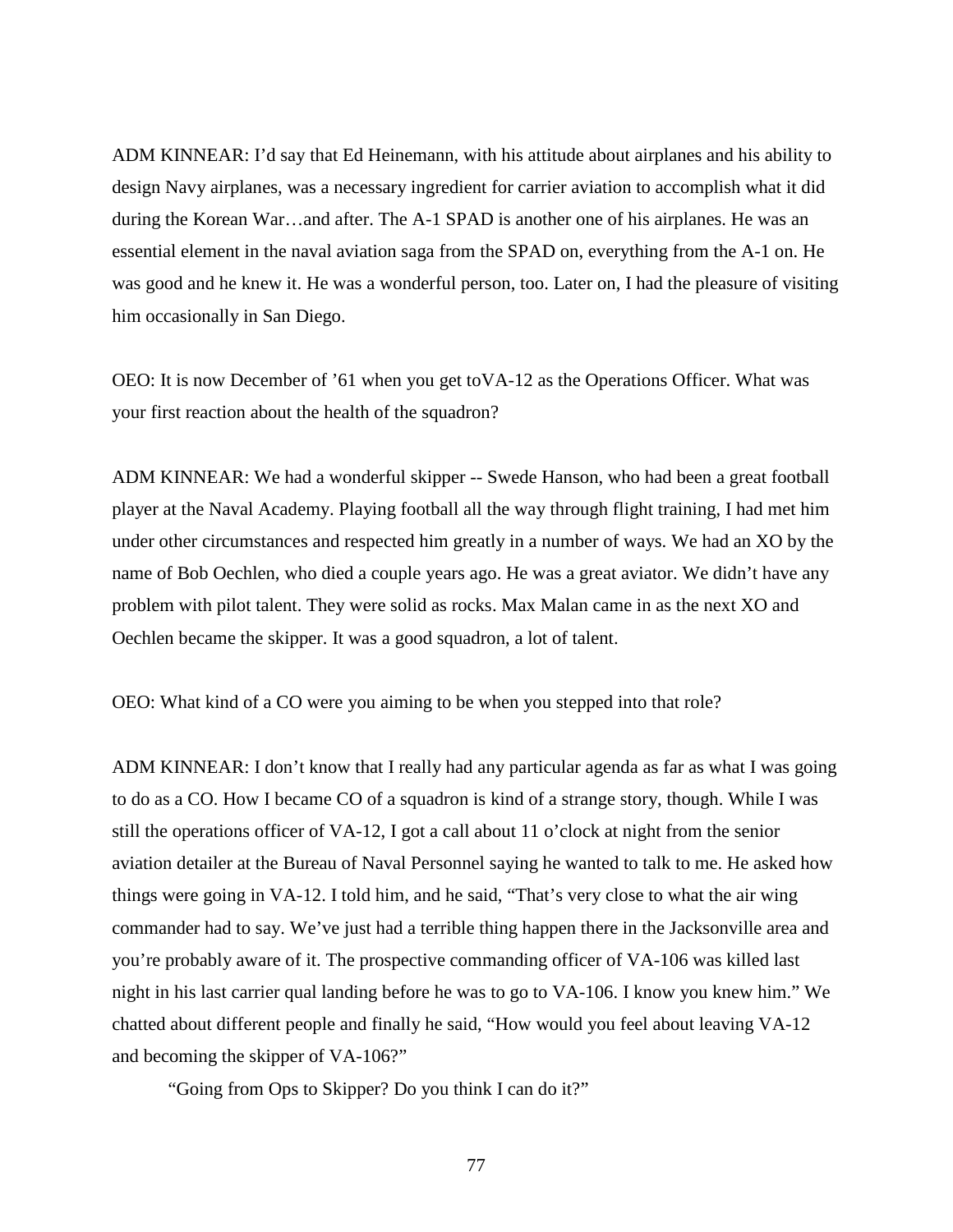ADM KINNEAR: I'd say that Ed Heinemann, with his attitude about airplanes and his ability to design Navy airplanes, was a necessary ingredient for carrier aviation to accomplish what it did during the Korean War…and after. The A-1 SPAD is another one of his airplanes. He was an essential element in the naval aviation saga from the SPAD on, everything from the A-1 on. He was good and he knew it. He was a wonderful person, too. Later on, I had the pleasure of visiting him occasionally in San Diego.

OEO: It is now December of '61 when you get toVA-12 as the Operations Officer. What was your first reaction about the health of the squadron?

ADM KINNEAR: We had a wonderful skipper -- Swede Hanson, who had been a great football player at the Naval Academy. Playing football all the way through flight training, I had met him under other circumstances and respected him greatly in a number of ways. We had an XO by the name of Bob Oechlen, who died a couple years ago. He was a great aviator. We didn't have any problem with pilot talent. They were solid as rocks. Max Malan came in as the next XO and Oechlen became the skipper. It was a good squadron, a lot of talent.

OEO: What kind of a CO were you aiming to be when you stepped into that role?

ADM KINNEAR: I don't know that I really had any particular agenda as far as what I was going to do as a CO. How I became CO of a squadron is kind of a strange story, though. While I was still the operations officer of VA-12, I got a call about 11 o'clock at night from the senior aviation detailer at the Bureau of Naval Personnel saying he wanted to talk to me. He asked how things were going in VA-12. I told him, and he said, "That's very close to what the air wing commander had to say. We've just had a terrible thing happen there in the Jacksonville area and you're probably aware of it. The prospective commanding officer of VA-106 was killed last night in his last carrier qual landing before he was to go to VA-106. I know you knew him." We chatted about different people and finally he said, "How would you feel about leaving VA-12 and becoming the skipper of VA-106?"

"Going from Ops to Skipper? Do you think I can do it?"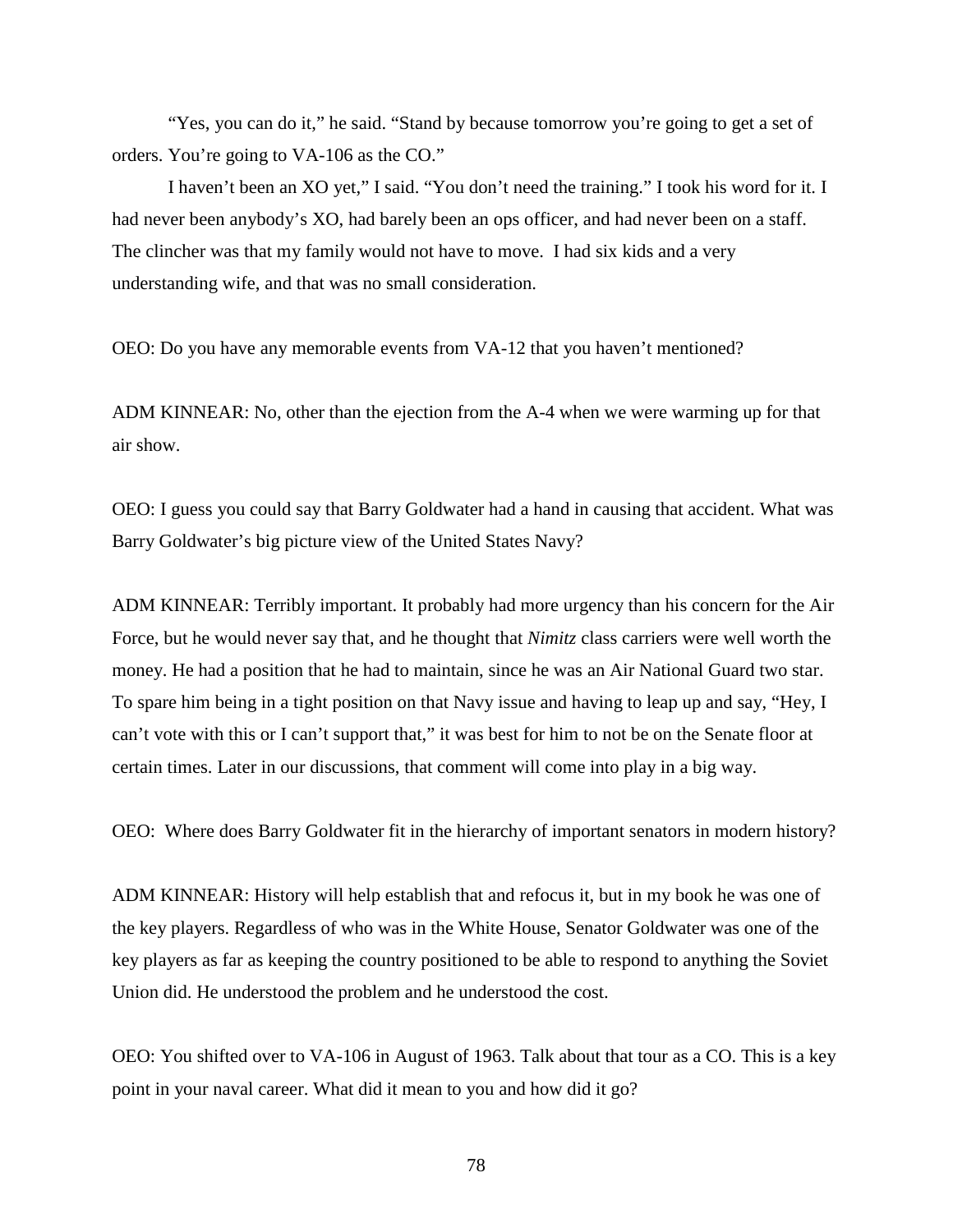"Yes, you can do it," he said. "Stand by because tomorrow you're going to get a set of orders. You're going to VA-106 as the CO."

I haven't been an XO yet," I said. "You don't need the training." I took his word for it. I had never been anybody's XO, had barely been an ops officer, and had never been on a staff. The clincher was that my family would not have to move. I had six kids and a very understanding wife, and that was no small consideration.

OEO: Do you have any memorable events from VA-12 that you haven't mentioned?

ADM KINNEAR: No, other than the ejection from the A-4 when we were warming up for that air show.

OEO: I guess you could say that Barry Goldwater had a hand in causing that accident. What was Barry Goldwater's big picture view of the United States Navy?

ADM KINNEAR: Terribly important. It probably had more urgency than his concern for the Air Force, but he would never say that, and he thought that *Nimitz* class carriers were well worth the money. He had a position that he had to maintain, since he was an Air National Guard two star. To spare him being in a tight position on that Navy issue and having to leap up and say, "Hey, I can't vote with this or I can't support that," it was best for him to not be on the Senate floor at certain times. Later in our discussions, that comment will come into play in a big way.

OEO: Where does Barry Goldwater fit in the hierarchy of important senators in modern history?

ADM KINNEAR: History will help establish that and refocus it, but in my book he was one of the key players. Regardless of who was in the White House, Senator Goldwater was one of the key players as far as keeping the country positioned to be able to respond to anything the Soviet Union did. He understood the problem and he understood the cost.

OEO: You shifted over to VA-106 in August of 1963. Talk about that tour as a CO. This is a key point in your naval career. What did it mean to you and how did it go?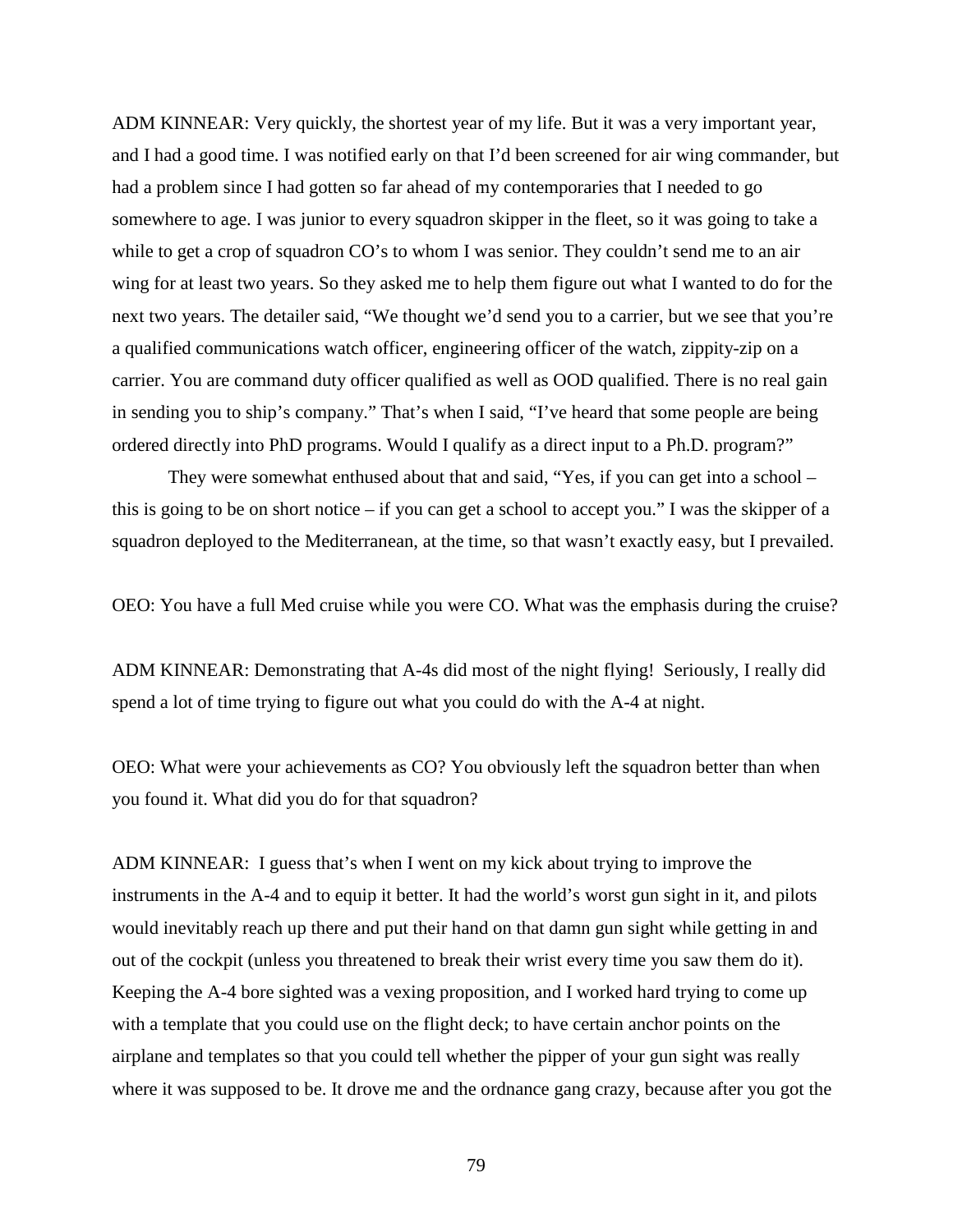ADM KINNEAR: Very quickly, the shortest year of my life. But it was a very important year, and I had a good time. I was notified early on that I'd been screened for air wing commander, but had a problem since I had gotten so far ahead of my contemporaries that I needed to go somewhere to age. I was junior to every squadron skipper in the fleet, so it was going to take a while to get a crop of squadron CO's to whom I was senior. They couldn't send me to an air wing for at least two years. So they asked me to help them figure out what I wanted to do for the next two years. The detailer said, "We thought we'd send you to a carrier, but we see that you're a qualified communications watch officer, engineering officer of the watch, zippity-zip on a carrier. You are command duty officer qualified as well as OOD qualified. There is no real gain in sending you to ship's company." That's when I said, "I've heard that some people are being ordered directly into PhD programs. Would I qualify as a direct input to a Ph.D. program?"

They were somewhat enthused about that and said, "Yes, if you can get into a school – this is going to be on short notice – if you can get a school to accept you." I was the skipper of a squadron deployed to the Mediterranean, at the time, so that wasn't exactly easy, but I prevailed.

OEO: You have a full Med cruise while you were CO. What was the emphasis during the cruise?

ADM KINNEAR: Demonstrating that A-4s did most of the night flying! Seriously, I really did spend a lot of time trying to figure out what you could do with the A-4 at night.

OEO: What were your achievements as CO? You obviously left the squadron better than when you found it. What did you do for that squadron?

ADM KINNEAR: I guess that's when I went on my kick about trying to improve the instruments in the A-4 and to equip it better. It had the world's worst gun sight in it, and pilots would inevitably reach up there and put their hand on that damn gun sight while getting in and out of the cockpit (unless you threatened to break their wrist every time you saw them do it). Keeping the A-4 bore sighted was a vexing proposition, and I worked hard trying to come up with a template that you could use on the flight deck; to have certain anchor points on the airplane and templates so that you could tell whether the pipper of your gun sight was really where it was supposed to be. It drove me and the ordnance gang crazy, because after you got the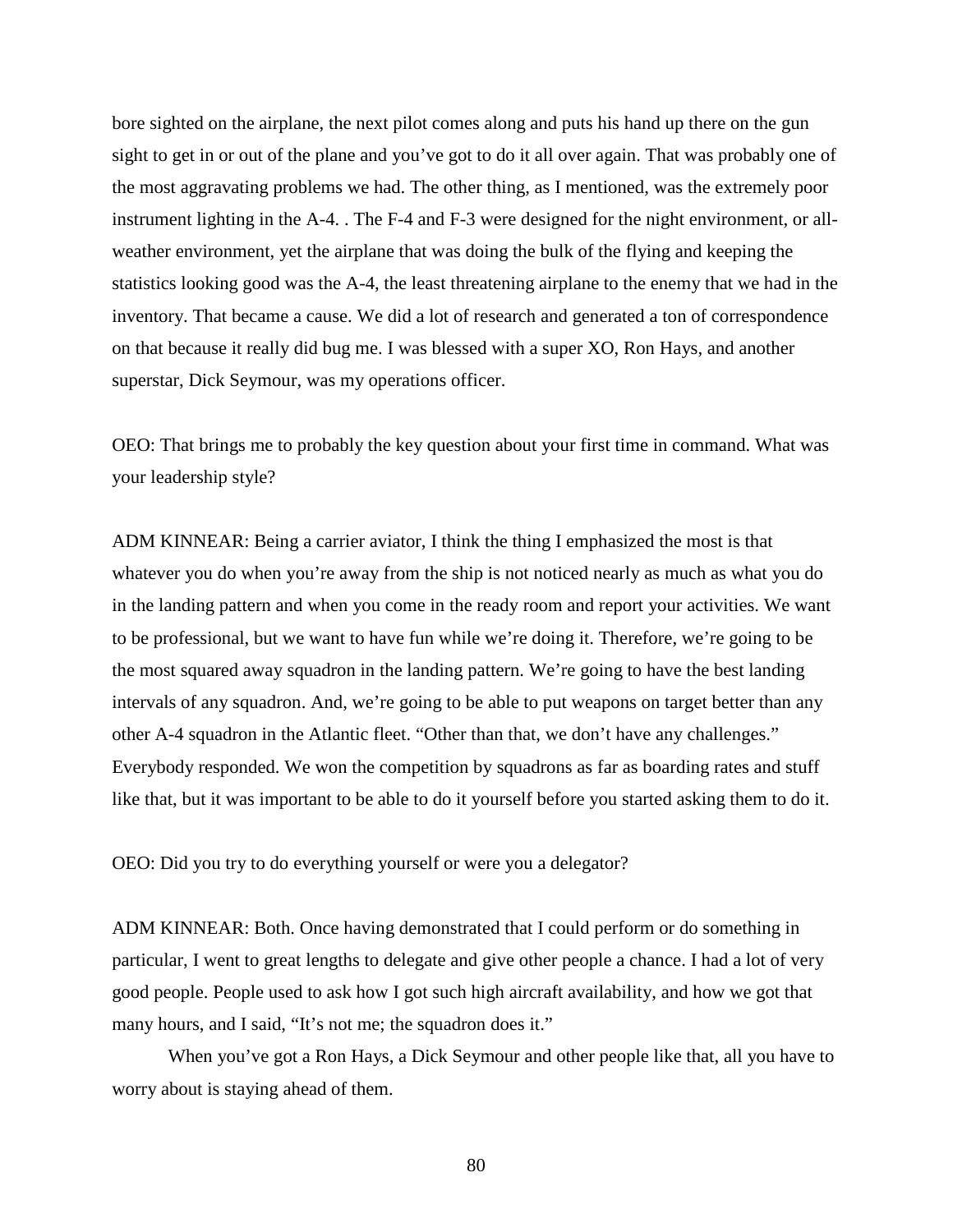bore sighted on the airplane, the next pilot comes along and puts his hand up there on the gun sight to get in or out of the plane and you've got to do it all over again. That was probably one of the most aggravating problems we had. The other thing, as I mentioned, was the extremely poor instrument lighting in the A-4. . The F-4 and F-3 were designed for the night environment, or allweather environment, yet the airplane that was doing the bulk of the flying and keeping the statistics looking good was the A-4, the least threatening airplane to the enemy that we had in the inventory. That became a cause. We did a lot of research and generated a ton of correspondence on that because it really did bug me. I was blessed with a super XO, Ron Hays, and another superstar, Dick Seymour, was my operations officer.

OEO: That brings me to probably the key question about your first time in command. What was your leadership style?

ADM KINNEAR: Being a carrier aviator, I think the thing I emphasized the most is that whatever you do when you're away from the ship is not noticed nearly as much as what you do in the landing pattern and when you come in the ready room and report your activities. We want to be professional, but we want to have fun while we're doing it. Therefore, we're going to be the most squared away squadron in the landing pattern. We're going to have the best landing intervals of any squadron. And, we're going to be able to put weapons on target better than any other A-4 squadron in the Atlantic fleet. "Other than that, we don't have any challenges." Everybody responded. We won the competition by squadrons as far as boarding rates and stuff like that, but it was important to be able to do it yourself before you started asking them to do it.

OEO: Did you try to do everything yourself or were you a delegator?

ADM KINNEAR: Both. Once having demonstrated that I could perform or do something in particular, I went to great lengths to delegate and give other people a chance. I had a lot of very good people. People used to ask how I got such high aircraft availability, and how we got that many hours, and I said, "It's not me; the squadron does it."

When you've got a Ron Hays, a Dick Seymour and other people like that, all you have to worry about is staying ahead of them.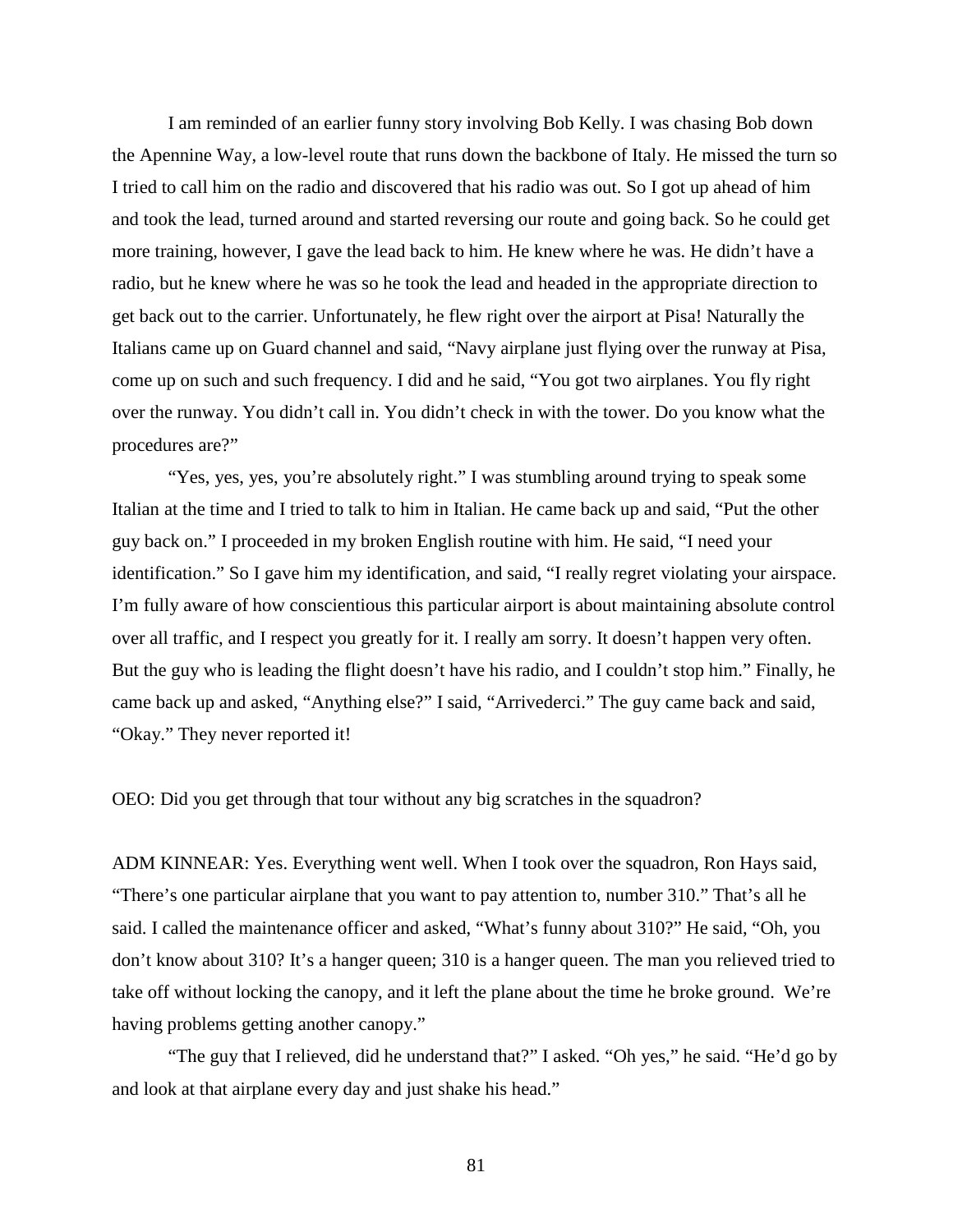I am reminded of an earlier funny story involving Bob Kelly. I was chasing Bob down the Apennine Way, a low-level route that runs down the backbone of Italy. He missed the turn so I tried to call him on the radio and discovered that his radio was out. So I got up ahead of him and took the lead, turned around and started reversing our route and going back. So he could get more training, however, I gave the lead back to him. He knew where he was. He didn't have a radio, but he knew where he was so he took the lead and headed in the appropriate direction to get back out to the carrier. Unfortunately, he flew right over the airport at Pisa! Naturally the Italians came up on Guard channel and said, "Navy airplane just flying over the runway at Pisa, come up on such and such frequency. I did and he said, "You got two airplanes. You fly right over the runway. You didn't call in. You didn't check in with the tower. Do you know what the procedures are?"

"Yes, yes, yes, you're absolutely right." I was stumbling around trying to speak some Italian at the time and I tried to talk to him in Italian. He came back up and said, "Put the other guy back on." I proceeded in my broken English routine with him. He said, "I need your identification." So I gave him my identification, and said, "I really regret violating your airspace. I'm fully aware of how conscientious this particular airport is about maintaining absolute control over all traffic, and I respect you greatly for it. I really am sorry. It doesn't happen very often. But the guy who is leading the flight doesn't have his radio, and I couldn't stop him." Finally, he came back up and asked, "Anything else?" I said, "Arrivederci." The guy came back and said, "Okay." They never reported it!

OEO: Did you get through that tour without any big scratches in the squadron?

ADM KINNEAR: Yes. Everything went well. When I took over the squadron, Ron Hays said, "There's one particular airplane that you want to pay attention to, number 310." That's all he said. I called the maintenance officer and asked, "What's funny about 310?" He said, "Oh, you don't know about 310? It's a hanger queen; 310 is a hanger queen. The man you relieved tried to take off without locking the canopy, and it left the plane about the time he broke ground. We're having problems getting another canopy."

"The guy that I relieved, did he understand that?" I asked. "Oh yes," he said. "He'd go by and look at that airplane every day and just shake his head."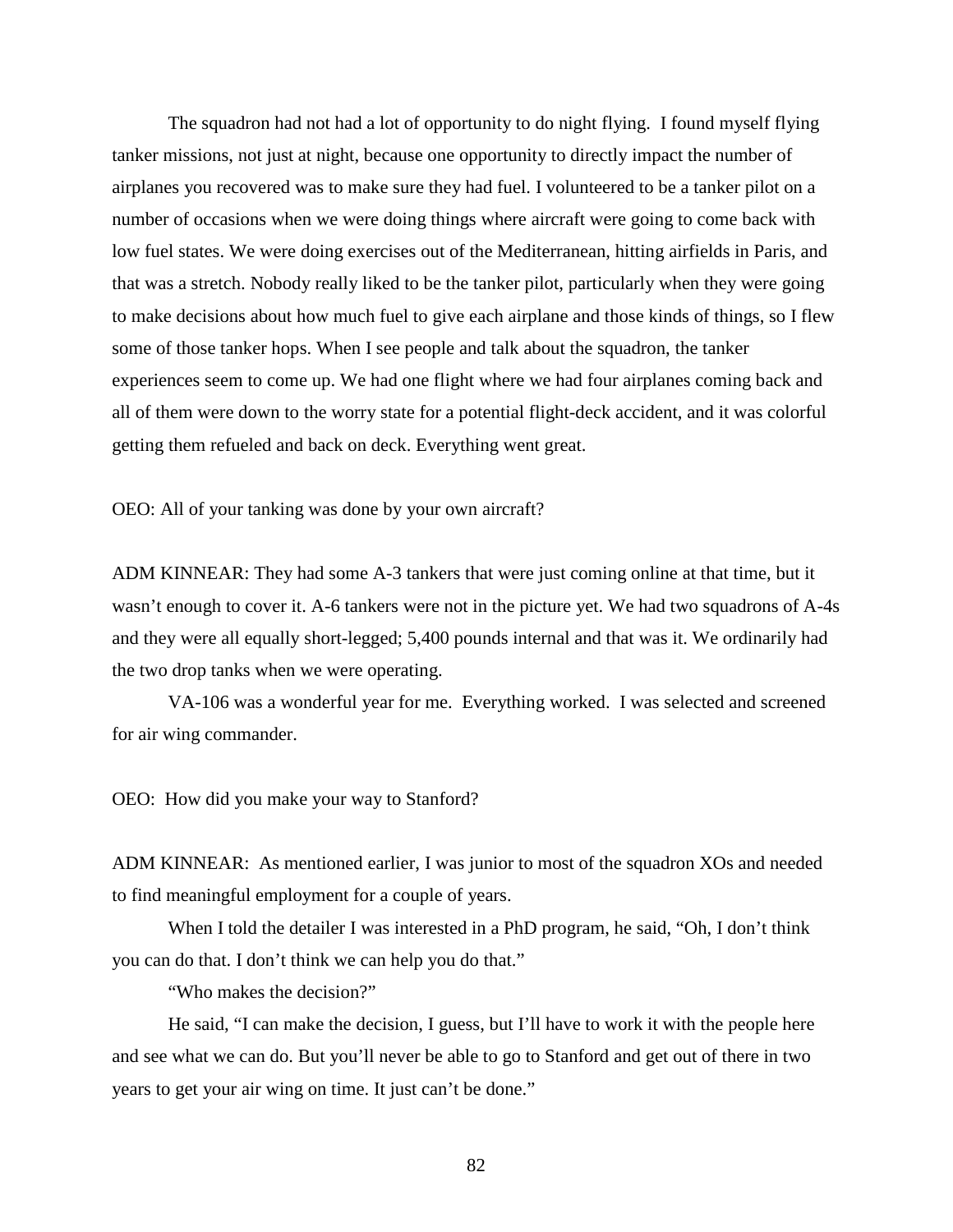The squadron had not had a lot of opportunity to do night flying. I found myself flying tanker missions, not just at night, because one opportunity to directly impact the number of airplanes you recovered was to make sure they had fuel. I volunteered to be a tanker pilot on a number of occasions when we were doing things where aircraft were going to come back with low fuel states. We were doing exercises out of the Mediterranean, hitting airfields in Paris, and that was a stretch. Nobody really liked to be the tanker pilot, particularly when they were going to make decisions about how much fuel to give each airplane and those kinds of things, so I flew some of those tanker hops. When I see people and talk about the squadron, the tanker experiences seem to come up. We had one flight where we had four airplanes coming back and all of them were down to the worry state for a potential flight-deck accident, and it was colorful getting them refueled and back on deck. Everything went great.

OEO: All of your tanking was done by your own aircraft?

ADM KINNEAR: They had some A-3 tankers that were just coming online at that time, but it wasn't enough to cover it. A-6 tankers were not in the picture yet. We had two squadrons of A-4s and they were all equally short-legged; 5,400 pounds internal and that was it. We ordinarily had the two drop tanks when we were operating.

VA-106 was a wonderful year for me. Everything worked. I was selected and screened for air wing commander.

OEO: How did you make your way to Stanford?

ADM KINNEAR: As mentioned earlier, I was junior to most of the squadron XOs and needed to find meaningful employment for a couple of years.

When I told the detailer I was interested in a PhD program, he said, "Oh, I don't think you can do that. I don't think we can help you do that."

"Who makes the decision?"

He said, "I can make the decision, I guess, but I'll have to work it with the people here and see what we can do. But you'll never be able to go to Stanford and get out of there in two years to get your air wing on time. It just can't be done."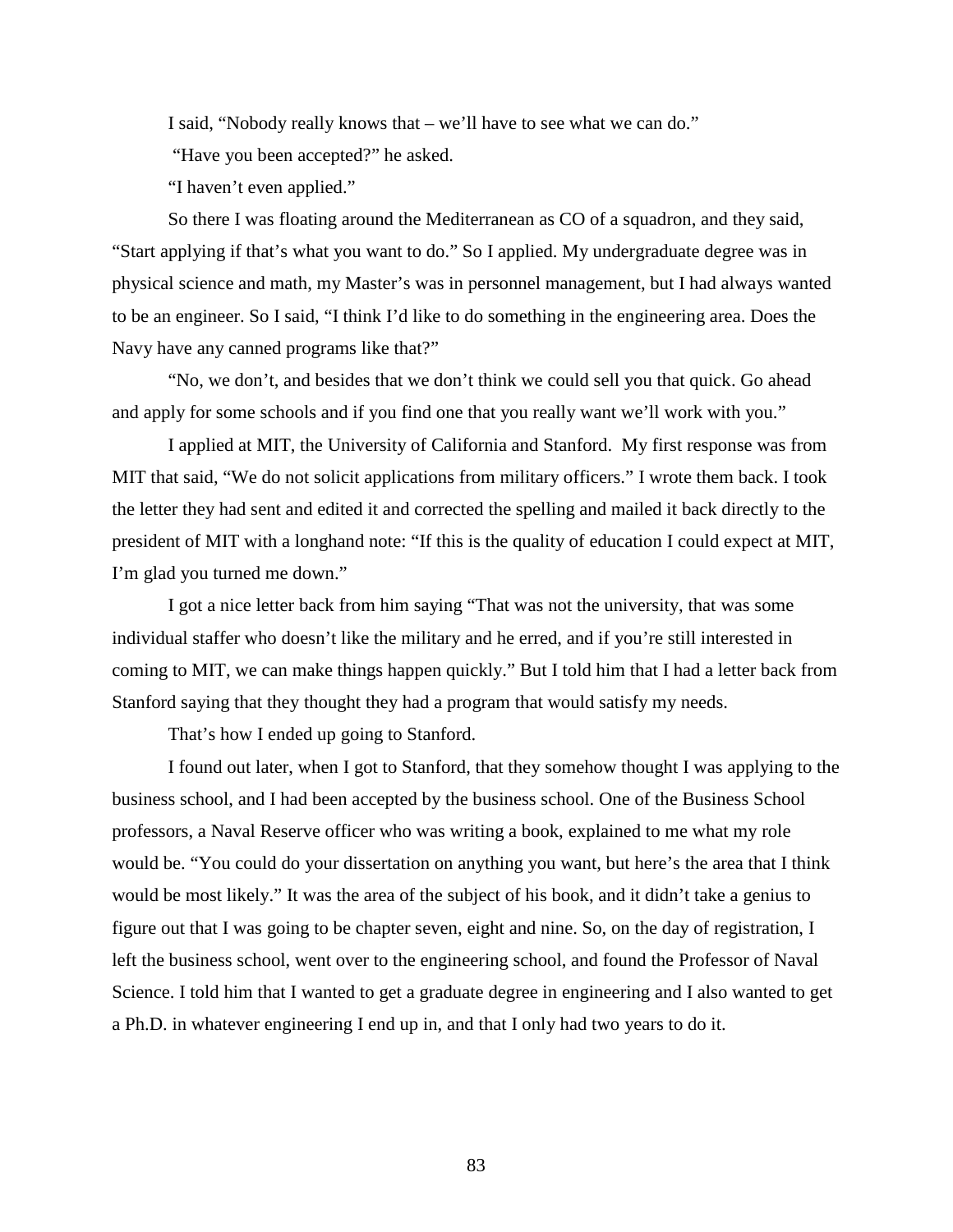I said, "Nobody really knows that – we'll have to see what we can do."

"Have you been accepted?" he asked.

"I haven't even applied."

So there I was floating around the Mediterranean as CO of a squadron, and they said, "Start applying if that's what you want to do." So I applied. My undergraduate degree was in physical science and math, my Master's was in personnel management, but I had always wanted to be an engineer. So I said, "I think I'd like to do something in the engineering area. Does the Navy have any canned programs like that?"

"No, we don't, and besides that we don't think we could sell you that quick. Go ahead and apply for some schools and if you find one that you really want we'll work with you."

I applied at MIT, the University of California and Stanford. My first response was from MIT that said, "We do not solicit applications from military officers." I wrote them back. I took the letter they had sent and edited it and corrected the spelling and mailed it back directly to the president of MIT with a longhand note: "If this is the quality of education I could expect at MIT, I'm glad you turned me down."

I got a nice letter back from him saying "That was not the university, that was some individual staffer who doesn't like the military and he erred, and if you're still interested in coming to MIT, we can make things happen quickly." But I told him that I had a letter back from Stanford saying that they thought they had a program that would satisfy my needs.

That's how I ended up going to Stanford.

I found out later, when I got to Stanford, that they somehow thought I was applying to the business school, and I had been accepted by the business school. One of the Business School professors, a Naval Reserve officer who was writing a book, explained to me what my role would be. "You could do your dissertation on anything you want, but here's the area that I think would be most likely." It was the area of the subject of his book, and it didn't take a genius to figure out that I was going to be chapter seven, eight and nine. So, on the day of registration, I left the business school, went over to the engineering school, and found the Professor of Naval Science. I told him that I wanted to get a graduate degree in engineering and I also wanted to get a Ph.D. in whatever engineering I end up in, and that I only had two years to do it.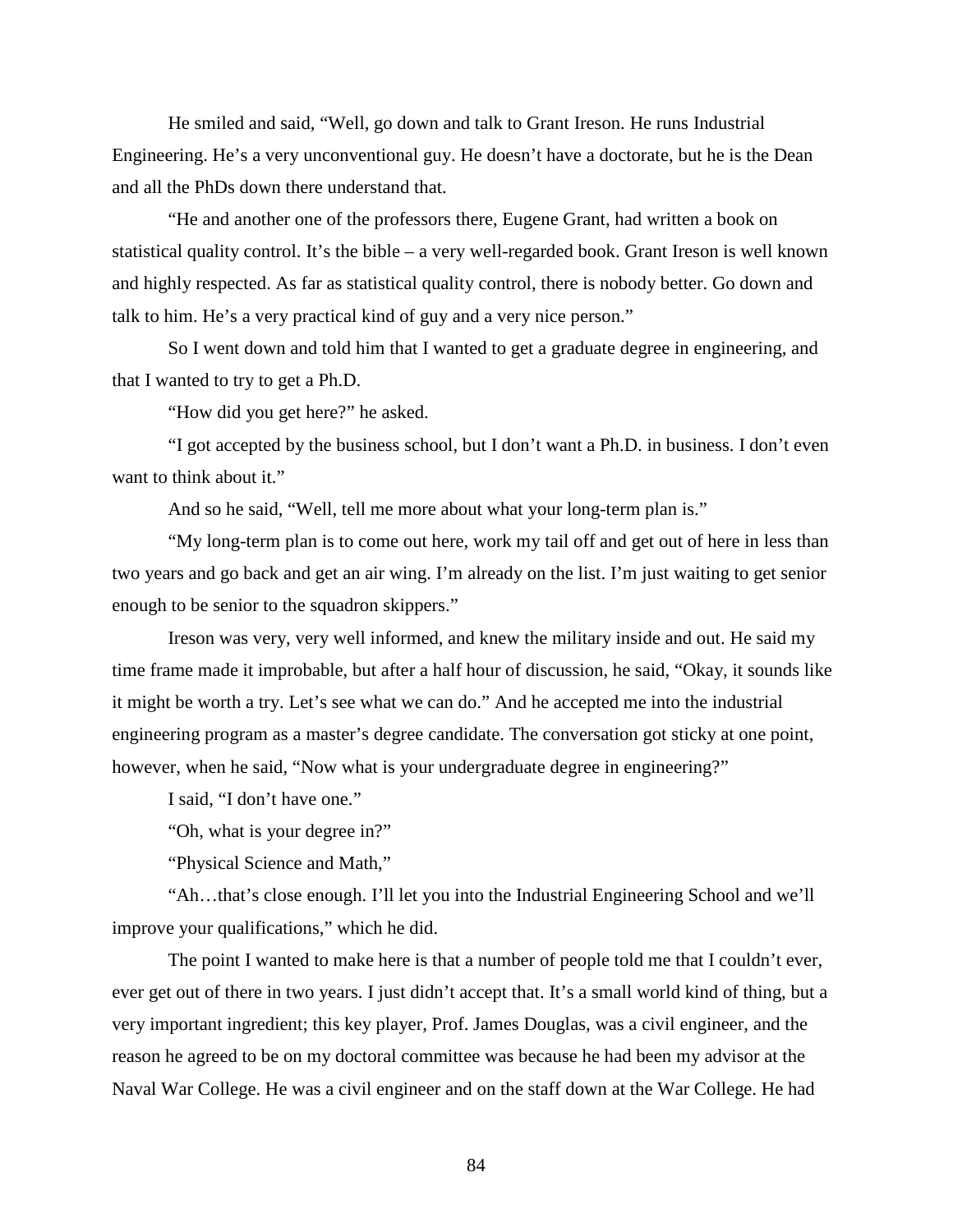He smiled and said, "Well, go down and talk to Grant Ireson. He runs Industrial Engineering. He's a very unconventional guy. He doesn't have a doctorate, but he is the Dean and all the PhDs down there understand that.

"He and another one of the professors there, Eugene Grant, had written a book on statistical quality control. It's the bible – a very well-regarded book. Grant Ireson is well known and highly respected. As far as statistical quality control, there is nobody better. Go down and talk to him. He's a very practical kind of guy and a very nice person."

So I went down and told him that I wanted to get a graduate degree in engineering, and that I wanted to try to get a Ph.D.

"How did you get here?" he asked.

"I got accepted by the business school, but I don't want a Ph.D. in business. I don't even want to think about it."

And so he said, "Well, tell me more about what your long-term plan is."

"My long-term plan is to come out here, work my tail off and get out of here in less than two years and go back and get an air wing. I'm already on the list. I'm just waiting to get senior enough to be senior to the squadron skippers."

Ireson was very, very well informed, and knew the military inside and out. He said my time frame made it improbable, but after a half hour of discussion, he said, "Okay, it sounds like it might be worth a try. Let's see what we can do." And he accepted me into the industrial engineering program as a master's degree candidate. The conversation got sticky at one point, however, when he said, "Now what is your undergraduate degree in engineering?"

I said, "I don't have one."

"Oh, what is your degree in?"

"Physical Science and Math,"

"Ah…that's close enough. I'll let you into the Industrial Engineering School and we'll improve your qualifications," which he did.

The point I wanted to make here is that a number of people told me that I couldn't ever, ever get out of there in two years. I just didn't accept that. It's a small world kind of thing, but a very important ingredient; this key player, Prof. James Douglas, was a civil engineer, and the reason he agreed to be on my doctoral committee was because he had been my advisor at the Naval War College. He was a civil engineer and on the staff down at the War College. He had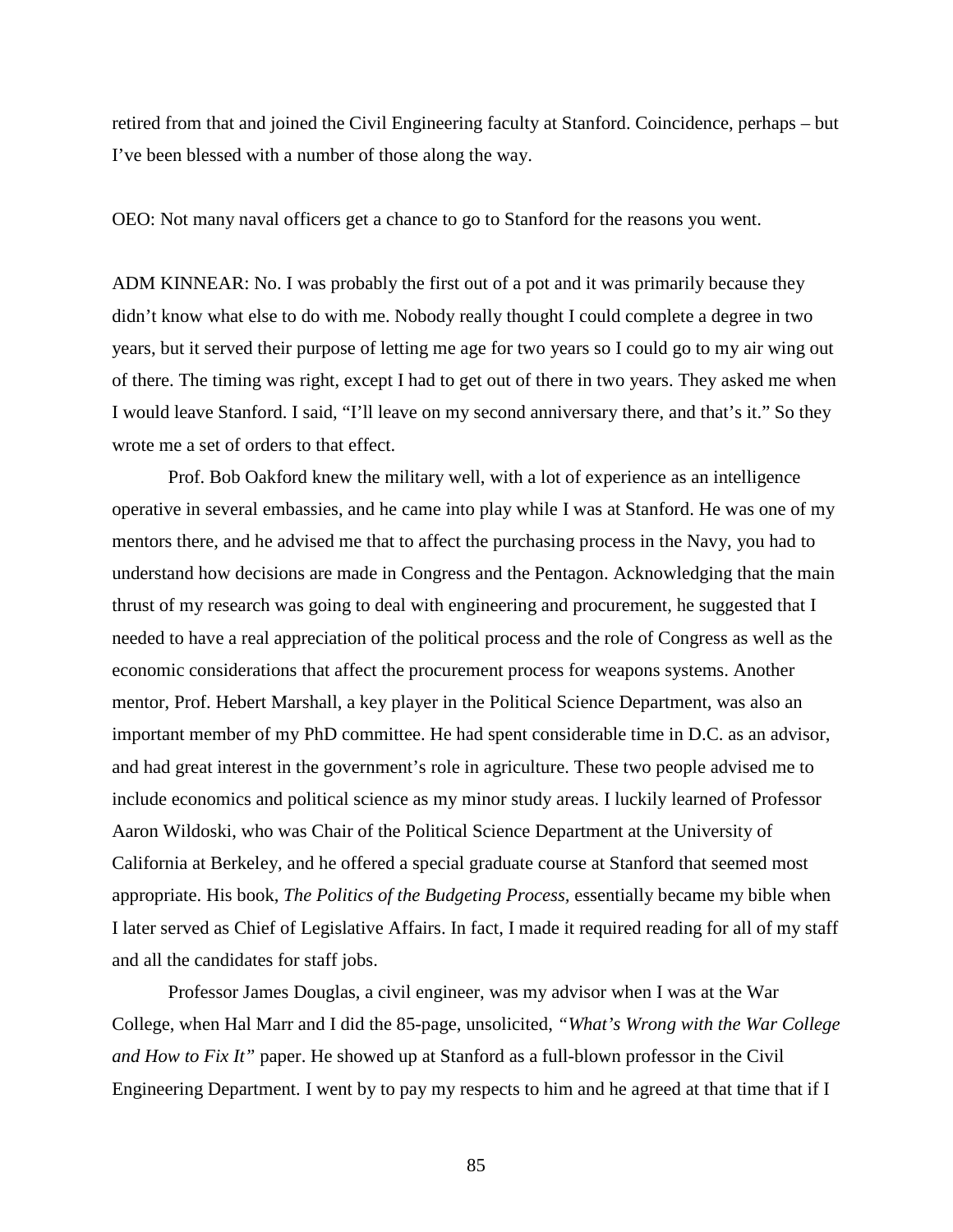retired from that and joined the Civil Engineering faculty at Stanford. Coincidence, perhaps – but I've been blessed with a number of those along the way.

OEO: Not many naval officers get a chance to go to Stanford for the reasons you went.

ADM KINNEAR: No. I was probably the first out of a pot and it was primarily because they didn't know what else to do with me. Nobody really thought I could complete a degree in two years, but it served their purpose of letting me age for two years so I could go to my air wing out of there. The timing was right, except I had to get out of there in two years. They asked me when I would leave Stanford. I said, "I'll leave on my second anniversary there, and that's it." So they wrote me a set of orders to that effect.

Prof. Bob Oakford knew the military well, with a lot of experience as an intelligence operative in several embassies, and he came into play while I was at Stanford. He was one of my mentors there, and he advised me that to affect the purchasing process in the Navy, you had to understand how decisions are made in Congress and the Pentagon. Acknowledging that the main thrust of my research was going to deal with engineering and procurement, he suggested that I needed to have a real appreciation of the political process and the role of Congress as well as the economic considerations that affect the procurement process for weapons systems. Another mentor, Prof. Hebert Marshall, a key player in the Political Science Department, was also an important member of my PhD committee. He had spent considerable time in D.C. as an advisor, and had great interest in the government's role in agriculture. These two people advised me to include economics and political science as my minor study areas. I luckily learned of Professor Aaron Wildoski, who was Chair of the Political Science Department at the University of California at Berkeley, and he offered a special graduate course at Stanford that seemed most appropriate. His book, *The Politics of the Budgeting Process,* essentially became my bible when I later served as Chief of Legislative Affairs. In fact, I made it required reading for all of my staff and all the candidates for staff jobs.

Professor James Douglas, a civil engineer, was my advisor when I was at the War College, when Hal Marr and I did the 85-page, unsolicited, *"What's Wrong with the War College and How to Fix It"* paper. He showed up at Stanford as a full-blown professor in the Civil Engineering Department. I went by to pay my respects to him and he agreed at that time that if I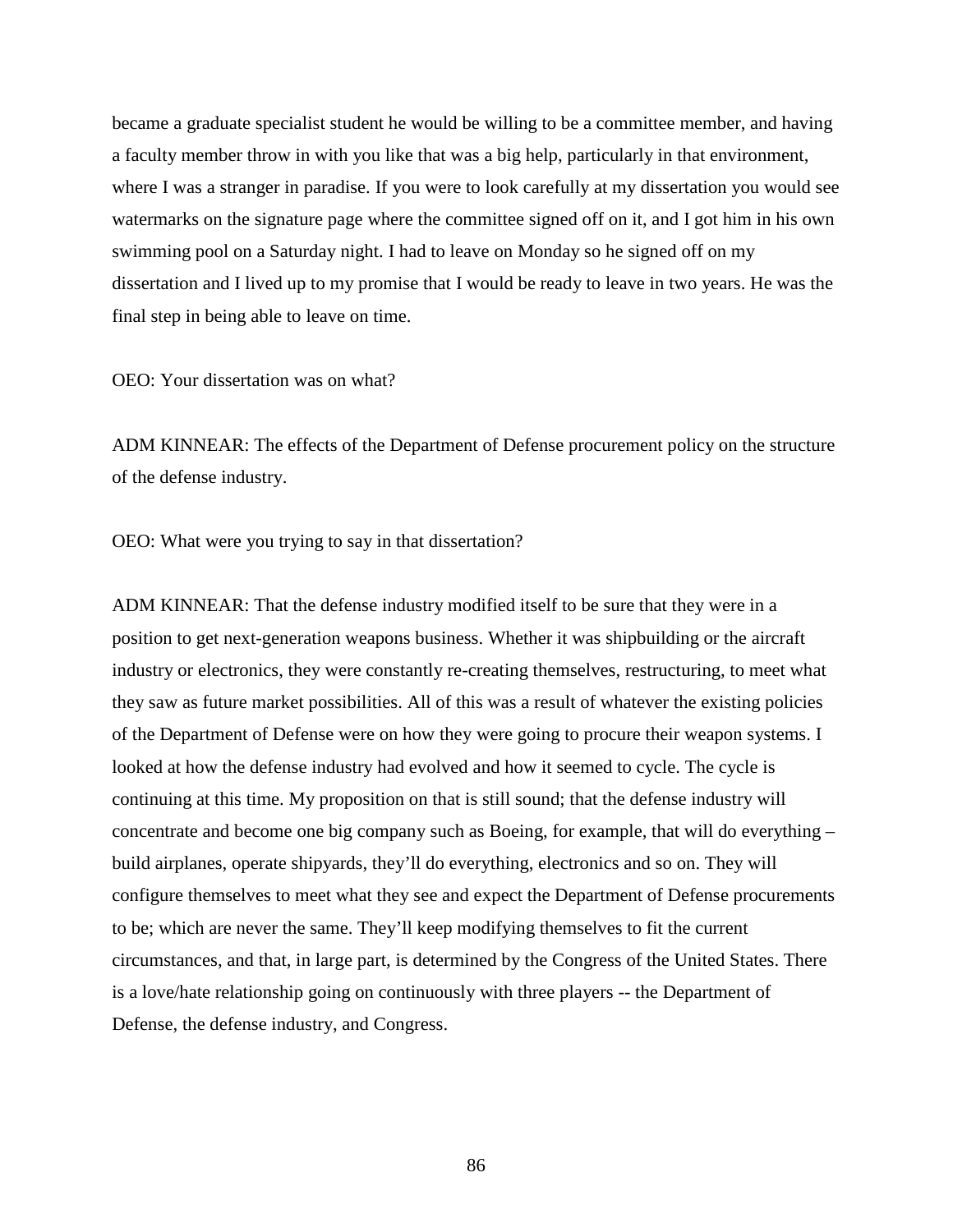became a graduate specialist student he would be willing to be a committee member, and having a faculty member throw in with you like that was a big help, particularly in that environment, where I was a stranger in paradise. If you were to look carefully at my dissertation you would see watermarks on the signature page where the committee signed off on it, and I got him in his own swimming pool on a Saturday night. I had to leave on Monday so he signed off on my dissertation and I lived up to my promise that I would be ready to leave in two years. He was the final step in being able to leave on time.

OEO: Your dissertation was on what?

ADM KINNEAR: The effects of the Department of Defense procurement policy on the structure of the defense industry.

OEO: What were you trying to say in that dissertation?

ADM KINNEAR: That the defense industry modified itself to be sure that they were in a position to get next-generation weapons business. Whether it was shipbuilding or the aircraft industry or electronics, they were constantly re-creating themselves, restructuring, to meet what they saw as future market possibilities. All of this was a result of whatever the existing policies of the Department of Defense were on how they were going to procure their weapon systems. I looked at how the defense industry had evolved and how it seemed to cycle. The cycle is continuing at this time. My proposition on that is still sound; that the defense industry will concentrate and become one big company such as Boeing, for example, that will do everything – build airplanes, operate shipyards, they'll do everything, electronics and so on. They will configure themselves to meet what they see and expect the Department of Defense procurements to be; which are never the same. They'll keep modifying themselves to fit the current circumstances, and that, in large part, is determined by the Congress of the United States. There is a love/hate relationship going on continuously with three players -- the Department of Defense, the defense industry, and Congress.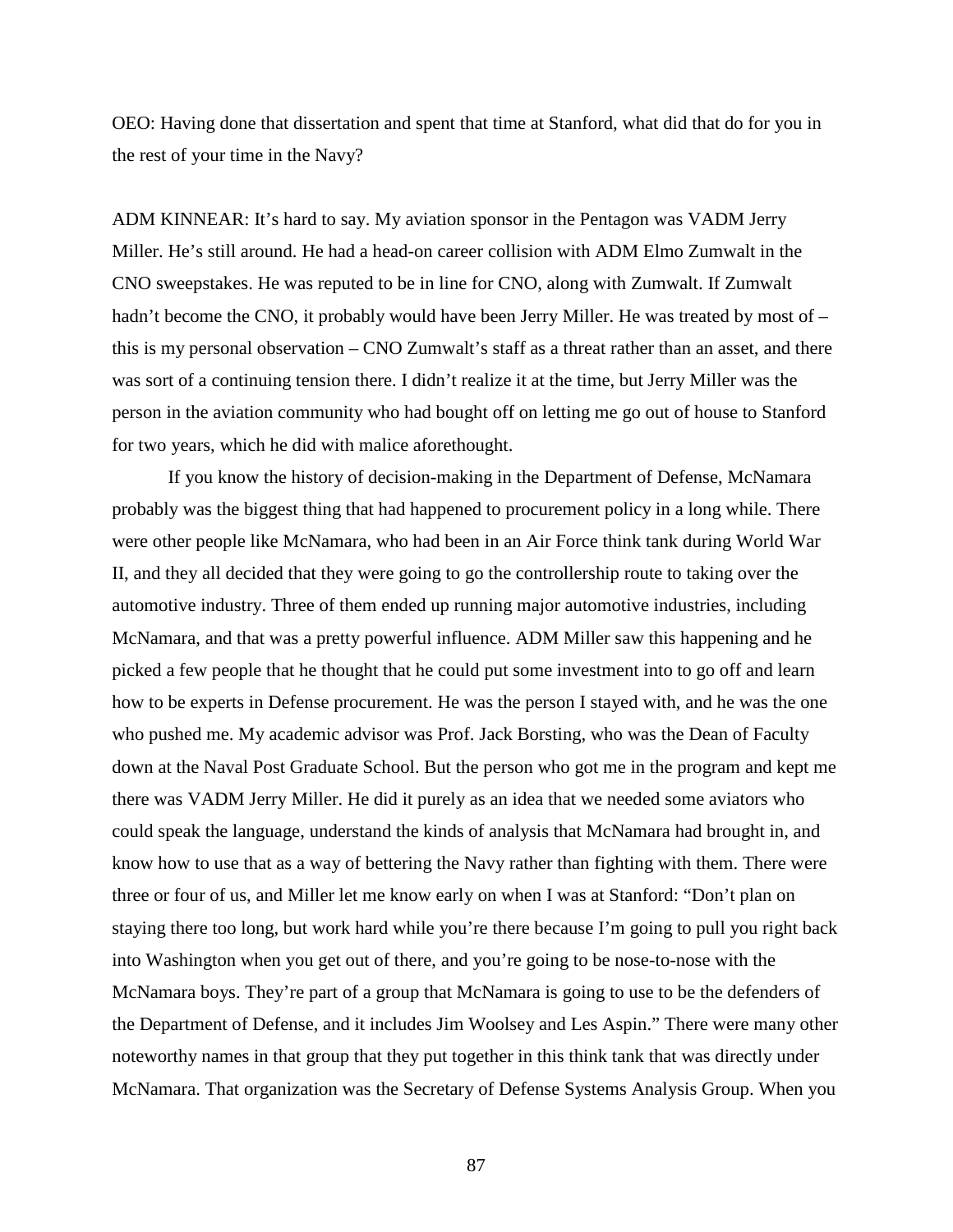OEO: Having done that dissertation and spent that time at Stanford, what did that do for you in the rest of your time in the Navy?

ADM KINNEAR: It's hard to say. My aviation sponsor in the Pentagon was VADM Jerry Miller. He's still around. He had a head-on career collision with ADM Elmo Zumwalt in the CNO sweepstakes. He was reputed to be in line for CNO, along with Zumwalt. If Zumwalt hadn't become the CNO, it probably would have been Jerry Miller. He was treated by most of – this is my personal observation – CNO Zumwalt's staff as a threat rather than an asset, and there was sort of a continuing tension there. I didn't realize it at the time, but Jerry Miller was the person in the aviation community who had bought off on letting me go out of house to Stanford for two years, which he did with malice aforethought.

If you know the history of decision-making in the Department of Defense, McNamara probably was the biggest thing that had happened to procurement policy in a long while. There were other people like McNamara, who had been in an Air Force think tank during World War II, and they all decided that they were going to go the controllership route to taking over the automotive industry. Three of them ended up running major automotive industries, including McNamara, and that was a pretty powerful influence. ADM Miller saw this happening and he picked a few people that he thought that he could put some investment into to go off and learn how to be experts in Defense procurement. He was the person I stayed with, and he was the one who pushed me. My academic advisor was Prof. Jack Borsting, who was the Dean of Faculty down at the Naval Post Graduate School. But the person who got me in the program and kept me there was VADM Jerry Miller. He did it purely as an idea that we needed some aviators who could speak the language, understand the kinds of analysis that McNamara had brought in, and know how to use that as a way of bettering the Navy rather than fighting with them. There were three or four of us, and Miller let me know early on when I was at Stanford: "Don't plan on staying there too long, but work hard while you're there because I'm going to pull you right back into Washington when you get out of there, and you're going to be nose-to-nose with the McNamara boys. They're part of a group that McNamara is going to use to be the defenders of the Department of Defense, and it includes Jim Woolsey and Les Aspin." There were many other noteworthy names in that group that they put together in this think tank that was directly under McNamara. That organization was the Secretary of Defense Systems Analysis Group. When you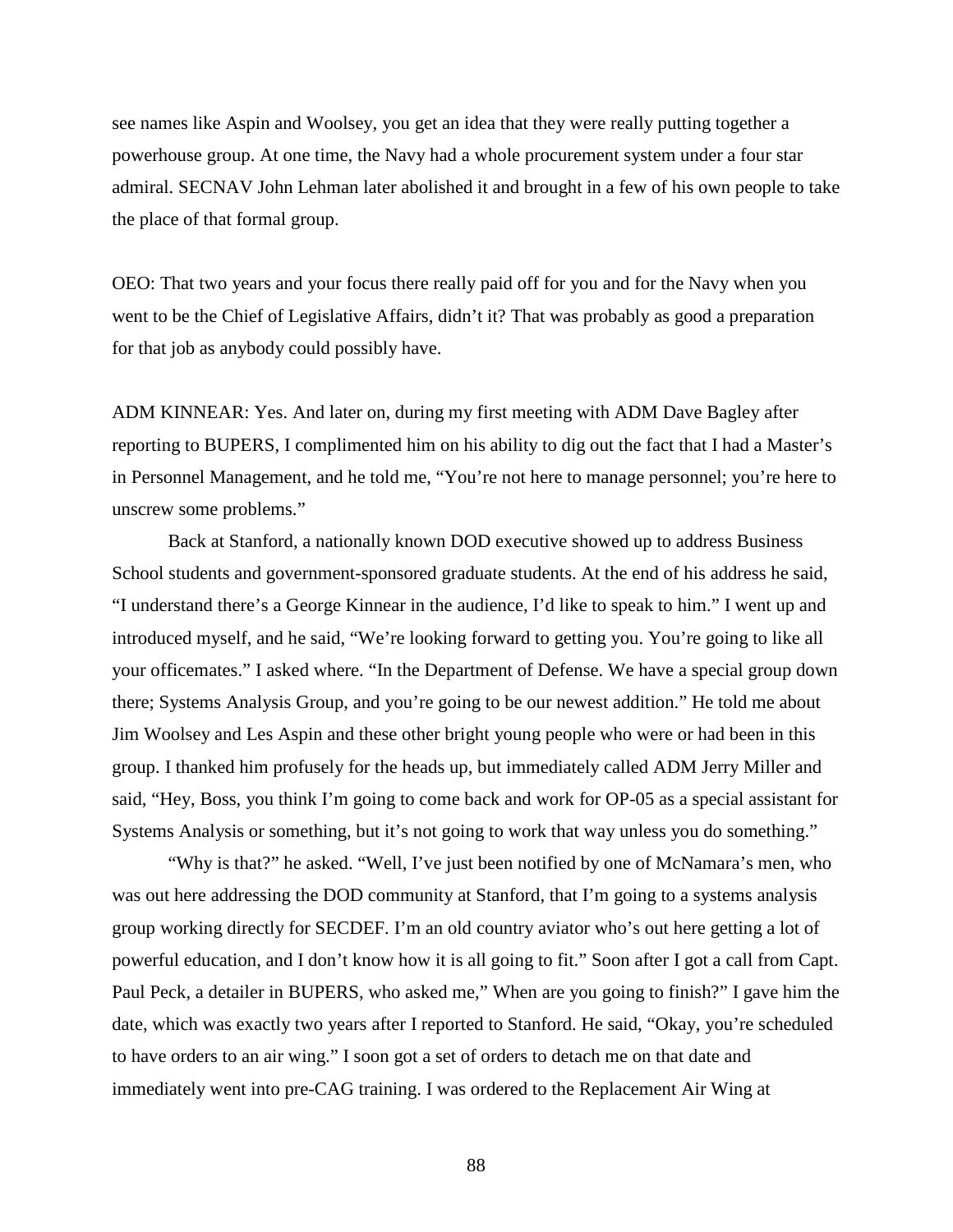see names like Aspin and Woolsey, you get an idea that they were really putting together a powerhouse group. At one time, the Navy had a whole procurement system under a four star admiral. SECNAV John Lehman later abolished it and brought in a few of his own people to take the place of that formal group.

OEO: That two years and your focus there really paid off for you and for the Navy when you went to be the Chief of Legislative Affairs, didn't it? That was probably as good a preparation for that job as anybody could possibly have.

ADM KINNEAR: Yes. And later on, during my first meeting with ADM Dave Bagley after reporting to BUPERS, I complimented him on his ability to dig out the fact that I had a Master's in Personnel Management, and he told me, "You're not here to manage personnel; you're here to unscrew some problems."

Back at Stanford, a nationally known DOD executive showed up to address Business School students and government-sponsored graduate students. At the end of his address he said, "I understand there's a George Kinnear in the audience, I'd like to speak to him." I went up and introduced myself, and he said, "We're looking forward to getting you. You're going to like all your officemates." I asked where. "In the Department of Defense. We have a special group down there; Systems Analysis Group, and you're going to be our newest addition." He told me about Jim Woolsey and Les Aspin and these other bright young people who were or had been in this group. I thanked him profusely for the heads up, but immediately called ADM Jerry Miller and said, "Hey, Boss, you think I'm going to come back and work for OP-05 as a special assistant for Systems Analysis or something, but it's not going to work that way unless you do something."

"Why is that?" he asked. "Well, I've just been notified by one of McNamara's men, who was out here addressing the DOD community at Stanford, that I'm going to a systems analysis group working directly for SECDEF. I'm an old country aviator who's out here getting a lot of powerful education, and I don't know how it is all going to fit." Soon after I got a call from Capt. Paul Peck, a detailer in BUPERS, who asked me," When are you going to finish?" I gave him the date, which was exactly two years after I reported to Stanford. He said, "Okay, you're scheduled to have orders to an air wing." I soon got a set of orders to detach me on that date and immediately went into pre-CAG training. I was ordered to the Replacement Air Wing at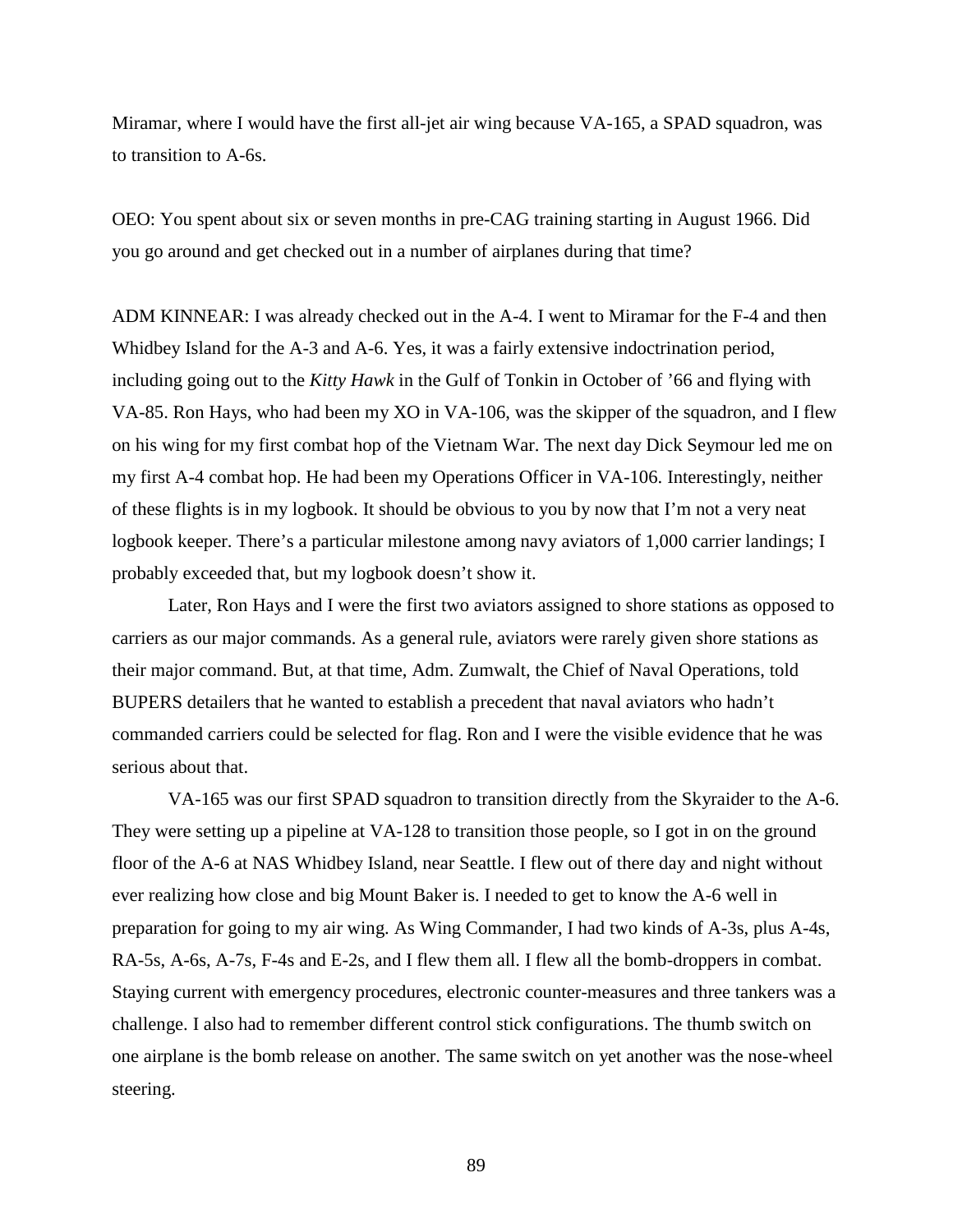Miramar, where I would have the first all-jet air wing because VA-165, a SPAD squadron, was to transition to A-6s.

OEO: You spent about six or seven months in pre-CAG training starting in August 1966. Did you go around and get checked out in a number of airplanes during that time?

ADM KINNEAR: I was already checked out in the A-4. I went to Miramar for the F-4 and then Whidbey Island for the A-3 and A-6. Yes, it was a fairly extensive indoctrination period, including going out to the *Kitty Hawk* in the Gulf of Tonkin in October of '66 and flying with VA-85. Ron Hays, who had been my XO in VA-106, was the skipper of the squadron, and I flew on his wing for my first combat hop of the Vietnam War. The next day Dick Seymour led me on my first A-4 combat hop. He had been my Operations Officer in VA-106. Interestingly, neither of these flights is in my logbook. It should be obvious to you by now that I'm not a very neat logbook keeper. There's a particular milestone among navy aviators of 1,000 carrier landings; I probably exceeded that, but my logbook doesn't show it.

Later, Ron Hays and I were the first two aviators assigned to shore stations as opposed to carriers as our major commands. As a general rule, aviators were rarely given shore stations as their major command. But, at that time, Adm. Zumwalt, the Chief of Naval Operations, told BUPERS detailers that he wanted to establish a precedent that naval aviators who hadn't commanded carriers could be selected for flag. Ron and I were the visible evidence that he was serious about that.

VA-165 was our first SPAD squadron to transition directly from the Skyraider to the A-6. They were setting up a pipeline at VA-128 to transition those people, so I got in on the ground floor of the A-6 at NAS Whidbey Island, near Seattle. I flew out of there day and night without ever realizing how close and big Mount Baker is. I needed to get to know the A-6 well in preparation for going to my air wing. As Wing Commander, I had two kinds of A-3s, plus A-4s, RA-5s, A-6s, A-7s, F-4s and E-2s, and I flew them all. I flew all the bomb-droppers in combat. Staying current with emergency procedures, electronic counter-measures and three tankers was a challenge. I also had to remember different control stick configurations. The thumb switch on one airplane is the bomb release on another. The same switch on yet another was the nose-wheel steering.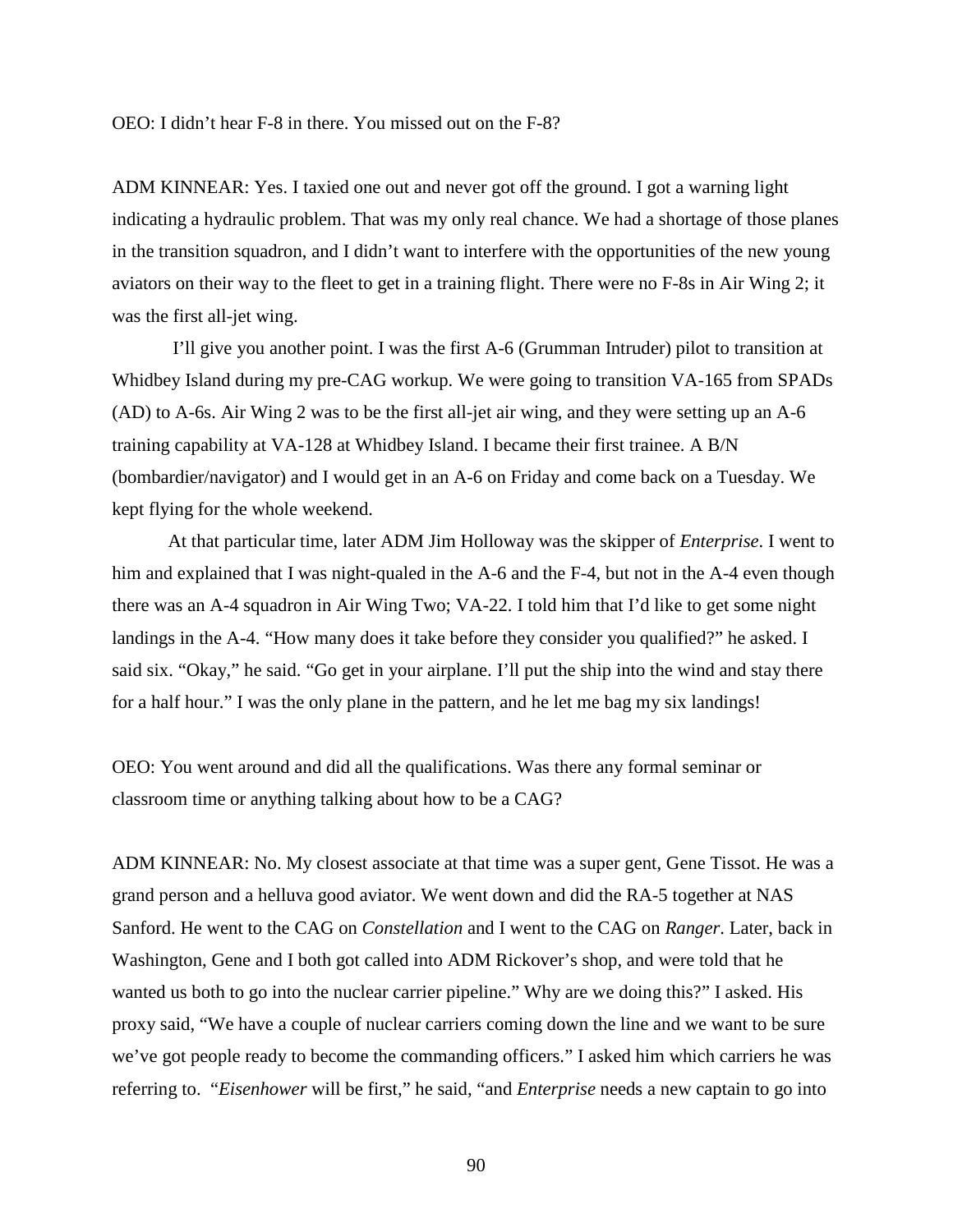ADM KINNEAR: Yes. I taxied one out and never got off the ground. I got a warning light indicating a hydraulic problem. That was my only real chance. We had a shortage of those planes in the transition squadron, and I didn't want to interfere with the opportunities of the new young aviators on their way to the fleet to get in a training flight. There were no F-8s in Air Wing 2; it was the first all-jet wing.

I'll give you another point. I was the first A-6 (Grumman Intruder) pilot to transition at Whidbey Island during my pre-CAG workup. We were going to transition VA-165 from SPADs (AD) to A-6s. Air Wing 2 was to be the first all-jet air wing, and they were setting up an A-6 training capability at VA-128 at Whidbey Island. I became their first trainee. A B/N (bombardier/navigator) and I would get in an A-6 on Friday and come back on a Tuesday. We kept flying for the whole weekend.

At that particular time, later ADM Jim Holloway was the skipper of *Enterprise*. I went to him and explained that I was night-qualed in the A-6 and the F-4, but not in the A-4 even though there was an A-4 squadron in Air Wing Two; VA-22. I told him that I'd like to get some night landings in the A-4. "How many does it take before they consider you qualified?" he asked. I said six. "Okay," he said. "Go get in your airplane. I'll put the ship into the wind and stay there for a half hour." I was the only plane in the pattern, and he let me bag my six landings!

OEO: You went around and did all the qualifications. Was there any formal seminar or classroom time or anything talking about how to be a CAG?

ADM KINNEAR: No. My closest associate at that time was a super gent, Gene Tissot. He was a grand person and a helluva good aviator. We went down and did the RA-5 together at NAS Sanford. He went to the CAG on *Constellation* and I went to the CAG on *Ranger*. Later, back in Washington, Gene and I both got called into ADM Rickover's shop, and were told that he wanted us both to go into the nuclear carrier pipeline." Why are we doing this?" I asked. His proxy said, "We have a couple of nuclear carriers coming down the line and we want to be sure we've got people ready to become the commanding officers." I asked him which carriers he was referring to. "*Eisenhower* will be first," he said, "and *Enterprise* needs a new captain to go into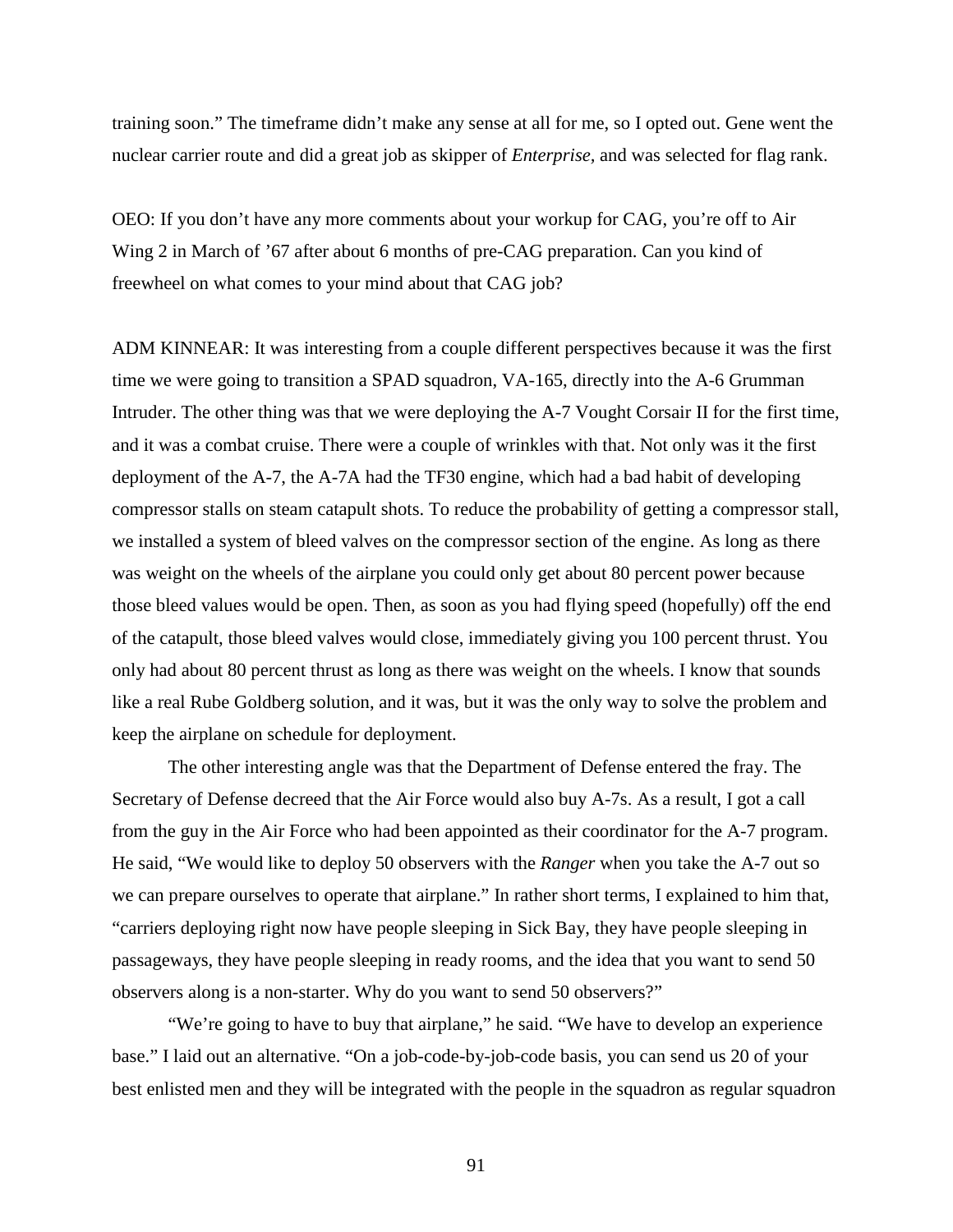training soon." The timeframe didn't make any sense at all for me, so I opted out. Gene went the nuclear carrier route and did a great job as skipper of *Enterprise,* and was selected for flag rank.

OEO: If you don't have any more comments about your workup for CAG, you're off to Air Wing 2 in March of '67 after about 6 months of pre-CAG preparation. Can you kind of freewheel on what comes to your mind about that CAG job?

ADM KINNEAR: It was interesting from a couple different perspectives because it was the first time we were going to transition a SPAD squadron, VA-165, directly into the A-6 Grumman Intruder. The other thing was that we were deploying the A-7 Vought Corsair II for the first time, and it was a combat cruise. There were a couple of wrinkles with that. Not only was it the first deployment of the A-7, the A-7A had the TF30 engine, which had a bad habit of developing compressor stalls on steam catapult shots. To reduce the probability of getting a compressor stall, we installed a system of bleed valves on the compressor section of the engine. As long as there was weight on the wheels of the airplane you could only get about 80 percent power because those bleed values would be open. Then, as soon as you had flying speed (hopefully) off the end of the catapult, those bleed valves would close, immediately giving you 100 percent thrust. You only had about 80 percent thrust as long as there was weight on the wheels. I know that sounds like a real Rube Goldberg solution, and it was, but it was the only way to solve the problem and keep the airplane on schedule for deployment.

The other interesting angle was that the Department of Defense entered the fray. The Secretary of Defense decreed that the Air Force would also buy A-7s. As a result, I got a call from the guy in the Air Force who had been appointed as their coordinator for the A-7 program. He said, "We would like to deploy 50 observers with the *Ranger* when you take the A-7 out so we can prepare ourselves to operate that airplane." In rather short terms, I explained to him that, "carriers deploying right now have people sleeping in Sick Bay, they have people sleeping in passageways, they have people sleeping in ready rooms, and the idea that you want to send 50 observers along is a non-starter. Why do you want to send 50 observers?"

"We're going to have to buy that airplane," he said. "We have to develop an experience base." I laid out an alternative. "On a job-code-by-job-code basis, you can send us 20 of your best enlisted men and they will be integrated with the people in the squadron as regular squadron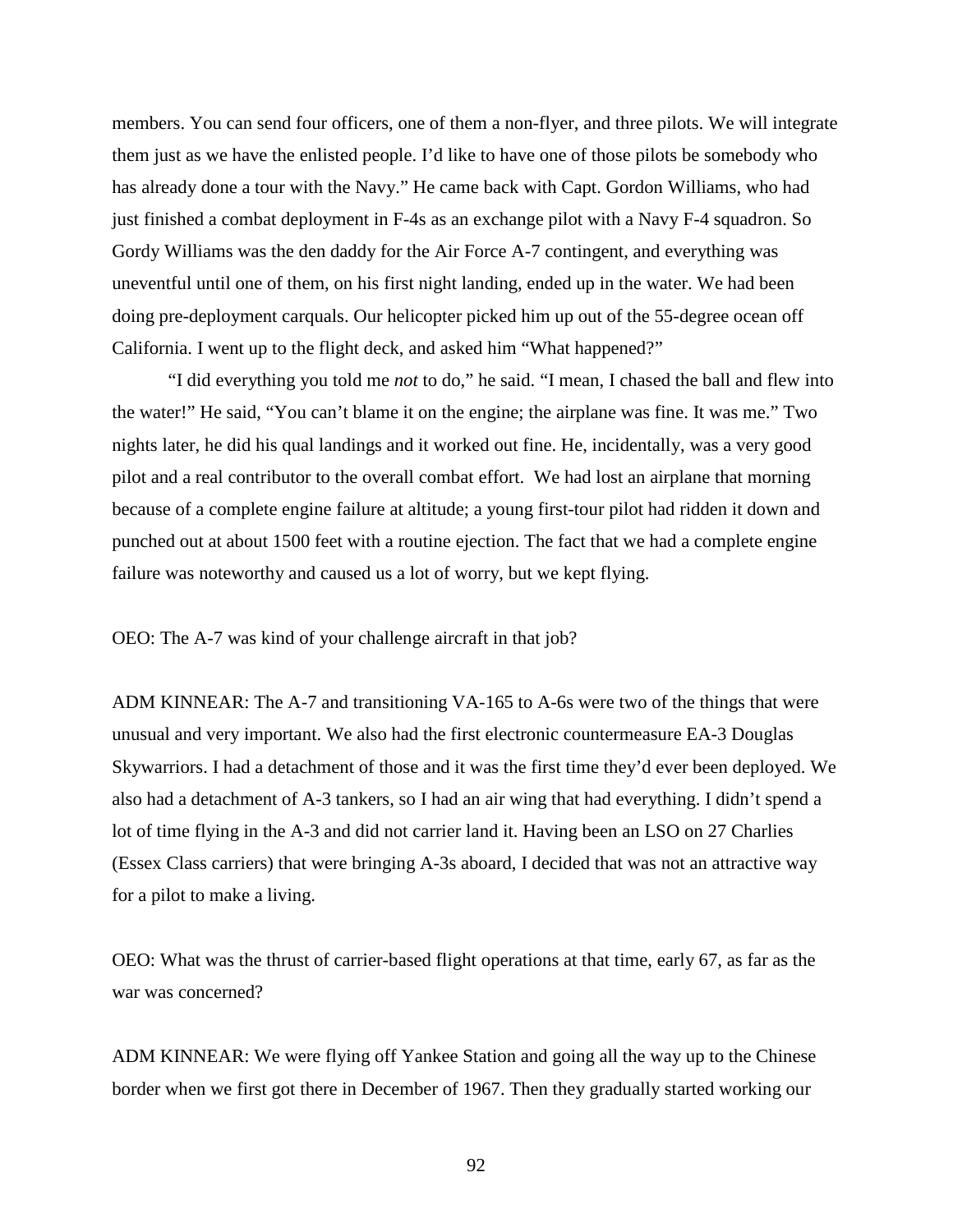members. You can send four officers, one of them a non-flyer, and three pilots. We will integrate them just as we have the enlisted people. I'd like to have one of those pilots be somebody who has already done a tour with the Navy." He came back with Capt. Gordon Williams, who had just finished a combat deployment in F-4s as an exchange pilot with a Navy F-4 squadron. So Gordy Williams was the den daddy for the Air Force A-7 contingent, and everything was uneventful until one of them, on his first night landing, ended up in the water. We had been doing pre-deployment carquals. Our helicopter picked him up out of the 55-degree ocean off California. I went up to the flight deck, and asked him "What happened?"

"I did everything you told me *not* to do," he said. "I mean, I chased the ball and flew into the water!" He said, "You can't blame it on the engine; the airplane was fine. It was me." Two nights later, he did his qual landings and it worked out fine. He, incidentally, was a very good pilot and a real contributor to the overall combat effort. We had lost an airplane that morning because of a complete engine failure at altitude; a young first-tour pilot had ridden it down and punched out at about 1500 feet with a routine ejection. The fact that we had a complete engine failure was noteworthy and caused us a lot of worry, but we kept flying.

OEO: The A-7 was kind of your challenge aircraft in that job?

ADM KINNEAR: The A-7 and transitioning VA-165 to A-6s were two of the things that were unusual and very important. We also had the first electronic countermeasure EA-3 Douglas Skywarriors. I had a detachment of those and it was the first time they'd ever been deployed. We also had a detachment of A-3 tankers, so I had an air wing that had everything. I didn't spend a lot of time flying in the A-3 and did not carrier land it. Having been an LSO on 27 Charlies (Essex Class carriers) that were bringing A-3s aboard, I decided that was not an attractive way for a pilot to make a living.

OEO: What was the thrust of carrier-based flight operations at that time, early 67, as far as the war was concerned?

ADM KINNEAR: We were flying off Yankee Station and going all the way up to the Chinese border when we first got there in December of 1967. Then they gradually started working our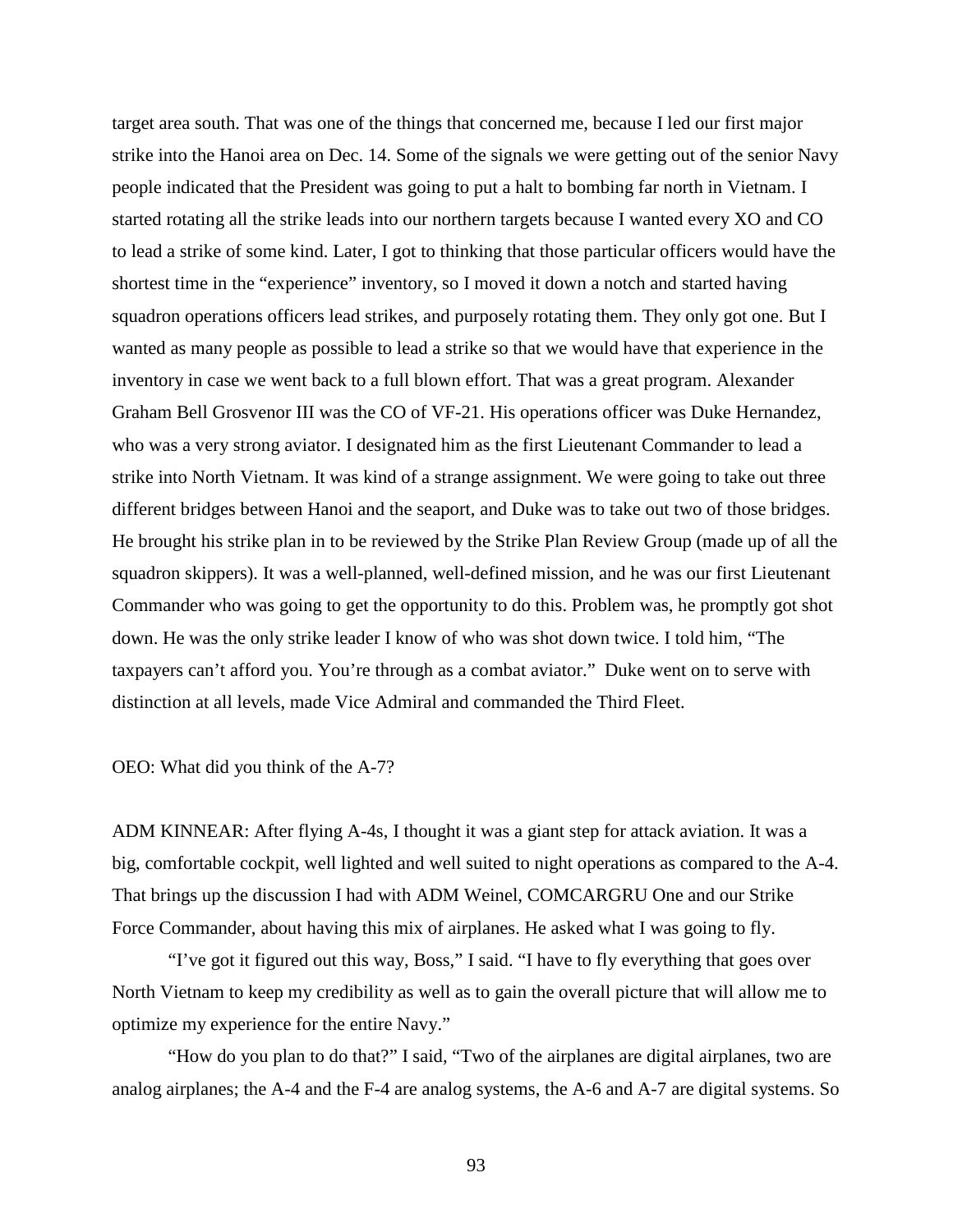target area south. That was one of the things that concerned me, because I led our first major strike into the Hanoi area on Dec. 14. Some of the signals we were getting out of the senior Navy people indicated that the President was going to put a halt to bombing far north in Vietnam. I started rotating all the strike leads into our northern targets because I wanted every XO and CO to lead a strike of some kind. Later, I got to thinking that those particular officers would have the shortest time in the "experience" inventory, so I moved it down a notch and started having squadron operations officers lead strikes, and purposely rotating them. They only got one. But I wanted as many people as possible to lead a strike so that we would have that experience in the inventory in case we went back to a full blown effort. That was a great program. Alexander Graham Bell Grosvenor III was the CO of VF-21. His operations officer was Duke Hernandez, who was a very strong aviator. I designated him as the first Lieutenant Commander to lead a strike into North Vietnam. It was kind of a strange assignment. We were going to take out three different bridges between Hanoi and the seaport, and Duke was to take out two of those bridges. He brought his strike plan in to be reviewed by the Strike Plan Review Group (made up of all the squadron skippers). It was a well-planned, well-defined mission, and he was our first Lieutenant Commander who was going to get the opportunity to do this. Problem was, he promptly got shot down. He was the only strike leader I know of who was shot down twice. I told him, "The taxpayers can't afford you. You're through as a combat aviator." Duke went on to serve with distinction at all levels, made Vice Admiral and commanded the Third Fleet.

OEO: What did you think of the A-7?

ADM KINNEAR: After flying A-4s, I thought it was a giant step for attack aviation. It was a big, comfortable cockpit, well lighted and well suited to night operations as compared to the A-4. That brings up the discussion I had with ADM Weinel, COMCARGRU One and our Strike Force Commander, about having this mix of airplanes. He asked what I was going to fly.

"I've got it figured out this way, Boss," I said. "I have to fly everything that goes over North Vietnam to keep my credibility as well as to gain the overall picture that will allow me to optimize my experience for the entire Navy."

"How do you plan to do that?" I said, "Two of the airplanes are digital airplanes, two are analog airplanes; the A-4 and the F-4 are analog systems, the A-6 and A-7 are digital systems. So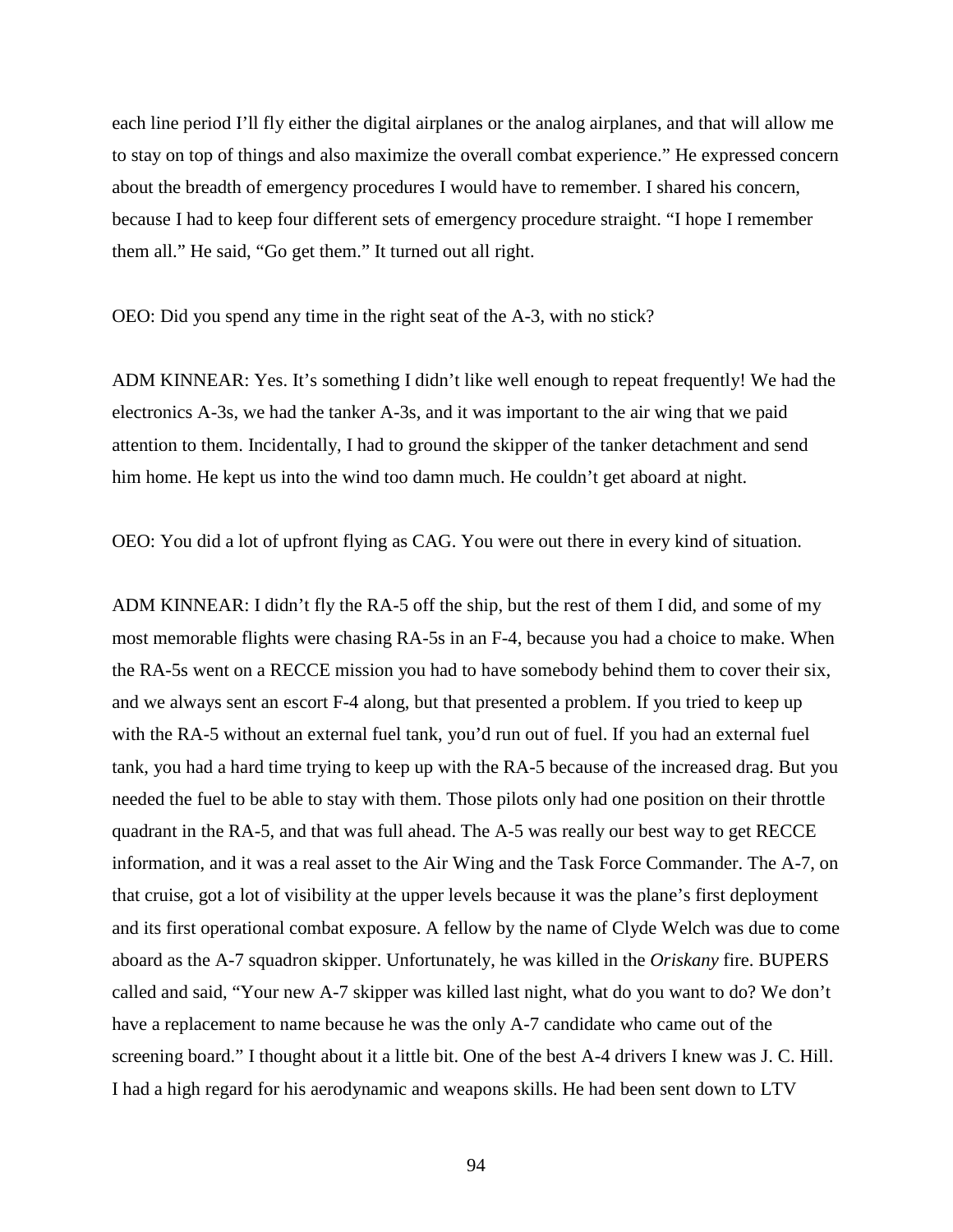each line period I'll fly either the digital airplanes or the analog airplanes, and that will allow me to stay on top of things and also maximize the overall combat experience." He expressed concern about the breadth of emergency procedures I would have to remember. I shared his concern, because I had to keep four different sets of emergency procedure straight. "I hope I remember them all." He said, "Go get them." It turned out all right.

OEO: Did you spend any time in the right seat of the A-3, with no stick?

ADM KINNEAR: Yes. It's something I didn't like well enough to repeat frequently! We had the electronics A-3s, we had the tanker A-3s, and it was important to the air wing that we paid attention to them. Incidentally, I had to ground the skipper of the tanker detachment and send him home. He kept us into the wind too damn much. He couldn't get aboard at night.

OEO: You did a lot of upfront flying as CAG. You were out there in every kind of situation.

ADM KINNEAR: I didn't fly the RA-5 off the ship, but the rest of them I did, and some of my most memorable flights were chasing RA-5s in an F-4, because you had a choice to make. When the RA-5s went on a RECCE mission you had to have somebody behind them to cover their six, and we always sent an escort F-4 along, but that presented a problem. If you tried to keep up with the RA-5 without an external fuel tank, you'd run out of fuel. If you had an external fuel tank, you had a hard time trying to keep up with the RA-5 because of the increased drag. But you needed the fuel to be able to stay with them. Those pilots only had one position on their throttle quadrant in the RA-5, and that was full ahead. The A-5 was really our best way to get RECCE information, and it was a real asset to the Air Wing and the Task Force Commander. The A-7, on that cruise, got a lot of visibility at the upper levels because it was the plane's first deployment and its first operational combat exposure. A fellow by the name of Clyde Welch was due to come aboard as the A-7 squadron skipper. Unfortunately, he was killed in the *Oriskany* fire. BUPERS called and said, "Your new A-7 skipper was killed last night, what do you want to do? We don't have a replacement to name because he was the only A-7 candidate who came out of the screening board." I thought about it a little bit. One of the best A-4 drivers I knew was J. C. Hill. I had a high regard for his aerodynamic and weapons skills. He had been sent down to LTV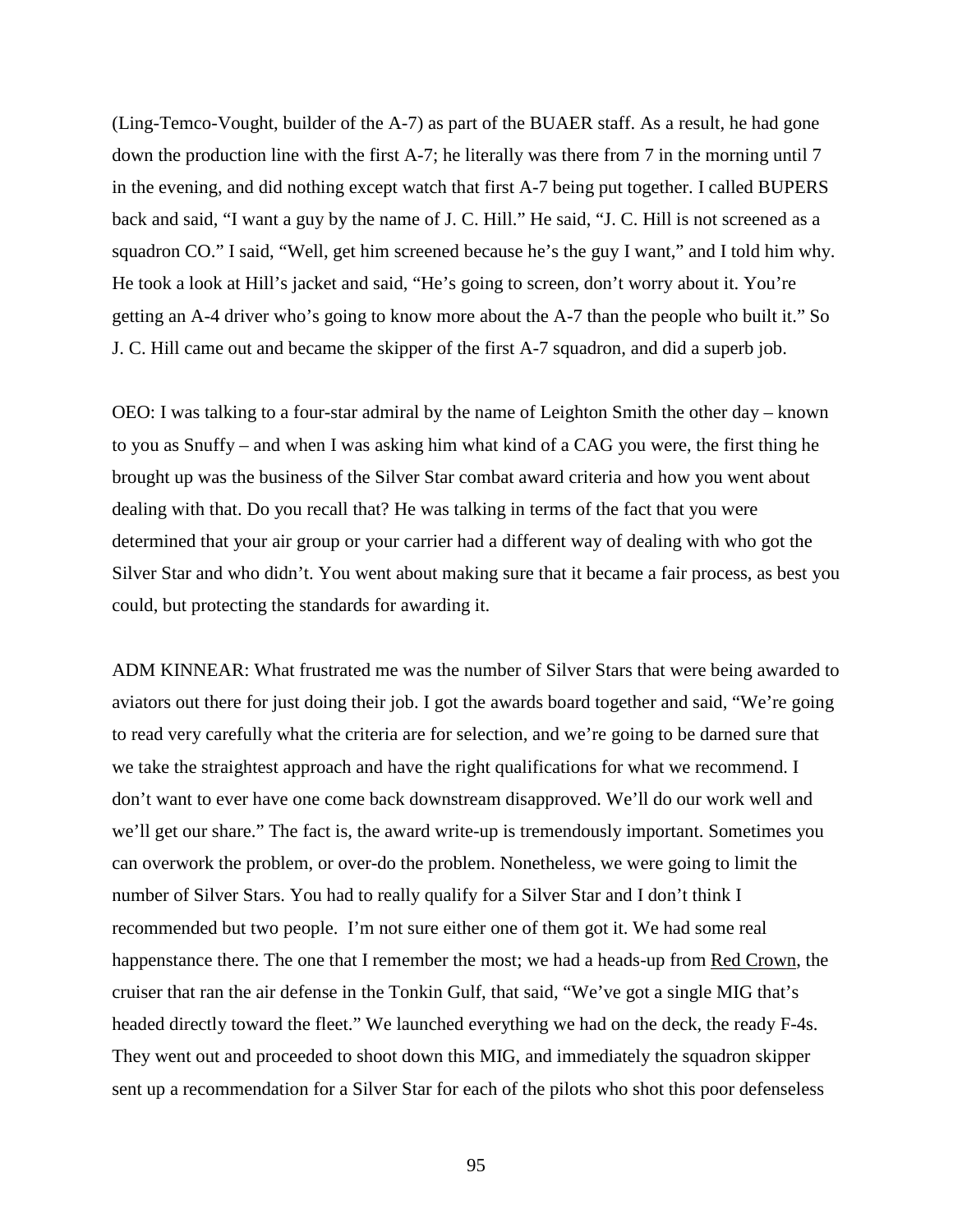(Ling-Temco-Vought, builder of the A-7) as part of the BUAER staff. As a result, he had gone down the production line with the first A-7; he literally was there from 7 in the morning until 7 in the evening, and did nothing except watch that first A-7 being put together. I called BUPERS back and said, "I want a guy by the name of J. C. Hill." He said, "J. C. Hill is not screened as a squadron CO." I said, "Well, get him screened because he's the guy I want," and I told him why. He took a look at Hill's jacket and said, "He's going to screen, don't worry about it. You're getting an A-4 driver who's going to know more about the A-7 than the people who built it." So J. C. Hill came out and became the skipper of the first A-7 squadron, and did a superb job.

OEO: I was talking to a four-star admiral by the name of Leighton Smith the other day – known to you as Snuffy – and when I was asking him what kind of a CAG you were, the first thing he brought up was the business of the Silver Star combat award criteria and how you went about dealing with that. Do you recall that? He was talking in terms of the fact that you were determined that your air group or your carrier had a different way of dealing with who got the Silver Star and who didn't. You went about making sure that it became a fair process, as best you could, but protecting the standards for awarding it.

ADM KINNEAR: What frustrated me was the number of Silver Stars that were being awarded to aviators out there for just doing their job. I got the awards board together and said, "We're going to read very carefully what the criteria are for selection, and we're going to be darned sure that we take the straightest approach and have the right qualifications for what we recommend. I don't want to ever have one come back downstream disapproved. We'll do our work well and we'll get our share." The fact is, the award write-up is tremendously important. Sometimes you can overwork the problem, or over-do the problem. Nonetheless, we were going to limit the number of Silver Stars. You had to really qualify for a Silver Star and I don't think I recommended but two people. I'm not sure either one of them got it. We had some real happenstance there. The one that I remember the most; we had a heads-up from Red Crown, the cruiser that ran the air defense in the Tonkin Gulf, that said, "We've got a single MIG that's headed directly toward the fleet." We launched everything we had on the deck, the ready F-4s. They went out and proceeded to shoot down this MIG, and immediately the squadron skipper sent up a recommendation for a Silver Star for each of the pilots who shot this poor defenseless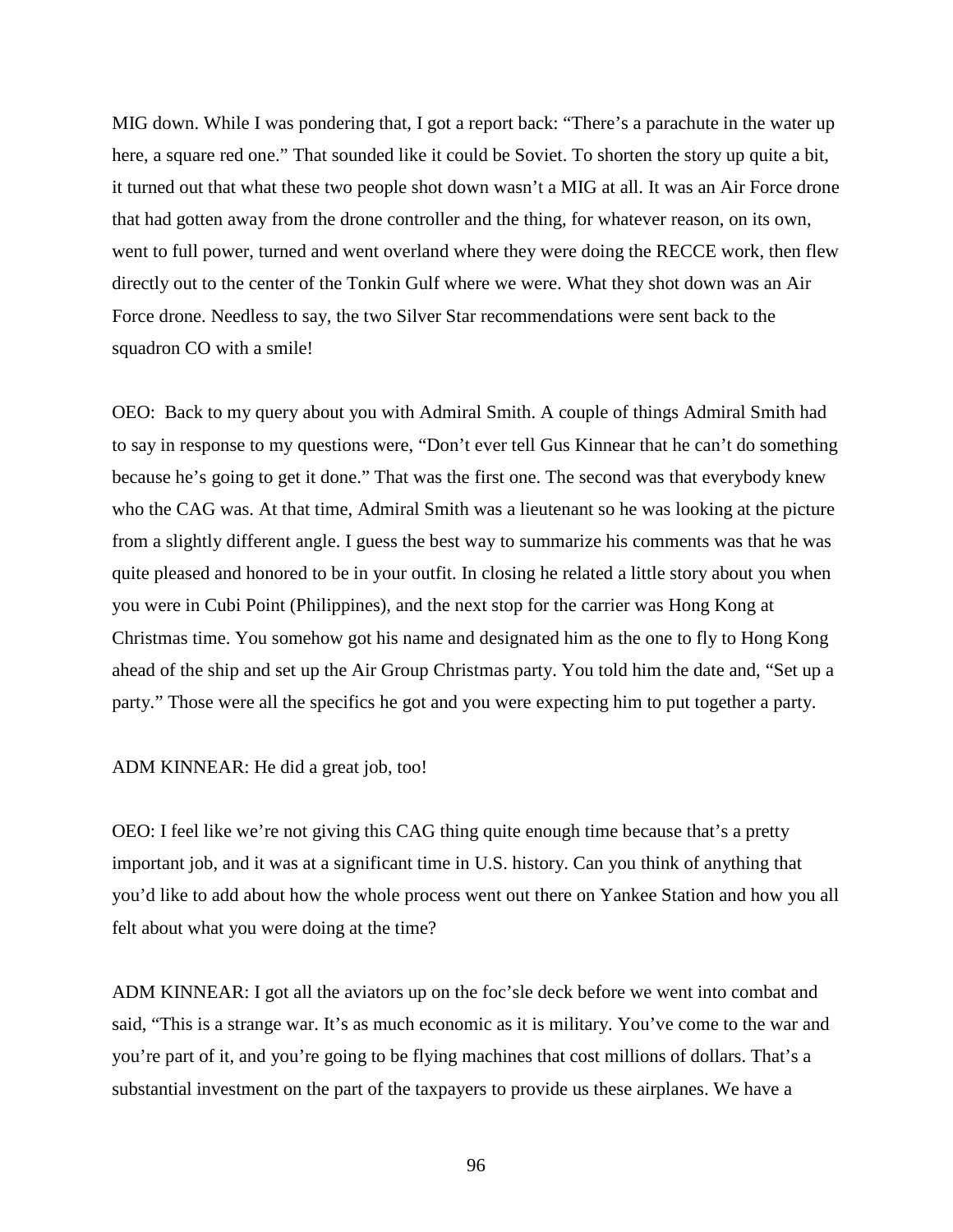MIG down. While I was pondering that, I got a report back: "There's a parachute in the water up here, a square red one." That sounded like it could be Soviet. To shorten the story up quite a bit, it turned out that what these two people shot down wasn't a MIG at all. It was an Air Force drone that had gotten away from the drone controller and the thing, for whatever reason, on its own, went to full power, turned and went overland where they were doing the RECCE work, then flew directly out to the center of the Tonkin Gulf where we were. What they shot down was an Air Force drone. Needless to say, the two Silver Star recommendations were sent back to the squadron CO with a smile!

OEO: Back to my query about you with Admiral Smith. A couple of things Admiral Smith had to say in response to my questions were, "Don't ever tell Gus Kinnear that he can't do something because he's going to get it done." That was the first one. The second was that everybody knew who the CAG was. At that time, Admiral Smith was a lieutenant so he was looking at the picture from a slightly different angle. I guess the best way to summarize his comments was that he was quite pleased and honored to be in your outfit. In closing he related a little story about you when you were in Cubi Point (Philippines), and the next stop for the carrier was Hong Kong at Christmas time. You somehow got his name and designated him as the one to fly to Hong Kong ahead of the ship and set up the Air Group Christmas party. You told him the date and, "Set up a party." Those were all the specifics he got and you were expecting him to put together a party.

ADM KINNEAR: He did a great job, too!

OEO: I feel like we're not giving this CAG thing quite enough time because that's a pretty important job, and it was at a significant time in U.S. history. Can you think of anything that you'd like to add about how the whole process went out there on Yankee Station and how you all felt about what you were doing at the time?

ADM KINNEAR: I got all the aviators up on the foc'sle deck before we went into combat and said, "This is a strange war. It's as much economic as it is military. You've come to the war and you're part of it, and you're going to be flying machines that cost millions of dollars. That's a substantial investment on the part of the taxpayers to provide us these airplanes. We have a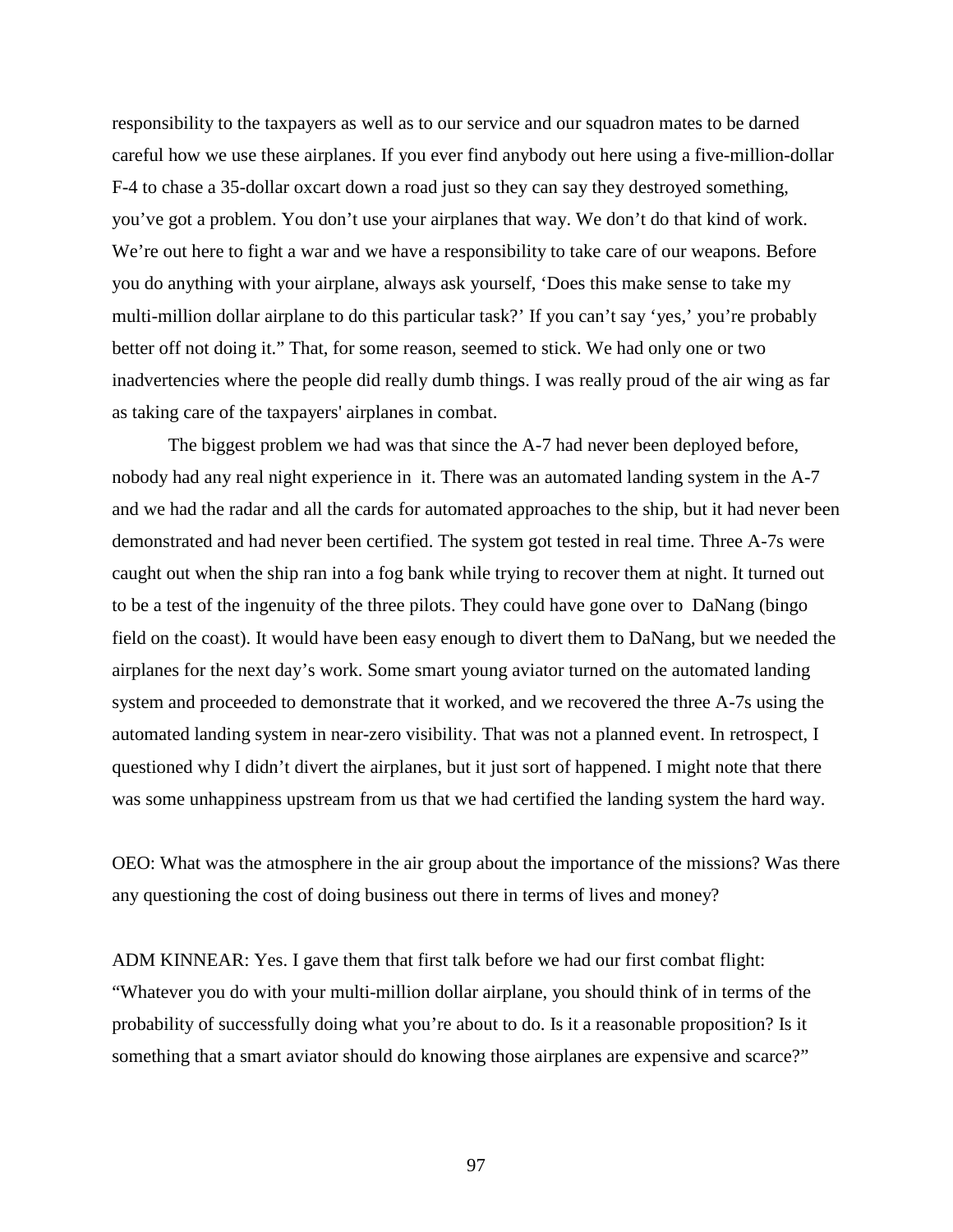responsibility to the taxpayers as well as to our service and our squadron mates to be darned careful how we use these airplanes. If you ever find anybody out here using a five-million-dollar F-4 to chase a 35-dollar oxcart down a road just so they can say they destroyed something, you've got a problem. You don't use your airplanes that way. We don't do that kind of work. We're out here to fight a war and we have a responsibility to take care of our weapons. Before you do anything with your airplane, always ask yourself, 'Does this make sense to take my multi-million dollar airplane to do this particular task?' If you can't say 'yes,' you're probably better off not doing it." That, for some reason, seemed to stick. We had only one or two inadvertencies where the people did really dumb things. I was really proud of the air wing as far as taking care of the taxpayers' airplanes in combat.

The biggest problem we had was that since the A-7 had never been deployed before, nobody had any real night experience in it. There was an automated landing system in the A-7 and we had the radar and all the cards for automated approaches to the ship, but it had never been demonstrated and had never been certified. The system got tested in real time. Three A-7s were caught out when the ship ran into a fog bank while trying to recover them at night. It turned out to be a test of the ingenuity of the three pilots. They could have gone over to DaNang (bingo field on the coast). It would have been easy enough to divert them to DaNang, but we needed the airplanes for the next day's work. Some smart young aviator turned on the automated landing system and proceeded to demonstrate that it worked, and we recovered the three A-7s using the automated landing system in near-zero visibility. That was not a planned event. In retrospect, I questioned why I didn't divert the airplanes, but it just sort of happened. I might note that there was some unhappiness upstream from us that we had certified the landing system the hard way.

OEO: What was the atmosphere in the air group about the importance of the missions? Was there any questioning the cost of doing business out there in terms of lives and money?

ADM KINNEAR: Yes. I gave them that first talk before we had our first combat flight: "Whatever you do with your multi-million dollar airplane, you should think of in terms of the probability of successfully doing what you're about to do. Is it a reasonable proposition? Is it something that a smart aviator should do knowing those airplanes are expensive and scarce?"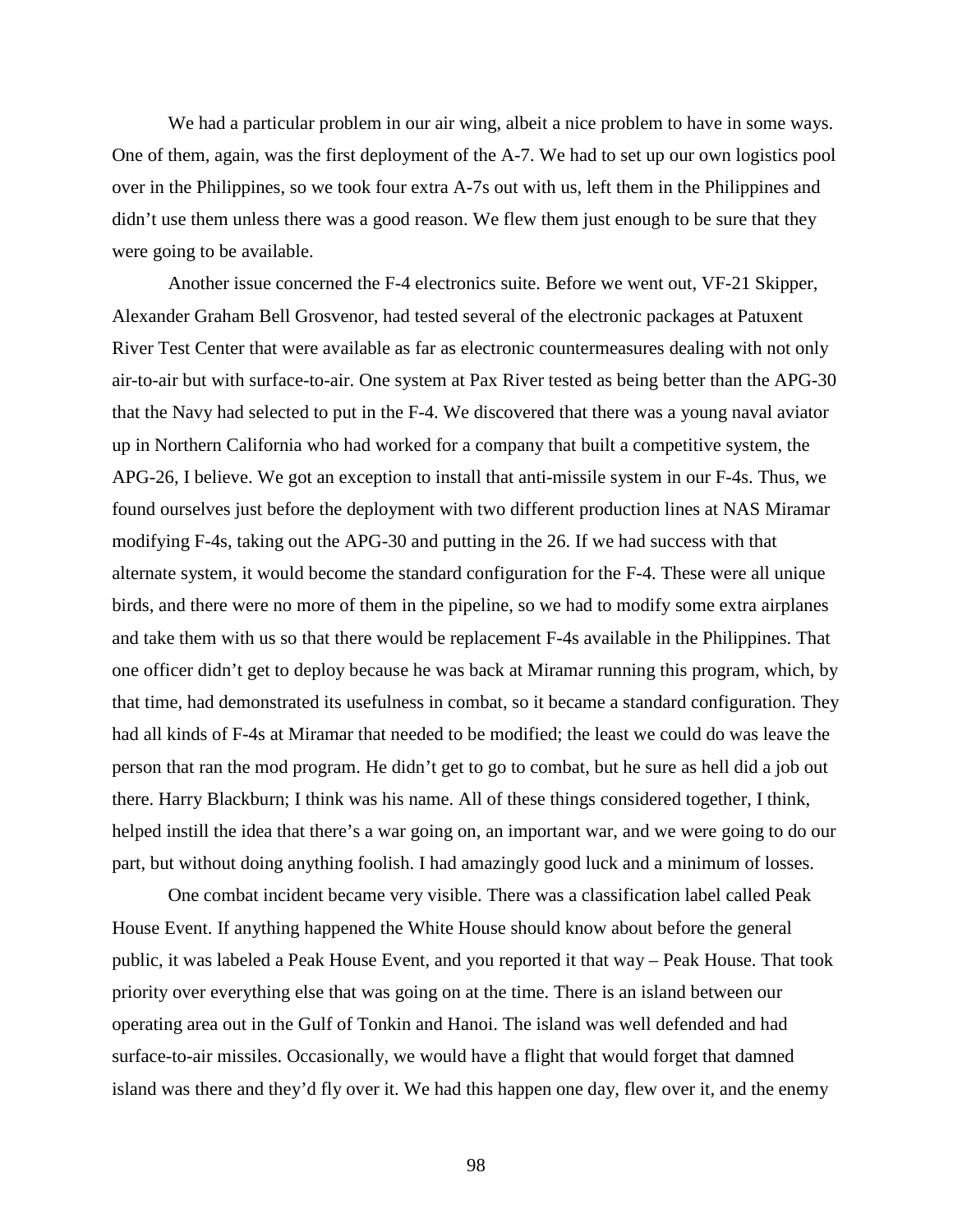We had a particular problem in our air wing, albeit a nice problem to have in some ways. One of them, again, was the first deployment of the A-7. We had to set up our own logistics pool over in the Philippines, so we took four extra A-7s out with us, left them in the Philippines and didn't use them unless there was a good reason. We flew them just enough to be sure that they were going to be available.

Another issue concerned the F-4 electronics suite. Before we went out, VF-21 Skipper, Alexander Graham Bell Grosvenor, had tested several of the electronic packages at Patuxent River Test Center that were available as far as electronic countermeasures dealing with not only air-to-air but with surface-to-air. One system at Pax River tested as being better than the APG-30 that the Navy had selected to put in the F-4. We discovered that there was a young naval aviator up in Northern California who had worked for a company that built a competitive system, the APG-26, I believe. We got an exception to install that anti-missile system in our F-4s. Thus, we found ourselves just before the deployment with two different production lines at NAS Miramar modifying F-4s, taking out the APG-30 and putting in the 26. If we had success with that alternate system, it would become the standard configuration for the F-4. These were all unique birds, and there were no more of them in the pipeline, so we had to modify some extra airplanes and take them with us so that there would be replacement F-4s available in the Philippines. That one officer didn't get to deploy because he was back at Miramar running this program, which, by that time, had demonstrated its usefulness in combat, so it became a standard configuration. They had all kinds of F-4s at Miramar that needed to be modified; the least we could do was leave the person that ran the mod program. He didn't get to go to combat, but he sure as hell did a job out there. Harry Blackburn; I think was his name. All of these things considered together, I think, helped instill the idea that there's a war going on, an important war, and we were going to do our part, but without doing anything foolish. I had amazingly good luck and a minimum of losses.

One combat incident became very visible. There was a classification label called Peak House Event. If anything happened the White House should know about before the general public, it was labeled a Peak House Event, and you reported it that way – Peak House. That took priority over everything else that was going on at the time. There is an island between our operating area out in the Gulf of Tonkin and Hanoi. The island was well defended and had surface-to-air missiles. Occasionally, we would have a flight that would forget that damned island was there and they'd fly over it. We had this happen one day, flew over it, and the enemy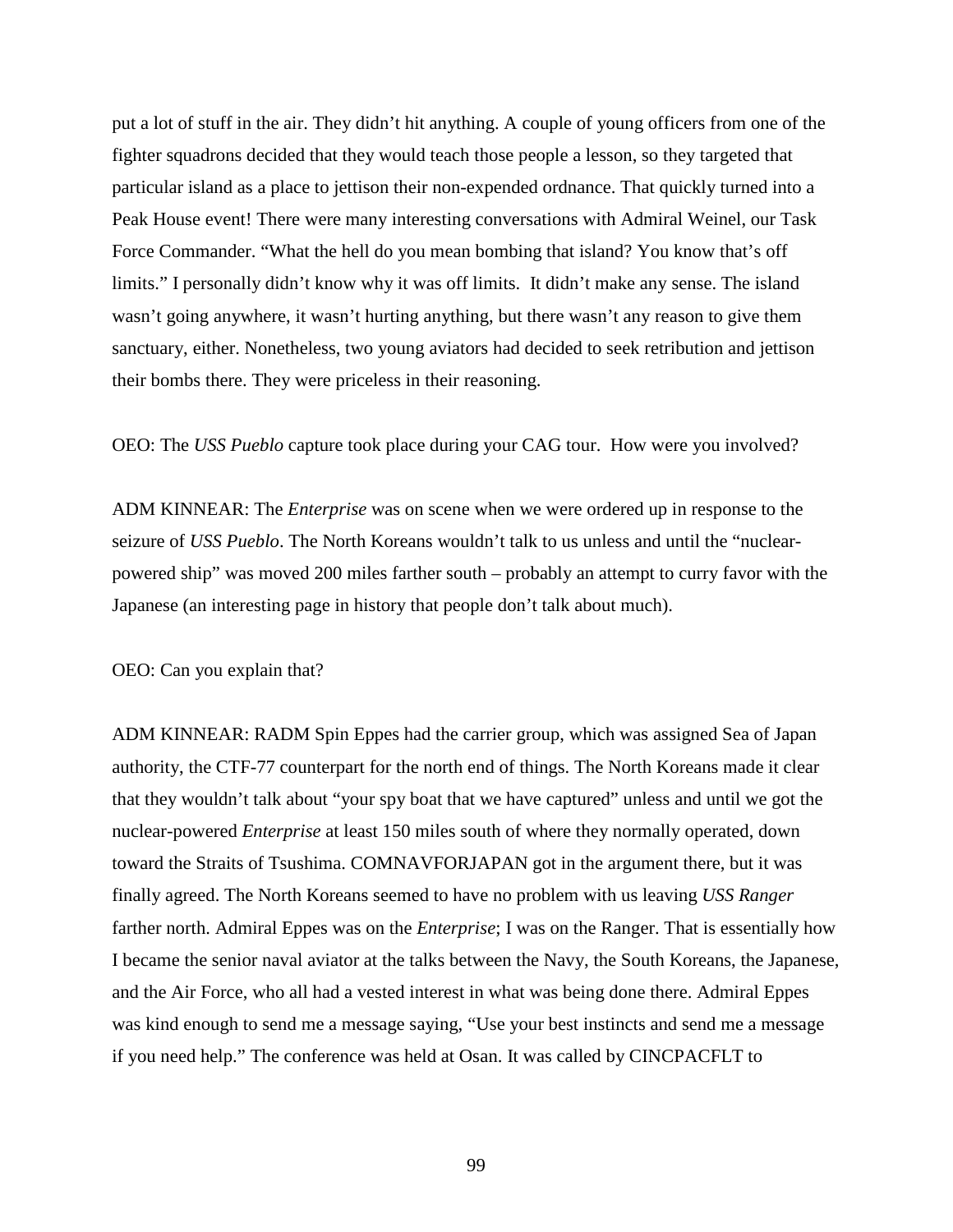put a lot of stuff in the air. They didn't hit anything. A couple of young officers from one of the fighter squadrons decided that they would teach those people a lesson, so they targeted that particular island as a place to jettison their non-expended ordnance. That quickly turned into a Peak House event! There were many interesting conversations with Admiral Weinel, our Task Force Commander. "What the hell do you mean bombing that island? You know that's off limits." I personally didn't know why it was off limits. It didn't make any sense. The island wasn't going anywhere, it wasn't hurting anything, but there wasn't any reason to give them sanctuary, either. Nonetheless, two young aviators had decided to seek retribution and jettison their bombs there. They were priceless in their reasoning.

OEO: The *USS Pueblo* capture took place during your CAG tour. How were you involved?

ADM KINNEAR: The *Enterprise* was on scene when we were ordered up in response to the seizure of *USS Pueblo*. The North Koreans wouldn't talk to us unless and until the "nuclearpowered ship" was moved 200 miles farther south – probably an attempt to curry favor with the Japanese (an interesting page in history that people don't talk about much).

OEO: Can you explain that?

ADM KINNEAR: RADM Spin Eppes had the carrier group, which was assigned Sea of Japan authority, the CTF-77 counterpart for the north end of things. The North Koreans made it clear that they wouldn't talk about "your spy boat that we have captured" unless and until we got the nuclear-powered *Enterprise* at least 150 miles south of where they normally operated, down toward the Straits of Tsushima. COMNAVFORJAPAN got in the argument there, but it was finally agreed. The North Koreans seemed to have no problem with us leaving *USS Ranger* farther north. Admiral Eppes was on the *Enterprise*; I was on the Ranger. That is essentially how I became the senior naval aviator at the talks between the Navy, the South Koreans, the Japanese, and the Air Force, who all had a vested interest in what was being done there. Admiral Eppes was kind enough to send me a message saying, "Use your best instincts and send me a message if you need help." The conference was held at Osan. It was called by CINCPACFLT to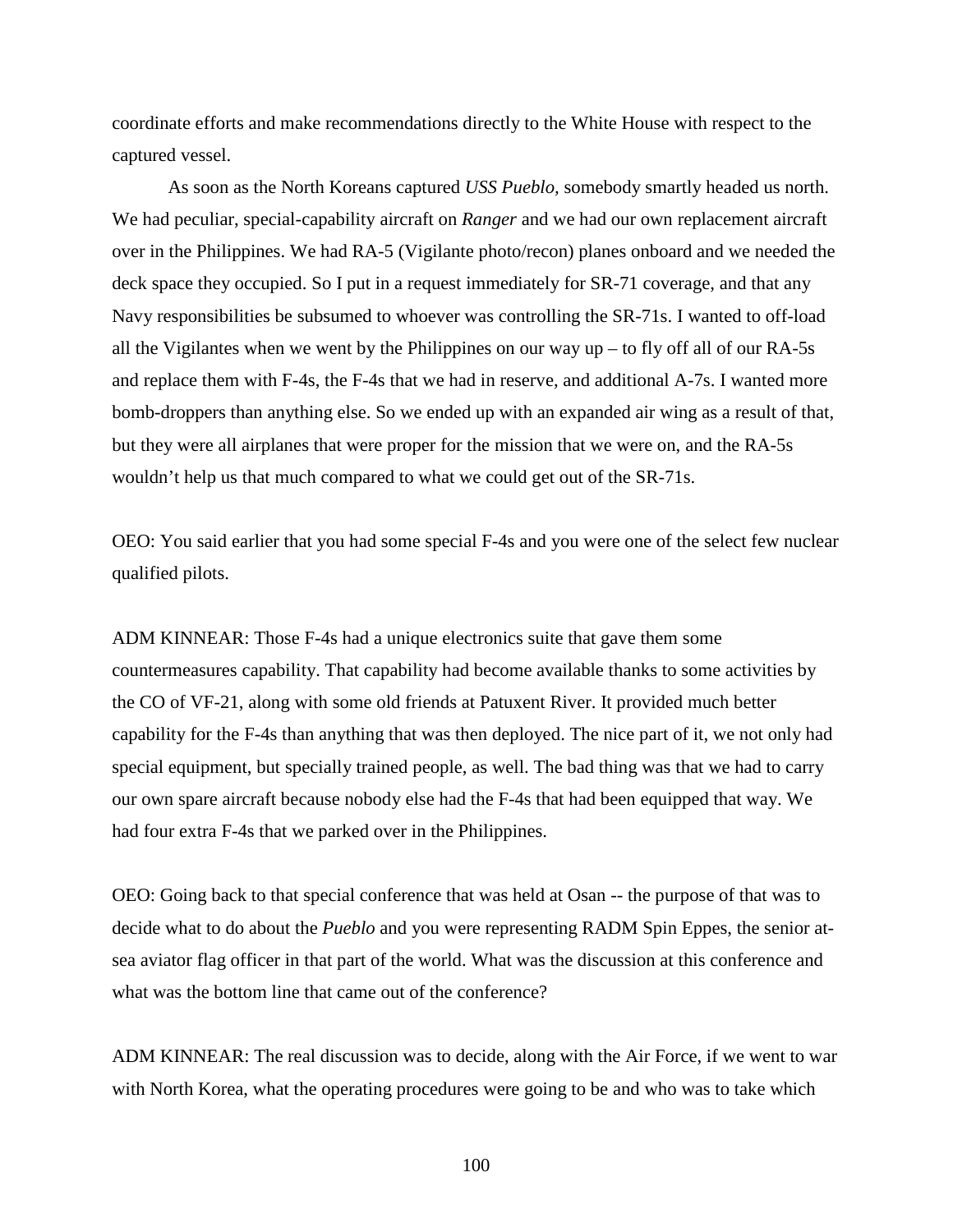coordinate efforts and make recommendations directly to the White House with respect to the captured vessel.

As soon as the North Koreans captured *USS Pueblo,* somebody smartly headed us north. We had peculiar, special-capability aircraft on *Ranger* and we had our own replacement aircraft over in the Philippines. We had RA-5 (Vigilante photo/recon) planes onboard and we needed the deck space they occupied. So I put in a request immediately for SR-71 coverage, and that any Navy responsibilities be subsumed to whoever was controlling the SR-71s. I wanted to off-load all the Vigilantes when we went by the Philippines on our way  $up - to fly$  off all of our RA-5s and replace them with F-4s, the F-4s that we had in reserve, and additional A-7s. I wanted more bomb-droppers than anything else. So we ended up with an expanded air wing as a result of that, but they were all airplanes that were proper for the mission that we were on, and the RA-5s wouldn't help us that much compared to what we could get out of the SR-71s.

OEO: You said earlier that you had some special F-4s and you were one of the select few nuclear qualified pilots.

ADM KINNEAR: Those F-4s had a unique electronics suite that gave them some countermeasures capability. That capability had become available thanks to some activities by the CO of VF-21, along with some old friends at Patuxent River. It provided much better capability for the F-4s than anything that was then deployed. The nice part of it, we not only had special equipment, but specially trained people, as well. The bad thing was that we had to carry our own spare aircraft because nobody else had the F-4s that had been equipped that way. We had four extra F-4s that we parked over in the Philippines.

OEO: Going back to that special conference that was held at Osan -- the purpose of that was to decide what to do about the *Pueblo* and you were representing RADM Spin Eppes, the senior atsea aviator flag officer in that part of the world. What was the discussion at this conference and what was the bottom line that came out of the conference?

ADM KINNEAR: The real discussion was to decide, along with the Air Force, if we went to war with North Korea, what the operating procedures were going to be and who was to take which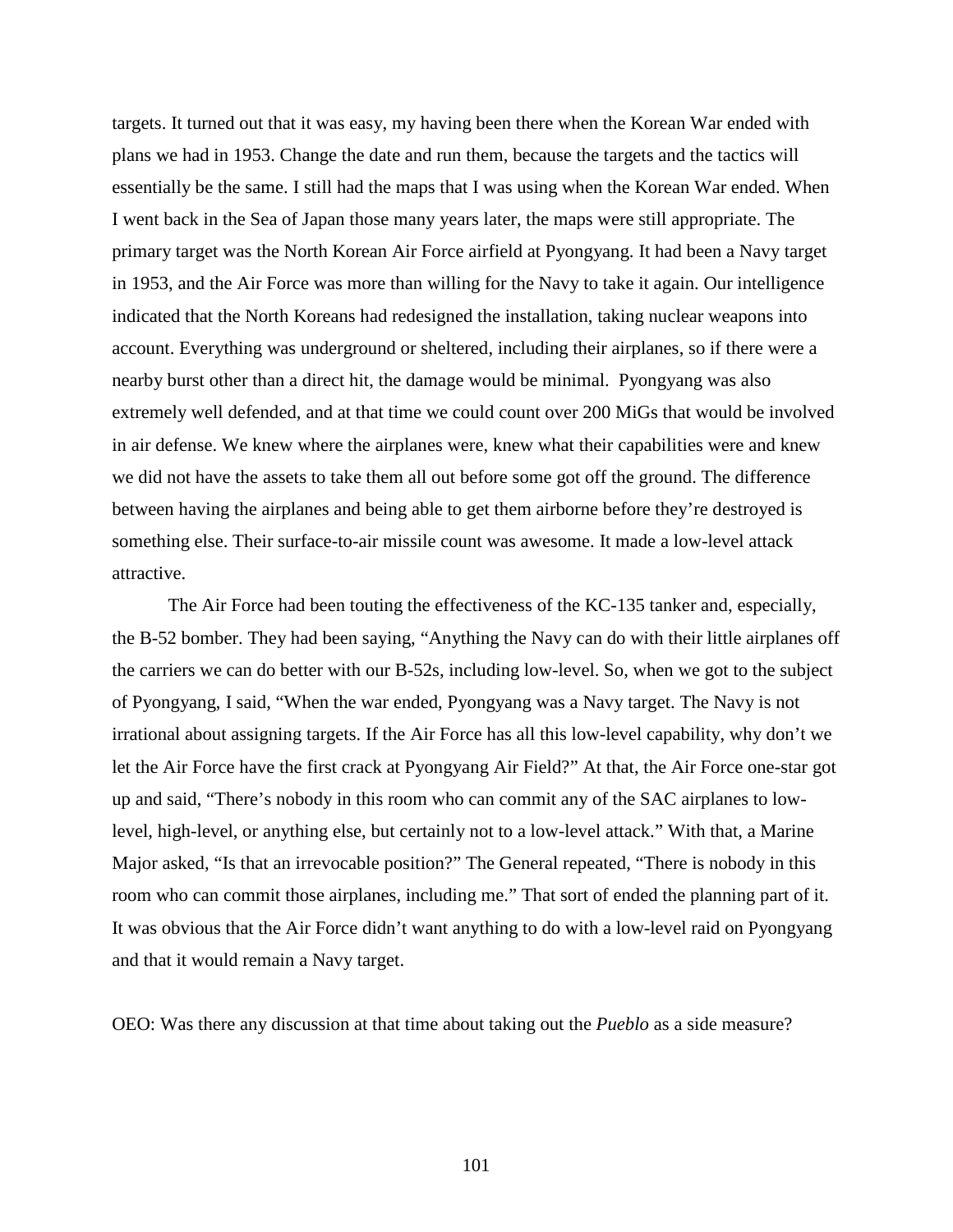targets. It turned out that it was easy, my having been there when the Korean War ended with plans we had in 1953. Change the date and run them, because the targets and the tactics will essentially be the same. I still had the maps that I was using when the Korean War ended. When I went back in the Sea of Japan those many years later, the maps were still appropriate. The primary target was the North Korean Air Force airfield at Pyongyang. It had been a Navy target in 1953, and the Air Force was more than willing for the Navy to take it again. Our intelligence indicated that the North Koreans had redesigned the installation, taking nuclear weapons into account. Everything was underground or sheltered, including their airplanes, so if there were a nearby burst other than a direct hit, the damage would be minimal. Pyongyang was also extremely well defended, and at that time we could count over 200 MiGs that would be involved in air defense. We knew where the airplanes were, knew what their capabilities were and knew we did not have the assets to take them all out before some got off the ground. The difference between having the airplanes and being able to get them airborne before they're destroyed is something else. Their surface-to-air missile count was awesome. It made a low-level attack attractive.

The Air Force had been touting the effectiveness of the KC-135 tanker and, especially, the B-52 bomber. They had been saying, "Anything the Navy can do with their little airplanes off the carriers we can do better with our B-52s, including low-level. So, when we got to the subject of Pyongyang, I said, "When the war ended, Pyongyang was a Navy target. The Navy is not irrational about assigning targets. If the Air Force has all this low-level capability, why don't we let the Air Force have the first crack at Pyongyang Air Field?" At that, the Air Force one-star got up and said, "There's nobody in this room who can commit any of the SAC airplanes to lowlevel, high-level, or anything else, but certainly not to a low-level attack." With that, a Marine Major asked, "Is that an irrevocable position?" The General repeated, "There is nobody in this room who can commit those airplanes, including me." That sort of ended the planning part of it. It was obvious that the Air Force didn't want anything to do with a low-level raid on Pyongyang and that it would remain a Navy target.

OEO: Was there any discussion at that time about taking out the *Pueblo* as a side measure?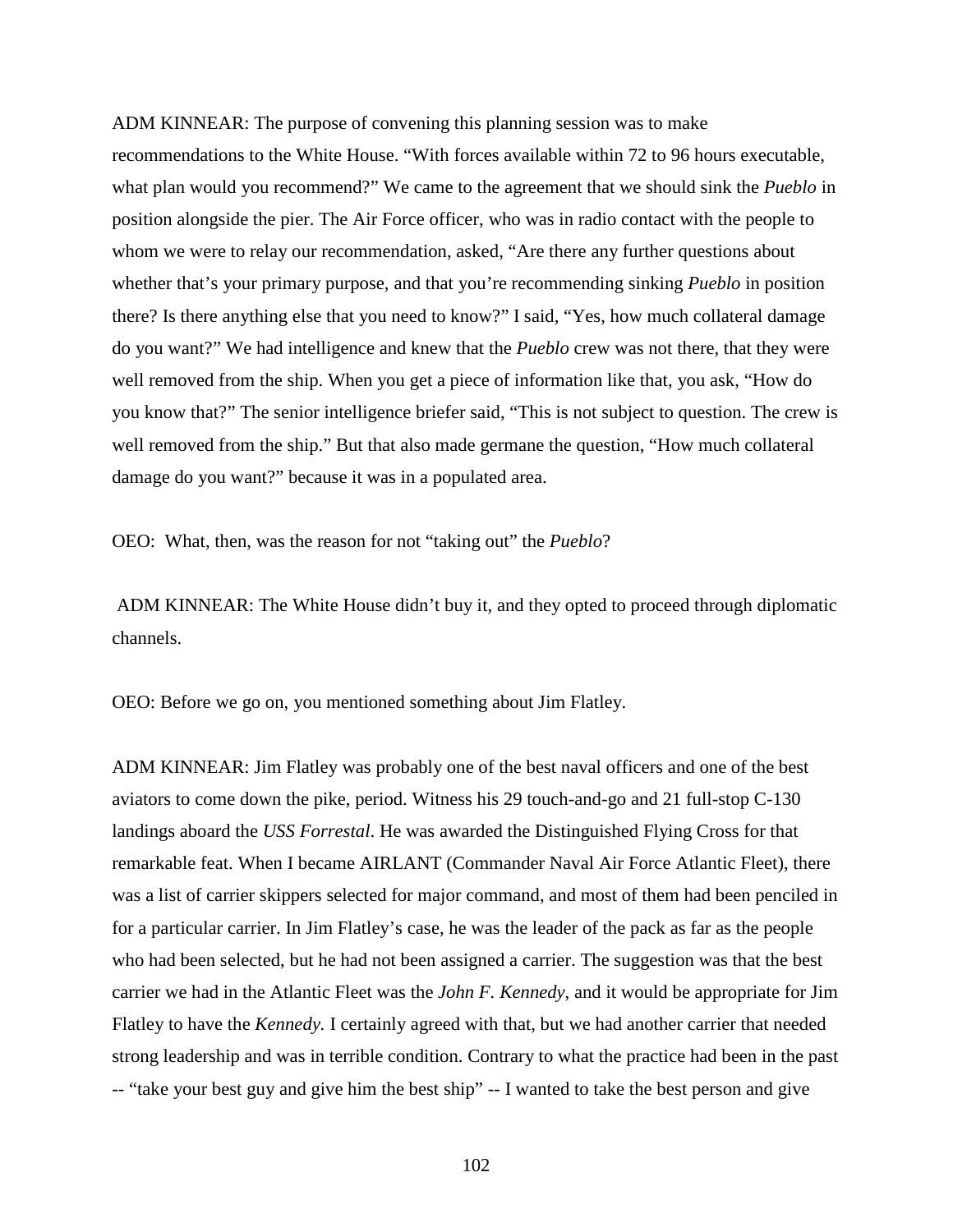ADM KINNEAR: The purpose of convening this planning session was to make recommendations to the White House. "With forces available within 72 to 96 hours executable, what plan would you recommend?" We came to the agreement that we should sink the *Pueblo* in position alongside the pier. The Air Force officer, who was in radio contact with the people to whom we were to relay our recommendation, asked, "Are there any further questions about whether that's your primary purpose, and that you're recommending sinking *Pueblo* in position there? Is there anything else that you need to know?" I said, "Yes, how much collateral damage do you want?" We had intelligence and knew that the *Pueblo* crew was not there, that they were well removed from the ship. When you get a piece of information like that, you ask, "How do you know that?" The senior intelligence briefer said, "This is not subject to question. The crew is well removed from the ship." But that also made germane the question, "How much collateral damage do you want?" because it was in a populated area.

OEO: What, then, was the reason for not "taking out" the *Pueblo*?

ADM KINNEAR: The White House didn't buy it, and they opted to proceed through diplomatic channels.

OEO: Before we go on, you mentioned something about Jim Flatley.

ADM KINNEAR: Jim Flatley was probably one of the best naval officers and one of the best aviators to come down the pike, period. Witness his 29 touch-and-go and 21 full-stop C-130 landings aboard the *USS Forrestal*. He was awarded the Distinguished Flying Cross for that remarkable feat. When I became AIRLANT (Commander Naval Air Force Atlantic Fleet), there was a list of carrier skippers selected for major command, and most of them had been penciled in for a particular carrier. In Jim Flatley's case, he was the leader of the pack as far as the people who had been selected, but he had not been assigned a carrier. The suggestion was that the best carrier we had in the Atlantic Fleet was the *John F. Kennedy*, and it would be appropriate for Jim Flatley to have the *Kennedy.* I certainly agreed with that, but we had another carrier that needed strong leadership and was in terrible condition. Contrary to what the practice had been in the past -- "take your best guy and give him the best ship" -- I wanted to take the best person and give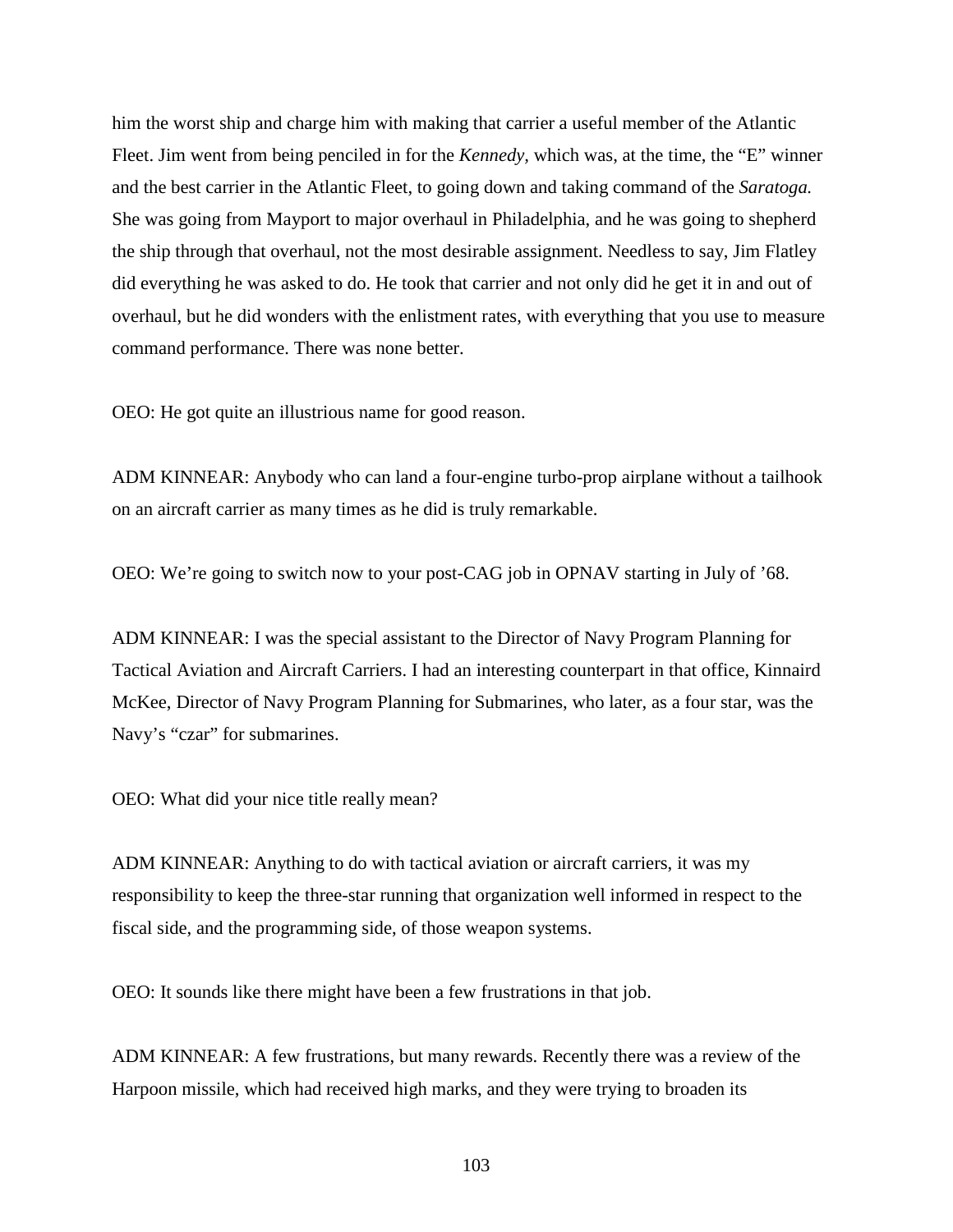him the worst ship and charge him with making that carrier a useful member of the Atlantic Fleet. Jim went from being penciled in for the *Kennedy,* which was, at the time, the "E" winner and the best carrier in the Atlantic Fleet, to going down and taking command of the *Saratoga.*  She was going from Mayport to major overhaul in Philadelphia, and he was going to shepherd the ship through that overhaul, not the most desirable assignment. Needless to say, Jim Flatley did everything he was asked to do. He took that carrier and not only did he get it in and out of overhaul, but he did wonders with the enlistment rates, with everything that you use to measure command performance. There was none better.

OEO: He got quite an illustrious name for good reason.

ADM KINNEAR: Anybody who can land a four-engine turbo-prop airplane without a tailhook on an aircraft carrier as many times as he did is truly remarkable.

OEO: We're going to switch now to your post-CAG job in OPNAV starting in July of '68.

ADM KINNEAR: I was the special assistant to the Director of Navy Program Planning for Tactical Aviation and Aircraft Carriers. I had an interesting counterpart in that office, Kinnaird McKee, Director of Navy Program Planning for Submarines, who later, as a four star, was the Navy's "czar" for submarines.

OEO: What did your nice title really mean?

ADM KINNEAR: Anything to do with tactical aviation or aircraft carriers, it was my responsibility to keep the three-star running that organization well informed in respect to the fiscal side, and the programming side, of those weapon systems.

OEO: It sounds like there might have been a few frustrations in that job.

ADM KINNEAR: A few frustrations, but many rewards. Recently there was a review of the Harpoon missile, which had received high marks, and they were trying to broaden its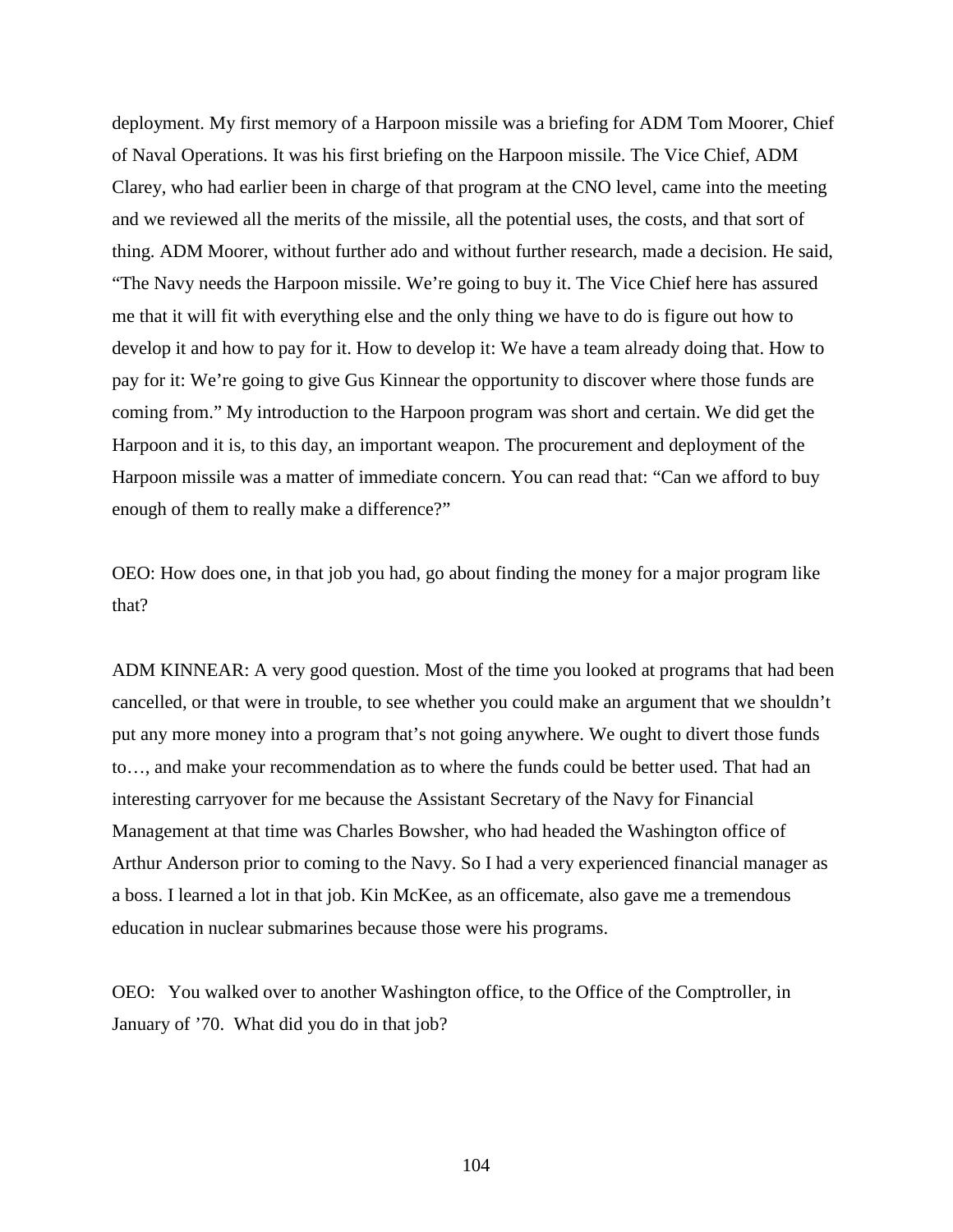deployment. My first memory of a Harpoon missile was a briefing for ADM Tom Moorer, Chief of Naval Operations. It was his first briefing on the Harpoon missile. The Vice Chief, ADM Clarey, who had earlier been in charge of that program at the CNO level, came into the meeting and we reviewed all the merits of the missile, all the potential uses, the costs, and that sort of thing. ADM Moorer, without further ado and without further research, made a decision. He said, "The Navy needs the Harpoon missile. We're going to buy it. The Vice Chief here has assured me that it will fit with everything else and the only thing we have to do is figure out how to develop it and how to pay for it. How to develop it: We have a team already doing that. How to pay for it: We're going to give Gus Kinnear the opportunity to discover where those funds are coming from." My introduction to the Harpoon program was short and certain. We did get the Harpoon and it is, to this day, an important weapon. The procurement and deployment of the Harpoon missile was a matter of immediate concern. You can read that: "Can we afford to buy enough of them to really make a difference?"

OEO: How does one, in that job you had, go about finding the money for a major program like that?

ADM KINNEAR: A very good question. Most of the time you looked at programs that had been cancelled, or that were in trouble, to see whether you could make an argument that we shouldn't put any more money into a program that's not going anywhere. We ought to divert those funds to…, and make your recommendation as to where the funds could be better used. That had an interesting carryover for me because the Assistant Secretary of the Navy for Financial Management at that time was Charles Bowsher, who had headed the Washington office of Arthur Anderson prior to coming to the Navy. So I had a very experienced financial manager as a boss. I learned a lot in that job. Kin McKee, as an officemate, also gave me a tremendous education in nuclear submarines because those were his programs.

OEO: You walked over to another Washington office, to the Office of the Comptroller, in January of '70. What did you do in that job?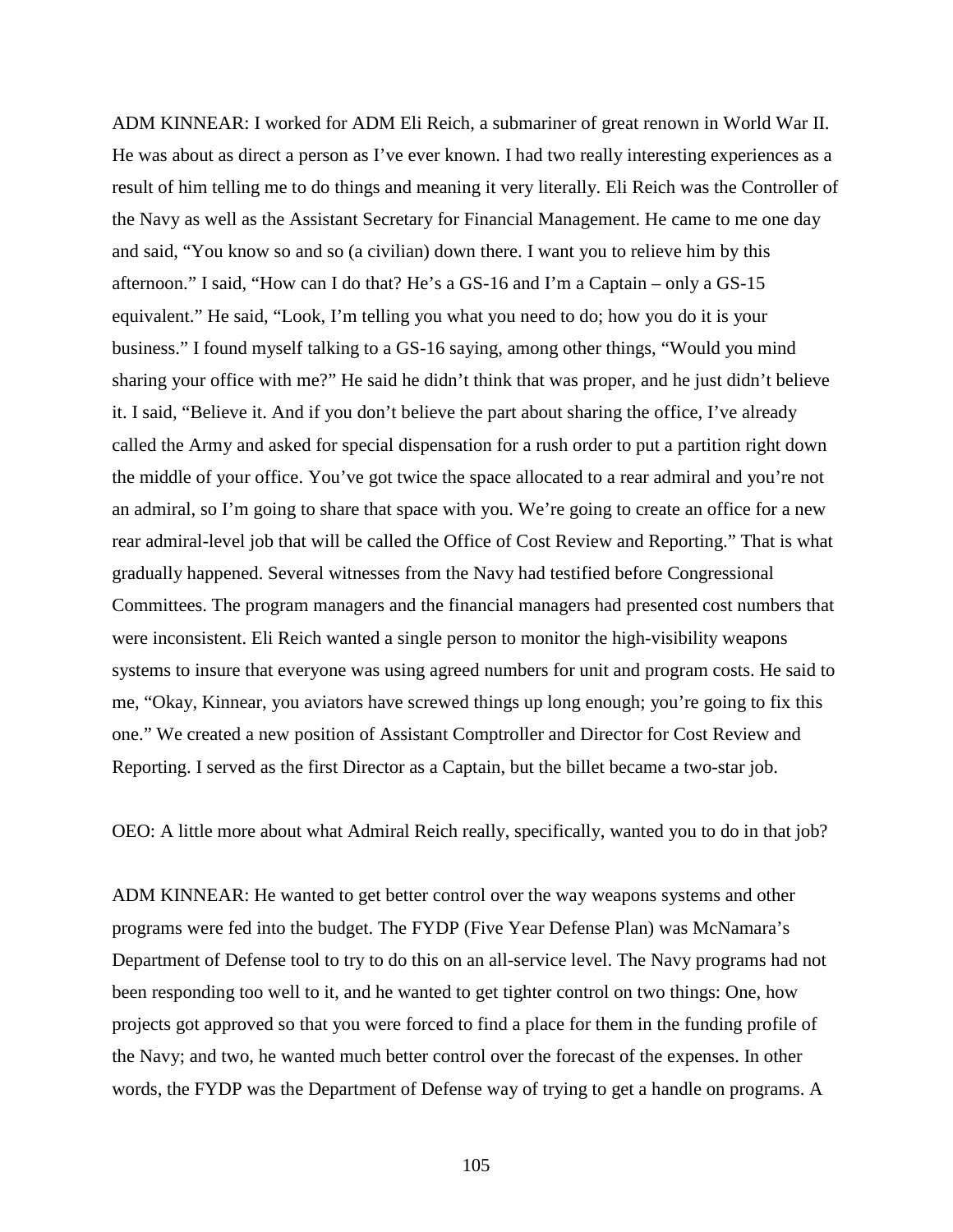ADM KINNEAR: I worked for ADM Eli Reich, a submariner of great renown in World War II. He was about as direct a person as I've ever known. I had two really interesting experiences as a result of him telling me to do things and meaning it very literally. Eli Reich was the Controller of the Navy as well as the Assistant Secretary for Financial Management. He came to me one day and said, "You know so and so (a civilian) down there. I want you to relieve him by this afternoon." I said, "How can I do that? He's a GS-16 and I'm a Captain – only a GS-15 equivalent." He said, "Look, I'm telling you what you need to do; how you do it is your business." I found myself talking to a GS-16 saying, among other things, "Would you mind sharing your office with me?" He said he didn't think that was proper, and he just didn't believe it. I said, "Believe it. And if you don't believe the part about sharing the office, I've already called the Army and asked for special dispensation for a rush order to put a partition right down the middle of your office. You've got twice the space allocated to a rear admiral and you're not an admiral, so I'm going to share that space with you. We're going to create an office for a new rear admiral-level job that will be called the Office of Cost Review and Reporting." That is what gradually happened. Several witnesses from the Navy had testified before Congressional Committees. The program managers and the financial managers had presented cost numbers that were inconsistent. Eli Reich wanted a single person to monitor the high-visibility weapons systems to insure that everyone was using agreed numbers for unit and program costs. He said to me, "Okay, Kinnear, you aviators have screwed things up long enough; you're going to fix this one." We created a new position of Assistant Comptroller and Director for Cost Review and Reporting. I served as the first Director as a Captain, but the billet became a two-star job.

OEO: A little more about what Admiral Reich really, specifically, wanted you to do in that job?

ADM KINNEAR: He wanted to get better control over the way weapons systems and other programs were fed into the budget. The FYDP (Five Year Defense Plan) was McNamara's Department of Defense tool to try to do this on an all-service level. The Navy programs had not been responding too well to it, and he wanted to get tighter control on two things: One, how projects got approved so that you were forced to find a place for them in the funding profile of the Navy; and two, he wanted much better control over the forecast of the expenses. In other words, the FYDP was the Department of Defense way of trying to get a handle on programs. A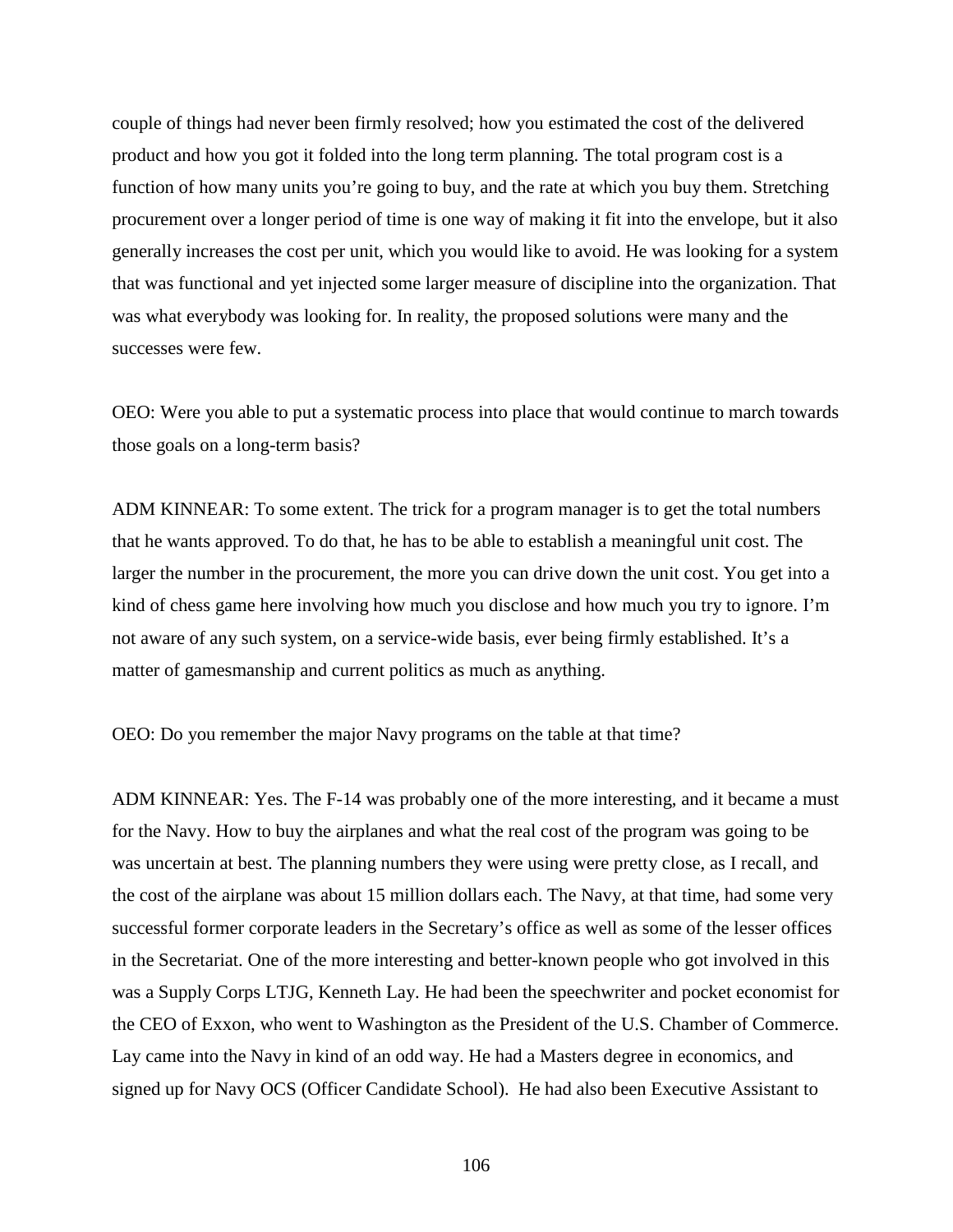couple of things had never been firmly resolved; how you estimated the cost of the delivered product and how you got it folded into the long term planning. The total program cost is a function of how many units you're going to buy, and the rate at which you buy them. Stretching procurement over a longer period of time is one way of making it fit into the envelope, but it also generally increases the cost per unit, which you would like to avoid. He was looking for a system that was functional and yet injected some larger measure of discipline into the organization. That was what everybody was looking for. In reality, the proposed solutions were many and the successes were few.

OEO: Were you able to put a systematic process into place that would continue to march towards those goals on a long-term basis?

ADM KINNEAR: To some extent. The trick for a program manager is to get the total numbers that he wants approved. To do that, he has to be able to establish a meaningful unit cost. The larger the number in the procurement, the more you can drive down the unit cost. You get into a kind of chess game here involving how much you disclose and how much you try to ignore. I'm not aware of any such system, on a service-wide basis, ever being firmly established. It's a matter of gamesmanship and current politics as much as anything.

OEO: Do you remember the major Navy programs on the table at that time?

ADM KINNEAR: Yes. The F-14 was probably one of the more interesting, and it became a must for the Navy. How to buy the airplanes and what the real cost of the program was going to be was uncertain at best. The planning numbers they were using were pretty close, as I recall, and the cost of the airplane was about 15 million dollars each. The Navy, at that time, had some very successful former corporate leaders in the Secretary's office as well as some of the lesser offices in the Secretariat. One of the more interesting and better-known people who got involved in this was a Supply Corps LTJG, Kenneth Lay. He had been the speechwriter and pocket economist for the CEO of Exxon, who went to Washington as the President of the U.S. Chamber of Commerce. Lay came into the Navy in kind of an odd way. He had a Masters degree in economics, and signed up for Navy OCS (Officer Candidate School). He had also been Executive Assistant to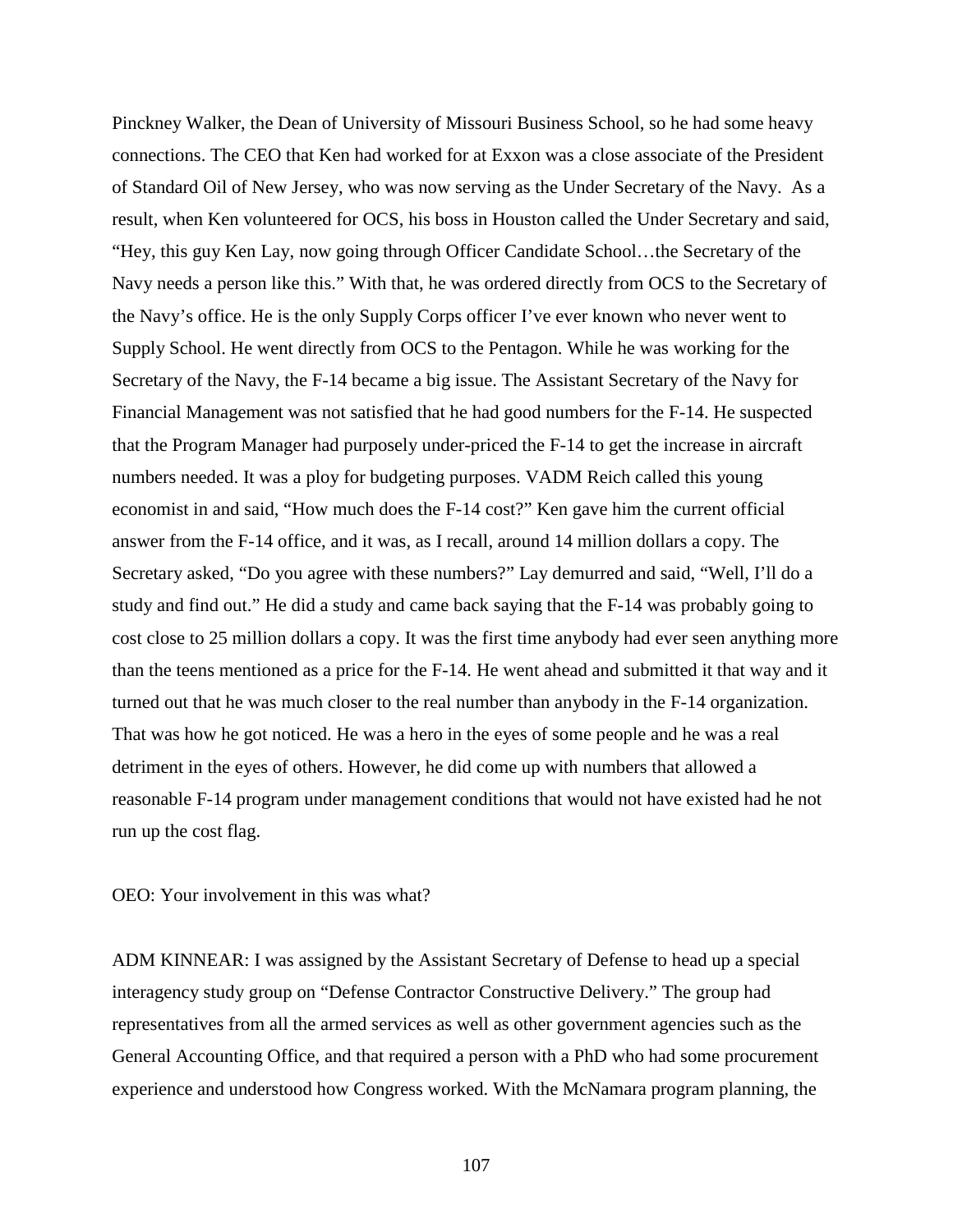Pinckney Walker, the Dean of University of Missouri Business School, so he had some heavy connections. The CEO that Ken had worked for at Exxon was a close associate of the President of Standard Oil of New Jersey, who was now serving as the Under Secretary of the Navy. As a result, when Ken volunteered for OCS, his boss in Houston called the Under Secretary and said, "Hey, this guy Ken Lay, now going through Officer Candidate School…the Secretary of the Navy needs a person like this." With that, he was ordered directly from OCS to the Secretary of the Navy's office. He is the only Supply Corps officer I've ever known who never went to Supply School. He went directly from OCS to the Pentagon. While he was working for the Secretary of the Navy, the F-14 became a big issue. The Assistant Secretary of the Navy for Financial Management was not satisfied that he had good numbers for the F-14. He suspected that the Program Manager had purposely under-priced the F-14 to get the increase in aircraft numbers needed. It was a ploy for budgeting purposes. VADM Reich called this young economist in and said, "How much does the F-14 cost?" Ken gave him the current official answer from the F-14 office, and it was, as I recall, around 14 million dollars a copy. The Secretary asked, "Do you agree with these numbers?" Lay demurred and said, "Well, I'll do a study and find out." He did a study and came back saying that the F-14 was probably going to cost close to 25 million dollars a copy. It was the first time anybody had ever seen anything more than the teens mentioned as a price for the F-14. He went ahead and submitted it that way and it turned out that he was much closer to the real number than anybody in the F-14 organization. That was how he got noticed. He was a hero in the eyes of some people and he was a real detriment in the eyes of others. However, he did come up with numbers that allowed a reasonable F-14 program under management conditions that would not have existed had he not run up the cost flag.

OEO: Your involvement in this was what?

ADM KINNEAR: I was assigned by the Assistant Secretary of Defense to head up a special interagency study group on "Defense Contractor Constructive Delivery." The group had representatives from all the armed services as well as other government agencies such as the General Accounting Office, and that required a person with a PhD who had some procurement experience and understood how Congress worked. With the McNamara program planning, the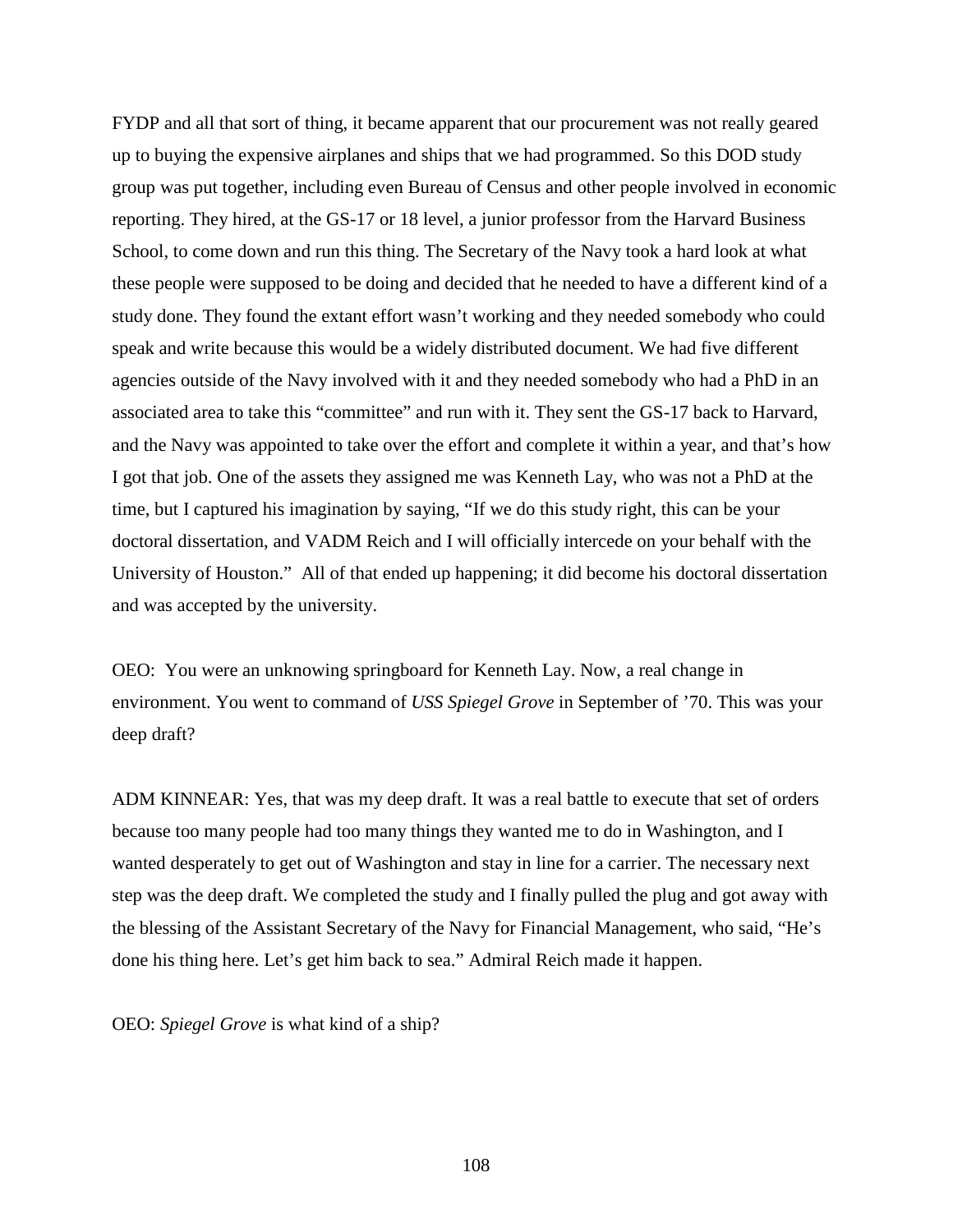FYDP and all that sort of thing, it became apparent that our procurement was not really geared up to buying the expensive airplanes and ships that we had programmed. So this DOD study group was put together, including even Bureau of Census and other people involved in economic reporting. They hired, at the GS-17 or 18 level, a junior professor from the Harvard Business School, to come down and run this thing. The Secretary of the Navy took a hard look at what these people were supposed to be doing and decided that he needed to have a different kind of a study done. They found the extant effort wasn't working and they needed somebody who could speak and write because this would be a widely distributed document. We had five different agencies outside of the Navy involved with it and they needed somebody who had a PhD in an associated area to take this "committee" and run with it. They sent the GS-17 back to Harvard, and the Navy was appointed to take over the effort and complete it within a year, and that's how I got that job. One of the assets they assigned me was Kenneth Lay, who was not a PhD at the time, but I captured his imagination by saying, "If we do this study right, this can be your doctoral dissertation, and VADM Reich and I will officially intercede on your behalf with the University of Houston." All of that ended up happening; it did become his doctoral dissertation and was accepted by the university.

OEO: You were an unknowing springboard for Kenneth Lay. Now, a real change in environment. You went to command of *USS Spiegel Grove* in September of '70. This was your deep draft?

ADM KINNEAR: Yes, that was my deep draft. It was a real battle to execute that set of orders because too many people had too many things they wanted me to do in Washington, and I wanted desperately to get out of Washington and stay in line for a carrier. The necessary next step was the deep draft. We completed the study and I finally pulled the plug and got away with the blessing of the Assistant Secretary of the Navy for Financial Management, who said, "He's done his thing here. Let's get him back to sea." Admiral Reich made it happen.

OEO: *Spiegel Grove* is what kind of a ship?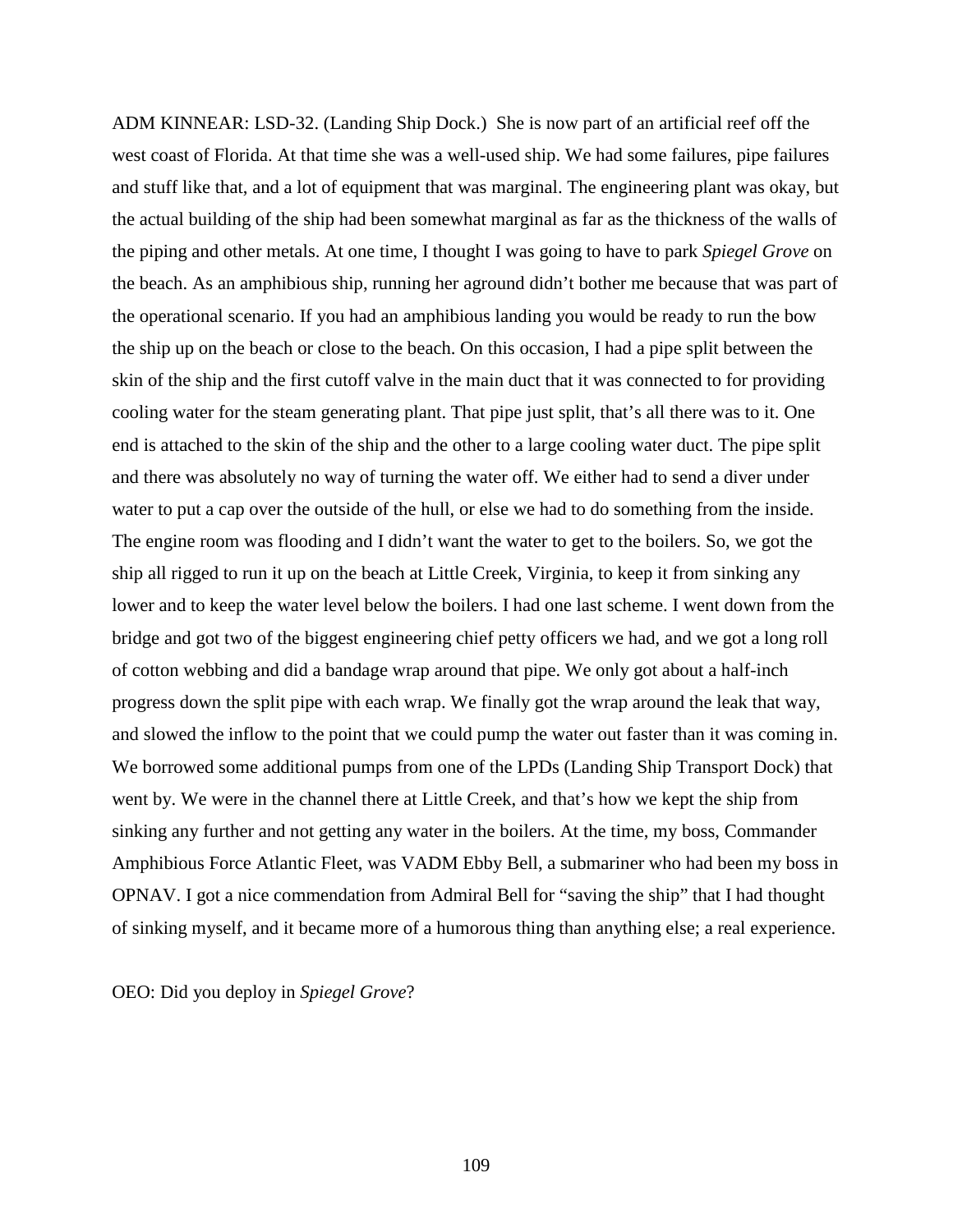ADM KINNEAR: LSD-32. (Landing Ship Dock.) She is now part of an artificial reef off the west coast of Florida. At that time she was a well-used ship. We had some failures, pipe failures and stuff like that, and a lot of equipment that was marginal. The engineering plant was okay, but the actual building of the ship had been somewhat marginal as far as the thickness of the walls of the piping and other metals. At one time, I thought I was going to have to park *Spiegel Grove* on the beach. As an amphibious ship, running her aground didn't bother me because that was part of the operational scenario. If you had an amphibious landing you would be ready to run the bow the ship up on the beach or close to the beach. On this occasion, I had a pipe split between the skin of the ship and the first cutoff valve in the main duct that it was connected to for providing cooling water for the steam generating plant. That pipe just split, that's all there was to it. One end is attached to the skin of the ship and the other to a large cooling water duct. The pipe split and there was absolutely no way of turning the water off. We either had to send a diver under water to put a cap over the outside of the hull, or else we had to do something from the inside. The engine room was flooding and I didn't want the water to get to the boilers. So, we got the ship all rigged to run it up on the beach at Little Creek, Virginia, to keep it from sinking any lower and to keep the water level below the boilers. I had one last scheme. I went down from the bridge and got two of the biggest engineering chief petty officers we had, and we got a long roll of cotton webbing and did a bandage wrap around that pipe. We only got about a half-inch progress down the split pipe with each wrap. We finally got the wrap around the leak that way, and slowed the inflow to the point that we could pump the water out faster than it was coming in. We borrowed some additional pumps from one of the LPDs (Landing Ship Transport Dock) that went by. We were in the channel there at Little Creek, and that's how we kept the ship from sinking any further and not getting any water in the boilers. At the time, my boss, Commander Amphibious Force Atlantic Fleet, was VADM Ebby Bell, a submariner who had been my boss in OPNAV. I got a nice commendation from Admiral Bell for "saving the ship" that I had thought of sinking myself, and it became more of a humorous thing than anything else; a real experience.

OEO: Did you deploy in *Spiegel Grove*?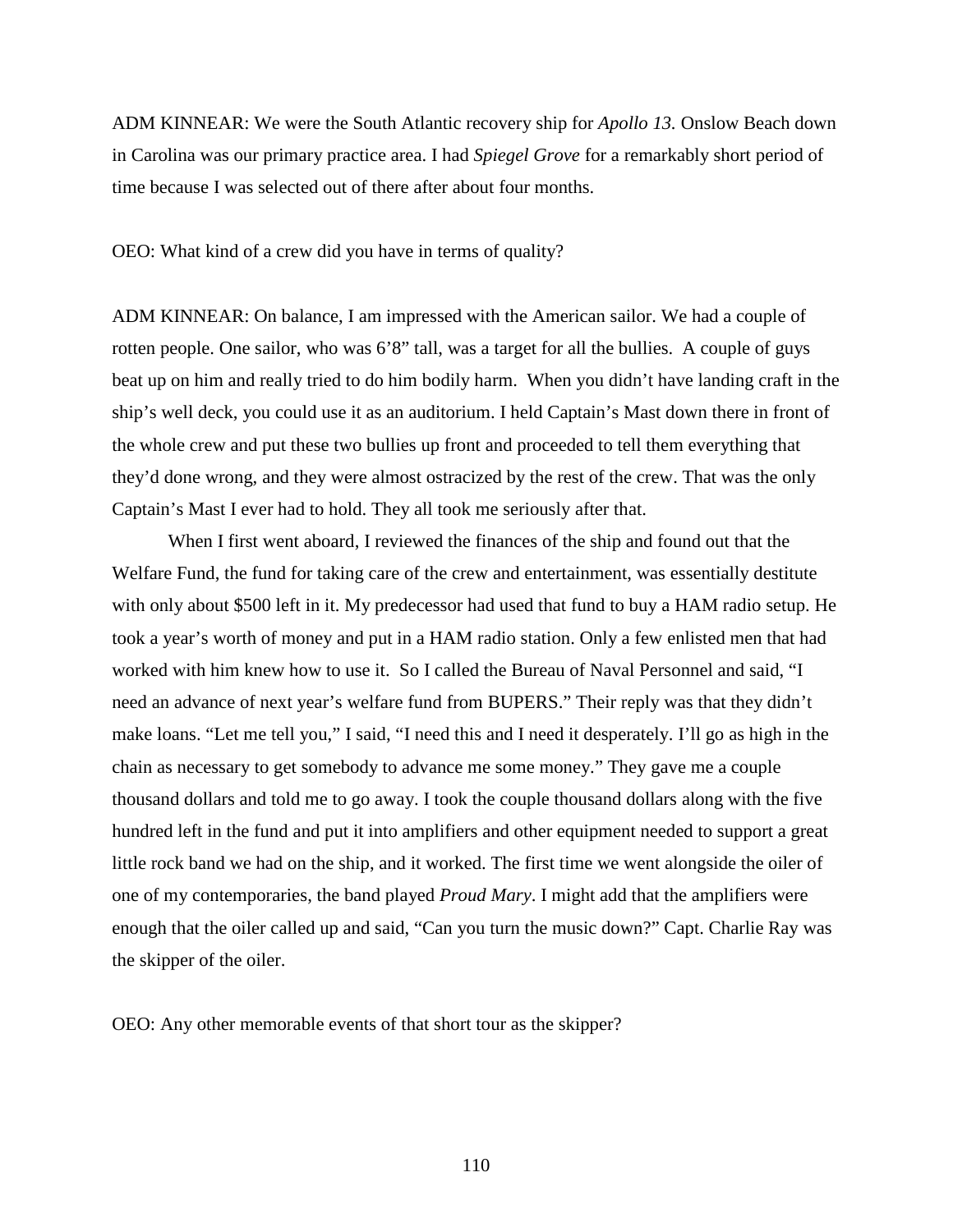ADM KINNEAR: We were the South Atlantic recovery ship for *Apollo 13.* Onslow Beach down in Carolina was our primary practice area. I had *Spiegel Grove* for a remarkably short period of time because I was selected out of there after about four months.

OEO: What kind of a crew did you have in terms of quality?

ADM KINNEAR: On balance, I am impressed with the American sailor. We had a couple of rotten people. One sailor, who was 6'8" tall, was a target for all the bullies. A couple of guys beat up on him and really tried to do him bodily harm. When you didn't have landing craft in the ship's well deck, you could use it as an auditorium. I held Captain's Mast down there in front of the whole crew and put these two bullies up front and proceeded to tell them everything that they'd done wrong, and they were almost ostracized by the rest of the crew. That was the only Captain's Mast I ever had to hold. They all took me seriously after that.

When I first went aboard, I reviewed the finances of the ship and found out that the Welfare Fund, the fund for taking care of the crew and entertainment, was essentially destitute with only about \$500 left in it. My predecessor had used that fund to buy a HAM radio setup. He took a year's worth of money and put in a HAM radio station. Only a few enlisted men that had worked with him knew how to use it. So I called the Bureau of Naval Personnel and said, "I need an advance of next year's welfare fund from BUPERS." Their reply was that they didn't make loans. "Let me tell you," I said, "I need this and I need it desperately. I'll go as high in the chain as necessary to get somebody to advance me some money." They gave me a couple thousand dollars and told me to go away. I took the couple thousand dollars along with the five hundred left in the fund and put it into amplifiers and other equipment needed to support a great little rock band we had on the ship, and it worked. The first time we went alongside the oiler of one of my contemporaries, the band played *Proud Mary*. I might add that the amplifiers were enough that the oiler called up and said, "Can you turn the music down?" Capt. Charlie Ray was the skipper of the oiler.

OEO: Any other memorable events of that short tour as the skipper?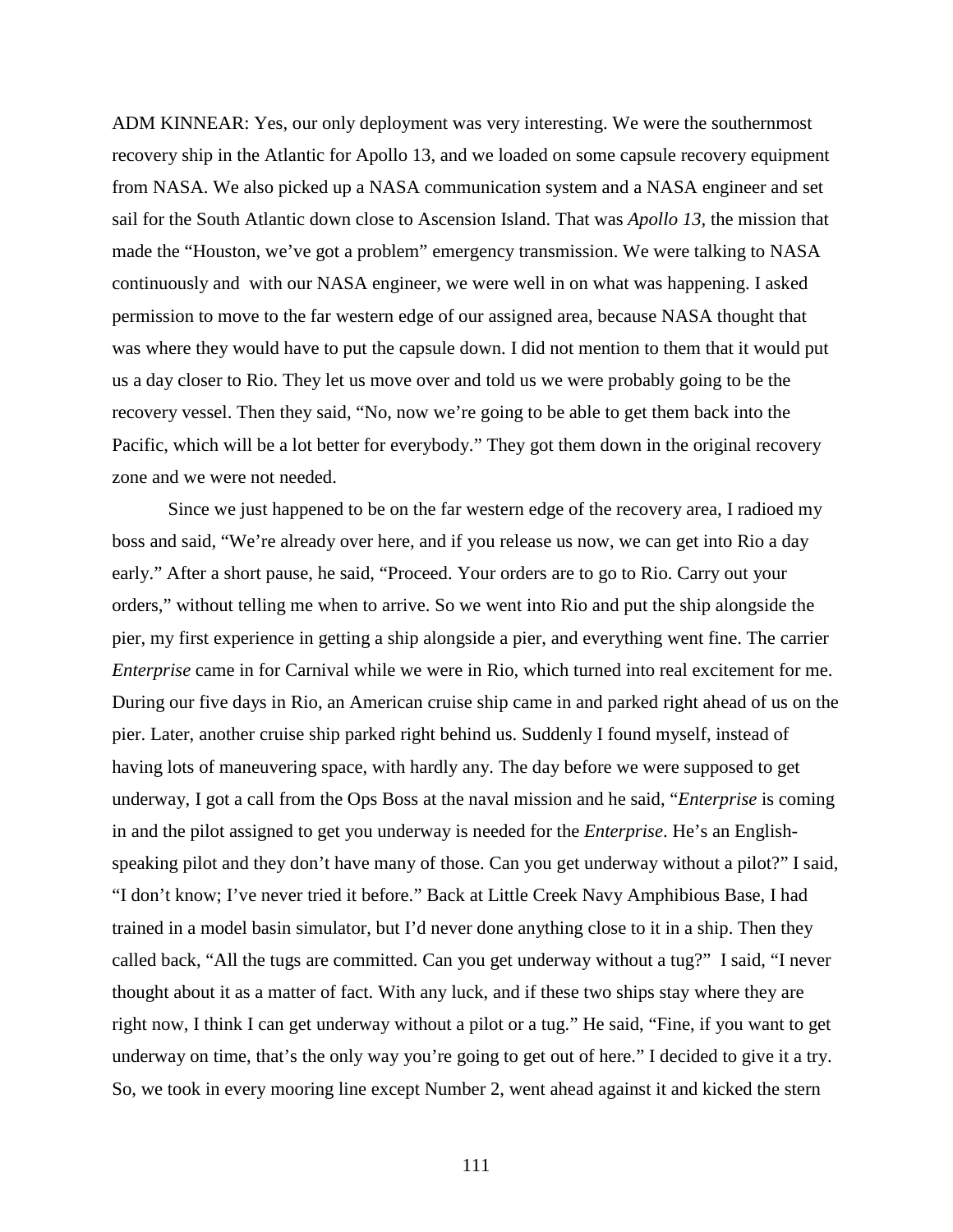ADM KINNEAR: Yes, our only deployment was very interesting. We were the southernmost recovery ship in the Atlantic for Apollo 13, and we loaded on some capsule recovery equipment from NASA. We also picked up a NASA communication system and a NASA engineer and set sail for the South Atlantic down close to Ascension Island. That was *Apollo 13,* the mission that made the "Houston, we've got a problem" emergency transmission. We were talking to NASA continuously and with our NASA engineer, we were well in on what was happening. I asked permission to move to the far western edge of our assigned area, because NASA thought that was where they would have to put the capsule down. I did not mention to them that it would put us a day closer to Rio. They let us move over and told us we were probably going to be the recovery vessel. Then they said, "No, now we're going to be able to get them back into the Pacific, which will be a lot better for everybody." They got them down in the original recovery zone and we were not needed.

Since we just happened to be on the far western edge of the recovery area, I radioed my boss and said, "We're already over here, and if you release us now, we can get into Rio a day early." After a short pause, he said, "Proceed. Your orders are to go to Rio. Carry out your orders," without telling me when to arrive. So we went into Rio and put the ship alongside the pier, my first experience in getting a ship alongside a pier, and everything went fine. The carrier *Enterprise* came in for Carnival while we were in Rio, which turned into real excitement for me. During our five days in Rio, an American cruise ship came in and parked right ahead of us on the pier. Later, another cruise ship parked right behind us. Suddenly I found myself, instead of having lots of maneuvering space, with hardly any. The day before we were supposed to get underway, I got a call from the Ops Boss at the naval mission and he said, "*Enterprise* is coming in and the pilot assigned to get you underway is needed for the *Enterprise*. He's an Englishspeaking pilot and they don't have many of those. Can you get underway without a pilot?" I said, "I don't know; I've never tried it before." Back at Little Creek Navy Amphibious Base, I had trained in a model basin simulator, but I'd never done anything close to it in a ship. Then they called back, "All the tugs are committed. Can you get underway without a tug?" I said, "I never thought about it as a matter of fact. With any luck, and if these two ships stay where they are right now, I think I can get underway without a pilot or a tug." He said, "Fine, if you want to get underway on time, that's the only way you're going to get out of here." I decided to give it a try. So, we took in every mooring line except Number 2, went ahead against it and kicked the stern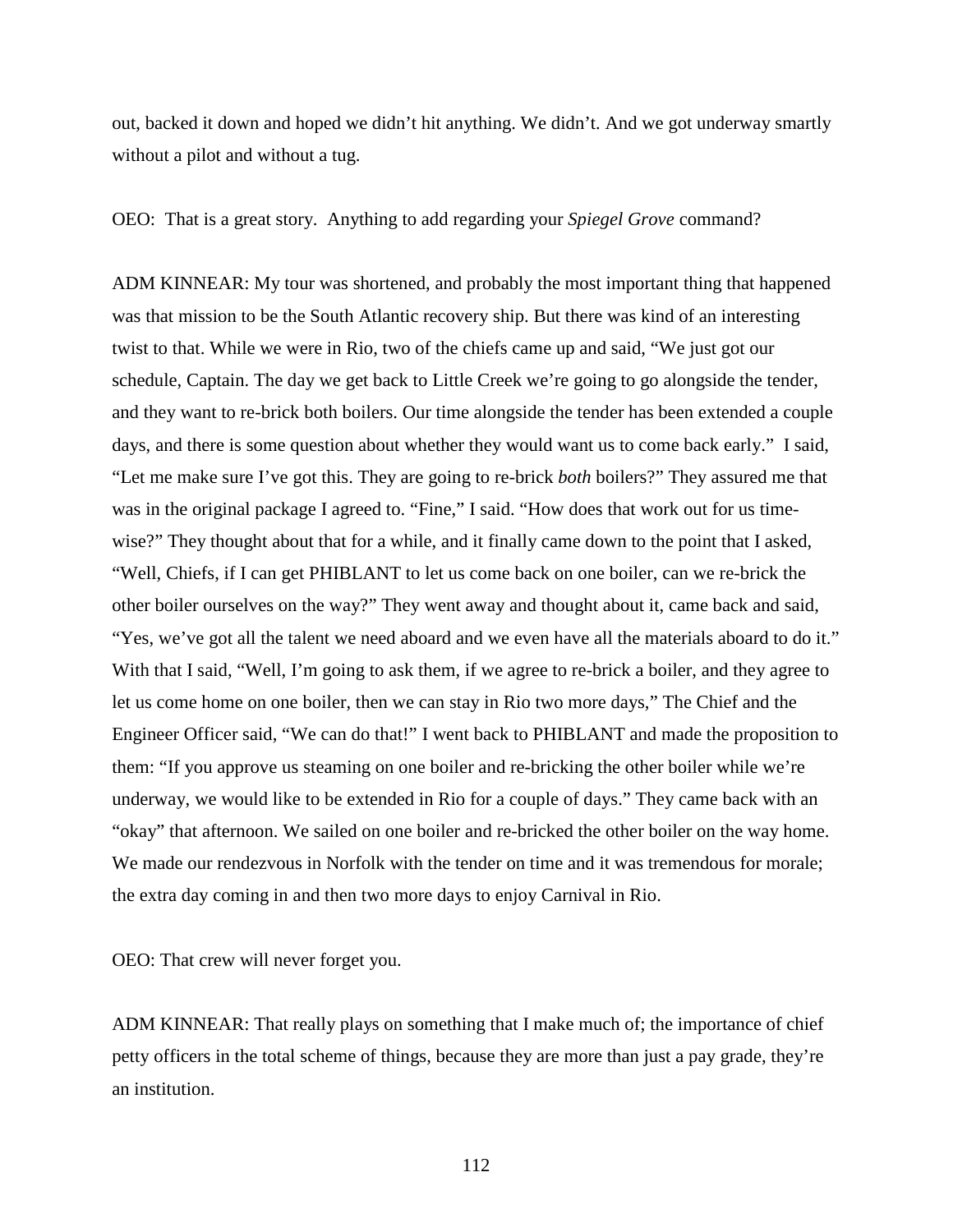out, backed it down and hoped we didn't hit anything. We didn't. And we got underway smartly without a pilot and without a tug.

OEO: That is a great story. Anything to add regarding your *Spiegel Grove* command?

ADM KINNEAR: My tour was shortened, and probably the most important thing that happened was that mission to be the South Atlantic recovery ship. But there was kind of an interesting twist to that. While we were in Rio, two of the chiefs came up and said, "We just got our schedule, Captain. The day we get back to Little Creek we're going to go alongside the tender, and they want to re-brick both boilers. Our time alongside the tender has been extended a couple days, and there is some question about whether they would want us to come back early." I said, "Let me make sure I've got this. They are going to re-brick *both* boilers?" They assured me that was in the original package I agreed to. "Fine," I said. "How does that work out for us timewise?" They thought about that for a while, and it finally came down to the point that I asked, "Well, Chiefs, if I can get PHIBLANT to let us come back on one boiler, can we re-brick the other boiler ourselves on the way?" They went away and thought about it, came back and said, "Yes, we've got all the talent we need aboard and we even have all the materials aboard to do it." With that I said, "Well, I'm going to ask them, if we agree to re-brick a boiler, and they agree to let us come home on one boiler, then we can stay in Rio two more days," The Chief and the Engineer Officer said, "We can do that!" I went back to PHIBLANT and made the proposition to them: "If you approve us steaming on one boiler and re-bricking the other boiler while we're underway, we would like to be extended in Rio for a couple of days." They came back with an "okay" that afternoon. We sailed on one boiler and re-bricked the other boiler on the way home. We made our rendezvous in Norfolk with the tender on time and it was tremendous for morale; the extra day coming in and then two more days to enjoy Carnival in Rio.

OEO: That crew will never forget you.

ADM KINNEAR: That really plays on something that I make much of; the importance of chief petty officers in the total scheme of things, because they are more than just a pay grade, they're an institution.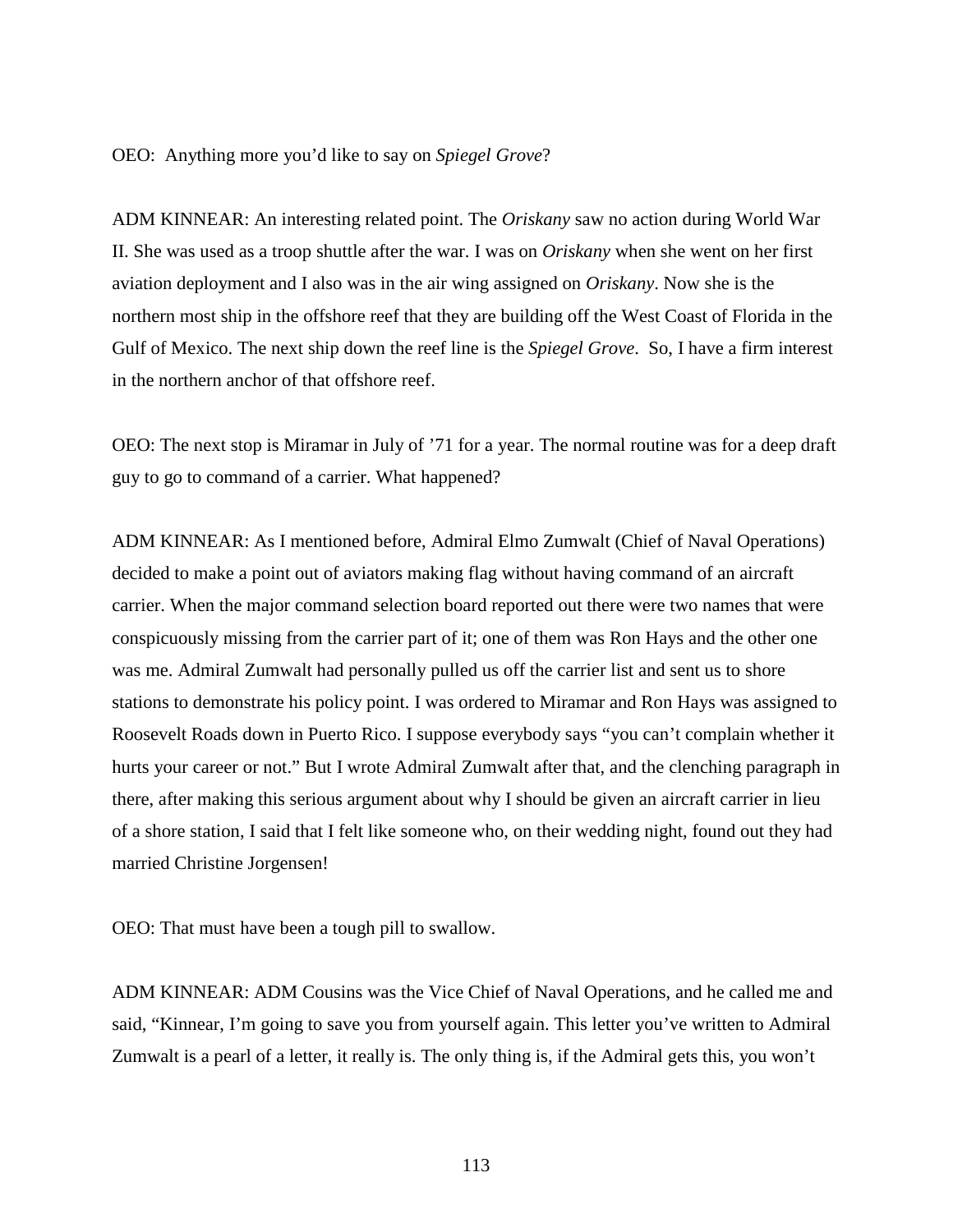## OEO: Anything more you'd like to say on *Spiegel Grove*?

ADM KINNEAR: An interesting related point. The *Oriskany* saw no action during World War II. She was used as a troop shuttle after the war. I was on *Oriskany* when she went on her first aviation deployment and I also was in the air wing assigned on *Oriskany*. Now she is the northern most ship in the offshore reef that they are building off the West Coast of Florida in the Gulf of Mexico. The next ship down the reef line is the *Spiegel Grove*. So, I have a firm interest in the northern anchor of that offshore reef.

OEO: The next stop is Miramar in July of '71 for a year. The normal routine was for a deep draft guy to go to command of a carrier. What happened?

ADM KINNEAR: As I mentioned before, Admiral Elmo Zumwalt (Chief of Naval Operations) decided to make a point out of aviators making flag without having command of an aircraft carrier. When the major command selection board reported out there were two names that were conspicuously missing from the carrier part of it; one of them was Ron Hays and the other one was me. Admiral Zumwalt had personally pulled us off the carrier list and sent us to shore stations to demonstrate his policy point. I was ordered to Miramar and Ron Hays was assigned to Roosevelt Roads down in Puerto Rico. I suppose everybody says "you can't complain whether it hurts your career or not." But I wrote Admiral Zumwalt after that, and the clenching paragraph in there, after making this serious argument about why I should be given an aircraft carrier in lieu of a shore station, I said that I felt like someone who, on their wedding night, found out they had married Christine Jorgensen!

OEO: That must have been a tough pill to swallow.

ADM KINNEAR: ADM Cousins was the Vice Chief of Naval Operations, and he called me and said, "Kinnear, I'm going to save you from yourself again. This letter you've written to Admiral Zumwalt is a pearl of a letter, it really is. The only thing is, if the Admiral gets this, you won't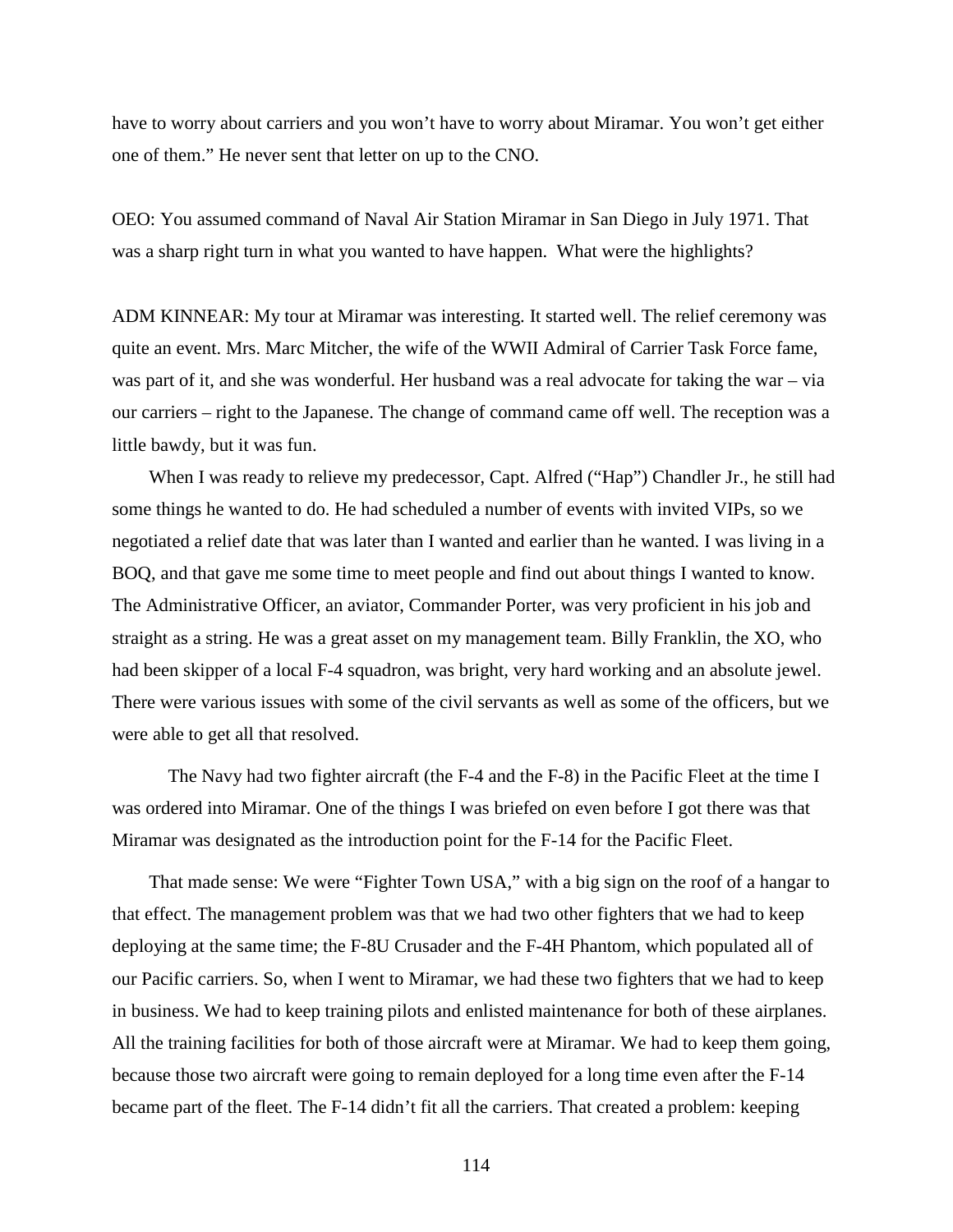have to worry about carriers and you won't have to worry about Miramar. You won't get either one of them." He never sent that letter on up to the CNO.

OEO: You assumed command of Naval Air Station Miramar in San Diego in July 1971. That was a sharp right turn in what you wanted to have happen. What were the highlights?

ADM KINNEAR: My tour at Miramar was interesting. It started well. The relief ceremony was quite an event. Mrs. Marc Mitcher, the wife of the WWII Admiral of Carrier Task Force fame, was part of it, and she was wonderful. Her husband was a real advocate for taking the war – via our carriers – right to the Japanese. The change of command came off well. The reception was a little bawdy, but it was fun.

When I was ready to relieve my predecessor, Capt. Alfred ("Hap") Chandler Jr., he still had some things he wanted to do. He had scheduled a number of events with invited VIPs, so we negotiated a relief date that was later than I wanted and earlier than he wanted. I was living in a BOQ, and that gave me some time to meet people and find out about things I wanted to know. The Administrative Officer, an aviator, Commander Porter, was very proficient in his job and straight as a string. He was a great asset on my management team. Billy Franklin, the XO, who had been skipper of a local F-4 squadron, was bright, very hard working and an absolute jewel. There were various issues with some of the civil servants as well as some of the officers, but we were able to get all that resolved.

The Navy had two fighter aircraft (the F-4 and the F-8) in the Pacific Fleet at the time I was ordered into Miramar. One of the things I was briefed on even before I got there was that Miramar was designated as the introduction point for the F-14 for the Pacific Fleet.

That made sense: We were "Fighter Town USA," with a big sign on the roof of a hangar to that effect. The management problem was that we had two other fighters that we had to keep deploying at the same time; the F-8U Crusader and the F-4H Phantom, which populated all of our Pacific carriers. So, when I went to Miramar, we had these two fighters that we had to keep in business. We had to keep training pilots and enlisted maintenance for both of these airplanes. All the training facilities for both of those aircraft were at Miramar. We had to keep them going, because those two aircraft were going to remain deployed for a long time even after the F-14 became part of the fleet. The F-14 didn't fit all the carriers. That created a problem: keeping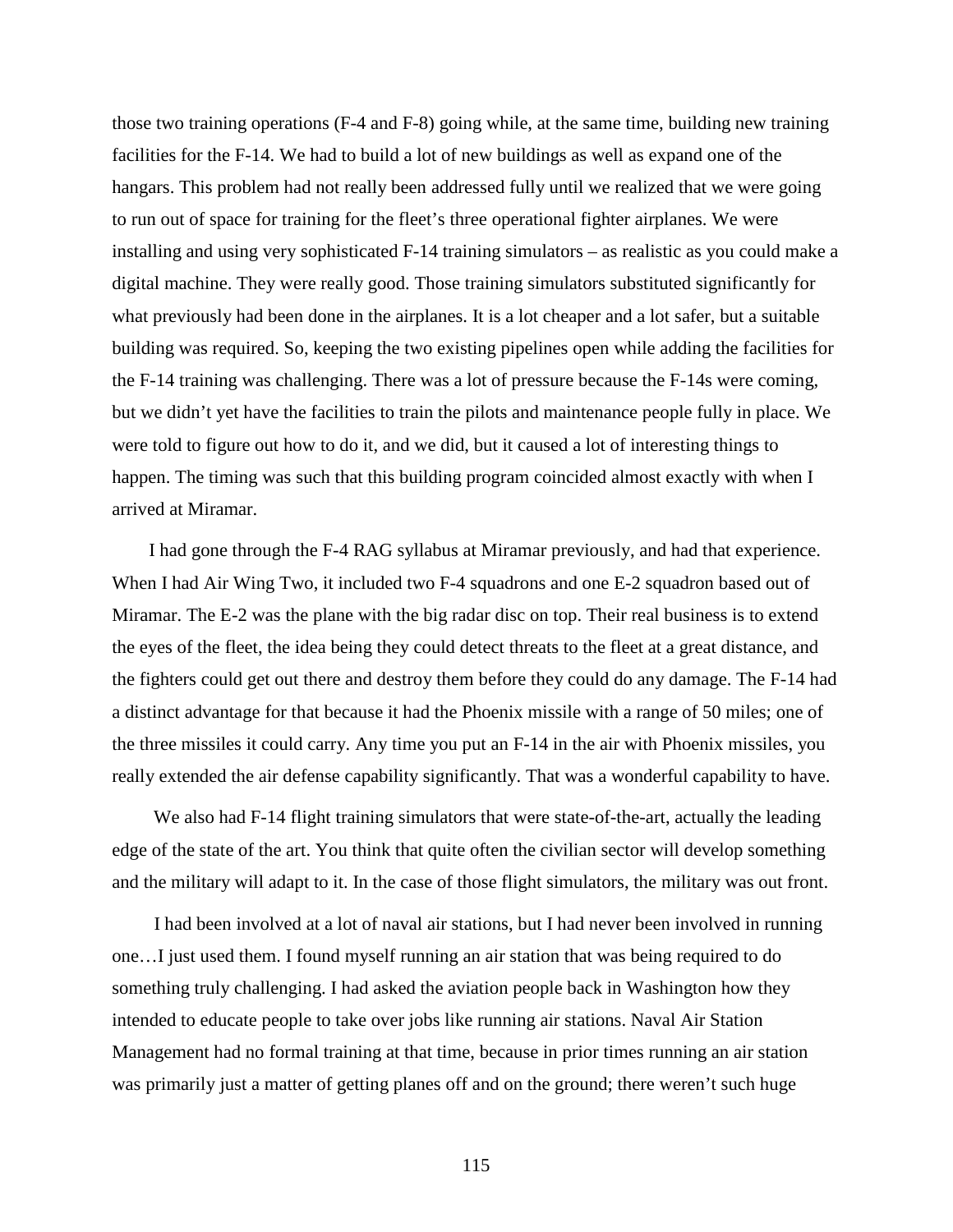those two training operations (F-4 and F-8) going while, at the same time, building new training facilities for the F-14. We had to build a lot of new buildings as well as expand one of the hangars. This problem had not really been addressed fully until we realized that we were going to run out of space for training for the fleet's three operational fighter airplanes. We were installing and using very sophisticated F-14 training simulators – as realistic as you could make a digital machine. They were really good. Those training simulators substituted significantly for what previously had been done in the airplanes. It is a lot cheaper and a lot safer, but a suitable building was required. So, keeping the two existing pipelines open while adding the facilities for the F-14 training was challenging. There was a lot of pressure because the F-14s were coming, but we didn't yet have the facilities to train the pilots and maintenance people fully in place. We were told to figure out how to do it, and we did, but it caused a lot of interesting things to happen. The timing was such that this building program coincided almost exactly with when I arrived at Miramar.

I had gone through the F-4 RAG syllabus at Miramar previously, and had that experience. When I had Air Wing Two, it included two F-4 squadrons and one E-2 squadron based out of Miramar. The E-2 was the plane with the big radar disc on top. Their real business is to extend the eyes of the fleet, the idea being they could detect threats to the fleet at a great distance, and the fighters could get out there and destroy them before they could do any damage. The F-14 had a distinct advantage for that because it had the Phoenix missile with a range of 50 miles; one of the three missiles it could carry. Any time you put an F-14 in the air with Phoenix missiles, you really extended the air defense capability significantly. That was a wonderful capability to have.

We also had F-14 flight training simulators that were state-of-the-art, actually the leading edge of the state of the art. You think that quite often the civilian sector will develop something and the military will adapt to it. In the case of those flight simulators, the military was out front.

I had been involved at a lot of naval air stations, but I had never been involved in running one…I just used them. I found myself running an air station that was being required to do something truly challenging. I had asked the aviation people back in Washington how they intended to educate people to take over jobs like running air stations. Naval Air Station Management had no formal training at that time, because in prior times running an air station was primarily just a matter of getting planes off and on the ground; there weren't such huge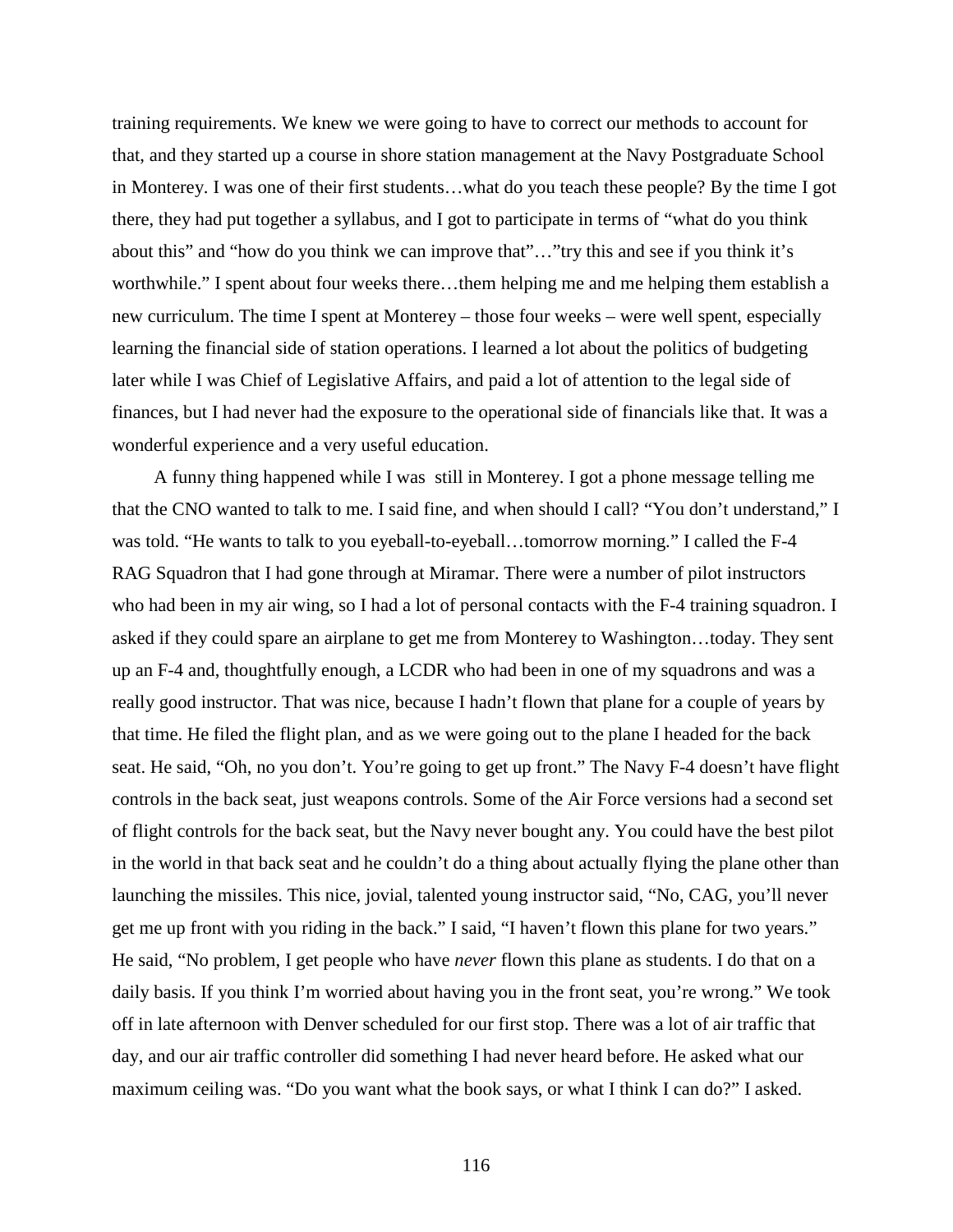training requirements. We knew we were going to have to correct our methods to account for that, and they started up a course in shore station management at the Navy Postgraduate School in Monterey. I was one of their first students…what do you teach these people? By the time I got there, they had put together a syllabus, and I got to participate in terms of "what do you think about this" and "how do you think we can improve that"…"try this and see if you think it's worthwhile." I spent about four weeks there…them helping me and me helping them establish a new curriculum. The time I spent at Monterey – those four weeks – were well spent, especially learning the financial side of station operations. I learned a lot about the politics of budgeting later while I was Chief of Legislative Affairs, and paid a lot of attention to the legal side of finances, but I had never had the exposure to the operational side of financials like that. It was a wonderful experience and a very useful education.

A funny thing happened while I was still in Monterey. I got a phone message telling me that the CNO wanted to talk to me. I said fine, and when should I call? "You don't understand," I was told. "He wants to talk to you eyeball-to-eyeball…tomorrow morning." I called the F-4 RAG Squadron that I had gone through at Miramar. There were a number of pilot instructors who had been in my air wing, so I had a lot of personal contacts with the F-4 training squadron. I asked if they could spare an airplane to get me from Monterey to Washington…today. They sent up an F-4 and, thoughtfully enough, a LCDR who had been in one of my squadrons and was a really good instructor. That was nice, because I hadn't flown that plane for a couple of years by that time. He filed the flight plan, and as we were going out to the plane I headed for the back seat. He said, "Oh, no you don't. You're going to get up front." The Navy F-4 doesn't have flight controls in the back seat, just weapons controls. Some of the Air Force versions had a second set of flight controls for the back seat, but the Navy never bought any. You could have the best pilot in the world in that back seat and he couldn't do a thing about actually flying the plane other than launching the missiles. This nice, jovial, talented young instructor said, "No, CAG, you'll never get me up front with you riding in the back." I said, "I haven't flown this plane for two years." He said, "No problem, I get people who have *never* flown this plane as students. I do that on a daily basis. If you think I'm worried about having you in the front seat, you're wrong." We took off in late afternoon with Denver scheduled for our first stop. There was a lot of air traffic that day, and our air traffic controller did something I had never heard before. He asked what our maximum ceiling was. "Do you want what the book says, or what I think I can do?" I asked.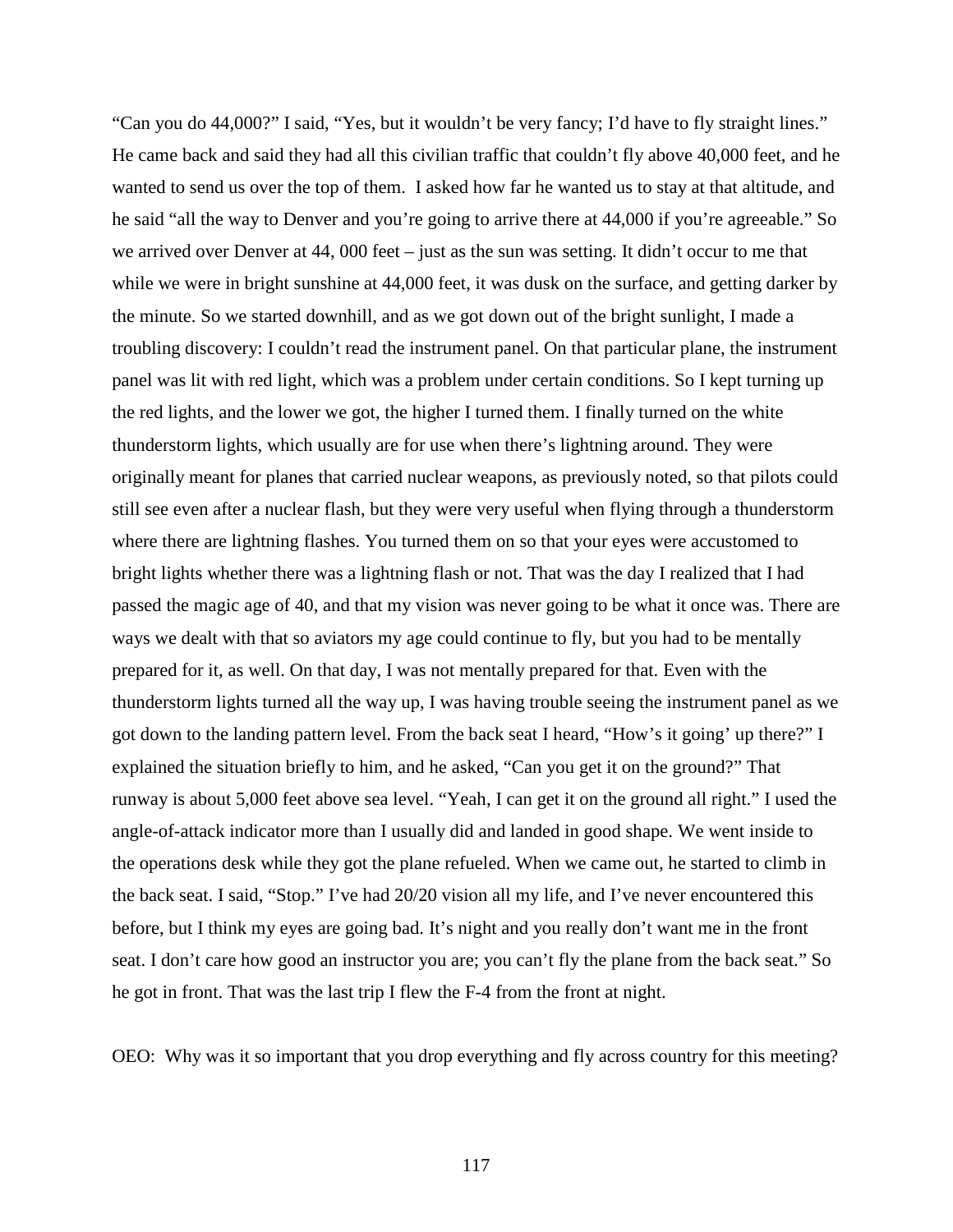"Can you do 44,000?" I said, "Yes, but it wouldn't be very fancy; I'd have to fly straight lines." He came back and said they had all this civilian traffic that couldn't fly above 40,000 feet, and he wanted to send us over the top of them. I asked how far he wanted us to stay at that altitude, and he said "all the way to Denver and you're going to arrive there at 44,000 if you're agreeable." So we arrived over Denver at 44, 000 feet – just as the sun was setting. It didn't occur to me that while we were in bright sunshine at 44,000 feet, it was dusk on the surface, and getting darker by the minute. So we started downhill, and as we got down out of the bright sunlight, I made a troubling discovery: I couldn't read the instrument panel. On that particular plane, the instrument panel was lit with red light, which was a problem under certain conditions. So I kept turning up the red lights, and the lower we got, the higher I turned them. I finally turned on the white thunderstorm lights, which usually are for use when there's lightning around. They were originally meant for planes that carried nuclear weapons, as previously noted, so that pilots could still see even after a nuclear flash, but they were very useful when flying through a thunderstorm where there are lightning flashes. You turned them on so that your eyes were accustomed to bright lights whether there was a lightning flash or not. That was the day I realized that I had passed the magic age of 40, and that my vision was never going to be what it once was. There are ways we dealt with that so aviators my age could continue to fly, but you had to be mentally prepared for it, as well. On that day, I was not mentally prepared for that. Even with the thunderstorm lights turned all the way up, I was having trouble seeing the instrument panel as we got down to the landing pattern level. From the back seat I heard, "How's it going' up there?" I explained the situation briefly to him, and he asked, "Can you get it on the ground?" That runway is about 5,000 feet above sea level. "Yeah, I can get it on the ground all right." I used the angle-of-attack indicator more than I usually did and landed in good shape. We went inside to the operations desk while they got the plane refueled. When we came out, he started to climb in the back seat. I said, "Stop." I've had 20/20 vision all my life, and I've never encountered this before, but I think my eyes are going bad. It's night and you really don't want me in the front seat. I don't care how good an instructor you are; you can't fly the plane from the back seat." So he got in front. That was the last trip I flew the F-4 from the front at night.

OEO: Why was it so important that you drop everything and fly across country for this meeting?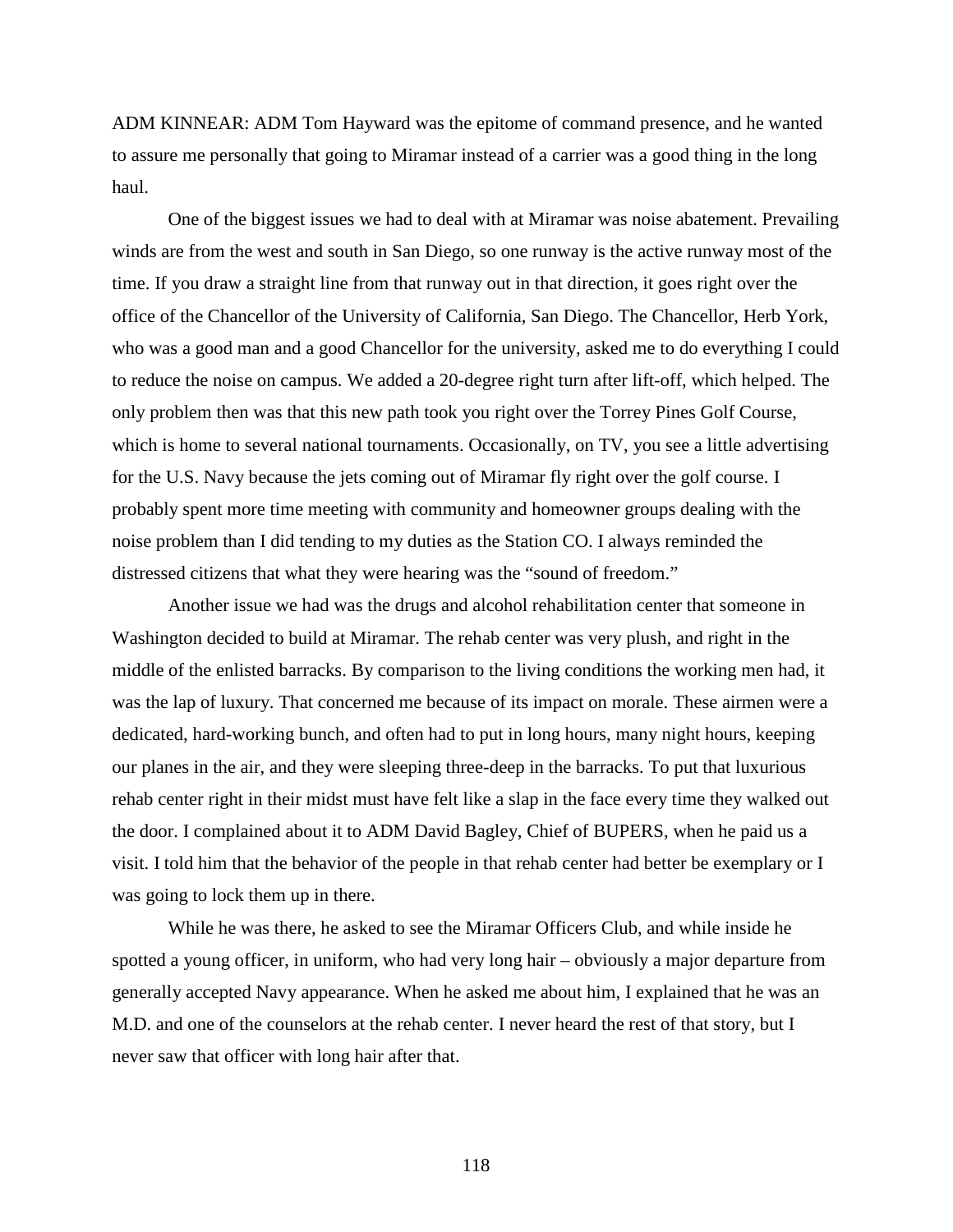ADM KINNEAR: ADM Tom Hayward was the epitome of command presence, and he wanted to assure me personally that going to Miramar instead of a carrier was a good thing in the long haul.

One of the biggest issues we had to deal with at Miramar was noise abatement. Prevailing winds are from the west and south in San Diego, so one runway is the active runway most of the time. If you draw a straight line from that runway out in that direction, it goes right over the office of the Chancellor of the University of California, San Diego. The Chancellor, Herb York, who was a good man and a good Chancellor for the university, asked me to do everything I could to reduce the noise on campus. We added a 20-degree right turn after lift-off, which helped. The only problem then was that this new path took you right over the Torrey Pines Golf Course, which is home to several national tournaments. Occasionally, on TV, you see a little advertising for the U.S. Navy because the jets coming out of Miramar fly right over the golf course. I probably spent more time meeting with community and homeowner groups dealing with the noise problem than I did tending to my duties as the Station CO. I always reminded the distressed citizens that what they were hearing was the "sound of freedom."

Another issue we had was the drugs and alcohol rehabilitation center that someone in Washington decided to build at Miramar. The rehab center was very plush, and right in the middle of the enlisted barracks. By comparison to the living conditions the working men had, it was the lap of luxury. That concerned me because of its impact on morale. These airmen were a dedicated, hard-working bunch, and often had to put in long hours, many night hours, keeping our planes in the air, and they were sleeping three-deep in the barracks. To put that luxurious rehab center right in their midst must have felt like a slap in the face every time they walked out the door. I complained about it to ADM David Bagley, Chief of BUPERS, when he paid us a visit. I told him that the behavior of the people in that rehab center had better be exemplary or I was going to lock them up in there.

While he was there, he asked to see the Miramar Officers Club, and while inside he spotted a young officer, in uniform, who had very long hair – obviously a major departure from generally accepted Navy appearance. When he asked me about him, I explained that he was an M.D. and one of the counselors at the rehab center. I never heard the rest of that story, but I never saw that officer with long hair after that.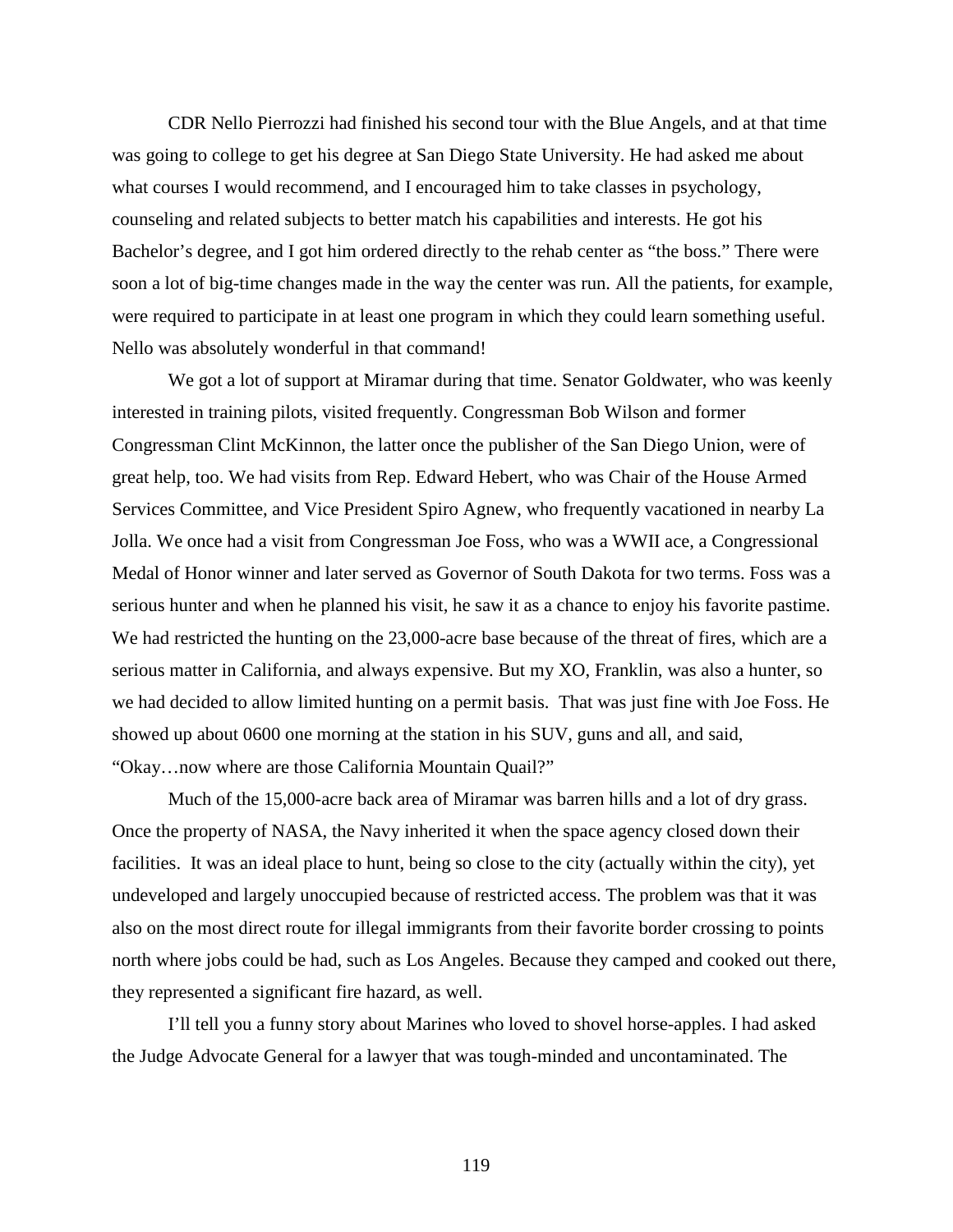CDR Nello Pierrozzi had finished his second tour with the Blue Angels, and at that time was going to college to get his degree at San Diego State University. He had asked me about what courses I would recommend, and I encouraged him to take classes in psychology, counseling and related subjects to better match his capabilities and interests. He got his Bachelor's degree, and I got him ordered directly to the rehab center as "the boss." There were soon a lot of big-time changes made in the way the center was run. All the patients, for example, were required to participate in at least one program in which they could learn something useful. Nello was absolutely wonderful in that command!

We got a lot of support at Miramar during that time. Senator Goldwater, who was keenly interested in training pilots, visited frequently. Congressman Bob Wilson and former Congressman Clint McKinnon, the latter once the publisher of the San Diego Union, were of great help, too. We had visits from Rep. Edward Hebert, who was Chair of the House Armed Services Committee, and Vice President Spiro Agnew, who frequently vacationed in nearby La Jolla. We once had a visit from Congressman Joe Foss, who was a WWII ace, a Congressional Medal of Honor winner and later served as Governor of South Dakota for two terms. Foss was a serious hunter and when he planned his visit, he saw it as a chance to enjoy his favorite pastime. We had restricted the hunting on the 23,000-acre base because of the threat of fires, which are a serious matter in California, and always expensive. But my XO, Franklin, was also a hunter, so we had decided to allow limited hunting on a permit basis. That was just fine with Joe Foss. He showed up about 0600 one morning at the station in his SUV, guns and all, and said, "Okay…now where are those California Mountain Quail?"

Much of the 15,000-acre back area of Miramar was barren hills and a lot of dry grass. Once the property of NASA, the Navy inherited it when the space agency closed down their facilities. It was an ideal place to hunt, being so close to the city (actually within the city), yet undeveloped and largely unoccupied because of restricted access. The problem was that it was also on the most direct route for illegal immigrants from their favorite border crossing to points north where jobs could be had, such as Los Angeles. Because they camped and cooked out there, they represented a significant fire hazard, as well.

I'll tell you a funny story about Marines who loved to shovel horse-apples. I had asked the Judge Advocate General for a lawyer that was tough-minded and uncontaminated. The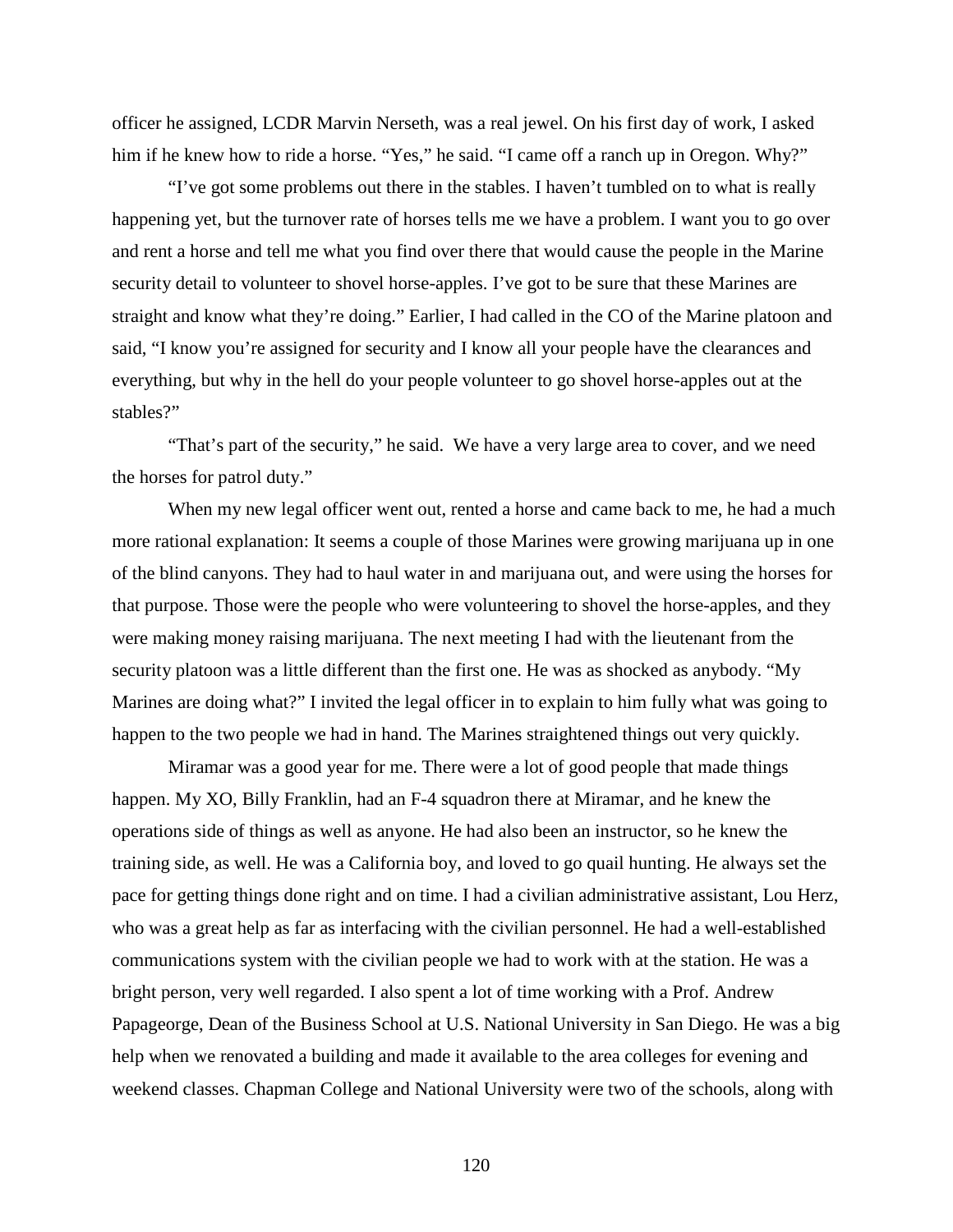officer he assigned, LCDR Marvin Nerseth, was a real jewel. On his first day of work, I asked him if he knew how to ride a horse. "Yes," he said. "I came off a ranch up in Oregon. Why?"

"I've got some problems out there in the stables. I haven't tumbled on to what is really happening yet, but the turnover rate of horses tells me we have a problem. I want you to go over and rent a horse and tell me what you find over there that would cause the people in the Marine security detail to volunteer to shovel horse-apples. I've got to be sure that these Marines are straight and know what they're doing." Earlier, I had called in the CO of the Marine platoon and said, "I know you're assigned for security and I know all your people have the clearances and everything, but why in the hell do your people volunteer to go shovel horse-apples out at the stables?"

"That's part of the security," he said. We have a very large area to cover, and we need the horses for patrol duty."

When my new legal officer went out, rented a horse and came back to me, he had a much more rational explanation: It seems a couple of those Marines were growing marijuana up in one of the blind canyons. They had to haul water in and marijuana out, and were using the horses for that purpose. Those were the people who were volunteering to shovel the horse-apples, and they were making money raising marijuana. The next meeting I had with the lieutenant from the security platoon was a little different than the first one. He was as shocked as anybody. "My Marines are doing what?" I invited the legal officer in to explain to him fully what was going to happen to the two people we had in hand. The Marines straightened things out very quickly.

Miramar was a good year for me. There were a lot of good people that made things happen. My XO, Billy Franklin, had an F-4 squadron there at Miramar, and he knew the operations side of things as well as anyone. He had also been an instructor, so he knew the training side, as well. He was a California boy, and loved to go quail hunting. He always set the pace for getting things done right and on time. I had a civilian administrative assistant, Lou Herz, who was a great help as far as interfacing with the civilian personnel. He had a well-established communications system with the civilian people we had to work with at the station. He was a bright person, very well regarded. I also spent a lot of time working with a Prof. Andrew Papageorge, Dean of the Business School at U.S. National University in San Diego. He was a big help when we renovated a building and made it available to the area colleges for evening and weekend classes. Chapman College and National University were two of the schools, along with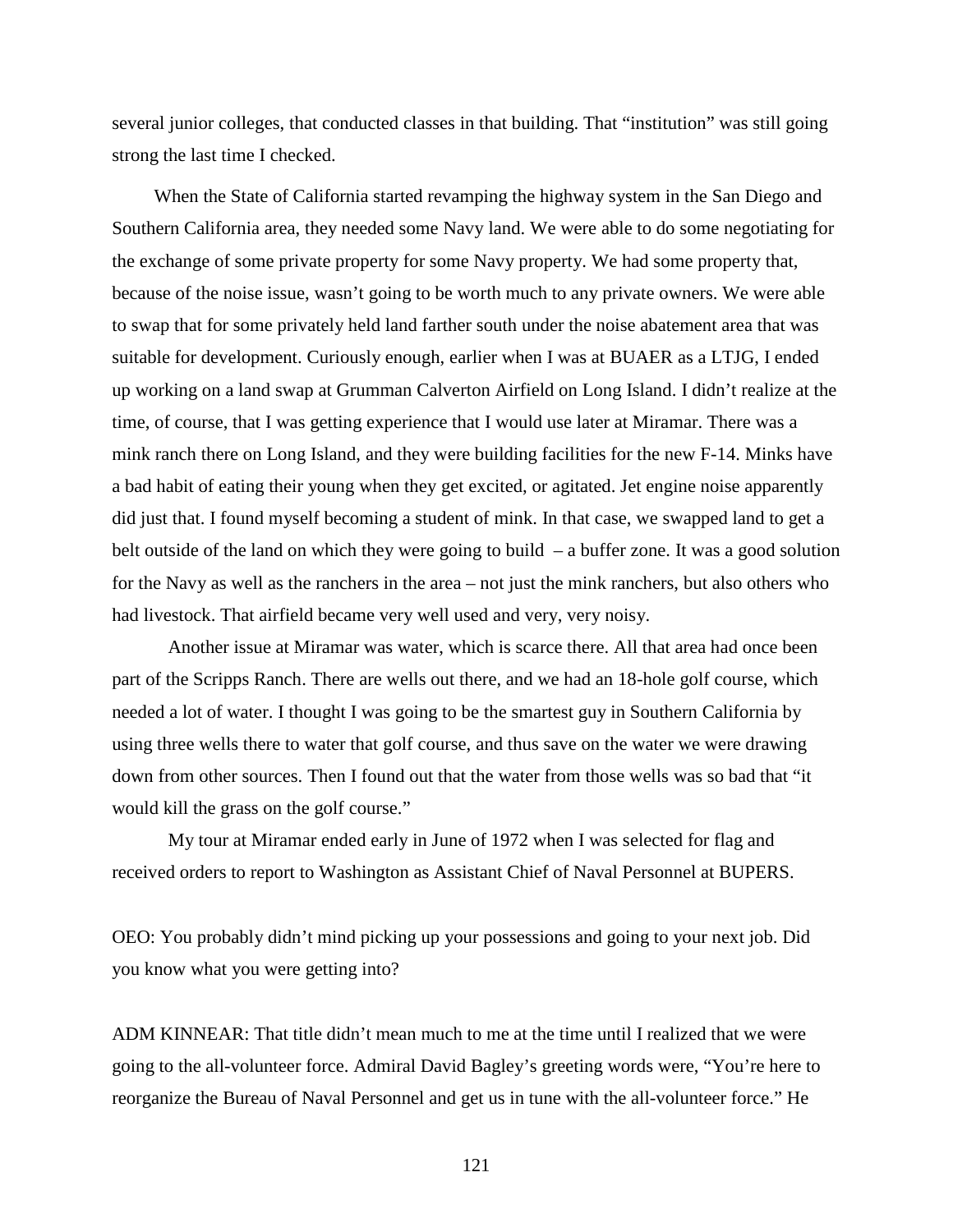several junior colleges, that conducted classes in that building. That "institution" was still going strong the last time I checked.

When the State of California started revamping the highway system in the San Diego and Southern California area, they needed some Navy land. We were able to do some negotiating for the exchange of some private property for some Navy property. We had some property that, because of the noise issue, wasn't going to be worth much to any private owners. We were able to swap that for some privately held land farther south under the noise abatement area that was suitable for development. Curiously enough, earlier when I was at BUAER as a LTJG, I ended up working on a land swap at Grumman Calverton Airfield on Long Island. I didn't realize at the time, of course, that I was getting experience that I would use later at Miramar. There was a mink ranch there on Long Island, and they were building facilities for the new F-14. Minks have a bad habit of eating their young when they get excited, or agitated. Jet engine noise apparently did just that. I found myself becoming a student of mink. In that case, we swapped land to get a belt outside of the land on which they were going to build  $-$  a buffer zone. It was a good solution for the Navy as well as the ranchers in the area – not just the mink ranchers, but also others who had livestock. That airfield became very well used and very, very noisy.

Another issue at Miramar was water, which is scarce there. All that area had once been part of the Scripps Ranch. There are wells out there, and we had an 18-hole golf course, which needed a lot of water. I thought I was going to be the smartest guy in Southern California by using three wells there to water that golf course, and thus save on the water we were drawing down from other sources. Then I found out that the water from those wells was so bad that "it would kill the grass on the golf course."

My tour at Miramar ended early in June of 1972 when I was selected for flag and received orders to report to Washington as Assistant Chief of Naval Personnel at BUPERS.

OEO: You probably didn't mind picking up your possessions and going to your next job. Did you know what you were getting into?

ADM KINNEAR: That title didn't mean much to me at the time until I realized that we were going to the all-volunteer force. Admiral David Bagley's greeting words were, "You're here to reorganize the Bureau of Naval Personnel and get us in tune with the all-volunteer force." He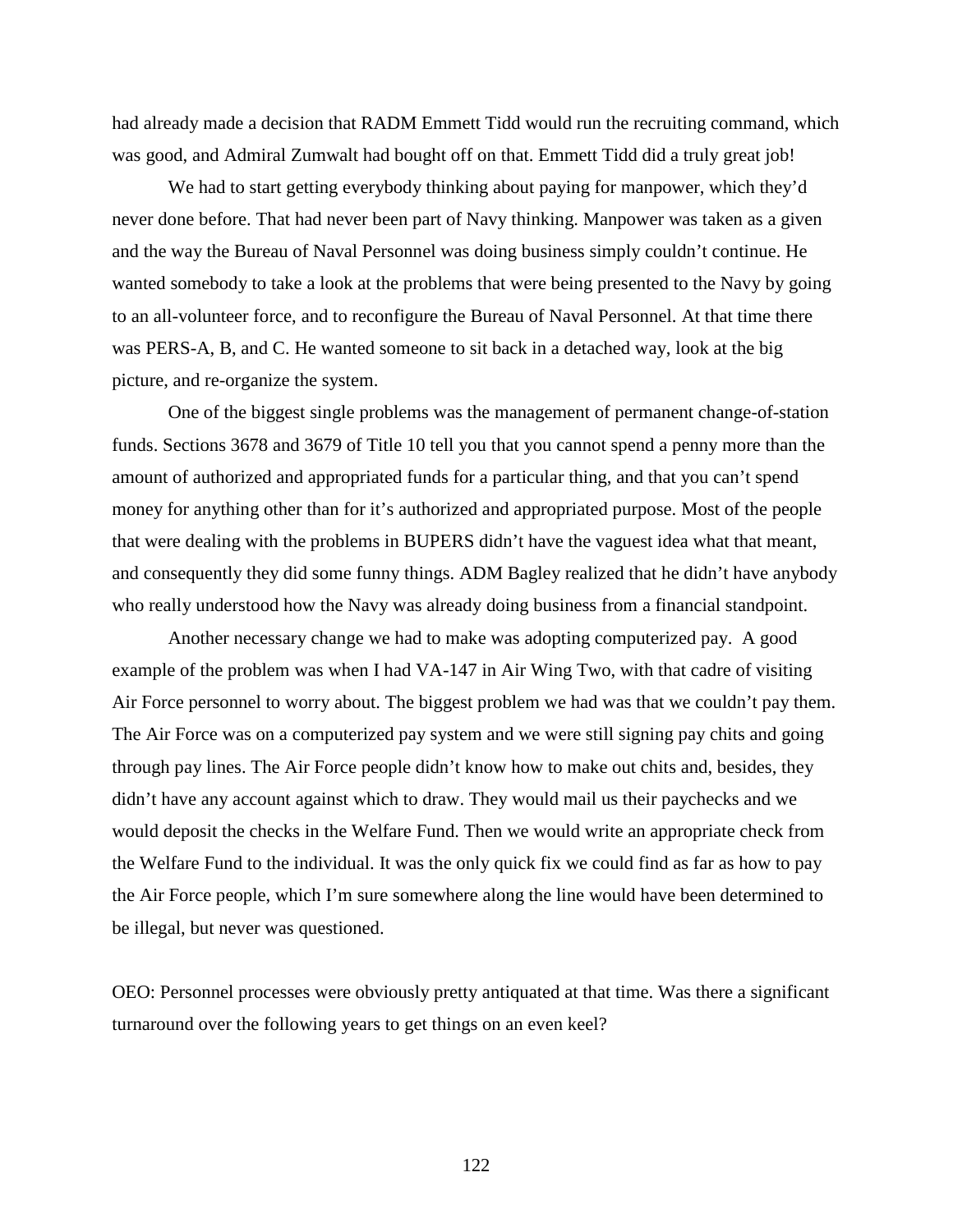had already made a decision that RADM Emmett Tidd would run the recruiting command, which was good, and Admiral Zumwalt had bought off on that. Emmett Tidd did a truly great job!

We had to start getting everybody thinking about paying for manpower, which they'd never done before. That had never been part of Navy thinking. Manpower was taken as a given and the way the Bureau of Naval Personnel was doing business simply couldn't continue. He wanted somebody to take a look at the problems that were being presented to the Navy by going to an all-volunteer force, and to reconfigure the Bureau of Naval Personnel. At that time there was PERS-A, B, and C. He wanted someone to sit back in a detached way, look at the big picture, and re-organize the system.

One of the biggest single problems was the management of permanent change-of-station funds. Sections 3678 and 3679 of Title 10 tell you that you cannot spend a penny more than the amount of authorized and appropriated funds for a particular thing, and that you can't spend money for anything other than for it's authorized and appropriated purpose. Most of the people that were dealing with the problems in BUPERS didn't have the vaguest idea what that meant, and consequently they did some funny things. ADM Bagley realized that he didn't have anybody who really understood how the Navy was already doing business from a financial standpoint.

Another necessary change we had to make was adopting computerized pay. A good example of the problem was when I had VA-147 in Air Wing Two, with that cadre of visiting Air Force personnel to worry about. The biggest problem we had was that we couldn't pay them. The Air Force was on a computerized pay system and we were still signing pay chits and going through pay lines. The Air Force people didn't know how to make out chits and, besides, they didn't have any account against which to draw. They would mail us their paychecks and we would deposit the checks in the Welfare Fund. Then we would write an appropriate check from the Welfare Fund to the individual. It was the only quick fix we could find as far as how to pay the Air Force people, which I'm sure somewhere along the line would have been determined to be illegal, but never was questioned.

OEO: Personnel processes were obviously pretty antiquated at that time. Was there a significant turnaround over the following years to get things on an even keel?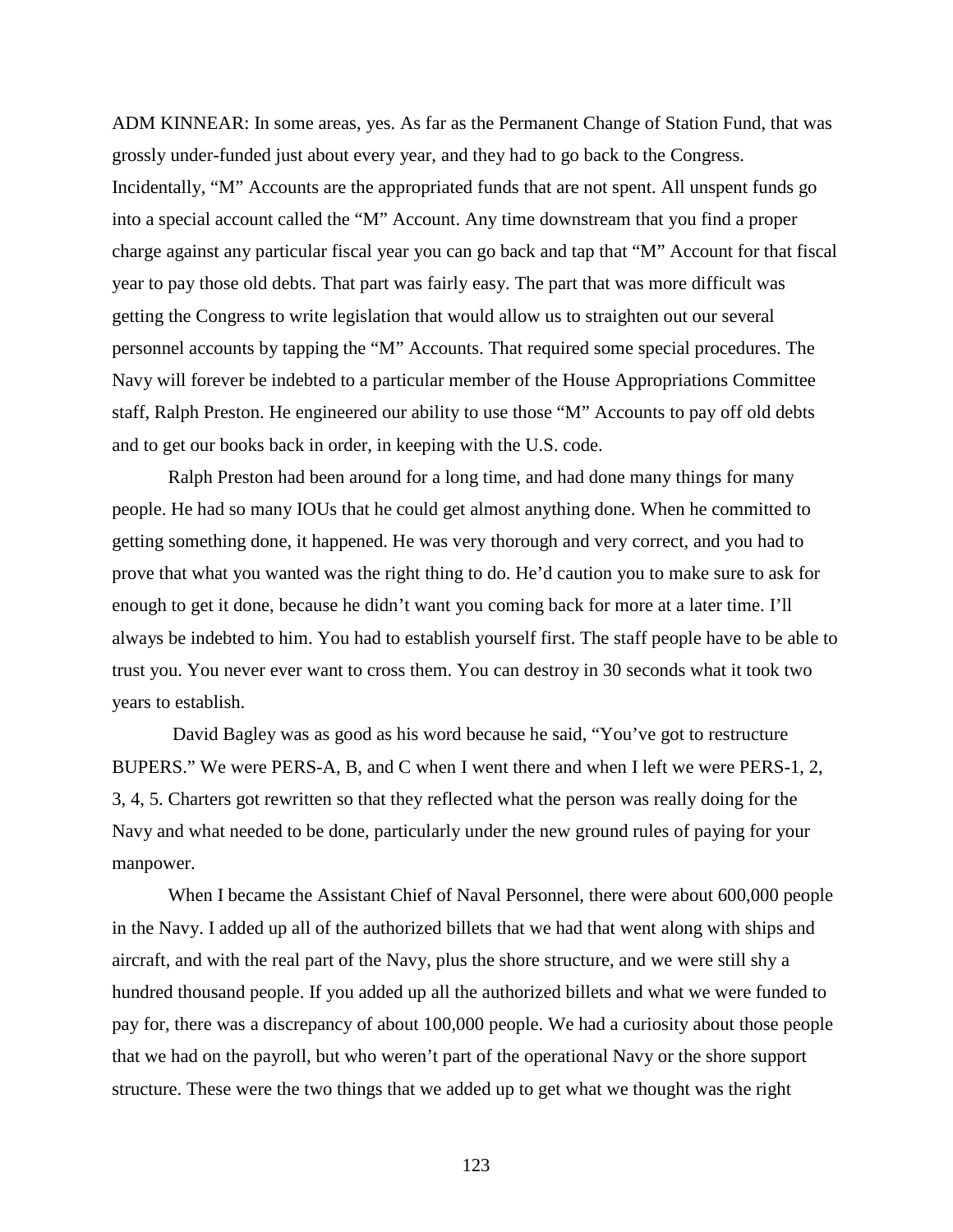ADM KINNEAR: In some areas, yes. As far as the Permanent Change of Station Fund, that was grossly under-funded just about every year, and they had to go back to the Congress. Incidentally, "M" Accounts are the appropriated funds that are not spent. All unspent funds go into a special account called the "M" Account. Any time downstream that you find a proper charge against any particular fiscal year you can go back and tap that "M" Account for that fiscal year to pay those old debts. That part was fairly easy. The part that was more difficult was getting the Congress to write legislation that would allow us to straighten out our several personnel accounts by tapping the "M" Accounts. That required some special procedures. The Navy will forever be indebted to a particular member of the House Appropriations Committee staff, Ralph Preston. He engineered our ability to use those "M" Accounts to pay off old debts and to get our books back in order, in keeping with the U.S. code.

Ralph Preston had been around for a long time, and had done many things for many people. He had so many IOUs that he could get almost anything done. When he committed to getting something done, it happened. He was very thorough and very correct, and you had to prove that what you wanted was the right thing to do. He'd caution you to make sure to ask for enough to get it done, because he didn't want you coming back for more at a later time. I'll always be indebted to him. You had to establish yourself first. The staff people have to be able to trust you. You never ever want to cross them. You can destroy in 30 seconds what it took two years to establish.

David Bagley was as good as his word because he said, "You've got to restructure BUPERS." We were PERS-A, B, and C when I went there and when I left we were PERS-1, 2, 3, 4, 5. Charters got rewritten so that they reflected what the person was really doing for the Navy and what needed to be done, particularly under the new ground rules of paying for your manpower.

When I became the Assistant Chief of Naval Personnel, there were about 600,000 people in the Navy. I added up all of the authorized billets that we had that went along with ships and aircraft, and with the real part of the Navy, plus the shore structure, and we were still shy a hundred thousand people. If you added up all the authorized billets and what we were funded to pay for, there was a discrepancy of about 100,000 people. We had a curiosity about those people that we had on the payroll, but who weren't part of the operational Navy or the shore support structure. These were the two things that we added up to get what we thought was the right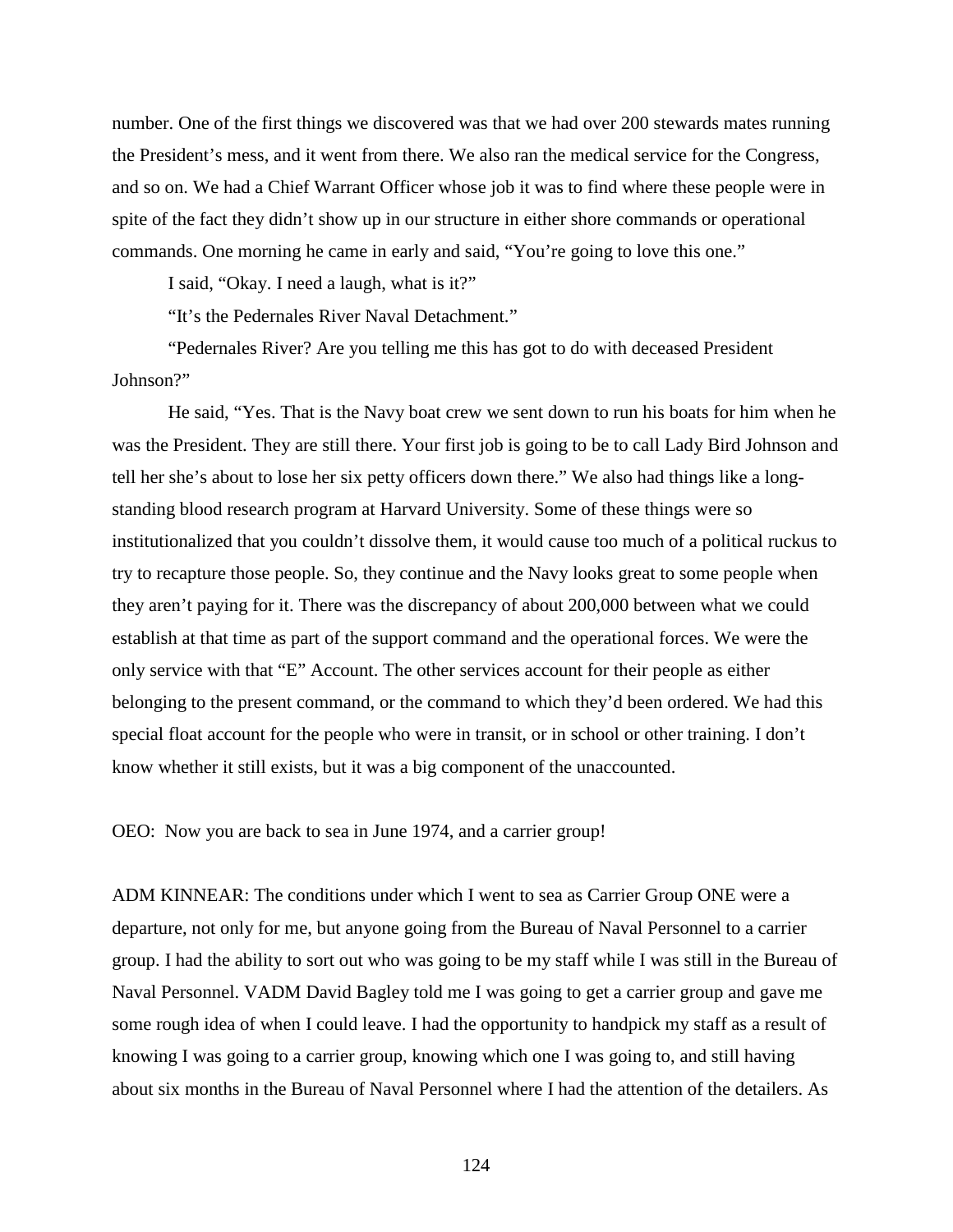number. One of the first things we discovered was that we had over 200 stewards mates running the President's mess, and it went from there. We also ran the medical service for the Congress, and so on. We had a Chief Warrant Officer whose job it was to find where these people were in spite of the fact they didn't show up in our structure in either shore commands or operational commands. One morning he came in early and said, "You're going to love this one."

I said, "Okay. I need a laugh, what is it?"

"It's the Pedernales River Naval Detachment."

"Pedernales River? Are you telling me this has got to do with deceased President Johnson?"

He said, "Yes. That is the Navy boat crew we sent down to run his boats for him when he was the President. They are still there. Your first job is going to be to call Lady Bird Johnson and tell her she's about to lose her six petty officers down there." We also had things like a longstanding blood research program at Harvard University. Some of these things were so institutionalized that you couldn't dissolve them, it would cause too much of a political ruckus to try to recapture those people. So, they continue and the Navy looks great to some people when they aren't paying for it. There was the discrepancy of about 200,000 between what we could establish at that time as part of the support command and the operational forces. We were the only service with that "E" Account. The other services account for their people as either belonging to the present command, or the command to which they'd been ordered. We had this special float account for the people who were in transit, or in school or other training. I don't know whether it still exists, but it was a big component of the unaccounted.

OEO: Now you are back to sea in June 1974, and a carrier group!

ADM KINNEAR: The conditions under which I went to sea as Carrier Group ONE were a departure, not only for me, but anyone going from the Bureau of Naval Personnel to a carrier group. I had the ability to sort out who was going to be my staff while I was still in the Bureau of Naval Personnel. VADM David Bagley told me I was going to get a carrier group and gave me some rough idea of when I could leave. I had the opportunity to handpick my staff as a result of knowing I was going to a carrier group, knowing which one I was going to, and still having about six months in the Bureau of Naval Personnel where I had the attention of the detailers. As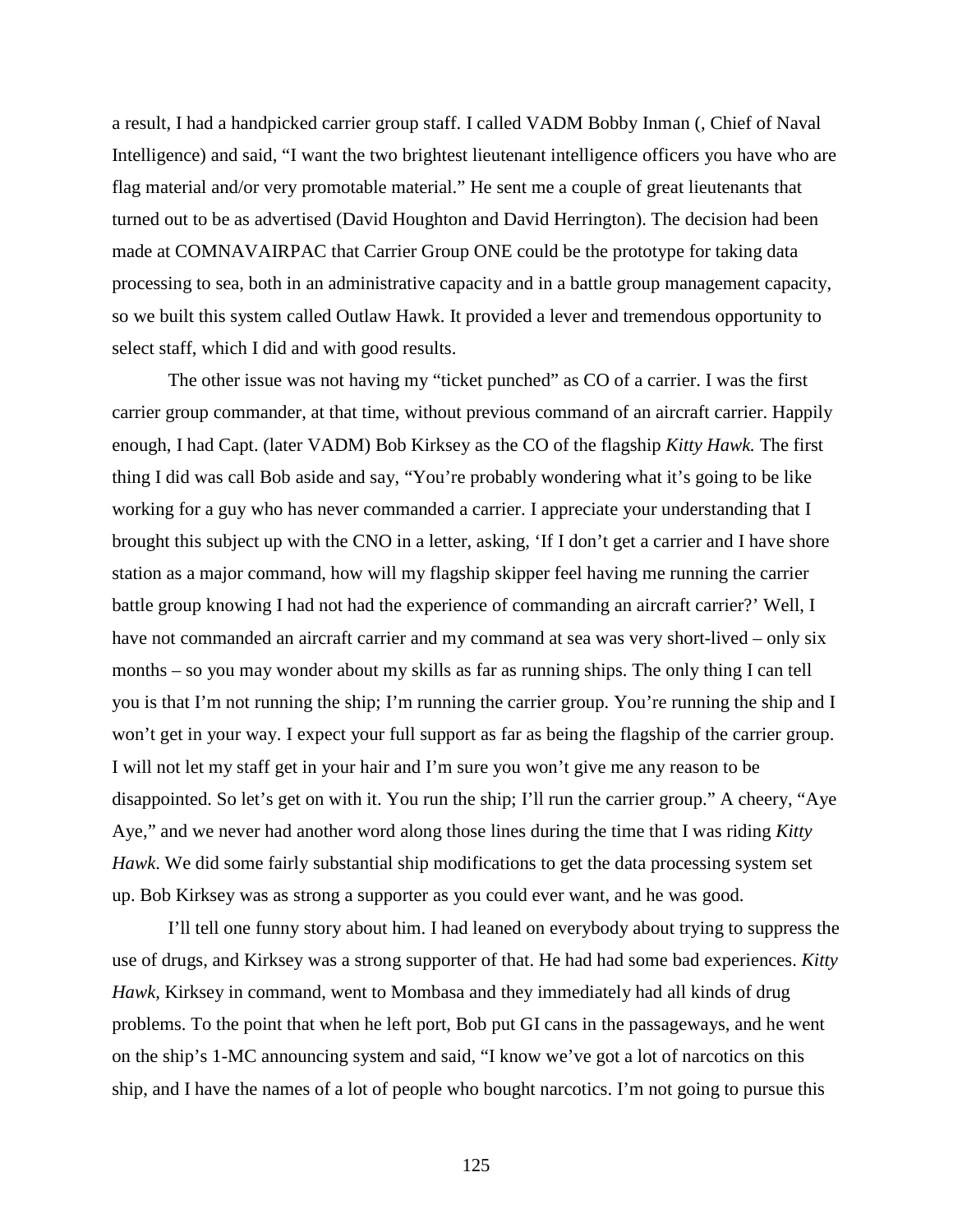a result, I had a handpicked carrier group staff. I called VADM Bobby Inman (, Chief of Naval Intelligence) and said, "I want the two brightest lieutenant intelligence officers you have who are flag material and/or very promotable material." He sent me a couple of great lieutenants that turned out to be as advertised (David Houghton and David Herrington). The decision had been made at COMNAVAIRPAC that Carrier Group ONE could be the prototype for taking data processing to sea, both in an administrative capacity and in a battle group management capacity, so we built this system called Outlaw Hawk. It provided a lever and tremendous opportunity to select staff, which I did and with good results.

The other issue was not having my "ticket punched" as CO of a carrier. I was the first carrier group commander, at that time, without previous command of an aircraft carrier. Happily enough, I had Capt. (later VADM) Bob Kirksey as the CO of the flagship *Kitty Hawk.* The first thing I did was call Bob aside and say, "You're probably wondering what it's going to be like working for a guy who has never commanded a carrier. I appreciate your understanding that I brought this subject up with the CNO in a letter, asking, 'If I don't get a carrier and I have shore station as a major command, how will my flagship skipper feel having me running the carrier battle group knowing I had not had the experience of commanding an aircraft carrier?' Well, I have not commanded an aircraft carrier and my command at sea was very short-lived – only six months – so you may wonder about my skills as far as running ships. The only thing I can tell you is that I'm not running the ship; I'm running the carrier group. You're running the ship and I won't get in your way. I expect your full support as far as being the flagship of the carrier group. I will not let my staff get in your hair and I'm sure you won't give me any reason to be disappointed. So let's get on with it. You run the ship; I'll run the carrier group." A cheery, "Aye Aye," and we never had another word along those lines during the time that I was riding *Kitty Hawk*. We did some fairly substantial ship modifications to get the data processing system set up. Bob Kirksey was as strong a supporter as you could ever want, and he was good.

I'll tell one funny story about him. I had leaned on everybody about trying to suppress the use of drugs, and Kirksey was a strong supporter of that. He had had some bad experiences. *Kitty Hawk,* Kirksey in command, went to Mombasa and they immediately had all kinds of drug problems. To the point that when he left port, Bob put GI cans in the passageways, and he went on the ship's 1-MC announcing system and said, "I know we've got a lot of narcotics on this ship, and I have the names of a lot of people who bought narcotics. I'm not going to pursue this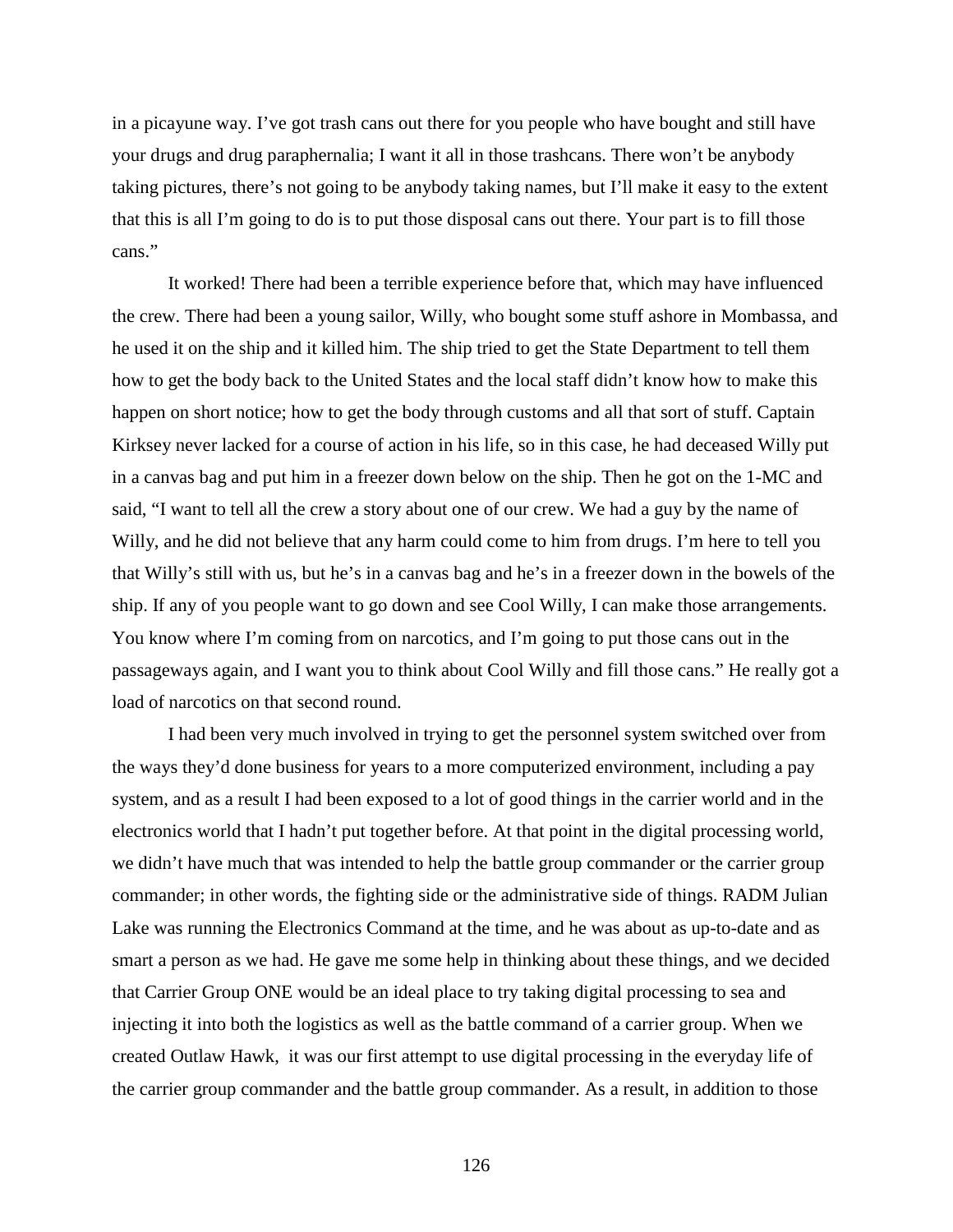in a picayune way. I've got trash cans out there for you people who have bought and still have your drugs and drug paraphernalia; I want it all in those trashcans. There won't be anybody taking pictures, there's not going to be anybody taking names, but I'll make it easy to the extent that this is all I'm going to do is to put those disposal cans out there. Your part is to fill those cans."

It worked! There had been a terrible experience before that, which may have influenced the crew. There had been a young sailor, Willy, who bought some stuff ashore in Mombassa, and he used it on the ship and it killed him. The ship tried to get the State Department to tell them how to get the body back to the United States and the local staff didn't know how to make this happen on short notice; how to get the body through customs and all that sort of stuff. Captain Kirksey never lacked for a course of action in his life, so in this case, he had deceased Willy put in a canvas bag and put him in a freezer down below on the ship. Then he got on the 1-MC and said, "I want to tell all the crew a story about one of our crew. We had a guy by the name of Willy, and he did not believe that any harm could come to him from drugs. I'm here to tell you that Willy's still with us, but he's in a canvas bag and he's in a freezer down in the bowels of the ship. If any of you people want to go down and see Cool Willy, I can make those arrangements. You know where I'm coming from on narcotics, and I'm going to put those cans out in the passageways again, and I want you to think about Cool Willy and fill those cans." He really got a load of narcotics on that second round.

I had been very much involved in trying to get the personnel system switched over from the ways they'd done business for years to a more computerized environment, including a pay system, and as a result I had been exposed to a lot of good things in the carrier world and in the electronics world that I hadn't put together before. At that point in the digital processing world, we didn't have much that was intended to help the battle group commander or the carrier group commander; in other words, the fighting side or the administrative side of things. RADM Julian Lake was running the Electronics Command at the time, and he was about as up-to-date and as smart a person as we had. He gave me some help in thinking about these things, and we decided that Carrier Group ONE would be an ideal place to try taking digital processing to sea and injecting it into both the logistics as well as the battle command of a carrier group. When we created Outlaw Hawk, it was our first attempt to use digital processing in the everyday life of the carrier group commander and the battle group commander. As a result, in addition to those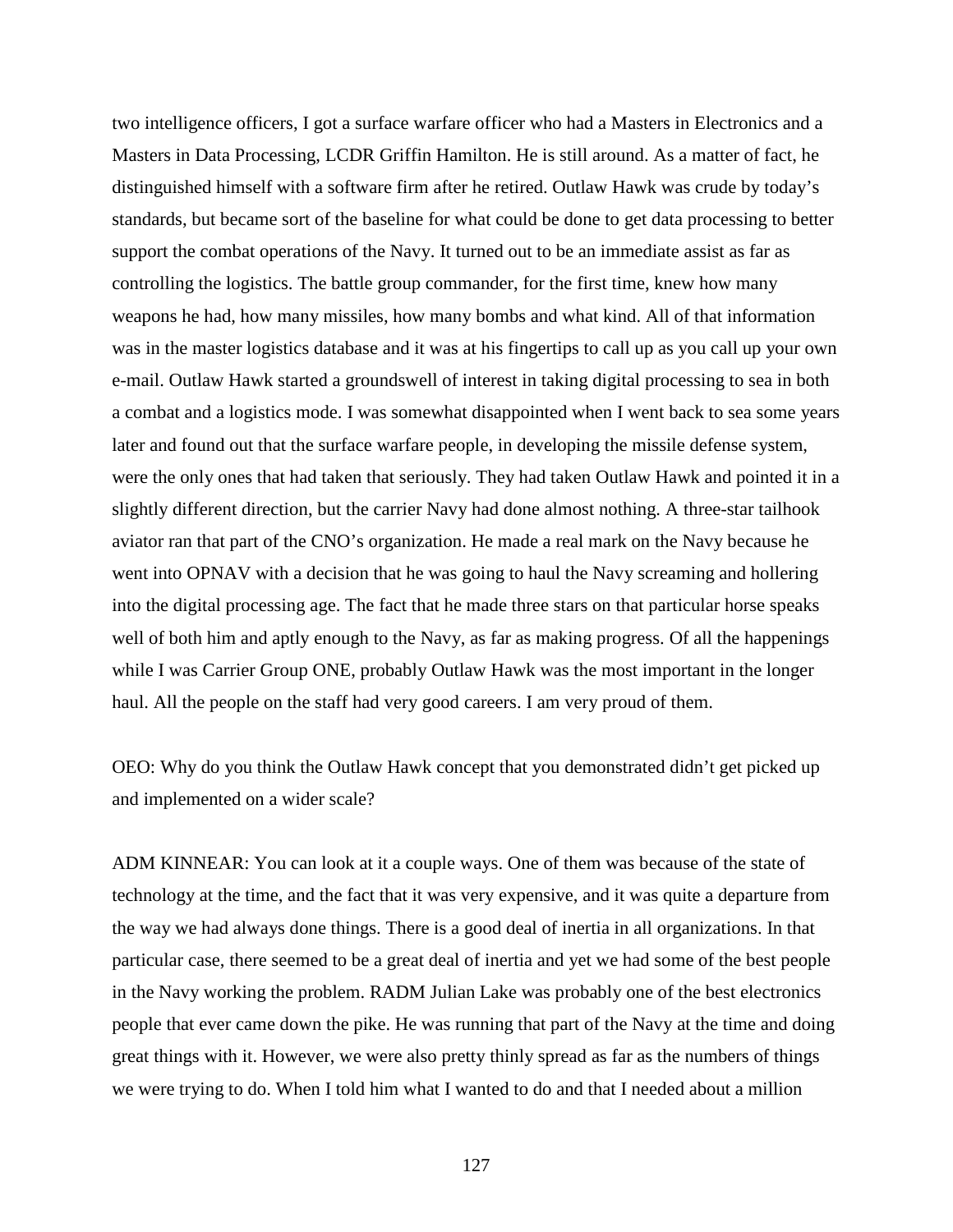two intelligence officers, I got a surface warfare officer who had a Masters in Electronics and a Masters in Data Processing, LCDR Griffin Hamilton. He is still around. As a matter of fact, he distinguished himself with a software firm after he retired. Outlaw Hawk was crude by today's standards, but became sort of the baseline for what could be done to get data processing to better support the combat operations of the Navy. It turned out to be an immediate assist as far as controlling the logistics. The battle group commander, for the first time, knew how many weapons he had, how many missiles, how many bombs and what kind. All of that information was in the master logistics database and it was at his fingertips to call up as you call up your own e-mail. Outlaw Hawk started a groundswell of interest in taking digital processing to sea in both a combat and a logistics mode. I was somewhat disappointed when I went back to sea some years later and found out that the surface warfare people, in developing the missile defense system, were the only ones that had taken that seriously. They had taken Outlaw Hawk and pointed it in a slightly different direction, but the carrier Navy had done almost nothing. A three-star tailhook aviator ran that part of the CNO's organization. He made a real mark on the Navy because he went into OPNAV with a decision that he was going to haul the Navy screaming and hollering into the digital processing age. The fact that he made three stars on that particular horse speaks well of both him and aptly enough to the Navy, as far as making progress. Of all the happenings while I was Carrier Group ONE, probably Outlaw Hawk was the most important in the longer haul. All the people on the staff had very good careers. I am very proud of them.

OEO: Why do you think the Outlaw Hawk concept that you demonstrated didn't get picked up and implemented on a wider scale?

ADM KINNEAR: You can look at it a couple ways. One of them was because of the state of technology at the time, and the fact that it was very expensive, and it was quite a departure from the way we had always done things. There is a good deal of inertia in all organizations. In that particular case, there seemed to be a great deal of inertia and yet we had some of the best people in the Navy working the problem. RADM Julian Lake was probably one of the best electronics people that ever came down the pike. He was running that part of the Navy at the time and doing great things with it. However, we were also pretty thinly spread as far as the numbers of things we were trying to do. When I told him what I wanted to do and that I needed about a million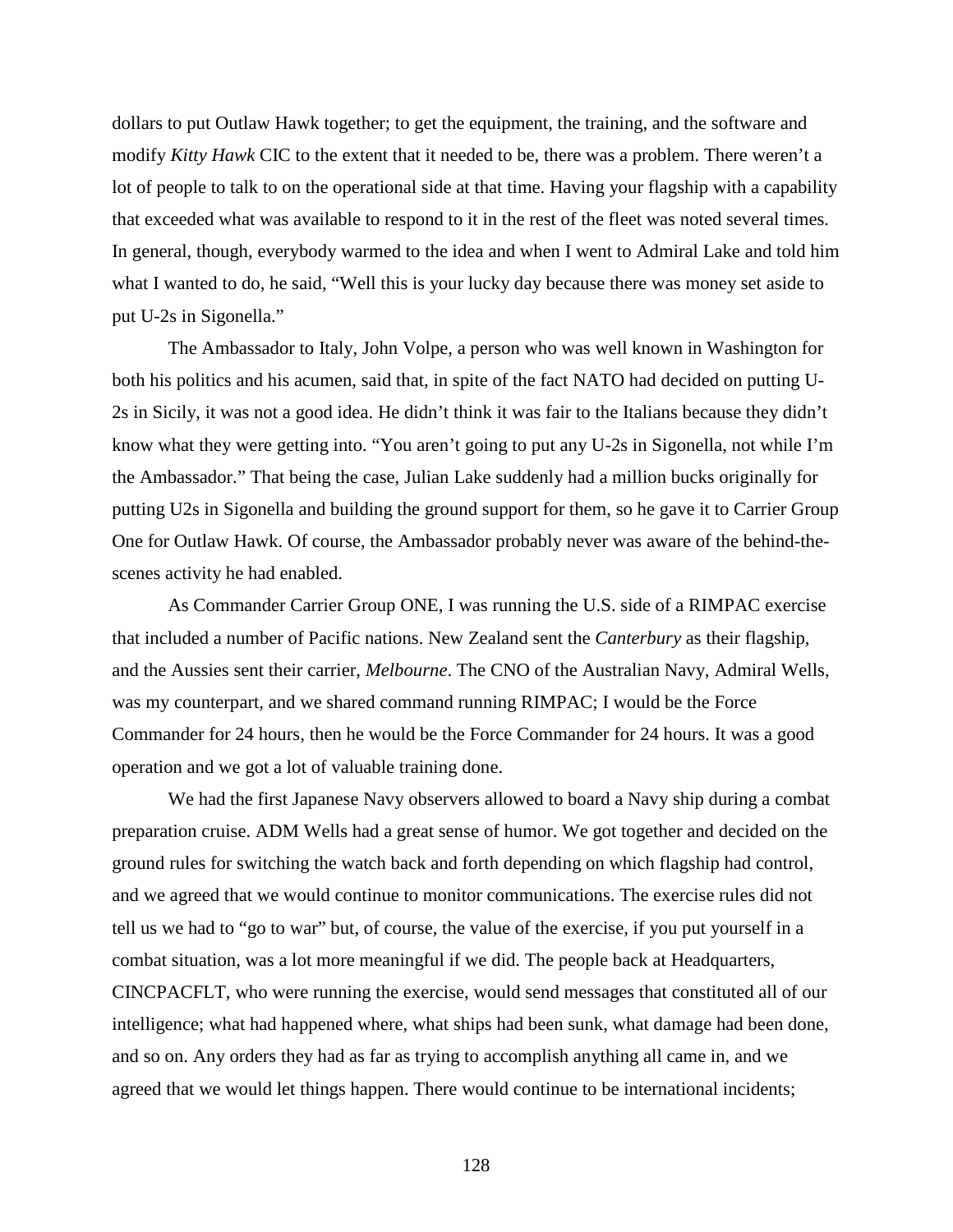dollars to put Outlaw Hawk together; to get the equipment, the training, and the software and modify *Kitty Hawk* CIC to the extent that it needed to be, there was a problem. There weren't a lot of people to talk to on the operational side at that time. Having your flagship with a capability that exceeded what was available to respond to it in the rest of the fleet was noted several times. In general, though, everybody warmed to the idea and when I went to Admiral Lake and told him what I wanted to do, he said, "Well this is your lucky day because there was money set aside to put U-2s in Sigonella."

The Ambassador to Italy, John Volpe, a person who was well known in Washington for both his politics and his acumen, said that, in spite of the fact NATO had decided on putting U-2s in Sicily, it was not a good idea. He didn't think it was fair to the Italians because they didn't know what they were getting into. "You aren't going to put any U-2s in Sigonella, not while I'm the Ambassador." That being the case, Julian Lake suddenly had a million bucks originally for putting U2s in Sigonella and building the ground support for them, so he gave it to Carrier Group One for Outlaw Hawk. Of course, the Ambassador probably never was aware of the behind-thescenes activity he had enabled.

As Commander Carrier Group ONE, I was running the U.S. side of a RIMPAC exercise that included a number of Pacific nations. New Zealand sent the *Canterbury* as their flagship, and the Aussies sent their carrier, *Melbourne*. The CNO of the Australian Navy, Admiral Wells, was my counterpart, and we shared command running RIMPAC; I would be the Force Commander for 24 hours, then he would be the Force Commander for 24 hours. It was a good operation and we got a lot of valuable training done.

We had the first Japanese Navy observers allowed to board a Navy ship during a combat preparation cruise. ADM Wells had a great sense of humor. We got together and decided on the ground rules for switching the watch back and forth depending on which flagship had control, and we agreed that we would continue to monitor communications. The exercise rules did not tell us we had to "go to war" but, of course, the value of the exercise, if you put yourself in a combat situation, was a lot more meaningful if we did. The people back at Headquarters, CINCPACFLT, who were running the exercise, would send messages that constituted all of our intelligence; what had happened where, what ships had been sunk, what damage had been done, and so on. Any orders they had as far as trying to accomplish anything all came in, and we agreed that we would let things happen. There would continue to be international incidents;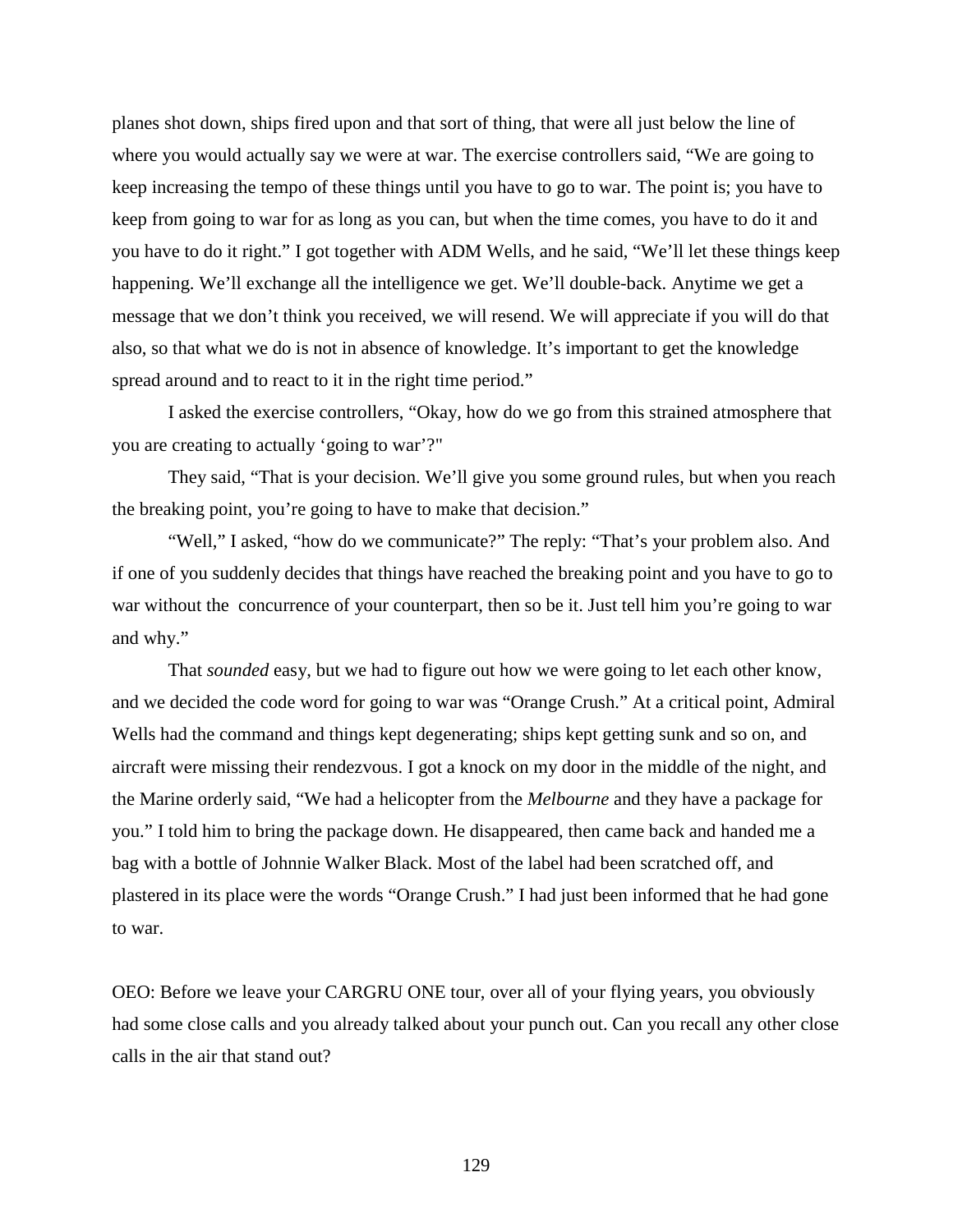planes shot down, ships fired upon and that sort of thing, that were all just below the line of where you would actually say we were at war. The exercise controllers said, "We are going to keep increasing the tempo of these things until you have to go to war. The point is; you have to keep from going to war for as long as you can, but when the time comes, you have to do it and you have to do it right." I got together with ADM Wells, and he said, "We'll let these things keep happening. We'll exchange all the intelligence we get. We'll double-back. Anytime we get a message that we don't think you received, we will resend. We will appreciate if you will do that also, so that what we do is not in absence of knowledge. It's important to get the knowledge spread around and to react to it in the right time period."

I asked the exercise controllers, "Okay, how do we go from this strained atmosphere that you are creating to actually 'going to war'?"

They said, "That is your decision. We'll give you some ground rules, but when you reach the breaking point, you're going to have to make that decision."

"Well," I asked, "how do we communicate?" The reply: "That's your problem also. And if one of you suddenly decides that things have reached the breaking point and you have to go to war without the concurrence of your counterpart, then so be it. Just tell him you're going to war and why."

That *sounded* easy, but we had to figure out how we were going to let each other know, and we decided the code word for going to war was "Orange Crush." At a critical point, Admiral Wells had the command and things kept degenerating; ships kept getting sunk and so on, and aircraft were missing their rendezvous. I got a knock on my door in the middle of the night, and the Marine orderly said, "We had a helicopter from the *Melbourne* and they have a package for you." I told him to bring the package down. He disappeared, then came back and handed me a bag with a bottle of Johnnie Walker Black. Most of the label had been scratched off, and plastered in its place were the words "Orange Crush." I had just been informed that he had gone to war.

OEO: Before we leave your CARGRU ONE tour, over all of your flying years, you obviously had some close calls and you already talked about your punch out. Can you recall any other close calls in the air that stand out?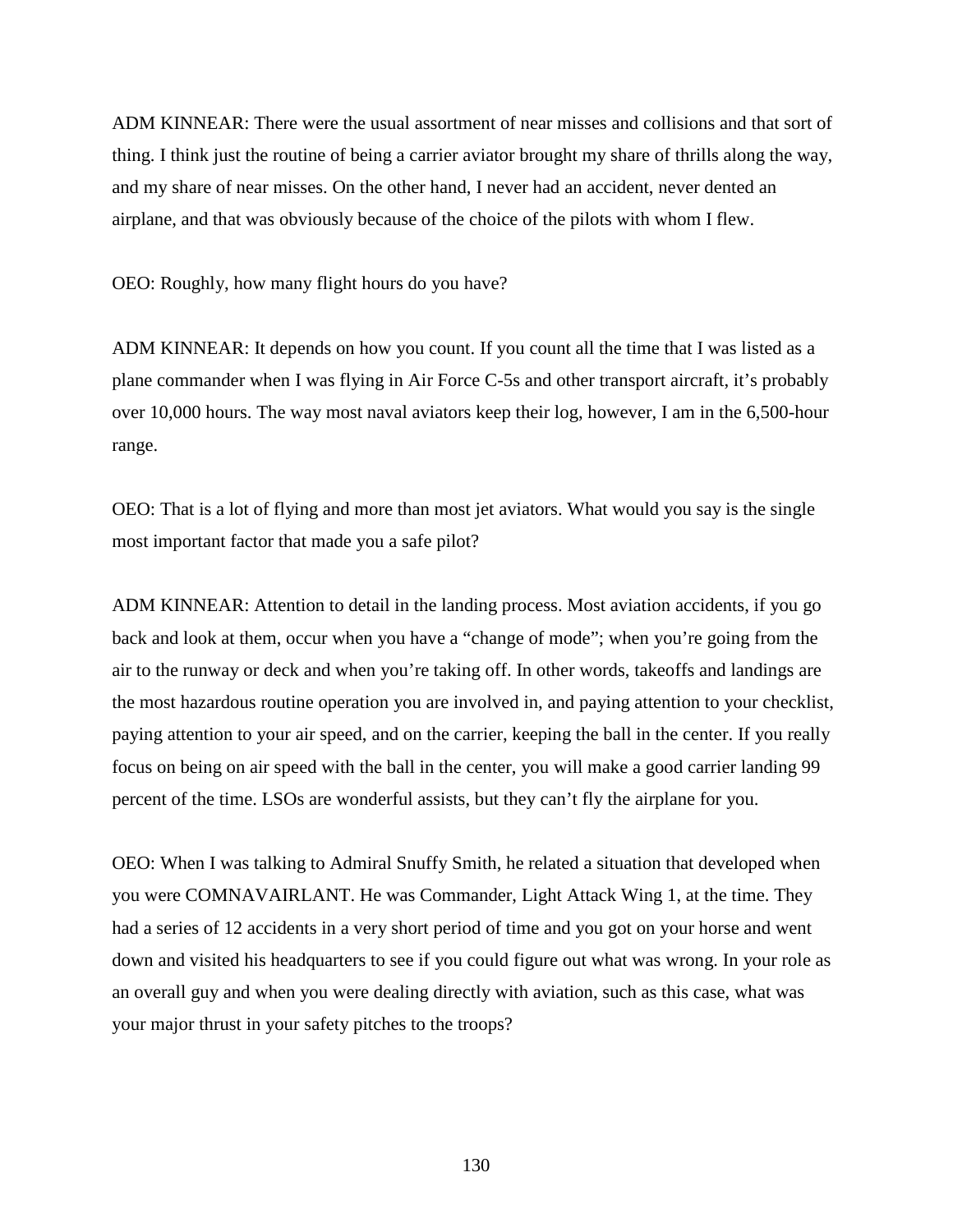ADM KINNEAR: There were the usual assortment of near misses and collisions and that sort of thing. I think just the routine of being a carrier aviator brought my share of thrills along the way, and my share of near misses. On the other hand, I never had an accident, never dented an airplane, and that was obviously because of the choice of the pilots with whom I flew.

OEO: Roughly, how many flight hours do you have?

ADM KINNEAR: It depends on how you count. If you count all the time that I was listed as a plane commander when I was flying in Air Force C-5s and other transport aircraft, it's probably over 10,000 hours. The way most naval aviators keep their log, however, I am in the 6,500-hour range.

OEO: That is a lot of flying and more than most jet aviators. What would you say is the single most important factor that made you a safe pilot?

ADM KINNEAR: Attention to detail in the landing process. Most aviation accidents, if you go back and look at them, occur when you have a "change of mode"; when you're going from the air to the runway or deck and when you're taking off. In other words, takeoffs and landings are the most hazardous routine operation you are involved in, and paying attention to your checklist, paying attention to your air speed, and on the carrier, keeping the ball in the center. If you really focus on being on air speed with the ball in the center, you will make a good carrier landing 99 percent of the time. LSOs are wonderful assists, but they can't fly the airplane for you.

OEO: When I was talking to Admiral Snuffy Smith, he related a situation that developed when you were COMNAVAIRLANT. He was Commander, Light Attack Wing 1, at the time. They had a series of 12 accidents in a very short period of time and you got on your horse and went down and visited his headquarters to see if you could figure out what was wrong. In your role as an overall guy and when you were dealing directly with aviation, such as this case, what was your major thrust in your safety pitches to the troops?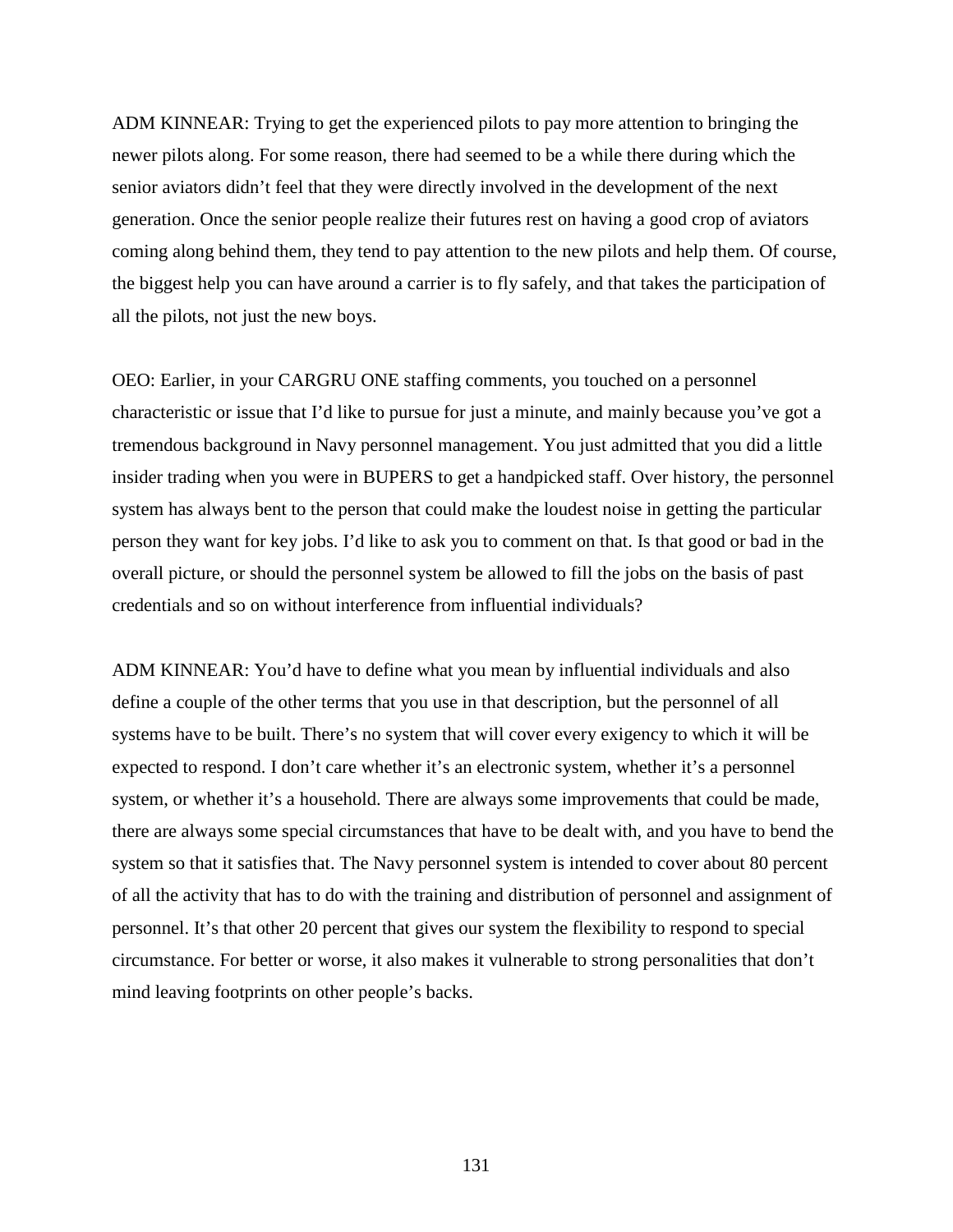ADM KINNEAR: Trying to get the experienced pilots to pay more attention to bringing the newer pilots along. For some reason, there had seemed to be a while there during which the senior aviators didn't feel that they were directly involved in the development of the next generation. Once the senior people realize their futures rest on having a good crop of aviators coming along behind them, they tend to pay attention to the new pilots and help them. Of course, the biggest help you can have around a carrier is to fly safely, and that takes the participation of all the pilots, not just the new boys.

OEO: Earlier, in your CARGRU ONE staffing comments, you touched on a personnel characteristic or issue that I'd like to pursue for just a minute, and mainly because you've got a tremendous background in Navy personnel management. You just admitted that you did a little insider trading when you were in BUPERS to get a handpicked staff. Over history, the personnel system has always bent to the person that could make the loudest noise in getting the particular person they want for key jobs. I'd like to ask you to comment on that. Is that good or bad in the overall picture, or should the personnel system be allowed to fill the jobs on the basis of past credentials and so on without interference from influential individuals?

ADM KINNEAR: You'd have to define what you mean by influential individuals and also define a couple of the other terms that you use in that description, but the personnel of all systems have to be built. There's no system that will cover every exigency to which it will be expected to respond. I don't care whether it's an electronic system, whether it's a personnel system, or whether it's a household. There are always some improvements that could be made, there are always some special circumstances that have to be dealt with, and you have to bend the system so that it satisfies that. The Navy personnel system is intended to cover about 80 percent of all the activity that has to do with the training and distribution of personnel and assignment of personnel. It's that other 20 percent that gives our system the flexibility to respond to special circumstance. For better or worse, it also makes it vulnerable to strong personalities that don't mind leaving footprints on other people's backs.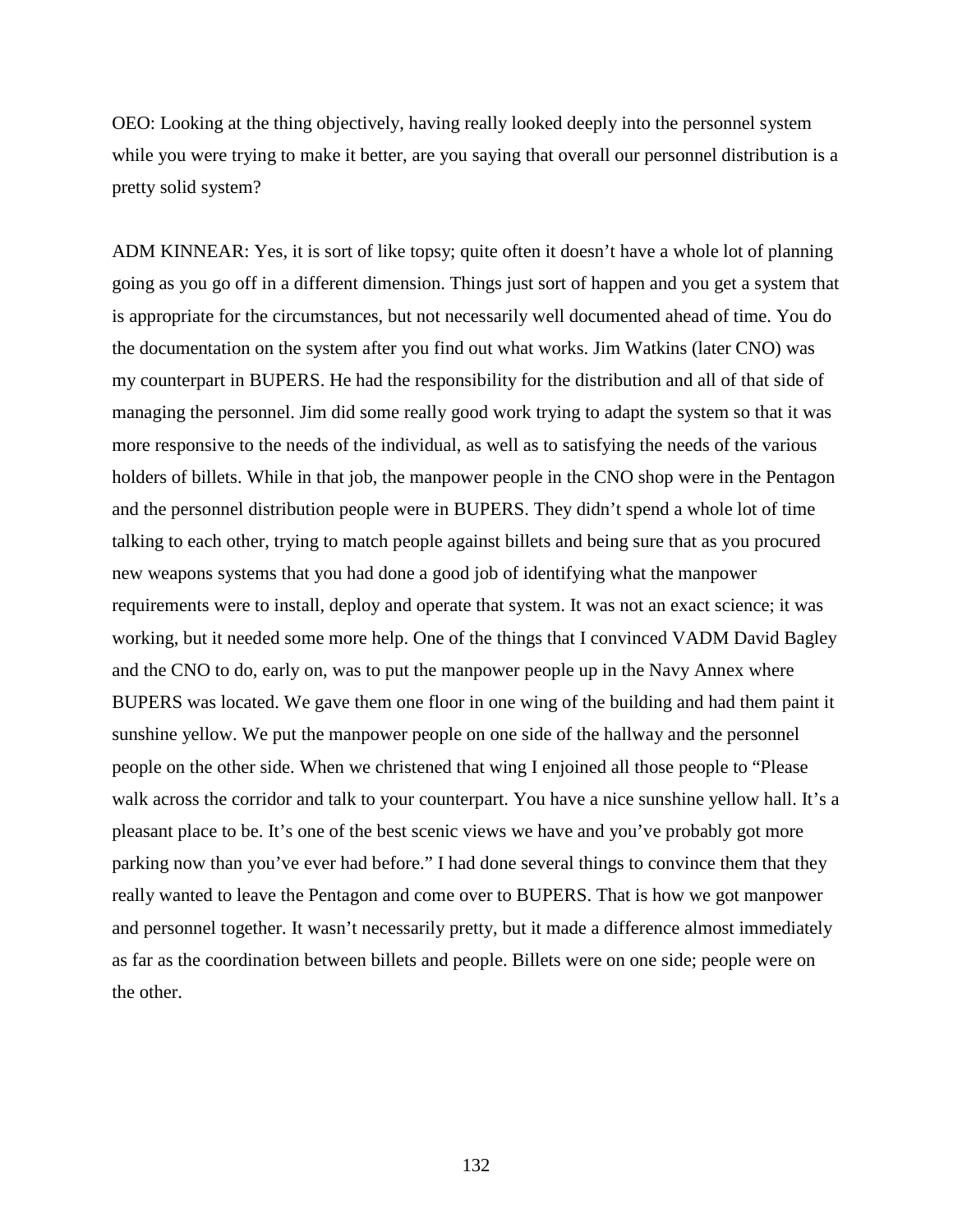OEO: Looking at the thing objectively, having really looked deeply into the personnel system while you were trying to make it better, are you saying that overall our personnel distribution is a pretty solid system?

ADM KINNEAR: Yes, it is sort of like topsy; quite often it doesn't have a whole lot of planning going as you go off in a different dimension. Things just sort of happen and you get a system that is appropriate for the circumstances, but not necessarily well documented ahead of time. You do the documentation on the system after you find out what works. Jim Watkins (later CNO) was my counterpart in BUPERS. He had the responsibility for the distribution and all of that side of managing the personnel. Jim did some really good work trying to adapt the system so that it was more responsive to the needs of the individual, as well as to satisfying the needs of the various holders of billets. While in that job, the manpower people in the CNO shop were in the Pentagon and the personnel distribution people were in BUPERS. They didn't spend a whole lot of time talking to each other, trying to match people against billets and being sure that as you procured new weapons systems that you had done a good job of identifying what the manpower requirements were to install, deploy and operate that system. It was not an exact science; it was working, but it needed some more help. One of the things that I convinced VADM David Bagley and the CNO to do, early on, was to put the manpower people up in the Navy Annex where BUPERS was located. We gave them one floor in one wing of the building and had them paint it sunshine yellow. We put the manpower people on one side of the hallway and the personnel people on the other side. When we christened that wing I enjoined all those people to "Please walk across the corridor and talk to your counterpart. You have a nice sunshine yellow hall. It's a pleasant place to be. It's one of the best scenic views we have and you've probably got more parking now than you've ever had before." I had done several things to convince them that they really wanted to leave the Pentagon and come over to BUPERS. That is how we got manpower and personnel together. It wasn't necessarily pretty, but it made a difference almost immediately as far as the coordination between billets and people. Billets were on one side; people were on the other.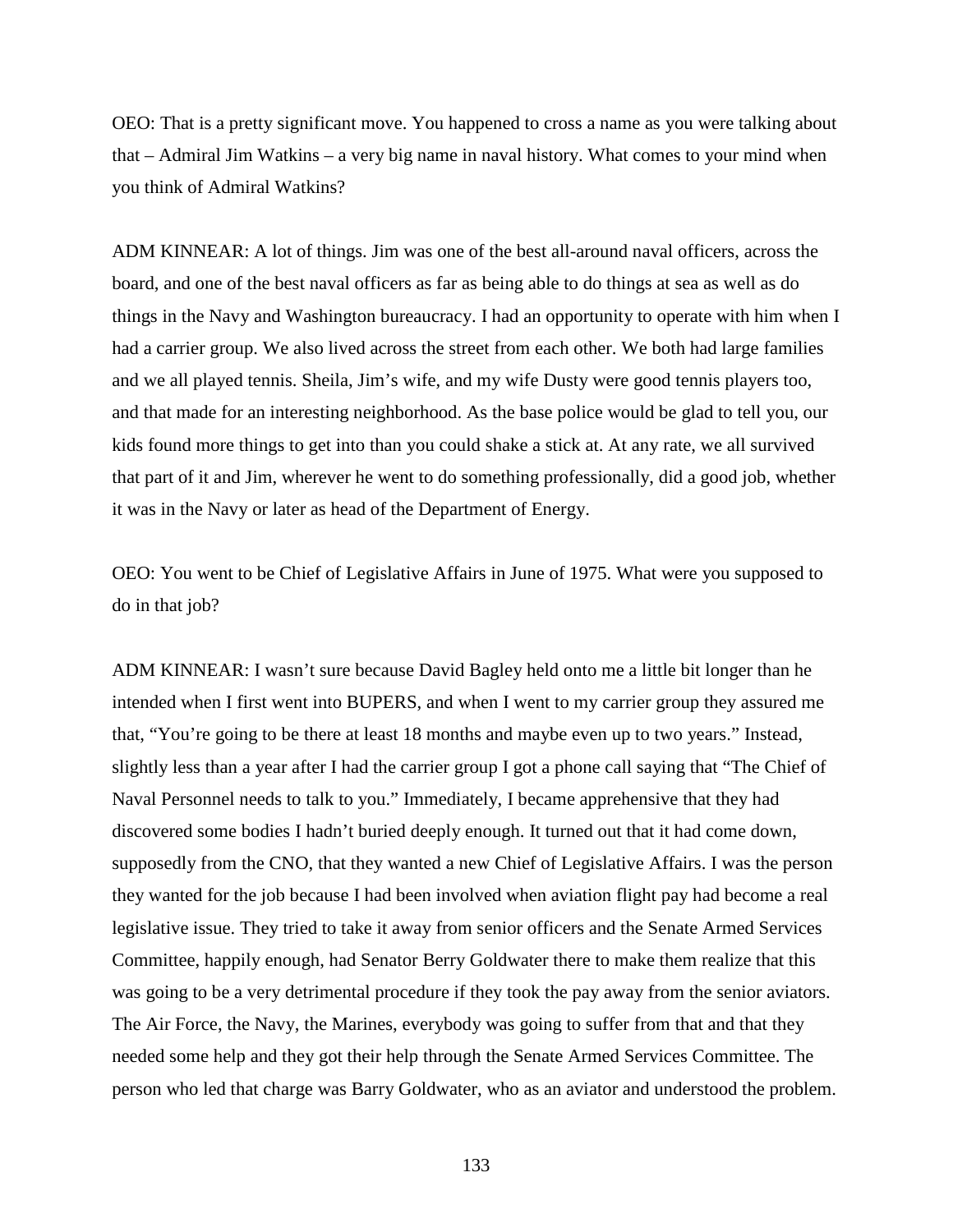OEO: That is a pretty significant move. You happened to cross a name as you were talking about that – Admiral Jim Watkins – a very big name in naval history. What comes to your mind when you think of Admiral Watkins?

ADM KINNEAR: A lot of things. Jim was one of the best all-around naval officers, across the board, and one of the best naval officers as far as being able to do things at sea as well as do things in the Navy and Washington bureaucracy. I had an opportunity to operate with him when I had a carrier group. We also lived across the street from each other. We both had large families and we all played tennis. Sheila, Jim's wife, and my wife Dusty were good tennis players too, and that made for an interesting neighborhood. As the base police would be glad to tell you, our kids found more things to get into than you could shake a stick at. At any rate, we all survived that part of it and Jim, wherever he went to do something professionally, did a good job, whether it was in the Navy or later as head of the Department of Energy.

OEO: You went to be Chief of Legislative Affairs in June of 1975. What were you supposed to do in that job?

ADM KINNEAR: I wasn't sure because David Bagley held onto me a little bit longer than he intended when I first went into BUPERS, and when I went to my carrier group they assured me that, "You're going to be there at least 18 months and maybe even up to two years." Instead, slightly less than a year after I had the carrier group I got a phone call saying that "The Chief of Naval Personnel needs to talk to you." Immediately, I became apprehensive that they had discovered some bodies I hadn't buried deeply enough. It turned out that it had come down, supposedly from the CNO, that they wanted a new Chief of Legislative Affairs. I was the person they wanted for the job because I had been involved when aviation flight pay had become a real legislative issue. They tried to take it away from senior officers and the Senate Armed Services Committee, happily enough, had Senator Berry Goldwater there to make them realize that this was going to be a very detrimental procedure if they took the pay away from the senior aviators. The Air Force, the Navy, the Marines, everybody was going to suffer from that and that they needed some help and they got their help through the Senate Armed Services Committee. The person who led that charge was Barry Goldwater, who as an aviator and understood the problem.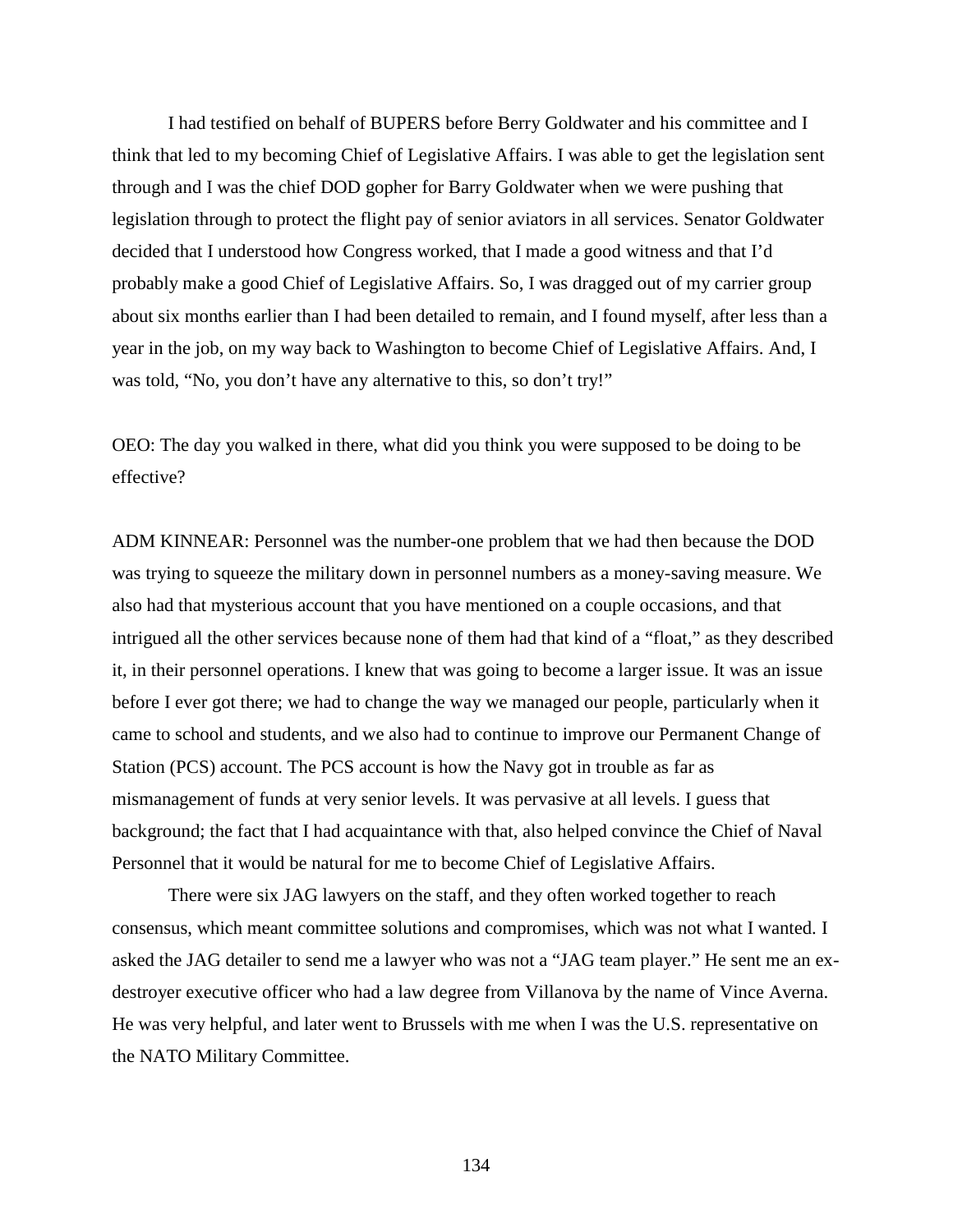I had testified on behalf of BUPERS before Berry Goldwater and his committee and I think that led to my becoming Chief of Legislative Affairs. I was able to get the legislation sent through and I was the chief DOD gopher for Barry Goldwater when we were pushing that legislation through to protect the flight pay of senior aviators in all services. Senator Goldwater decided that I understood how Congress worked, that I made a good witness and that I'd probably make a good Chief of Legislative Affairs. So, I was dragged out of my carrier group about six months earlier than I had been detailed to remain, and I found myself, after less than a year in the job, on my way back to Washington to become Chief of Legislative Affairs. And, I was told, "No, you don't have any alternative to this, so don't try!"

OEO: The day you walked in there, what did you think you were supposed to be doing to be effective?

ADM KINNEAR: Personnel was the number-one problem that we had then because the DOD was trying to squeeze the military down in personnel numbers as a money-saving measure. We also had that mysterious account that you have mentioned on a couple occasions, and that intrigued all the other services because none of them had that kind of a "float," as they described it, in their personnel operations. I knew that was going to become a larger issue. It was an issue before I ever got there; we had to change the way we managed our people, particularly when it came to school and students, and we also had to continue to improve our Permanent Change of Station (PCS) account. The PCS account is how the Navy got in trouble as far as mismanagement of funds at very senior levels. It was pervasive at all levels. I guess that background; the fact that I had acquaintance with that, also helped convince the Chief of Naval Personnel that it would be natural for me to become Chief of Legislative Affairs.

There were six JAG lawyers on the staff, and they often worked together to reach consensus, which meant committee solutions and compromises, which was not what I wanted. I asked the JAG detailer to send me a lawyer who was not a "JAG team player." He sent me an exdestroyer executive officer who had a law degree from Villanova by the name of Vince Averna. He was very helpful, and later went to Brussels with me when I was the U.S. representative on the NATO Military Committee.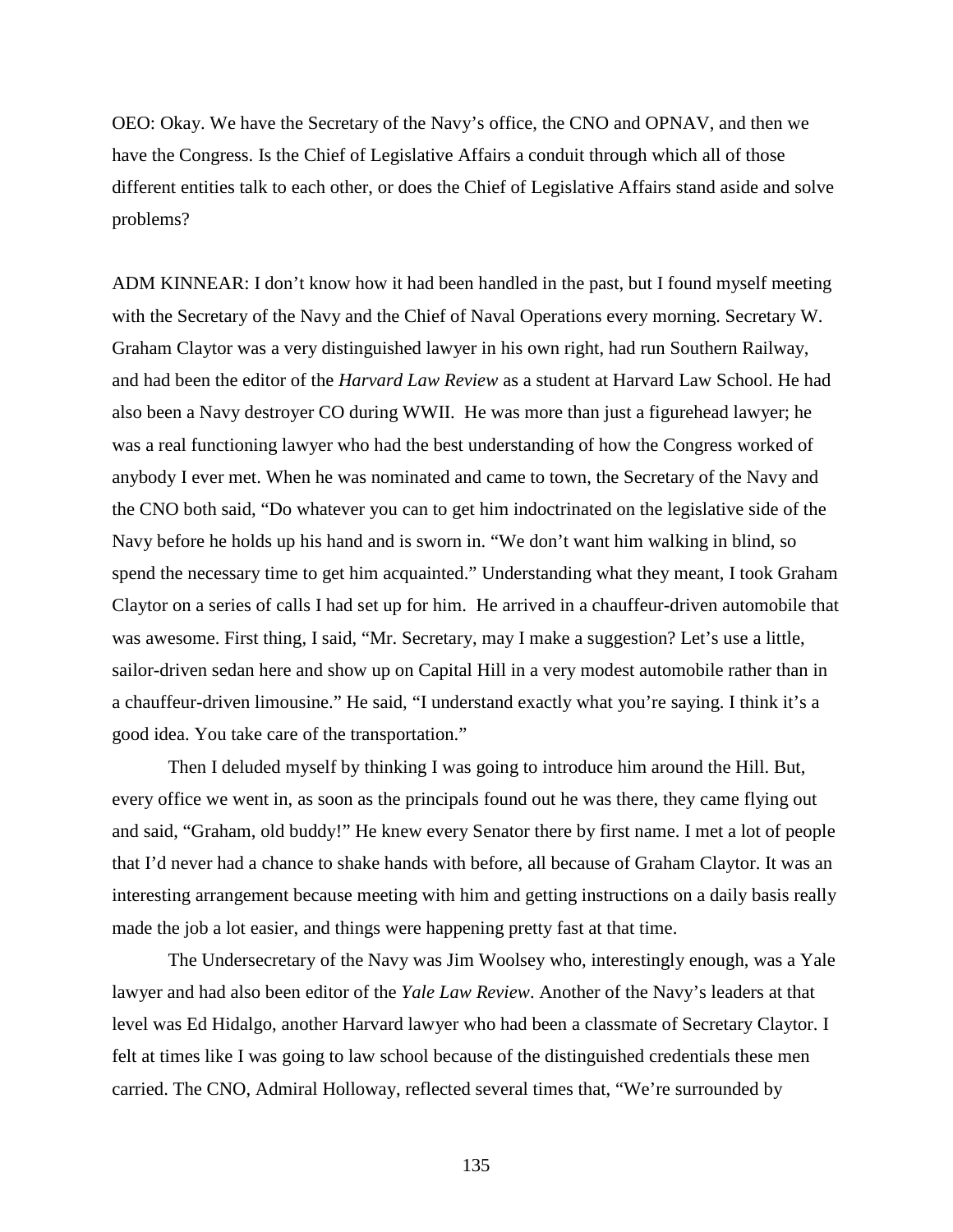OEO: Okay. We have the Secretary of the Navy's office, the CNO and OPNAV, and then we have the Congress. Is the Chief of Legislative Affairs a conduit through which all of those different entities talk to each other, or does the Chief of Legislative Affairs stand aside and solve problems?

ADM KINNEAR: I don't know how it had been handled in the past, but I found myself meeting with the Secretary of the Navy and the Chief of Naval Operations every morning. Secretary W. Graham Claytor was a very distinguished lawyer in his own right, had run Southern Railway, and had been the editor of the *Harvard Law Review* as a student at Harvard Law School. He had also been a Navy destroyer CO during WWII. He was more than just a figurehead lawyer; he was a real functioning lawyer who had the best understanding of how the Congress worked of anybody I ever met. When he was nominated and came to town, the Secretary of the Navy and the CNO both said, "Do whatever you can to get him indoctrinated on the legislative side of the Navy before he holds up his hand and is sworn in. "We don't want him walking in blind, so spend the necessary time to get him acquainted." Understanding what they meant, I took Graham Claytor on a series of calls I had set up for him. He arrived in a chauffeur-driven automobile that was awesome. First thing, I said, "Mr. Secretary, may I make a suggestion? Let's use a little, sailor-driven sedan here and show up on Capital Hill in a very modest automobile rather than in a chauffeur-driven limousine." He said, "I understand exactly what you're saying. I think it's a good idea. You take care of the transportation."

Then I deluded myself by thinking I was going to introduce him around the Hill. But, every office we went in, as soon as the principals found out he was there, they came flying out and said, "Graham, old buddy!" He knew every Senator there by first name. I met a lot of people that I'd never had a chance to shake hands with before, all because of Graham Claytor. It was an interesting arrangement because meeting with him and getting instructions on a daily basis really made the job a lot easier, and things were happening pretty fast at that time.

The Undersecretary of the Navy was Jim Woolsey who, interestingly enough, was a Yale lawyer and had also been editor of the *Yale Law Review*. Another of the Navy's leaders at that level was Ed Hidalgo, another Harvard lawyer who had been a classmate of Secretary Claytor. I felt at times like I was going to law school because of the distinguished credentials these men carried. The CNO, Admiral Holloway, reflected several times that, "We're surrounded by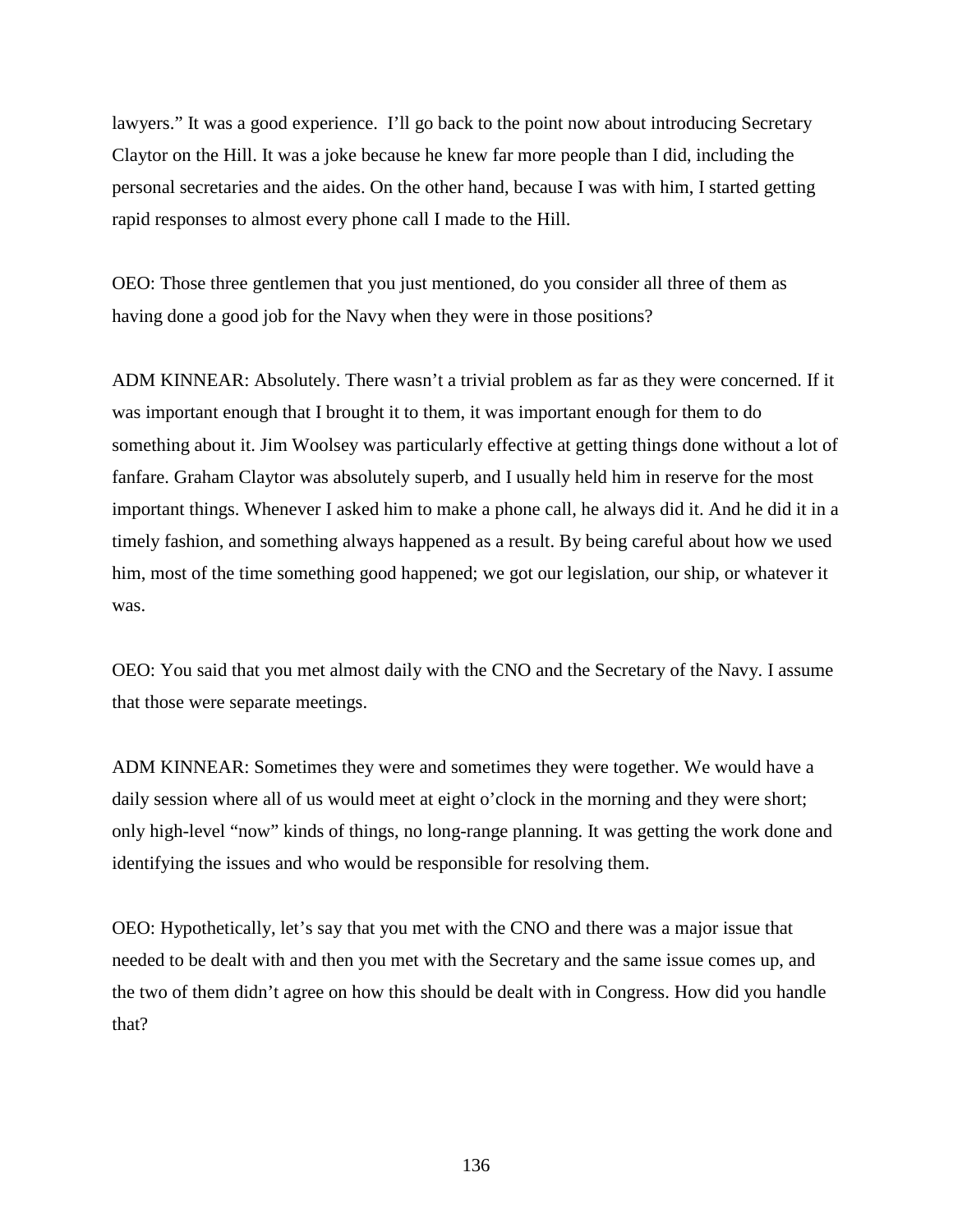lawyers." It was a good experience. I'll go back to the point now about introducing Secretary Claytor on the Hill. It was a joke because he knew far more people than I did, including the personal secretaries and the aides. On the other hand, because I was with him, I started getting rapid responses to almost every phone call I made to the Hill.

OEO: Those three gentlemen that you just mentioned, do you consider all three of them as having done a good job for the Navy when they were in those positions?

ADM KINNEAR: Absolutely. There wasn't a trivial problem as far as they were concerned. If it was important enough that I brought it to them, it was important enough for them to do something about it. Jim Woolsey was particularly effective at getting things done without a lot of fanfare. Graham Claytor was absolutely superb, and I usually held him in reserve for the most important things. Whenever I asked him to make a phone call, he always did it. And he did it in a timely fashion, and something always happened as a result. By being careful about how we used him, most of the time something good happened; we got our legislation, our ship, or whatever it was.

OEO: You said that you met almost daily with the CNO and the Secretary of the Navy. I assume that those were separate meetings.

ADM KINNEAR: Sometimes they were and sometimes they were together. We would have a daily session where all of us would meet at eight o'clock in the morning and they were short; only high-level "now" kinds of things, no long-range planning. It was getting the work done and identifying the issues and who would be responsible for resolving them.

OEO: Hypothetically, let's say that you met with the CNO and there was a major issue that needed to be dealt with and then you met with the Secretary and the same issue comes up, and the two of them didn't agree on how this should be dealt with in Congress. How did you handle that?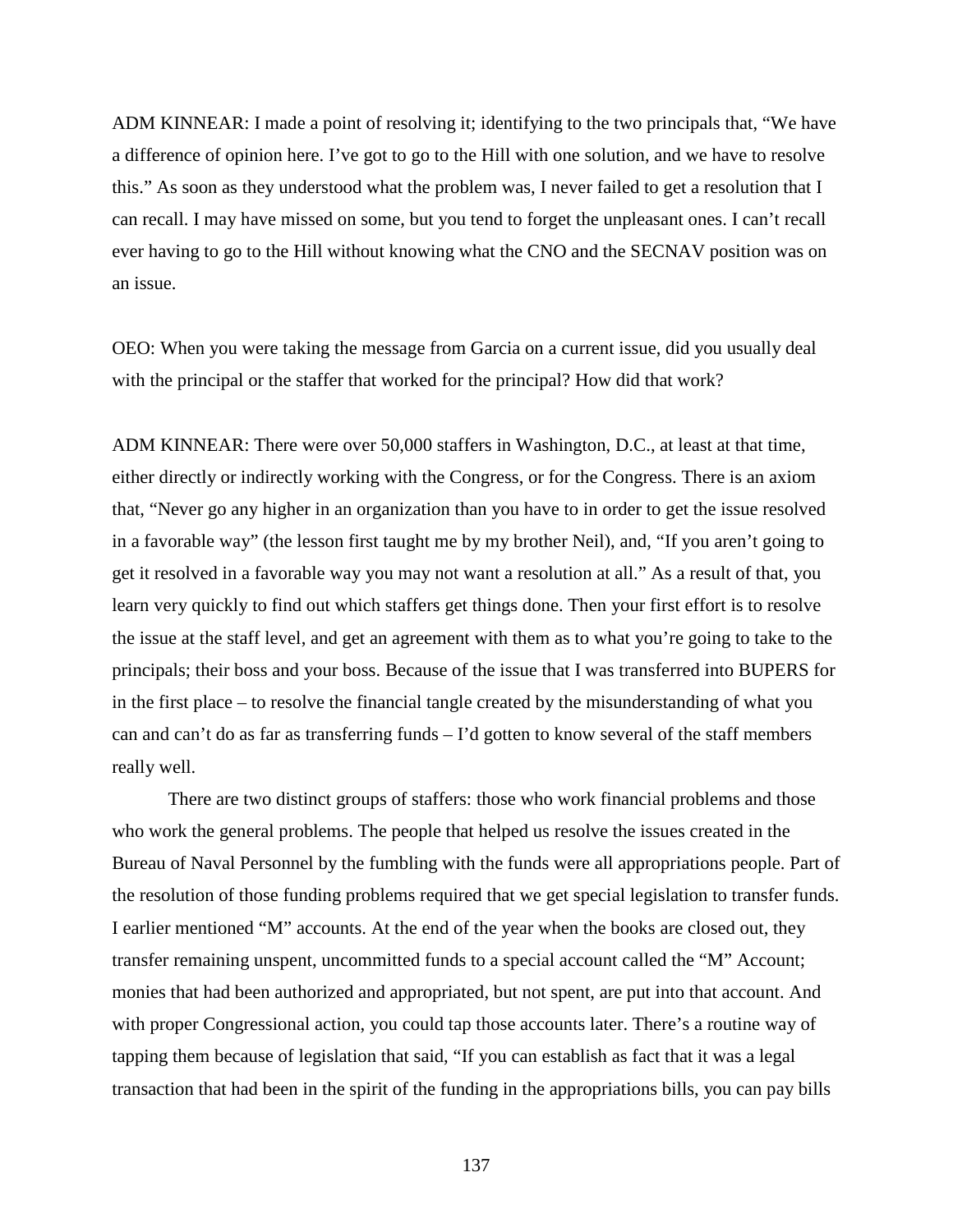ADM KINNEAR: I made a point of resolving it; identifying to the two principals that, "We have a difference of opinion here. I've got to go to the Hill with one solution, and we have to resolve this." As soon as they understood what the problem was, I never failed to get a resolution that I can recall. I may have missed on some, but you tend to forget the unpleasant ones. I can't recall ever having to go to the Hill without knowing what the CNO and the SECNAV position was on an issue.

OEO: When you were taking the message from Garcia on a current issue, did you usually deal with the principal or the staffer that worked for the principal? How did that work?

ADM KINNEAR: There were over 50,000 staffers in Washington, D.C., at least at that time, either directly or indirectly working with the Congress, or for the Congress. There is an axiom that, "Never go any higher in an organization than you have to in order to get the issue resolved in a favorable way" (the lesson first taught me by my brother Neil), and, "If you aren't going to get it resolved in a favorable way you may not want a resolution at all." As a result of that, you learn very quickly to find out which staffers get things done. Then your first effort is to resolve the issue at the staff level, and get an agreement with them as to what you're going to take to the principals; their boss and your boss. Because of the issue that I was transferred into BUPERS for in the first place – to resolve the financial tangle created by the misunderstanding of what you can and can't do as far as transferring funds – I'd gotten to know several of the staff members really well.

There are two distinct groups of staffers: those who work financial problems and those who work the general problems. The people that helped us resolve the issues created in the Bureau of Naval Personnel by the fumbling with the funds were all appropriations people. Part of the resolution of those funding problems required that we get special legislation to transfer funds. I earlier mentioned "M" accounts. At the end of the year when the books are closed out, they transfer remaining unspent, uncommitted funds to a special account called the "M" Account; monies that had been authorized and appropriated, but not spent, are put into that account. And with proper Congressional action, you could tap those accounts later. There's a routine way of tapping them because of legislation that said, "If you can establish as fact that it was a legal transaction that had been in the spirit of the funding in the appropriations bills, you can pay bills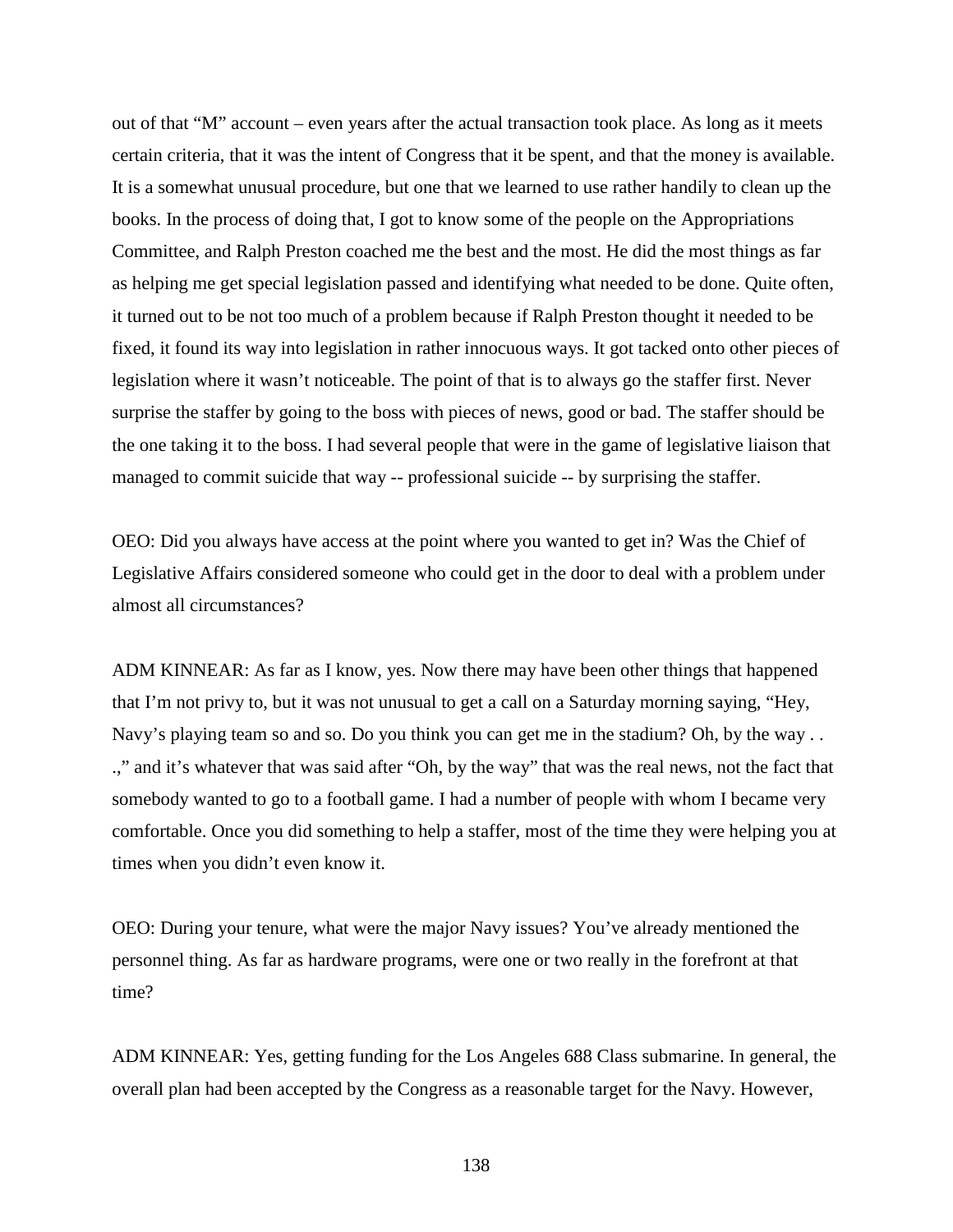out of that "M" account – even years after the actual transaction took place. As long as it meets certain criteria, that it was the intent of Congress that it be spent, and that the money is available. It is a somewhat unusual procedure, but one that we learned to use rather handily to clean up the books. In the process of doing that, I got to know some of the people on the Appropriations Committee, and Ralph Preston coached me the best and the most. He did the most things as far as helping me get special legislation passed and identifying what needed to be done. Quite often, it turned out to be not too much of a problem because if Ralph Preston thought it needed to be fixed, it found its way into legislation in rather innocuous ways. It got tacked onto other pieces of legislation where it wasn't noticeable. The point of that is to always go the staffer first. Never surprise the staffer by going to the boss with pieces of news, good or bad. The staffer should be the one taking it to the boss. I had several people that were in the game of legislative liaison that managed to commit suicide that way -- professional suicide -- by surprising the staffer.

OEO: Did you always have access at the point where you wanted to get in? Was the Chief of Legislative Affairs considered someone who could get in the door to deal with a problem under almost all circumstances?

ADM KINNEAR: As far as I know, yes. Now there may have been other things that happened that I'm not privy to, but it was not unusual to get a call on a Saturday morning saying, "Hey, Navy's playing team so and so. Do you think you can get me in the stadium? Oh, by the way . . .," and it's whatever that was said after "Oh, by the way" that was the real news, not the fact that somebody wanted to go to a football game. I had a number of people with whom I became very comfortable. Once you did something to help a staffer, most of the time they were helping you at times when you didn't even know it.

OEO: During your tenure, what were the major Navy issues? You've already mentioned the personnel thing. As far as hardware programs, were one or two really in the forefront at that time?

ADM KINNEAR: Yes, getting funding for the Los Angeles 688 Class submarine. In general, the overall plan had been accepted by the Congress as a reasonable target for the Navy. However,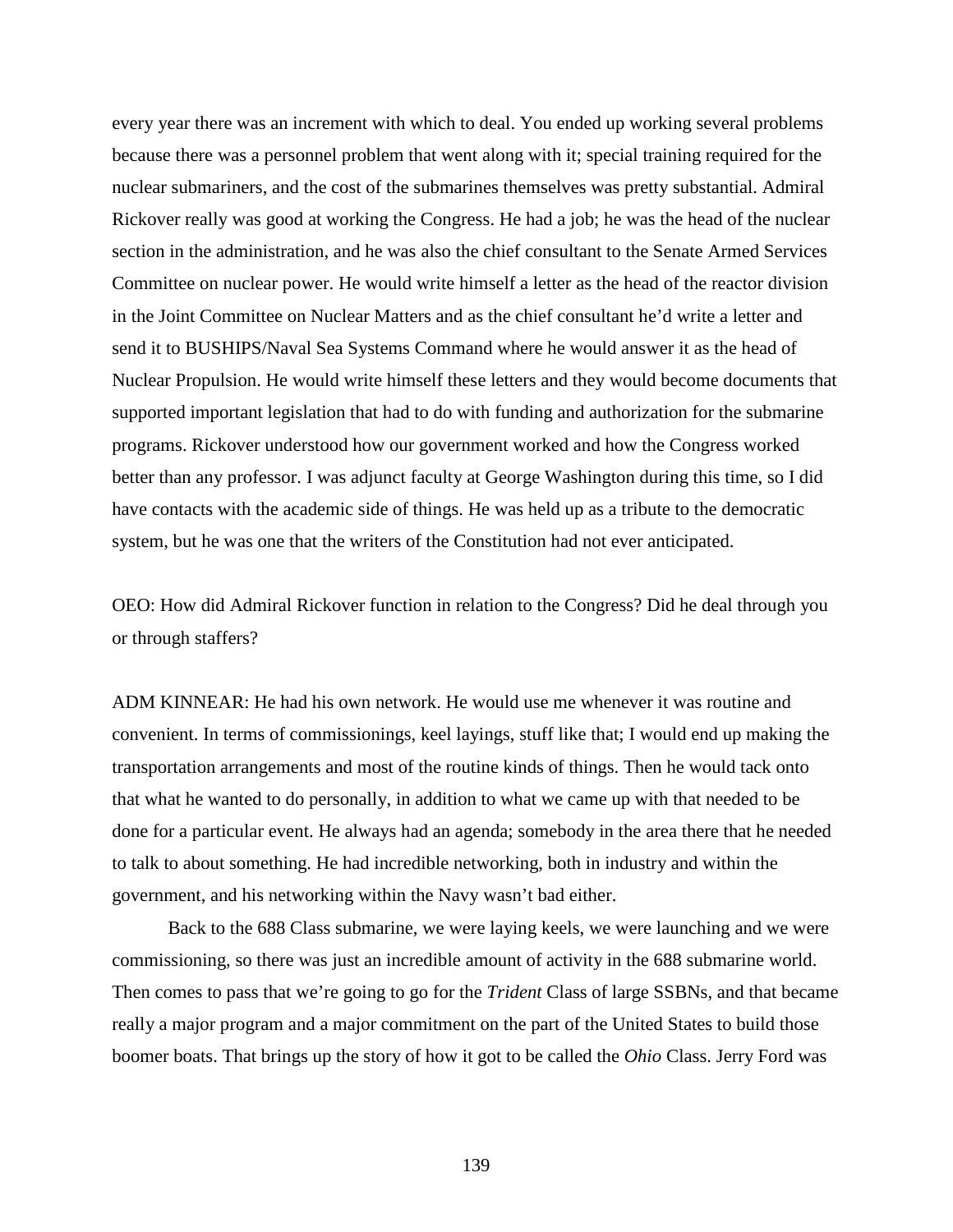every year there was an increment with which to deal. You ended up working several problems because there was a personnel problem that went along with it; special training required for the nuclear submariners, and the cost of the submarines themselves was pretty substantial. Admiral Rickover really was good at working the Congress. He had a job; he was the head of the nuclear section in the administration, and he was also the chief consultant to the Senate Armed Services Committee on nuclear power. He would write himself a letter as the head of the reactor division in the Joint Committee on Nuclear Matters and as the chief consultant he'd write a letter and send it to BUSHIPS/Naval Sea Systems Command where he would answer it as the head of Nuclear Propulsion. He would write himself these letters and they would become documents that supported important legislation that had to do with funding and authorization for the submarine programs. Rickover understood how our government worked and how the Congress worked better than any professor. I was adjunct faculty at George Washington during this time, so I did have contacts with the academic side of things. He was held up as a tribute to the democratic system, but he was one that the writers of the Constitution had not ever anticipated.

OEO: How did Admiral Rickover function in relation to the Congress? Did he deal through you or through staffers?

ADM KINNEAR: He had his own network. He would use me whenever it was routine and convenient. In terms of commissionings, keel layings, stuff like that; I would end up making the transportation arrangements and most of the routine kinds of things. Then he would tack onto that what he wanted to do personally, in addition to what we came up with that needed to be done for a particular event. He always had an agenda; somebody in the area there that he needed to talk to about something. He had incredible networking, both in industry and within the government, and his networking within the Navy wasn't bad either.

Back to the 688 Class submarine, we were laying keels, we were launching and we were commissioning, so there was just an incredible amount of activity in the 688 submarine world. Then comes to pass that we're going to go for the *Trident* Class of large SSBNs, and that became really a major program and a major commitment on the part of the United States to build those boomer boats. That brings up the story of how it got to be called the *Ohio* Class. Jerry Ford was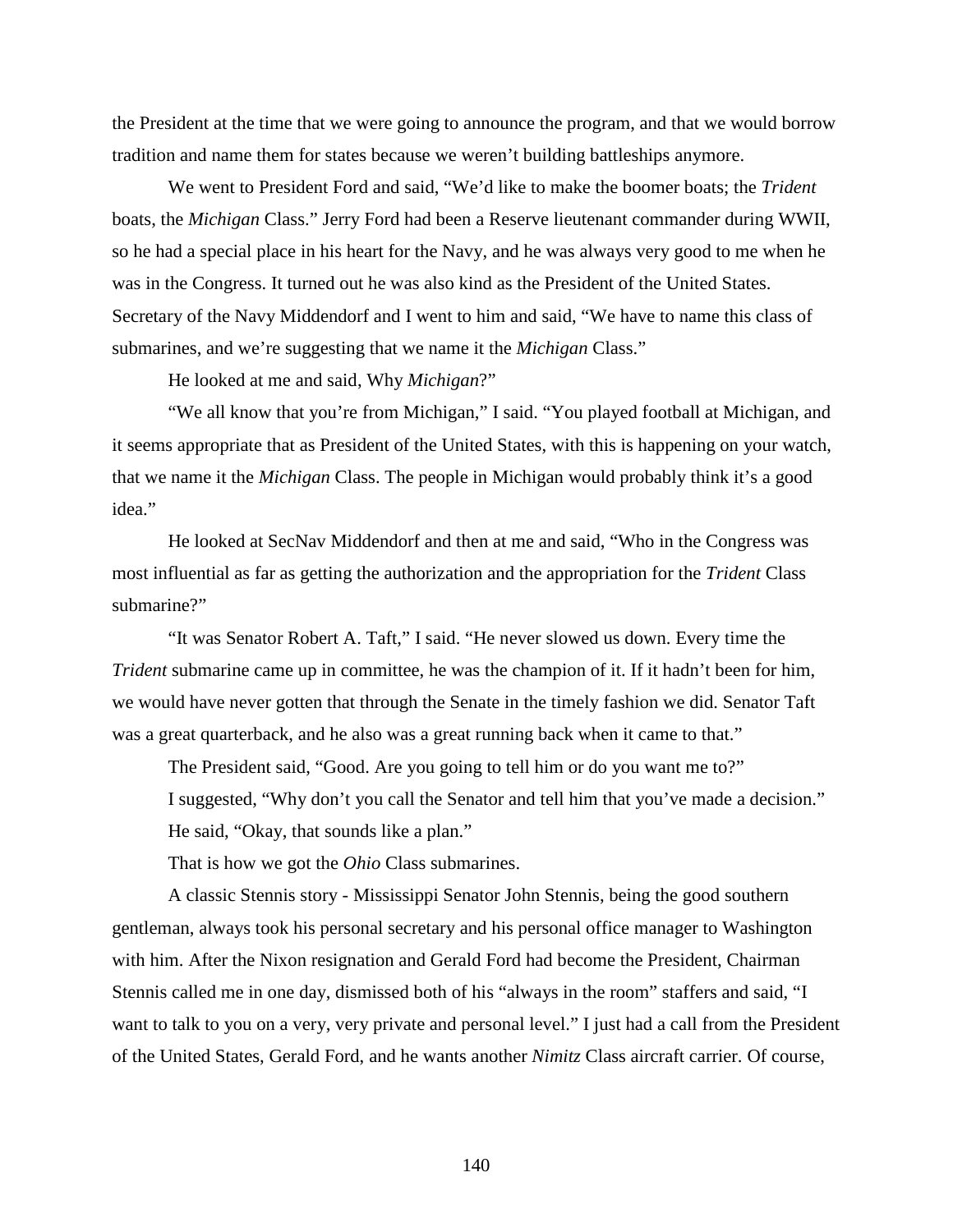the President at the time that we were going to announce the program, and that we would borrow tradition and name them for states because we weren't building battleships anymore.

We went to President Ford and said, "We'd like to make the boomer boats; the *Trident* boats, the *Michigan* Class." Jerry Ford had been a Reserve lieutenant commander during WWII, so he had a special place in his heart for the Navy, and he was always very good to me when he was in the Congress. It turned out he was also kind as the President of the United States. Secretary of the Navy Middendorf and I went to him and said, "We have to name this class of submarines, and we're suggesting that we name it the *Michigan* Class."

He looked at me and said, Why *Michigan*?"

"We all know that you're from Michigan," I said. "You played football at Michigan, and it seems appropriate that as President of the United States, with this is happening on your watch, that we name it the *Michigan* Class. The people in Michigan would probably think it's a good idea."

He looked at SecNav Middendorf and then at me and said, "Who in the Congress was most influential as far as getting the authorization and the appropriation for the *Trident* Class submarine?"

"It was Senator Robert A. Taft," I said. "He never slowed us down. Every time the *Trident* submarine came up in committee, he was the champion of it. If it hadn't been for him, we would have never gotten that through the Senate in the timely fashion we did. Senator Taft was a great quarterback, and he also was a great running back when it came to that."

The President said, "Good. Are you going to tell him or do you want me to?"

I suggested, "Why don't you call the Senator and tell him that you've made a decision." He said, "Okay, that sounds like a plan."

That is how we got the *Ohio* Class submarines.

A classic Stennis story - Mississippi Senator John Stennis, being the good southern gentleman, always took his personal secretary and his personal office manager to Washington with him. After the Nixon resignation and Gerald Ford had become the President, Chairman Stennis called me in one day, dismissed both of his "always in the room" staffers and said, "I want to talk to you on a very, very private and personal level." I just had a call from the President of the United States, Gerald Ford, and he wants another *Nimitz* Class aircraft carrier. Of course,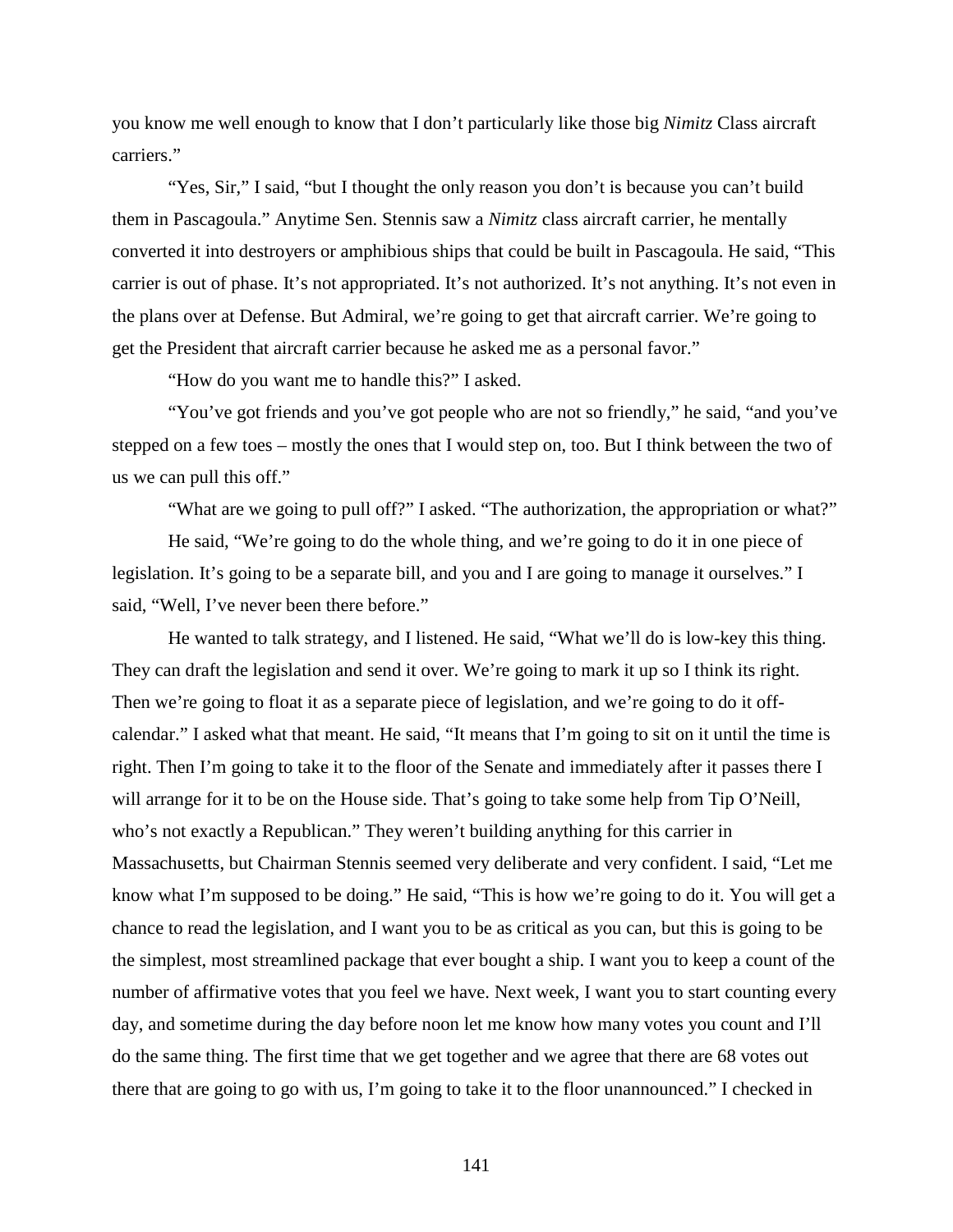you know me well enough to know that I don't particularly like those big *Nimitz* Class aircraft carriers."

"Yes, Sir," I said, "but I thought the only reason you don't is because you can't build them in Pascagoula." Anytime Sen. Stennis saw a *Nimitz* class aircraft carrier, he mentally converted it into destroyers or amphibious ships that could be built in Pascagoula. He said, "This carrier is out of phase. It's not appropriated. It's not authorized. It's not anything. It's not even in the plans over at Defense. But Admiral, we're going to get that aircraft carrier. We're going to get the President that aircraft carrier because he asked me as a personal favor."

"How do you want me to handle this?" I asked.

"You've got friends and you've got people who are not so friendly," he said, "and you've stepped on a few toes – mostly the ones that I would step on, too. But I think between the two of us we can pull this off."

"What are we going to pull off?" I asked. "The authorization, the appropriation or what?"

He said, "We're going to do the whole thing, and we're going to do it in one piece of legislation. It's going to be a separate bill, and you and I are going to manage it ourselves." I said, "Well, I've never been there before."

He wanted to talk strategy, and I listened. He said, "What we'll do is low-key this thing. They can draft the legislation and send it over. We're going to mark it up so I think its right. Then we're going to float it as a separate piece of legislation, and we're going to do it offcalendar." I asked what that meant. He said, "It means that I'm going to sit on it until the time is right. Then I'm going to take it to the floor of the Senate and immediately after it passes there I will arrange for it to be on the House side. That's going to take some help from Tip O'Neill, who's not exactly a Republican." They weren't building anything for this carrier in Massachusetts, but Chairman Stennis seemed very deliberate and very confident. I said, "Let me know what I'm supposed to be doing." He said, "This is how we're going to do it. You will get a chance to read the legislation, and I want you to be as critical as you can, but this is going to be the simplest, most streamlined package that ever bought a ship. I want you to keep a count of the number of affirmative votes that you feel we have. Next week, I want you to start counting every day, and sometime during the day before noon let me know how many votes you count and I'll do the same thing. The first time that we get together and we agree that there are 68 votes out there that are going to go with us, I'm going to take it to the floor unannounced." I checked in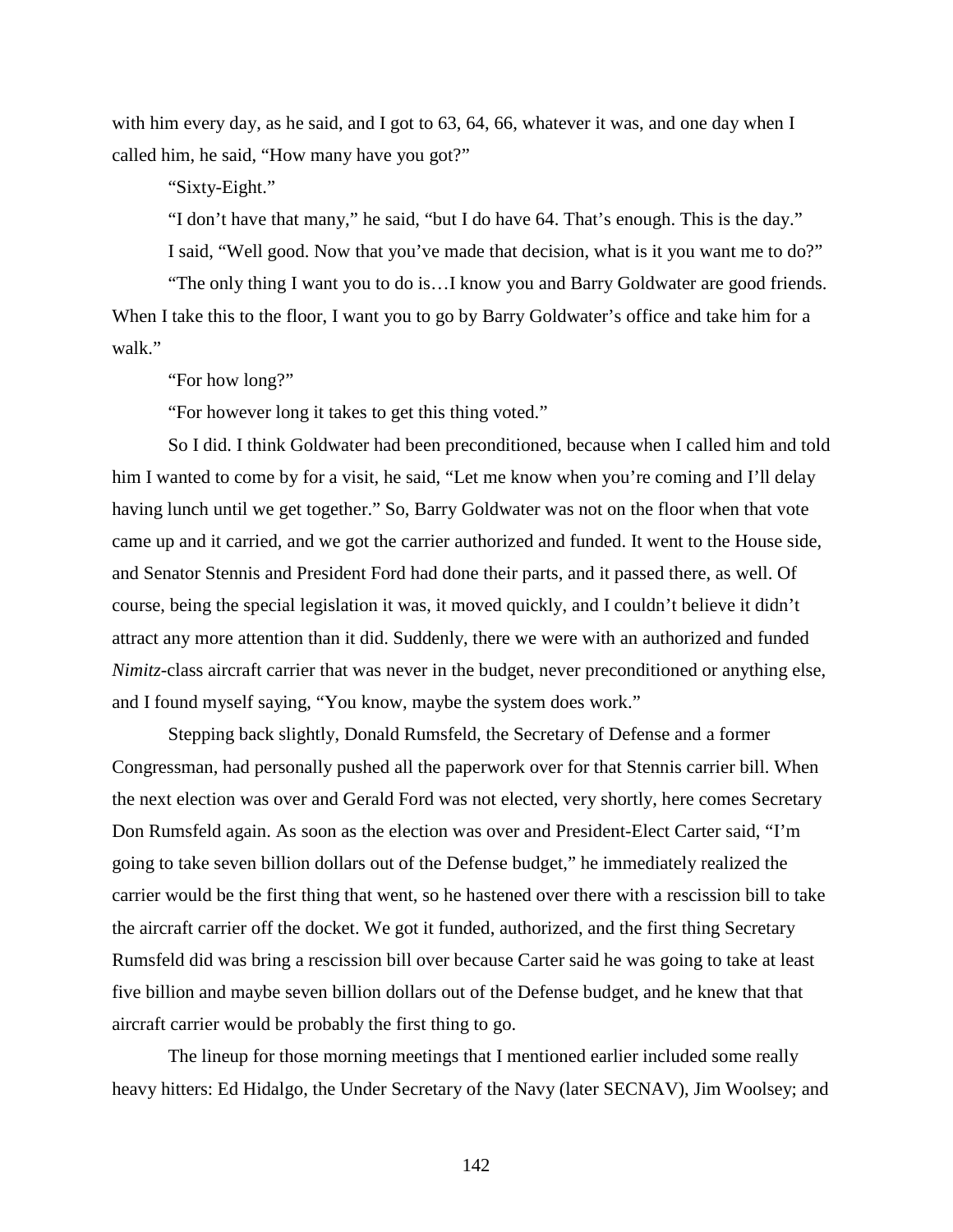with him every day, as he said, and I got to 63, 64, 66, whatever it was, and one day when I called him, he said, "How many have you got?"

"Sixty-Eight."

"I don't have that many," he said, "but I do have 64. That's enough. This is the day."

I said, "Well good. Now that you've made that decision, what is it you want me to do?"

"The only thing I want you to do is…I know you and Barry Goldwater are good friends. When I take this to the floor, I want you to go by Barry Goldwater's office and take him for a walk."

"For how long?"

"For however long it takes to get this thing voted."

So I did. I think Goldwater had been preconditioned, because when I called him and told him I wanted to come by for a visit, he said, "Let me know when you're coming and I'll delay having lunch until we get together." So, Barry Goldwater was not on the floor when that vote came up and it carried, and we got the carrier authorized and funded. It went to the House side, and Senator Stennis and President Ford had done their parts, and it passed there, as well. Of course, being the special legislation it was, it moved quickly, and I couldn't believe it didn't attract any more attention than it did. Suddenly, there we were with an authorized and funded *Nimitz*-class aircraft carrier that was never in the budget, never preconditioned or anything else, and I found myself saying, "You know, maybe the system does work."

Stepping back slightly, Donald Rumsfeld, the Secretary of Defense and a former Congressman, had personally pushed all the paperwork over for that Stennis carrier bill. When the next election was over and Gerald Ford was not elected, very shortly, here comes Secretary Don Rumsfeld again. As soon as the election was over and President-Elect Carter said, "I'm going to take seven billion dollars out of the Defense budget," he immediately realized the carrier would be the first thing that went, so he hastened over there with a rescission bill to take the aircraft carrier off the docket. We got it funded, authorized, and the first thing Secretary Rumsfeld did was bring a rescission bill over because Carter said he was going to take at least five billion and maybe seven billion dollars out of the Defense budget, and he knew that that aircraft carrier would be probably the first thing to go.

The lineup for those morning meetings that I mentioned earlier included some really heavy hitters: Ed Hidalgo, the Under Secretary of the Navy (later SECNAV), Jim Woolsey; and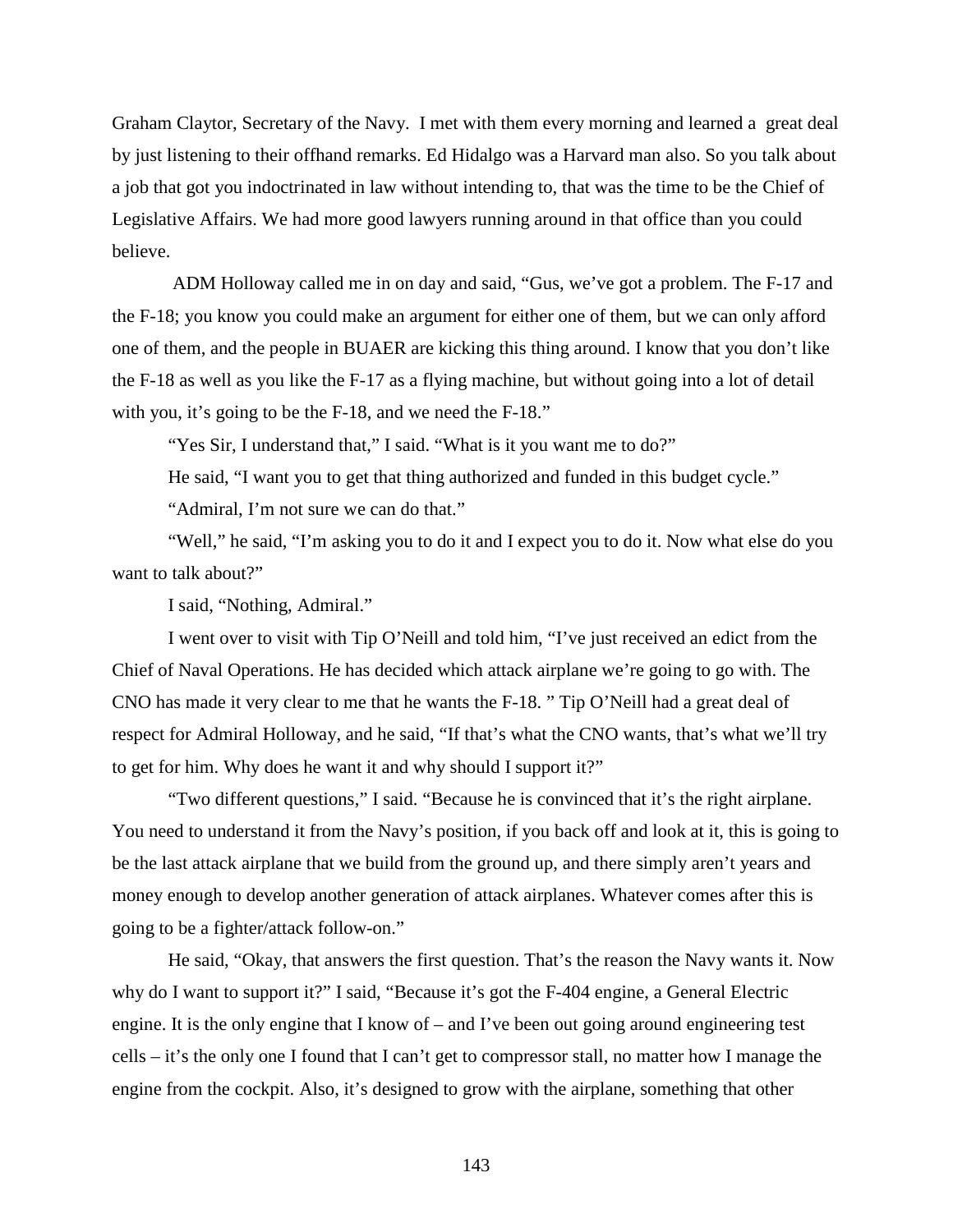Graham Claytor, Secretary of the Navy. I met with them every morning and learned a great deal by just listening to their offhand remarks. Ed Hidalgo was a Harvard man also. So you talk about a job that got you indoctrinated in law without intending to, that was the time to be the Chief of Legislative Affairs. We had more good lawyers running around in that office than you could believe.

ADM Holloway called me in on day and said, "Gus, we've got a problem. The F-17 and the F-18; you know you could make an argument for either one of them, but we can only afford one of them, and the people in BUAER are kicking this thing around. I know that you don't like the F-18 as well as you like the F-17 as a flying machine, but without going into a lot of detail with you, it's going to be the F-18, and we need the F-18."

"Yes Sir, I understand that," I said. "What is it you want me to do?"

He said, "I want you to get that thing authorized and funded in this budget cycle."

"Admiral, I'm not sure we can do that."

"Well," he said, "I'm asking you to do it and I expect you to do it. Now what else do you want to talk about?"

I said, "Nothing, Admiral."

I went over to visit with Tip O'Neill and told him, "I've just received an edict from the Chief of Naval Operations. He has decided which attack airplane we're going to go with. The CNO has made it very clear to me that he wants the F-18. " Tip O'Neill had a great deal of respect for Admiral Holloway, and he said, "If that's what the CNO wants, that's what we'll try to get for him. Why does he want it and why should I support it?"

"Two different questions," I said. "Because he is convinced that it's the right airplane. You need to understand it from the Navy's position, if you back off and look at it, this is going to be the last attack airplane that we build from the ground up, and there simply aren't years and money enough to develop another generation of attack airplanes. Whatever comes after this is going to be a fighter/attack follow-on."

He said, "Okay, that answers the first question. That's the reason the Navy wants it. Now why do I want to support it?" I said, "Because it's got the F-404 engine, a General Electric engine. It is the only engine that I know of – and I've been out going around engineering test cells – it's the only one I found that I can't get to compressor stall, no matter how I manage the engine from the cockpit. Also, it's designed to grow with the airplane, something that other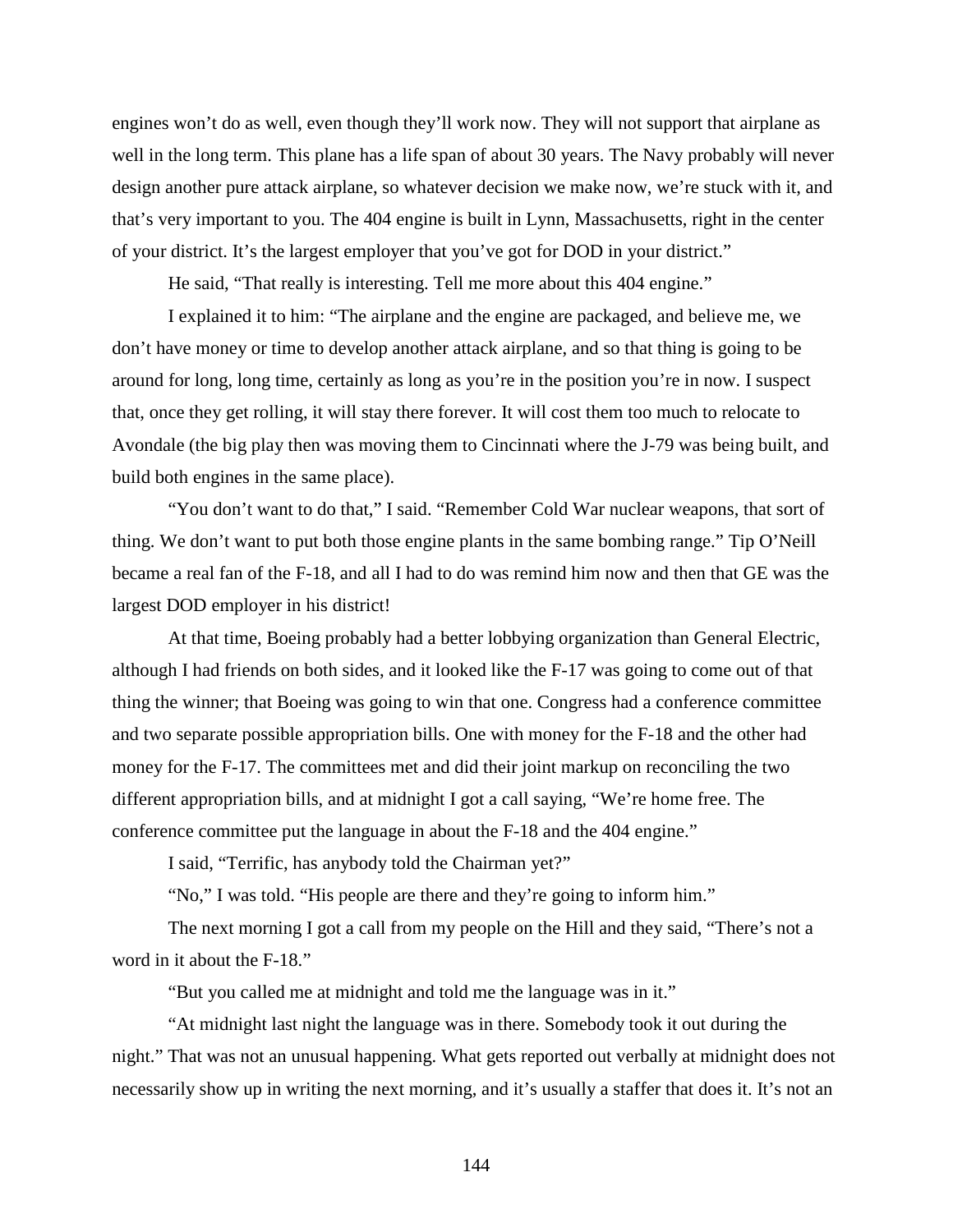engines won't do as well, even though they'll work now. They will not support that airplane as well in the long term. This plane has a life span of about 30 years. The Navy probably will never design another pure attack airplane, so whatever decision we make now, we're stuck with it, and that's very important to you. The 404 engine is built in Lynn, Massachusetts, right in the center of your district. It's the largest employer that you've got for DOD in your district."

He said, "That really is interesting. Tell me more about this 404 engine."

I explained it to him: "The airplane and the engine are packaged, and believe me, we don't have money or time to develop another attack airplane, and so that thing is going to be around for long, long time, certainly as long as you're in the position you're in now. I suspect that, once they get rolling, it will stay there forever. It will cost them too much to relocate to Avondale (the big play then was moving them to Cincinnati where the J-79 was being built, and build both engines in the same place).

"You don't want to do that," I said. "Remember Cold War nuclear weapons, that sort of thing. We don't want to put both those engine plants in the same bombing range." Tip O'Neill became a real fan of the F-18, and all I had to do was remind him now and then that GE was the largest DOD employer in his district!

At that time, Boeing probably had a better lobbying organization than General Electric, although I had friends on both sides, and it looked like the F-17 was going to come out of that thing the winner; that Boeing was going to win that one. Congress had a conference committee and two separate possible appropriation bills. One with money for the F-18 and the other had money for the F-17. The committees met and did their joint markup on reconciling the two different appropriation bills, and at midnight I got a call saying, "We're home free. The conference committee put the language in about the F-18 and the 404 engine."

I said, "Terrific, has anybody told the Chairman yet?"

"No," I was told. "His people are there and they're going to inform him."

The next morning I got a call from my people on the Hill and they said, "There's not a word in it about the F-18."

"But you called me at midnight and told me the language was in it."

"At midnight last night the language was in there. Somebody took it out during the night." That was not an unusual happening. What gets reported out verbally at midnight does not necessarily show up in writing the next morning, and it's usually a staffer that does it. It's not an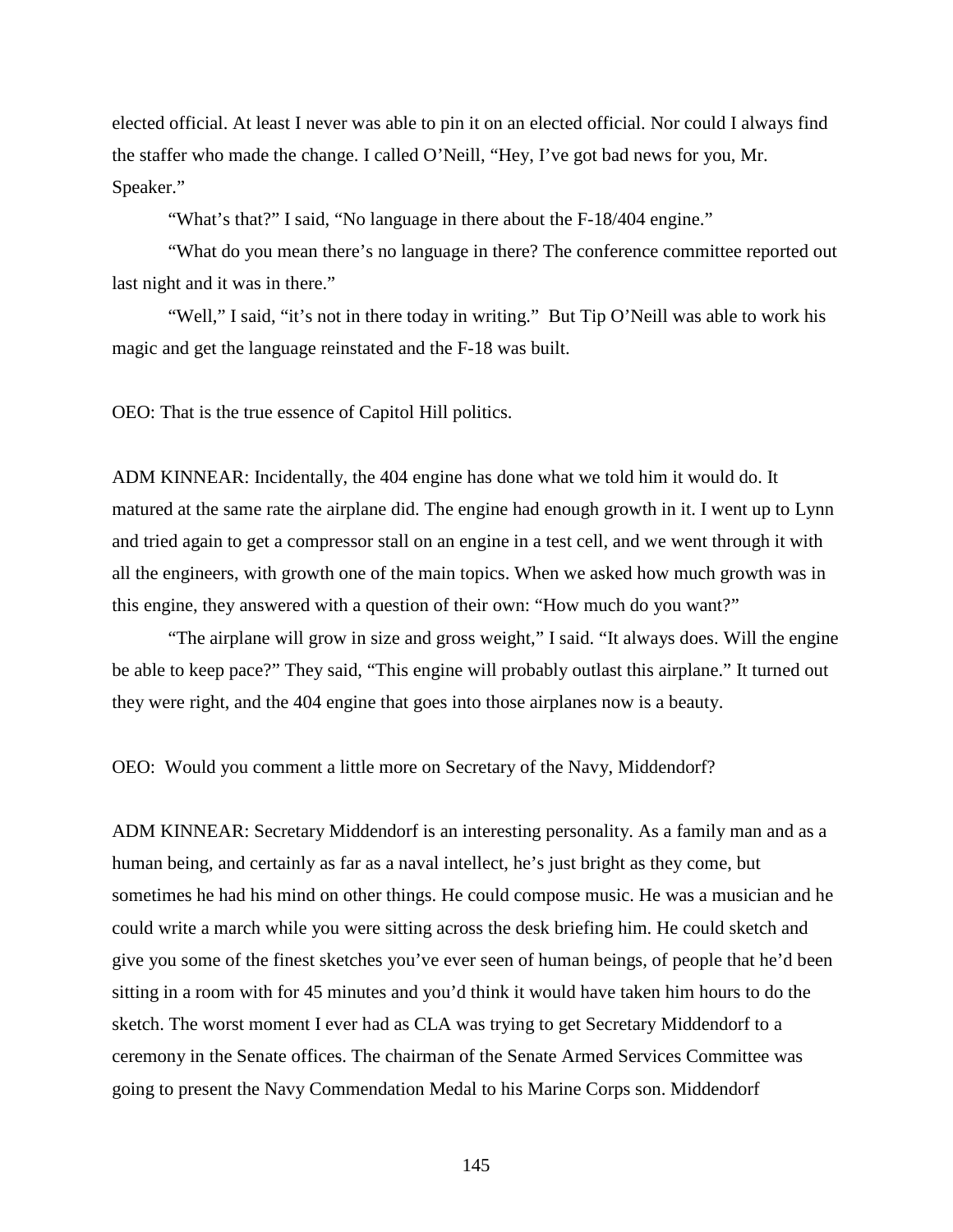elected official. At least I never was able to pin it on an elected official. Nor could I always find the staffer who made the change. I called O'Neill, "Hey, I've got bad news for you, Mr. Speaker."

"What's that?" I said, "No language in there about the F-18/404 engine."

"What do you mean there's no language in there? The conference committee reported out last night and it was in there."

"Well," I said, "it's not in there today in writing." But Tip O'Neill was able to work his magic and get the language reinstated and the F-18 was built.

OEO: That is the true essence of Capitol Hill politics.

ADM KINNEAR: Incidentally, the 404 engine has done what we told him it would do. It matured at the same rate the airplane did. The engine had enough growth in it. I went up to Lynn and tried again to get a compressor stall on an engine in a test cell, and we went through it with all the engineers, with growth one of the main topics. When we asked how much growth was in this engine, they answered with a question of their own: "How much do you want?"

"The airplane will grow in size and gross weight," I said. "It always does. Will the engine be able to keep pace?" They said, "This engine will probably outlast this airplane." It turned out they were right, and the 404 engine that goes into those airplanes now is a beauty.

OEO: Would you comment a little more on Secretary of the Navy, Middendorf?

ADM KINNEAR: Secretary Middendorf is an interesting personality. As a family man and as a human being, and certainly as far as a naval intellect, he's just bright as they come, but sometimes he had his mind on other things. He could compose music. He was a musician and he could write a march while you were sitting across the desk briefing him. He could sketch and give you some of the finest sketches you've ever seen of human beings, of people that he'd been sitting in a room with for 45 minutes and you'd think it would have taken him hours to do the sketch. The worst moment I ever had as CLA was trying to get Secretary Middendorf to a ceremony in the Senate offices. The chairman of the Senate Armed Services Committee was going to present the Navy Commendation Medal to his Marine Corps son. Middendorf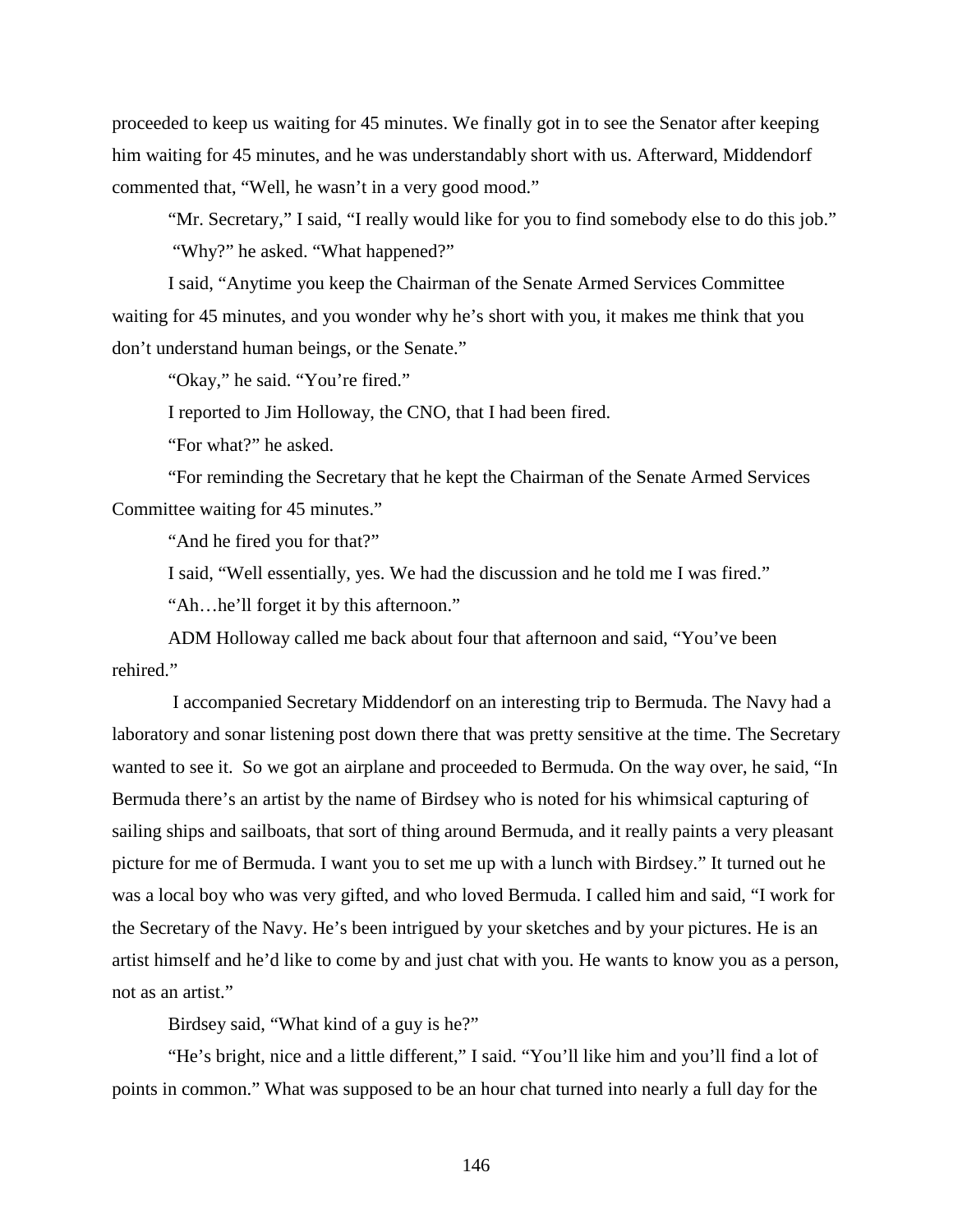proceeded to keep us waiting for 45 minutes. We finally got in to see the Senator after keeping him waiting for 45 minutes, and he was understandably short with us. Afterward, Middendorf commented that, "Well, he wasn't in a very good mood."

"Mr. Secretary," I said, "I really would like for you to find somebody else to do this job." "Why?" he asked. "What happened?"

I said, "Anytime you keep the Chairman of the Senate Armed Services Committee waiting for 45 minutes, and you wonder why he's short with you, it makes me think that you don't understand human beings, or the Senate."

"Okay," he said. "You're fired."

I reported to Jim Holloway, the CNO, that I had been fired.

"For what?" he asked.

"For reminding the Secretary that he kept the Chairman of the Senate Armed Services Committee waiting for 45 minutes."

"And he fired you for that?"

I said, "Well essentially, yes. We had the discussion and he told me I was fired."

"Ah…he'll forget it by this afternoon."

ADM Holloway called me back about four that afternoon and said, "You've been rehired."

I accompanied Secretary Middendorf on an interesting trip to Bermuda. The Navy had a laboratory and sonar listening post down there that was pretty sensitive at the time. The Secretary wanted to see it. So we got an airplane and proceeded to Bermuda. On the way over, he said, "In Bermuda there's an artist by the name of Birdsey who is noted for his whimsical capturing of sailing ships and sailboats, that sort of thing around Bermuda, and it really paints a very pleasant picture for me of Bermuda. I want you to set me up with a lunch with Birdsey." It turned out he was a local boy who was very gifted, and who loved Bermuda. I called him and said, "I work for the Secretary of the Navy. He's been intrigued by your sketches and by your pictures. He is an artist himself and he'd like to come by and just chat with you. He wants to know you as a person, not as an artist."

Birdsey said, "What kind of a guy is he?"

"He's bright, nice and a little different," I said. "You'll like him and you'll find a lot of points in common." What was supposed to be an hour chat turned into nearly a full day for the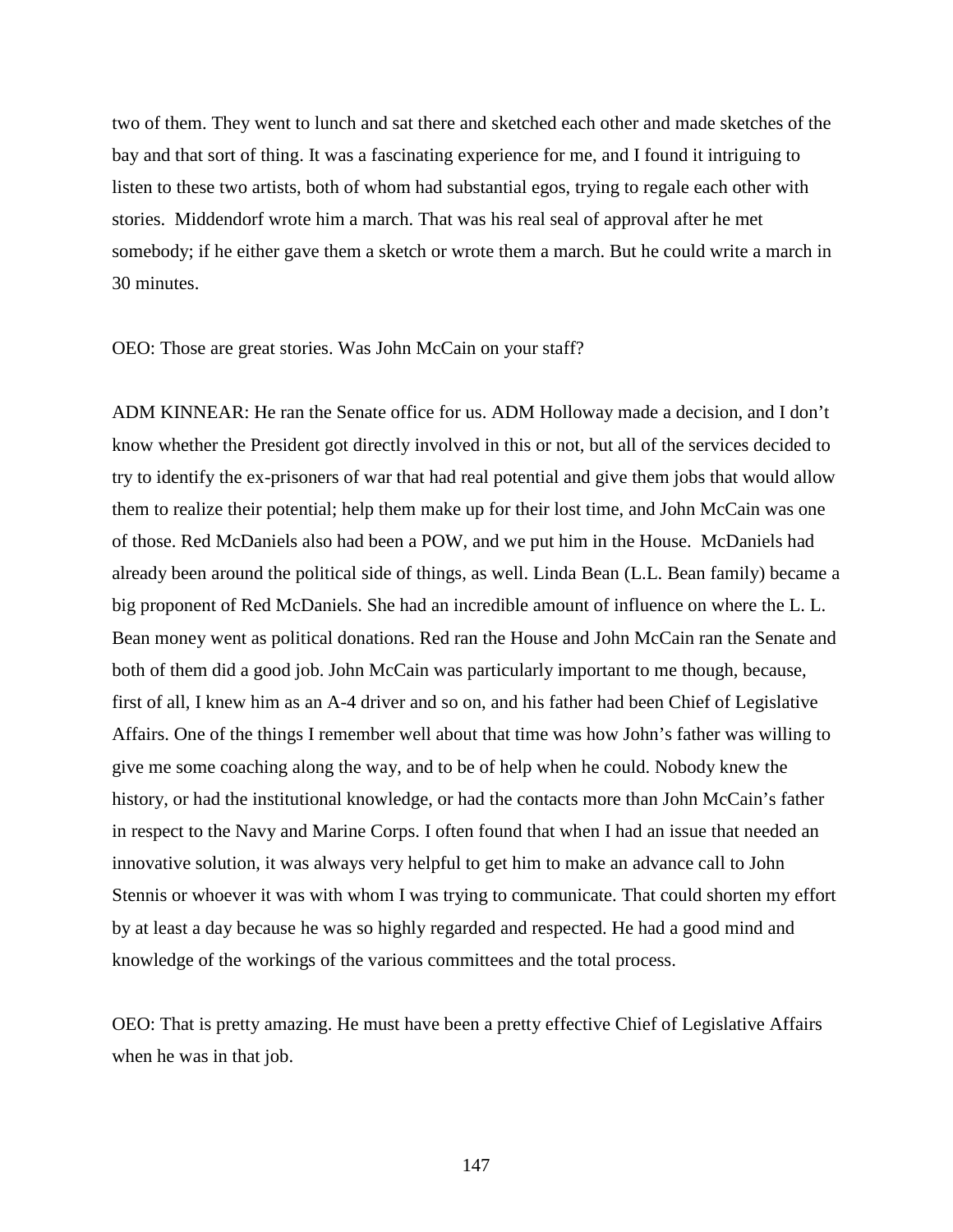two of them. They went to lunch and sat there and sketched each other and made sketches of the bay and that sort of thing. It was a fascinating experience for me, and I found it intriguing to listen to these two artists, both of whom had substantial egos, trying to regale each other with stories. Middendorf wrote him a march. That was his real seal of approval after he met somebody; if he either gave them a sketch or wrote them a march. But he could write a march in 30 minutes.

OEO: Those are great stories. Was John McCain on your staff?

ADM KINNEAR: He ran the Senate office for us. ADM Holloway made a decision, and I don't know whether the President got directly involved in this or not, but all of the services decided to try to identify the ex-prisoners of war that had real potential and give them jobs that would allow them to realize their potential; help them make up for their lost time, and John McCain was one of those. Red McDaniels also had been a POW, and we put him in the House. McDaniels had already been around the political side of things, as well. Linda Bean (L.L. Bean family) became a big proponent of Red McDaniels. She had an incredible amount of influence on where the L. L. Bean money went as political donations. Red ran the House and John McCain ran the Senate and both of them did a good job. John McCain was particularly important to me though, because, first of all, I knew him as an A-4 driver and so on, and his father had been Chief of Legislative Affairs. One of the things I remember well about that time was how John's father was willing to give me some coaching along the way, and to be of help when he could. Nobody knew the history, or had the institutional knowledge, or had the contacts more than John McCain's father in respect to the Navy and Marine Corps. I often found that when I had an issue that needed an innovative solution, it was always very helpful to get him to make an advance call to John Stennis or whoever it was with whom I was trying to communicate. That could shorten my effort by at least a day because he was so highly regarded and respected. He had a good mind and knowledge of the workings of the various committees and the total process.

OEO: That is pretty amazing. He must have been a pretty effective Chief of Legislative Affairs when he was in that job.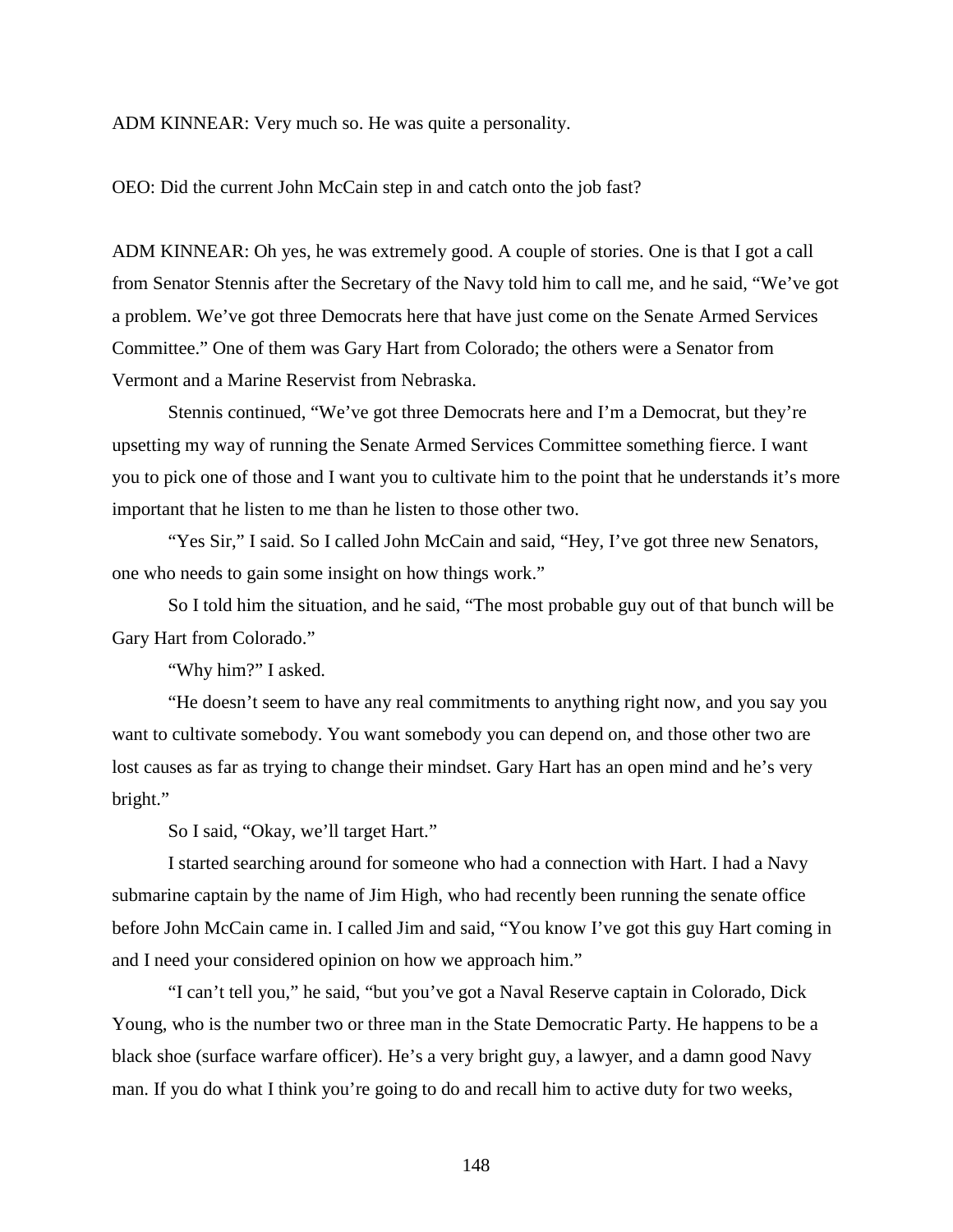ADM KINNEAR: Very much so. He was quite a personality.

OEO: Did the current John McCain step in and catch onto the job fast?

ADM KINNEAR: Oh yes, he was extremely good. A couple of stories. One is that I got a call from Senator Stennis after the Secretary of the Navy told him to call me, and he said, "We've got a problem. We've got three Democrats here that have just come on the Senate Armed Services Committee." One of them was Gary Hart from Colorado; the others were a Senator from Vermont and a Marine Reservist from Nebraska.

Stennis continued, "We've got three Democrats here and I'm a Democrat, but they're upsetting my way of running the Senate Armed Services Committee something fierce. I want you to pick one of those and I want you to cultivate him to the point that he understands it's more important that he listen to me than he listen to those other two.

"Yes Sir," I said. So I called John McCain and said, "Hey, I've got three new Senators, one who needs to gain some insight on how things work."

So I told him the situation, and he said, "The most probable guy out of that bunch will be Gary Hart from Colorado."

"Why him?" I asked.

"He doesn't seem to have any real commitments to anything right now, and you say you want to cultivate somebody. You want somebody you can depend on, and those other two are lost causes as far as trying to change their mindset. Gary Hart has an open mind and he's very bright."

So I said, "Okay, we'll target Hart."

I started searching around for someone who had a connection with Hart. I had a Navy submarine captain by the name of Jim High, who had recently been running the senate office before John McCain came in. I called Jim and said, "You know I've got this guy Hart coming in and I need your considered opinion on how we approach him."

"I can't tell you," he said, "but you've got a Naval Reserve captain in Colorado, Dick Young, who is the number two or three man in the State Democratic Party. He happens to be a black shoe (surface warfare officer). He's a very bright guy, a lawyer, and a damn good Navy man. If you do what I think you're going to do and recall him to active duty for two weeks,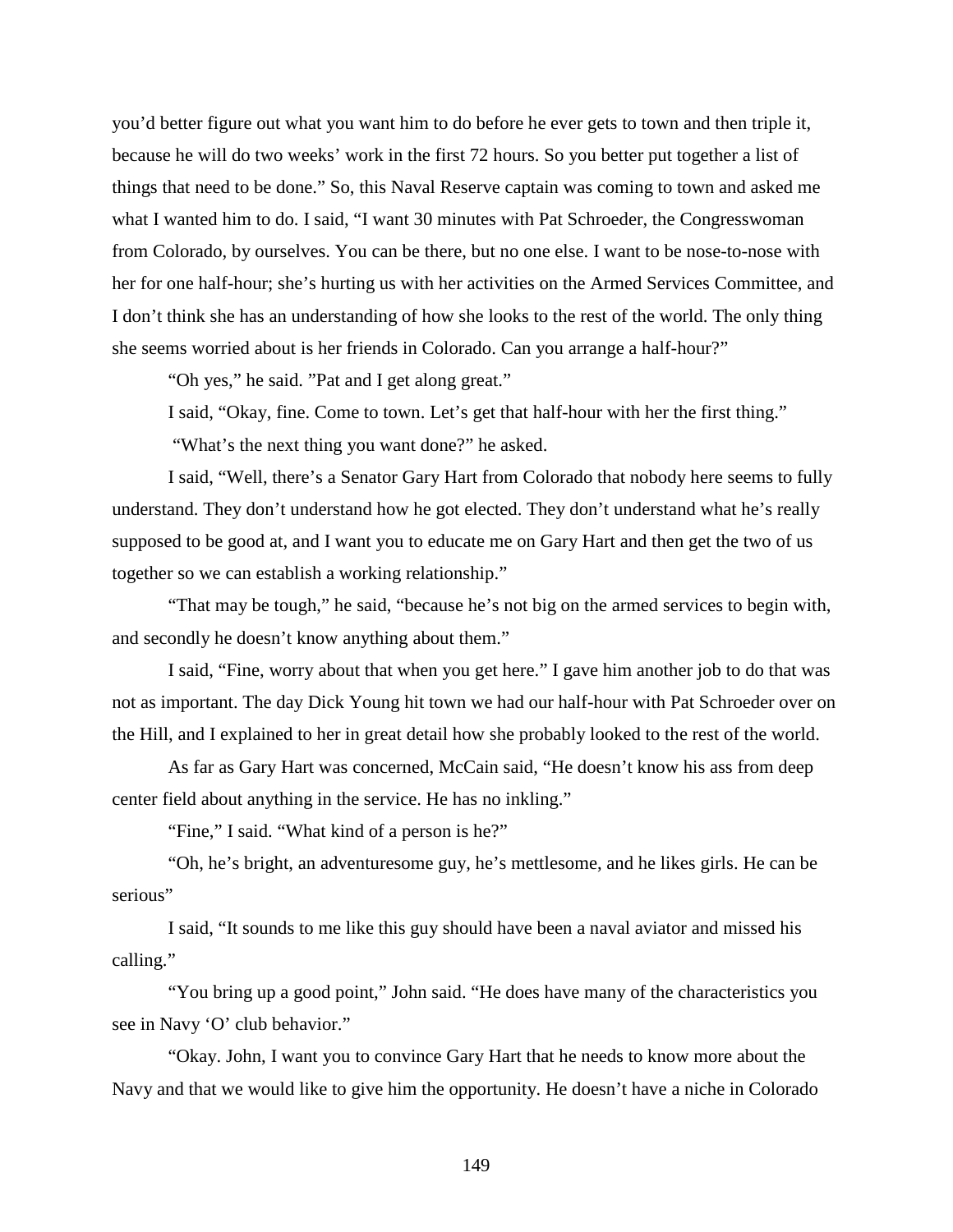you'd better figure out what you want him to do before he ever gets to town and then triple it, because he will do two weeks' work in the first 72 hours. So you better put together a list of things that need to be done." So, this Naval Reserve captain was coming to town and asked me what I wanted him to do. I said, "I want 30 minutes with Pat Schroeder, the Congresswoman from Colorado, by ourselves. You can be there, but no one else. I want to be nose-to-nose with her for one half-hour; she's hurting us with her activities on the Armed Services Committee, and I don't think she has an understanding of how she looks to the rest of the world. The only thing she seems worried about is her friends in Colorado. Can you arrange a half-hour?"

"Oh yes," he said. "Pat and I get along great."

I said, "Okay, fine. Come to town. Let's get that half-hour with her the first thing."

"What's the next thing you want done?" he asked.

I said, "Well, there's a Senator Gary Hart from Colorado that nobody here seems to fully understand. They don't understand how he got elected. They don't understand what he's really supposed to be good at, and I want you to educate me on Gary Hart and then get the two of us together so we can establish a working relationship."

"That may be tough," he said, "because he's not big on the armed services to begin with, and secondly he doesn't know anything about them."

I said, "Fine, worry about that when you get here." I gave him another job to do that was not as important. The day Dick Young hit town we had our half-hour with Pat Schroeder over on the Hill, and I explained to her in great detail how she probably looked to the rest of the world.

As far as Gary Hart was concerned, McCain said, "He doesn't know his ass from deep center field about anything in the service. He has no inkling."

"Fine," I said. "What kind of a person is he?"

"Oh, he's bright, an adventuresome guy, he's mettlesome, and he likes girls. He can be serious"

I said, "It sounds to me like this guy should have been a naval aviator and missed his calling."

"You bring up a good point," John said. "He does have many of the characteristics you see in Navy 'O' club behavior."

"Okay. John, I want you to convince Gary Hart that he needs to know more about the Navy and that we would like to give him the opportunity. He doesn't have a niche in Colorado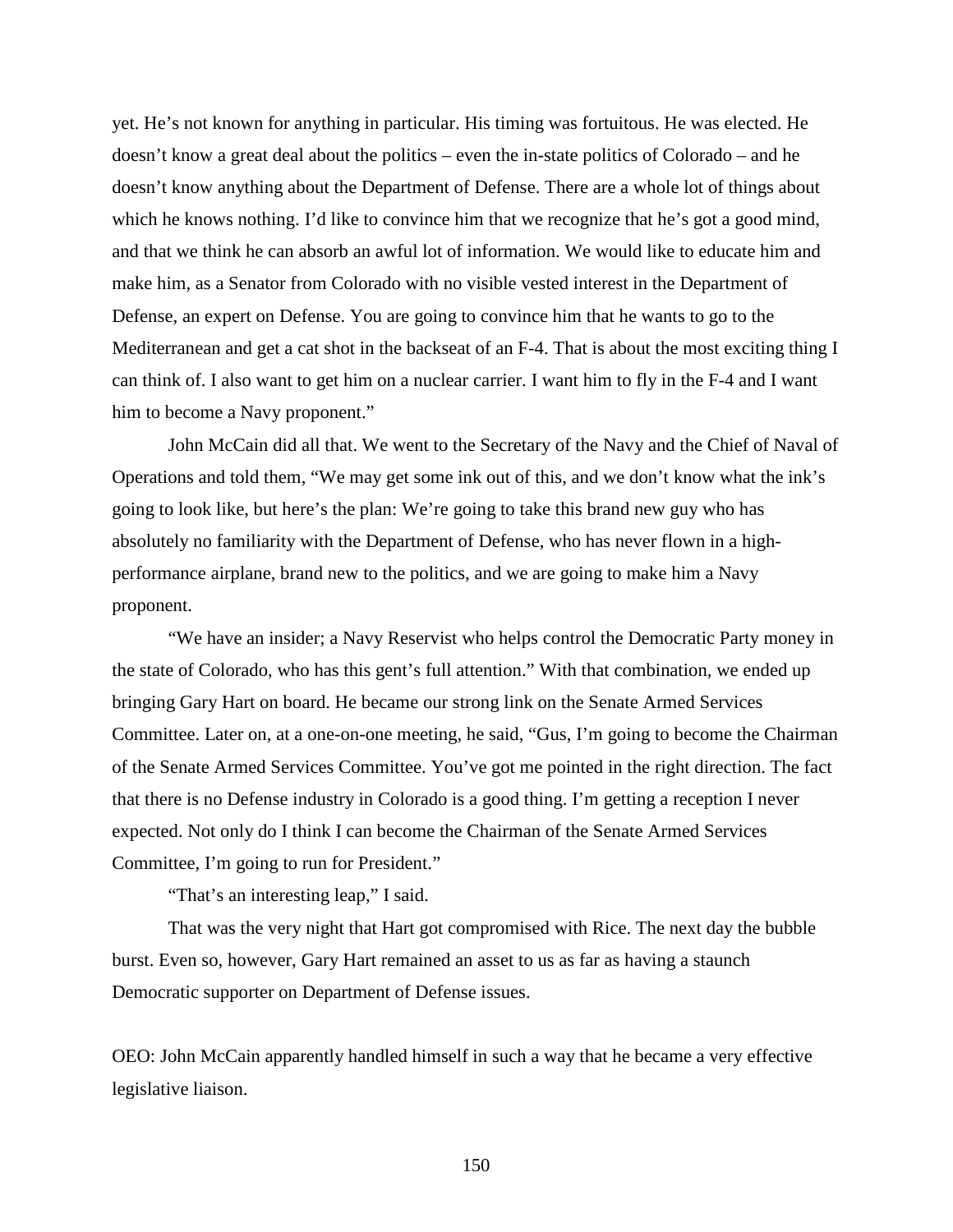yet. He's not known for anything in particular. His timing was fortuitous. He was elected. He doesn't know a great deal about the politics – even the in-state politics of Colorado – and he doesn't know anything about the Department of Defense. There are a whole lot of things about which he knows nothing. I'd like to convince him that we recognize that he's got a good mind, and that we think he can absorb an awful lot of information. We would like to educate him and make him, as a Senator from Colorado with no visible vested interest in the Department of Defense, an expert on Defense. You are going to convince him that he wants to go to the Mediterranean and get a cat shot in the backseat of an F-4. That is about the most exciting thing I can think of. I also want to get him on a nuclear carrier. I want him to fly in the F-4 and I want him to become a Navy proponent."

John McCain did all that. We went to the Secretary of the Navy and the Chief of Naval of Operations and told them, "We may get some ink out of this, and we don't know what the ink's going to look like, but here's the plan: We're going to take this brand new guy who has absolutely no familiarity with the Department of Defense, who has never flown in a highperformance airplane, brand new to the politics, and we are going to make him a Navy proponent.

"We have an insider; a Navy Reservist who helps control the Democratic Party money in the state of Colorado, who has this gent's full attention." With that combination, we ended up bringing Gary Hart on board. He became our strong link on the Senate Armed Services Committee. Later on, at a one-on-one meeting, he said, "Gus, I'm going to become the Chairman of the Senate Armed Services Committee. You've got me pointed in the right direction. The fact that there is no Defense industry in Colorado is a good thing. I'm getting a reception I never expected. Not only do I think I can become the Chairman of the Senate Armed Services Committee, I'm going to run for President."

"That's an interesting leap," I said.

That was the very night that Hart got compromised with Rice. The next day the bubble burst. Even so, however, Gary Hart remained an asset to us as far as having a staunch Democratic supporter on Department of Defense issues.

OEO: John McCain apparently handled himself in such a way that he became a very effective legislative liaison.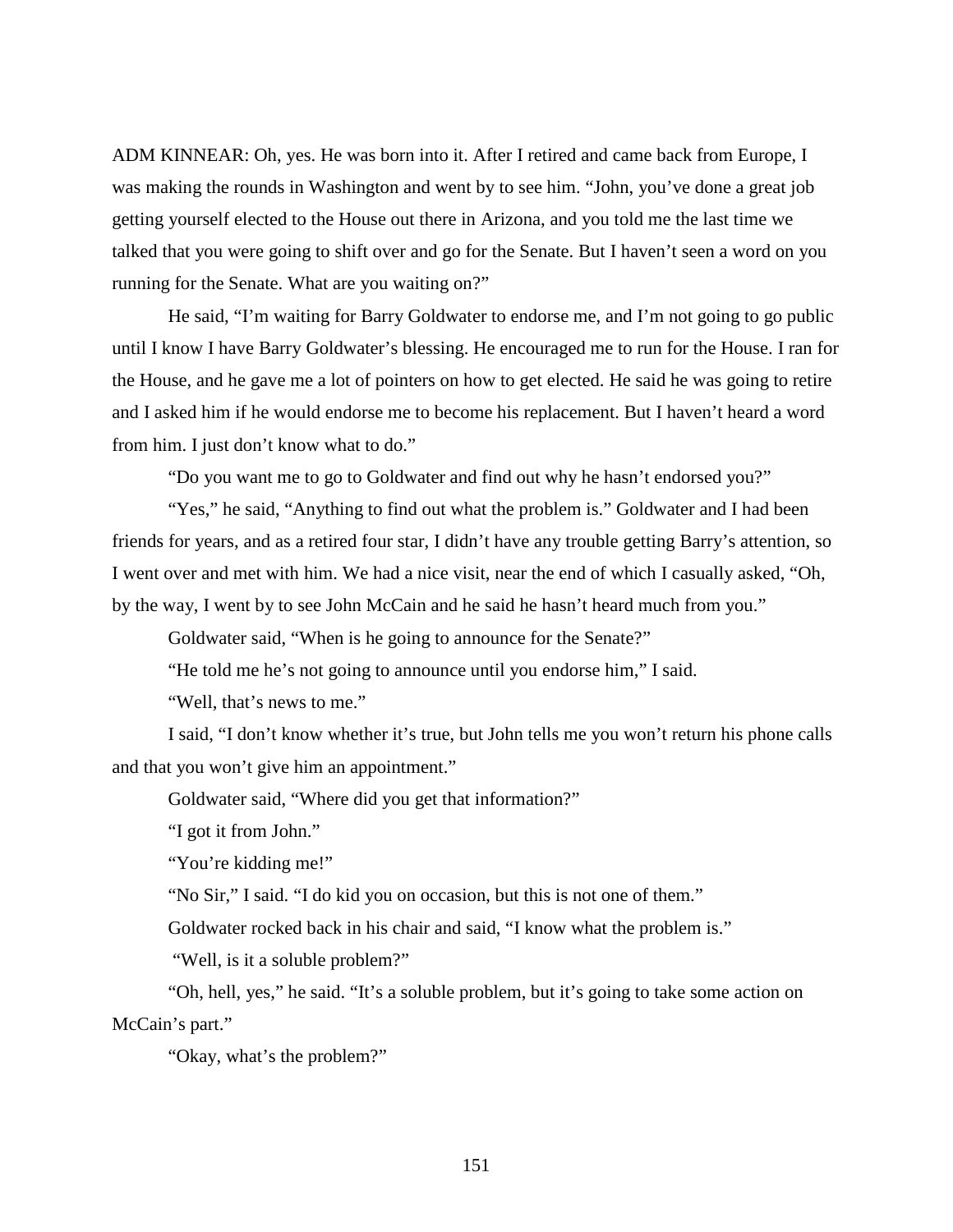ADM KINNEAR: Oh, yes. He was born into it. After I retired and came back from Europe, I was making the rounds in Washington and went by to see him. "John, you've done a great job getting yourself elected to the House out there in Arizona, and you told me the last time we talked that you were going to shift over and go for the Senate. But I haven't seen a word on you running for the Senate. What are you waiting on?"

He said, "I'm waiting for Barry Goldwater to endorse me, and I'm not going to go public until I know I have Barry Goldwater's blessing. He encouraged me to run for the House. I ran for the House, and he gave me a lot of pointers on how to get elected. He said he was going to retire and I asked him if he would endorse me to become his replacement. But I haven't heard a word from him. I just don't know what to do."

"Do you want me to go to Goldwater and find out why he hasn't endorsed you?"

"Yes," he said, "Anything to find out what the problem is." Goldwater and I had been friends for years, and as a retired four star, I didn't have any trouble getting Barry's attention, so I went over and met with him. We had a nice visit, near the end of which I casually asked, "Oh, by the way, I went by to see John McCain and he said he hasn't heard much from you."

Goldwater said, "When is he going to announce for the Senate?"

"He told me he's not going to announce until you endorse him," I said.

"Well, that's news to me."

I said, "I don't know whether it's true, but John tells me you won't return his phone calls and that you won't give him an appointment."

Goldwater said, "Where did you get that information?"

"I got it from John."

"You're kidding me!"

"No Sir," I said. "I do kid you on occasion, but this is not one of them."

Goldwater rocked back in his chair and said, "I know what the problem is."

"Well, is it a soluble problem?"

"Oh, hell, yes," he said. "It's a soluble problem, but it's going to take some action on McCain's part."

"Okay, what's the problem?"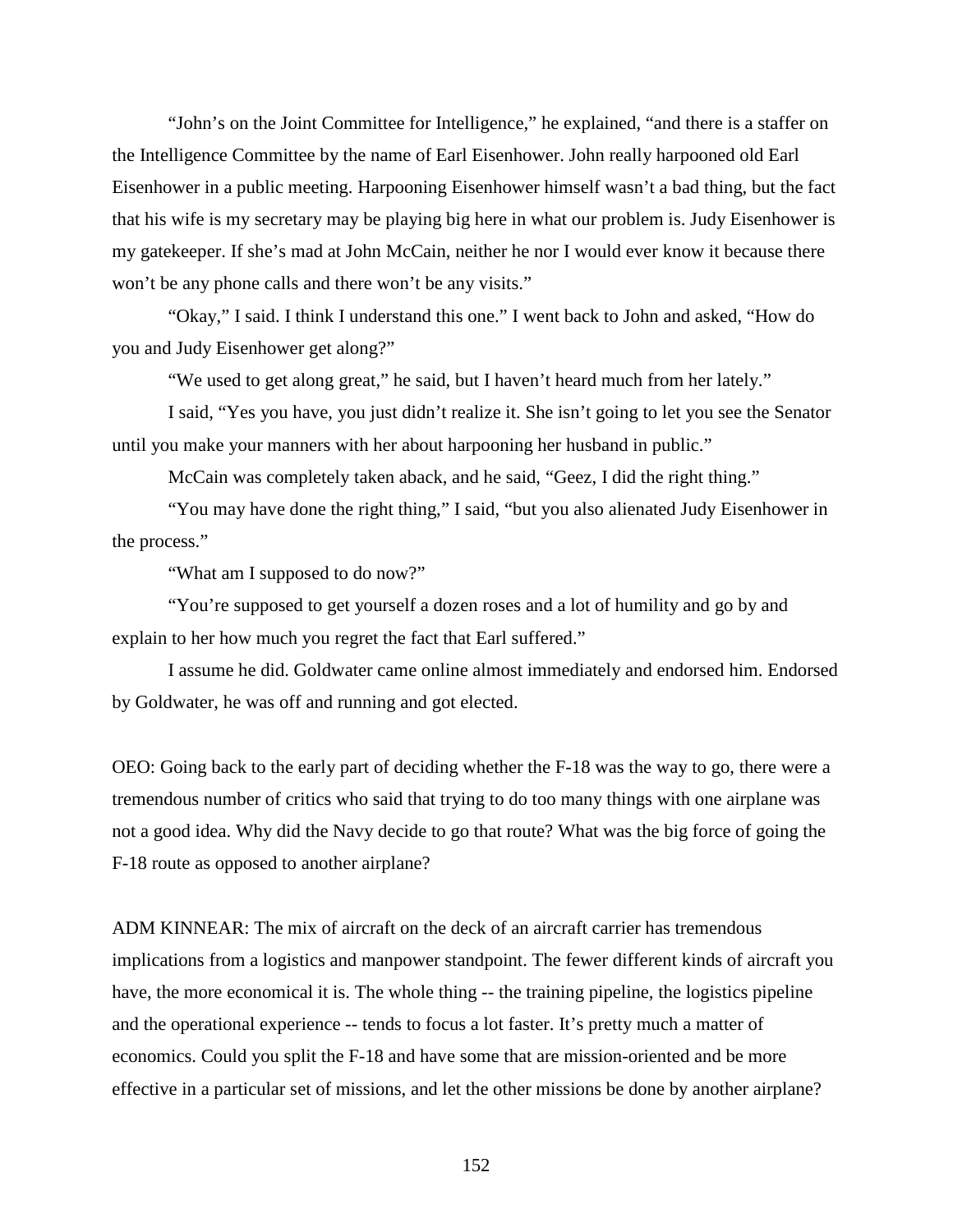"John's on the Joint Committee for Intelligence," he explained, "and there is a staffer on the Intelligence Committee by the name of Earl Eisenhower. John really harpooned old Earl Eisenhower in a public meeting. Harpooning Eisenhower himself wasn't a bad thing, but the fact that his wife is my secretary may be playing big here in what our problem is. Judy Eisenhower is my gatekeeper. If she's mad at John McCain, neither he nor I would ever know it because there won't be any phone calls and there won't be any visits."

"Okay," I said. I think I understand this one." I went back to John and asked, "How do you and Judy Eisenhower get along?"

"We used to get along great," he said, but I haven't heard much from her lately."

I said, "Yes you have, you just didn't realize it. She isn't going to let you see the Senator until you make your manners with her about harpooning her husband in public."

McCain was completely taken aback, and he said, "Geez, I did the right thing."

"You may have done the right thing," I said, "but you also alienated Judy Eisenhower in the process."

"What am I supposed to do now?"

"You're supposed to get yourself a dozen roses and a lot of humility and go by and explain to her how much you regret the fact that Earl suffered."

I assume he did. Goldwater came online almost immediately and endorsed him. Endorsed by Goldwater, he was off and running and got elected.

OEO: Going back to the early part of deciding whether the F-18 was the way to go, there were a tremendous number of critics who said that trying to do too many things with one airplane was not a good idea. Why did the Navy decide to go that route? What was the big force of going the F-18 route as opposed to another airplane?

ADM KINNEAR: The mix of aircraft on the deck of an aircraft carrier has tremendous implications from a logistics and manpower standpoint. The fewer different kinds of aircraft you have, the more economical it is. The whole thing -- the training pipeline, the logistics pipeline and the operational experience -- tends to focus a lot faster. It's pretty much a matter of economics. Could you split the F-18 and have some that are mission-oriented and be more effective in a particular set of missions, and let the other missions be done by another airplane?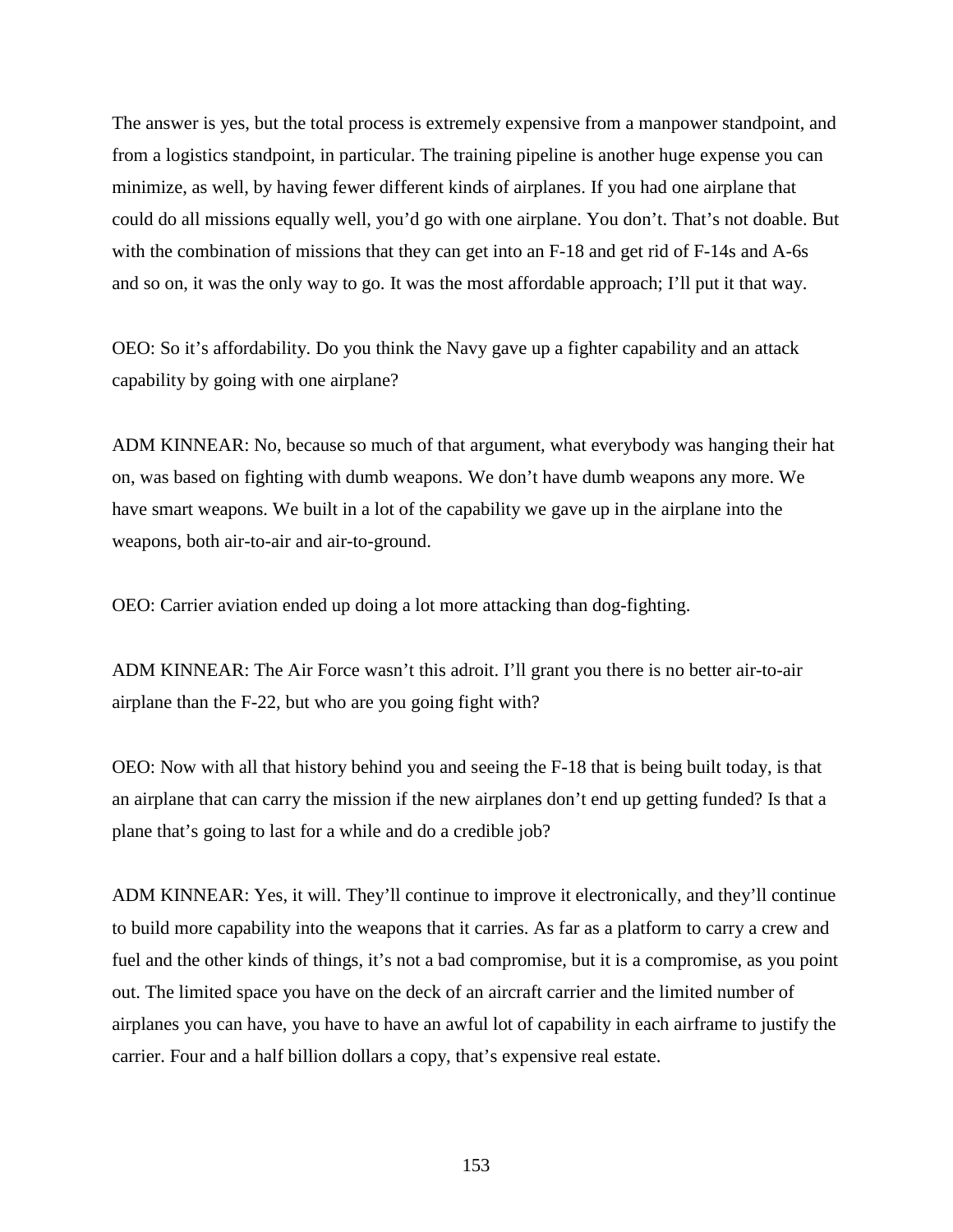The answer is yes, but the total process is extremely expensive from a manpower standpoint, and from a logistics standpoint, in particular. The training pipeline is another huge expense you can minimize, as well, by having fewer different kinds of airplanes. If you had one airplane that could do all missions equally well, you'd go with one airplane. You don't. That's not doable. But with the combination of missions that they can get into an F-18 and get rid of F-14s and A-6s and so on, it was the only way to go. It was the most affordable approach; I'll put it that way.

OEO: So it's affordability. Do you think the Navy gave up a fighter capability and an attack capability by going with one airplane?

ADM KINNEAR: No, because so much of that argument, what everybody was hanging their hat on, was based on fighting with dumb weapons. We don't have dumb weapons any more. We have smart weapons. We built in a lot of the capability we gave up in the airplane into the weapons, both air-to-air and air-to-ground.

OEO: Carrier aviation ended up doing a lot more attacking than dog-fighting.

ADM KINNEAR: The Air Force wasn't this adroit. I'll grant you there is no better air-to-air airplane than the F-22, but who are you going fight with?

OEO: Now with all that history behind you and seeing the F-18 that is being built today, is that an airplane that can carry the mission if the new airplanes don't end up getting funded? Is that a plane that's going to last for a while and do a credible job?

ADM KINNEAR: Yes, it will. They'll continue to improve it electronically, and they'll continue to build more capability into the weapons that it carries. As far as a platform to carry a crew and fuel and the other kinds of things, it's not a bad compromise, but it is a compromise, as you point out. The limited space you have on the deck of an aircraft carrier and the limited number of airplanes you can have, you have to have an awful lot of capability in each airframe to justify the carrier. Four and a half billion dollars a copy, that's expensive real estate.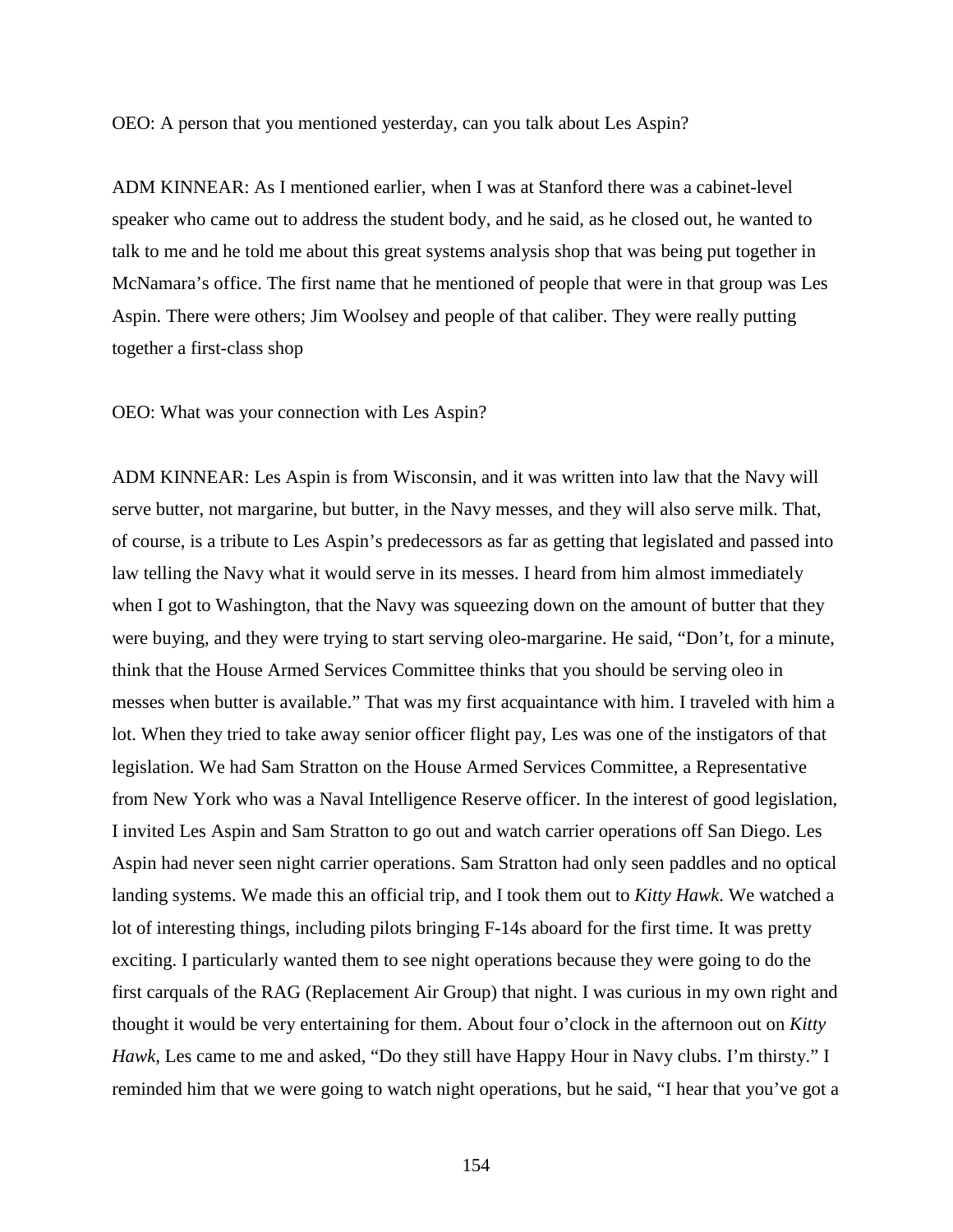OEO: A person that you mentioned yesterday, can you talk about Les Aspin?

ADM KINNEAR: As I mentioned earlier, when I was at Stanford there was a cabinet-level speaker who came out to address the student body, and he said, as he closed out, he wanted to talk to me and he told me about this great systems analysis shop that was being put together in McNamara's office. The first name that he mentioned of people that were in that group was Les Aspin. There were others; Jim Woolsey and people of that caliber. They were really putting together a first-class shop

OEO: What was your connection with Les Aspin?

ADM KINNEAR: Les Aspin is from Wisconsin, and it was written into law that the Navy will serve butter, not margarine, but butter, in the Navy messes, and they will also serve milk. That, of course, is a tribute to Les Aspin's predecessors as far as getting that legislated and passed into law telling the Navy what it would serve in its messes. I heard from him almost immediately when I got to Washington, that the Navy was squeezing down on the amount of butter that they were buying, and they were trying to start serving oleo-margarine. He said, "Don't, for a minute, think that the House Armed Services Committee thinks that you should be serving oleo in messes when butter is available." That was my first acquaintance with him. I traveled with him a lot. When they tried to take away senior officer flight pay, Les was one of the instigators of that legislation. We had Sam Stratton on the House Armed Services Committee, a Representative from New York who was a Naval Intelligence Reserve officer. In the interest of good legislation, I invited Les Aspin and Sam Stratton to go out and watch carrier operations off San Diego. Les Aspin had never seen night carrier operations. Sam Stratton had only seen paddles and no optical landing systems. We made this an official trip, and I took them out to *Kitty Hawk*. We watched a lot of interesting things, including pilots bringing F-14s aboard for the first time. It was pretty exciting. I particularly wanted them to see night operations because they were going to do the first carquals of the RAG (Replacement Air Group) that night. I was curious in my own right and thought it would be very entertaining for them. About four o'clock in the afternoon out on *Kitty Hawk*, Les came to me and asked, "Do they still have Happy Hour in Navy clubs. I'm thirsty." I reminded him that we were going to watch night operations, but he said, "I hear that you've got a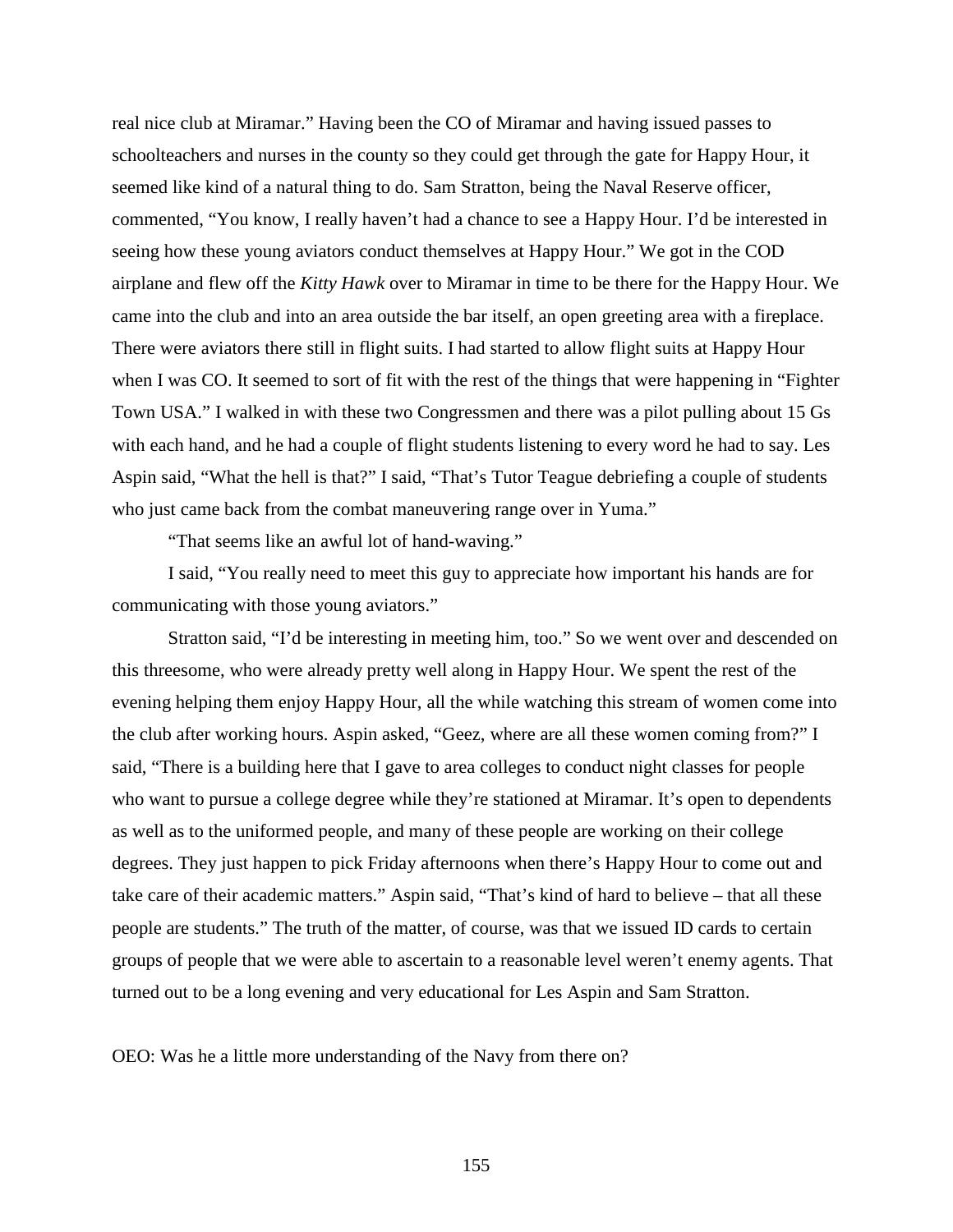real nice club at Miramar." Having been the CO of Miramar and having issued passes to schoolteachers and nurses in the county so they could get through the gate for Happy Hour, it seemed like kind of a natural thing to do. Sam Stratton, being the Naval Reserve officer, commented, "You know, I really haven't had a chance to see a Happy Hour. I'd be interested in seeing how these young aviators conduct themselves at Happy Hour." We got in the COD airplane and flew off the *Kitty Hawk* over to Miramar in time to be there for the Happy Hour. We came into the club and into an area outside the bar itself, an open greeting area with a fireplace. There were aviators there still in flight suits. I had started to allow flight suits at Happy Hour when I was CO. It seemed to sort of fit with the rest of the things that were happening in "Fighter Town USA." I walked in with these two Congressmen and there was a pilot pulling about 15 Gs with each hand, and he had a couple of flight students listening to every word he had to say. Les Aspin said, "What the hell is that?" I said, "That's Tutor Teague debriefing a couple of students who just came back from the combat maneuvering range over in Yuma."

"That seems like an awful lot of hand-waving."

I said, "You really need to meet this guy to appreciate how important his hands are for communicating with those young aviators."

Stratton said, "I'd be interesting in meeting him, too." So we went over and descended on this threesome, who were already pretty well along in Happy Hour. We spent the rest of the evening helping them enjoy Happy Hour, all the while watching this stream of women come into the club after working hours. Aspin asked, "Geez, where are all these women coming from?" I said, "There is a building here that I gave to area colleges to conduct night classes for people who want to pursue a college degree while they're stationed at Miramar. It's open to dependents as well as to the uniformed people, and many of these people are working on their college degrees. They just happen to pick Friday afternoons when there's Happy Hour to come out and take care of their academic matters." Aspin said, "That's kind of hard to believe – that all these people are students." The truth of the matter, of course, was that we issued ID cards to certain groups of people that we were able to ascertain to a reasonable level weren't enemy agents. That turned out to be a long evening and very educational for Les Aspin and Sam Stratton.

OEO: Was he a little more understanding of the Navy from there on?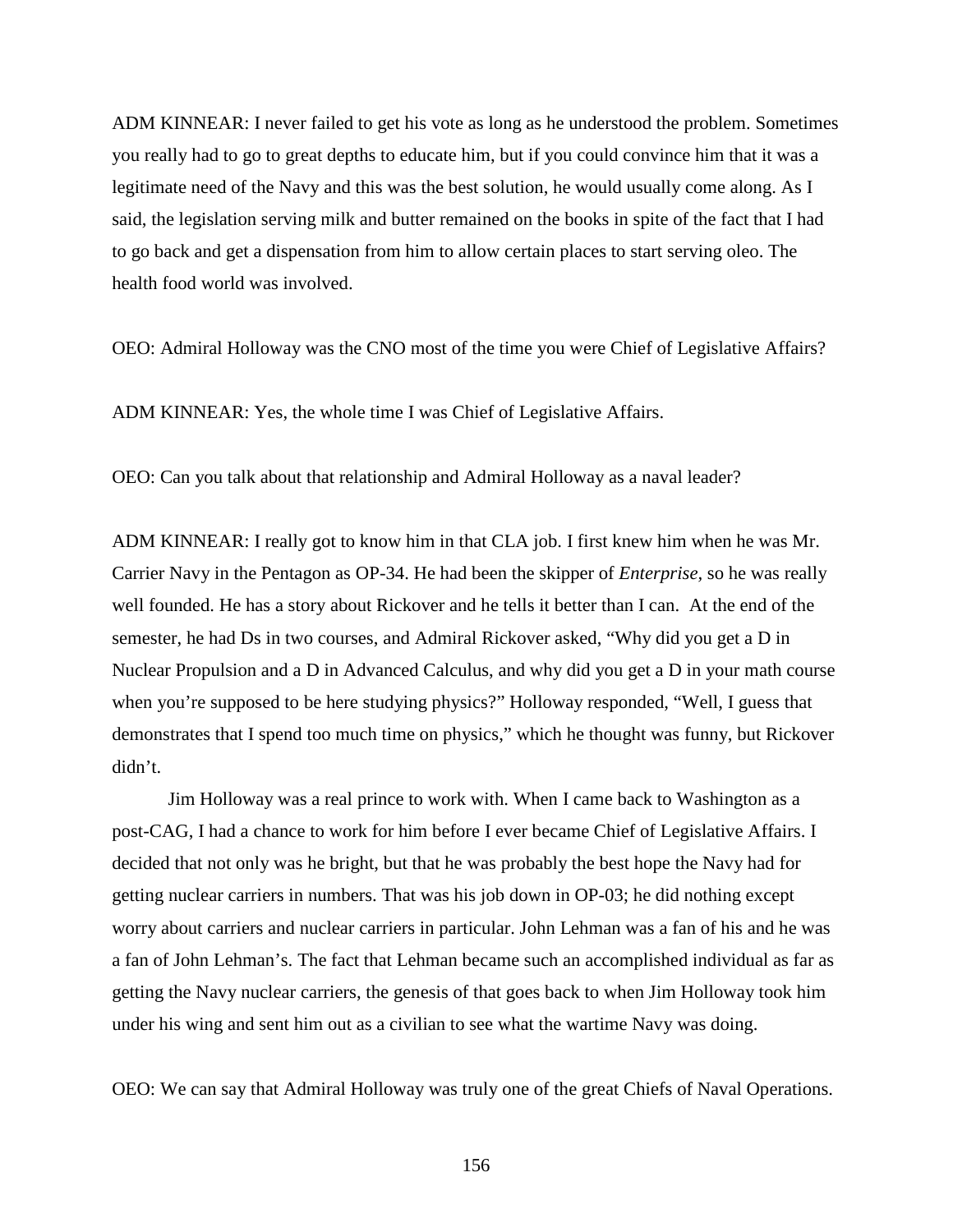ADM KINNEAR: I never failed to get his vote as long as he understood the problem. Sometimes you really had to go to great depths to educate him, but if you could convince him that it was a legitimate need of the Navy and this was the best solution, he would usually come along. As I said, the legislation serving milk and butter remained on the books in spite of the fact that I had to go back and get a dispensation from him to allow certain places to start serving oleo. The health food world was involved.

OEO: Admiral Holloway was the CNO most of the time you were Chief of Legislative Affairs?

ADM KINNEAR: Yes, the whole time I was Chief of Legislative Affairs.

OEO: Can you talk about that relationship and Admiral Holloway as a naval leader?

ADM KINNEAR: I really got to know him in that CLA job. I first knew him when he was Mr. Carrier Navy in the Pentagon as OP-34. He had been the skipper of *Enterprise,* so he was really well founded. He has a story about Rickover and he tells it better than I can. At the end of the semester, he had Ds in two courses, and Admiral Rickover asked, "Why did you get a D in Nuclear Propulsion and a D in Advanced Calculus, and why did you get a D in your math course when you're supposed to be here studying physics?" Holloway responded, "Well, I guess that demonstrates that I spend too much time on physics," which he thought was funny, but Rickover didn't.

Jim Holloway was a real prince to work with. When I came back to Washington as a post-CAG, I had a chance to work for him before I ever became Chief of Legislative Affairs. I decided that not only was he bright, but that he was probably the best hope the Navy had for getting nuclear carriers in numbers. That was his job down in OP-03; he did nothing except worry about carriers and nuclear carriers in particular. John Lehman was a fan of his and he was a fan of John Lehman's. The fact that Lehman became such an accomplished individual as far as getting the Navy nuclear carriers, the genesis of that goes back to when Jim Holloway took him under his wing and sent him out as a civilian to see what the wartime Navy was doing.

OEO: We can say that Admiral Holloway was truly one of the great Chiefs of Naval Operations.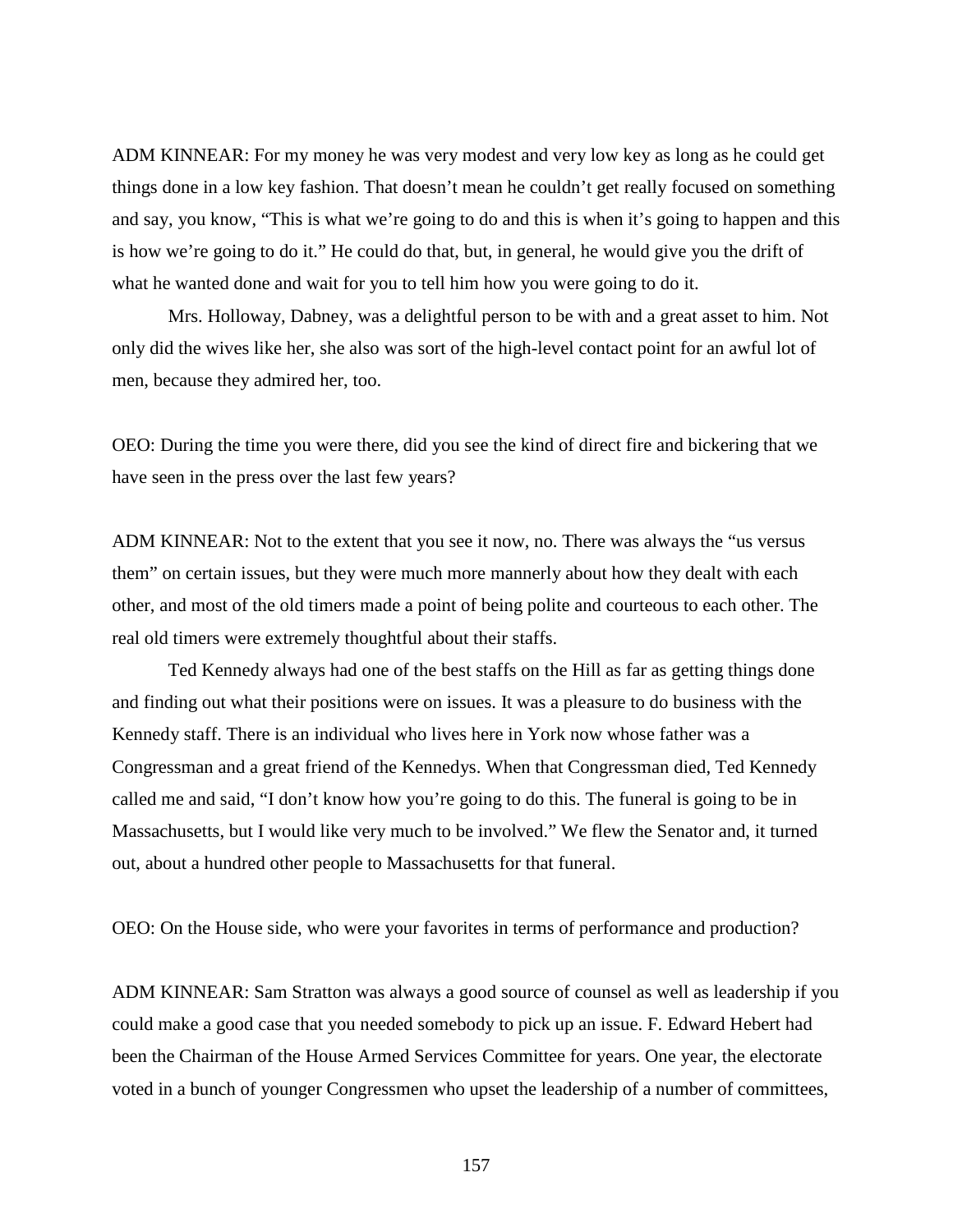ADM KINNEAR: For my money he was very modest and very low key as long as he could get things done in a low key fashion. That doesn't mean he couldn't get really focused on something and say, you know, "This is what we're going to do and this is when it's going to happen and this is how we're going to do it." He could do that, but, in general, he would give you the drift of what he wanted done and wait for you to tell him how you were going to do it.

Mrs. Holloway, Dabney, was a delightful person to be with and a great asset to him. Not only did the wives like her, she also was sort of the high-level contact point for an awful lot of men, because they admired her, too.

OEO: During the time you were there, did you see the kind of direct fire and bickering that we have seen in the press over the last few years?

ADM KINNEAR: Not to the extent that you see it now, no. There was always the "us versus them" on certain issues, but they were much more mannerly about how they dealt with each other, and most of the old timers made a point of being polite and courteous to each other. The real old timers were extremely thoughtful about their staffs.

Ted Kennedy always had one of the best staffs on the Hill as far as getting things done and finding out what their positions were on issues. It was a pleasure to do business with the Kennedy staff. There is an individual who lives here in York now whose father was a Congressman and a great friend of the Kennedys. When that Congressman died, Ted Kennedy called me and said, "I don't know how you're going to do this. The funeral is going to be in Massachusetts, but I would like very much to be involved." We flew the Senator and, it turned out, about a hundred other people to Massachusetts for that funeral.

OEO: On the House side, who were your favorites in terms of performance and production?

ADM KINNEAR: Sam Stratton was always a good source of counsel as well as leadership if you could make a good case that you needed somebody to pick up an issue. F. Edward Hebert had been the Chairman of the House Armed Services Committee for years. One year, the electorate voted in a bunch of younger Congressmen who upset the leadership of a number of committees,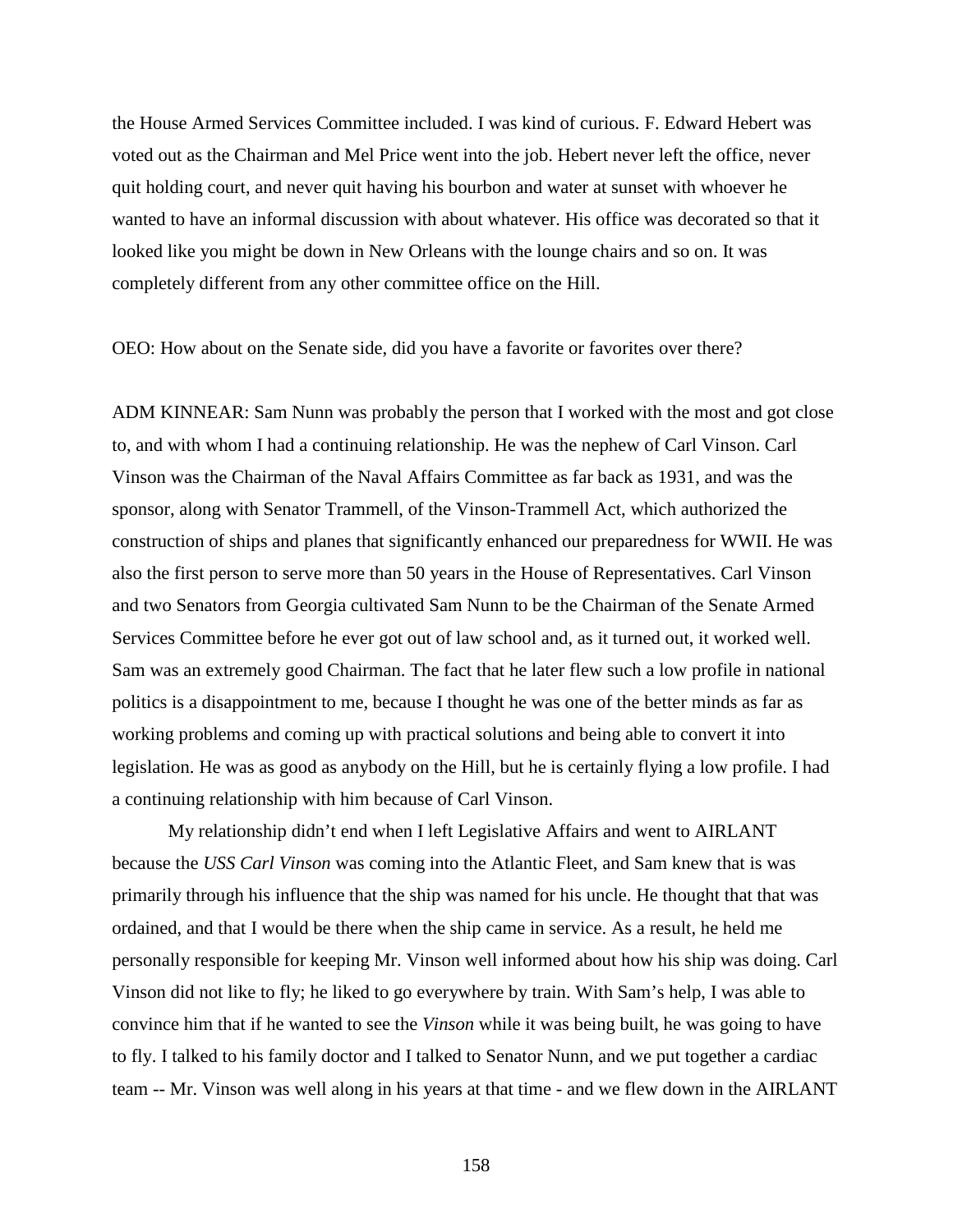the House Armed Services Committee included. I was kind of curious. F. Edward Hebert was voted out as the Chairman and Mel Price went into the job. Hebert never left the office, never quit holding court, and never quit having his bourbon and water at sunset with whoever he wanted to have an informal discussion with about whatever. His office was decorated so that it looked like you might be down in New Orleans with the lounge chairs and so on. It was completely different from any other committee office on the Hill.

OEO: How about on the Senate side, did you have a favorite or favorites over there?

ADM KINNEAR: Sam Nunn was probably the person that I worked with the most and got close to, and with whom I had a continuing relationship. He was the nephew of Carl Vinson. Carl Vinson was the Chairman of the Naval Affairs Committee as far back as 1931, and was the sponsor, along with Senator Trammell, of the Vinson-Trammell Act, which authorized the construction of ships and planes that significantly enhanced our preparedness for WWII. He was also the first person to serve more than 50 years in the House of Representatives. Carl Vinson and two Senators from Georgia cultivated Sam Nunn to be the Chairman of the Senate Armed Services Committee before he ever got out of law school and, as it turned out, it worked well. Sam was an extremely good Chairman. The fact that he later flew such a low profile in national politics is a disappointment to me, because I thought he was one of the better minds as far as working problems and coming up with practical solutions and being able to convert it into legislation. He was as good as anybody on the Hill, but he is certainly flying a low profile. I had a continuing relationship with him because of Carl Vinson.

My relationship didn't end when I left Legislative Affairs and went to AIRLANT because the *USS Carl Vinson* was coming into the Atlantic Fleet, and Sam knew that is was primarily through his influence that the ship was named for his uncle. He thought that that was ordained, and that I would be there when the ship came in service. As a result, he held me personally responsible for keeping Mr. Vinson well informed about how his ship was doing. Carl Vinson did not like to fly; he liked to go everywhere by train. With Sam's help, I was able to convince him that if he wanted to see the *Vinson* while it was being built, he was going to have to fly. I talked to his family doctor and I talked to Senator Nunn, and we put together a cardiac team -- Mr. Vinson was well along in his years at that time - and we flew down in the AIRLANT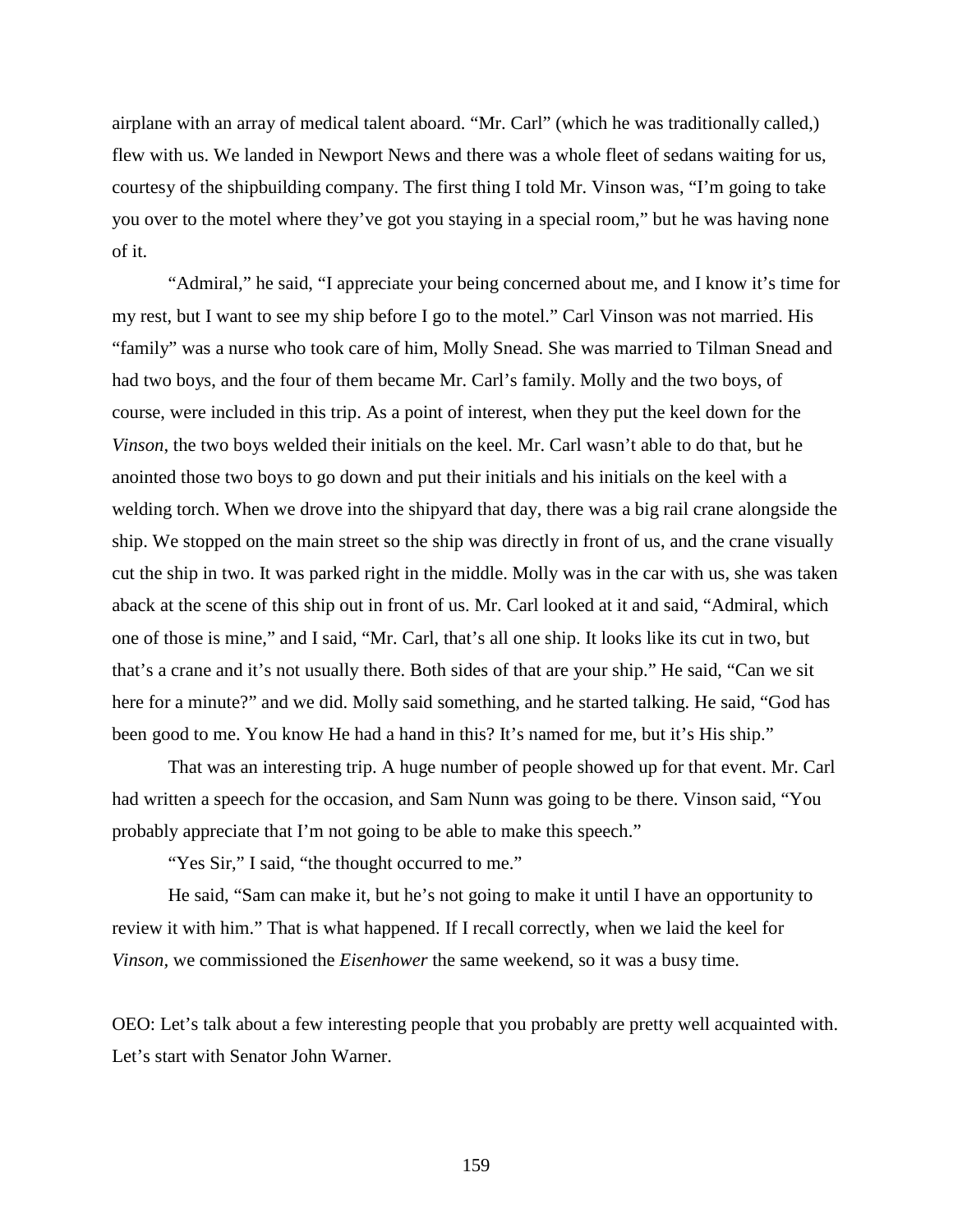airplane with an array of medical talent aboard. "Mr. Carl" (which he was traditionally called,) flew with us. We landed in Newport News and there was a whole fleet of sedans waiting for us, courtesy of the shipbuilding company. The first thing I told Mr. Vinson was, "I'm going to take you over to the motel where they've got you staying in a special room," but he was having none of it.

"Admiral," he said, "I appreciate your being concerned about me, and I know it's time for my rest, but I want to see my ship before I go to the motel." Carl Vinson was not married. His "family" was a nurse who took care of him, Molly Snead. She was married to Tilman Snead and had two boys, and the four of them became Mr. Carl's family. Molly and the two boys, of course, were included in this trip. As a point of interest, when they put the keel down for the *Vinson*, the two boys welded their initials on the keel. Mr. Carl wasn't able to do that, but he anointed those two boys to go down and put their initials and his initials on the keel with a welding torch. When we drove into the shipyard that day, there was a big rail crane alongside the ship. We stopped on the main street so the ship was directly in front of us, and the crane visually cut the ship in two. It was parked right in the middle. Molly was in the car with us, she was taken aback at the scene of this ship out in front of us. Mr. Carl looked at it and said, "Admiral, which one of those is mine," and I said, "Mr. Carl, that's all one ship. It looks like its cut in two, but that's a crane and it's not usually there. Both sides of that are your ship." He said, "Can we sit here for a minute?" and we did. Molly said something, and he started talking. He said, "God has been good to me. You know He had a hand in this? It's named for me, but it's His ship."

That was an interesting trip. A huge number of people showed up for that event. Mr. Carl had written a speech for the occasion, and Sam Nunn was going to be there. Vinson said, "You probably appreciate that I'm not going to be able to make this speech."

"Yes Sir," I said, "the thought occurred to me."

He said, "Sam can make it, but he's not going to make it until I have an opportunity to review it with him." That is what happened. If I recall correctly, when we laid the keel for *Vinson,* we commissioned the *Eisenhower* the same weekend, so it was a busy time.

OEO: Let's talk about a few interesting people that you probably are pretty well acquainted with. Let's start with Senator John Warner.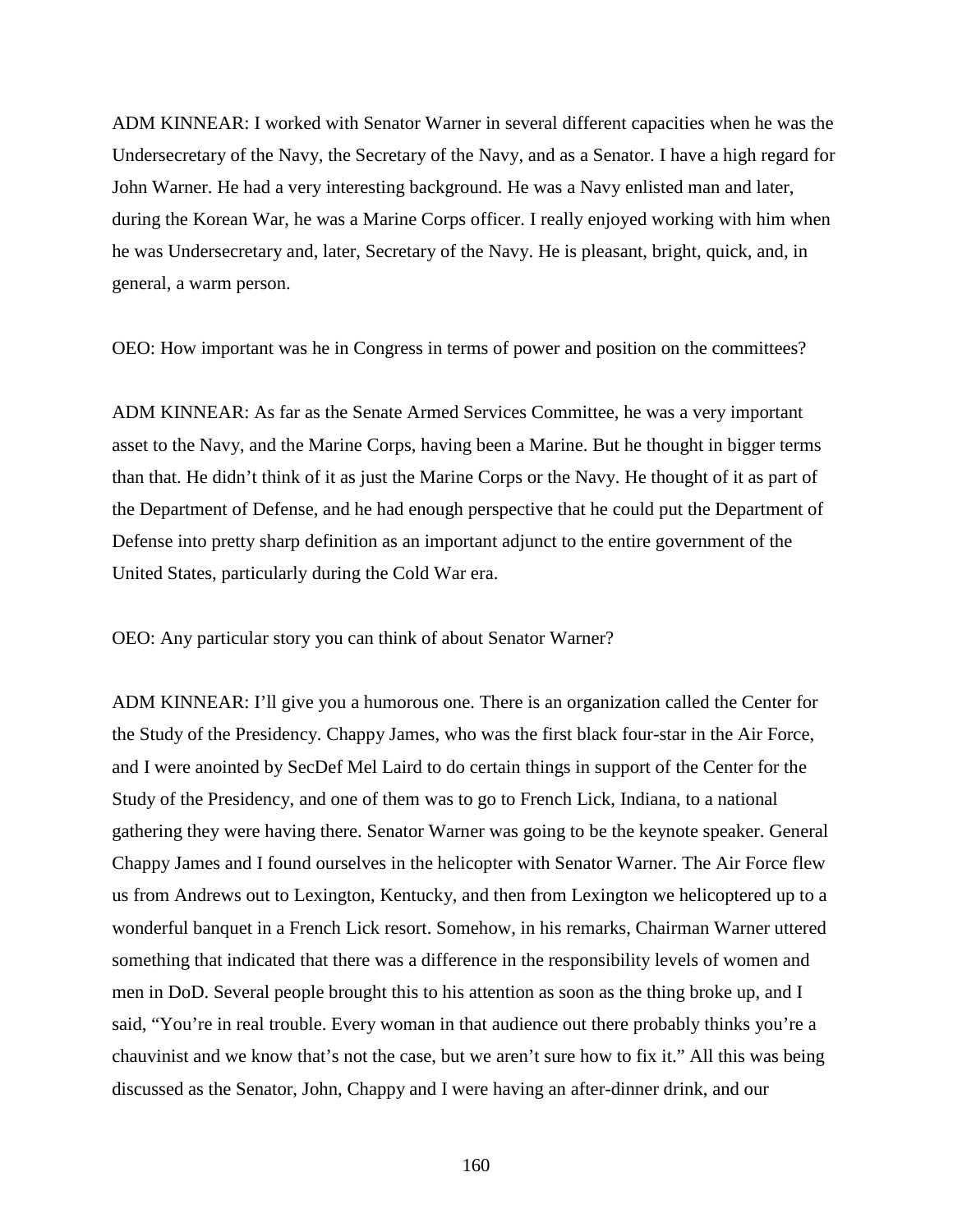ADM KINNEAR: I worked with Senator Warner in several different capacities when he was the Undersecretary of the Navy, the Secretary of the Navy, and as a Senator. I have a high regard for John Warner. He had a very interesting background. He was a Navy enlisted man and later, during the Korean War, he was a Marine Corps officer. I really enjoyed working with him when he was Undersecretary and, later, Secretary of the Navy. He is pleasant, bright, quick, and, in general, a warm person.

OEO: How important was he in Congress in terms of power and position on the committees?

ADM KINNEAR: As far as the Senate Armed Services Committee, he was a very important asset to the Navy, and the Marine Corps, having been a Marine. But he thought in bigger terms than that. He didn't think of it as just the Marine Corps or the Navy. He thought of it as part of the Department of Defense, and he had enough perspective that he could put the Department of Defense into pretty sharp definition as an important adjunct to the entire government of the United States, particularly during the Cold War era.

OEO: Any particular story you can think of about Senator Warner?

ADM KINNEAR: I'll give you a humorous one. There is an organization called the Center for the Study of the Presidency. Chappy James, who was the first black four-star in the Air Force, and I were anointed by SecDef Mel Laird to do certain things in support of the Center for the Study of the Presidency, and one of them was to go to French Lick, Indiana, to a national gathering they were having there. Senator Warner was going to be the keynote speaker. General Chappy James and I found ourselves in the helicopter with Senator Warner. The Air Force flew us from Andrews out to Lexington, Kentucky, and then from Lexington we helicoptered up to a wonderful banquet in a French Lick resort. Somehow, in his remarks, Chairman Warner uttered something that indicated that there was a difference in the responsibility levels of women and men in DoD. Several people brought this to his attention as soon as the thing broke up, and I said, "You're in real trouble. Every woman in that audience out there probably thinks you're a chauvinist and we know that's not the case, but we aren't sure how to fix it." All this was being discussed as the Senator, John, Chappy and I were having an after-dinner drink, and our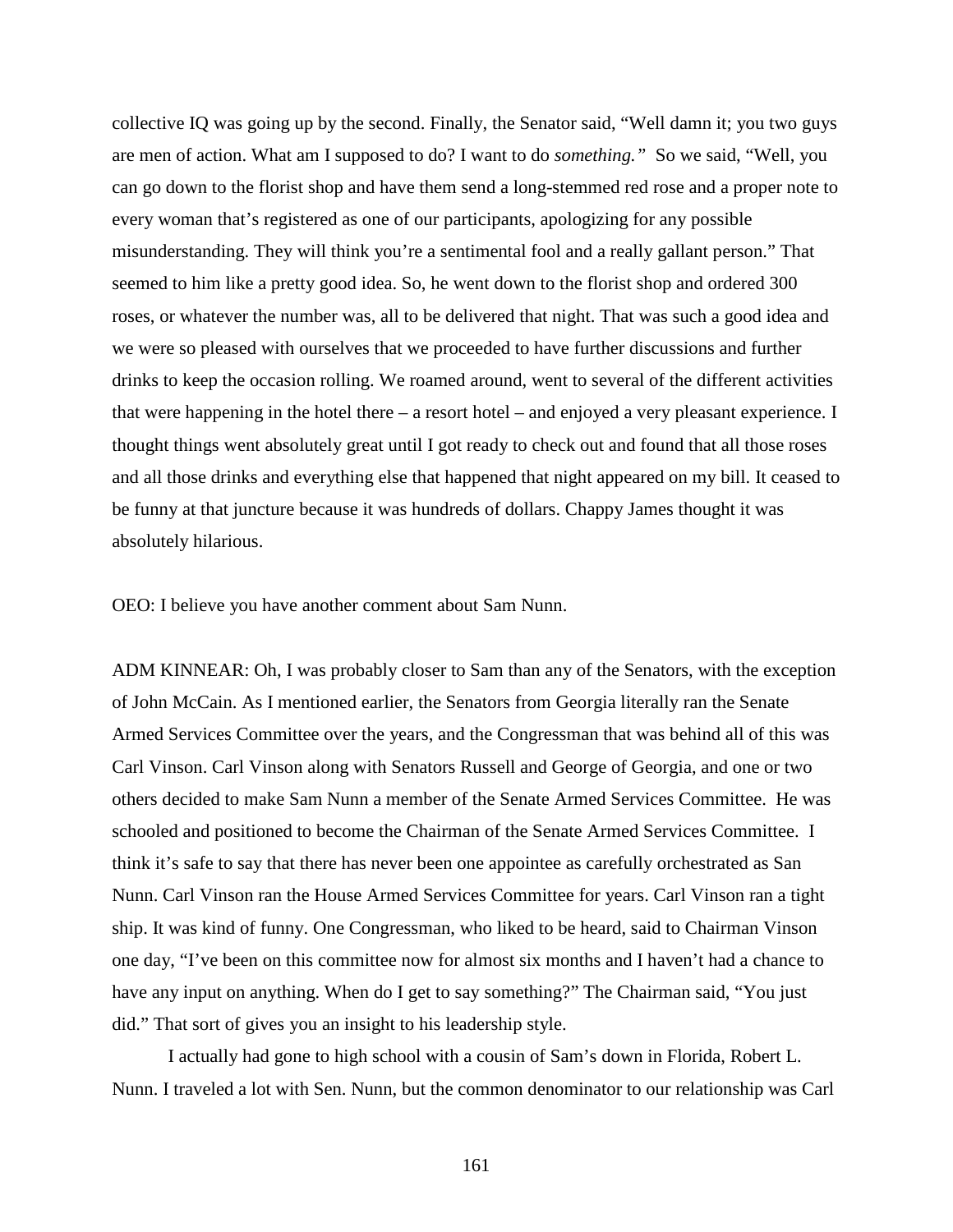collective IQ was going up by the second. Finally, the Senator said, "Well damn it; you two guys are men of action. What am I supposed to do? I want to do *something."* So we said, "Well, you can go down to the florist shop and have them send a long-stemmed red rose and a proper note to every woman that's registered as one of our participants, apologizing for any possible misunderstanding. They will think you're a sentimental fool and a really gallant person." That seemed to him like a pretty good idea. So, he went down to the florist shop and ordered 300 roses, or whatever the number was, all to be delivered that night. That was such a good idea and we were so pleased with ourselves that we proceeded to have further discussions and further drinks to keep the occasion rolling. We roamed around, went to several of the different activities that were happening in the hotel there – a resort hotel – and enjoyed a very pleasant experience. I thought things went absolutely great until I got ready to check out and found that all those roses and all those drinks and everything else that happened that night appeared on my bill. It ceased to be funny at that juncture because it was hundreds of dollars. Chappy James thought it was absolutely hilarious.

OEO: I believe you have another comment about Sam Nunn.

ADM KINNEAR: Oh, I was probably closer to Sam than any of the Senators, with the exception of John McCain. As I mentioned earlier, the Senators from Georgia literally ran the Senate Armed Services Committee over the years, and the Congressman that was behind all of this was Carl Vinson. Carl Vinson along with Senators Russell and George of Georgia, and one or two others decided to make Sam Nunn a member of the Senate Armed Services Committee. He was schooled and positioned to become the Chairman of the Senate Armed Services Committee. I think it's safe to say that there has never been one appointee as carefully orchestrated as San Nunn. Carl Vinson ran the House Armed Services Committee for years. Carl Vinson ran a tight ship. It was kind of funny. One Congressman, who liked to be heard, said to Chairman Vinson one day, "I've been on this committee now for almost six months and I haven't had a chance to have any input on anything. When do I get to say something?" The Chairman said, "You just did." That sort of gives you an insight to his leadership style.

I actually had gone to high school with a cousin of Sam's down in Florida, Robert L. Nunn. I traveled a lot with Sen. Nunn, but the common denominator to our relationship was Carl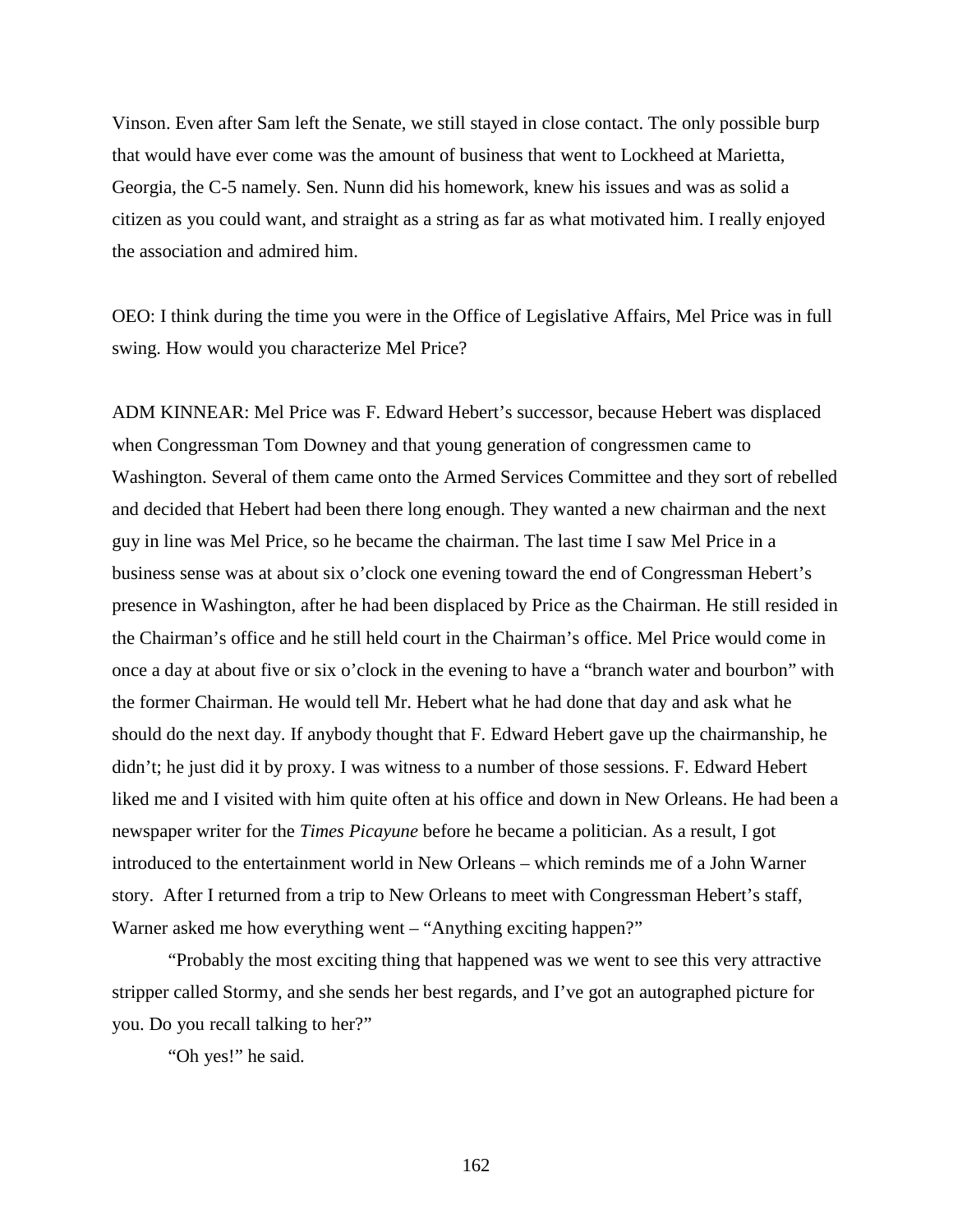Vinson. Even after Sam left the Senate, we still stayed in close contact. The only possible burp that would have ever come was the amount of business that went to Lockheed at Marietta, Georgia, the C-5 namely. Sen. Nunn did his homework, knew his issues and was as solid a citizen as you could want, and straight as a string as far as what motivated him. I really enjoyed the association and admired him.

OEO: I think during the time you were in the Office of Legislative Affairs, Mel Price was in full swing. How would you characterize Mel Price?

ADM KINNEAR: Mel Price was F. Edward Hebert's successor, because Hebert was displaced when Congressman Tom Downey and that young generation of congressmen came to Washington. Several of them came onto the Armed Services Committee and they sort of rebelled and decided that Hebert had been there long enough. They wanted a new chairman and the next guy in line was Mel Price, so he became the chairman. The last time I saw Mel Price in a business sense was at about six o'clock one evening toward the end of Congressman Hebert's presence in Washington, after he had been displaced by Price as the Chairman. He still resided in the Chairman's office and he still held court in the Chairman's office. Mel Price would come in once a day at about five or six o'clock in the evening to have a "branch water and bourbon" with the former Chairman. He would tell Mr. Hebert what he had done that day and ask what he should do the next day. If anybody thought that F. Edward Hebert gave up the chairmanship, he didn't; he just did it by proxy. I was witness to a number of those sessions. F. Edward Hebert liked me and I visited with him quite often at his office and down in New Orleans. He had been a newspaper writer for the *Times Picayune* before he became a politician. As a result, I got introduced to the entertainment world in New Orleans – which reminds me of a John Warner story. After I returned from a trip to New Orleans to meet with Congressman Hebert's staff, Warner asked me how everything went – "Anything exciting happen?"

"Probably the most exciting thing that happened was we went to see this very attractive stripper called Stormy, and she sends her best regards, and I've got an autographed picture for you. Do you recall talking to her?"

"Oh yes!" he said.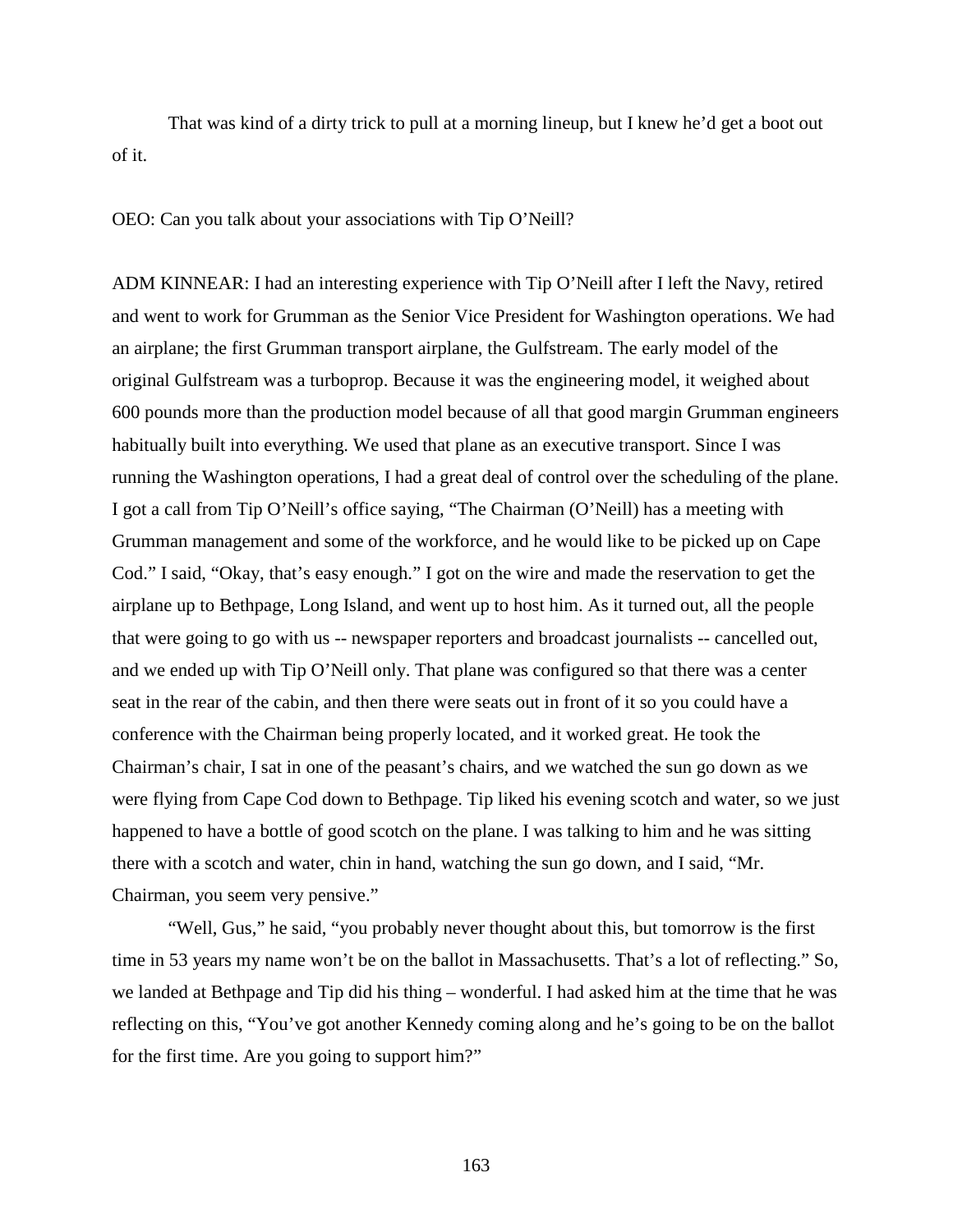That was kind of a dirty trick to pull at a morning lineup, but I knew he'd get a boot out of it.

OEO: Can you talk about your associations with Tip O'Neill?

ADM KINNEAR: I had an interesting experience with Tip O'Neill after I left the Navy, retired and went to work for Grumman as the Senior Vice President for Washington operations. We had an airplane; the first Grumman transport airplane, the Gulfstream. The early model of the original Gulfstream was a turboprop. Because it was the engineering model, it weighed about 600 pounds more than the production model because of all that good margin Grumman engineers habitually built into everything. We used that plane as an executive transport. Since I was running the Washington operations, I had a great deal of control over the scheduling of the plane. I got a call from Tip O'Neill's office saying, "The Chairman (O'Neill) has a meeting with Grumman management and some of the workforce, and he would like to be picked up on Cape Cod." I said, "Okay, that's easy enough." I got on the wire and made the reservation to get the airplane up to Bethpage, Long Island, and went up to host him. As it turned out, all the people that were going to go with us -- newspaper reporters and broadcast journalists -- cancelled out, and we ended up with Tip O'Neill only. That plane was configured so that there was a center seat in the rear of the cabin, and then there were seats out in front of it so you could have a conference with the Chairman being properly located, and it worked great. He took the Chairman's chair, I sat in one of the peasant's chairs, and we watched the sun go down as we were flying from Cape Cod down to Bethpage. Tip liked his evening scotch and water, so we just happened to have a bottle of good scotch on the plane. I was talking to him and he was sitting there with a scotch and water, chin in hand, watching the sun go down, and I said, "Mr. Chairman, you seem very pensive."

"Well, Gus," he said, "you probably never thought about this, but tomorrow is the first time in 53 years my name won't be on the ballot in Massachusetts. That's a lot of reflecting." So, we landed at Bethpage and Tip did his thing – wonderful. I had asked him at the time that he was reflecting on this, "You've got another Kennedy coming along and he's going to be on the ballot for the first time. Are you going to support him?"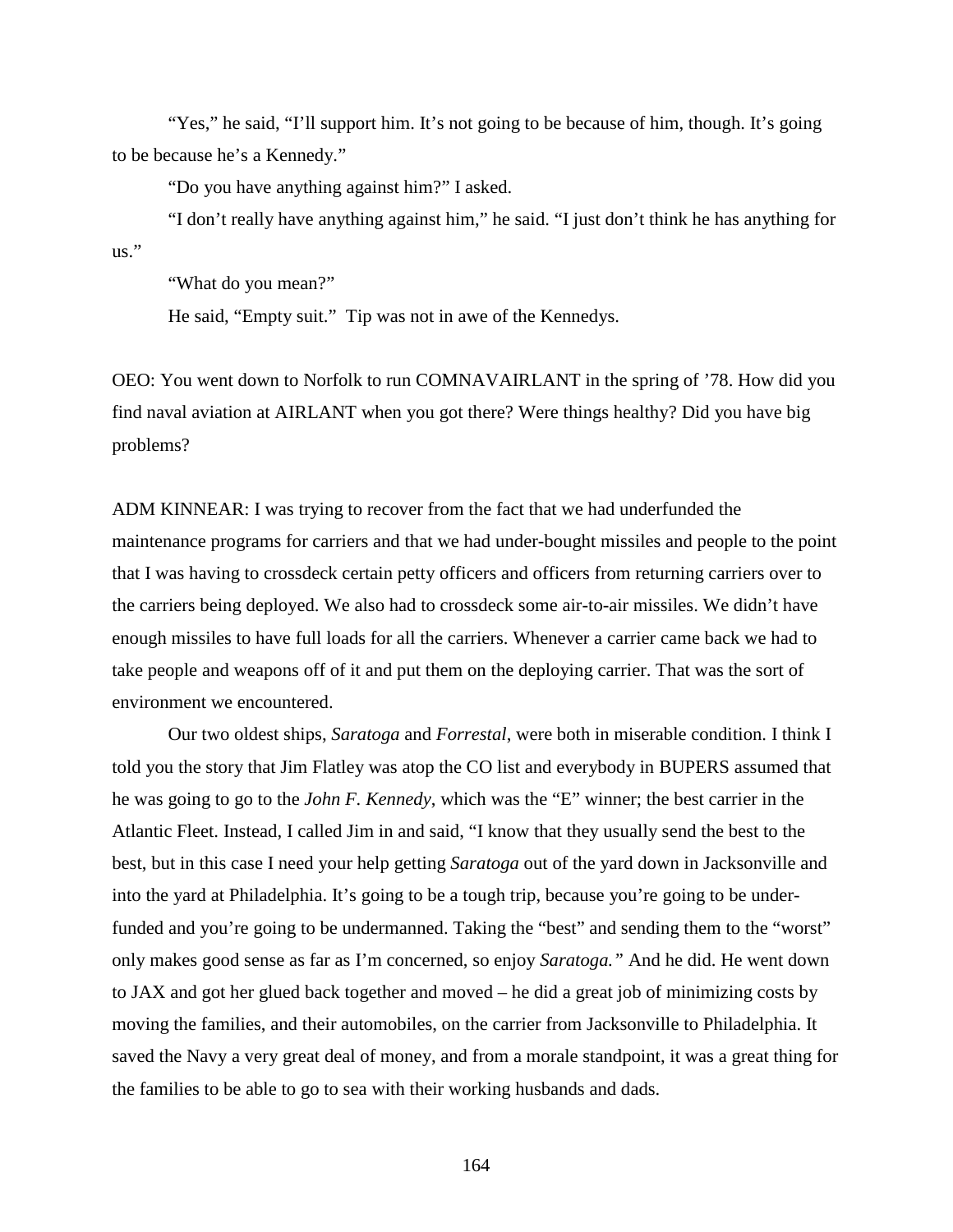"Yes," he said, "I'll support him. It's not going to be because of him, though. It's going to be because he's a Kennedy."

"Do you have anything against him?" I asked.

"I don't really have anything against him," he said. "I just don't think he has anything for  $\overline{\mathbf{u}}$ .

"What do you mean?"

He said, "Empty suit." Tip was not in awe of the Kennedys.

OEO: You went down to Norfolk to run COMNAVAIRLANT in the spring of '78. How did you find naval aviation at AIRLANT when you got there? Were things healthy? Did you have big problems?

ADM KINNEAR: I was trying to recover from the fact that we had underfunded the maintenance programs for carriers and that we had under-bought missiles and people to the point that I was having to crossdeck certain petty officers and officers from returning carriers over to the carriers being deployed. We also had to crossdeck some air-to-air missiles. We didn't have enough missiles to have full loads for all the carriers. Whenever a carrier came back we had to take people and weapons off of it and put them on the deploying carrier. That was the sort of environment we encountered.

Our two oldest ships, *Saratoga* and *Forrestal*, were both in miserable condition. I think I told you the story that Jim Flatley was atop the CO list and everybody in BUPERS assumed that he was going to go to the *John F. Kennedy*, which was the "E" winner; the best carrier in the Atlantic Fleet. Instead, I called Jim in and said, "I know that they usually send the best to the best, but in this case I need your help getting *Saratoga* out of the yard down in Jacksonville and into the yard at Philadelphia. It's going to be a tough trip, because you're going to be underfunded and you're going to be undermanned. Taking the "best" and sending them to the "worst" only makes good sense as far as I'm concerned, so enjoy *Saratoga."* And he did. He went down to JAX and got her glued back together and moved – he did a great job of minimizing costs by moving the families, and their automobiles, on the carrier from Jacksonville to Philadelphia. It saved the Navy a very great deal of money, and from a morale standpoint, it was a great thing for the families to be able to go to sea with their working husbands and dads.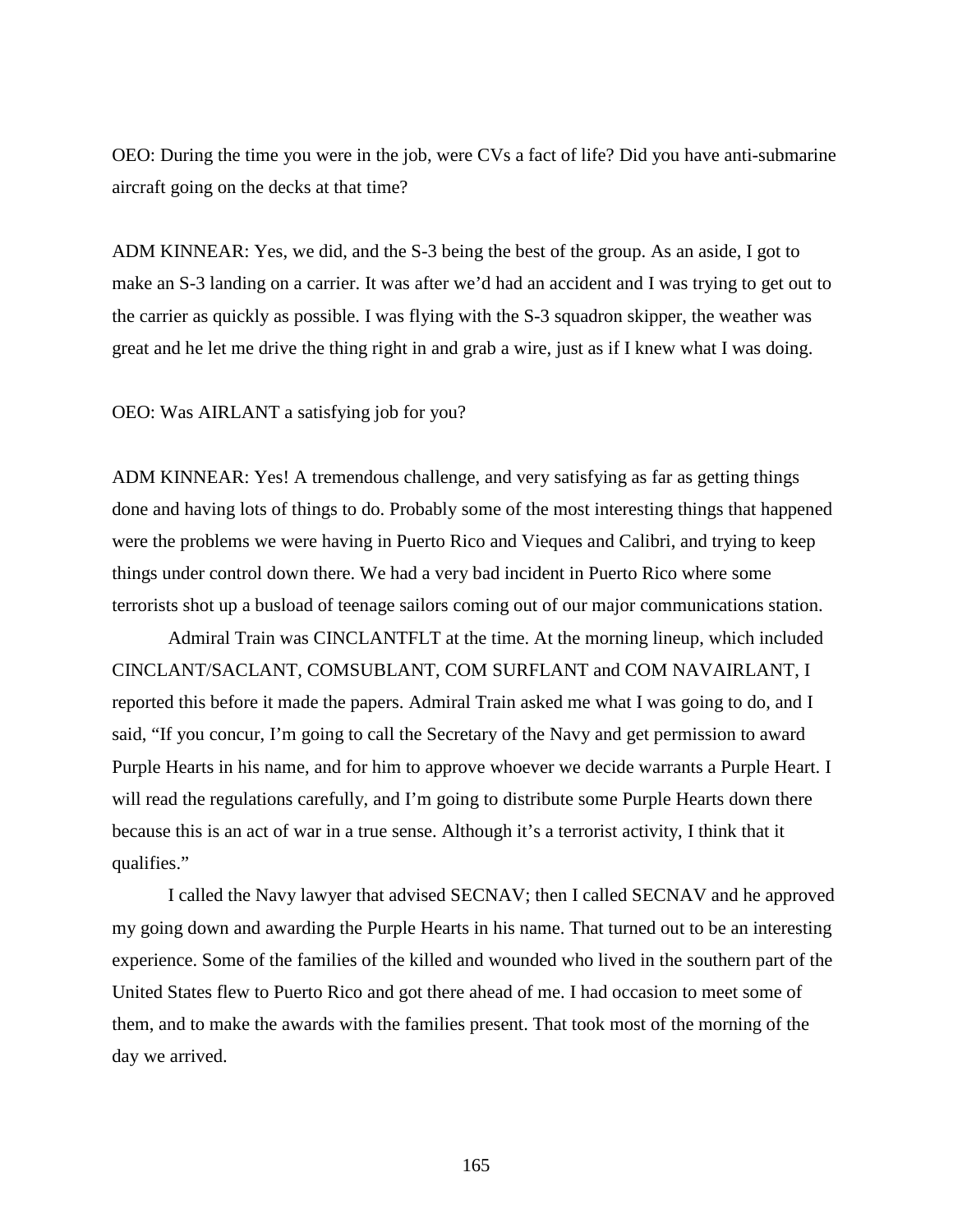OEO: During the time you were in the job, were CVs a fact of life? Did you have anti-submarine aircraft going on the decks at that time?

ADM KINNEAR: Yes, we did, and the S-3 being the best of the group. As an aside, I got to make an S-3 landing on a carrier. It was after we'd had an accident and I was trying to get out to the carrier as quickly as possible. I was flying with the S-3 squadron skipper, the weather was great and he let me drive the thing right in and grab a wire, just as if I knew what I was doing.

OEO: Was AIRLANT a satisfying job for you?

ADM KINNEAR: Yes! A tremendous challenge, and very satisfying as far as getting things done and having lots of things to do. Probably some of the most interesting things that happened were the problems we were having in Puerto Rico and Vieques and Calibri, and trying to keep things under control down there. We had a very bad incident in Puerto Rico where some terrorists shot up a busload of teenage sailors coming out of our major communications station.

Admiral Train was CINCLANTFLT at the time. At the morning lineup, which included CINCLANT/SACLANT, COMSUBLANT, COM SURFLANT and COM NAVAIRLANT, I reported this before it made the papers. Admiral Train asked me what I was going to do, and I said, "If you concur, I'm going to call the Secretary of the Navy and get permission to award Purple Hearts in his name, and for him to approve whoever we decide warrants a Purple Heart. I will read the regulations carefully, and I'm going to distribute some Purple Hearts down there because this is an act of war in a true sense. Although it's a terrorist activity, I think that it qualifies."

I called the Navy lawyer that advised SECNAV; then I called SECNAV and he approved my going down and awarding the Purple Hearts in his name. That turned out to be an interesting experience. Some of the families of the killed and wounded who lived in the southern part of the United States flew to Puerto Rico and got there ahead of me. I had occasion to meet some of them, and to make the awards with the families present. That took most of the morning of the day we arrived.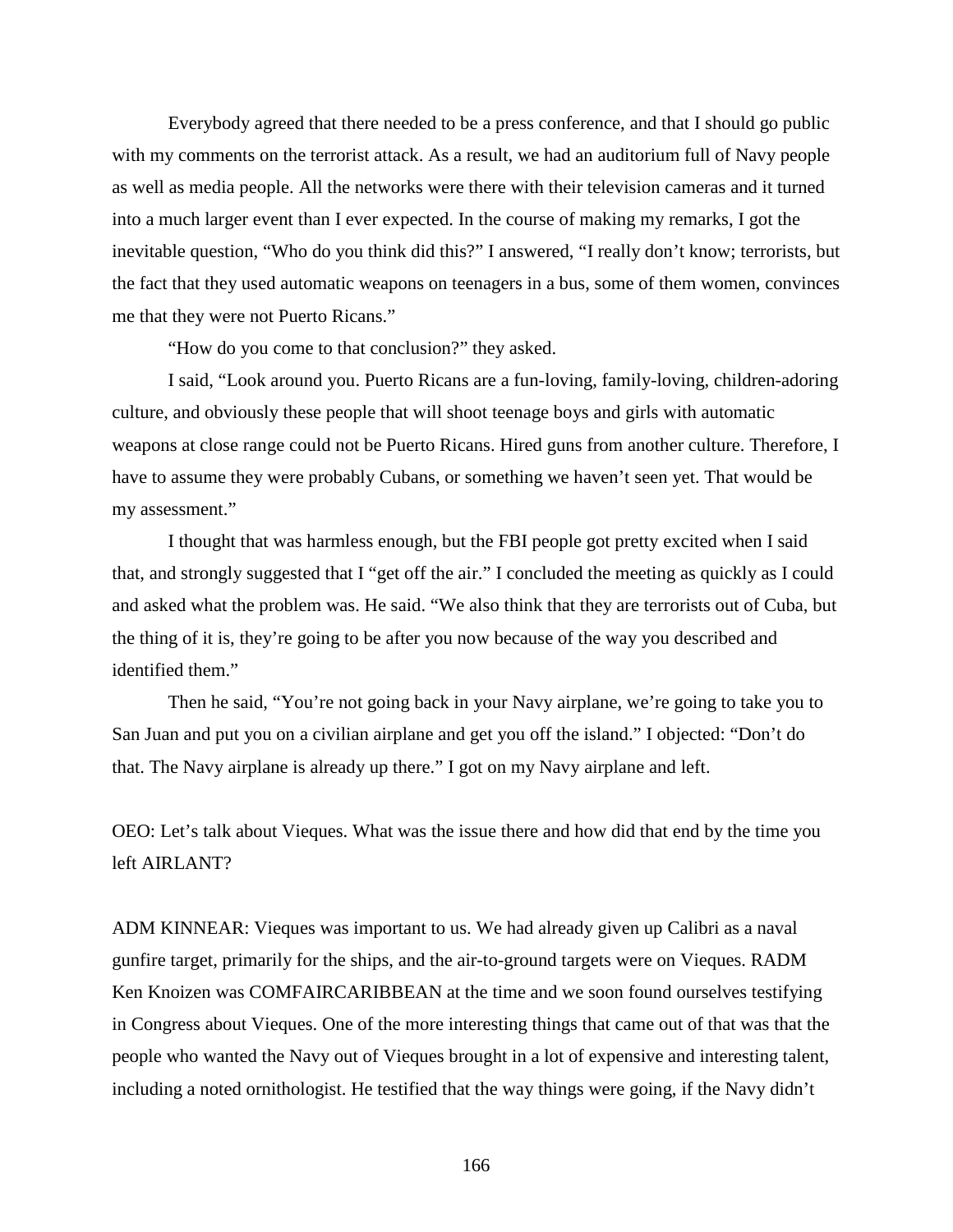Everybody agreed that there needed to be a press conference, and that I should go public with my comments on the terrorist attack. As a result, we had an auditorium full of Navy people as well as media people. All the networks were there with their television cameras and it turned into a much larger event than I ever expected. In the course of making my remarks, I got the inevitable question, "Who do you think did this?" I answered, "I really don't know; terrorists, but the fact that they used automatic weapons on teenagers in a bus, some of them women, convinces me that they were not Puerto Ricans."

"How do you come to that conclusion?" they asked.

I said, "Look around you. Puerto Ricans are a fun-loving, family-loving, children-adoring culture, and obviously these people that will shoot teenage boys and girls with automatic weapons at close range could not be Puerto Ricans. Hired guns from another culture. Therefore, I have to assume they were probably Cubans, or something we haven't seen yet. That would be my assessment."

I thought that was harmless enough, but the FBI people got pretty excited when I said that, and strongly suggested that I "get off the air." I concluded the meeting as quickly as I could and asked what the problem was. He said. "We also think that they are terrorists out of Cuba, but the thing of it is, they're going to be after you now because of the way you described and identified them."

Then he said, "You're not going back in your Navy airplane, we're going to take you to San Juan and put you on a civilian airplane and get you off the island." I objected: "Don't do that. The Navy airplane is already up there." I got on my Navy airplane and left.

OEO: Let's talk about Vieques. What was the issue there and how did that end by the time you left AIRLANT?

ADM KINNEAR: Vieques was important to us. We had already given up Calibri as a naval gunfire target, primarily for the ships, and the air-to-ground targets were on Vieques. RADM Ken Knoizen was COMFAIRCARIBBEAN at the time and we soon found ourselves testifying in Congress about Vieques. One of the more interesting things that came out of that was that the people who wanted the Navy out of Vieques brought in a lot of expensive and interesting talent, including a noted ornithologist. He testified that the way things were going, if the Navy didn't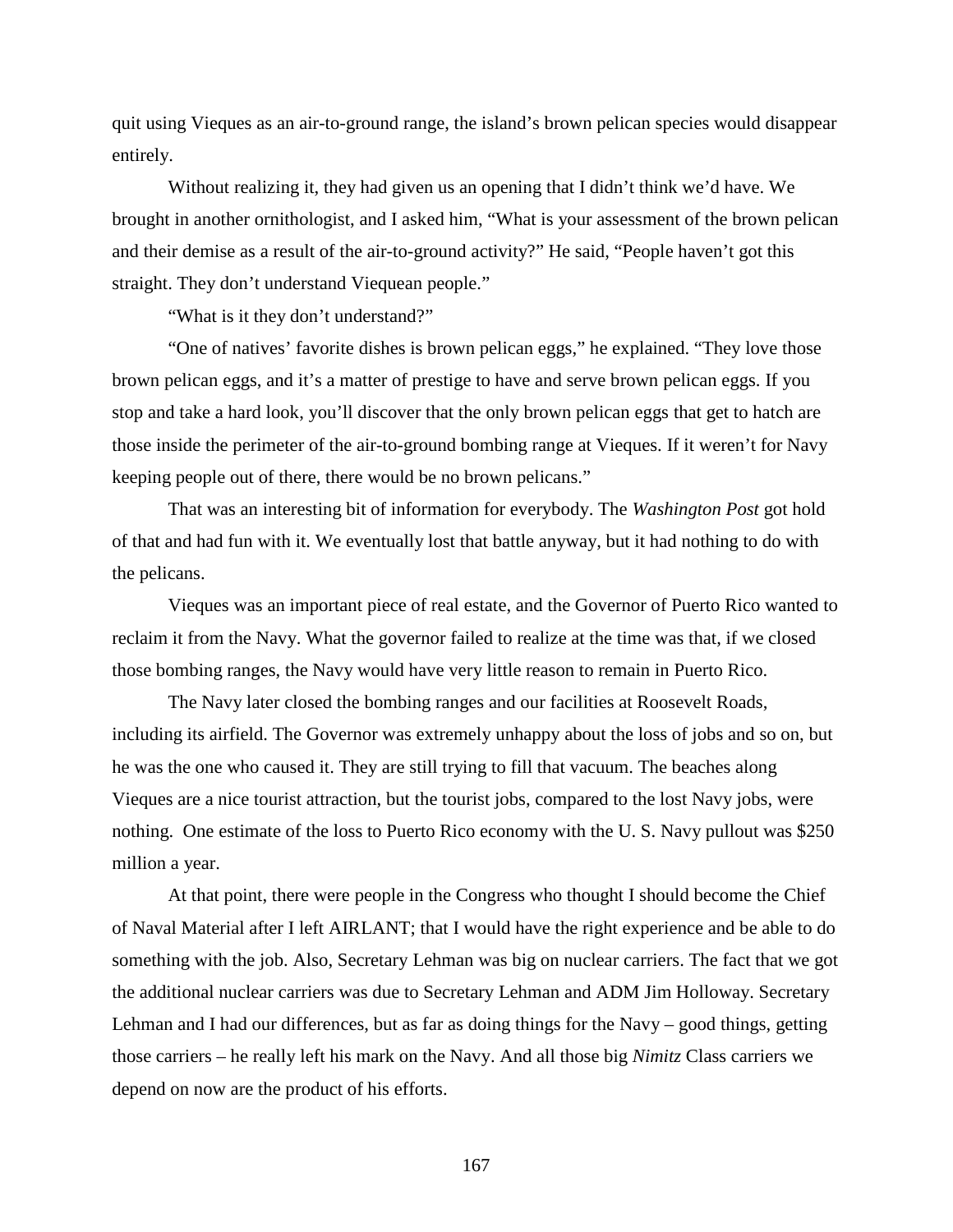quit using Vieques as an air-to-ground range, the island's brown pelican species would disappear entirely.

Without realizing it, they had given us an opening that I didn't think we'd have. We brought in another ornithologist, and I asked him, "What is your assessment of the brown pelican and their demise as a result of the air-to-ground activity?" He said, "People haven't got this straight. They don't understand Viequean people."

"What is it they don't understand?"

"One of natives' favorite dishes is brown pelican eggs," he explained. "They love those brown pelican eggs, and it's a matter of prestige to have and serve brown pelican eggs. If you stop and take a hard look, you'll discover that the only brown pelican eggs that get to hatch are those inside the perimeter of the air-to-ground bombing range at Vieques. If it weren't for Navy keeping people out of there, there would be no brown pelicans."

That was an interesting bit of information for everybody. The *Washington Post* got hold of that and had fun with it. We eventually lost that battle anyway, but it had nothing to do with the pelicans.

Vieques was an important piece of real estate, and the Governor of Puerto Rico wanted to reclaim it from the Navy. What the governor failed to realize at the time was that, if we closed those bombing ranges, the Navy would have very little reason to remain in Puerto Rico.

The Navy later closed the bombing ranges and our facilities at Roosevelt Roads, including its airfield. The Governor was extremely unhappy about the loss of jobs and so on, but he was the one who caused it. They are still trying to fill that vacuum. The beaches along Vieques are a nice tourist attraction, but the tourist jobs, compared to the lost Navy jobs, were nothing. One estimate of the loss to Puerto Rico economy with the U. S. Navy pullout was \$250 million a year.

At that point, there were people in the Congress who thought I should become the Chief of Naval Material after I left AIRLANT; that I would have the right experience and be able to do something with the job. Also, Secretary Lehman was big on nuclear carriers. The fact that we got the additional nuclear carriers was due to Secretary Lehman and ADM Jim Holloway. Secretary Lehman and I had our differences, but as far as doing things for the Navy – good things, getting those carriers – he really left his mark on the Navy. And all those big *Nimitz* Class carriers we depend on now are the product of his efforts.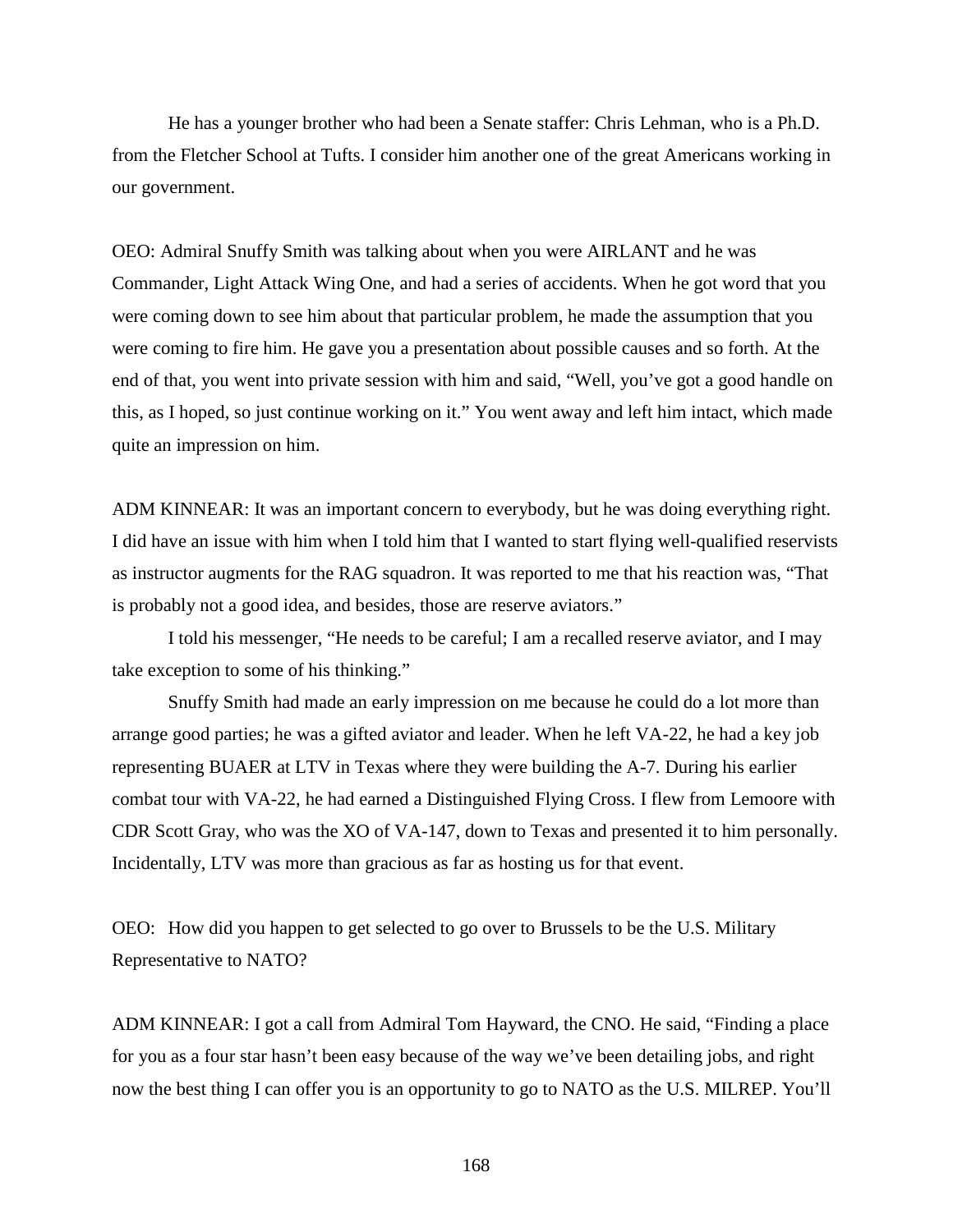He has a younger brother who had been a Senate staffer: Chris Lehman, who is a Ph.D. from the Fletcher School at Tufts. I consider him another one of the great Americans working in our government.

OEO: Admiral Snuffy Smith was talking about when you were AIRLANT and he was Commander, Light Attack Wing One, and had a series of accidents. When he got word that you were coming down to see him about that particular problem, he made the assumption that you were coming to fire him. He gave you a presentation about possible causes and so forth. At the end of that, you went into private session with him and said, "Well, you've got a good handle on this, as I hoped, so just continue working on it." You went away and left him intact, which made quite an impression on him.

ADM KINNEAR: It was an important concern to everybody, but he was doing everything right. I did have an issue with him when I told him that I wanted to start flying well-qualified reservists as instructor augments for the RAG squadron. It was reported to me that his reaction was, "That is probably not a good idea, and besides, those are reserve aviators."

I told his messenger, "He needs to be careful; I am a recalled reserve aviator, and I may take exception to some of his thinking."

Snuffy Smith had made an early impression on me because he could do a lot more than arrange good parties; he was a gifted aviator and leader. When he left VA-22, he had a key job representing BUAER at LTV in Texas where they were building the A-7. During his earlier combat tour with VA-22, he had earned a Distinguished Flying Cross. I flew from Lemoore with CDR Scott Gray, who was the XO of VA-147, down to Texas and presented it to him personally. Incidentally, LTV was more than gracious as far as hosting us for that event.

OEO: How did you happen to get selected to go over to Brussels to be the U.S. Military Representative to NATO?

ADM KINNEAR: I got a call from Admiral Tom Hayward, the CNO. He said, "Finding a place for you as a four star hasn't been easy because of the way we've been detailing jobs, and right now the best thing I can offer you is an opportunity to go to NATO as the U.S. MILREP. You'll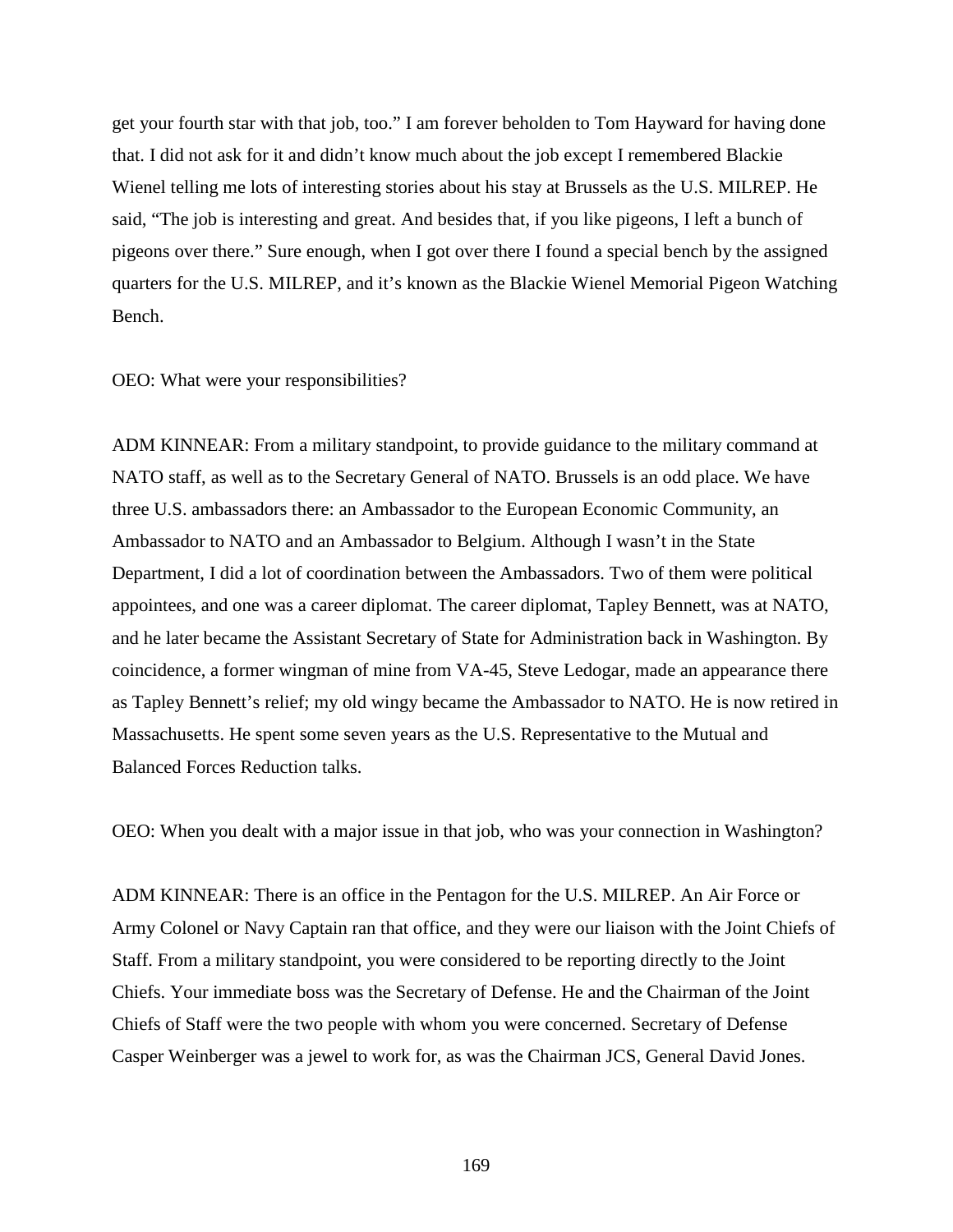get your fourth star with that job, too." I am forever beholden to Tom Hayward for having done that. I did not ask for it and didn't know much about the job except I remembered Blackie Wienel telling me lots of interesting stories about his stay at Brussels as the U.S. MILREP. He said, "The job is interesting and great. And besides that, if you like pigeons, I left a bunch of pigeons over there." Sure enough, when I got over there I found a special bench by the assigned quarters for the U.S. MILREP, and it's known as the Blackie Wienel Memorial Pigeon Watching Bench.

## OEO: What were your responsibilities?

ADM KINNEAR: From a military standpoint, to provide guidance to the military command at NATO staff, as well as to the Secretary General of NATO. Brussels is an odd place. We have three U.S. ambassadors there: an Ambassador to the European Economic Community, an Ambassador to NATO and an Ambassador to Belgium. Although I wasn't in the State Department, I did a lot of coordination between the Ambassadors. Two of them were political appointees, and one was a career diplomat. The career diplomat, Tapley Bennett, was at NATO, and he later became the Assistant Secretary of State for Administration back in Washington. By coincidence, a former wingman of mine from VA-45, Steve Ledogar, made an appearance there as Tapley Bennett's relief; my old wingy became the Ambassador to NATO. He is now retired in Massachusetts. He spent some seven years as the U.S. Representative to the Mutual and Balanced Forces Reduction talks.

OEO: When you dealt with a major issue in that job, who was your connection in Washington?

ADM KINNEAR: There is an office in the Pentagon for the U.S. MILREP. An Air Force or Army Colonel or Navy Captain ran that office, and they were our liaison with the Joint Chiefs of Staff. From a military standpoint, you were considered to be reporting directly to the Joint Chiefs. Your immediate boss was the Secretary of Defense. He and the Chairman of the Joint Chiefs of Staff were the two people with whom you were concerned. Secretary of Defense Casper Weinberger was a jewel to work for, as was the Chairman JCS, General David Jones.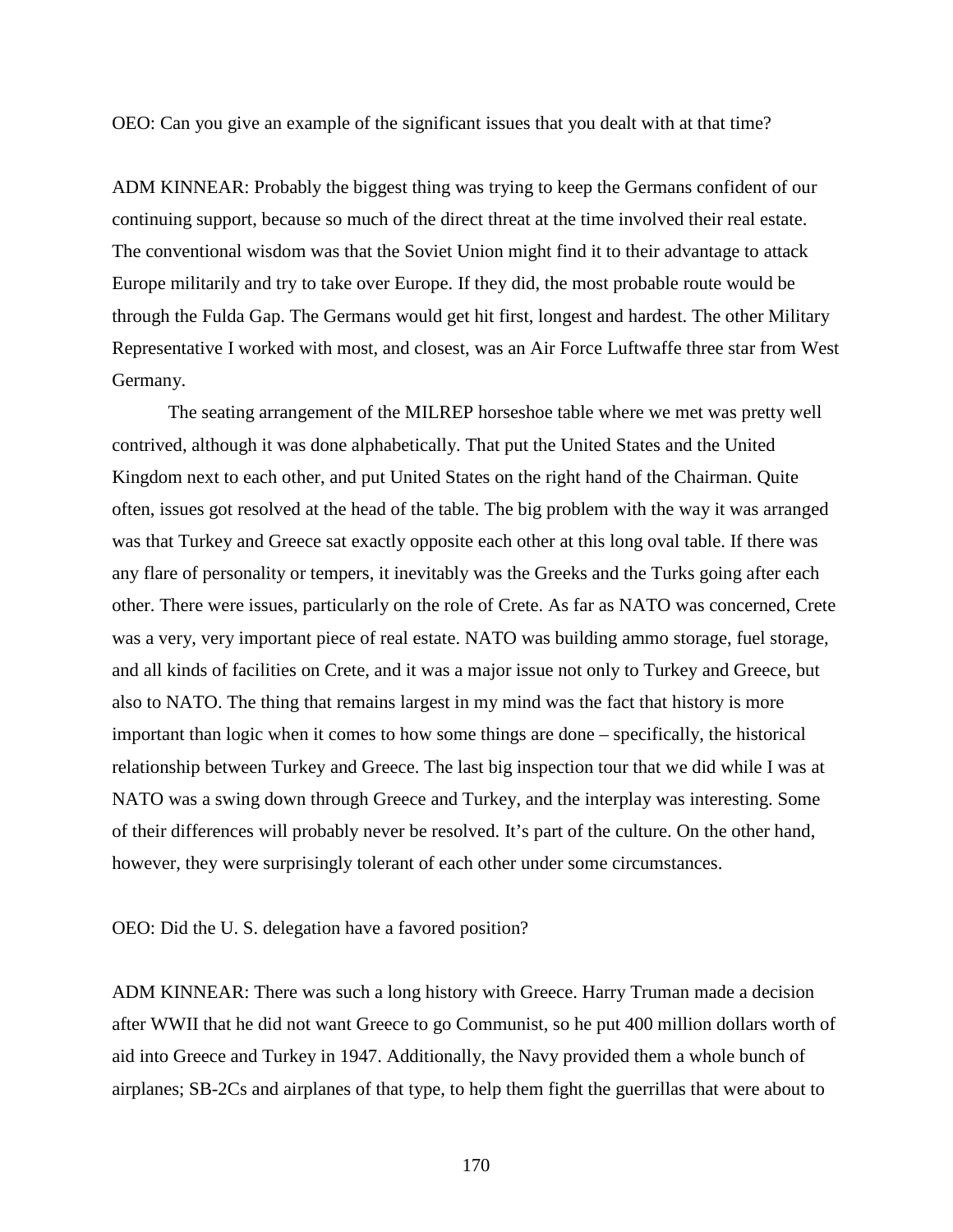OEO: Can you give an example of the significant issues that you dealt with at that time?

ADM KINNEAR: Probably the biggest thing was trying to keep the Germans confident of our continuing support, because so much of the direct threat at the time involved their real estate. The conventional wisdom was that the Soviet Union might find it to their advantage to attack Europe militarily and try to take over Europe. If they did, the most probable route would be through the Fulda Gap. The Germans would get hit first, longest and hardest. The other Military Representative I worked with most, and closest, was an Air Force Luftwaffe three star from West Germany.

The seating arrangement of the MILREP horseshoe table where we met was pretty well contrived, although it was done alphabetically. That put the United States and the United Kingdom next to each other, and put United States on the right hand of the Chairman. Quite often, issues got resolved at the head of the table. The big problem with the way it was arranged was that Turkey and Greece sat exactly opposite each other at this long oval table. If there was any flare of personality or tempers, it inevitably was the Greeks and the Turks going after each other. There were issues, particularly on the role of Crete. As far as NATO was concerned, Crete was a very, very important piece of real estate. NATO was building ammo storage, fuel storage, and all kinds of facilities on Crete, and it was a major issue not only to Turkey and Greece, but also to NATO. The thing that remains largest in my mind was the fact that history is more important than logic when it comes to how some things are done – specifically, the historical relationship between Turkey and Greece. The last big inspection tour that we did while I was at NATO was a swing down through Greece and Turkey, and the interplay was interesting. Some of their differences will probably never be resolved. It's part of the culture. On the other hand, however, they were surprisingly tolerant of each other under some circumstances.

OEO: Did the U. S. delegation have a favored position?

ADM KINNEAR: There was such a long history with Greece. Harry Truman made a decision after WWII that he did not want Greece to go Communist, so he put 400 million dollars worth of aid into Greece and Turkey in 1947. Additionally, the Navy provided them a whole bunch of airplanes; SB-2Cs and airplanes of that type, to help them fight the guerrillas that were about to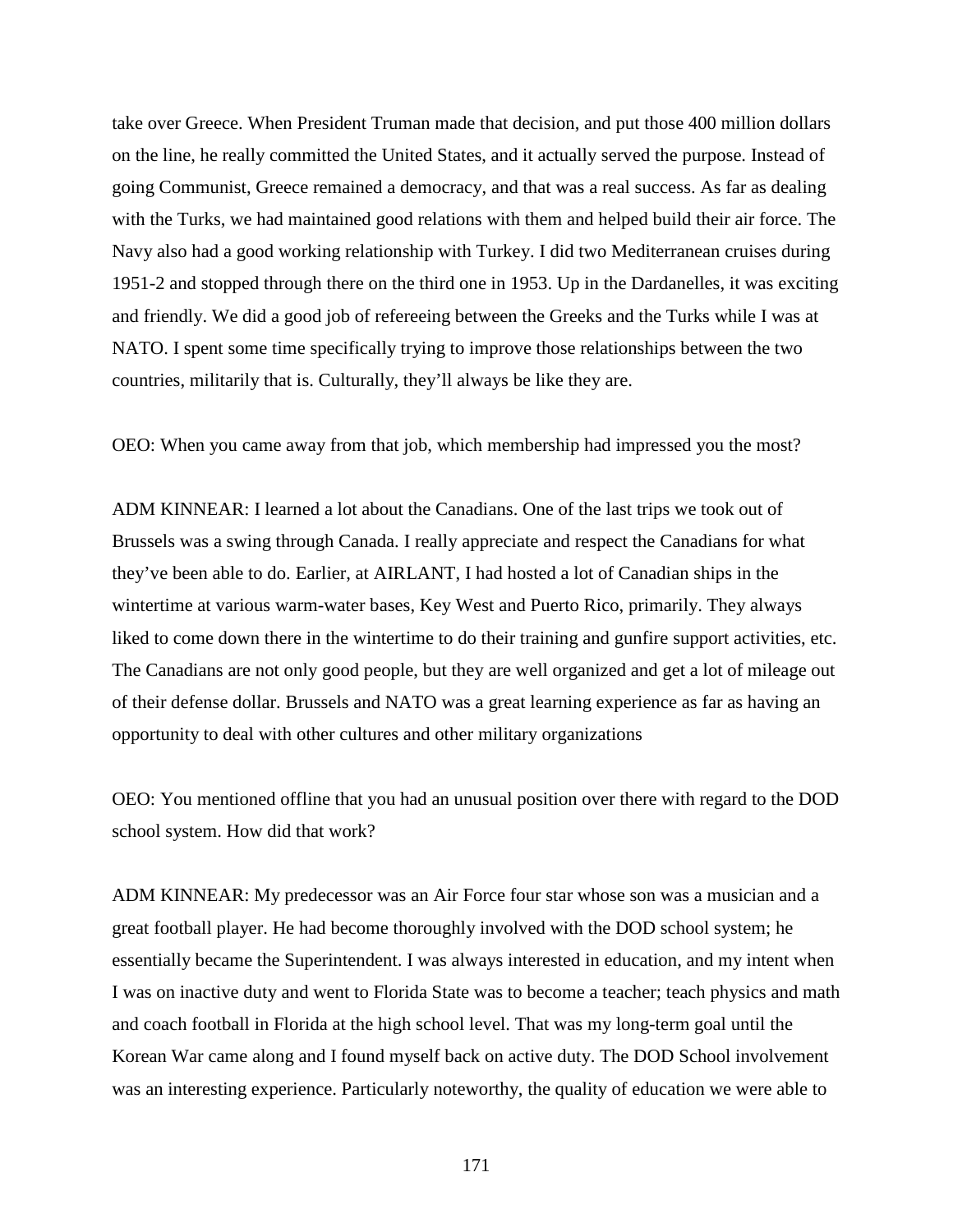take over Greece. When President Truman made that decision, and put those 400 million dollars on the line, he really committed the United States, and it actually served the purpose. Instead of going Communist, Greece remained a democracy, and that was a real success. As far as dealing with the Turks, we had maintained good relations with them and helped build their air force. The Navy also had a good working relationship with Turkey. I did two Mediterranean cruises during 1951-2 and stopped through there on the third one in 1953. Up in the Dardanelles, it was exciting and friendly. We did a good job of refereeing between the Greeks and the Turks while I was at NATO. I spent some time specifically trying to improve those relationships between the two countries, militarily that is. Culturally, they'll always be like they are.

OEO: When you came away from that job, which membership had impressed you the most?

ADM KINNEAR: I learned a lot about the Canadians. One of the last trips we took out of Brussels was a swing through Canada. I really appreciate and respect the Canadians for what they've been able to do. Earlier, at AIRLANT, I had hosted a lot of Canadian ships in the wintertime at various warm-water bases, Key West and Puerto Rico, primarily. They always liked to come down there in the wintertime to do their training and gunfire support activities, etc. The Canadians are not only good people, but they are well organized and get a lot of mileage out of their defense dollar. Brussels and NATO was a great learning experience as far as having an opportunity to deal with other cultures and other military organizations

OEO: You mentioned offline that you had an unusual position over there with regard to the DOD school system. How did that work?

ADM KINNEAR: My predecessor was an Air Force four star whose son was a musician and a great football player. He had become thoroughly involved with the DOD school system; he essentially became the Superintendent. I was always interested in education, and my intent when I was on inactive duty and went to Florida State was to become a teacher; teach physics and math and coach football in Florida at the high school level. That was my long-term goal until the Korean War came along and I found myself back on active duty. The DOD School involvement was an interesting experience. Particularly noteworthy, the quality of education we were able to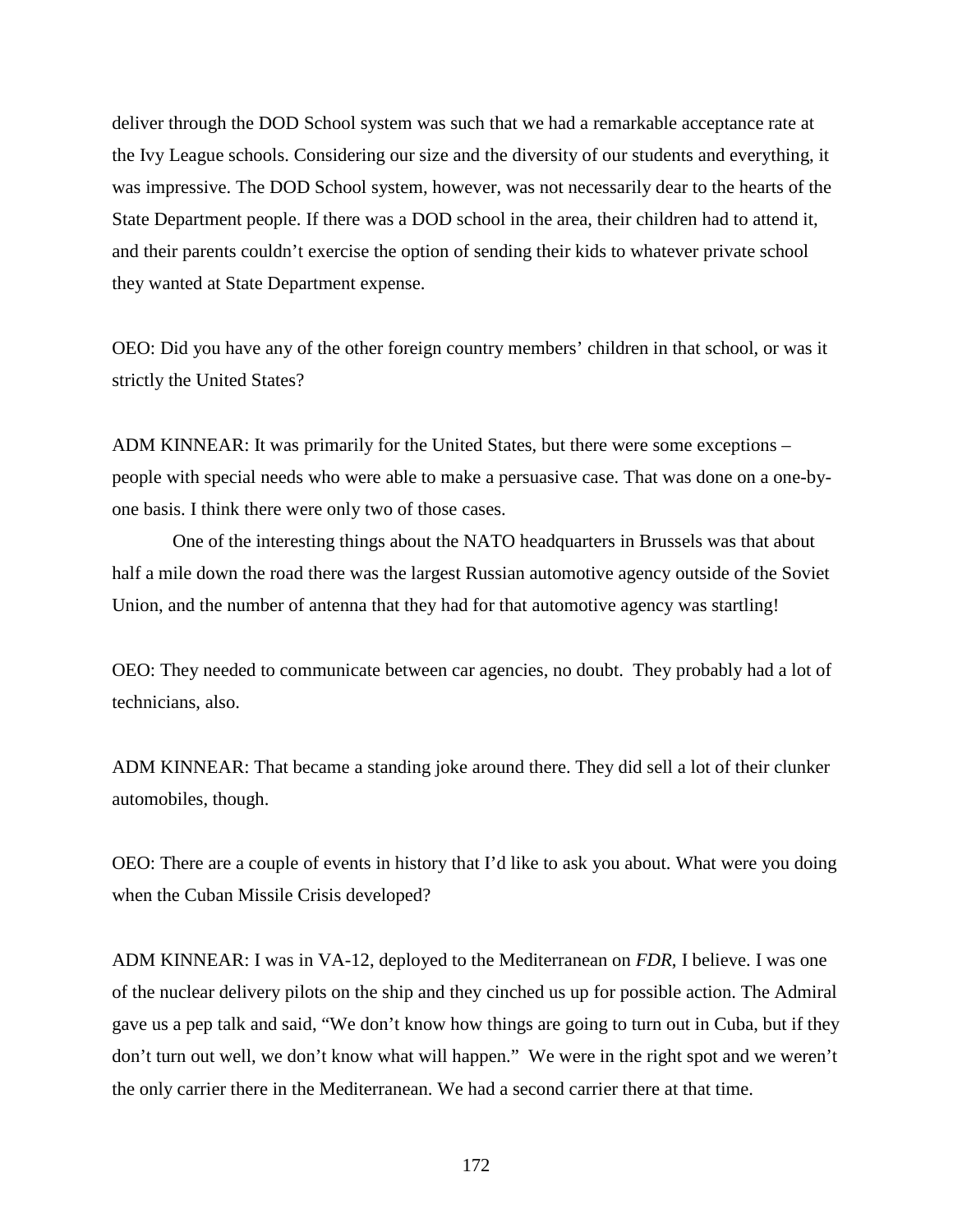deliver through the DOD School system was such that we had a remarkable acceptance rate at the Ivy League schools. Considering our size and the diversity of our students and everything, it was impressive. The DOD School system, however, was not necessarily dear to the hearts of the State Department people. If there was a DOD school in the area, their children had to attend it, and their parents couldn't exercise the option of sending their kids to whatever private school they wanted at State Department expense.

OEO: Did you have any of the other foreign country members' children in that school, or was it strictly the United States?

ADM KINNEAR: It was primarily for the United States, but there were some exceptions – people with special needs who were able to make a persuasive case. That was done on a one-byone basis. I think there were only two of those cases.

One of the interesting things about the NATO headquarters in Brussels was that about half a mile down the road there was the largest Russian automotive agency outside of the Soviet Union, and the number of antenna that they had for that automotive agency was startling!

OEO: They needed to communicate between car agencies, no doubt. They probably had a lot of technicians, also.

ADM KINNEAR: That became a standing joke around there. They did sell a lot of their clunker automobiles, though.

OEO: There are a couple of events in history that I'd like to ask you about. What were you doing when the Cuban Missile Crisis developed?

ADM KINNEAR: I was in VA-12, deployed to the Mediterranean on *FDR*, I believe. I was one of the nuclear delivery pilots on the ship and they cinched us up for possible action. The Admiral gave us a pep talk and said, "We don't know how things are going to turn out in Cuba, but if they don't turn out well, we don't know what will happen." We were in the right spot and we weren't the only carrier there in the Mediterranean. We had a second carrier there at that time.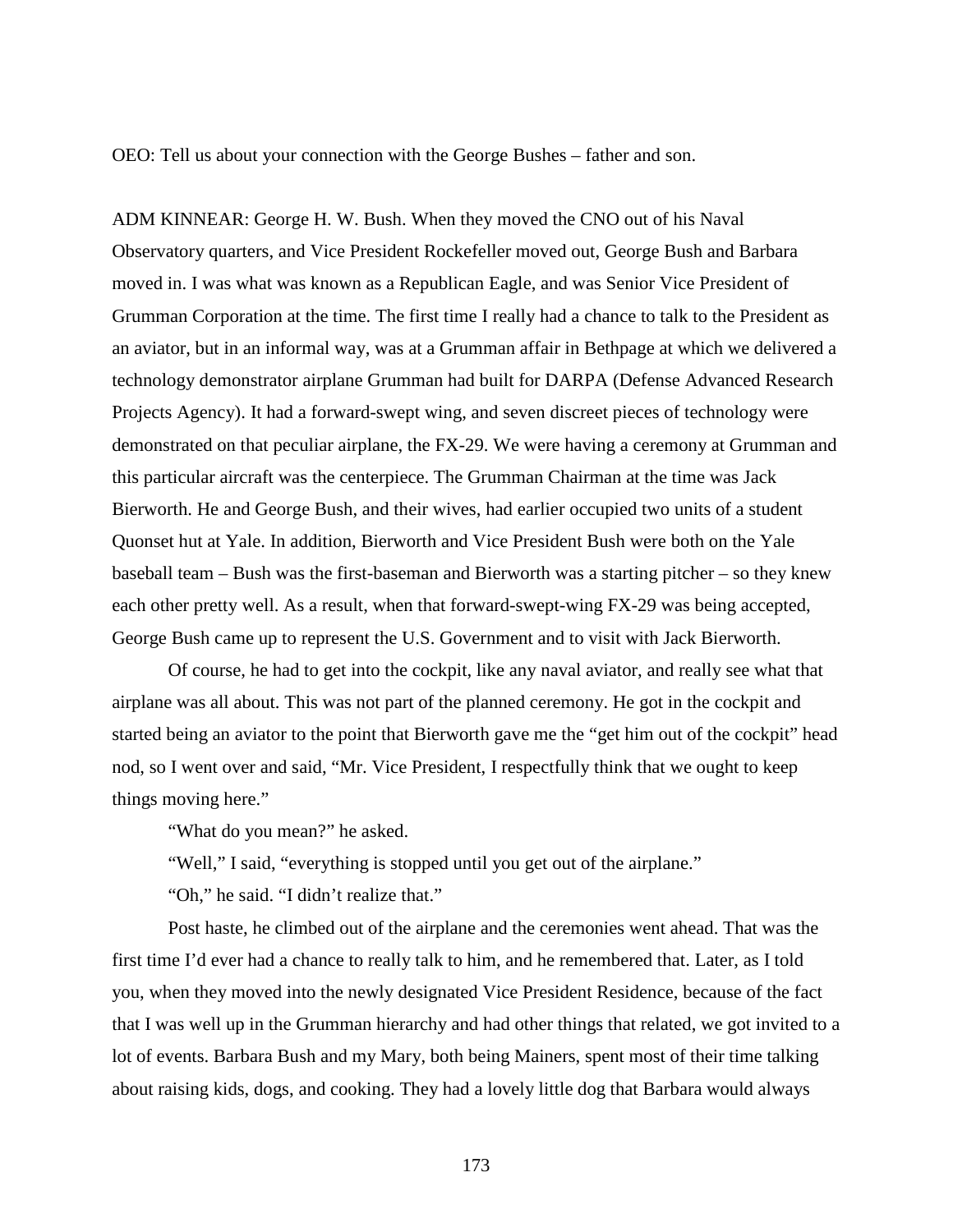OEO: Tell us about your connection with the George Bushes – father and son.

ADM KINNEAR: George H. W. Bush. When they moved the CNO out of his Naval Observatory quarters, and Vice President Rockefeller moved out, George Bush and Barbara moved in. I was what was known as a Republican Eagle, and was Senior Vice President of Grumman Corporation at the time. The first time I really had a chance to talk to the President as an aviator, but in an informal way, was at a Grumman affair in Bethpage at which we delivered a technology demonstrator airplane Grumman had built for DARPA (Defense Advanced Research Projects Agency). It had a forward-swept wing, and seven discreet pieces of technology were demonstrated on that peculiar airplane, the FX-29. We were having a ceremony at Grumman and this particular aircraft was the centerpiece. The Grumman Chairman at the time was Jack Bierworth. He and George Bush, and their wives, had earlier occupied two units of a student Quonset hut at Yale. In addition, Bierworth and Vice President Bush were both on the Yale baseball team – Bush was the first-baseman and Bierworth was a starting pitcher – so they knew each other pretty well. As a result, when that forward-swept-wing FX-29 was being accepted, George Bush came up to represent the U.S. Government and to visit with Jack Bierworth.

Of course, he had to get into the cockpit, like any naval aviator, and really see what that airplane was all about. This was not part of the planned ceremony. He got in the cockpit and started being an aviator to the point that Bierworth gave me the "get him out of the cockpit" head nod, so I went over and said, "Mr. Vice President, I respectfully think that we ought to keep things moving here."

"What do you mean?" he asked.

"Well," I said, "everything is stopped until you get out of the airplane."

"Oh," he said. "I didn't realize that."

Post haste, he climbed out of the airplane and the ceremonies went ahead. That was the first time I'd ever had a chance to really talk to him, and he remembered that. Later, as I told you, when they moved into the newly designated Vice President Residence, because of the fact that I was well up in the Grumman hierarchy and had other things that related, we got invited to a lot of events. Barbara Bush and my Mary, both being Mainers, spent most of their time talking about raising kids, dogs, and cooking. They had a lovely little dog that Barbara would always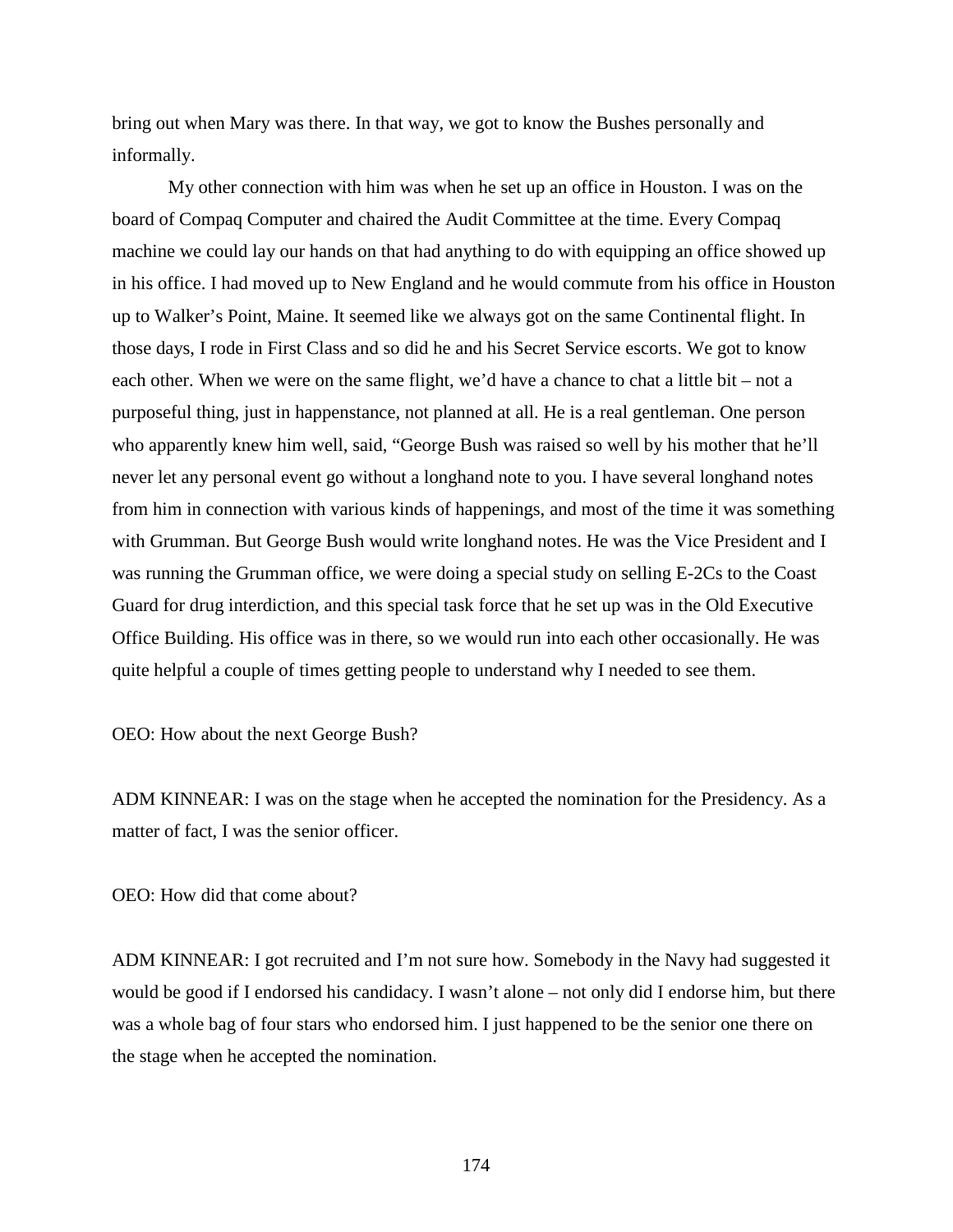bring out when Mary was there. In that way, we got to know the Bushes personally and informally.

My other connection with him was when he set up an office in Houston. I was on the board of Compaq Computer and chaired the Audit Committee at the time. Every Compaq machine we could lay our hands on that had anything to do with equipping an office showed up in his office. I had moved up to New England and he would commute from his office in Houston up to Walker's Point, Maine. It seemed like we always got on the same Continental flight. In those days, I rode in First Class and so did he and his Secret Service escorts. We got to know each other. When we were on the same flight, we'd have a chance to chat a little bit – not a purposeful thing, just in happenstance, not planned at all. He is a real gentleman. One person who apparently knew him well, said, "George Bush was raised so well by his mother that he'll never let any personal event go without a longhand note to you. I have several longhand notes from him in connection with various kinds of happenings, and most of the time it was something with Grumman. But George Bush would write longhand notes. He was the Vice President and I was running the Grumman office, we were doing a special study on selling E-2Cs to the Coast Guard for drug interdiction, and this special task force that he set up was in the Old Executive Office Building. His office was in there, so we would run into each other occasionally. He was quite helpful a couple of times getting people to understand why I needed to see them.

OEO: How about the next George Bush?

ADM KINNEAR: I was on the stage when he accepted the nomination for the Presidency. As a matter of fact, I was the senior officer.

OEO: How did that come about?

ADM KINNEAR: I got recruited and I'm not sure how. Somebody in the Navy had suggested it would be good if I endorsed his candidacy. I wasn't alone – not only did I endorse him, but there was a whole bag of four stars who endorsed him. I just happened to be the senior one there on the stage when he accepted the nomination.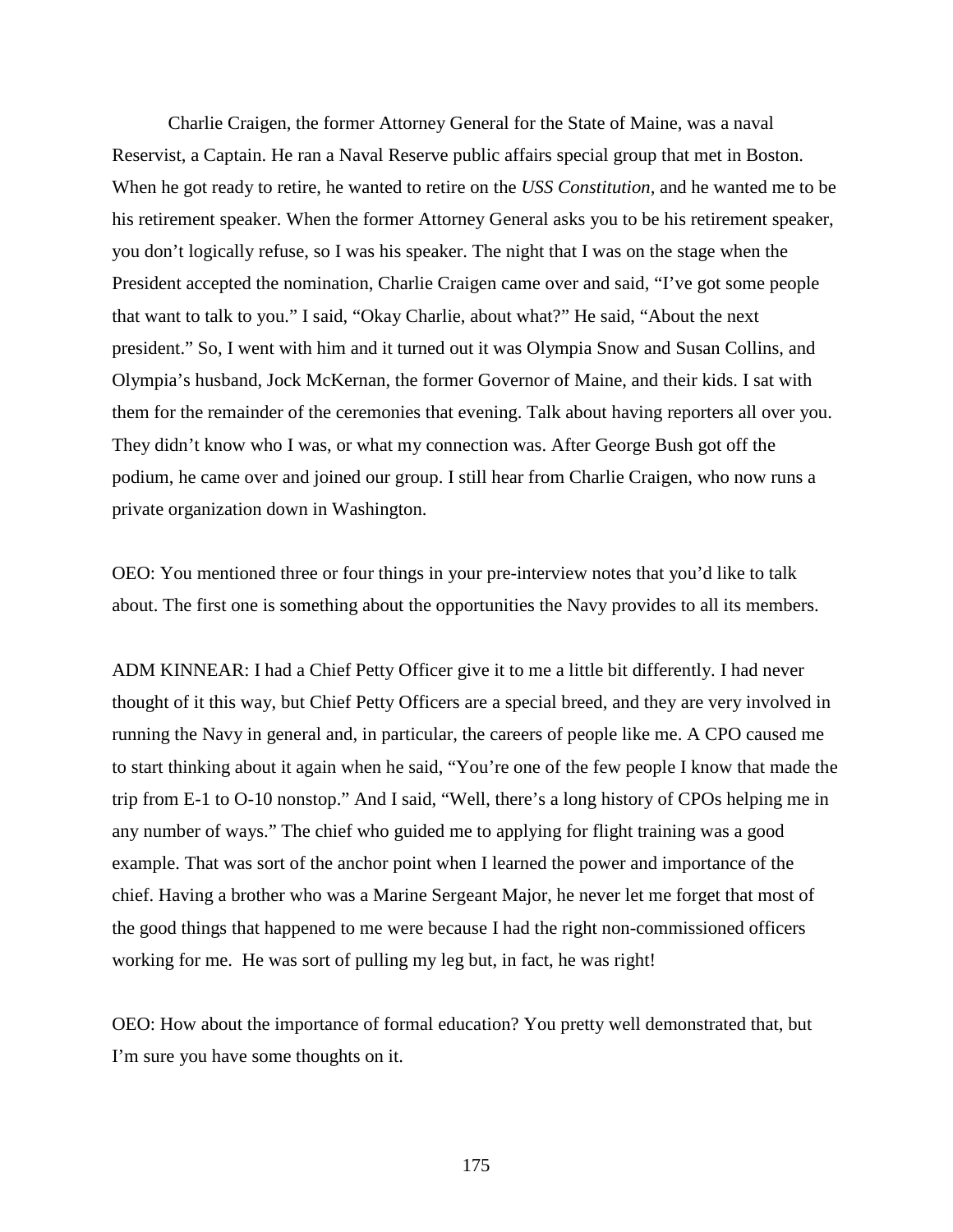Charlie Craigen, the former Attorney General for the State of Maine, was a naval Reservist, a Captain. He ran a Naval Reserve public affairs special group that met in Boston. When he got ready to retire, he wanted to retire on the *USS Constitution,* and he wanted me to be his retirement speaker. When the former Attorney General asks you to be his retirement speaker, you don't logically refuse, so I was his speaker. The night that I was on the stage when the President accepted the nomination, Charlie Craigen came over and said, "I've got some people that want to talk to you." I said, "Okay Charlie, about what?" He said, "About the next president." So, I went with him and it turned out it was Olympia Snow and Susan Collins, and Olympia's husband, Jock McKernan, the former Governor of Maine, and their kids. I sat with them for the remainder of the ceremonies that evening. Talk about having reporters all over you. They didn't know who I was, or what my connection was. After George Bush got off the podium, he came over and joined our group. I still hear from Charlie Craigen, who now runs a private organization down in Washington.

OEO: You mentioned three or four things in your pre-interview notes that you'd like to talk about. The first one is something about the opportunities the Navy provides to all its members.

ADM KINNEAR: I had a Chief Petty Officer give it to me a little bit differently. I had never thought of it this way, but Chief Petty Officers are a special breed, and they are very involved in running the Navy in general and, in particular, the careers of people like me. A CPO caused me to start thinking about it again when he said, "You're one of the few people I know that made the trip from E-1 to O-10 nonstop." And I said, "Well, there's a long history of CPOs helping me in any number of ways." The chief who guided me to applying for flight training was a good example. That was sort of the anchor point when I learned the power and importance of the chief. Having a brother who was a Marine Sergeant Major, he never let me forget that most of the good things that happened to me were because I had the right non-commissioned officers working for me. He was sort of pulling my leg but, in fact, he was right!

OEO: How about the importance of formal education? You pretty well demonstrated that, but I'm sure you have some thoughts on it.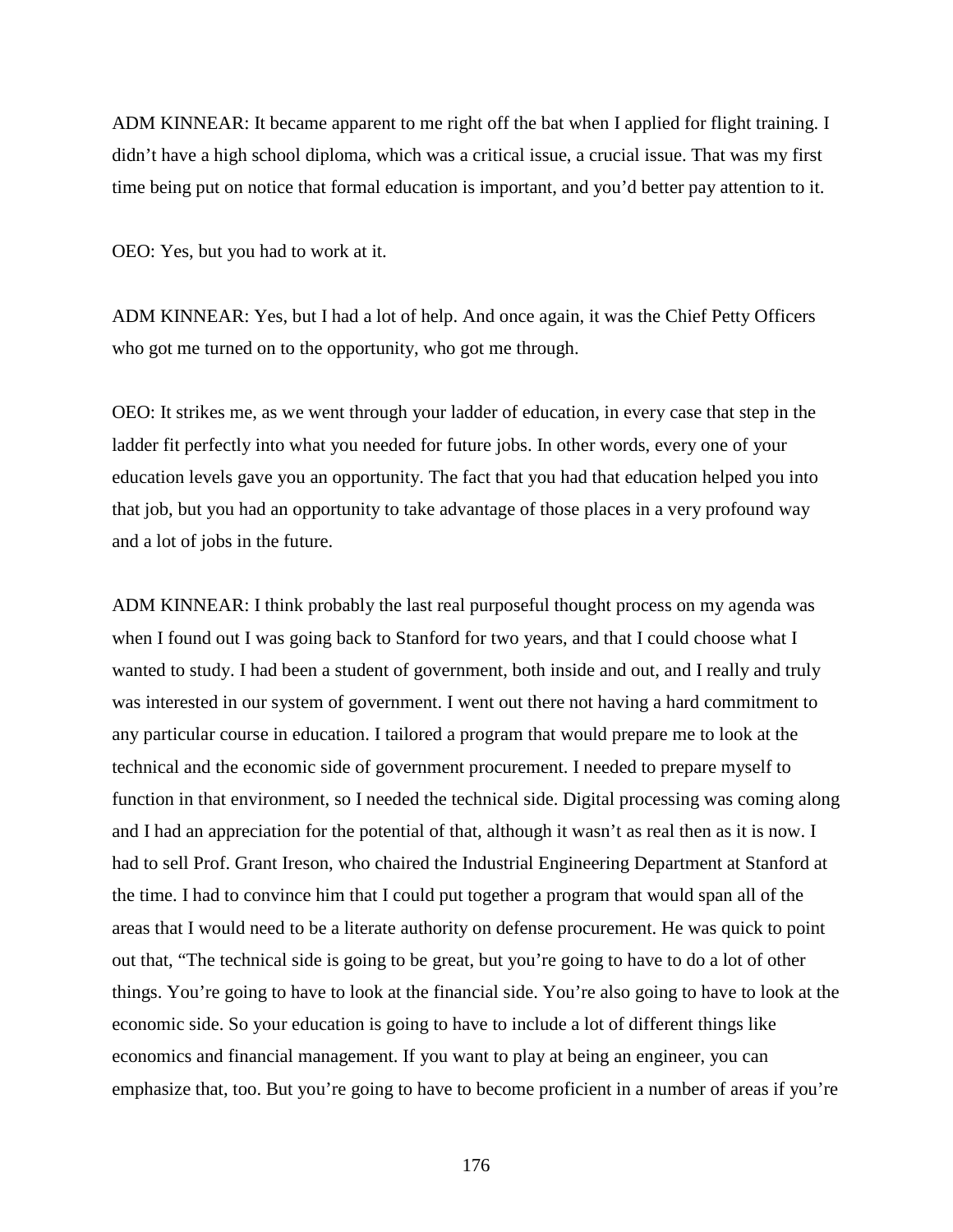ADM KINNEAR: It became apparent to me right off the bat when I applied for flight training. I didn't have a high school diploma, which was a critical issue, a crucial issue. That was my first time being put on notice that formal education is important, and you'd better pay attention to it.

OEO: Yes, but you had to work at it.

ADM KINNEAR: Yes, but I had a lot of help. And once again, it was the Chief Petty Officers who got me turned on to the opportunity, who got me through.

OEO: It strikes me, as we went through your ladder of education, in every case that step in the ladder fit perfectly into what you needed for future jobs. In other words, every one of your education levels gave you an opportunity. The fact that you had that education helped you into that job, but you had an opportunity to take advantage of those places in a very profound way and a lot of jobs in the future.

ADM KINNEAR: I think probably the last real purposeful thought process on my agenda was when I found out I was going back to Stanford for two years, and that I could choose what I wanted to study. I had been a student of government, both inside and out, and I really and truly was interested in our system of government. I went out there not having a hard commitment to any particular course in education. I tailored a program that would prepare me to look at the technical and the economic side of government procurement. I needed to prepare myself to function in that environment, so I needed the technical side. Digital processing was coming along and I had an appreciation for the potential of that, although it wasn't as real then as it is now. I had to sell Prof. Grant Ireson, who chaired the Industrial Engineering Department at Stanford at the time. I had to convince him that I could put together a program that would span all of the areas that I would need to be a literate authority on defense procurement. He was quick to point out that, "The technical side is going to be great, but you're going to have to do a lot of other things. You're going to have to look at the financial side. You're also going to have to look at the economic side. So your education is going to have to include a lot of different things like economics and financial management. If you want to play at being an engineer, you can emphasize that, too. But you're going to have to become proficient in a number of areas if you're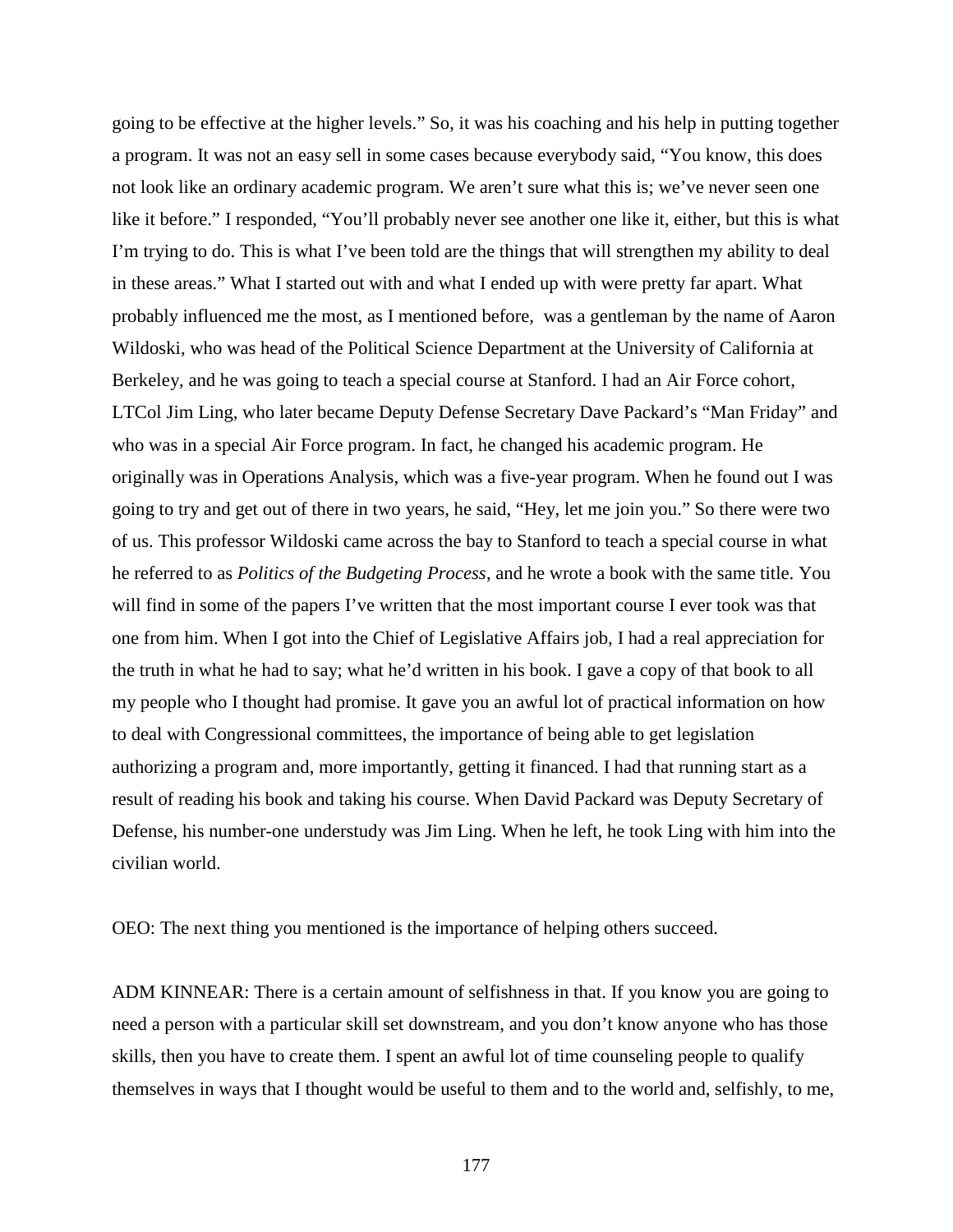going to be effective at the higher levels." So, it was his coaching and his help in putting together a program. It was not an easy sell in some cases because everybody said, "You know, this does not look like an ordinary academic program. We aren't sure what this is; we've never seen one like it before." I responded, "You'll probably never see another one like it, either, but this is what I'm trying to do. This is what I've been told are the things that will strengthen my ability to deal in these areas." What I started out with and what I ended up with were pretty far apart. What probably influenced me the most, as I mentioned before, was a gentleman by the name of Aaron Wildoski, who was head of the Political Science Department at the University of California at Berkeley, and he was going to teach a special course at Stanford. I had an Air Force cohort, LTCol Jim Ling, who later became Deputy Defense Secretary Dave Packard's "Man Friday" and who was in a special Air Force program. In fact, he changed his academic program. He originally was in Operations Analysis, which was a five-year program. When he found out I was going to try and get out of there in two years, he said, "Hey, let me join you." So there were two of us. This professor Wildoski came across the bay to Stanford to teach a special course in what he referred to as *Politics of the Budgeting Process*, and he wrote a book with the same title. You will find in some of the papers I've written that the most important course I ever took was that one from him. When I got into the Chief of Legislative Affairs job, I had a real appreciation for the truth in what he had to say; what he'd written in his book. I gave a copy of that book to all my people who I thought had promise. It gave you an awful lot of practical information on how to deal with Congressional committees, the importance of being able to get legislation authorizing a program and, more importantly, getting it financed. I had that running start as a result of reading his book and taking his course. When David Packard was Deputy Secretary of Defense, his number-one understudy was Jim Ling. When he left, he took Ling with him into the civilian world.

OEO: The next thing you mentioned is the importance of helping others succeed.

ADM KINNEAR: There is a certain amount of selfishness in that. If you know you are going to need a person with a particular skill set downstream, and you don't know anyone who has those skills, then you have to create them. I spent an awful lot of time counseling people to qualify themselves in ways that I thought would be useful to them and to the world and, selfishly, to me,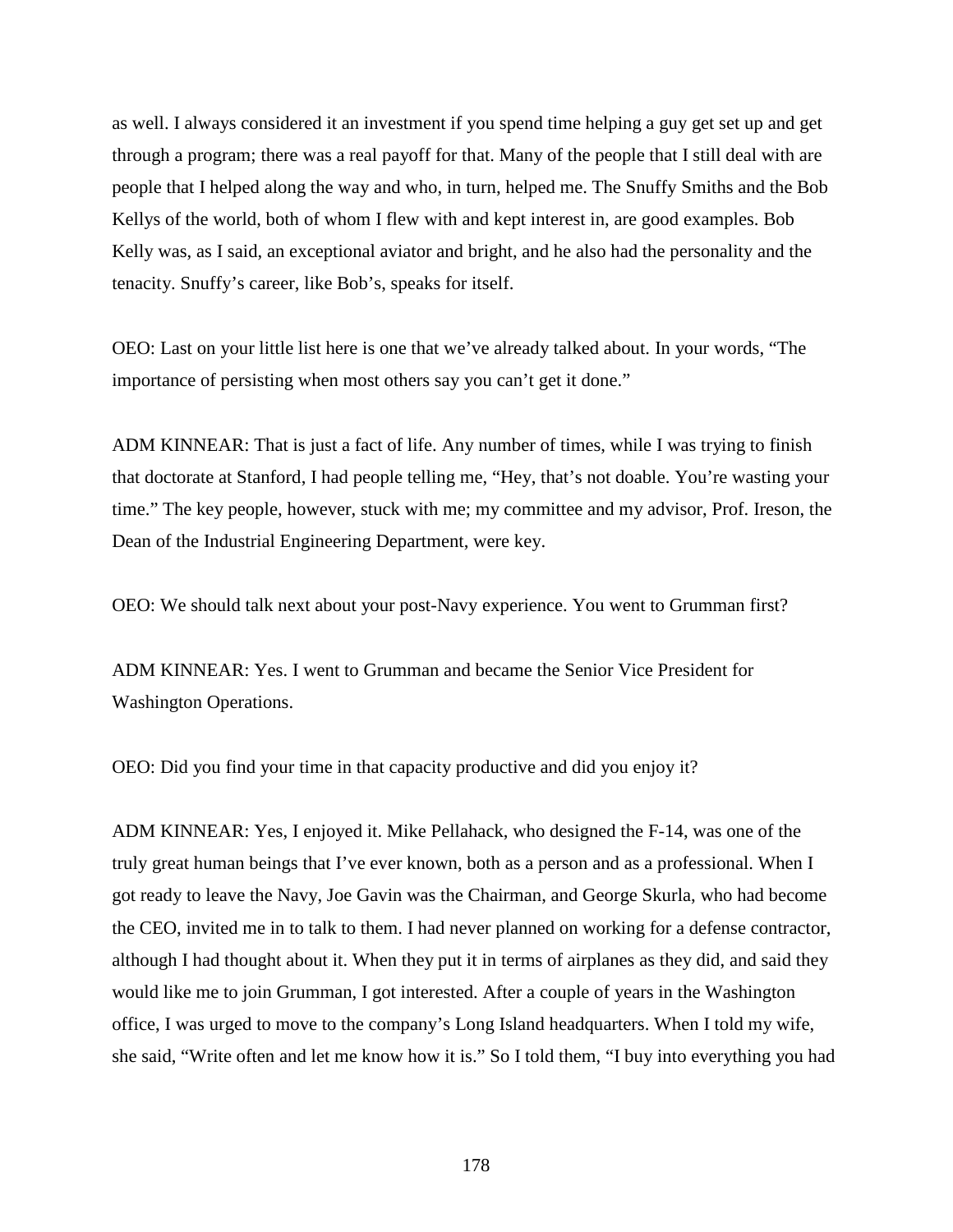as well. I always considered it an investment if you spend time helping a guy get set up and get through a program; there was a real payoff for that. Many of the people that I still deal with are people that I helped along the way and who, in turn, helped me. The Snuffy Smiths and the Bob Kellys of the world, both of whom I flew with and kept interest in, are good examples. Bob Kelly was, as I said, an exceptional aviator and bright, and he also had the personality and the tenacity. Snuffy's career, like Bob's, speaks for itself.

OEO: Last on your little list here is one that we've already talked about. In your words, "The importance of persisting when most others say you can't get it done."

ADM KINNEAR: That is just a fact of life. Any number of times, while I was trying to finish that doctorate at Stanford, I had people telling me, "Hey, that's not doable. You're wasting your time." The key people, however, stuck with me; my committee and my advisor, Prof. Ireson, the Dean of the Industrial Engineering Department, were key.

OEO: We should talk next about your post-Navy experience. You went to Grumman first?

ADM KINNEAR: Yes. I went to Grumman and became the Senior Vice President for Washington Operations.

OEO: Did you find your time in that capacity productive and did you enjoy it?

ADM KINNEAR: Yes, I enjoyed it. Mike Pellahack, who designed the F-14, was one of the truly great human beings that I've ever known, both as a person and as a professional. When I got ready to leave the Navy, Joe Gavin was the Chairman, and George Skurla, who had become the CEO, invited me in to talk to them. I had never planned on working for a defense contractor, although I had thought about it. When they put it in terms of airplanes as they did, and said they would like me to join Grumman, I got interested. After a couple of years in the Washington office, I was urged to move to the company's Long Island headquarters. When I told my wife, she said, "Write often and let me know how it is." So I told them, "I buy into everything you had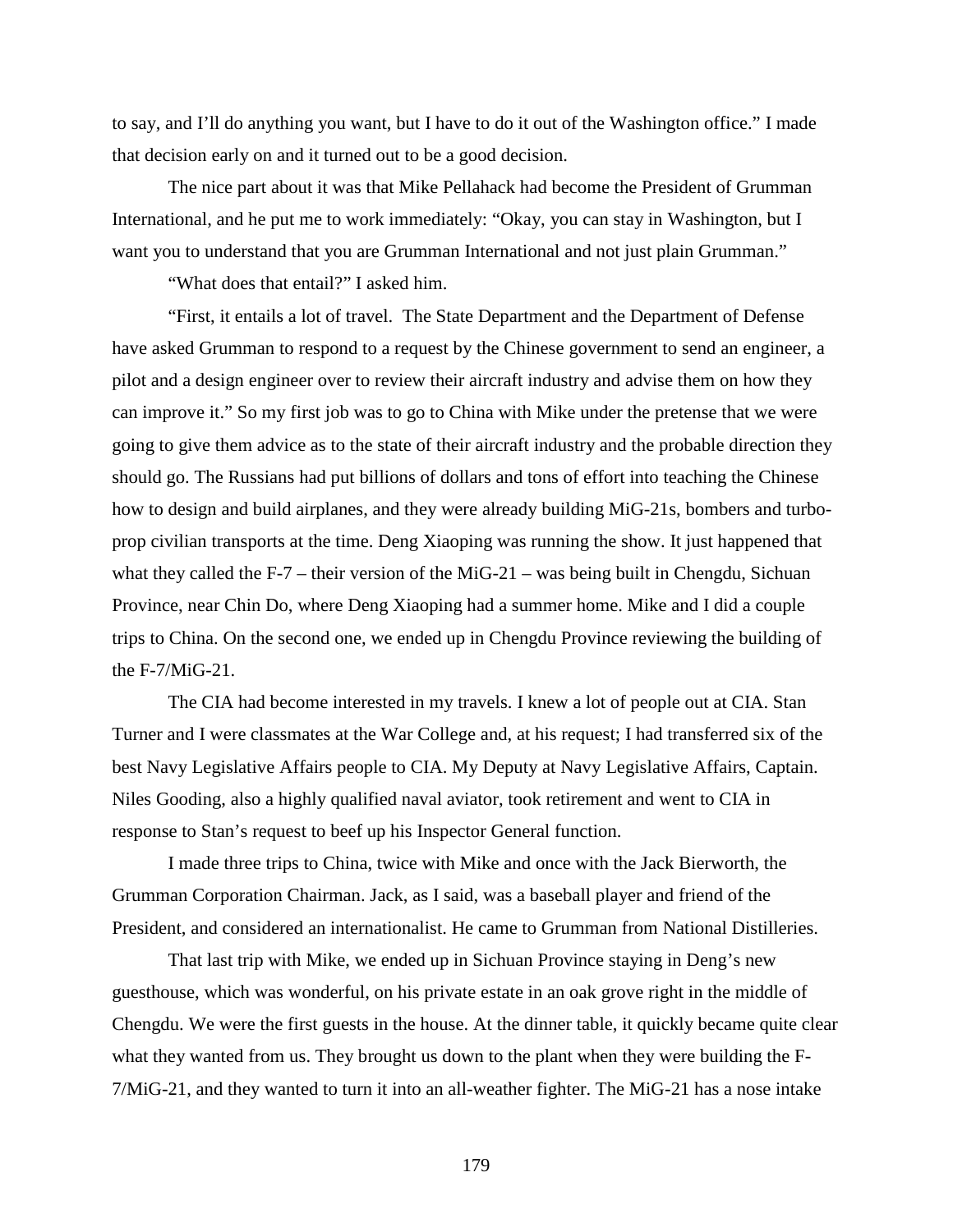to say, and I'll do anything you want, but I have to do it out of the Washington office." I made that decision early on and it turned out to be a good decision.

The nice part about it was that Mike Pellahack had become the President of Grumman International, and he put me to work immediately: "Okay, you can stay in Washington, but I want you to understand that you are Grumman International and not just plain Grumman."

"What does that entail?" I asked him.

"First, it entails a lot of travel. The State Department and the Department of Defense have asked Grumman to respond to a request by the Chinese government to send an engineer, a pilot and a design engineer over to review their aircraft industry and advise them on how they can improve it." So my first job was to go to China with Mike under the pretense that we were going to give them advice as to the state of their aircraft industry and the probable direction they should go. The Russians had put billions of dollars and tons of effort into teaching the Chinese how to design and build airplanes, and they were already building MiG-21s, bombers and turboprop civilian transports at the time. Deng Xiaoping was running the show. It just happened that what they called the F-7 – their version of the MiG-21 – was being built in Chengdu, Sichuan Province, near Chin Do, where Deng Xiaoping had a summer home. Mike and I did a couple trips to China. On the second one, we ended up in Chengdu Province reviewing the building of the F-7/MiG-21.

The CIA had become interested in my travels. I knew a lot of people out at CIA. Stan Turner and I were classmates at the War College and, at his request; I had transferred six of the best Navy Legislative Affairs people to CIA. My Deputy at Navy Legislative Affairs, Captain. Niles Gooding, also a highly qualified naval aviator, took retirement and went to CIA in response to Stan's request to beef up his Inspector General function.

I made three trips to China, twice with Mike and once with the Jack Bierworth, the Grumman Corporation Chairman. Jack, as I said, was a baseball player and friend of the President, and considered an internationalist. He came to Grumman from National Distilleries.

That last trip with Mike, we ended up in Sichuan Province staying in Deng's new guesthouse, which was wonderful, on his private estate in an oak grove right in the middle of Chengdu. We were the first guests in the house. At the dinner table, it quickly became quite clear what they wanted from us. They brought us down to the plant when they were building the F-7/MiG-21, and they wanted to turn it into an all-weather fighter. The MiG-21 has a nose intake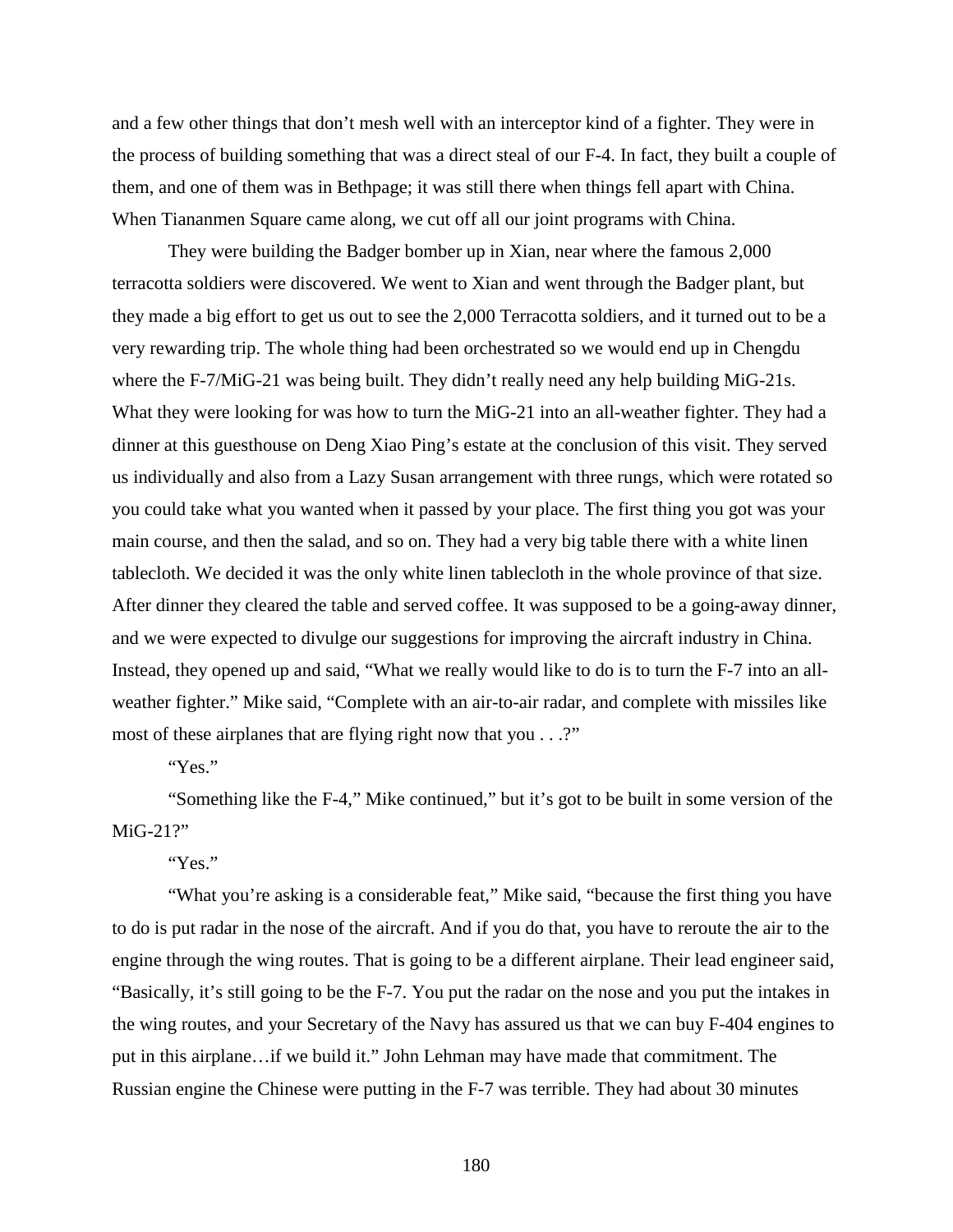and a few other things that don't mesh well with an interceptor kind of a fighter. They were in the process of building something that was a direct steal of our F-4. In fact, they built a couple of them, and one of them was in Bethpage; it was still there when things fell apart with China. When Tiananmen Square came along, we cut off all our joint programs with China.

They were building the Badger bomber up in Xian, near where the famous 2,000 terracotta soldiers were discovered. We went to Xian and went through the Badger plant, but they made a big effort to get us out to see the 2,000 Terracotta soldiers, and it turned out to be a very rewarding trip. The whole thing had been orchestrated so we would end up in Chengdu where the F-7/MiG-21 was being built. They didn't really need any help building MiG-21s. What they were looking for was how to turn the MiG-21 into an all-weather fighter. They had a dinner at this guesthouse on Deng Xiao Ping's estate at the conclusion of this visit. They served us individually and also from a Lazy Susan arrangement with three rungs, which were rotated so you could take what you wanted when it passed by your place. The first thing you got was your main course, and then the salad, and so on. They had a very big table there with a white linen tablecloth. We decided it was the only white linen tablecloth in the whole province of that size. After dinner they cleared the table and served coffee. It was supposed to be a going-away dinner, and we were expected to divulge our suggestions for improving the aircraft industry in China. Instead, they opened up and said, "What we really would like to do is to turn the F-7 into an allweather fighter." Mike said, "Complete with an air-to-air radar, and complete with missiles like most of these airplanes that are flying right now that you . . .?"

"Yes."

"Something like the F-4," Mike continued," but it's got to be built in some version of the MiG-21?"

"Yes."

"What you're asking is a considerable feat," Mike said, "because the first thing you have to do is put radar in the nose of the aircraft. And if you do that, you have to reroute the air to the engine through the wing routes. That is going to be a different airplane. Their lead engineer said, "Basically, it's still going to be the F-7. You put the radar on the nose and you put the intakes in the wing routes, and your Secretary of the Navy has assured us that we can buy F-404 engines to put in this airplane…if we build it." John Lehman may have made that commitment. The Russian engine the Chinese were putting in the F-7 was terrible. They had about 30 minutes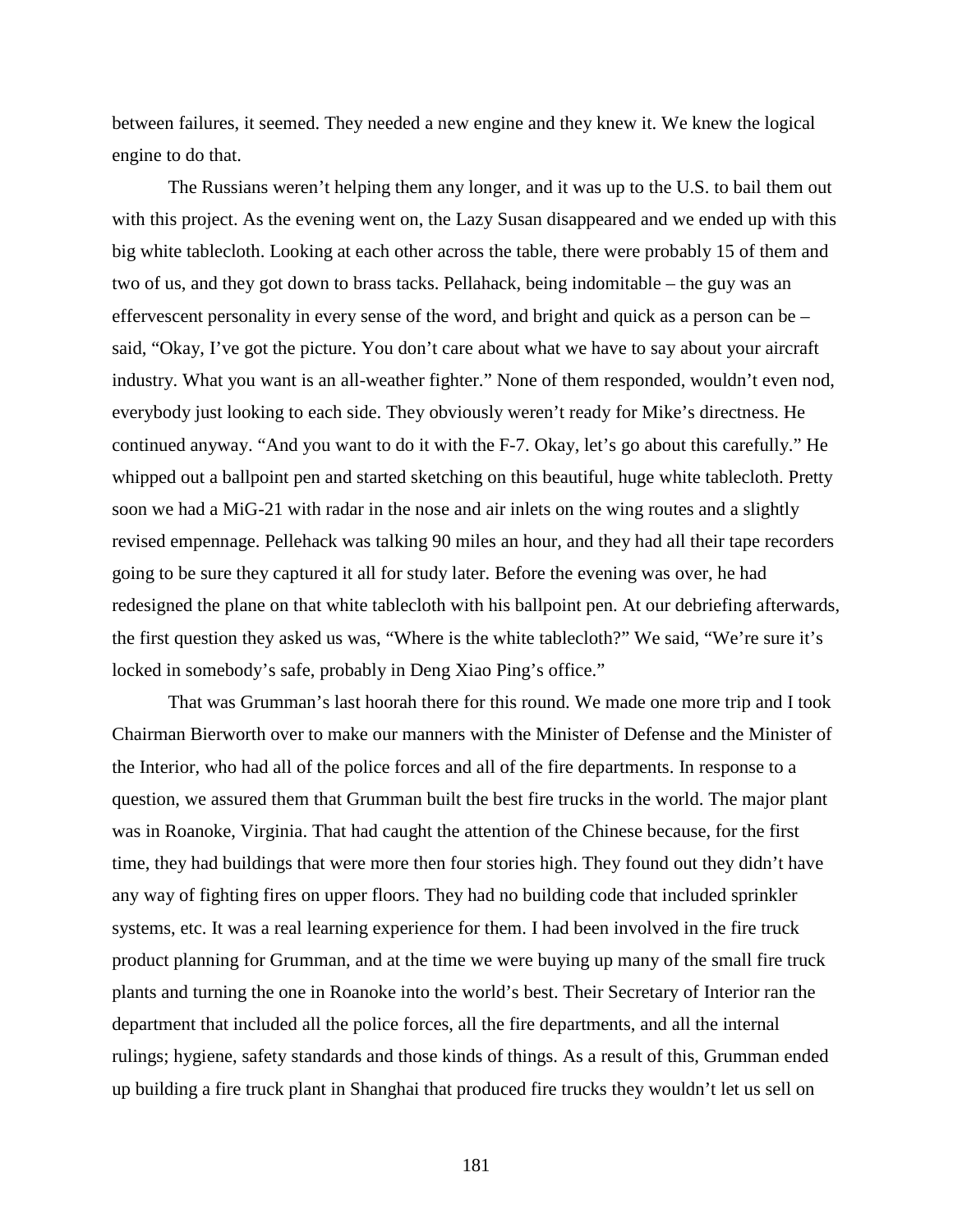between failures, it seemed. They needed a new engine and they knew it. We knew the logical engine to do that.

The Russians weren't helping them any longer, and it was up to the U.S. to bail them out with this project. As the evening went on, the Lazy Susan disappeared and we ended up with this big white tablecloth. Looking at each other across the table, there were probably 15 of them and two of us, and they got down to brass tacks. Pellahack, being indomitable – the guy was an effervescent personality in every sense of the word, and bright and quick as a person can be – said, "Okay, I've got the picture. You don't care about what we have to say about your aircraft industry. What you want is an all-weather fighter." None of them responded, wouldn't even nod, everybody just looking to each side. They obviously weren't ready for Mike's directness. He continued anyway. "And you want to do it with the F-7. Okay, let's go about this carefully." He whipped out a ballpoint pen and started sketching on this beautiful, huge white tablecloth. Pretty soon we had a MiG-21 with radar in the nose and air inlets on the wing routes and a slightly revised empennage. Pellehack was talking 90 miles an hour, and they had all their tape recorders going to be sure they captured it all for study later. Before the evening was over, he had redesigned the plane on that white tablecloth with his ballpoint pen. At our debriefing afterwards, the first question they asked us was, "Where is the white tablecloth?" We said, "We're sure it's locked in somebody's safe, probably in Deng Xiao Ping's office."

That was Grumman's last hoorah there for this round. We made one more trip and I took Chairman Bierworth over to make our manners with the Minister of Defense and the Minister of the Interior, who had all of the police forces and all of the fire departments. In response to a question, we assured them that Grumman built the best fire trucks in the world. The major plant was in Roanoke, Virginia. That had caught the attention of the Chinese because, for the first time, they had buildings that were more then four stories high. They found out they didn't have any way of fighting fires on upper floors. They had no building code that included sprinkler systems, etc. It was a real learning experience for them. I had been involved in the fire truck product planning for Grumman, and at the time we were buying up many of the small fire truck plants and turning the one in Roanoke into the world's best. Their Secretary of Interior ran the department that included all the police forces, all the fire departments, and all the internal rulings; hygiene, safety standards and those kinds of things. As a result of this, Grumman ended up building a fire truck plant in Shanghai that produced fire trucks they wouldn't let us sell on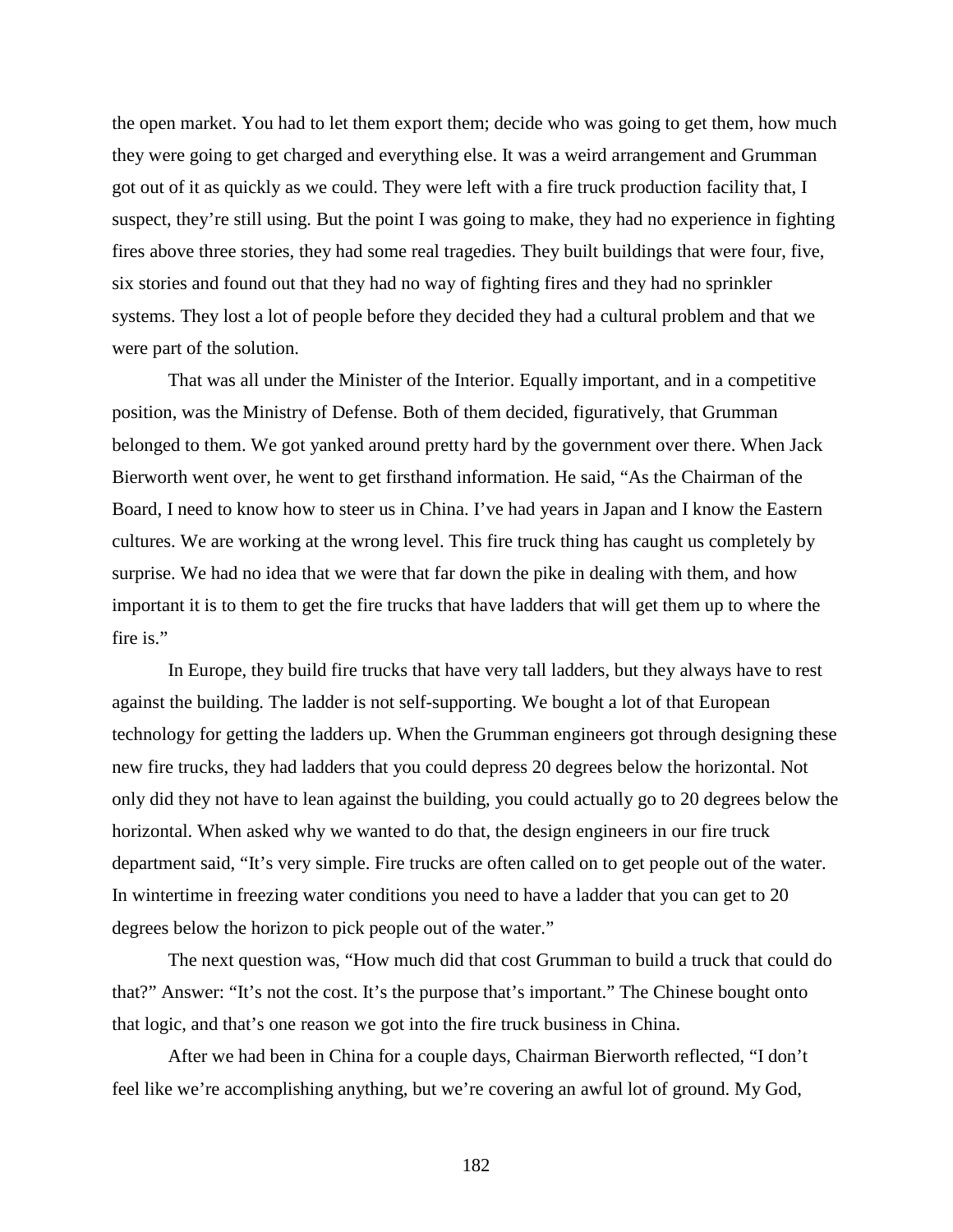the open market. You had to let them export them; decide who was going to get them, how much they were going to get charged and everything else. It was a weird arrangement and Grumman got out of it as quickly as we could. They were left with a fire truck production facility that, I suspect, they're still using. But the point I was going to make, they had no experience in fighting fires above three stories, they had some real tragedies. They built buildings that were four, five, six stories and found out that they had no way of fighting fires and they had no sprinkler systems. They lost a lot of people before they decided they had a cultural problem and that we were part of the solution.

That was all under the Minister of the Interior. Equally important, and in a competitive position, was the Ministry of Defense. Both of them decided, figuratively, that Grumman belonged to them. We got yanked around pretty hard by the government over there. When Jack Bierworth went over, he went to get firsthand information. He said, "As the Chairman of the Board, I need to know how to steer us in China. I've had years in Japan and I know the Eastern cultures. We are working at the wrong level. This fire truck thing has caught us completely by surprise. We had no idea that we were that far down the pike in dealing with them, and how important it is to them to get the fire trucks that have ladders that will get them up to where the fire is."

In Europe, they build fire trucks that have very tall ladders, but they always have to rest against the building. The ladder is not self-supporting. We bought a lot of that European technology for getting the ladders up. When the Grumman engineers got through designing these new fire trucks, they had ladders that you could depress 20 degrees below the horizontal. Not only did they not have to lean against the building, you could actually go to 20 degrees below the horizontal. When asked why we wanted to do that, the design engineers in our fire truck department said, "It's very simple. Fire trucks are often called on to get people out of the water. In wintertime in freezing water conditions you need to have a ladder that you can get to 20 degrees below the horizon to pick people out of the water."

The next question was, "How much did that cost Grumman to build a truck that could do that?" Answer: "It's not the cost. It's the purpose that's important." The Chinese bought onto that logic, and that's one reason we got into the fire truck business in China.

After we had been in China for a couple days, Chairman Bierworth reflected, "I don't feel like we're accomplishing anything, but we're covering an awful lot of ground. My God,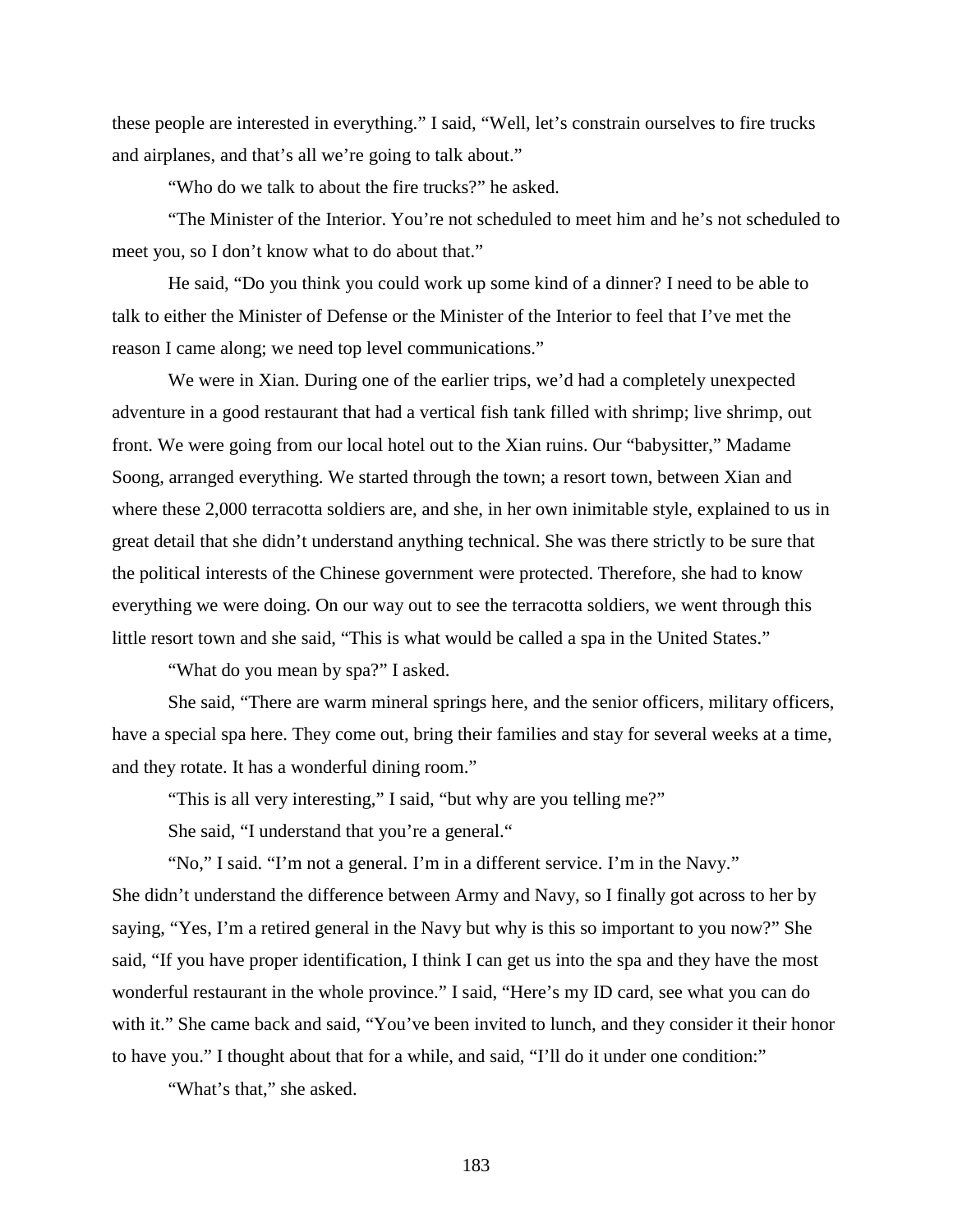these people are interested in everything." I said, "Well, let's constrain ourselves to fire trucks and airplanes, and that's all we're going to talk about."

"Who do we talk to about the fire trucks?" he asked.

"The Minister of the Interior. You're not scheduled to meet him and he's not scheduled to meet you, so I don't know what to do about that."

He said, "Do you think you could work up some kind of a dinner? I need to be able to talk to either the Minister of Defense or the Minister of the Interior to feel that I've met the reason I came along; we need top level communications."

We were in Xian. During one of the earlier trips, we'd had a completely unexpected adventure in a good restaurant that had a vertical fish tank filled with shrimp; live shrimp, out front. We were going from our local hotel out to the Xian ruins. Our "babysitter," Madame Soong, arranged everything. We started through the town; a resort town, between Xian and where these 2,000 terracotta soldiers are, and she, in her own inimitable style, explained to us in great detail that she didn't understand anything technical. She was there strictly to be sure that the political interests of the Chinese government were protected. Therefore, she had to know everything we were doing. On our way out to see the terracotta soldiers, we went through this little resort town and she said, "This is what would be called a spa in the United States."

"What do you mean by spa?" I asked.

She said, "There are warm mineral springs here, and the senior officers, military officers, have a special spa here. They come out, bring their families and stay for several weeks at a time, and they rotate. It has a wonderful dining room."

"This is all very interesting," I said, "but why are you telling me?"

She said, "I understand that you're a general."

"No," I said. "I'm not a general. I'm in a different service. I'm in the Navy." She didn't understand the difference between Army and Navy, so I finally got across to her by saying, "Yes, I'm a retired general in the Navy but why is this so important to you now?" She said, "If you have proper identification, I think I can get us into the spa and they have the most wonderful restaurant in the whole province." I said, "Here's my ID card, see what you can do with it." She came back and said, "You've been invited to lunch, and they consider it their honor to have you." I thought about that for a while, and said, "I'll do it under one condition:"

"What's that," she asked.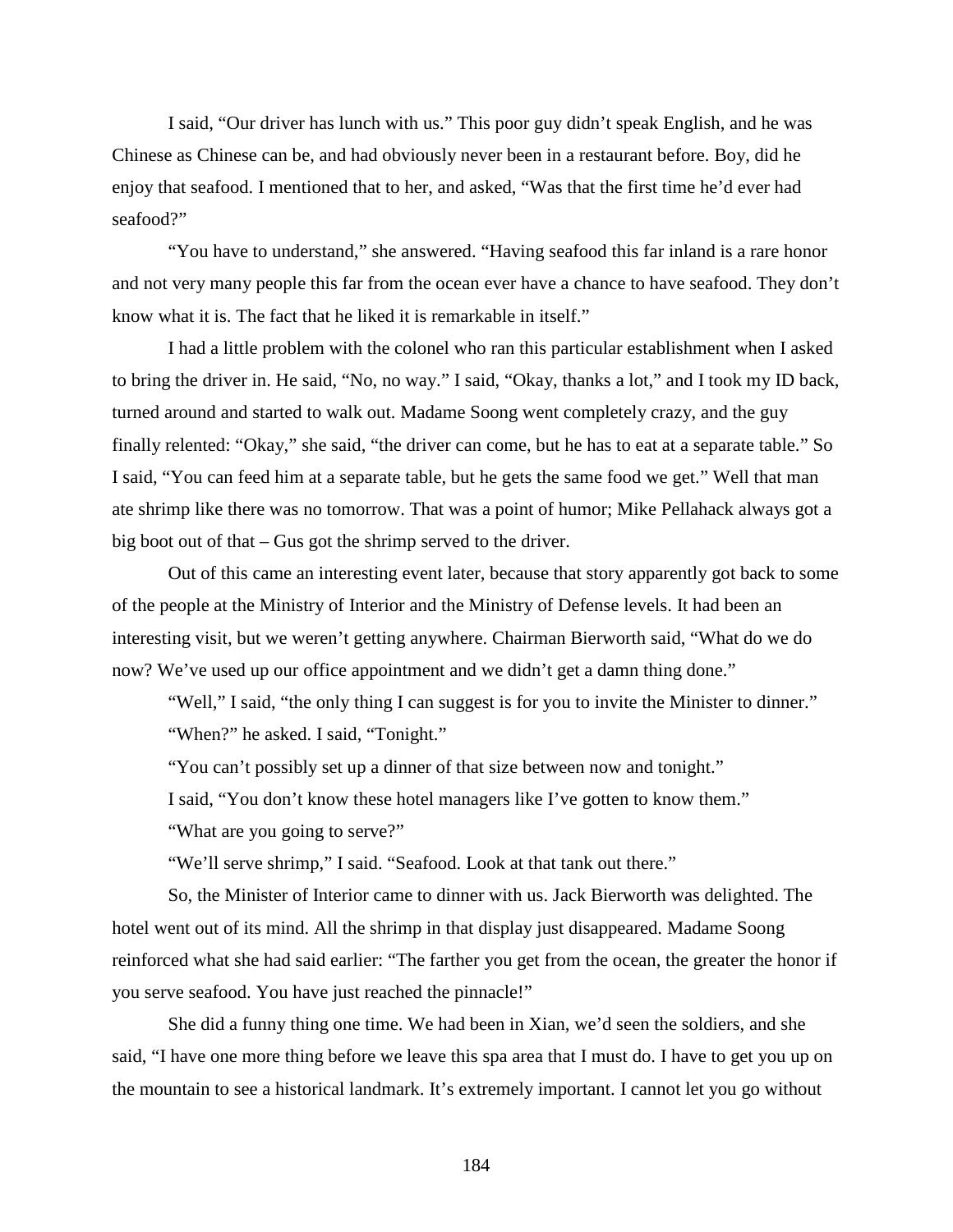I said, "Our driver has lunch with us." This poor guy didn't speak English, and he was Chinese as Chinese can be, and had obviously never been in a restaurant before. Boy, did he enjoy that seafood. I mentioned that to her, and asked, "Was that the first time he'd ever had seafood?"

"You have to understand," she answered. "Having seafood this far inland is a rare honor and not very many people this far from the ocean ever have a chance to have seafood. They don't know what it is. The fact that he liked it is remarkable in itself."

I had a little problem with the colonel who ran this particular establishment when I asked to bring the driver in. He said, "No, no way." I said, "Okay, thanks a lot," and I took my ID back, turned around and started to walk out. Madame Soong went completely crazy, and the guy finally relented: "Okay," she said, "the driver can come, but he has to eat at a separate table." So I said, "You can feed him at a separate table, but he gets the same food we get." Well that man ate shrimp like there was no tomorrow. That was a point of humor; Mike Pellahack always got a big boot out of that – Gus got the shrimp served to the driver.

Out of this came an interesting event later, because that story apparently got back to some of the people at the Ministry of Interior and the Ministry of Defense levels. It had been an interesting visit, but we weren't getting anywhere. Chairman Bierworth said, "What do we do now? We've used up our office appointment and we didn't get a damn thing done."

"Well," I said, "the only thing I can suggest is for you to invite the Minister to dinner." "When?" he asked. I said, "Tonight."

"You can't possibly set up a dinner of that size between now and tonight."

I said, "You don't know these hotel managers like I've gotten to know them."

"What are you going to serve?"

"We'll serve shrimp," I said. "Seafood. Look at that tank out there."

So, the Minister of Interior came to dinner with us. Jack Bierworth was delighted. The hotel went out of its mind. All the shrimp in that display just disappeared. Madame Soong reinforced what she had said earlier: "The farther you get from the ocean, the greater the honor if you serve seafood. You have just reached the pinnacle!"

She did a funny thing one time. We had been in Xian, we'd seen the soldiers, and she said, "I have one more thing before we leave this spa area that I must do. I have to get you up on the mountain to see a historical landmark. It's extremely important. I cannot let you go without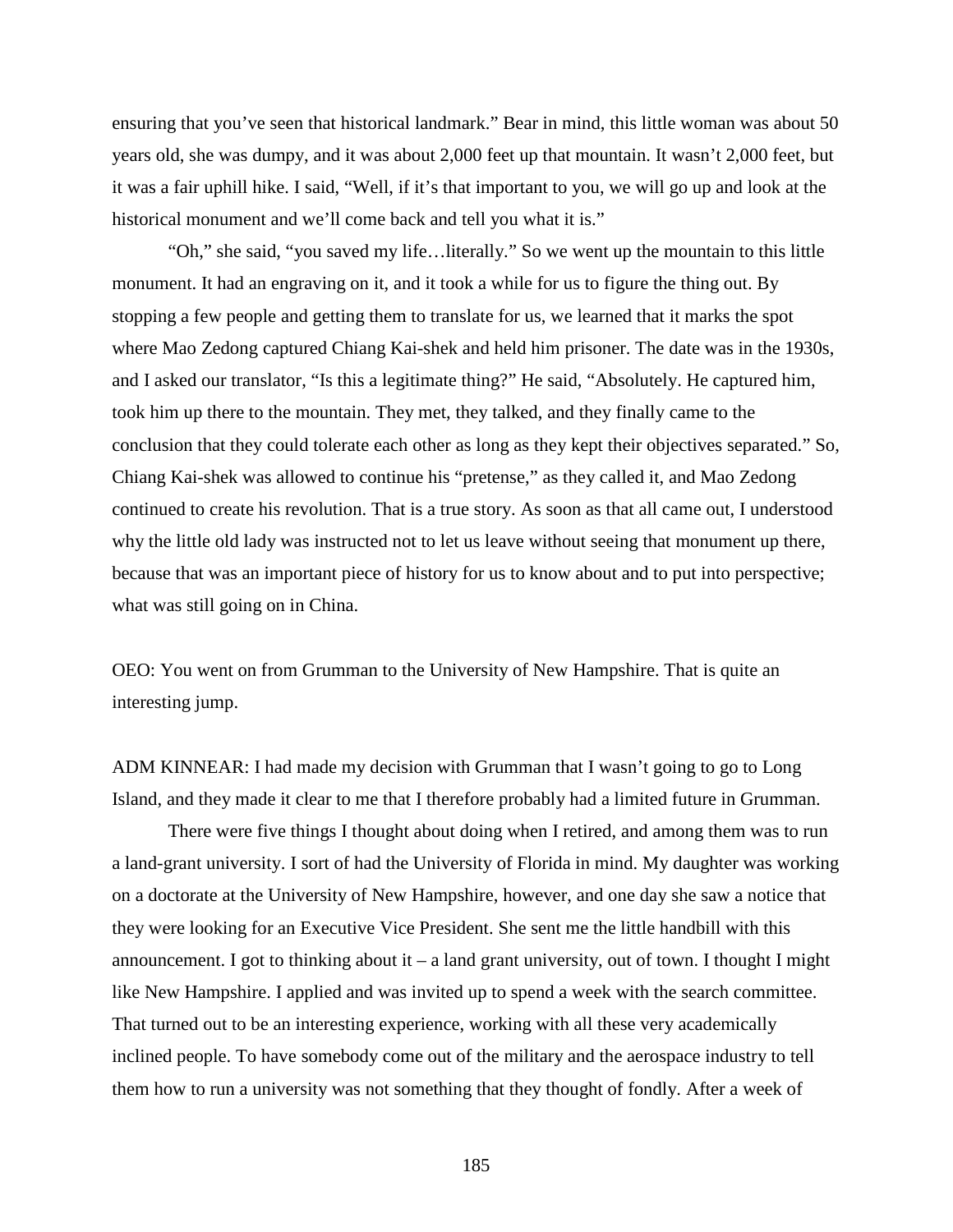ensuring that you've seen that historical landmark." Bear in mind, this little woman was about 50 years old, she was dumpy, and it was about 2,000 feet up that mountain. It wasn't 2,000 feet, but it was a fair uphill hike. I said, "Well, if it's that important to you, we will go up and look at the historical monument and we'll come back and tell you what it is."

"Oh," she said, "you saved my life…literally." So we went up the mountain to this little monument. It had an engraving on it, and it took a while for us to figure the thing out. By stopping a few people and getting them to translate for us, we learned that it marks the spot where Mao Zedong captured Chiang Kai-shek and held him prisoner. The date was in the 1930s, and I asked our translator, "Is this a legitimate thing?" He said, "Absolutely. He captured him, took him up there to the mountain. They met, they talked, and they finally came to the conclusion that they could tolerate each other as long as they kept their objectives separated." So, Chiang Kai-shek was allowed to continue his "pretense," as they called it, and Mao Zedong continued to create his revolution. That is a true story. As soon as that all came out, I understood why the little old lady was instructed not to let us leave without seeing that monument up there, because that was an important piece of history for us to know about and to put into perspective; what was still going on in China.

OEO: You went on from Grumman to the University of New Hampshire. That is quite an interesting jump.

ADM KINNEAR: I had made my decision with Grumman that I wasn't going to go to Long Island, and they made it clear to me that I therefore probably had a limited future in Grumman.

There were five things I thought about doing when I retired, and among them was to run a land-grant university. I sort of had the University of Florida in mind. My daughter was working on a doctorate at the University of New Hampshire, however, and one day she saw a notice that they were looking for an Executive Vice President. She sent me the little handbill with this announcement. I got to thinking about it  $-$  a land grant university, out of town. I thought I might like New Hampshire. I applied and was invited up to spend a week with the search committee. That turned out to be an interesting experience, working with all these very academically inclined people. To have somebody come out of the military and the aerospace industry to tell them how to run a university was not something that they thought of fondly. After a week of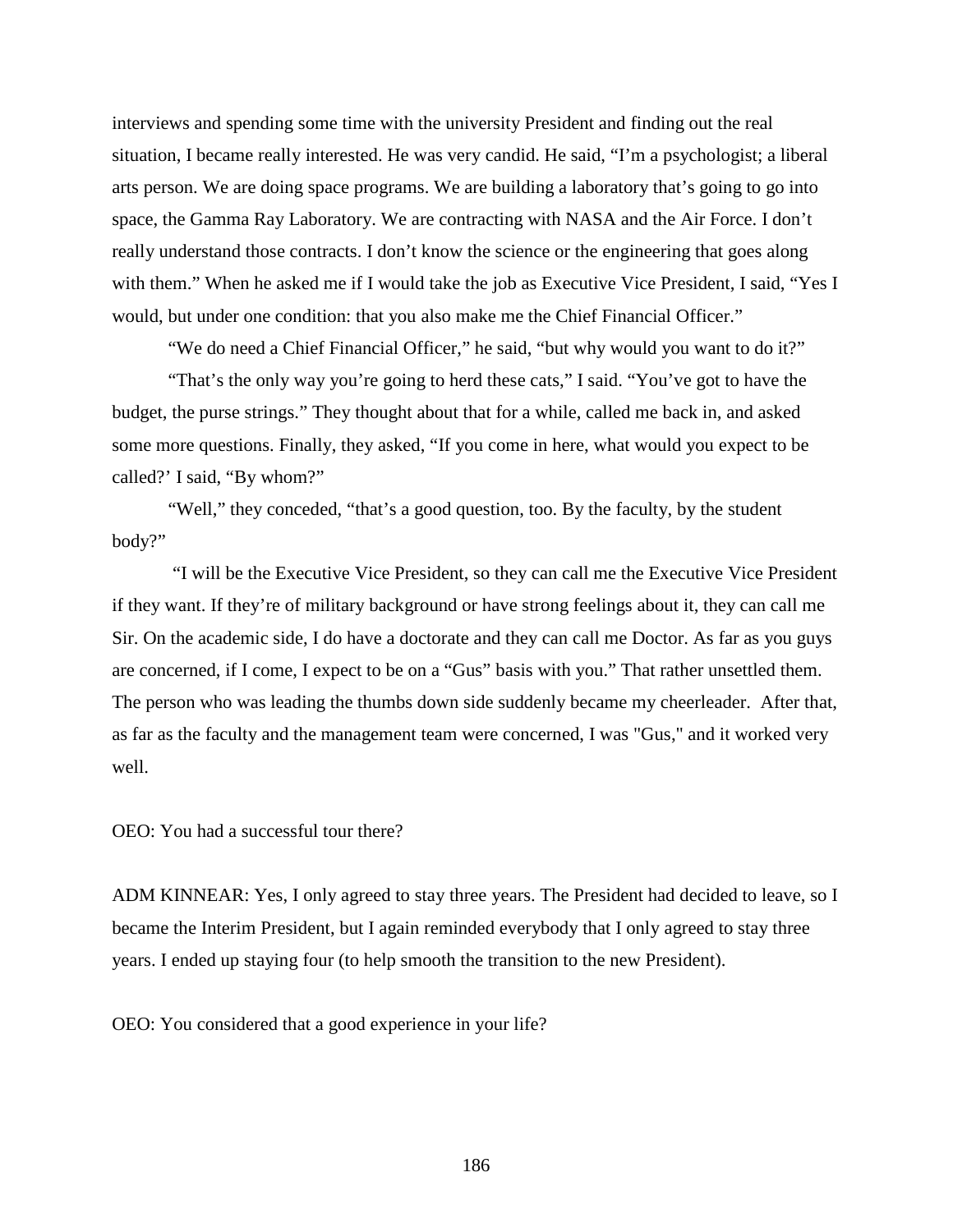interviews and spending some time with the university President and finding out the real situation, I became really interested. He was very candid. He said, "I'm a psychologist; a liberal arts person. We are doing space programs. We are building a laboratory that's going to go into space, the Gamma Ray Laboratory. We are contracting with NASA and the Air Force. I don't really understand those contracts. I don't know the science or the engineering that goes along with them." When he asked me if I would take the job as Executive Vice President, I said, "Yes I would, but under one condition: that you also make me the Chief Financial Officer."

"We do need a Chief Financial Officer," he said, "but why would you want to do it?" "That's the only way you're going to herd these cats," I said. "You've got to have the budget, the purse strings." They thought about that for a while, called me back in, and asked some more questions. Finally, they asked, "If you come in here, what would you expect to be called?' I said, "By whom?"

"Well," they conceded, "that's a good question, too. By the faculty, by the student body?"

"I will be the Executive Vice President, so they can call me the Executive Vice President if they want. If they're of military background or have strong feelings about it, they can call me Sir. On the academic side, I do have a doctorate and they can call me Doctor. As far as you guys are concerned, if I come, I expect to be on a "Gus" basis with you." That rather unsettled them. The person who was leading the thumbs down side suddenly became my cheerleader. After that, as far as the faculty and the management team were concerned, I was "Gus," and it worked very well.

OEO: You had a successful tour there?

ADM KINNEAR: Yes, I only agreed to stay three years. The President had decided to leave, so I became the Interim President, but I again reminded everybody that I only agreed to stay three years. I ended up staying four (to help smooth the transition to the new President).

OEO: You considered that a good experience in your life?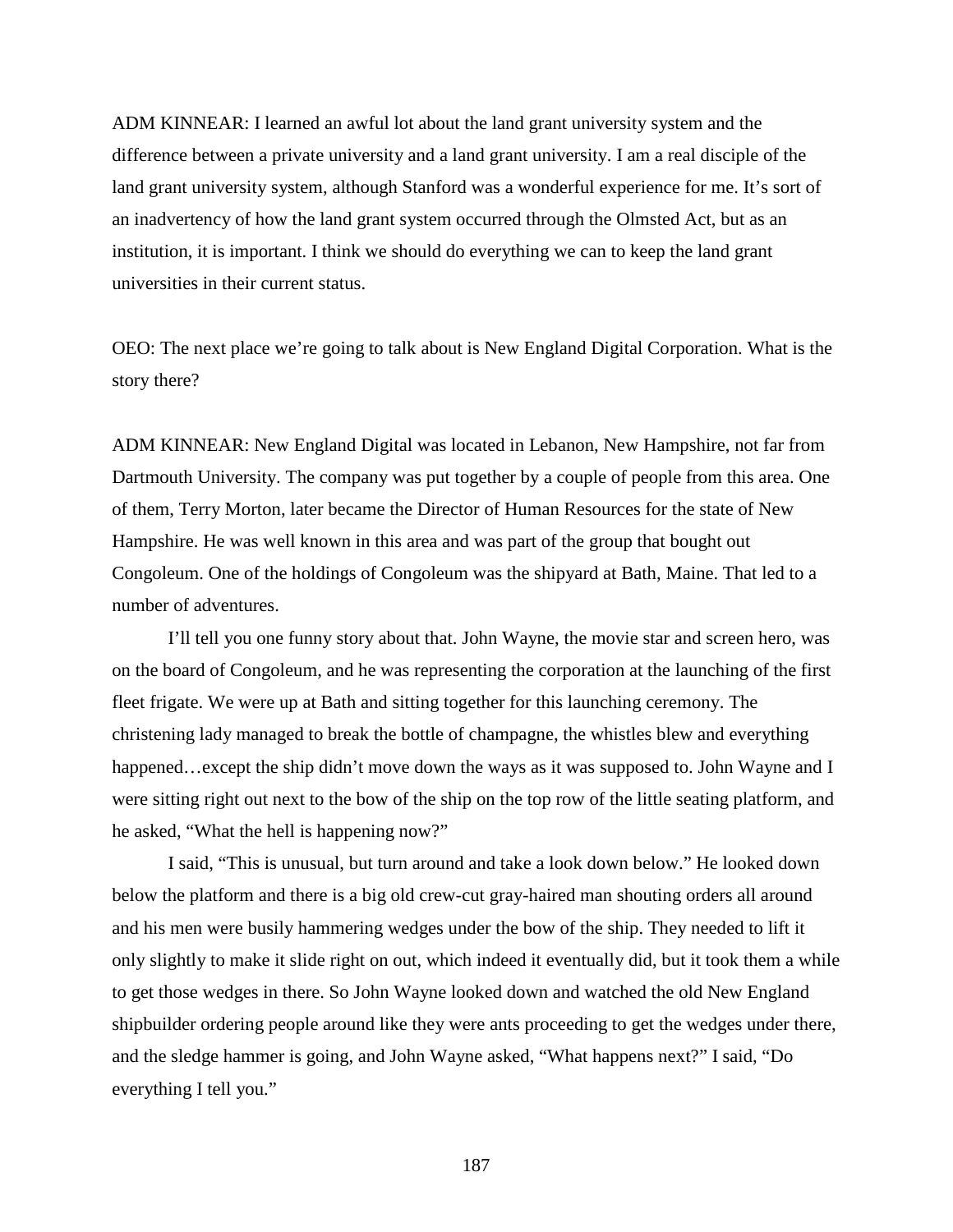ADM KINNEAR: I learned an awful lot about the land grant university system and the difference between a private university and a land grant university. I am a real disciple of the land grant university system, although Stanford was a wonderful experience for me. It's sort of an inadvertency of how the land grant system occurred through the Olmsted Act, but as an institution, it is important. I think we should do everything we can to keep the land grant universities in their current status.

OEO: The next place we're going to talk about is New England Digital Corporation. What is the story there?

ADM KINNEAR: New England Digital was located in Lebanon, New Hampshire, not far from Dartmouth University. The company was put together by a couple of people from this area. One of them, Terry Morton, later became the Director of Human Resources for the state of New Hampshire. He was well known in this area and was part of the group that bought out Congoleum. One of the holdings of Congoleum was the shipyard at Bath, Maine. That led to a number of adventures.

I'll tell you one funny story about that. John Wayne, the movie star and screen hero, was on the board of Congoleum, and he was representing the corporation at the launching of the first fleet frigate. We were up at Bath and sitting together for this launching ceremony. The christening lady managed to break the bottle of champagne, the whistles blew and everything happened…except the ship didn't move down the ways as it was supposed to. John Wayne and I were sitting right out next to the bow of the ship on the top row of the little seating platform, and he asked, "What the hell is happening now?"

I said, "This is unusual, but turn around and take a look down below." He looked down below the platform and there is a big old crew-cut gray-haired man shouting orders all around and his men were busily hammering wedges under the bow of the ship. They needed to lift it only slightly to make it slide right on out, which indeed it eventually did, but it took them a while to get those wedges in there. So John Wayne looked down and watched the old New England shipbuilder ordering people around like they were ants proceeding to get the wedges under there, and the sledge hammer is going, and John Wayne asked, "What happens next?" I said, "Do everything I tell you."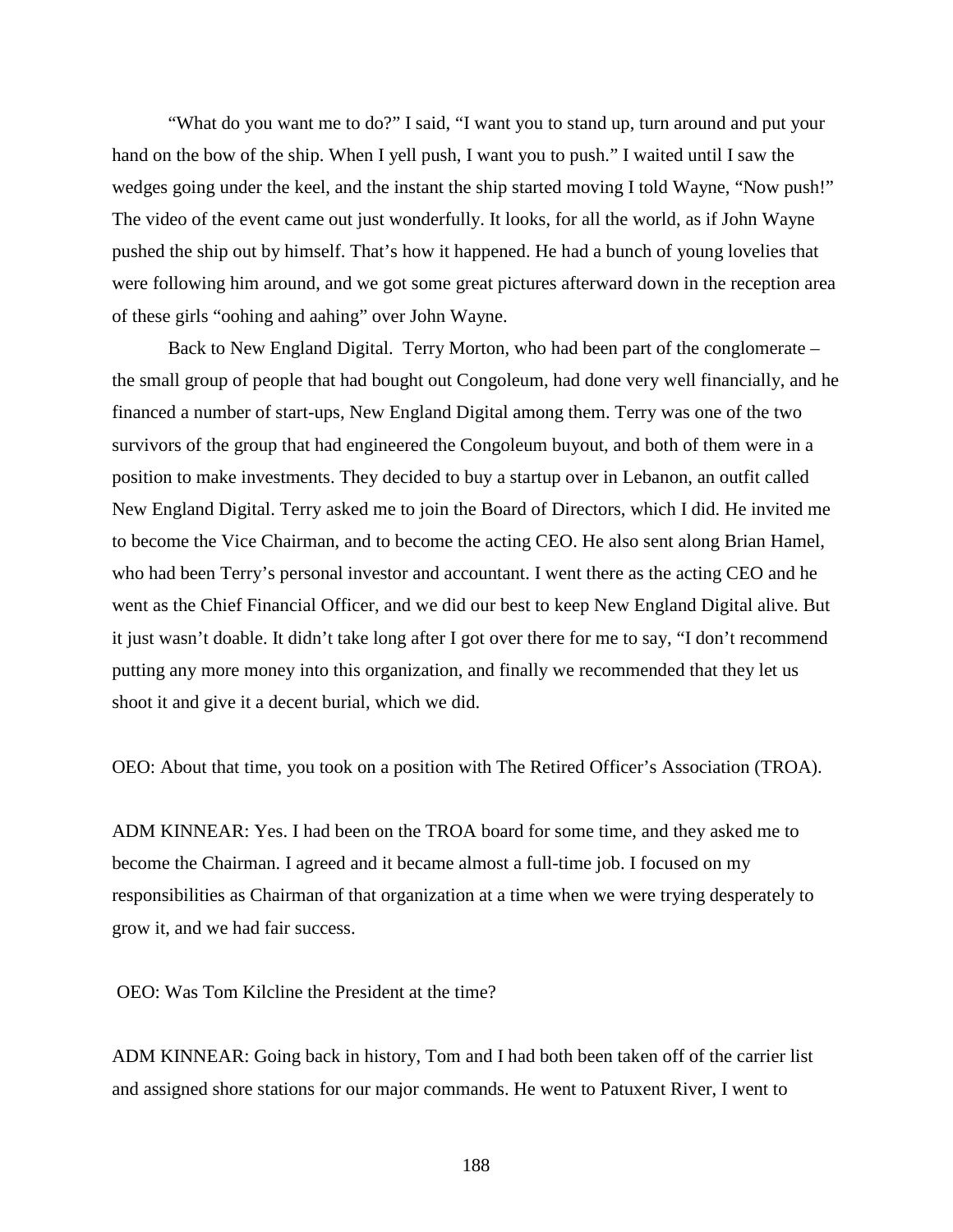"What do you want me to do?" I said, "I want you to stand up, turn around and put your hand on the bow of the ship. When I yell push, I want you to push." I waited until I saw the wedges going under the keel, and the instant the ship started moving I told Wayne, "Now push!" The video of the event came out just wonderfully. It looks, for all the world, as if John Wayne pushed the ship out by himself. That's how it happened. He had a bunch of young lovelies that were following him around, and we got some great pictures afterward down in the reception area of these girls "oohing and aahing" over John Wayne.

Back to New England Digital. Terry Morton, who had been part of the conglomerate – the small group of people that had bought out Congoleum, had done very well financially, and he financed a number of start-ups, New England Digital among them. Terry was one of the two survivors of the group that had engineered the Congoleum buyout, and both of them were in a position to make investments. They decided to buy a startup over in Lebanon, an outfit called New England Digital. Terry asked me to join the Board of Directors, which I did. He invited me to become the Vice Chairman, and to become the acting CEO. He also sent along Brian Hamel, who had been Terry's personal investor and accountant. I went there as the acting CEO and he went as the Chief Financial Officer, and we did our best to keep New England Digital alive. But it just wasn't doable. It didn't take long after I got over there for me to say, "I don't recommend putting any more money into this organization, and finally we recommended that they let us shoot it and give it a decent burial, which we did.

OEO: About that time, you took on a position with The Retired Officer's Association (TROA).

ADM KINNEAR: Yes. I had been on the TROA board for some time, and they asked me to become the Chairman. I agreed and it became almost a full-time job. I focused on my responsibilities as Chairman of that organization at a time when we were trying desperately to grow it, and we had fair success.

OEO: Was Tom Kilcline the President at the time?

ADM KINNEAR: Going back in history, Tom and I had both been taken off of the carrier list and assigned shore stations for our major commands. He went to Patuxent River, I went to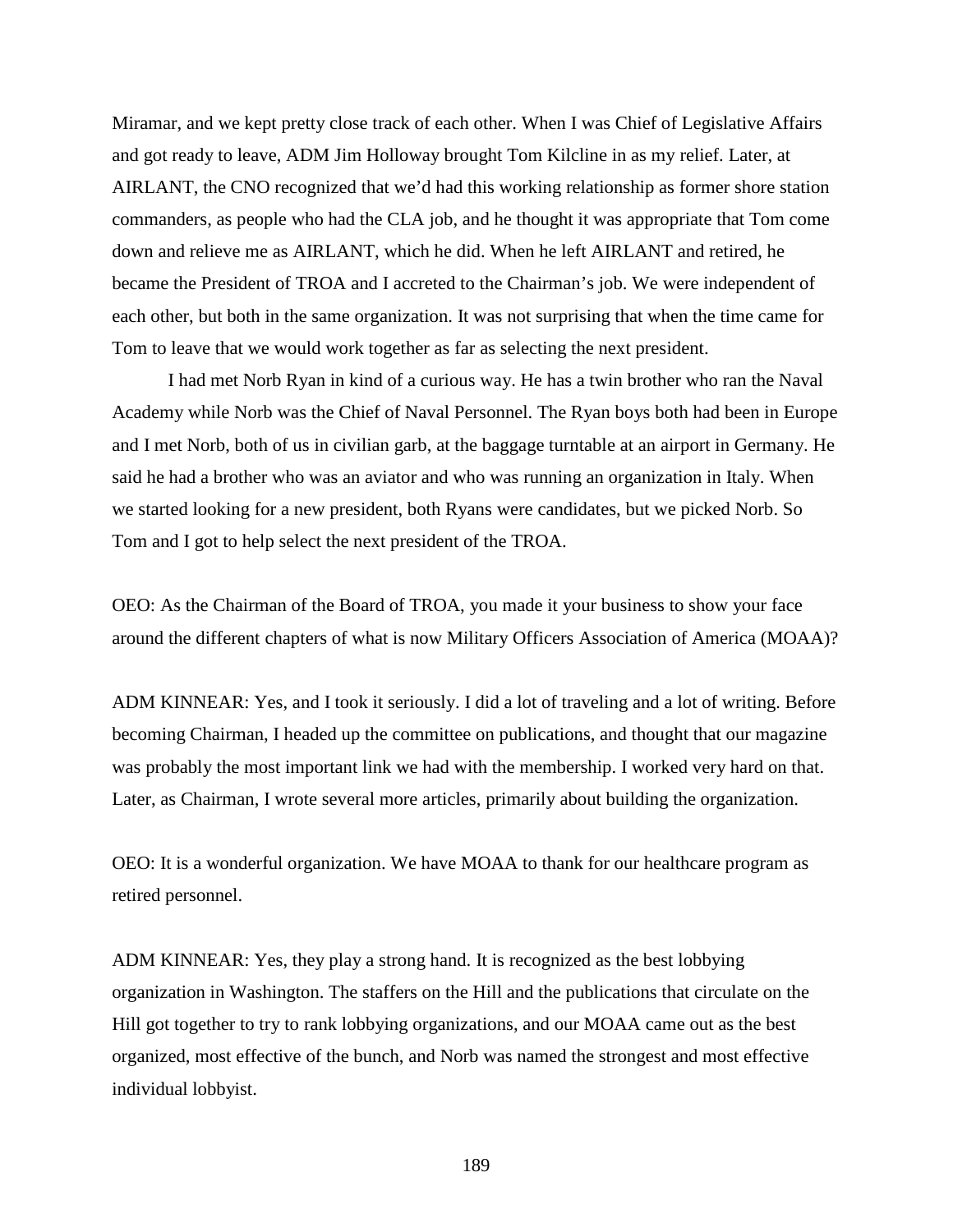Miramar, and we kept pretty close track of each other. When I was Chief of Legislative Affairs and got ready to leave, ADM Jim Holloway brought Tom Kilcline in as my relief. Later, at AIRLANT, the CNO recognized that we'd had this working relationship as former shore station commanders, as people who had the CLA job, and he thought it was appropriate that Tom come down and relieve me as AIRLANT, which he did. When he left AIRLANT and retired, he became the President of TROA and I accreted to the Chairman's job. We were independent of each other, but both in the same organization. It was not surprising that when the time came for Tom to leave that we would work together as far as selecting the next president.

I had met Norb Ryan in kind of a curious way. He has a twin brother who ran the Naval Academy while Norb was the Chief of Naval Personnel. The Ryan boys both had been in Europe and I met Norb, both of us in civilian garb, at the baggage turntable at an airport in Germany. He said he had a brother who was an aviator and who was running an organization in Italy. When we started looking for a new president, both Ryans were candidates, but we picked Norb. So Tom and I got to help select the next president of the TROA.

OEO: As the Chairman of the Board of TROA, you made it your business to show your face around the different chapters of what is now Military Officers Association of America (MOAA)?

ADM KINNEAR: Yes, and I took it seriously. I did a lot of traveling and a lot of writing. Before becoming Chairman, I headed up the committee on publications, and thought that our magazine was probably the most important link we had with the membership. I worked very hard on that. Later, as Chairman, I wrote several more articles, primarily about building the organization.

OEO: It is a wonderful organization. We have MOAA to thank for our healthcare program as retired personnel.

ADM KINNEAR: Yes, they play a strong hand. It is recognized as the best lobbying organization in Washington. The staffers on the Hill and the publications that circulate on the Hill got together to try to rank lobbying organizations, and our MOAA came out as the best organized, most effective of the bunch, and Norb was named the strongest and most effective individual lobbyist.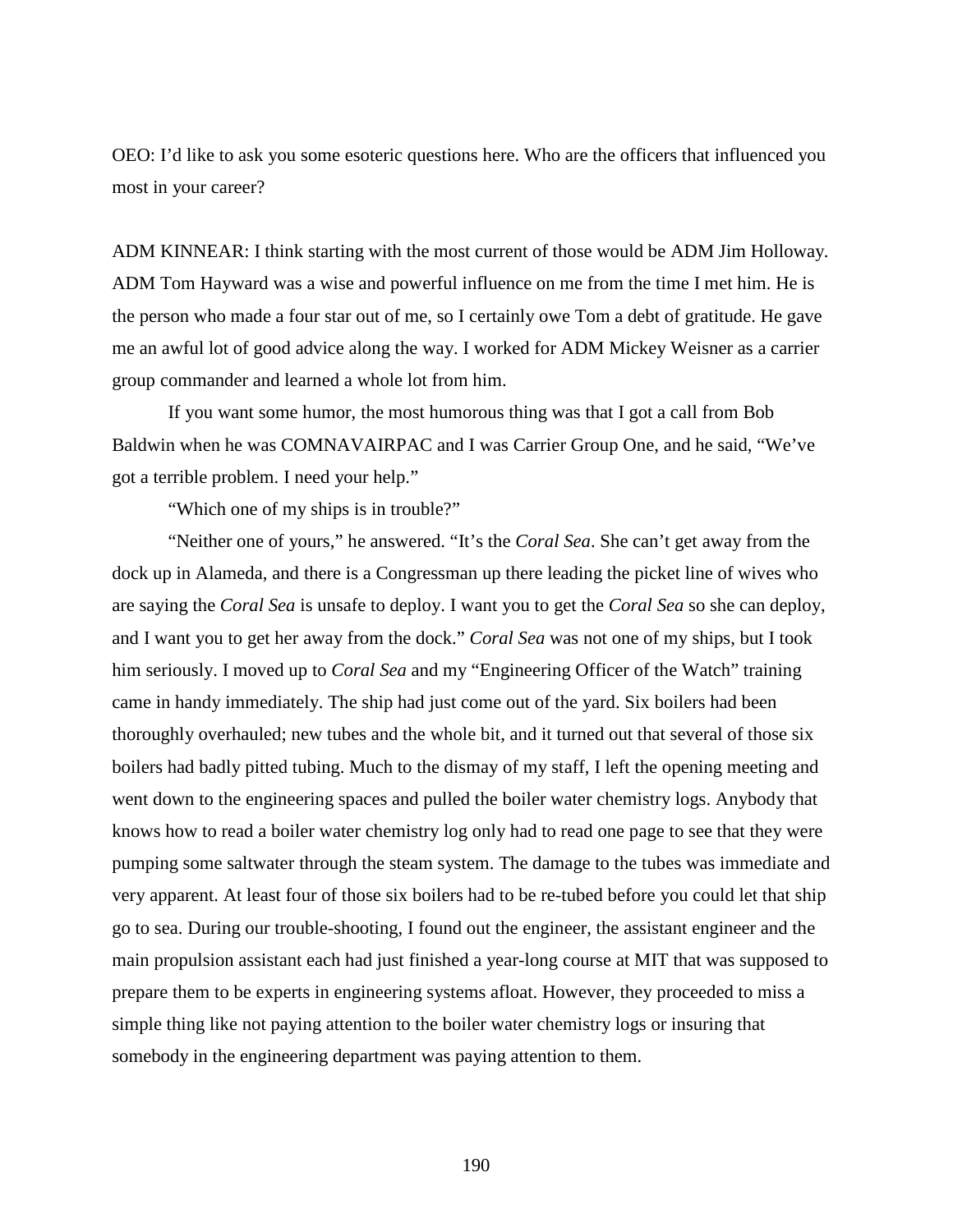OEO: I'd like to ask you some esoteric questions here. Who are the officers that influenced you most in your career?

ADM KINNEAR: I think starting with the most current of those would be ADM Jim Holloway. ADM Tom Hayward was a wise and powerful influence on me from the time I met him. He is the person who made a four star out of me, so I certainly owe Tom a debt of gratitude. He gave me an awful lot of good advice along the way. I worked for ADM Mickey Weisner as a carrier group commander and learned a whole lot from him.

If you want some humor, the most humorous thing was that I got a call from Bob Baldwin when he was COMNAVAIRPAC and I was Carrier Group One, and he said, "We've got a terrible problem. I need your help."

"Which one of my ships is in trouble?"

"Neither one of yours," he answered. "It's the *Coral Sea*. She can't get away from the dock up in Alameda, and there is a Congressman up there leading the picket line of wives who are saying the *Coral Sea* is unsafe to deploy. I want you to get the *Coral Sea* so she can deploy, and I want you to get her away from the dock." *Coral Sea* was not one of my ships, but I took him seriously. I moved up to *Coral Sea* and my "Engineering Officer of the Watch" training came in handy immediately. The ship had just come out of the yard. Six boilers had been thoroughly overhauled; new tubes and the whole bit, and it turned out that several of those six boilers had badly pitted tubing. Much to the dismay of my staff, I left the opening meeting and went down to the engineering spaces and pulled the boiler water chemistry logs. Anybody that knows how to read a boiler water chemistry log only had to read one page to see that they were pumping some saltwater through the steam system. The damage to the tubes was immediate and very apparent. At least four of those six boilers had to be re-tubed before you could let that ship go to sea. During our trouble-shooting, I found out the engineer, the assistant engineer and the main propulsion assistant each had just finished a year-long course at MIT that was supposed to prepare them to be experts in engineering systems afloat. However, they proceeded to miss a simple thing like not paying attention to the boiler water chemistry logs or insuring that somebody in the engineering department was paying attention to them.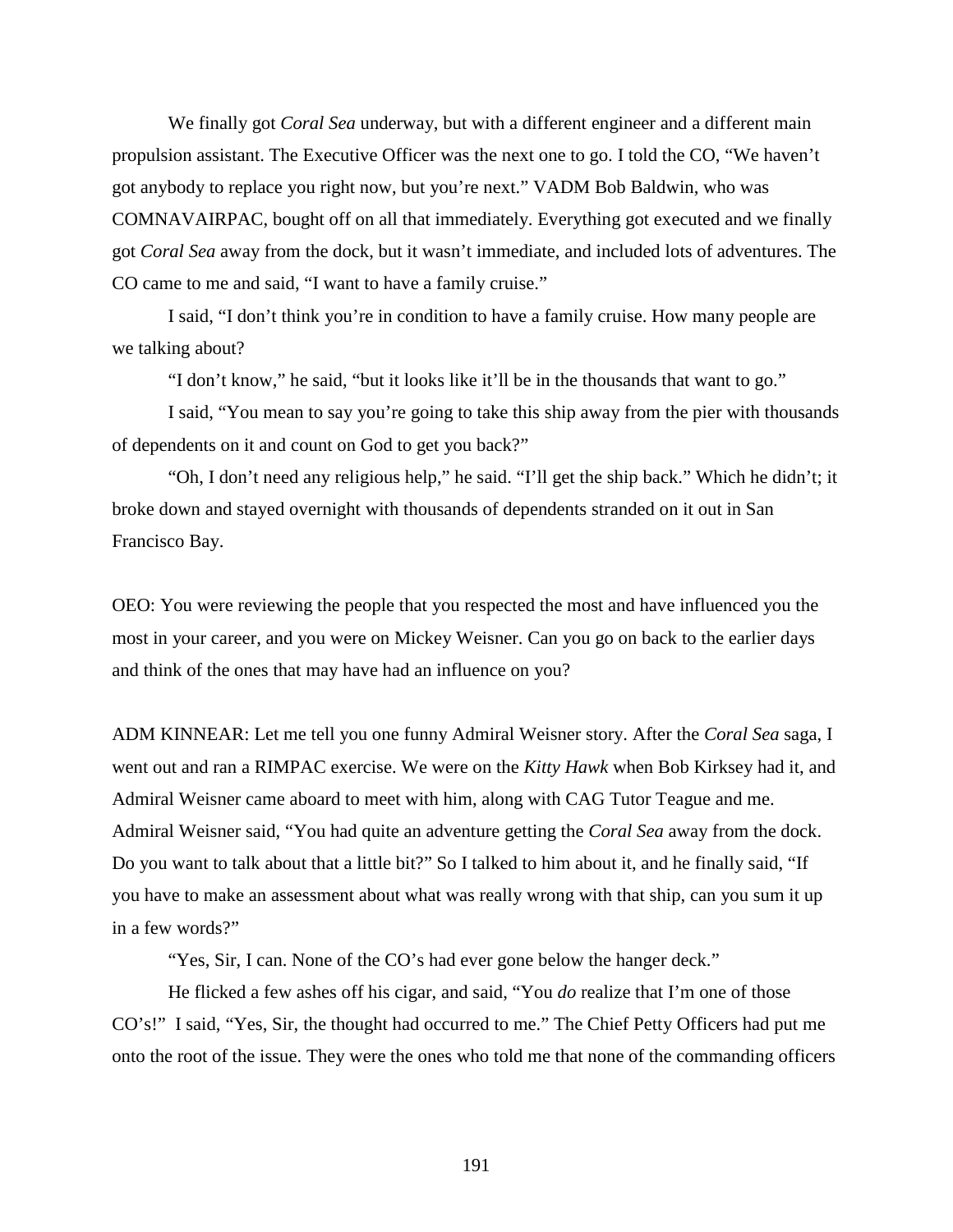We finally got *Coral Sea* underway, but with a different engineer and a different main propulsion assistant. The Executive Officer was the next one to go. I told the CO, "We haven't got anybody to replace you right now, but you're next." VADM Bob Baldwin, who was COMNAVAIRPAC, bought off on all that immediately. Everything got executed and we finally got *Coral Sea* away from the dock, but it wasn't immediate, and included lots of adventures. The CO came to me and said, "I want to have a family cruise."

I said, "I don't think you're in condition to have a family cruise. How many people are we talking about?

"I don't know," he said, "but it looks like it'll be in the thousands that want to go."

I said, "You mean to say you're going to take this ship away from the pier with thousands of dependents on it and count on God to get you back?"

"Oh, I don't need any religious help," he said. "I'll get the ship back." Which he didn't; it broke down and stayed overnight with thousands of dependents stranded on it out in San Francisco Bay.

OEO: You were reviewing the people that you respected the most and have influenced you the most in your career, and you were on Mickey Weisner. Can you go on back to the earlier days and think of the ones that may have had an influence on you?

ADM KINNEAR: Let me tell you one funny Admiral Weisner story. After the *Coral Sea* saga, I went out and ran a RIMPAC exercise. We were on the *Kitty Hawk* when Bob Kirksey had it, and Admiral Weisner came aboard to meet with him, along with CAG Tutor Teague and me. Admiral Weisner said, "You had quite an adventure getting the *Coral Sea* away from the dock. Do you want to talk about that a little bit?" So I talked to him about it, and he finally said, "If you have to make an assessment about what was really wrong with that ship, can you sum it up in a few words?"

"Yes, Sir, I can. None of the CO's had ever gone below the hanger deck."

He flicked a few ashes off his cigar, and said, "You *do* realize that I'm one of those CO's!" I said, "Yes, Sir, the thought had occurred to me." The Chief Petty Officers had put me onto the root of the issue. They were the ones who told me that none of the commanding officers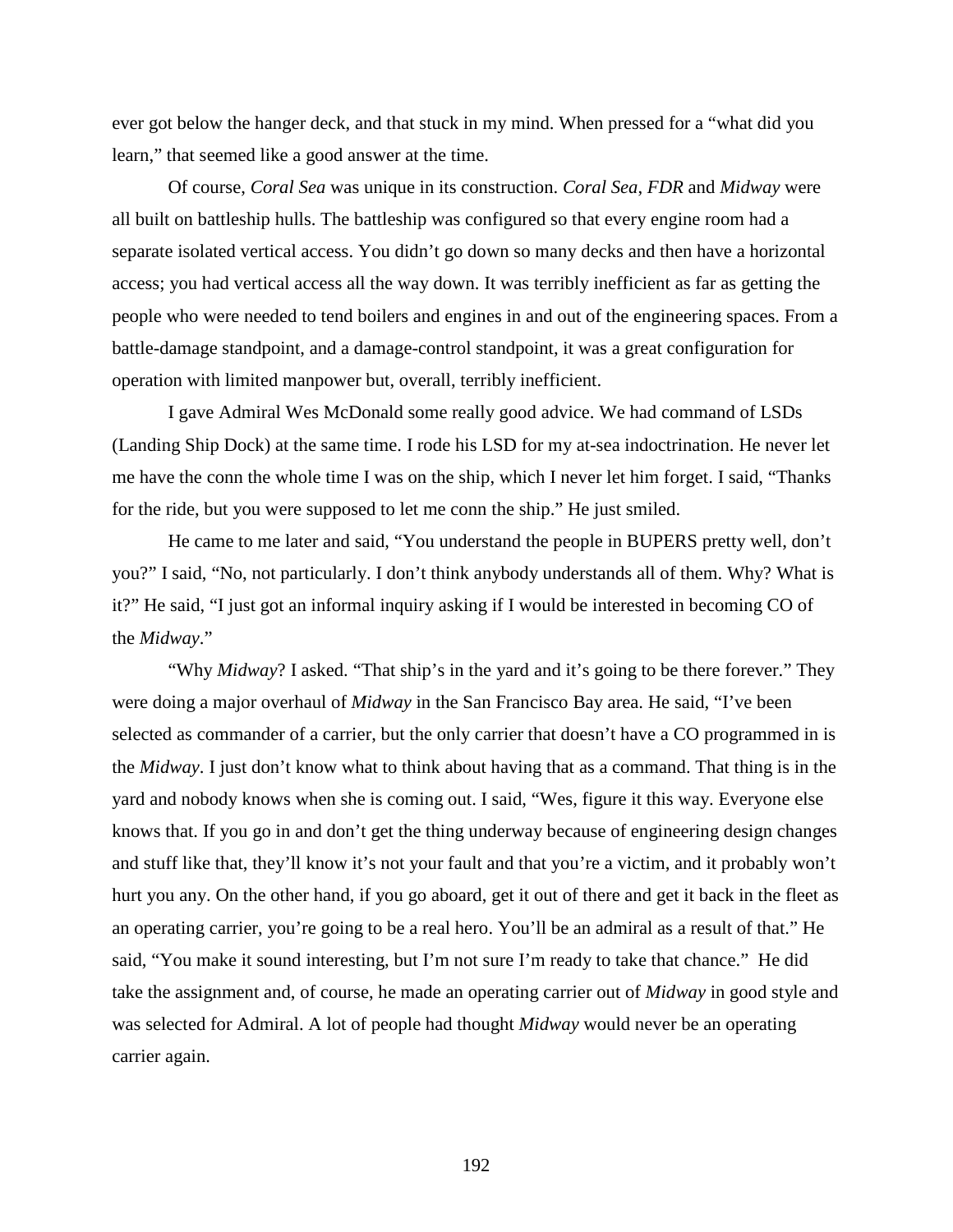ever got below the hanger deck, and that stuck in my mind. When pressed for a "what did you learn," that seemed like a good answer at the time.

Of course, *Coral Sea* was unique in its construction. *Coral Sea*, *FDR* and *Midway* were all built on battleship hulls. The battleship was configured so that every engine room had a separate isolated vertical access. You didn't go down so many decks and then have a horizontal access; you had vertical access all the way down. It was terribly inefficient as far as getting the people who were needed to tend boilers and engines in and out of the engineering spaces. From a battle-damage standpoint, and a damage-control standpoint, it was a great configuration for operation with limited manpower but, overall, terribly inefficient.

I gave Admiral Wes McDonald some really good advice. We had command of LSDs (Landing Ship Dock) at the same time. I rode his LSD for my at-sea indoctrination. He never let me have the conn the whole time I was on the ship, which I never let him forget. I said, "Thanks for the ride, but you were supposed to let me conn the ship." He just smiled.

He came to me later and said, "You understand the people in BUPERS pretty well, don't you?" I said, "No, not particularly. I don't think anybody understands all of them. Why? What is it?" He said, "I just got an informal inquiry asking if I would be interested in becoming CO of the *Midway*."

"Why *Midway*? I asked. "That ship's in the yard and it's going to be there forever." They were doing a major overhaul of *Midway* in the San Francisco Bay area. He said, "I've been selected as commander of a carrier, but the only carrier that doesn't have a CO programmed in is the *Midway*. I just don't know what to think about having that as a command. That thing is in the yard and nobody knows when she is coming out. I said, "Wes, figure it this way. Everyone else knows that. If you go in and don't get the thing underway because of engineering design changes and stuff like that, they'll know it's not your fault and that you're a victim, and it probably won't hurt you any. On the other hand, if you go aboard, get it out of there and get it back in the fleet as an operating carrier, you're going to be a real hero. You'll be an admiral as a result of that." He said, "You make it sound interesting, but I'm not sure I'm ready to take that chance." He did take the assignment and, of course, he made an operating carrier out of *Midway* in good style and was selected for Admiral. A lot of people had thought *Midway* would never be an operating carrier again.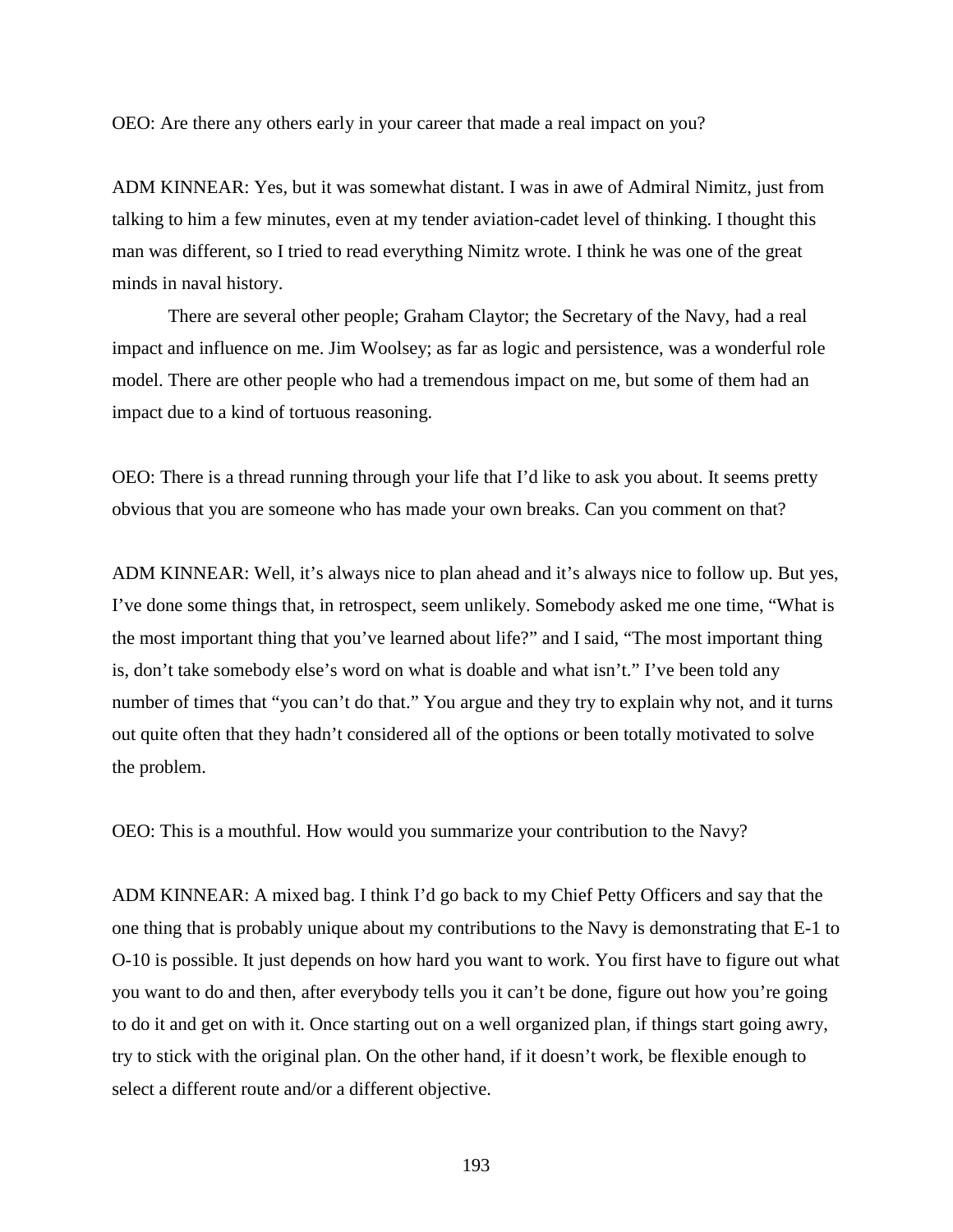OEO: Are there any others early in your career that made a real impact on you?

ADM KINNEAR: Yes, but it was somewhat distant. I was in awe of Admiral Nimitz, just from talking to him a few minutes, even at my tender aviation-cadet level of thinking. I thought this man was different, so I tried to read everything Nimitz wrote. I think he was one of the great minds in naval history.

There are several other people; Graham Claytor; the Secretary of the Navy, had a real impact and influence on me. Jim Woolsey; as far as logic and persistence, was a wonderful role model. There are other people who had a tremendous impact on me, but some of them had an impact due to a kind of tortuous reasoning.

OEO: There is a thread running through your life that I'd like to ask you about. It seems pretty obvious that you are someone who has made your own breaks. Can you comment on that?

ADM KINNEAR: Well, it's always nice to plan ahead and it's always nice to follow up. But yes, I've done some things that, in retrospect, seem unlikely. Somebody asked me one time, "What is the most important thing that you've learned about life?" and I said, "The most important thing is, don't take somebody else's word on what is doable and what isn't." I've been told any number of times that "you can't do that." You argue and they try to explain why not, and it turns out quite often that they hadn't considered all of the options or been totally motivated to solve the problem.

OEO: This is a mouthful. How would you summarize your contribution to the Navy?

ADM KINNEAR: A mixed bag. I think I'd go back to my Chief Petty Officers and say that the one thing that is probably unique about my contributions to the Navy is demonstrating that E-1 to O-10 is possible. It just depends on how hard you want to work. You first have to figure out what you want to do and then, after everybody tells you it can't be done, figure out how you're going to do it and get on with it. Once starting out on a well organized plan, if things start going awry, try to stick with the original plan. On the other hand, if it doesn't work, be flexible enough to select a different route and/or a different objective.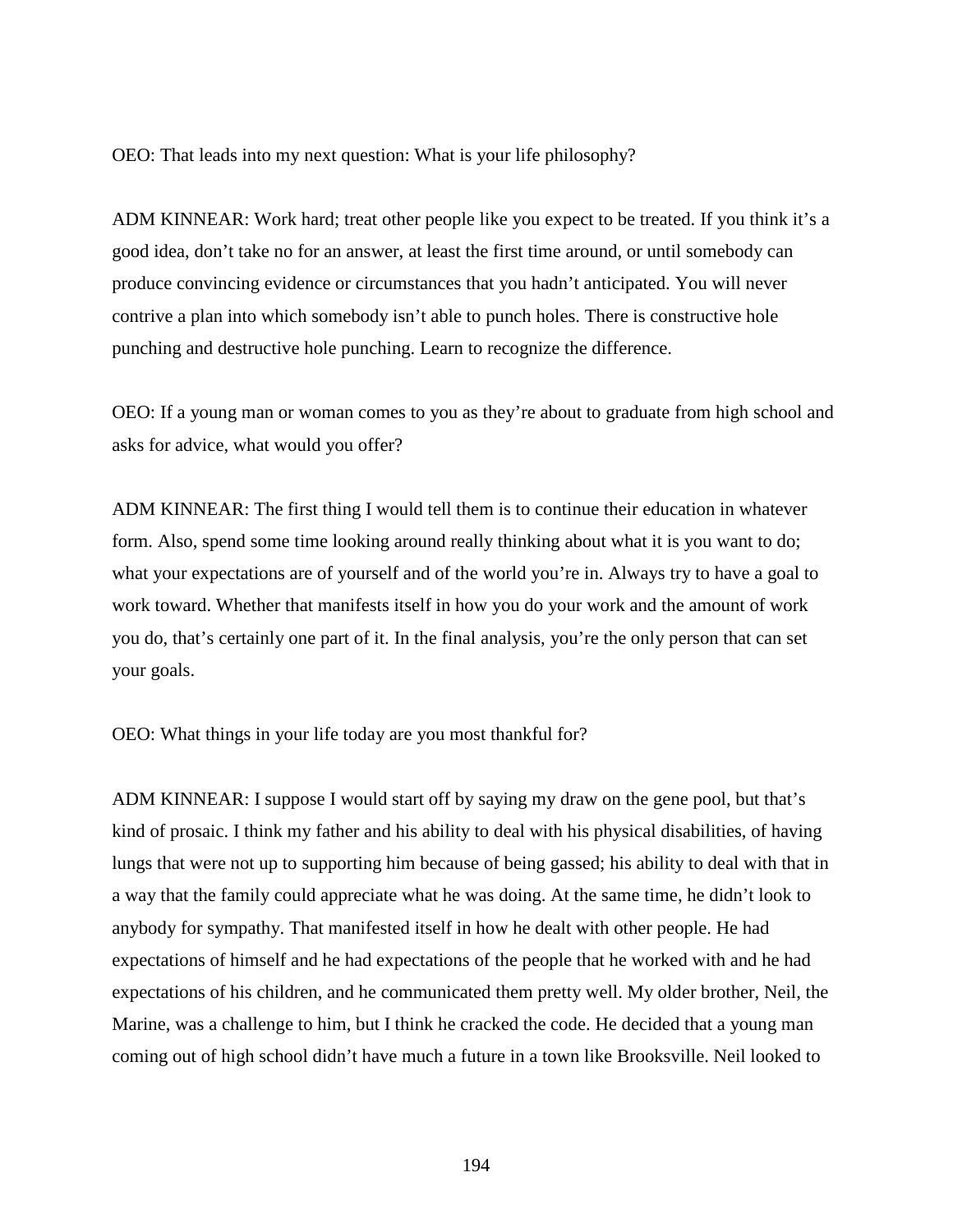OEO: That leads into my next question: What is your life philosophy?

ADM KINNEAR: Work hard; treat other people like you expect to be treated. If you think it's a good idea, don't take no for an answer, at least the first time around, or until somebody can produce convincing evidence or circumstances that you hadn't anticipated. You will never contrive a plan into which somebody isn't able to punch holes. There is constructive hole punching and destructive hole punching. Learn to recognize the difference.

OEO: If a young man or woman comes to you as they're about to graduate from high school and asks for advice, what would you offer?

ADM KINNEAR: The first thing I would tell them is to continue their education in whatever form. Also, spend some time looking around really thinking about what it is you want to do; what your expectations are of yourself and of the world you're in. Always try to have a goal to work toward. Whether that manifests itself in how you do your work and the amount of work you do, that's certainly one part of it. In the final analysis, you're the only person that can set your goals.

OEO: What things in your life today are you most thankful for?

ADM KINNEAR: I suppose I would start off by saying my draw on the gene pool, but that's kind of prosaic. I think my father and his ability to deal with his physical disabilities, of having lungs that were not up to supporting him because of being gassed; his ability to deal with that in a way that the family could appreciate what he was doing. At the same time, he didn't look to anybody for sympathy. That manifested itself in how he dealt with other people. He had expectations of himself and he had expectations of the people that he worked with and he had expectations of his children, and he communicated them pretty well. My older brother, Neil, the Marine, was a challenge to him, but I think he cracked the code. He decided that a young man coming out of high school didn't have much a future in a town like Brooksville. Neil looked to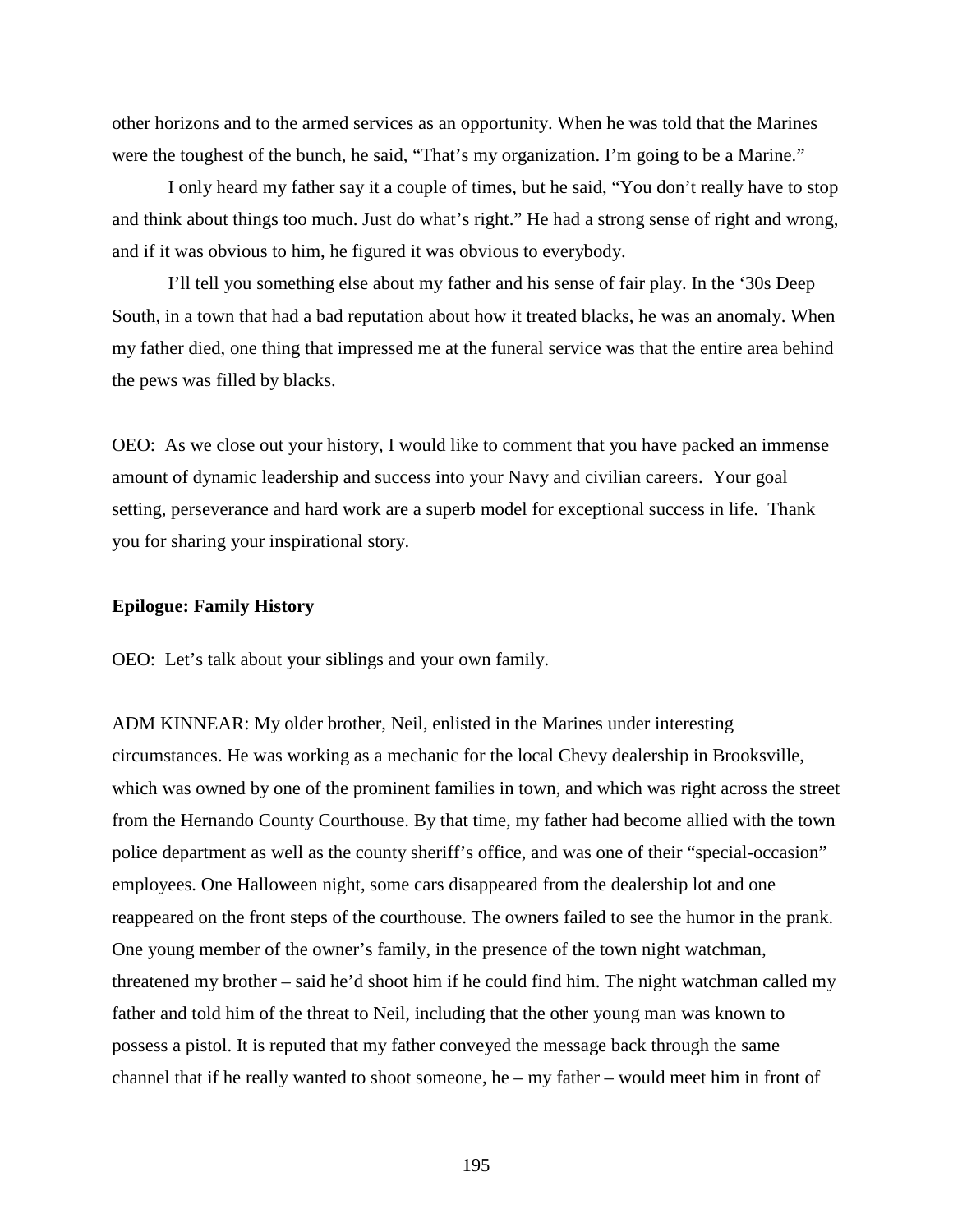other horizons and to the armed services as an opportunity. When he was told that the Marines were the toughest of the bunch, he said, "That's my organization. I'm going to be a Marine."

I only heard my father say it a couple of times, but he said, "You don't really have to stop and think about things too much. Just do what's right." He had a strong sense of right and wrong, and if it was obvious to him, he figured it was obvious to everybody.

I'll tell you something else about my father and his sense of fair play. In the '30s Deep South, in a town that had a bad reputation about how it treated blacks, he was an anomaly. When my father died, one thing that impressed me at the funeral service was that the entire area behind the pews was filled by blacks.

OEO: As we close out your history, I would like to comment that you have packed an immense amount of dynamic leadership and success into your Navy and civilian careers. Your goal setting, perseverance and hard work are a superb model for exceptional success in life. Thank you for sharing your inspirational story.

### **Epilogue: Family History**

OEO: Let's talk about your siblings and your own family.

ADM KINNEAR: My older brother, Neil, enlisted in the Marines under interesting circumstances. He was working as a mechanic for the local Chevy dealership in Brooksville, which was owned by one of the prominent families in town, and which was right across the street from the Hernando County Courthouse. By that time, my father had become allied with the town police department as well as the county sheriff's office, and was one of their "special-occasion" employees. One Halloween night, some cars disappeared from the dealership lot and one reappeared on the front steps of the courthouse. The owners failed to see the humor in the prank. One young member of the owner's family, in the presence of the town night watchman, threatened my brother – said he'd shoot him if he could find him. The night watchman called my father and told him of the threat to Neil, including that the other young man was known to possess a pistol. It is reputed that my father conveyed the message back through the same channel that if he really wanted to shoot someone, he – my father – would meet him in front of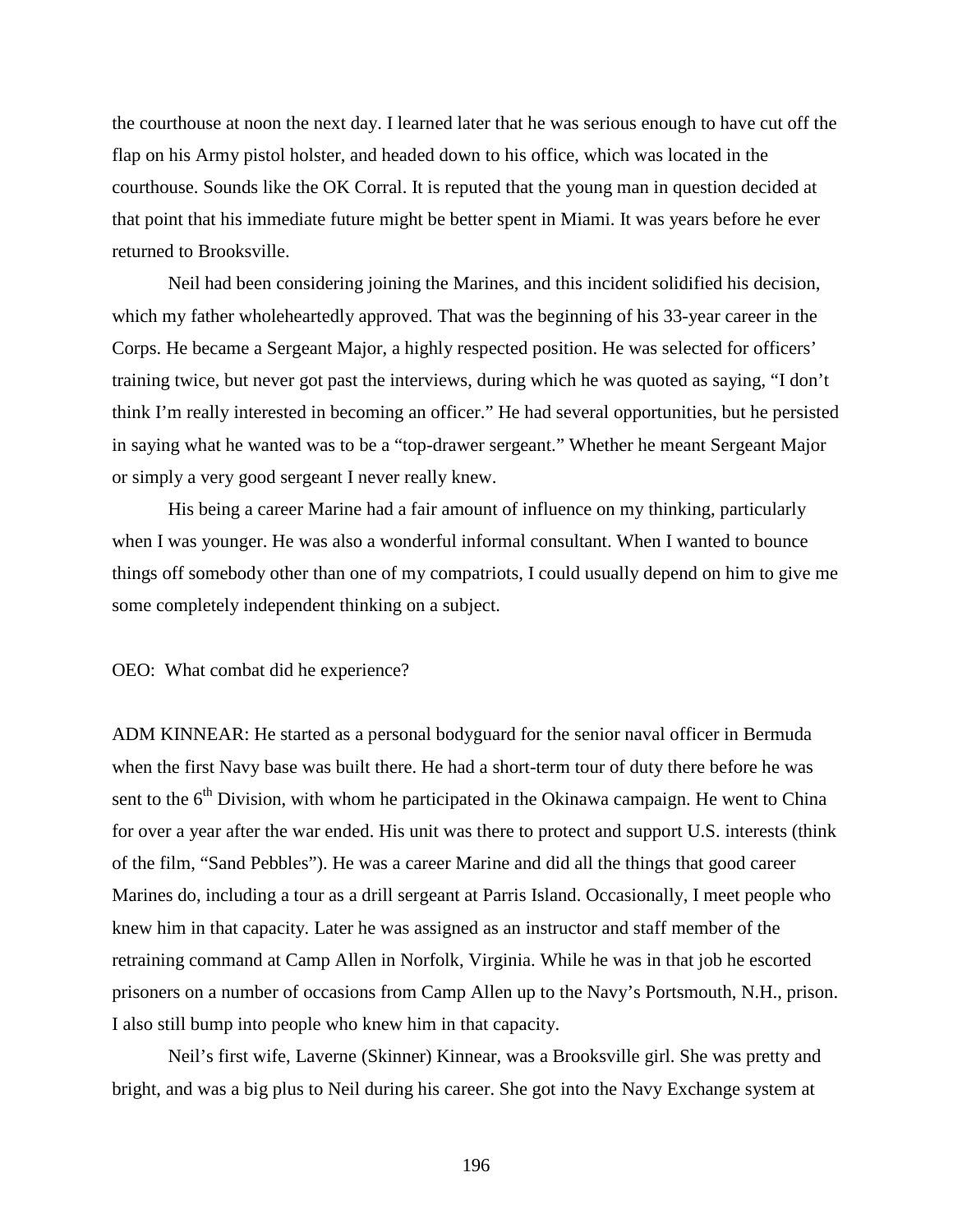the courthouse at noon the next day. I learned later that he was serious enough to have cut off the flap on his Army pistol holster, and headed down to his office, which was located in the courthouse. Sounds like the OK Corral. It is reputed that the young man in question decided at that point that his immediate future might be better spent in Miami. It was years before he ever returned to Brooksville.

Neil had been considering joining the Marines, and this incident solidified his decision, which my father wholeheartedly approved. That was the beginning of his 33-year career in the Corps. He became a Sergeant Major, a highly respected position. He was selected for officers' training twice, but never got past the interviews, during which he was quoted as saying, "I don't think I'm really interested in becoming an officer." He had several opportunities, but he persisted in saying what he wanted was to be a "top-drawer sergeant." Whether he meant Sergeant Major or simply a very good sergeant I never really knew.

His being a career Marine had a fair amount of influence on my thinking, particularly when I was younger. He was also a wonderful informal consultant. When I wanted to bounce things off somebody other than one of my compatriots, I could usually depend on him to give me some completely independent thinking on a subject.

OEO: What combat did he experience?

ADM KINNEAR: He started as a personal bodyguard for the senior naval officer in Bermuda when the first Navy base was built there. He had a short-term tour of duty there before he was sent to the  $6<sup>th</sup>$  Division, with whom he participated in the Okinawa campaign. He went to China for over a year after the war ended. His unit was there to protect and support U.S. interests (think of the film, "Sand Pebbles"). He was a career Marine and did all the things that good career Marines do, including a tour as a drill sergeant at Parris Island. Occasionally, I meet people who knew him in that capacity. Later he was assigned as an instructor and staff member of the retraining command at Camp Allen in Norfolk, Virginia. While he was in that job he escorted prisoners on a number of occasions from Camp Allen up to the Navy's Portsmouth, N.H., prison. I also still bump into people who knew him in that capacity.

Neil's first wife, Laverne (Skinner) Kinnear, was a Brooksville girl. She was pretty and bright, and was a big plus to Neil during his career. She got into the Navy Exchange system at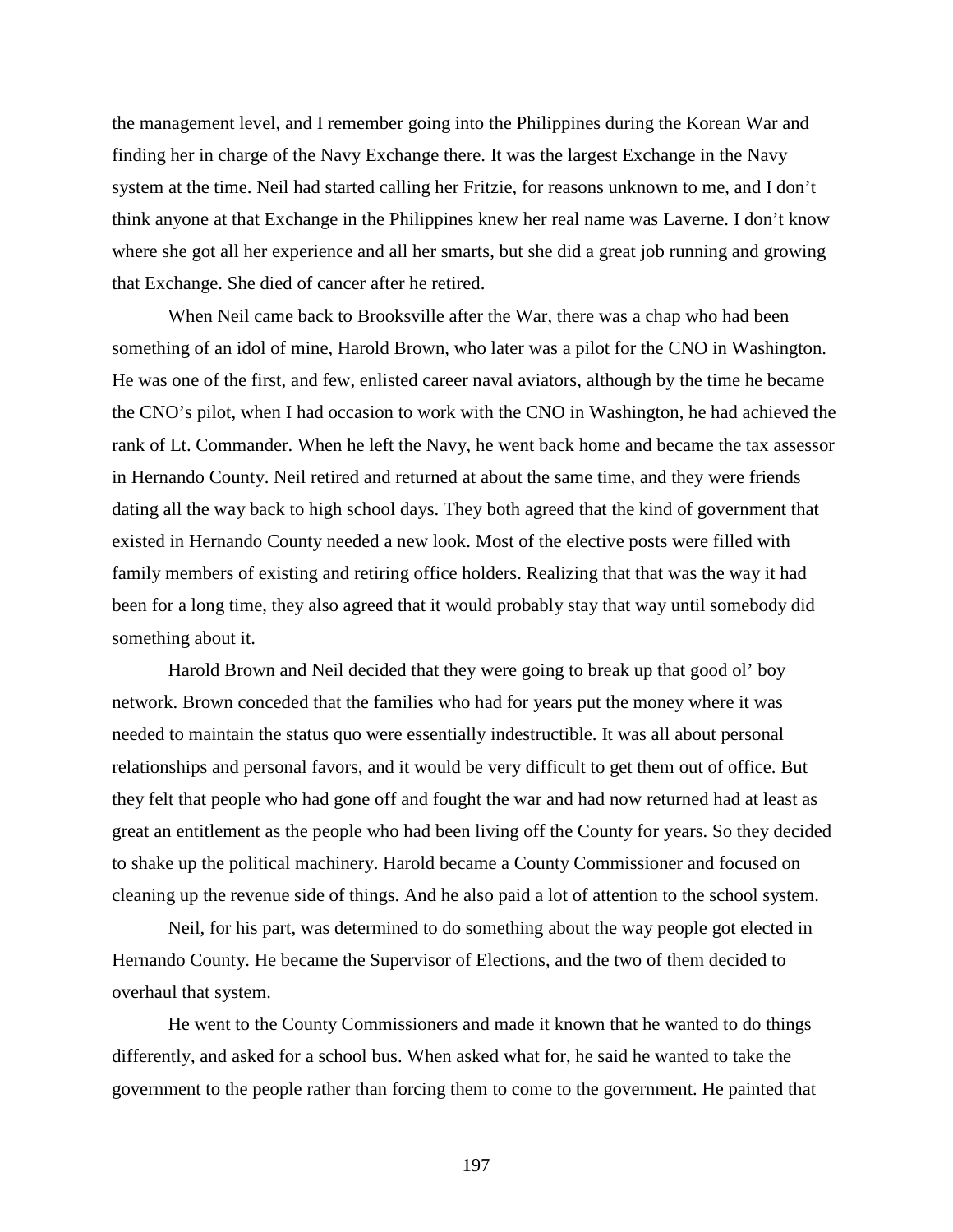the management level, and I remember going into the Philippines during the Korean War and finding her in charge of the Navy Exchange there. It was the largest Exchange in the Navy system at the time. Neil had started calling her Fritzie, for reasons unknown to me, and I don't think anyone at that Exchange in the Philippines knew her real name was Laverne. I don't know where she got all her experience and all her smarts, but she did a great job running and growing that Exchange. She died of cancer after he retired.

When Neil came back to Brooksville after the War, there was a chap who had been something of an idol of mine, Harold Brown, who later was a pilot for the CNO in Washington. He was one of the first, and few, enlisted career naval aviators, although by the time he became the CNO's pilot, when I had occasion to work with the CNO in Washington, he had achieved the rank of Lt. Commander. When he left the Navy, he went back home and became the tax assessor in Hernando County. Neil retired and returned at about the same time, and they were friends dating all the way back to high school days. They both agreed that the kind of government that existed in Hernando County needed a new look. Most of the elective posts were filled with family members of existing and retiring office holders. Realizing that that was the way it had been for a long time, they also agreed that it would probably stay that way until somebody did something about it.

Harold Brown and Neil decided that they were going to break up that good ol' boy network. Brown conceded that the families who had for years put the money where it was needed to maintain the status quo were essentially indestructible. It was all about personal relationships and personal favors, and it would be very difficult to get them out of office. But they felt that people who had gone off and fought the war and had now returned had at least as great an entitlement as the people who had been living off the County for years. So they decided to shake up the political machinery. Harold became a County Commissioner and focused on cleaning up the revenue side of things. And he also paid a lot of attention to the school system.

Neil, for his part, was determined to do something about the way people got elected in Hernando County. He became the Supervisor of Elections, and the two of them decided to overhaul that system.

He went to the County Commissioners and made it known that he wanted to do things differently, and asked for a school bus. When asked what for, he said he wanted to take the government to the people rather than forcing them to come to the government. He painted that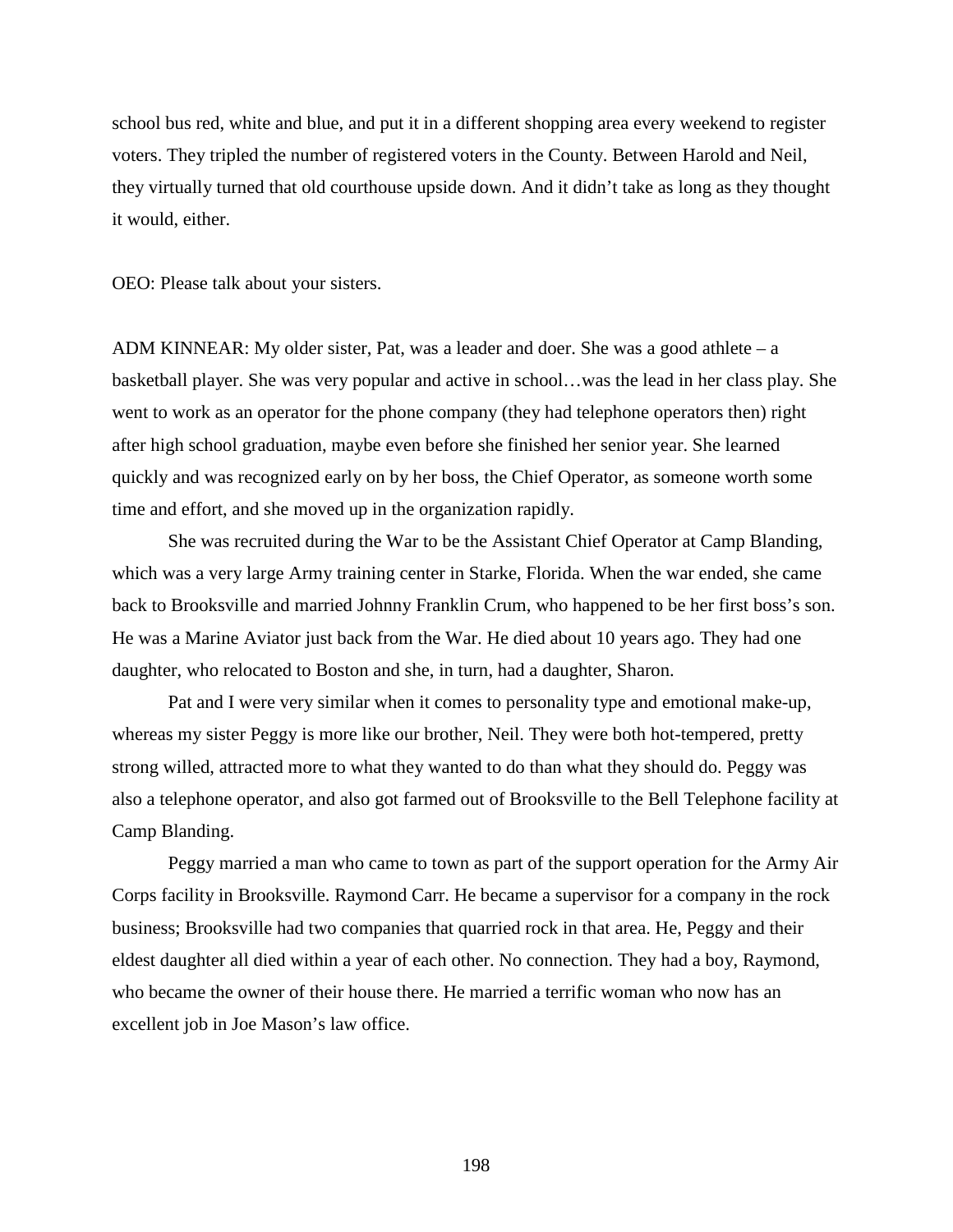school bus red, white and blue, and put it in a different shopping area every weekend to register voters. They tripled the number of registered voters in the County. Between Harold and Neil, they virtually turned that old courthouse upside down. And it didn't take as long as they thought it would, either.

OEO: Please talk about your sisters.

ADM KINNEAR: My older sister, Pat, was a leader and doer. She was a good athlete – a basketball player. She was very popular and active in school…was the lead in her class play. She went to work as an operator for the phone company (they had telephone operators then) right after high school graduation, maybe even before she finished her senior year. She learned quickly and was recognized early on by her boss, the Chief Operator, as someone worth some time and effort, and she moved up in the organization rapidly.

She was recruited during the War to be the Assistant Chief Operator at Camp Blanding, which was a very large Army training center in Starke, Florida. When the war ended, she came back to Brooksville and married Johnny Franklin Crum, who happened to be her first boss's son. He was a Marine Aviator just back from the War. He died about 10 years ago. They had one daughter, who relocated to Boston and she, in turn, had a daughter, Sharon.

Pat and I were very similar when it comes to personality type and emotional make-up, whereas my sister Peggy is more like our brother, Neil. They were both hot-tempered, pretty strong willed, attracted more to what they wanted to do than what they should do. Peggy was also a telephone operator, and also got farmed out of Brooksville to the Bell Telephone facility at Camp Blanding.

Peggy married a man who came to town as part of the support operation for the Army Air Corps facility in Brooksville. Raymond Carr. He became a supervisor for a company in the rock business; Brooksville had two companies that quarried rock in that area. He, Peggy and their eldest daughter all died within a year of each other. No connection. They had a boy, Raymond, who became the owner of their house there. He married a terrific woman who now has an excellent job in Joe Mason's law office.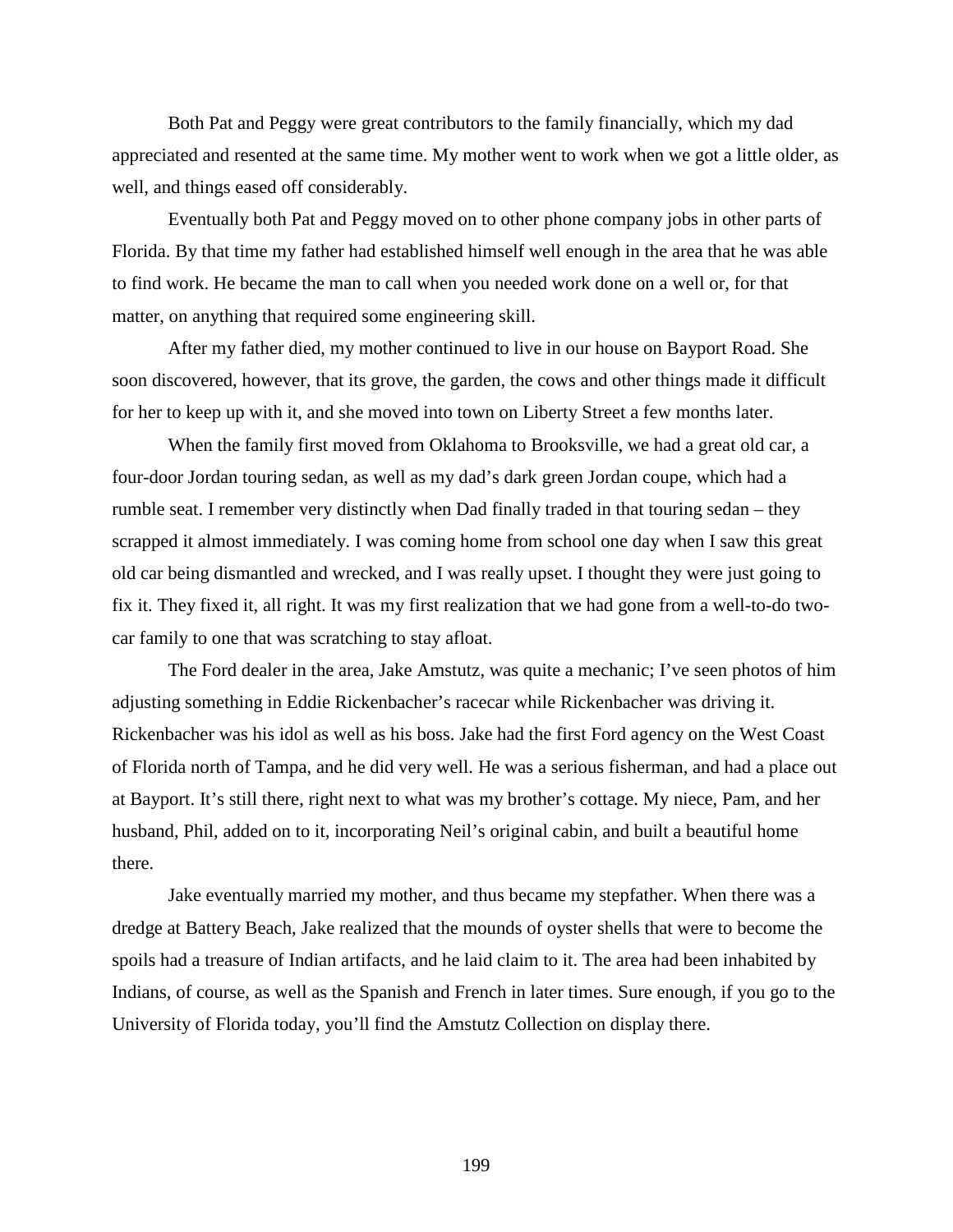Both Pat and Peggy were great contributors to the family financially, which my dad appreciated and resented at the same time. My mother went to work when we got a little older, as well, and things eased off considerably.

Eventually both Pat and Peggy moved on to other phone company jobs in other parts of Florida. By that time my father had established himself well enough in the area that he was able to find work. He became the man to call when you needed work done on a well or, for that matter, on anything that required some engineering skill.

After my father died, my mother continued to live in our house on Bayport Road. She soon discovered, however, that its grove, the garden, the cows and other things made it difficult for her to keep up with it, and she moved into town on Liberty Street a few months later.

When the family first moved from Oklahoma to Brooksville, we had a great old car, a four-door Jordan touring sedan, as well as my dad's dark green Jordan coupe, which had a rumble seat. I remember very distinctly when Dad finally traded in that touring sedan – they scrapped it almost immediately. I was coming home from school one day when I saw this great old car being dismantled and wrecked, and I was really upset. I thought they were just going to fix it. They fixed it, all right. It was my first realization that we had gone from a well-to-do twocar family to one that was scratching to stay afloat.

The Ford dealer in the area, Jake Amstutz, was quite a mechanic; I've seen photos of him adjusting something in Eddie Rickenbacher's racecar while Rickenbacher was driving it. Rickenbacher was his idol as well as his boss. Jake had the first Ford agency on the West Coast of Florida north of Tampa, and he did very well. He was a serious fisherman, and had a place out at Bayport. It's still there, right next to what was my brother's cottage. My niece, Pam, and her husband, Phil, added on to it, incorporating Neil's original cabin, and built a beautiful home there.

Jake eventually married my mother, and thus became my stepfather. When there was a dredge at Battery Beach, Jake realized that the mounds of oyster shells that were to become the spoils had a treasure of Indian artifacts, and he laid claim to it. The area had been inhabited by Indians, of course, as well as the Spanish and French in later times. Sure enough, if you go to the University of Florida today, you'll find the Amstutz Collection on display there.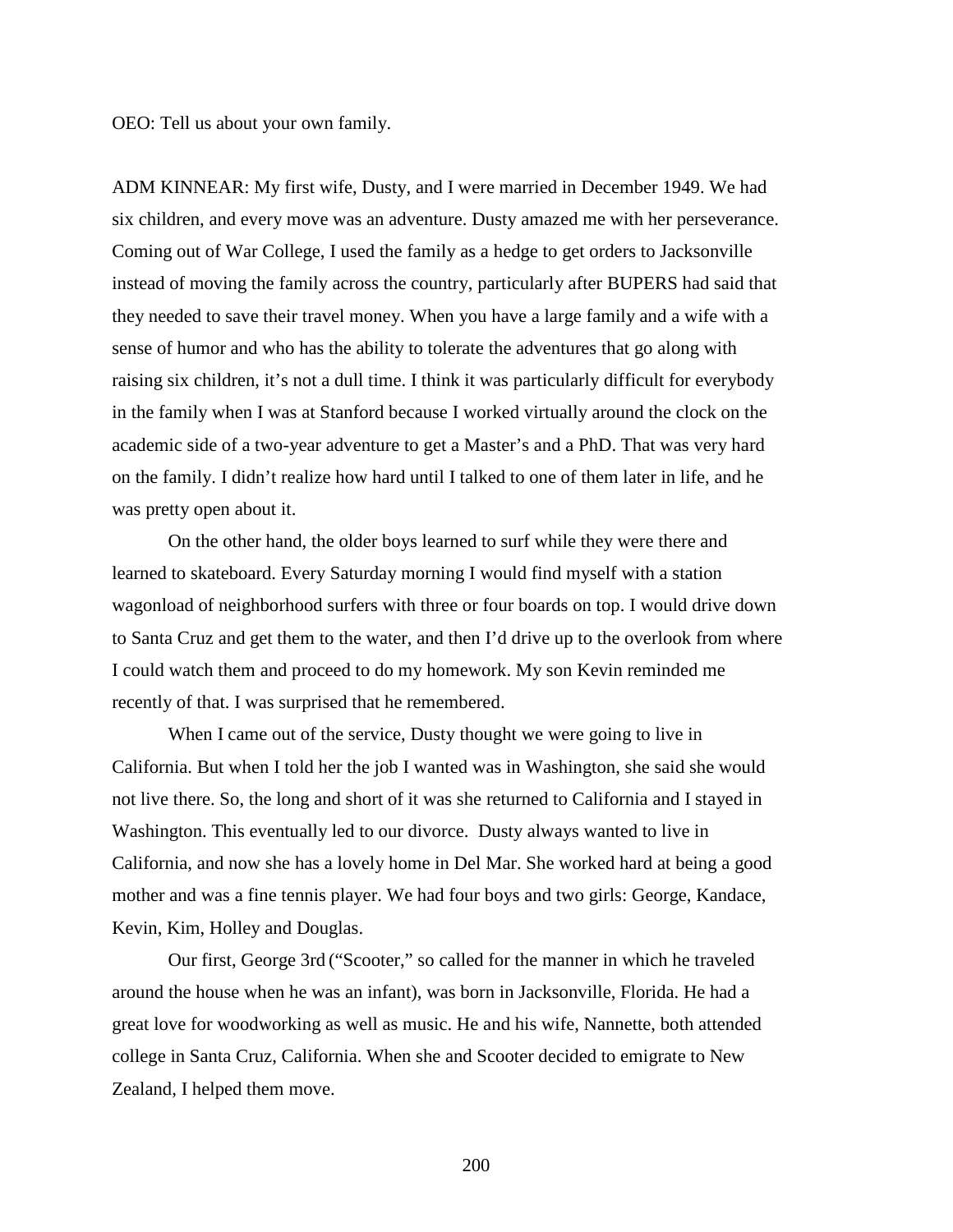OEO: Tell us about your own family.

ADM KINNEAR: My first wife, Dusty, and I were married in December 1949. We had six children, and every move was an adventure. Dusty amazed me with her perseverance. Coming out of War College, I used the family as a hedge to get orders to Jacksonville instead of moving the family across the country, particularly after BUPERS had said that they needed to save their travel money. When you have a large family and a wife with a sense of humor and who has the ability to tolerate the adventures that go along with raising six children, it's not a dull time. I think it was particularly difficult for everybody in the family when I was at Stanford because I worked virtually around the clock on the academic side of a two-year adventure to get a Master's and a PhD. That was very hard on the family. I didn't realize how hard until I talked to one of them later in life, and he was pretty open about it.

On the other hand, the older boys learned to surf while they were there and learned to skateboard. Every Saturday morning I would find myself with a station wagonload of neighborhood surfers with three or four boards on top. I would drive down to Santa Cruz and get them to the water, and then I'd drive up to the overlook from where I could watch them and proceed to do my homework. My son Kevin reminded me recently of that. I was surprised that he remembered.

When I came out of the service, Dusty thought we were going to live in California. But when I told her the job I wanted was in Washington, she said she would not live there. So, the long and short of it was she returned to California and I stayed in Washington. This eventually led to our divorce. Dusty always wanted to live in California, and now she has a lovely home in Del Mar. She worked hard at being a good mother and was a fine tennis player. We had four boys and two girls: George, Kandace, Kevin, Kim, Holley and Douglas.

Our first, George 3rd ("Scooter," so called for the manner in which he traveled around the house when he was an infant), was born in Jacksonville, Florida. He had a great love for woodworking as well as music. He and his wife, Nannette, both attended college in Santa Cruz, California. When she and Scooter decided to emigrate to New Zealand, I helped them move.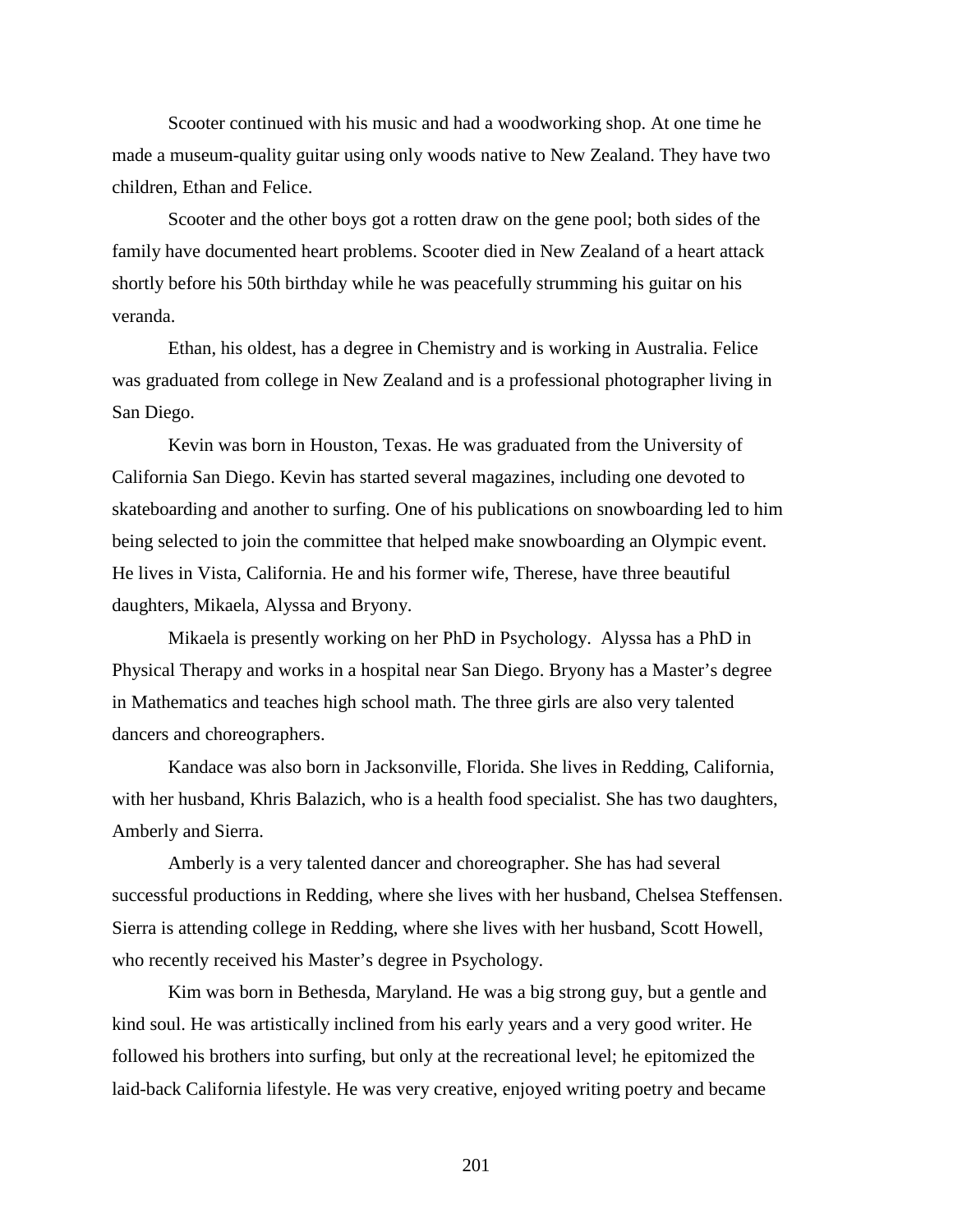Scooter continued with his music and had a woodworking shop. At one time he made a museum-quality guitar using only woods native to New Zealand. They have two children, Ethan and Felice.

Scooter and the other boys got a rotten draw on the gene pool; both sides of the family have documented heart problems. Scooter died in New Zealand of a heart attack shortly before his 50th birthday while he was peacefully strumming his guitar on his veranda.

Ethan, his oldest, has a degree in Chemistry and is working in Australia. Felice was graduated from college in New Zealand and is a professional photographer living in San Diego.

Kevin was born in Houston, Texas. He was graduated from the University of California San Diego. Kevin has started several magazines, including one devoted to skateboarding and another to surfing. One of his publications on snowboarding led to him being selected to join the committee that helped make snowboarding an Olympic event. He lives in Vista, California. He and his former wife, Therese, have three beautiful daughters, Mikaela, Alyssa and Bryony.

Mikaela is presently working on her PhD in Psychology. Alyssa has a PhD in Physical Therapy and works in a hospital near San Diego. Bryony has a Master's degree in Mathematics and teaches high school math. The three girls are also very talented dancers and choreographers.

Kandace was also born in Jacksonville, Florida. She lives in Redding, California, with her husband, Khris Balazich, who is a health food specialist. She has two daughters, Amberly and Sierra.

Amberly is a very talented dancer and choreographer. She has had several successful productions in Redding, where she lives with her husband, Chelsea Steffensen. Sierra is attending college in Redding, where she lives with her husband, Scott Howell, who recently received his Master's degree in Psychology.

Kim was born in Bethesda, Maryland. He was a big strong guy, but a gentle and kind soul. He was artistically inclined from his early years and a very good writer. He followed his brothers into surfing, but only at the recreational level; he epitomized the laid-back California lifestyle. He was very creative, enjoyed writing poetry and became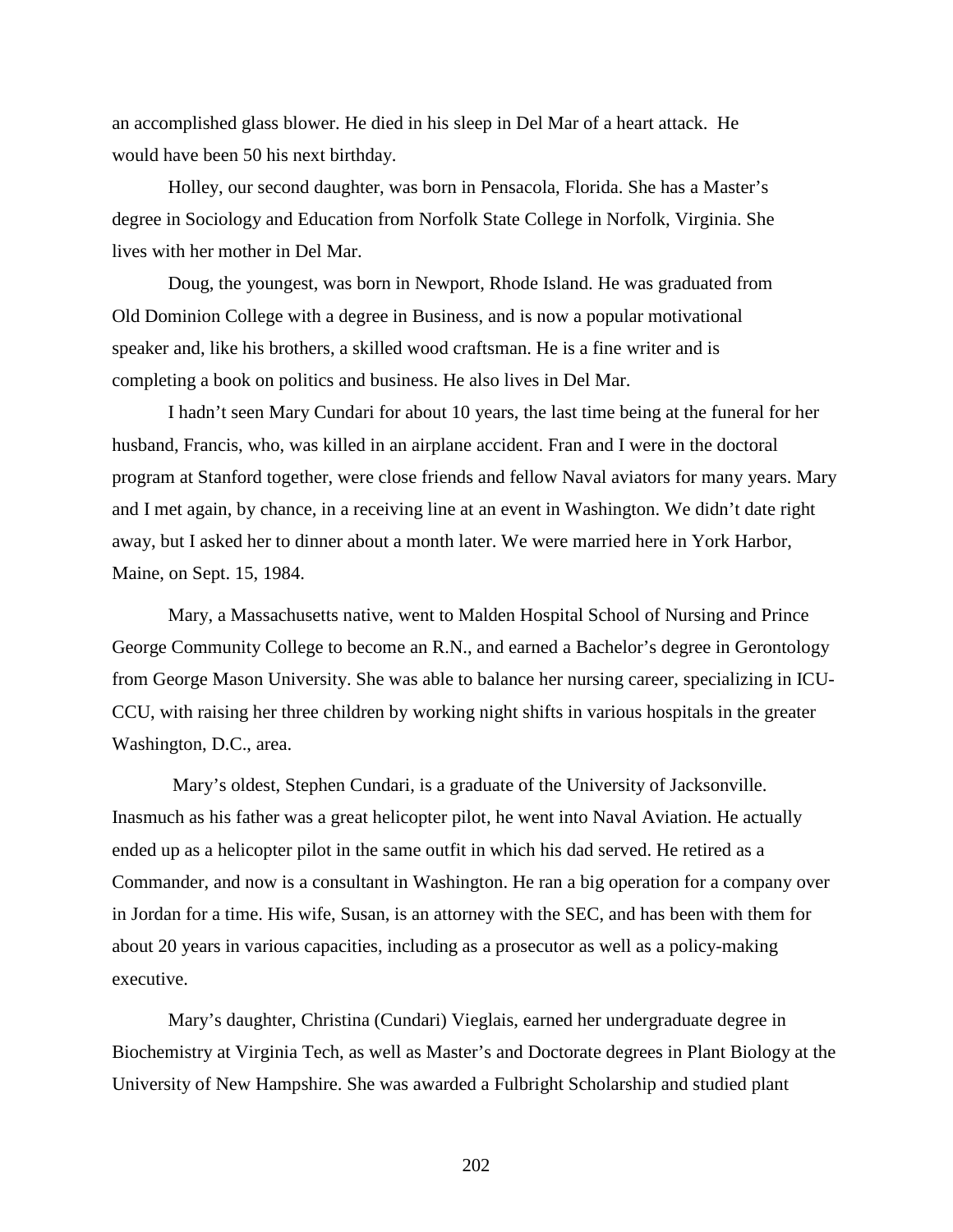an accomplished glass blower. He died in his sleep in Del Mar of a heart attack. He would have been 50 his next birthday.

Holley, our second daughter, was born in Pensacola, Florida. She has a Master's degree in Sociology and Education from Norfolk State College in Norfolk, Virginia. She lives with her mother in Del Mar.

Doug, the youngest, was born in Newport, Rhode Island. He was graduated from Old Dominion College with a degree in Business, and is now a popular motivational speaker and, like his brothers, a skilled wood craftsman. He is a fine writer and is completing a book on politics and business. He also lives in Del Mar.

I hadn't seen Mary Cundari for about 10 years, the last time being at the funeral for her husband, Francis, who, was killed in an airplane accident. Fran and I were in the doctoral program at Stanford together, were close friends and fellow Naval aviators for many years. Mary and I met again, by chance, in a receiving line at an event in Washington. We didn't date right away, but I asked her to dinner about a month later. We were married here in York Harbor, Maine, on Sept. 15, 1984.

Mary, a Massachusetts native, went to Malden Hospital School of Nursing and Prince George Community College to become an R.N., and earned a Bachelor's degree in Gerontology from George Mason University. She was able to balance her nursing career, specializing in ICU-CCU, with raising her three children by working night shifts in various hospitals in the greater Washington, D.C., area.

Mary's oldest, Stephen Cundari, is a graduate of the University of Jacksonville. Inasmuch as his father was a great helicopter pilot, he went into Naval Aviation. He actually ended up as a helicopter pilot in the same outfit in which his dad served. He retired as a Commander, and now is a consultant in Washington. He ran a big operation for a company over in Jordan for a time. His wife, Susan, is an attorney with the SEC, and has been with them for about 20 years in various capacities, including as a prosecutor as well as a policy-making executive.

Mary's daughter, Christina (Cundari) Vieglais, earned her undergraduate degree in Biochemistry at Virginia Tech, as well as Master's and Doctorate degrees in Plant Biology at the University of New Hampshire. She was awarded a Fulbright Scholarship and studied plant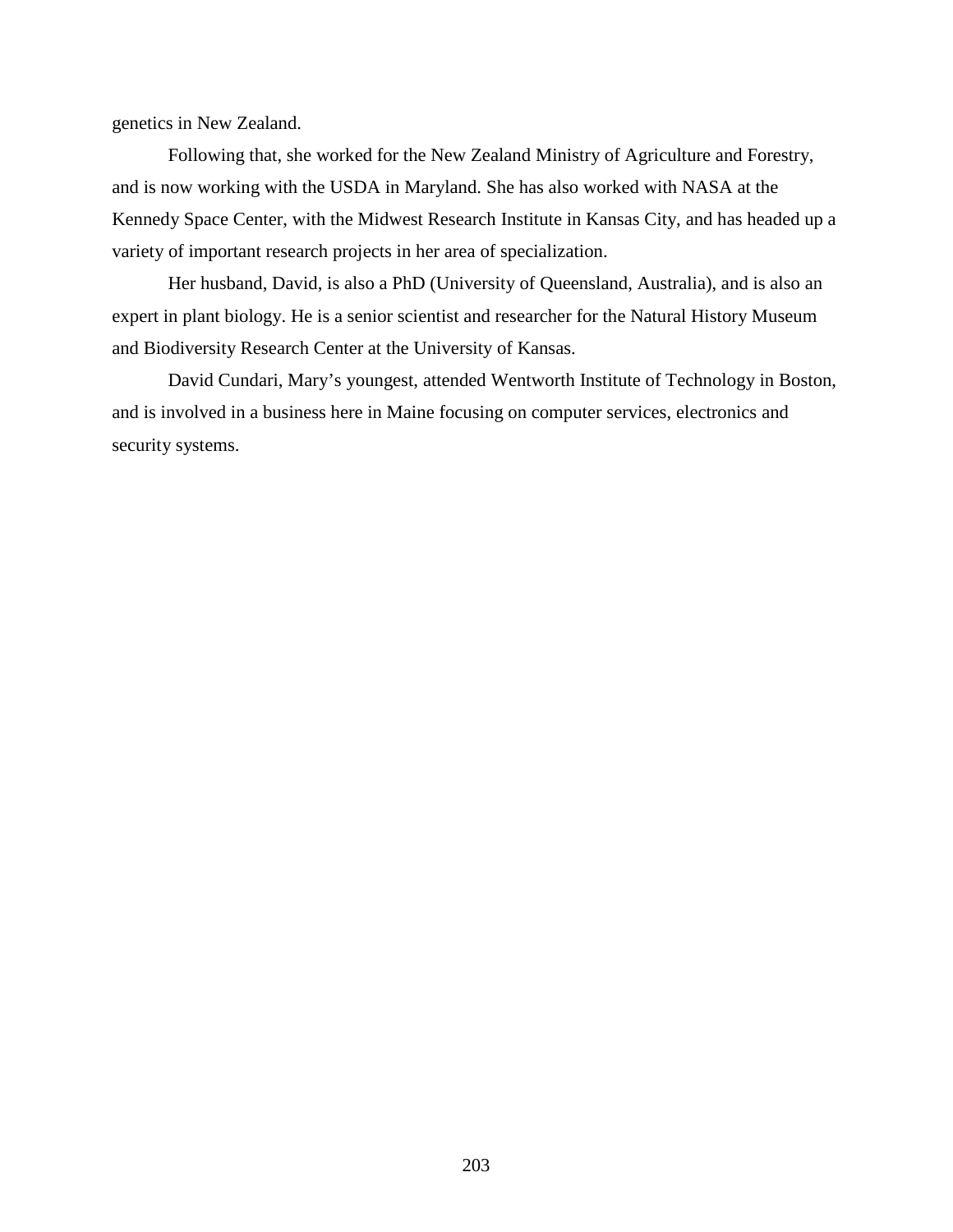genetics in New Zealand.

Following that, she worked for the New Zealand Ministry of Agriculture and Forestry, and is now working with the USDA in Maryland. She has also worked with NASA at the Kennedy Space Center, with the Midwest Research Institute in Kansas City, and has headed up a variety of important research projects in her area of specialization.

Her husband, David, is also a PhD (University of Queensland, Australia), and is also an expert in plant biology. He is a senior scientist and researcher for the Natural History Museum and Biodiversity Research Center at the University of Kansas.

David Cundari, Mary's youngest, attended Wentworth Institute of Technology in Boston, and is involved in a business here in Maine focusing on computer services, electronics and security systems.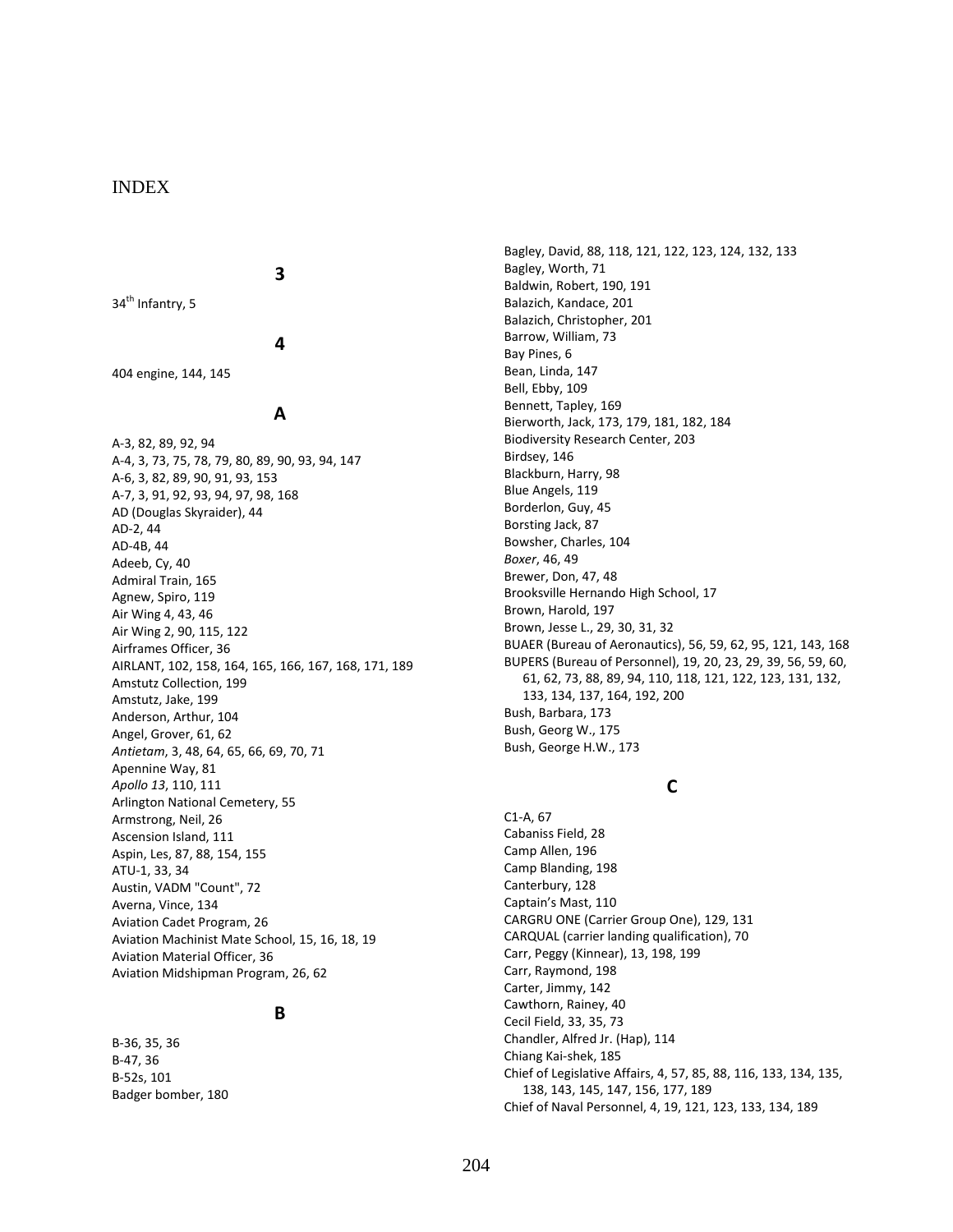### INDEX

#### **3**

34<sup>th</sup> Infantry, 5

#### **4**

404 engine, 144, 145

#### **A**

A-3, 82, 89, 92, 94 A-4, 3, 73, 75, 78, 79, 80, 89, 90, 93, 94, 147 A-6, 3, 82, 89, 90, 91, 93, 153 A-7, 3, 91, 92, 93, 94, 97, 98, 168 AD (Douglas Skyraider), 44 AD-2, 44 AD-4B, 44 Adeeb, Cy, 40 Admiral Train, 165 Agnew, Spiro, 119 Air Wing 4, 43, 46 Air Wing 2, 90, 115, 122 Airframes Officer, 36 AIRLANT, 102, 158, 164, 165, 166, 167, 168, 171, 189 Amstutz Collection, 199 Amstutz, Jake, 199 Anderson, Arthur, 104 Angel, Grover, 61, 62 *Antietam*, 3, 48, 64, 65, 66, 69, 70, 71 Apennine Way, 81 *Apollo 13*, 110, 111 Arlington National Cemetery, 55 Armstrong, Neil, 26 Ascension Island, 111 Aspin, Les, 87, 88, 154, 155 ATU-1, 33, 34 Austin, VADM "Count", 72 Averna, Vince, 134 Aviation Cadet Program, 26 Aviation Machinist Mate School, 15, 16, 18, 19 Aviation Material Officer, 36 Aviation Midshipman Program, 26, 62

#### **B**

B-36, 35, 36 B-47, 36 B-52s, 101 Badger bomber, 180 Bagley, David, 88, 118, 121, 122, 123, 124, 132, 133 Bagley, Worth, 71 Baldwin, Robert, 190, 191 Balazich, Kandace, 201 Balazich, Christopher, 201 Barrow, William, 73 Bay Pines, 6 Bean, Linda, 147 Bell, Ebby, 109 Bennett, Tapley, 169 Bierworth, Jack, 173, 179, 181, 182, 184 Biodiversity Research Center, 203 Birdsey, 146 Blackburn, Harry, 98 Blue Angels, 119 Borderlon, Guy, 45 Borsting Jack, 87 Bowsher, Charles, 104 *Boxer*, 46, 49 Brewer, Don, 47, 48 Brooksville Hernando High School, 17 Brown, Harold, 197 Brown, Jesse L., 29, 30, 31, 32 BUAER (Bureau of Aeronautics), 56, 59, 62, 95, 121, 143, 168 BUPERS (Bureau of Personnel), 19, 20, 23, 29, 39, 56, 59, 60, 61, 62, 73, 88, 89, 94, 110, 118, 121, 122, 123, 131, 132, 133, 134, 137, 164, 192, 200 Bush, Barbara, 173 Bush, Georg W., 175 Bush, George H.W., 173

## **C**

C1-A, 67 Cabaniss Field, 28 Camp Allen, 196 Camp Blanding, 198 Canterbury, 128 Captain's Mast, 110 CARGRU ONE (Carrier Group One), 129, 131 CARQUAL (carrier landing qualification), 70 Carr, Peggy (Kinnear), 13, 198, 199 Carr, Raymond, 198 Carter, Jimmy, 142 Cawthorn, Rainey, 40 Cecil Field, 33, 35, 73 Chandler, Alfred Jr. (Hap), 114 Chiang Kai-shek, 185 Chief of Legislative Affairs, 4, 57, 85, 88, 116, 133, 134, 135, 138, 143, 145, 147, 156, 177, 189 Chief of Naval Personnel, 4, 19, 121, 123, 133, 134, 189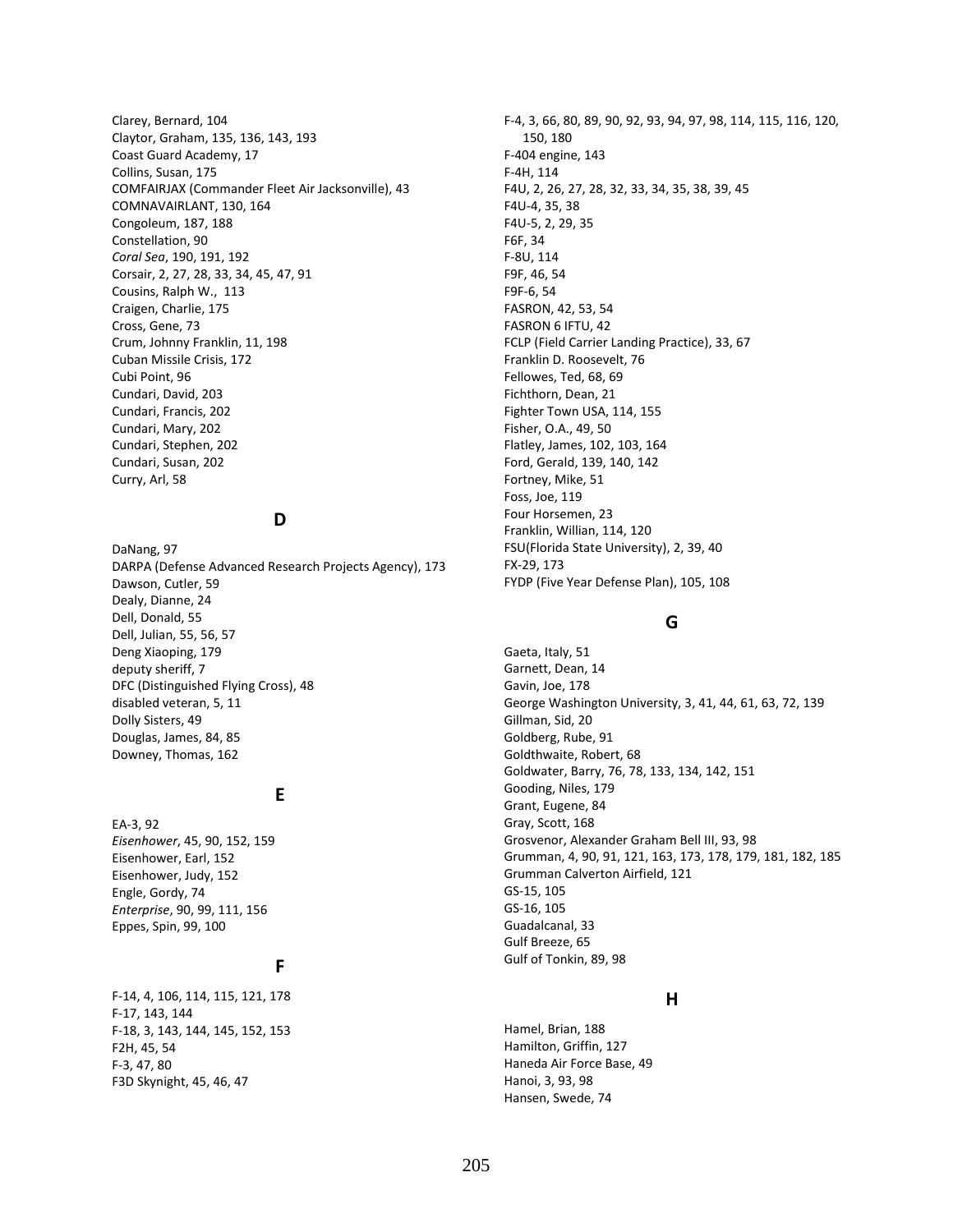Clarey, Bernard, 104 Claytor, Graham, 135, 136, 143, 193 Coast Guard Academy, 17 Collins, Susan, 175 COMFAIRJAX (Commander Fleet Air Jacksonville), 43 COMNAVAIRLANT, 130, 164 Congoleum, 187, 188 Constellation, 90 *Coral Sea*, 190, 191, 192 Corsair, 2, 27, 28, 33, 34, 45, 47, 91 Cousins, Ralph W., 113 Craigen, Charlie, 175 Cross, Gene, 73 Crum, Johnny Franklin, 11, 198 Cuban Missile Crisis, 172 Cubi Point, 96 Cundari, David, 203 Cundari, Francis, 202 Cundari, Mary, 202 Cundari, Stephen, 202 Cundari, Susan, 202 Curry, Arl, 58

### **D**

DaNang, 97 DARPA (Defense Advanced Research Projects Agency), 173 Dawson, Cutler, 59 Dealy, Dianne, 24 Dell, Donald, 55 Dell, Julian, 55, 56, 57 Deng Xiaoping, 179 deputy sheriff, 7 DFC (Distinguished Flying Cross), 48 disabled veteran, 5, 11 Dolly Sisters, 49 Douglas, James, 84, 85 Downey, Thomas, 162

### **E**

EA-3, 92 *Eisenhower*, 45, 90, 152, 159 Eisenhower, Earl, 152 Eisenhower, Judy, 152 Engle, Gordy, 74 *Enterprise*, 90, 99, 111, 156 Eppes, Spin, 99, 100

# **F**

F-14, 4, 106, 114, 115, 121, 178 F-17, 143, 144 F-18, 3, 143, 144, 145, 152, 153 F2H, 45, 54 F-3, 47, 80 F3D Skynight, 45, 46, 47

F-4, 3, 66, 80, 89, 90, 92, 93, 94, 97, 98, 114, 115, 116, 120, 150, 180 F-404 engine, 143 F-4H, 114 F4U, 2, 26, 27, 28, 32, 33, 34, 35, 38, 39, 45 F4U-4, 35, 38 F4U-5, 2, 29, 35 F6F, 34 F-8U, 114 F9F, 46, 54 F9F-6, 54 FASRON, 42, 53, 54 FASRON 6 IFTU, 42 FCLP (Field Carrier Landing Practice), 33, 67 Franklin D. Roosevelt, 76 Fellowes, Ted, 68, 69 Fichthorn, Dean, 21 Fighter Town USA, 114, 155 Fisher, O.A., 49, 50 Flatley, James, 102, 103, 164 Ford, Gerald, 139, 140, 142 Fortney, Mike, 51 Foss, Joe, 119 Four Horsemen, 23 Franklin, Willian, 114, 120 FSU(Florida State University), 2, 39, 40 FX-29, 173 FYDP (Five Year Defense Plan), 105, 108

## **G**

Gaeta, Italy, 51 Garnett, Dean, 14 Gavin, Joe, 178 George Washington University, 3, 41, 44, 61, 63, 72, 139 Gillman, Sid, 20 Goldberg, Rube, 91 Goldthwaite, Robert, 68 Goldwater, Barry, 76, 78, 133, 134, 142, 151 Gooding, Niles, 179 Grant, Eugene, 84 Gray, Scott, 168 Grosvenor, Alexander Graham Bell III, 93, 98 Grumman, 4, 90, 91, 121, 163, 173, 178, 179, 181, 182, 185 Grumman Calverton Airfield, 121 GS-15, 105 GS-16, 105 Guadalcanal, 33 Gulf Breeze, 65 Gulf of Tonkin, 89, 98

## **H**

Hamel, Brian, 188 Hamilton, Griffin, 127 Haneda Air Force Base, 49 Hanoi, 3, 93, 98 Hansen, Swede, 74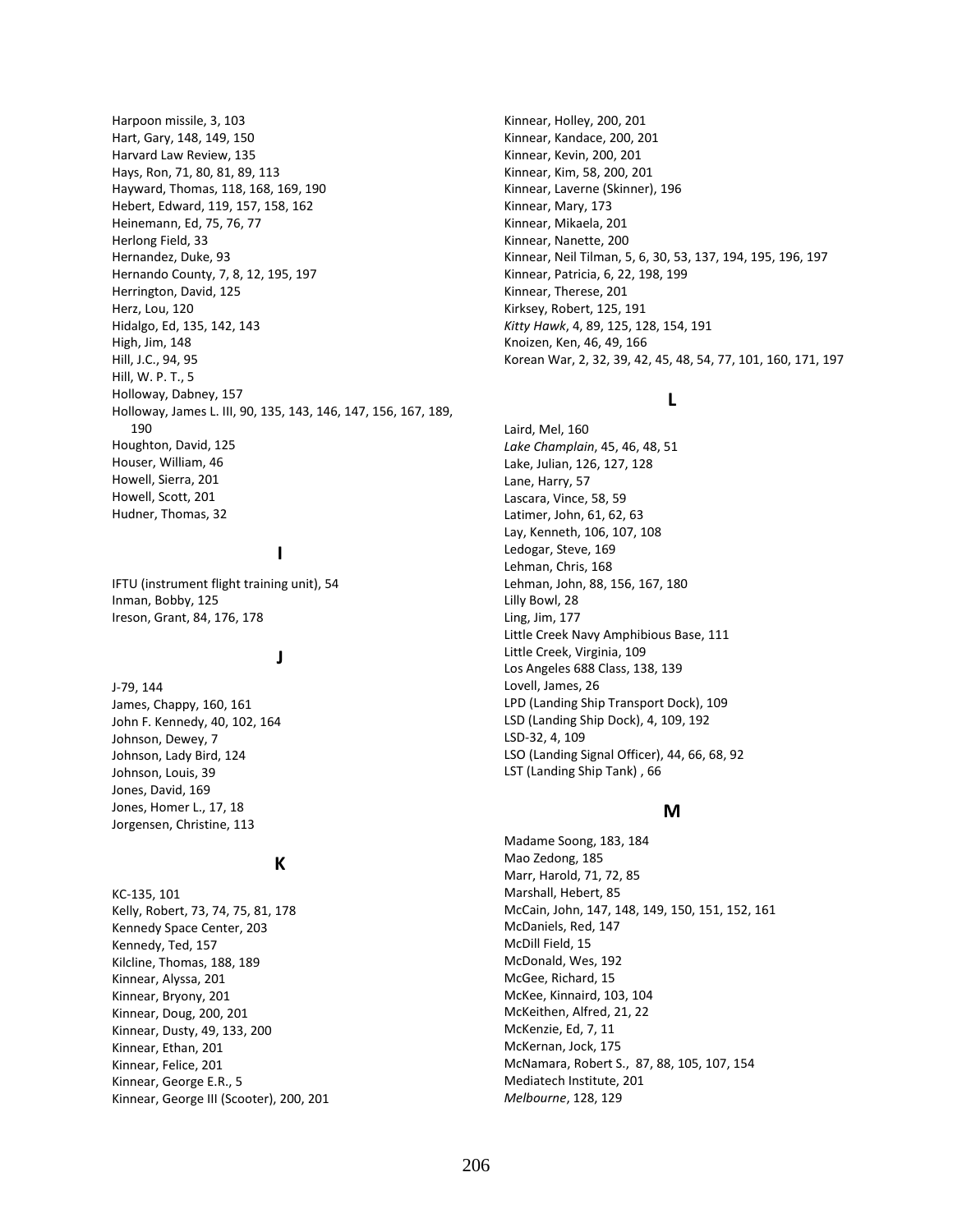Harpoon missile, 3, 103 Hart, Gary, 148, 149, 150 Harvard Law Review, 135 Hays, Ron, 71, 80, 81, 89, 113 Hayward, Thomas, 118, 168, 169, 190 Hebert, Edward, 119, 157, 158, 162 Heinemann, Ed, 75, 76, 77 Herlong Field, 33 Hernandez, Duke, 93 Hernando County, 7, 8, 12, 195, 197 Herrington, David, 125 Herz, Lou, 120 Hidalgo, Ed, 135, 142, 143 High, Jim, 148 Hill, J.C., 94, 95 Hill, W. P. T., 5 Holloway, Dabney, 157 Holloway, James L. III, 90, 135, 143, 146, 147, 156, 167, 189, 190 Houghton, David, 125 Houser, William, 46 Howell, Sierra, 201 Howell, Scott, 201 Hudner, Thomas, 32

# **I**

IFTU (instrument flight training unit), 54 Inman, Bobby, 125 Ireson, Grant, 84, 176, 178

#### **J**

J-79, 144 James, Chappy, 160, 161 John F. Kennedy, 40, 102, 164 Johnson, Dewey, 7 Johnson, Lady Bird, 124 Johnson, Louis, 39 Jones, David, 169 Jones, Homer L., 17, 18 Jorgensen, Christine, 113

#### **K**

KC-135, 101 Kelly, Robert, 73, 74, 75, 81, 178 Kennedy Space Center, 203 Kennedy, Ted, 157 Kilcline, Thomas, 188, 189 Kinnear, Alyssa, 201 Kinnear, Bryony, 201 Kinnear, Doug, 200, 201 Kinnear, Dusty, 49, 133, 200 Kinnear, Ethan, 201 Kinnear, Felice, 201 Kinnear, George E.R., 5 Kinnear, George III (Scooter), 200, 201 Kinnear, Holley, 200, 201 Kinnear, Kandace, 200, 201 Kinnear, Kevin, 200, 201 Kinnear, Kim, 58, 200, 201 Kinnear, Laverne (Skinner), 196 Kinnear, Mary, 173 Kinnear, Mikaela, 201 Kinnear, Nanette, 200 Kinnear, Neil Tilman, 5, 6, 30, 53, 137, 194, 195, 196, 197 Kinnear, Patricia, 6, 22, 198, 199 Kinnear, Therese, 201 Kirksey, Robert, 125, 191 *Kitty Hawk*, 4, 89, 125, 128, 154, 191 Knoizen, Ken, 46, 49, 166 Korean War, 2, 32, 39, 42, 45, 48, 54, 77, 101, 160, 171, 197

### **L**

Laird, Mel, 160 *Lake Champlain*, 45, 46, 48, 51 Lake, Julian, 126, 127, 128 Lane, Harry, 57 Lascara, Vince, 58, 59 Latimer, John, 61, 62, 63 Lay, Kenneth, 106, 107, 108 Ledogar, Steve, 169 Lehman, Chris, 168 Lehman, John, 88, 156, 167, 180 Lilly Bowl, 28 Ling, Jim, 177 Little Creek Navy Amphibious Base, 111 Little Creek, Virginia, 109 Los Angeles 688 Class, 138, 139 Lovell, James, 26 LPD (Landing Ship Transport Dock), 109 LSD (Landing Ship Dock), 4, 109, 192 LSD-32, 4, 109 LSO (Landing Signal Officer), 44, 66, 68, 92 LST (Landing Ship Tank) , 66

#### **M**

Madame Soong, 183, 184 Mao Zedong, 185 Marr, Harold, 71, 72, 85 Marshall, Hebert, 85 McCain, John, 147, 148, 149, 150, 151, 152, 161 McDaniels, Red, 147 McDill Field, 15 McDonald, Wes, 192 McGee, Richard, 15 McKee, Kinnaird, 103, 104 McKeithen, Alfred, 21, 22 McKenzie, Ed, 7, 11 McKernan, Jock, 175 McNamara, Robert S., 87, 88, 105, 107, 154 Mediatech Institute, 201 *Melbourne*, 128, 129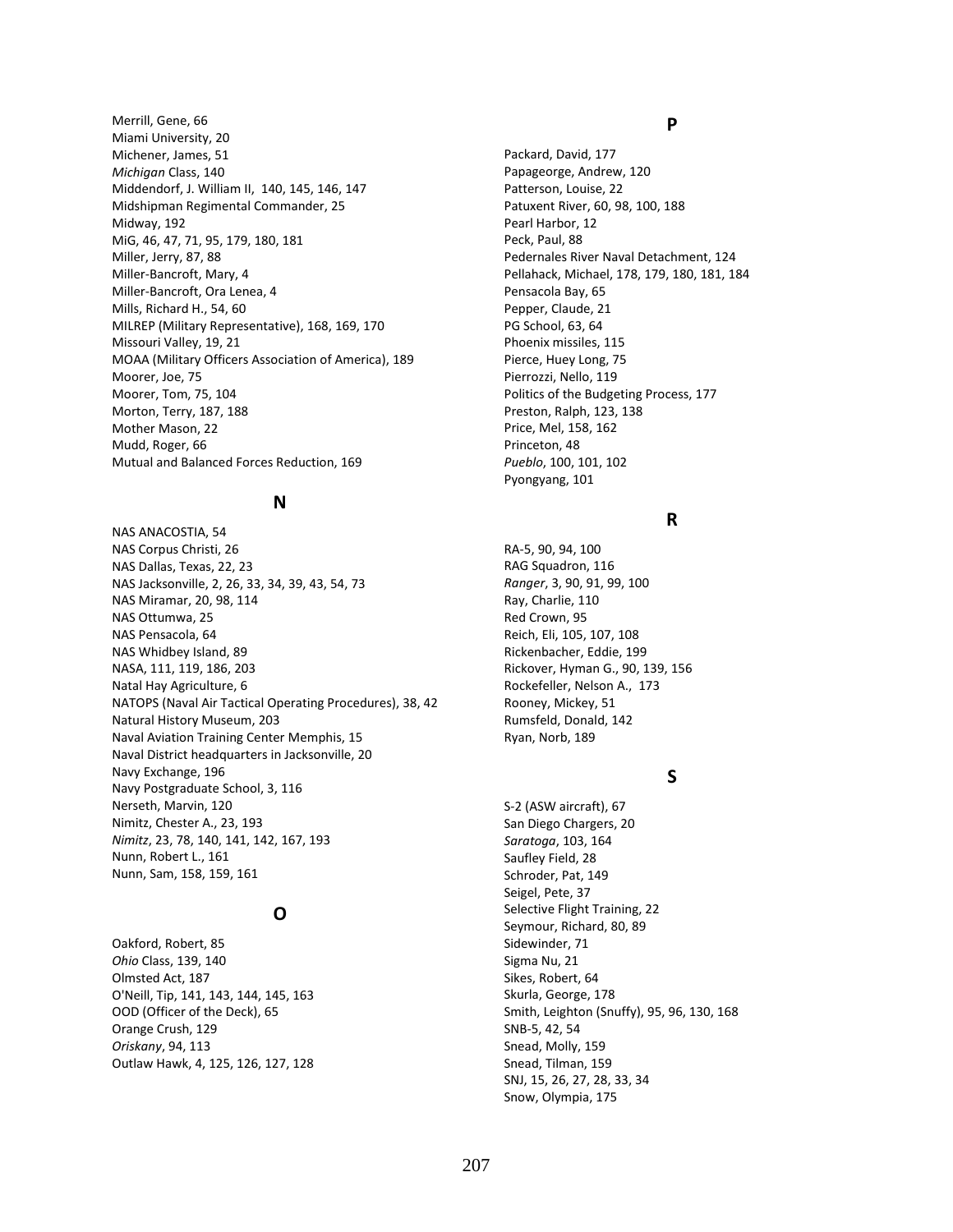Merrill, Gene, 66 Miami University, 20 Michener, James, 51 *Michigan* Class, 140 Middendorf, J. William II, 140, 145, 146, 147 Midshipman Regimental Commander, 25 Midway, 192 MiG, 46, 47, 71, 95, 179, 180, 181 Miller, Jerry, 87, 88 Miller-Bancroft, Mary, 4 Miller-Bancroft, Ora Lenea, 4 Mills, Richard H., 54, 60 MILREP (Military Representative), 168, 169, 170 Missouri Valley, 19, 21 MOAA (Military Officers Association of America), 189 Moorer, Joe, 75 Moorer, Tom, 75, 104 Morton, Terry, 187, 188 Mother Mason, 22 Mudd, Roger, 66 Mutual and Balanced Forces Reduction, 169

### **N**

NAS ANACOSTIA, 54 NAS Corpus Christi, 26 NAS Dallas, Texas, 22, 23 NAS Jacksonville, 2, 26, 33, 34, 39, 43, 54, 73 NAS Miramar, 20, 98, 114 NAS Ottumwa, 25 NAS Pensacola, 64 NAS Whidbey Island, 89 NASA, 111, 119, 186, 203 Natal Hay Agriculture, 6 NATOPS (Naval Air Tactical Operating Procedures), 38, 42 Natural History Museum, 203 Naval Aviation Training Center Memphis, 15 Naval District headquarters in Jacksonville, 20 Navy Exchange, 196 Navy Postgraduate School, 3, 116 Nerseth, Marvin, 120 Nimitz, Chester A., 23, 193 *Nimitz*, 23, 78, 140, 141, 142, 167, 193 Nunn, Robert L., 161 Nunn, Sam, 158, 159, 161

## **O**

Oakford, Robert, 85 *Ohio* Class, 139, 140 Olmsted Act, 187 O'Neill, Tip, 141, 143, 144, 145, 163 OOD (Officer of the Deck), 65 Orange Crush, 129 *Oriskany*, 94, 113 Outlaw Hawk, 4, 125, 126, 127, 128

#### **P**

Packard, David, 177 Papageorge, Andrew, 120 Patterson, Louise, 22 Patuxent River, 60, 98, 100, 188 Pearl Harbor, 12 Peck, Paul, 88 Pedernales River Naval Detachment, 124 Pellahack, Michael, 178, 179, 180, 181, 184 Pensacola Bay, 65 Pepper, Claude, 21 PG School, 63, 64 Phoenix missiles, 115 Pierce, Huey Long, 75 Pierrozzi, Nello, 119 Politics of the Budgeting Process, 177 Preston, Ralph, 123, 138 Price, Mel, 158, 162 Princeton, 48 *Pueblo*, 100, 101, 102 Pyongyang, 101

### **R**

RA-5, 90, 94, 100 RAG Squadron, 116 *Ranger*, 3, 90, 91, 99, 100 Ray, Charlie, 110 Red Crown, 95 Reich, Eli, 105, 107, 108 Rickenbacher, Eddie, 199 Rickover, Hyman G., 90, 139, 156 Rockefeller, Nelson A., 173 Rooney, Mickey, 51 Rumsfeld, Donald, 142 Ryan, Norb, 189

## **S**

S-2 (ASW aircraft), 67 San Diego Chargers, 20 *Saratoga*, 103, 164 Saufley Field, 28 Schroder, Pat, 149 Seigel, Pete, 37 Selective Flight Training, 22 Seymour, Richard, 80, 89 Sidewinder, 71 Sigma Nu, 21 Sikes, Robert, 64 Skurla, George, 178 Smith, Leighton (Snuffy), 95, 96, 130, 168 SNB-5, 42, 54 Snead, Molly, 159 Snead, Tilman, 159 SNJ, 15, 26, 27, 28, 33, 34 Snow, Olympia, 175